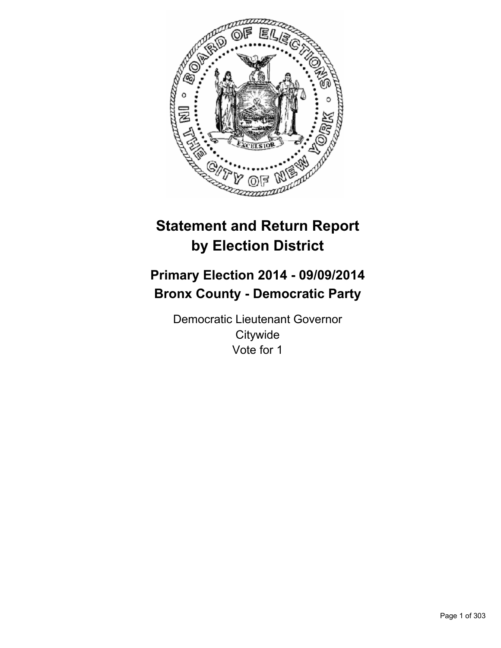

# **Statement and Return Report by Election District**

# **Primary Election 2014 - 09/09/2014 Bronx County - Democratic Party**

Democratic Lieutenant Governor **Citywide** Vote for 1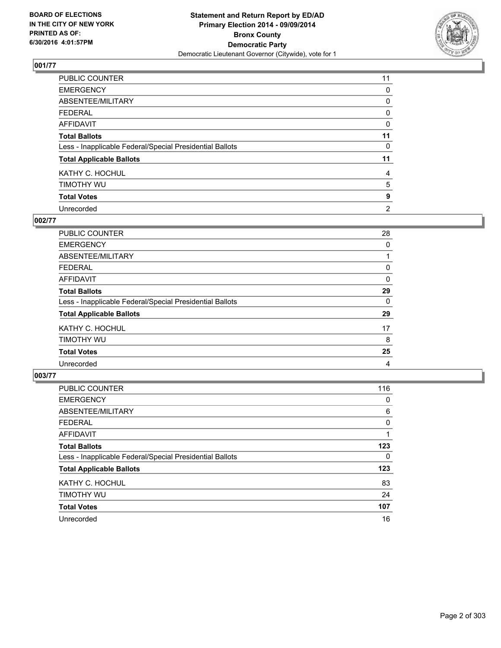

| PUBLIC COUNTER                                           | 11             |
|----------------------------------------------------------|----------------|
| <b>EMERGENCY</b>                                         | 0              |
| ABSENTEE/MILITARY                                        | 0              |
| <b>FEDERAL</b>                                           | 0              |
| <b>AFFIDAVIT</b>                                         | 0              |
| <b>Total Ballots</b>                                     | 11             |
| Less - Inapplicable Federal/Special Presidential Ballots | 0              |
| <b>Total Applicable Ballots</b>                          | 11             |
| KATHY C. HOCHUL                                          | 4              |
| TIMOTHY WU                                               | 5              |
| <b>Total Votes</b>                                       | 9              |
| Unrecorded                                               | $\overline{2}$ |

### **002/77**

| PUBLIC COUNTER                                           | 28 |
|----------------------------------------------------------|----|
| <b>EMERGENCY</b>                                         | 0  |
| ABSENTEE/MILITARY                                        |    |
| <b>FEDERAL</b>                                           | 0  |
| <b>AFFIDAVIT</b>                                         | 0  |
| <b>Total Ballots</b>                                     | 29 |
| Less - Inapplicable Federal/Special Presidential Ballots | 0  |
| <b>Total Applicable Ballots</b>                          | 29 |
| KATHY C. HOCHUL                                          | 17 |
| TIMOTHY WU                                               | 8  |
| <b>Total Votes</b>                                       | 25 |
| Unrecorded                                               | 4  |

| <b>PUBLIC COUNTER</b>                                    | 116 |
|----------------------------------------------------------|-----|
| <b>EMERGENCY</b>                                         | 0   |
| ABSENTEE/MILITARY                                        | 6   |
| <b>FEDERAL</b>                                           | 0   |
| AFFIDAVIT                                                |     |
| <b>Total Ballots</b>                                     | 123 |
| Less - Inapplicable Federal/Special Presidential Ballots | 0   |
| <b>Total Applicable Ballots</b>                          | 123 |
| KATHY C. HOCHUL                                          | 83  |
| TIMOTHY WU                                               | 24  |
| <b>Total Votes</b>                                       | 107 |
| Unrecorded                                               | 16  |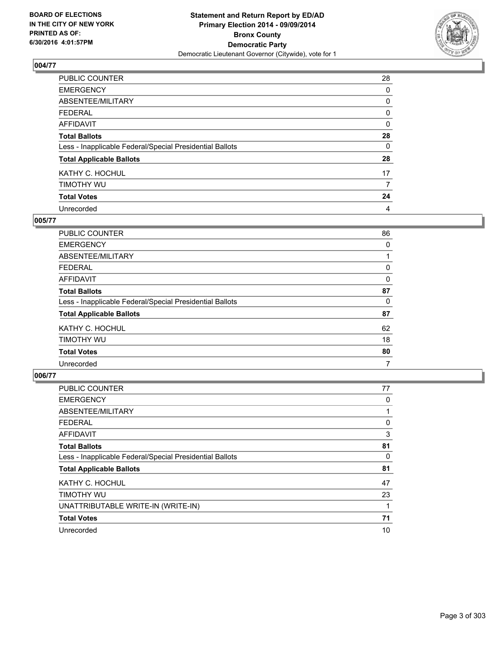

| PUBLIC COUNTER                                           | 28       |
|----------------------------------------------------------|----------|
| <b>EMERGENCY</b>                                         | 0        |
| ABSENTEE/MILITARY                                        | 0        |
| <b>FEDERAL</b>                                           | 0        |
| <b>AFFIDAVIT</b>                                         | 0        |
| <b>Total Ballots</b>                                     | 28       |
| Less - Inapplicable Federal/Special Presidential Ballots | $\Omega$ |
| <b>Total Applicable Ballots</b>                          | 28       |
| KATHY C. HOCHUL                                          | 17       |
| TIMOTHY WU                                               | 7        |
| <b>Total Votes</b>                                       | 24       |
| Unrecorded                                               | 4        |

### **005/77**

| PUBLIC COUNTER                                           | 86 |
|----------------------------------------------------------|----|
| <b>EMERGENCY</b>                                         | 0  |
| ABSENTEE/MILITARY                                        |    |
| FEDERAL                                                  | 0  |
| <b>AFFIDAVIT</b>                                         | 0  |
| <b>Total Ballots</b>                                     | 87 |
| Less - Inapplicable Federal/Special Presidential Ballots | 0  |
| <b>Total Applicable Ballots</b>                          | 87 |
| KATHY C. HOCHUL                                          | 62 |
| TIMOTHY WU                                               | 18 |
| <b>Total Votes</b>                                       | 80 |
| Unrecorded                                               | 7  |
|                                                          |    |

| PUBLIC COUNTER                                           | 77 |
|----------------------------------------------------------|----|
| <b>EMERGENCY</b>                                         | 0  |
| ABSENTEE/MILITARY                                        |    |
| <b>FEDERAL</b>                                           | 0  |
| <b>AFFIDAVIT</b>                                         | 3  |
| <b>Total Ballots</b>                                     | 81 |
| Less - Inapplicable Federal/Special Presidential Ballots | 0  |
| <b>Total Applicable Ballots</b>                          | 81 |
| KATHY C. HOCHUL                                          | 47 |
| TIMOTHY WU                                               | 23 |
| UNATTRIBUTABLE WRITE-IN (WRITE-IN)                       |    |
| <b>Total Votes</b>                                       | 71 |
| Unrecorded                                               | 10 |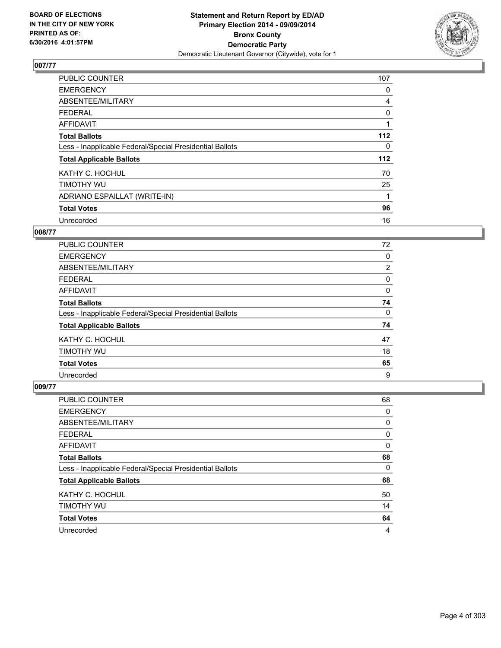

| <b>PUBLIC COUNTER</b>                                    | 107 |
|----------------------------------------------------------|-----|
| <b>EMERGENCY</b>                                         | 0   |
| ABSENTEE/MILITARY                                        | 4   |
| <b>FEDERAL</b>                                           | 0   |
| <b>AFFIDAVIT</b>                                         |     |
| <b>Total Ballots</b>                                     | 112 |
| Less - Inapplicable Federal/Special Presidential Ballots | 0   |
| <b>Total Applicable Ballots</b>                          | 112 |
| KATHY C. HOCHUL                                          | 70  |
| TIMOTHY WU                                               | 25  |
| ADRIANO ESPAILLAT (WRITE-IN)                             |     |
| <b>Total Votes</b>                                       | 96  |
| Unrecorded                                               | 16  |

## **008/77**

| <b>PUBLIC COUNTER</b>                                    | 72 |
|----------------------------------------------------------|----|
| <b>EMERGENCY</b>                                         | 0  |
| ABSENTEE/MILITARY                                        | 2  |
| FEDERAL                                                  | 0  |
| <b>AFFIDAVIT</b>                                         | 0  |
| <b>Total Ballots</b>                                     | 74 |
| Less - Inapplicable Federal/Special Presidential Ballots | 0  |
| <b>Total Applicable Ballots</b>                          | 74 |
| KATHY C. HOCHUL                                          | 47 |
| TIMOTHY WU                                               | 18 |
| <b>Total Votes</b>                                       | 65 |
| Unrecorded                                               | 9  |

| <b>PUBLIC COUNTER</b>                                    | 68 |
|----------------------------------------------------------|----|
| <b>EMERGENCY</b>                                         | 0  |
| ABSENTEE/MILITARY                                        | 0  |
| <b>FEDERAL</b>                                           | 0  |
| AFFIDAVIT                                                | 0  |
| <b>Total Ballots</b>                                     | 68 |
| Less - Inapplicable Federal/Special Presidential Ballots | 0  |
| <b>Total Applicable Ballots</b>                          | 68 |
| KATHY C. HOCHUL                                          | 50 |
| TIMOTHY WU                                               | 14 |
| <b>Total Votes</b>                                       | 64 |
| Unrecorded                                               | 4  |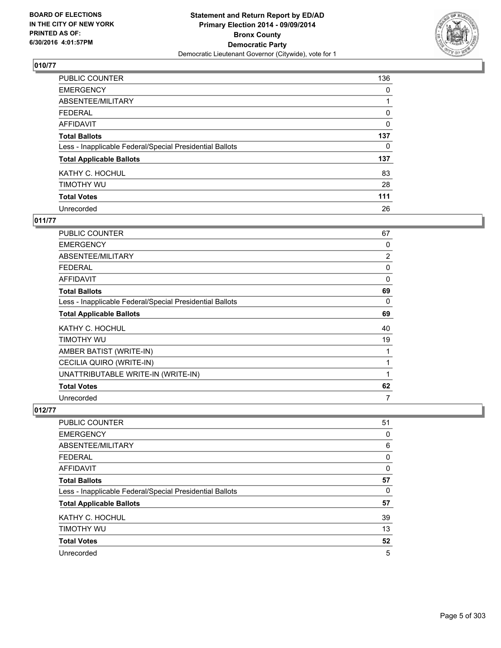

| PUBLIC COUNTER                                           | 136      |
|----------------------------------------------------------|----------|
| <b>EMERGENCY</b>                                         | 0        |
| ABSENTEE/MILITARY                                        |          |
| <b>FEDERAL</b>                                           | 0        |
| <b>AFFIDAVIT</b>                                         | $\Omega$ |
| <b>Total Ballots</b>                                     | 137      |
| Less - Inapplicable Federal/Special Presidential Ballots | 0        |
| <b>Total Applicable Ballots</b>                          | 137      |
| KATHY C. HOCHUL                                          | 83       |
| TIMOTHY WU                                               | 28       |
| <b>Total Votes</b>                                       | 111      |
| Unrecorded                                               | 26       |

## **011/77**

| PUBLIC COUNTER                                           | 67 |
|----------------------------------------------------------|----|
| <b>EMERGENCY</b>                                         | 0  |
| ABSENTEE/MILITARY                                        | 2  |
| <b>FEDERAL</b>                                           | 0  |
| AFFIDAVIT                                                | 0  |
| <b>Total Ballots</b>                                     | 69 |
| Less - Inapplicable Federal/Special Presidential Ballots | 0  |
| <b>Total Applicable Ballots</b>                          | 69 |
| KATHY C. HOCHUL                                          | 40 |
| TIMOTHY WU                                               | 19 |
| AMBER BATIST (WRITE-IN)                                  | 1  |
| CECILIA QUIRO (WRITE-IN)                                 | 1  |
| UNATTRIBUTABLE WRITE-IN (WRITE-IN)                       | 1  |
| <b>Total Votes</b>                                       | 62 |
| Unrecorded                                               | 7  |

| <b>PUBLIC COUNTER</b>                                    | 51 |
|----------------------------------------------------------|----|
| <b>EMERGENCY</b>                                         | 0  |
| ABSENTEE/MILITARY                                        | 6  |
| FEDERAL                                                  | 0  |
| AFFIDAVIT                                                | 0  |
| <b>Total Ballots</b>                                     | 57 |
| Less - Inapplicable Federal/Special Presidential Ballots | 0  |
| <b>Total Applicable Ballots</b>                          | 57 |
| KATHY C. HOCHUL                                          | 39 |
| TIMOTHY WU                                               | 13 |
| <b>Total Votes</b>                                       | 52 |
| Unrecorded                                               | 5  |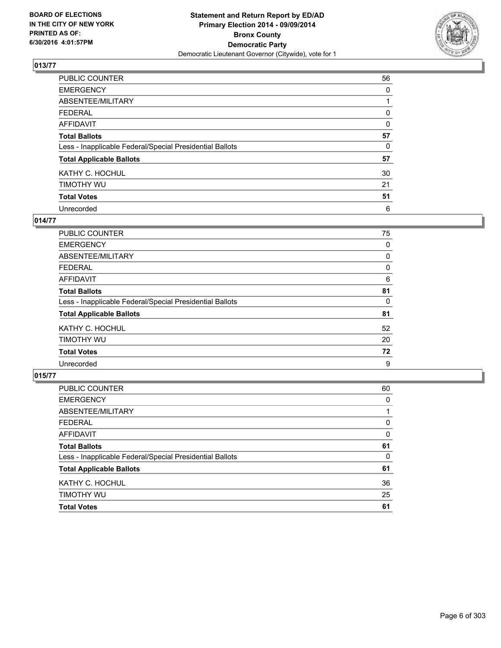

| PUBLIC COUNTER                                           | 56 |
|----------------------------------------------------------|----|
| <b>EMERGENCY</b>                                         | 0  |
| ABSENTEE/MILITARY                                        |    |
| <b>FEDERAL</b>                                           | 0  |
| <b>AFFIDAVIT</b>                                         | 0  |
| <b>Total Ballots</b>                                     | 57 |
| Less - Inapplicable Federal/Special Presidential Ballots | 0  |
| <b>Total Applicable Ballots</b>                          | 57 |
| KATHY C. HOCHUL                                          | 30 |
| TIMOTHY WU                                               | 21 |
| <b>Total Votes</b>                                       | 51 |
| Unrecorded                                               | 6  |

## **014/77**

| PUBLIC COUNTER                                           | 75 |
|----------------------------------------------------------|----|
| <b>EMERGENCY</b>                                         | 0  |
| ABSENTEE/MILITARY                                        | 0  |
| <b>FEDERAL</b>                                           | 0  |
| <b>AFFIDAVIT</b>                                         | 6  |
| <b>Total Ballots</b>                                     | 81 |
| Less - Inapplicable Federal/Special Presidential Ballots | 0  |
| <b>Total Applicable Ballots</b>                          | 81 |
| KATHY C. HOCHUL                                          | 52 |
| TIMOTHY WU                                               | 20 |
| <b>Total Votes</b>                                       | 72 |
| Unrecorded                                               | 9  |
|                                                          |    |

| <b>TIMOTHY WU</b>                                        | 25 |
|----------------------------------------------------------|----|
| KATHY C. HOCHUL                                          | 36 |
| <b>Total Applicable Ballots</b>                          | 61 |
| Less - Inapplicable Federal/Special Presidential Ballots | 0  |
| <b>Total Ballots</b>                                     | 61 |
| <b>AFFIDAVIT</b>                                         | 0  |
| <b>FEDERAL</b>                                           | 0  |
| ABSENTEE/MILITARY                                        |    |
| <b>EMERGENCY</b>                                         | 0  |
| PUBLIC COUNTER                                           | 60 |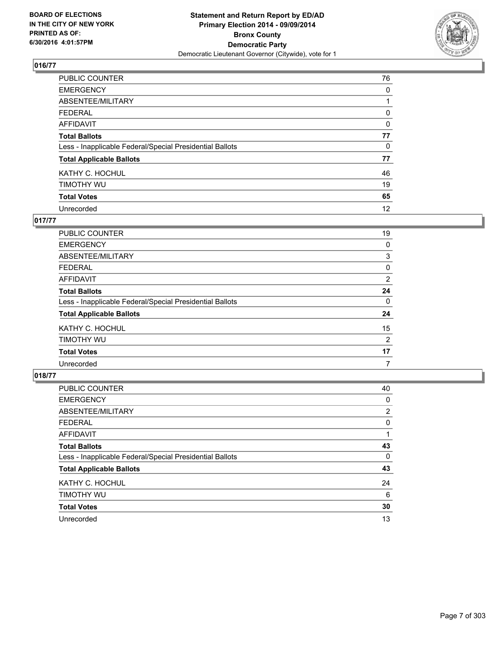

| PUBLIC COUNTER                                           | 76 |
|----------------------------------------------------------|----|
| <b>EMERGENCY</b>                                         | 0  |
| ABSENTEE/MILITARY                                        |    |
| <b>FEDERAL</b>                                           | 0  |
| <b>AFFIDAVIT</b>                                         | 0  |
| <b>Total Ballots</b>                                     | 77 |
| Less - Inapplicable Federal/Special Presidential Ballots | 0  |
| <b>Total Applicable Ballots</b>                          | 77 |
| KATHY C. HOCHUL                                          | 46 |
| TIMOTHY WU                                               | 19 |
| <b>Total Votes</b>                                       | 65 |
| Unrecorded                                               | 12 |

# **017/77**

| PUBLIC COUNTER                                           | 19             |
|----------------------------------------------------------|----------------|
| <b>EMERGENCY</b>                                         | 0              |
| ABSENTEE/MILITARY                                        | 3              |
| <b>FEDERAL</b>                                           | 0              |
| <b>AFFIDAVIT</b>                                         | $\overline{2}$ |
| <b>Total Ballots</b>                                     | 24             |
| Less - Inapplicable Federal/Special Presidential Ballots | 0              |
| <b>Total Applicable Ballots</b>                          | 24             |
| KATHY C. HOCHUL                                          | 15             |
| TIMOTHY WU                                               | 2              |
| <b>Total Votes</b>                                       | 17             |
| Unrecorded                                               | 7              |
|                                                          |                |

| PUBLIC COUNTER                                           | 40             |
|----------------------------------------------------------|----------------|
| <b>EMERGENCY</b>                                         | 0              |
| ABSENTEE/MILITARY                                        | $\overline{2}$ |
| <b>FEDERAL</b>                                           | 0              |
| <b>AFFIDAVIT</b>                                         |                |
| <b>Total Ballots</b>                                     | 43             |
| Less - Inapplicable Federal/Special Presidential Ballots | 0              |
| <b>Total Applicable Ballots</b>                          | 43             |
| KATHY C. HOCHUL                                          | 24             |
| TIMOTHY WU                                               | 6              |
| <b>Total Votes</b>                                       | 30             |
| Unrecorded                                               | 13             |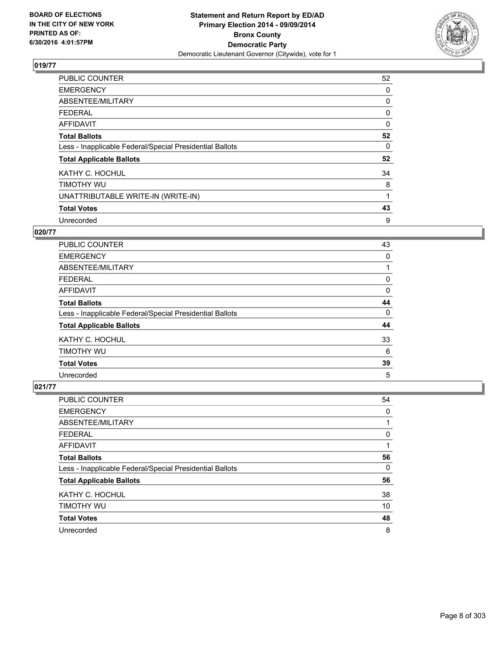

| <b>PUBLIC COUNTER</b>                                    | 52 |
|----------------------------------------------------------|----|
| <b>EMERGENCY</b>                                         | 0  |
| ABSENTEE/MILITARY                                        | 0  |
| <b>FEDERAL</b>                                           | 0  |
| AFFIDAVIT                                                | 0  |
| <b>Total Ballots</b>                                     | 52 |
| Less - Inapplicable Federal/Special Presidential Ballots | 0  |
| <b>Total Applicable Ballots</b>                          | 52 |
| KATHY C. HOCHUL                                          | 34 |
| TIMOTHY WU                                               | 8  |
| UNATTRIBUTABLE WRITE-IN (WRITE-IN)                       | 1  |
| <b>Total Votes</b>                                       | 43 |
| Unrecorded                                               | 9  |

## **020/77**

| <b>PUBLIC COUNTER</b>                                    | 43 |
|----------------------------------------------------------|----|
| <b>EMERGENCY</b>                                         | 0  |
| ABSENTEE/MILITARY                                        |    |
| <b>FEDERAL</b>                                           | 0  |
| <b>AFFIDAVIT</b>                                         | 0  |
| <b>Total Ballots</b>                                     | 44 |
| Less - Inapplicable Federal/Special Presidential Ballots | 0  |
| <b>Total Applicable Ballots</b>                          | 44 |
| KATHY C. HOCHUL                                          | 33 |
| TIMOTHY WU                                               | 6  |
| <b>Total Votes</b>                                       | 39 |
| Unrecorded                                               | 5  |

| PUBLIC COUNTER                                           | 54 |
|----------------------------------------------------------|----|
| <b>EMERGENCY</b>                                         | 0  |
| ABSENTEE/MILITARY                                        |    |
| <b>FEDERAL</b>                                           | 0  |
| AFFIDAVIT                                                |    |
| <b>Total Ballots</b>                                     | 56 |
| Less - Inapplicable Federal/Special Presidential Ballots | 0  |
| <b>Total Applicable Ballots</b>                          | 56 |
| KATHY C. HOCHUL                                          | 38 |
| TIMOTHY WU                                               | 10 |
| <b>Total Votes</b>                                       | 48 |
| Unrecorded                                               | 8  |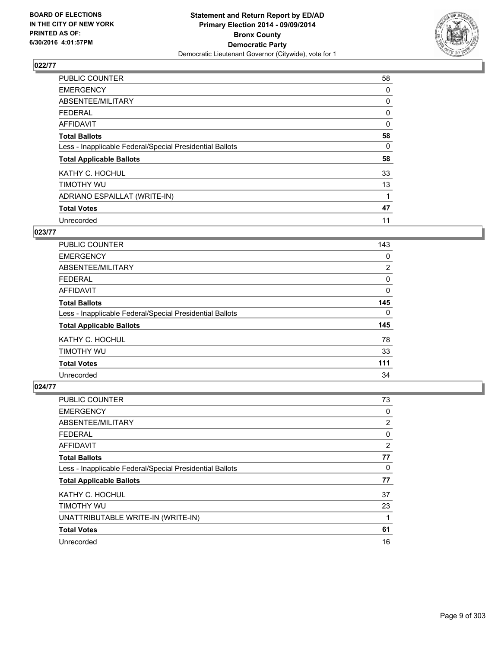

| <b>PUBLIC COUNTER</b>                                    | 58       |
|----------------------------------------------------------|----------|
| <b>EMERGENCY</b>                                         | 0        |
| ABSENTEE/MILITARY                                        | 0        |
| <b>FEDERAL</b>                                           | 0        |
| AFFIDAVIT                                                | $\Omega$ |
| <b>Total Ballots</b>                                     | 58       |
| Less - Inapplicable Federal/Special Presidential Ballots | 0        |
| <b>Total Applicable Ballots</b>                          | 58       |
| KATHY C. HOCHUL                                          | 33       |
| TIMOTHY WU                                               | 13       |
| ADRIANO ESPAILLAT (WRITE-IN)                             |          |
| <b>Total Votes</b>                                       | 47       |
| Unrecorded                                               | 11       |

# **023/77**

| <b>PUBLIC COUNTER</b>                                    | 143            |
|----------------------------------------------------------|----------------|
| <b>EMERGENCY</b>                                         | 0              |
| ABSENTEE/MILITARY                                        | $\overline{2}$ |
| <b>FEDERAL</b>                                           | 0              |
| AFFIDAVIT                                                | 0              |
| <b>Total Ballots</b>                                     | 145            |
| Less - Inapplicable Federal/Special Presidential Ballots | 0              |
| <b>Total Applicable Ballots</b>                          | 145            |
| KATHY C. HOCHUL                                          | 78             |
| TIMOTHY WU                                               | 33             |
| <b>Total Votes</b>                                       | 111            |
| Unrecorded                                               | 34             |

| <b>PUBLIC COUNTER</b>                                    | 73 |
|----------------------------------------------------------|----|
| <b>EMERGENCY</b>                                         | 0  |
| ABSENTEE/MILITARY                                        | 2  |
| <b>FEDERAL</b>                                           | 0  |
| <b>AFFIDAVIT</b>                                         | 2  |
| <b>Total Ballots</b>                                     | 77 |
| Less - Inapplicable Federal/Special Presidential Ballots | 0  |
| <b>Total Applicable Ballots</b>                          | 77 |
| KATHY C. HOCHUL                                          | 37 |
| TIMOTHY WU                                               | 23 |
| UNATTRIBUTABLE WRITE-IN (WRITE-IN)                       |    |
| <b>Total Votes</b>                                       | 61 |
| Unrecorded                                               | 16 |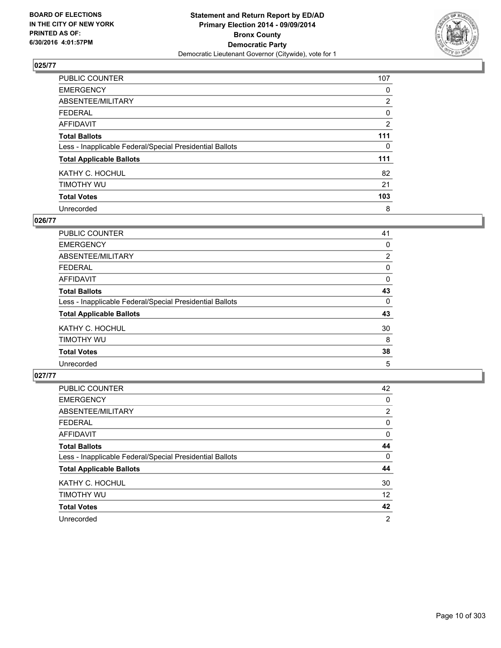

| PUBLIC COUNTER                                           | 107            |
|----------------------------------------------------------|----------------|
| <b>EMERGENCY</b>                                         | 0              |
| ABSENTEE/MILITARY                                        | $\overline{2}$ |
| <b>FEDERAL</b>                                           | 0              |
| <b>AFFIDAVIT</b>                                         | $\overline{2}$ |
| <b>Total Ballots</b>                                     | 111            |
| Less - Inapplicable Federal/Special Presidential Ballots | 0              |
| <b>Total Applicable Ballots</b>                          | 111            |
| KATHY C. HOCHUL                                          | 82             |
| TIMOTHY WU                                               | 21             |
| <b>Total Votes</b>                                       | 103            |
| Unrecorded                                               | 8              |

#### **026/77**

| PUBLIC COUNTER                                           | 41 |
|----------------------------------------------------------|----|
| <b>EMERGENCY</b>                                         | 0  |
| ABSENTEE/MILITARY                                        | 2  |
| <b>FEDERAL</b>                                           | 0  |
| <b>AFFIDAVIT</b>                                         | 0  |
| <b>Total Ballots</b>                                     | 43 |
| Less - Inapplicable Federal/Special Presidential Ballots | 0  |
| <b>Total Applicable Ballots</b>                          | 43 |
| KATHY C. HOCHUL                                          | 30 |
| TIMOTHY WU                                               | 8  |
| <b>Total Votes</b>                                       | 38 |
| Unrecorded                                               | 5  |
|                                                          |    |

| PUBLIC COUNTER                                           | 42             |
|----------------------------------------------------------|----------------|
| <b>EMERGENCY</b>                                         | 0              |
| ABSENTEE/MILITARY                                        | $\overline{2}$ |
| <b>FEDERAL</b>                                           | 0              |
| <b>AFFIDAVIT</b>                                         | 0              |
| <b>Total Ballots</b>                                     | 44             |
| Less - Inapplicable Federal/Special Presidential Ballots | 0              |
| <b>Total Applicable Ballots</b>                          | 44             |
| KATHY C. HOCHUL                                          | 30             |
| TIMOTHY WU                                               | 12             |
| <b>Total Votes</b>                                       | 42             |
| Unrecorded                                               | 2              |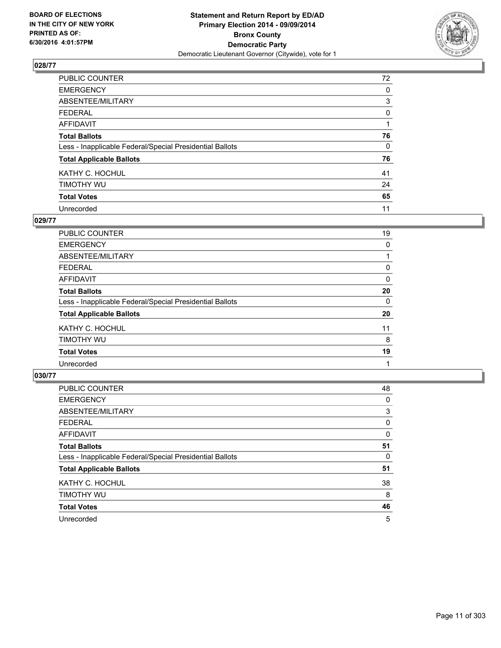

| PUBLIC COUNTER                                           | 72 |
|----------------------------------------------------------|----|
| <b>EMERGENCY</b>                                         | 0  |
| ABSENTEE/MILITARY                                        | 3  |
| <b>FEDERAL</b>                                           | 0  |
| <b>AFFIDAVIT</b>                                         |    |
| <b>Total Ballots</b>                                     | 76 |
| Less - Inapplicable Federal/Special Presidential Ballots | 0  |
| <b>Total Applicable Ballots</b>                          | 76 |
| KATHY C. HOCHUL                                          | 41 |
| TIMOTHY WU                                               | 24 |
| <b>Total Votes</b>                                       | 65 |
| Unrecorded                                               | 11 |

### **029/77**

| PUBLIC COUNTER                                           | 19 |
|----------------------------------------------------------|----|
| <b>EMERGENCY</b>                                         | 0  |
| ABSENTEE/MILITARY                                        |    |
| <b>FEDERAL</b>                                           | 0  |
| <b>AFFIDAVIT</b>                                         | 0  |
| <b>Total Ballots</b>                                     | 20 |
| Less - Inapplicable Federal/Special Presidential Ballots | 0  |
| <b>Total Applicable Ballots</b>                          | 20 |
| KATHY C. HOCHUL                                          | 11 |
| TIMOTHY WU                                               | 8  |
| <b>Total Votes</b>                                       | 19 |
| Unrecorded                                               |    |
|                                                          |    |

| PUBLIC COUNTER                                           | 48 |
|----------------------------------------------------------|----|
| <b>EMERGENCY</b>                                         | 0  |
| ABSENTEE/MILITARY                                        | 3  |
| <b>FEDERAL</b>                                           | 0  |
| <b>AFFIDAVIT</b>                                         | 0  |
| <b>Total Ballots</b>                                     | 51 |
| Less - Inapplicable Federal/Special Presidential Ballots | 0  |
| <b>Total Applicable Ballots</b>                          | 51 |
| KATHY C. HOCHUL                                          | 38 |
| TIMOTHY WU                                               | 8  |
| <b>Total Votes</b>                                       | 46 |
| Unrecorded                                               | 5  |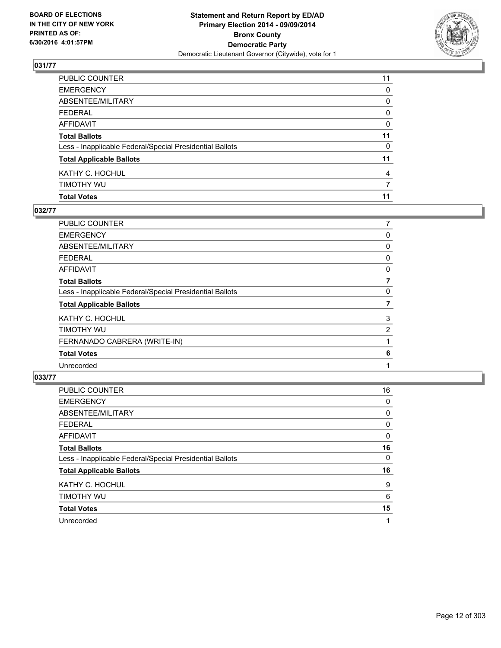

| PUBLIC COUNTER                                           | 11             |
|----------------------------------------------------------|----------------|
| <b>EMERGENCY</b>                                         | 0              |
| ABSENTEE/MILITARY                                        | 0              |
| FEDERAL                                                  | 0              |
| AFFIDAVIT                                                | 0              |
| <b>Total Ballots</b>                                     | 11             |
| Less - Inapplicable Federal/Special Presidential Ballots | 0              |
| <b>Total Applicable Ballots</b>                          | 11             |
| KATHY C. HOCHUL                                          | $\overline{4}$ |
| timothy wu                                               | 7              |
| <b>Total Votes</b>                                       | 11             |

## **032/77**

| PUBLIC COUNTER                                           | 7              |
|----------------------------------------------------------|----------------|
| <b>EMERGENCY</b>                                         | 0              |
| <b>ABSENTEE/MILITARY</b>                                 | 0              |
| <b>FEDERAL</b>                                           | 0              |
| <b>AFFIDAVIT</b>                                         | 0              |
| <b>Total Ballots</b>                                     | 7              |
| Less - Inapplicable Federal/Special Presidential Ballots | 0              |
| <b>Total Applicable Ballots</b>                          | 7              |
| KATHY C. HOCHUL                                          | 3              |
| <b>TIMOTHY WU</b>                                        | $\overline{2}$ |
| FERNANADO CABRERA (WRITE-IN)                             |                |
| <b>Total Votes</b>                                       | 6              |
| Unrecorded                                               |                |
|                                                          |                |

| PUBLIC COUNTER                                           | 16 |
|----------------------------------------------------------|----|
| <b>EMERGENCY</b>                                         | 0  |
| ABSENTEE/MILITARY                                        | 0  |
| <b>FEDERAL</b>                                           | 0  |
| AFFIDAVIT                                                | 0  |
| <b>Total Ballots</b>                                     | 16 |
| Less - Inapplicable Federal/Special Presidential Ballots | 0  |
| <b>Total Applicable Ballots</b>                          | 16 |
| KATHY C. HOCHUL                                          | 9  |
| TIMOTHY WU                                               | 6  |
| <b>Total Votes</b>                                       | 15 |
| Unrecorded                                               | 1  |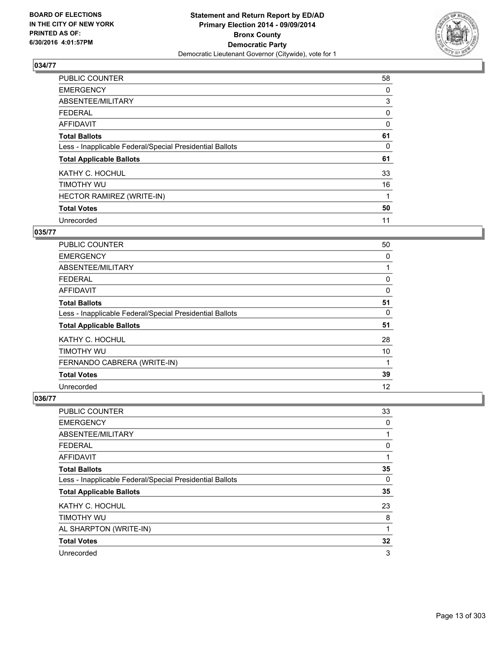

| <b>PUBLIC COUNTER</b>                                    | 58 |
|----------------------------------------------------------|----|
| <b>EMERGENCY</b>                                         | 0  |
| ABSENTEE/MILITARY                                        | 3  |
| <b>FEDERAL</b>                                           | 0  |
| AFFIDAVIT                                                | 0  |
| <b>Total Ballots</b>                                     | 61 |
| Less - Inapplicable Federal/Special Presidential Ballots | 0  |
| <b>Total Applicable Ballots</b>                          | 61 |
| KATHY C. HOCHUL                                          | 33 |
| TIMOTHY WU                                               | 16 |
| HECTOR RAMIREZ (WRITE-IN)                                | 1  |
| <b>Total Votes</b>                                       | 50 |
| Unrecorded                                               | 11 |

# **035/77**

| <b>PUBLIC COUNTER</b>                                    | 50 |
|----------------------------------------------------------|----|
| <b>EMERGENCY</b>                                         | 0  |
| ABSENTEE/MILITARY                                        |    |
| <b>FEDERAL</b>                                           | 0  |
| AFFIDAVIT                                                | 0  |
| <b>Total Ballots</b>                                     | 51 |
| Less - Inapplicable Federal/Special Presidential Ballots | 0  |
| <b>Total Applicable Ballots</b>                          | 51 |
| KATHY C. HOCHUL                                          | 28 |
| TIMOTHY WU                                               | 10 |
| FERNANDO CABRERA (WRITE-IN)                              | 1  |
| <b>Total Votes</b>                                       | 39 |
| Unrecorded                                               | 12 |

| PUBLIC COUNTER                                           | 33           |
|----------------------------------------------------------|--------------|
| <b>EMERGENCY</b>                                         | 0            |
| ABSENTEE/MILITARY                                        | 1            |
| <b>FEDERAL</b>                                           | 0            |
| <b>AFFIDAVIT</b>                                         | $\mathbf{1}$ |
| <b>Total Ballots</b>                                     | 35           |
| Less - Inapplicable Federal/Special Presidential Ballots | 0            |
| <b>Total Applicable Ballots</b>                          | 35           |
| KATHY C. HOCHUL                                          | 23           |
| TIMOTHY WU                                               | 8            |
| AL SHARPTON (WRITE-IN)                                   | $\mathbf{1}$ |
| <b>Total Votes</b>                                       | 32           |
| Unrecorded                                               | 3            |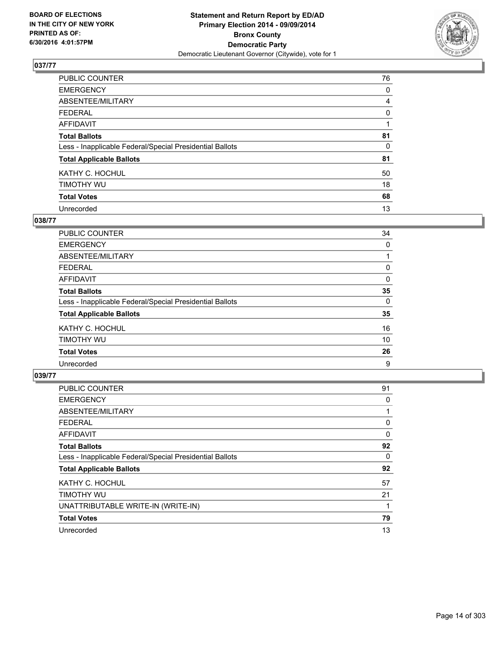

| PUBLIC COUNTER                                           | 76             |
|----------------------------------------------------------|----------------|
| <b>EMERGENCY</b>                                         | 0              |
| ABSENTEE/MILITARY                                        | $\overline{4}$ |
| <b>FEDERAL</b>                                           | 0              |
| <b>AFFIDAVIT</b>                                         |                |
| <b>Total Ballots</b>                                     | 81             |
| Less - Inapplicable Federal/Special Presidential Ballots | 0              |
| <b>Total Applicable Ballots</b>                          | 81             |
| KATHY C. HOCHUL                                          | 50             |
| TIMOTHY WU                                               | 18             |
| <b>Total Votes</b>                                       | 68             |
| Unrecorded                                               | 13             |

### **038/77**

| PUBLIC COUNTER                                           | 34 |
|----------------------------------------------------------|----|
| <b>EMERGENCY</b>                                         | 0  |
| ABSENTEE/MILITARY                                        |    |
| <b>FEDERAL</b>                                           | 0  |
| <b>AFFIDAVIT</b>                                         | 0  |
| <b>Total Ballots</b>                                     | 35 |
| Less - Inapplicable Federal/Special Presidential Ballots | 0  |
| <b>Total Applicable Ballots</b>                          | 35 |
| KATHY C. HOCHUL                                          | 16 |
| TIMOTHY WU                                               | 10 |
| <b>Total Votes</b>                                       | 26 |
| Unrecorded                                               | 9  |
|                                                          |    |

| <b>PUBLIC COUNTER</b>                                    | 91 |
|----------------------------------------------------------|----|
| <b>EMERGENCY</b>                                         | 0  |
| ABSENTEE/MILITARY                                        |    |
| <b>FEDERAL</b>                                           | 0  |
| <b>AFFIDAVIT</b>                                         | 0  |
| <b>Total Ballots</b>                                     | 92 |
| Less - Inapplicable Federal/Special Presidential Ballots | 0  |
| <b>Total Applicable Ballots</b>                          | 92 |
| KATHY C. HOCHUL                                          | 57 |
| TIMOTHY WU                                               | 21 |
| UNATTRIBUTABLE WRITE-IN (WRITE-IN)                       |    |
| <b>Total Votes</b>                                       | 79 |
| Unrecorded                                               | 13 |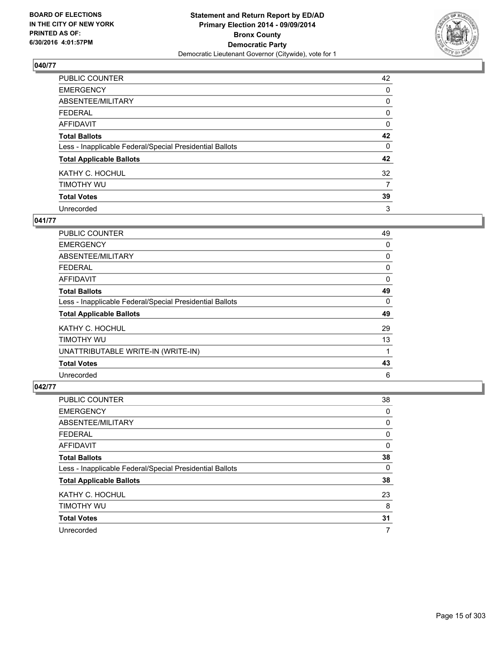

| PUBLIC COUNTER                                           | 42 |
|----------------------------------------------------------|----|
| <b>EMERGENCY</b>                                         | 0  |
| ABSENTEE/MILITARY                                        | 0  |
| <b>FEDERAL</b>                                           | 0  |
| <b>AFFIDAVIT</b>                                         | 0  |
| <b>Total Ballots</b>                                     | 42 |
| Less - Inapplicable Federal/Special Presidential Ballots | 0  |
| <b>Total Applicable Ballots</b>                          | 42 |
| KATHY C. HOCHUL                                          | 32 |
| TIMOTHY WU                                               | 7  |
| <b>Total Votes</b>                                       | 39 |
| Unrecorded                                               | 3  |

### **041/77**

| PUBLIC COUNTER                                           | 49 |
|----------------------------------------------------------|----|
| <b>EMERGENCY</b>                                         | 0  |
| ABSENTEE/MILITARY                                        | 0  |
| <b>FEDERAL</b>                                           | 0  |
| AFFIDAVIT                                                | 0  |
| <b>Total Ballots</b>                                     | 49 |
| Less - Inapplicable Federal/Special Presidential Ballots | 0  |
| <b>Total Applicable Ballots</b>                          | 49 |
| KATHY C. HOCHUL                                          | 29 |
| TIMOTHY WU                                               | 13 |
| UNATTRIBUTABLE WRITE-IN (WRITE-IN)                       | 1  |
| <b>Total Votes</b>                                       | 43 |
| Unrecorded                                               | 6  |

| <b>PUBLIC COUNTER</b>                                    | 38 |
|----------------------------------------------------------|----|
| <b>EMERGENCY</b>                                         | 0  |
| ABSENTEE/MILITARY                                        | 0  |
| <b>FEDERAL</b>                                           | 0  |
| AFFIDAVIT                                                | 0  |
| <b>Total Ballots</b>                                     | 38 |
| Less - Inapplicable Federal/Special Presidential Ballots | 0  |
| <b>Total Applicable Ballots</b>                          | 38 |
| KATHY C. HOCHUL                                          | 23 |
| TIMOTHY WU                                               | 8  |
| <b>Total Votes</b>                                       | 31 |
| Unrecorded                                               | 7  |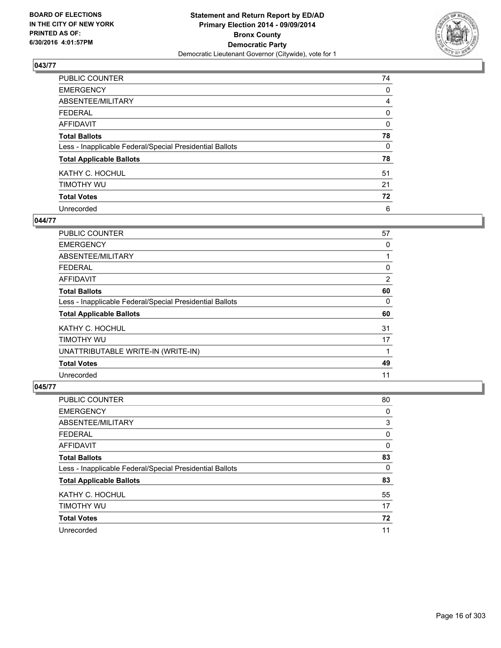

| PUBLIC COUNTER                                           | 74 |
|----------------------------------------------------------|----|
| <b>EMERGENCY</b>                                         | 0  |
| ABSENTEE/MILITARY                                        | 4  |
| <b>FEDERAL</b>                                           | 0  |
| <b>AFFIDAVIT</b>                                         | 0  |
| <b>Total Ballots</b>                                     | 78 |
| Less - Inapplicable Federal/Special Presidential Ballots | 0  |
| <b>Total Applicable Ballots</b>                          | 78 |
| KATHY C. HOCHUL                                          | 51 |
| TIMOTHY WU                                               | 21 |
| <b>Total Votes</b>                                       | 72 |
| Unrecorded                                               | 6  |

### **044/77**

| <b>PUBLIC COUNTER</b>                                    | 57 |
|----------------------------------------------------------|----|
| <b>EMERGENCY</b>                                         | 0  |
| ABSENTEE/MILITARY                                        |    |
| <b>FEDERAL</b>                                           | 0  |
| AFFIDAVIT                                                | 2  |
| <b>Total Ballots</b>                                     | 60 |
| Less - Inapplicable Federal/Special Presidential Ballots | 0  |
| <b>Total Applicable Ballots</b>                          | 60 |
| KATHY C. HOCHUL                                          | 31 |
| TIMOTHY WU                                               | 17 |
| UNATTRIBUTABLE WRITE-IN (WRITE-IN)                       | 1  |
| <b>Total Votes</b>                                       | 49 |
| Unrecorded                                               | 11 |

| <b>PUBLIC COUNTER</b>                                    | 80 |
|----------------------------------------------------------|----|
| <b>EMERGENCY</b>                                         | 0  |
| ABSENTEE/MILITARY                                        | 3  |
| <b>FEDERAL</b>                                           | 0  |
| AFFIDAVIT                                                | 0  |
| <b>Total Ballots</b>                                     | 83 |
| Less - Inapplicable Federal/Special Presidential Ballots | 0  |
| <b>Total Applicable Ballots</b>                          | 83 |
| KATHY C. HOCHUL                                          | 55 |
| TIMOTHY WU                                               | 17 |
| <b>Total Votes</b>                                       | 72 |
| Unrecorded                                               | 11 |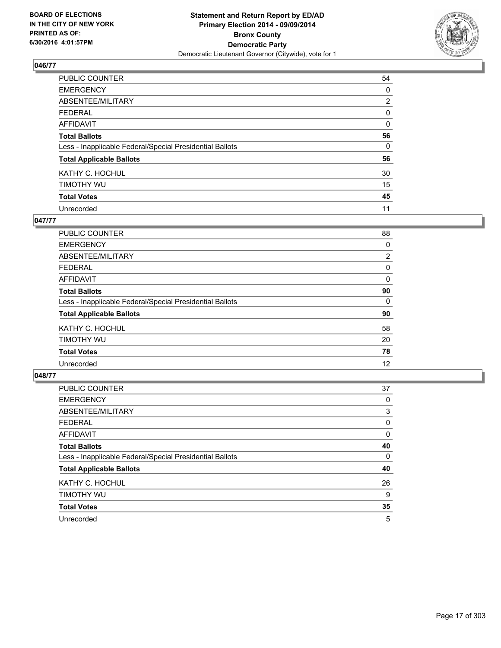

| PUBLIC COUNTER                                           | 54             |
|----------------------------------------------------------|----------------|
| <b>EMERGENCY</b>                                         | 0              |
| ABSENTEE/MILITARY                                        | $\overline{2}$ |
| <b>FEDERAL</b>                                           | 0              |
| <b>AFFIDAVIT</b>                                         | 0              |
| <b>Total Ballots</b>                                     | 56             |
| Less - Inapplicable Federal/Special Presidential Ballots | $\Omega$       |
| <b>Total Applicable Ballots</b>                          | 56             |
| KATHY C. HOCHUL                                          | 30             |
| TIMOTHY WU                                               | 15             |
| <b>Total Votes</b>                                       | 45             |
| Unrecorded                                               | 11             |

### **047/77**

| <b>PUBLIC COUNTER</b>                                    | 88             |
|----------------------------------------------------------|----------------|
| <b>EMERGENCY</b>                                         | 0              |
| ABSENTEE/MILITARY                                        | $\overline{2}$ |
| <b>FEDERAL</b>                                           | 0              |
| <b>AFFIDAVIT</b>                                         | 0              |
| <b>Total Ballots</b>                                     | 90             |
| Less - Inapplicable Federal/Special Presidential Ballots | 0              |
| <b>Total Applicable Ballots</b>                          | 90             |
| KATHY C. HOCHUL                                          | 58             |
| TIMOTHY WU                                               | 20             |
| <b>Total Votes</b>                                       | 78             |
| Unrecorded                                               | 12             |
|                                                          |                |

| PUBLIC COUNTER                                           | 37 |
|----------------------------------------------------------|----|
| <b>EMERGENCY</b>                                         | 0  |
| ABSENTEE/MILITARY                                        | 3  |
| <b>FEDERAL</b>                                           | 0  |
| <b>AFFIDAVIT</b>                                         | 0  |
| <b>Total Ballots</b>                                     | 40 |
| Less - Inapplicable Federal/Special Presidential Ballots | 0  |
| <b>Total Applicable Ballots</b>                          | 40 |
| KATHY C. HOCHUL                                          | 26 |
| TIMOTHY WU                                               | 9  |
| <b>Total Votes</b>                                       | 35 |
| Unrecorded                                               | 5  |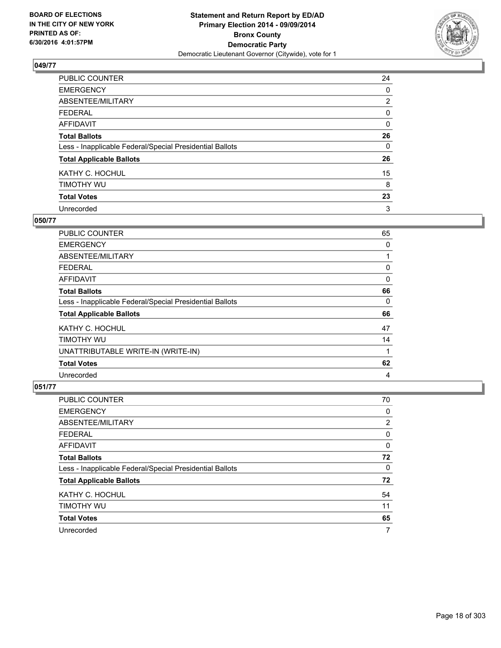

| PUBLIC COUNTER                                           | 24             |
|----------------------------------------------------------|----------------|
| <b>EMERGENCY</b>                                         | 0              |
| ABSENTEE/MILITARY                                        | $\overline{2}$ |
| <b>FEDERAL</b>                                           | 0              |
| <b>AFFIDAVIT</b>                                         | 0              |
| <b>Total Ballots</b>                                     | 26             |
| Less - Inapplicable Federal/Special Presidential Ballots | 0              |
| <b>Total Applicable Ballots</b>                          | 26             |
| KATHY C. HOCHUL                                          | 15             |
| TIMOTHY WU                                               | 8              |
| <b>Total Votes</b>                                       | 23             |
| Unrecorded                                               | 3              |

#### **050/77**

| <b>PUBLIC COUNTER</b>                                    | 65 |
|----------------------------------------------------------|----|
| <b>EMERGENCY</b>                                         | 0  |
| ABSENTEE/MILITARY                                        |    |
| <b>FEDERAL</b>                                           | 0  |
| AFFIDAVIT                                                | 0  |
| <b>Total Ballots</b>                                     | 66 |
| Less - Inapplicable Federal/Special Presidential Ballots | 0  |
| <b>Total Applicable Ballots</b>                          | 66 |
| KATHY C. HOCHUL                                          | 47 |
| TIMOTHY WU                                               | 14 |
| UNATTRIBUTABLE WRITE-IN (WRITE-IN)                       | 1  |
| <b>Total Votes</b>                                       | 62 |
| Unrecorded                                               | 4  |

| PUBLIC COUNTER                                           | 70 |
|----------------------------------------------------------|----|
| <b>EMERGENCY</b>                                         | 0  |
| ABSENTEE/MILITARY                                        | 2  |
| <b>FEDERAL</b>                                           | 0  |
| AFFIDAVIT                                                | 0  |
| <b>Total Ballots</b>                                     | 72 |
| Less - Inapplicable Federal/Special Presidential Ballots | 0  |
| <b>Total Applicable Ballots</b>                          | 72 |
| KATHY C. HOCHUL                                          | 54 |
| TIMOTHY WU                                               | 11 |
| <b>Total Votes</b>                                       | 65 |
| Unrecorded                                               | 7  |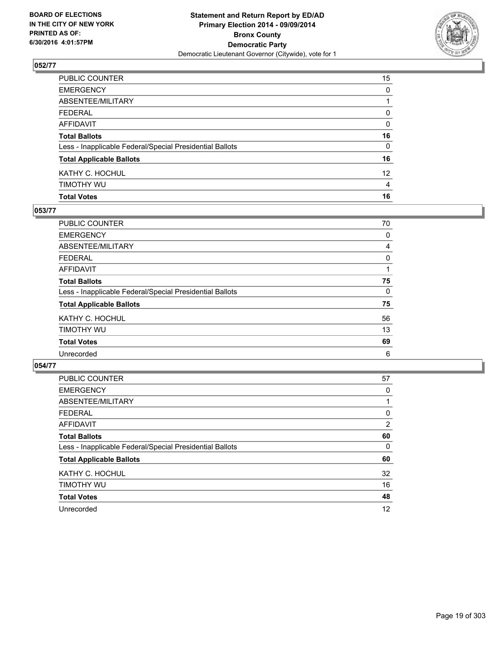

| <b>Total Votes</b>                                       | 16              |
|----------------------------------------------------------|-----------------|
| timothy wu                                               | 4               |
| KATHY C. HOCHUL                                          | 12 <sup>2</sup> |
| <b>Total Applicable Ballots</b>                          | 16              |
| Less - Inapplicable Federal/Special Presidential Ballots | 0               |
| <b>Total Ballots</b>                                     | 16              |
| AFFIDAVIT                                                | 0               |
| FEDERAL                                                  | 0               |
| ABSENTEE/MILITARY                                        |                 |
| <b>EMERGENCY</b>                                         | $\mathbf{0}$    |
| PUBLIC COUNTER                                           | 15              |

#### **053/77**

| <b>PUBLIC COUNTER</b>                                    | 70 |
|----------------------------------------------------------|----|
| <b>EMERGENCY</b>                                         | 0  |
| ABSENTEE/MILITARY                                        | 4  |
| <b>FEDERAL</b>                                           | 0  |
| <b>AFFIDAVIT</b>                                         |    |
| <b>Total Ballots</b>                                     | 75 |
| Less - Inapplicable Federal/Special Presidential Ballots | 0  |
| <b>Total Applicable Ballots</b>                          | 75 |
| KATHY C. HOCHUL                                          | 56 |
| TIMOTHY WU                                               | 13 |
| <b>Total Votes</b>                                       | 69 |
| Unrecorded                                               | 6  |
|                                                          |    |

| <b>PUBLIC COUNTER</b>                                    | 57             |
|----------------------------------------------------------|----------------|
| <b>EMERGENCY</b>                                         | 0              |
| ABSENTEE/MILITARY                                        |                |
| <b>FEDERAL</b>                                           | 0              |
| AFFIDAVIT                                                | $\overline{2}$ |
| <b>Total Ballots</b>                                     | 60             |
| Less - Inapplicable Federal/Special Presidential Ballots | 0              |
| <b>Total Applicable Ballots</b>                          | 60             |
| KATHY C. HOCHUL                                          | 32             |
| TIMOTHY WU                                               | 16             |
| <b>Total Votes</b>                                       | 48             |
| Unrecorded                                               | 12             |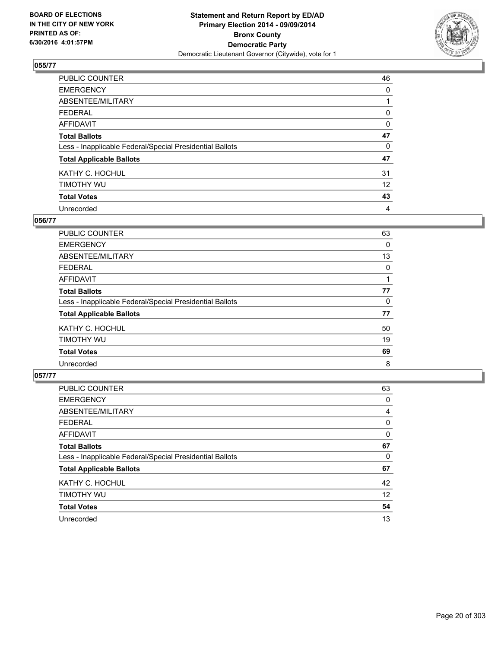

| PUBLIC COUNTER                                           | 46                |
|----------------------------------------------------------|-------------------|
| <b>EMERGENCY</b>                                         | 0                 |
| ABSENTEE/MILITARY                                        |                   |
| <b>FEDERAL</b>                                           | 0                 |
| <b>AFFIDAVIT</b>                                         | 0                 |
| <b>Total Ballots</b>                                     | 47                |
| Less - Inapplicable Federal/Special Presidential Ballots | 0                 |
| <b>Total Applicable Ballots</b>                          | 47                |
| KATHY C. HOCHUL                                          | 31                |
| TIMOTHY WU                                               | $12 \overline{ }$ |
| <b>Total Votes</b>                                       | 43                |
| Unrecorded                                               | 4                 |

#### **056/77**

| PUBLIC COUNTER                                           | 63 |
|----------------------------------------------------------|----|
| <b>EMERGENCY</b>                                         | 0  |
| ABSENTEE/MILITARY                                        | 13 |
| <b>FEDERAL</b>                                           | 0  |
| <b>AFFIDAVIT</b>                                         |    |
| <b>Total Ballots</b>                                     | 77 |
| Less - Inapplicable Federal/Special Presidential Ballots | 0  |
| <b>Total Applicable Ballots</b>                          | 77 |
| KATHY C. HOCHUL                                          | 50 |
| TIMOTHY WU                                               | 19 |
| <b>Total Votes</b>                                       | 69 |
| Unrecorded                                               | 8  |
|                                                          |    |

| <b>PUBLIC COUNTER</b>                                    | 63 |
|----------------------------------------------------------|----|
| <b>EMERGENCY</b>                                         | 0  |
| ABSENTEE/MILITARY                                        | 4  |
| <b>FEDERAL</b>                                           | 0  |
| AFFIDAVIT                                                | 0  |
| <b>Total Ballots</b>                                     | 67 |
| Less - Inapplicable Federal/Special Presidential Ballots | 0  |
| <b>Total Applicable Ballots</b>                          | 67 |
| KATHY C. HOCHUL                                          | 42 |
| TIMOTHY WU                                               | 12 |
| <b>Total Votes</b>                                       | 54 |
| Unrecorded                                               | 13 |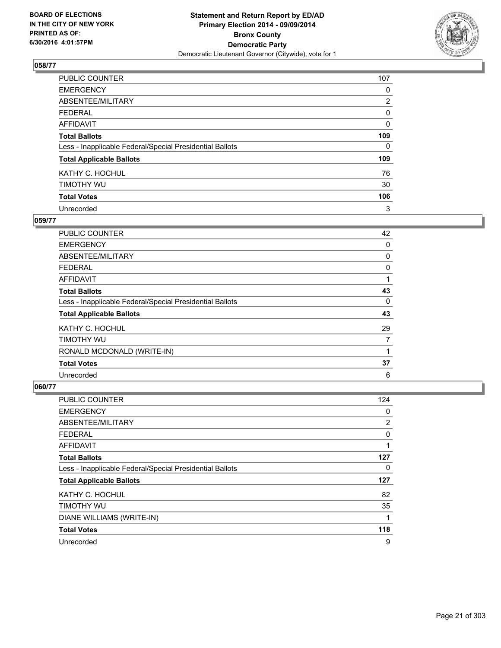

| PUBLIC COUNTER                                           | 107            |
|----------------------------------------------------------|----------------|
| <b>EMERGENCY</b>                                         | 0              |
| ABSENTEE/MILITARY                                        | $\overline{2}$ |
| <b>FEDERAL</b>                                           | 0              |
| <b>AFFIDAVIT</b>                                         | 0              |
| <b>Total Ballots</b>                                     | 109            |
| Less - Inapplicable Federal/Special Presidential Ballots | $\Omega$       |
| <b>Total Applicable Ballots</b>                          | 109            |
| KATHY C. HOCHUL                                          | 76             |
| TIMOTHY WU                                               | 30             |
| <b>Total Votes</b>                                       | 106            |
| Unrecorded                                               | 3              |

### **059/77**

| <b>PUBLIC COUNTER</b>                                    | 42 |
|----------------------------------------------------------|----|
| <b>EMERGENCY</b>                                         | 0  |
| ABSENTEE/MILITARY                                        | 0  |
| <b>FEDERAL</b>                                           | 0  |
| AFFIDAVIT                                                |    |
| <b>Total Ballots</b>                                     | 43 |
| Less - Inapplicable Federal/Special Presidential Ballots | 0  |
| <b>Total Applicable Ballots</b>                          | 43 |
| KATHY C. HOCHUL                                          | 29 |
| TIMOTHY WU                                               | 7  |
| RONALD MCDONALD (WRITE-IN)                               |    |
| <b>Total Votes</b>                                       | 37 |
| Unrecorded                                               | 6  |

| PUBLIC COUNTER                                           | 124 |
|----------------------------------------------------------|-----|
| <b>EMERGENCY</b>                                         | 0   |
| ABSENTEE/MILITARY                                        | 2   |
| <b>FEDERAL</b>                                           | 0   |
| AFFIDAVIT                                                | 1   |
| <b>Total Ballots</b>                                     | 127 |
| Less - Inapplicable Federal/Special Presidential Ballots | 0   |
| <b>Total Applicable Ballots</b>                          | 127 |
| KATHY C. HOCHUL                                          | 82  |
| TIMOTHY WU                                               | 35  |
| DIANE WILLIAMS (WRITE-IN)                                | 1   |
| <b>Total Votes</b>                                       | 118 |
| Unrecorded                                               | 9   |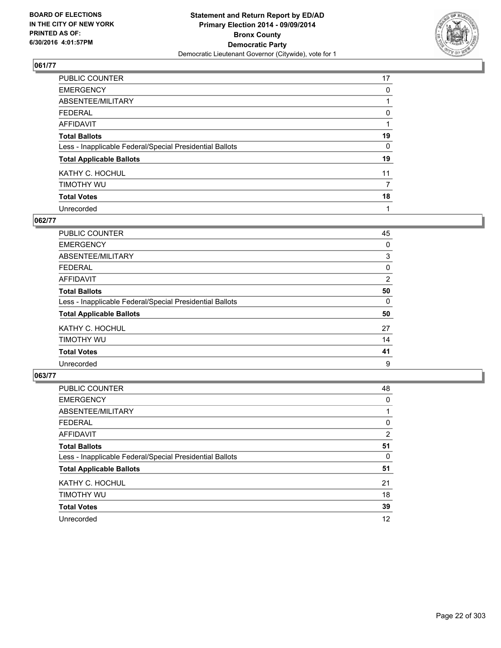

| PUBLIC COUNTER                                           | 17 |
|----------------------------------------------------------|----|
| <b>EMERGENCY</b>                                         | 0  |
| ABSENTEE/MILITARY                                        |    |
| <b>FEDERAL</b>                                           | 0  |
| <b>AFFIDAVIT</b>                                         |    |
| <b>Total Ballots</b>                                     | 19 |
| Less - Inapplicable Federal/Special Presidential Ballots | 0  |
| <b>Total Applicable Ballots</b>                          | 19 |
| KATHY C. HOCHUL                                          | 11 |
| TIMOTHY WU                                               | 7  |
| <b>Total Votes</b>                                       | 18 |
| Unrecorded                                               |    |

#### **062/77**

| PUBLIC COUNTER                                           | 45 |
|----------------------------------------------------------|----|
| <b>EMERGENCY</b>                                         | 0  |
| ABSENTEE/MILITARY                                        | 3  |
| <b>FEDERAL</b>                                           | 0  |
| <b>AFFIDAVIT</b>                                         | 2  |
| <b>Total Ballots</b>                                     | 50 |
| Less - Inapplicable Federal/Special Presidential Ballots | 0  |
| <b>Total Applicable Ballots</b>                          | 50 |
| KATHY C. HOCHUL                                          | 27 |
| TIMOTHY WU                                               | 14 |
| <b>Total Votes</b>                                       | 41 |
| Unrecorded                                               | 9  |
|                                                          |    |

| PUBLIC COUNTER                                           | 48             |
|----------------------------------------------------------|----------------|
| <b>EMERGENCY</b>                                         | 0              |
| ABSENTEE/MILITARY                                        |                |
| <b>FEDERAL</b>                                           | 0              |
| <b>AFFIDAVIT</b>                                         | $\overline{2}$ |
| <b>Total Ballots</b>                                     | 51             |
| Less - Inapplicable Federal/Special Presidential Ballots | 0              |
| <b>Total Applicable Ballots</b>                          | 51             |
| KATHY C. HOCHUL                                          | 21             |
| TIMOTHY WU                                               | 18             |
| <b>Total Votes</b>                                       | 39             |
| Unrecorded                                               | 12             |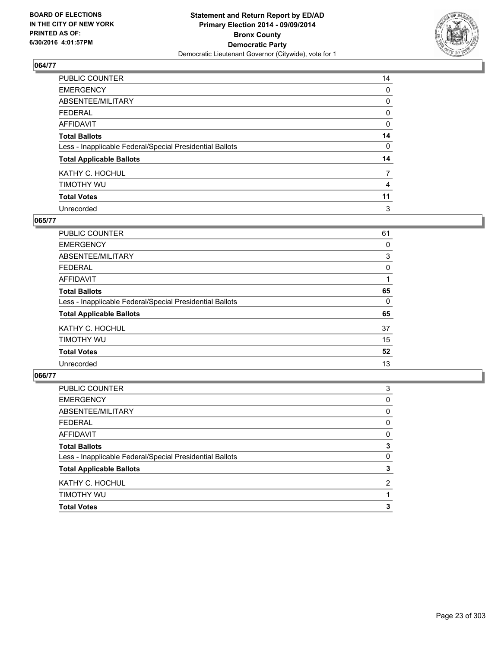

| PUBLIC COUNTER                                           | 14 |
|----------------------------------------------------------|----|
| <b>EMERGENCY</b>                                         | 0  |
| ABSENTEE/MILITARY                                        | 0  |
| <b>FEDERAL</b>                                           | 0  |
| <b>AFFIDAVIT</b>                                         | 0  |
| <b>Total Ballots</b>                                     | 14 |
| Less - Inapplicable Federal/Special Presidential Ballots | 0  |
| <b>Total Applicable Ballots</b>                          | 14 |
| KATHY C. HOCHUL                                          | 7  |
| TIMOTHY WU                                               | 4  |
| <b>Total Votes</b>                                       | 11 |
| Unrecorded                                               | 3  |

### **065/77**

| PUBLIC COUNTER                                           | 61 |
|----------------------------------------------------------|----|
| <b>EMERGENCY</b>                                         | 0  |
| ABSENTEE/MILITARY                                        | 3  |
| <b>FEDERAL</b>                                           | 0  |
| <b>AFFIDAVIT</b>                                         |    |
| <b>Total Ballots</b>                                     | 65 |
| Less - Inapplicable Federal/Special Presidential Ballots | 0  |
| <b>Total Applicable Ballots</b>                          | 65 |
| KATHY C. HOCHUL                                          | 37 |
| TIMOTHY WU                                               | 15 |
| <b>Total Votes</b>                                       | 52 |
| Unrecorded                                               | 13 |
|                                                          |    |

| <b>Total Votes</b>                                       | 3              |
|----------------------------------------------------------|----------------|
| TIMOTHY WU                                               |                |
| KATHY C. HOCHUL                                          | $\overline{2}$ |
| <b>Total Applicable Ballots</b>                          | 3              |
| Less - Inapplicable Federal/Special Presidential Ballots | 0              |
| <b>Total Ballots</b>                                     | 3              |
| <b>AFFIDAVIT</b>                                         | 0              |
| <b>FEDERAL</b>                                           | 0              |
| ABSENTEE/MILITARY                                        | 0              |
| <b>EMERGENCY</b>                                         | 0              |
| PUBLIC COUNTER                                           | 3              |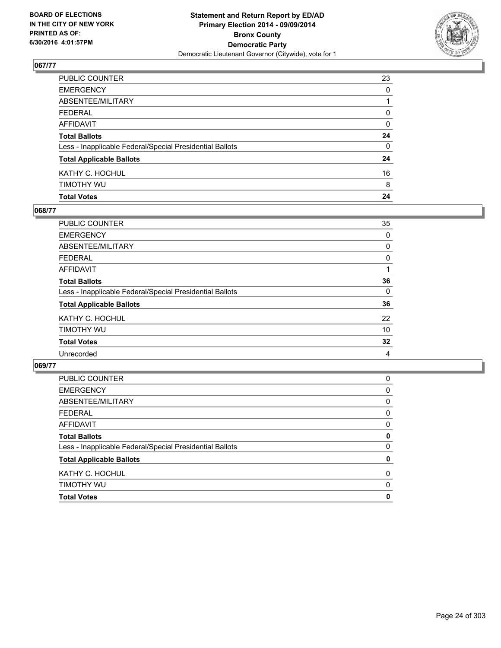

| <b>Total Votes</b>                                       | 24 |
|----------------------------------------------------------|----|
| timothy wu                                               | 8  |
| KATHY C. HOCHUL                                          | 16 |
| <b>Total Applicable Ballots</b>                          | 24 |
| Less - Inapplicable Federal/Special Presidential Ballots | 0  |
| <b>Total Ballots</b>                                     | 24 |
| AFFIDAVIT                                                | 0  |
| FEDERAL                                                  | 0  |
| ABSENTEE/MILITARY                                        |    |
| <b>EMERGENCY</b>                                         | 0  |
| PUBLIC COUNTER                                           | 23 |

## **068/77**

| <b>PUBLIC COUNTER</b>                                    | 35 |
|----------------------------------------------------------|----|
| <b>EMERGENCY</b>                                         | 0  |
| ABSENTEE/MILITARY                                        | 0  |
| <b>FEDERAL</b>                                           | 0  |
| <b>AFFIDAVIT</b>                                         |    |
| <b>Total Ballots</b>                                     | 36 |
| Less - Inapplicable Federal/Special Presidential Ballots | 0  |
| <b>Total Applicable Ballots</b>                          | 36 |
| KATHY C. HOCHUL                                          | 22 |
| TIMOTHY WU                                               | 10 |
| <b>Total Votes</b>                                       | 32 |
| Unrecorded                                               | 4  |
|                                                          |    |

| KATHY C. HOCHUL<br>TIMOTHY WU                            | 0<br>0 |
|----------------------------------------------------------|--------|
| <b>Total Applicable Ballots</b>                          | 0      |
| Less - Inapplicable Federal/Special Presidential Ballots | 0      |
| <b>Total Ballots</b>                                     | 0      |
| <b>AFFIDAVIT</b>                                         | 0      |
| <b>FEDERAL</b>                                           | 0      |
| ABSENTEE/MILITARY                                        | 0      |
| <b>EMERGENCY</b>                                         | 0      |
| PUBLIC COUNTER                                           | 0      |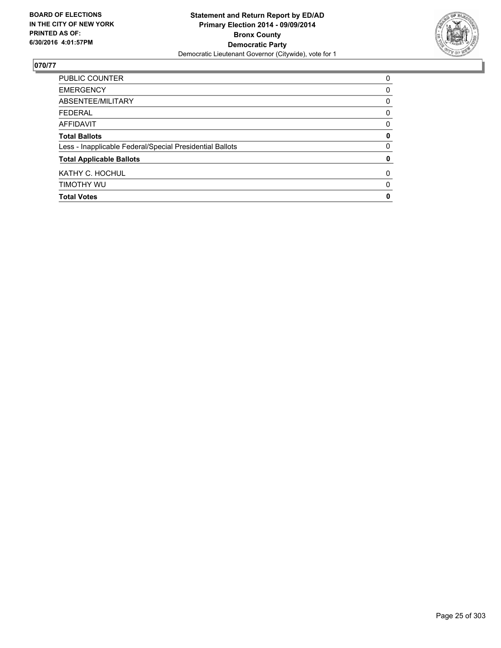

| PUBLIC COUNTER                                           | 0 |
|----------------------------------------------------------|---|
| <b>EMERGENCY</b>                                         | 0 |
| ABSENTEE/MILITARY                                        | 0 |
| <b>FEDERAL</b>                                           | 0 |
| <b>AFFIDAVIT</b>                                         | 0 |
| <b>Total Ballots</b>                                     | 0 |
| Less - Inapplicable Federal/Special Presidential Ballots | 0 |
| <b>Total Applicable Ballots</b>                          | 0 |
| KATHY C. HOCHUL                                          | 0 |
| TIMOTHY WU                                               | 0 |
| <b>Total Votes</b>                                       | 0 |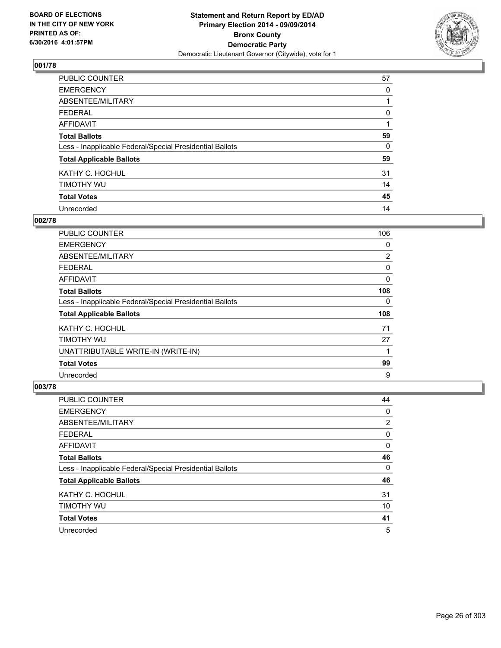

| PUBLIC COUNTER                                           | 57 |
|----------------------------------------------------------|----|
| <b>EMERGENCY</b>                                         | 0  |
| ABSENTEE/MILITARY                                        |    |
| <b>FEDERAL</b>                                           | 0  |
| <b>AFFIDAVIT</b>                                         |    |
| <b>Total Ballots</b>                                     | 59 |
| Less - Inapplicable Federal/Special Presidential Ballots | 0  |
| <b>Total Applicable Ballots</b>                          | 59 |
| KATHY C. HOCHUL                                          | 31 |
| TIMOTHY WU                                               | 14 |
| <b>Total Votes</b>                                       | 45 |
| Unrecorded                                               | 14 |

# **002/78**

| <b>PUBLIC COUNTER</b>                                    | 106            |
|----------------------------------------------------------|----------------|
| <b>EMERGENCY</b>                                         | 0              |
| ABSENTEE/MILITARY                                        | $\overline{2}$ |
| <b>FEDERAL</b>                                           | 0              |
| <b>AFFIDAVIT</b>                                         | 0              |
| <b>Total Ballots</b>                                     | 108            |
| Less - Inapplicable Federal/Special Presidential Ballots | 0              |
| <b>Total Applicable Ballots</b>                          | 108            |
| KATHY C. HOCHUL                                          | 71             |
| TIMOTHY WU                                               | 27             |
| UNATTRIBUTABLE WRITE-IN (WRITE-IN)                       | 1              |
| <b>Total Votes</b>                                       | 99             |
| Unrecorded                                               | 9              |

| PUBLIC COUNTER                                           | 44 |
|----------------------------------------------------------|----|
| <b>EMERGENCY</b>                                         | 0  |
| ABSENTEE/MILITARY                                        | 2  |
| <b>FEDERAL</b>                                           | 0  |
| AFFIDAVIT                                                | 0  |
| <b>Total Ballots</b>                                     | 46 |
| Less - Inapplicable Federal/Special Presidential Ballots | 0  |
| <b>Total Applicable Ballots</b>                          | 46 |
| KATHY C. HOCHUL                                          | 31 |
| TIMOTHY WU                                               | 10 |
| <b>Total Votes</b>                                       | 41 |
| Unrecorded                                               | 5  |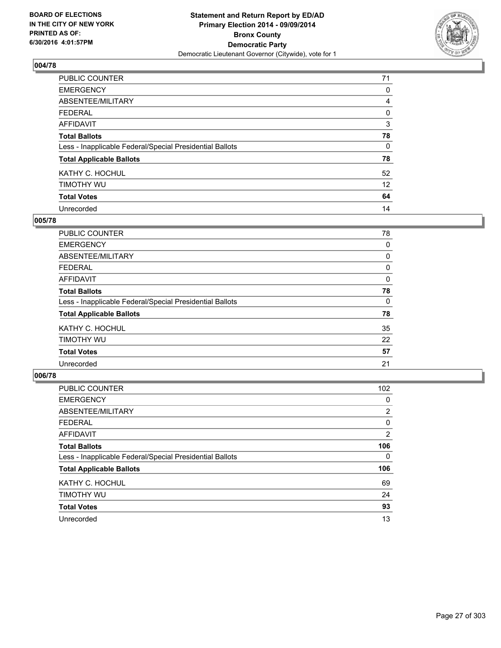

| PUBLIC COUNTER                                           | 71 |
|----------------------------------------------------------|----|
| <b>EMERGENCY</b>                                         | 0  |
| ABSENTEE/MILITARY                                        | 4  |
| <b>FEDERAL</b>                                           | 0  |
| <b>AFFIDAVIT</b>                                         | 3  |
| <b>Total Ballots</b>                                     | 78 |
| Less - Inapplicable Federal/Special Presidential Ballots | 0  |
| <b>Total Applicable Ballots</b>                          | 78 |
| KATHY C. HOCHUL                                          | 52 |
| TIMOTHY WU                                               | 12 |
| <b>Total Votes</b>                                       | 64 |
| Unrecorded                                               | 14 |

#### **005/78**

| <b>PUBLIC COUNTER</b>                                    | 78 |
|----------------------------------------------------------|----|
| <b>EMERGENCY</b>                                         | 0  |
| ABSENTEE/MILITARY                                        | 0  |
| FEDERAL                                                  | 0  |
| <b>AFFIDAVIT</b>                                         | 0  |
| <b>Total Ballots</b>                                     | 78 |
| Less - Inapplicable Federal/Special Presidential Ballots | 0  |
| <b>Total Applicable Ballots</b>                          | 78 |
| KATHY C. HOCHUL                                          | 35 |
| TIMOTHY WU                                               | 22 |
| <b>Total Votes</b>                                       | 57 |
| Unrecorded                                               | 21 |

| PUBLIC COUNTER                                           | 102            |
|----------------------------------------------------------|----------------|
| <b>EMERGENCY</b>                                         | 0              |
| ABSENTEE/MILITARY                                        | 2              |
| <b>FEDERAL</b>                                           | 0              |
| <b>AFFIDAVIT</b>                                         | $\overline{2}$ |
| <b>Total Ballots</b>                                     | 106            |
| Less - Inapplicable Federal/Special Presidential Ballots | 0              |
| <b>Total Applicable Ballots</b>                          | 106            |
| KATHY C. HOCHUL                                          | 69             |
| TIMOTHY WU                                               | 24             |
| <b>Total Votes</b>                                       | 93             |
| Unrecorded                                               | 13             |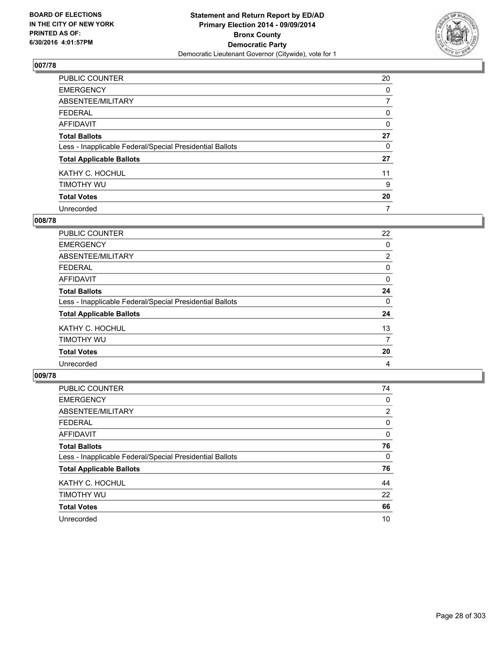

| PUBLIC COUNTER                                           | 20 |
|----------------------------------------------------------|----|
| <b>EMERGENCY</b>                                         | 0  |
| ABSENTEE/MILITARY                                        | 7  |
| <b>FEDERAL</b>                                           | 0  |
| <b>AFFIDAVIT</b>                                         | 0  |
| <b>Total Ballots</b>                                     | 27 |
| Less - Inapplicable Federal/Special Presidential Ballots | 0  |
| <b>Total Applicable Ballots</b>                          | 27 |
| KATHY C. HOCHUL                                          | 11 |
| TIMOTHY WU                                               | 9  |
| <b>Total Votes</b>                                       | 20 |
| Unrecorded                                               | 7  |

#### **008/78**

| <b>PUBLIC COUNTER</b>                                    | 22             |
|----------------------------------------------------------|----------------|
| <b>EMERGENCY</b>                                         | 0              |
| ABSENTEE/MILITARY                                        | $\overline{2}$ |
| <b>FEDERAL</b>                                           | 0              |
| <b>AFFIDAVIT</b>                                         | 0              |
| <b>Total Ballots</b>                                     | 24             |
| Less - Inapplicable Federal/Special Presidential Ballots | 0              |
| <b>Total Applicable Ballots</b>                          | 24             |
| KATHY C. HOCHUL                                          | 13             |
| TIMOTHY WU                                               | 7              |
| <b>Total Votes</b>                                       | 20             |
| Unrecorded                                               | 4              |

| PUBLIC COUNTER                                           | 74             |
|----------------------------------------------------------|----------------|
| <b>EMERGENCY</b>                                         | 0              |
| ABSENTEE/MILITARY                                        | $\overline{2}$ |
| <b>FEDERAL</b>                                           | 0              |
| <b>AFFIDAVIT</b>                                         | 0              |
| <b>Total Ballots</b>                                     | 76             |
| Less - Inapplicable Federal/Special Presidential Ballots | 0              |
| <b>Total Applicable Ballots</b>                          | 76             |
| KATHY C. HOCHUL                                          | 44             |
| TIMOTHY WU                                               | 22             |
| <b>Total Votes</b>                                       | 66             |
| Unrecorded                                               | 10             |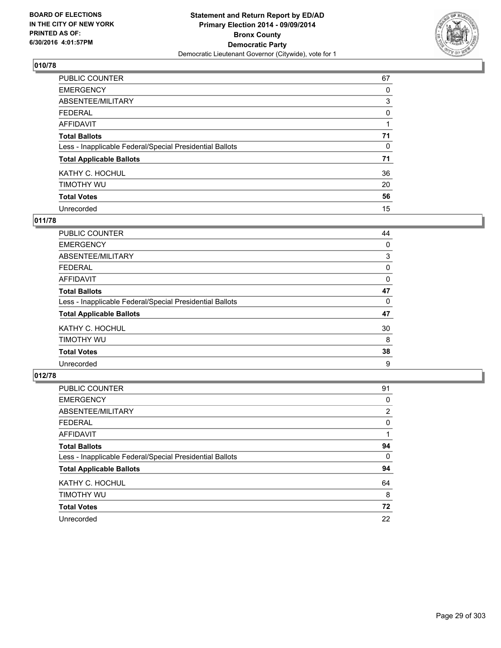

| PUBLIC COUNTER                                           | 67 |
|----------------------------------------------------------|----|
| <b>EMERGENCY</b>                                         | 0  |
| ABSENTEE/MILITARY                                        | 3  |
| <b>FEDERAL</b>                                           | 0  |
| <b>AFFIDAVIT</b>                                         |    |
| <b>Total Ballots</b>                                     | 71 |
| Less - Inapplicable Federal/Special Presidential Ballots | 0  |
| <b>Total Applicable Ballots</b>                          | 71 |
| KATHY C. HOCHUL                                          | 36 |
| TIMOTHY WU                                               | 20 |
| <b>Total Votes</b>                                       | 56 |
| Unrecorded                                               | 15 |

### **011/78**

| PUBLIC COUNTER                                           | 44 |
|----------------------------------------------------------|----|
| <b>EMERGENCY</b>                                         | 0  |
| ABSENTEE/MILITARY                                        | 3  |
| <b>FEDERAL</b>                                           | 0  |
| <b>AFFIDAVIT</b>                                         | 0  |
| <b>Total Ballots</b>                                     | 47 |
| Less - Inapplicable Federal/Special Presidential Ballots | 0  |
| <b>Total Applicable Ballots</b>                          | 47 |
| KATHY C. HOCHUL                                          | 30 |
| TIMOTHY WU                                               | 8  |
| <b>Total Votes</b>                                       | 38 |
| Unrecorded                                               | 9  |
|                                                          |    |

| PUBLIC COUNTER                                           | 91             |
|----------------------------------------------------------|----------------|
| <b>EMERGENCY</b>                                         | 0              |
| ABSENTEE/MILITARY                                        | $\overline{2}$ |
| <b>FEDERAL</b>                                           | 0              |
| <b>AFFIDAVIT</b>                                         |                |
| <b>Total Ballots</b>                                     | 94             |
| Less - Inapplicable Federal/Special Presidential Ballots | 0              |
| <b>Total Applicable Ballots</b>                          | 94             |
| KATHY C. HOCHUL                                          | 64             |
| TIMOTHY WU                                               | 8              |
| <b>Total Votes</b>                                       | 72             |
| Unrecorded                                               | 22             |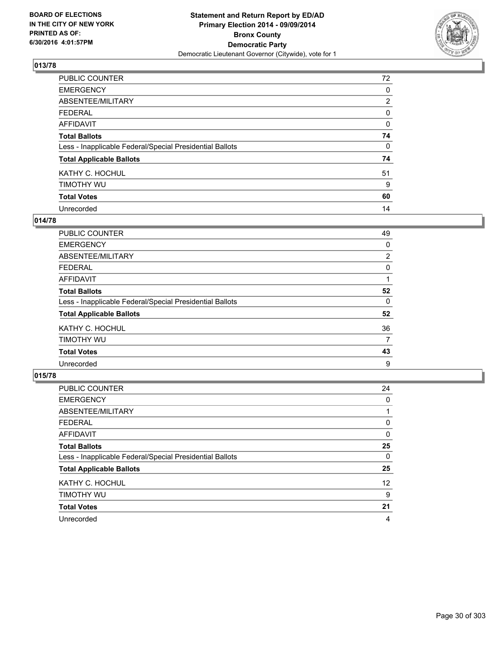

| PUBLIC COUNTER                                           | 72             |
|----------------------------------------------------------|----------------|
| <b>EMERGENCY</b>                                         | 0              |
| ABSENTEE/MILITARY                                        | $\overline{2}$ |
| <b>FEDERAL</b>                                           | 0              |
| <b>AFFIDAVIT</b>                                         | 0              |
| <b>Total Ballots</b>                                     | 74             |
| Less - Inapplicable Federal/Special Presidential Ballots | 0              |
| <b>Total Applicable Ballots</b>                          | 74             |
| KATHY C. HOCHUL                                          | 51             |
| TIMOTHY WU                                               | 9              |
| <b>Total Votes</b>                                       | 60             |
| Unrecorded                                               | 14             |

#### **014/78**

| PUBLIC COUNTER                                           | 49             |
|----------------------------------------------------------|----------------|
| <b>EMERGENCY</b>                                         | 0              |
| ABSENTEE/MILITARY                                        | $\overline{2}$ |
| <b>FEDERAL</b>                                           | 0              |
| <b>AFFIDAVIT</b>                                         |                |
| <b>Total Ballots</b>                                     | 52             |
| Less - Inapplicable Federal/Special Presidential Ballots | 0              |
| <b>Total Applicable Ballots</b>                          | 52             |
| KATHY C. HOCHUL                                          | 36             |
| TIMOTHY WU                                               | 7              |
| <b>Total Votes</b>                                       | 43             |
| Unrecorded                                               | 9              |

| PUBLIC COUNTER                                           | 24                |
|----------------------------------------------------------|-------------------|
| <b>EMERGENCY</b>                                         | 0                 |
| ABSENTEE/MILITARY                                        |                   |
| <b>FEDERAL</b>                                           | 0                 |
| <b>AFFIDAVIT</b>                                         | 0                 |
| <b>Total Ballots</b>                                     | 25                |
| Less - Inapplicable Federal/Special Presidential Ballots | 0                 |
| <b>Total Applicable Ballots</b>                          | 25                |
| KATHY C. HOCHUL                                          | $12 \overline{ }$ |
| TIMOTHY WU                                               | 9                 |
| <b>Total Votes</b>                                       | 21                |
| Unrecorded                                               | 4                 |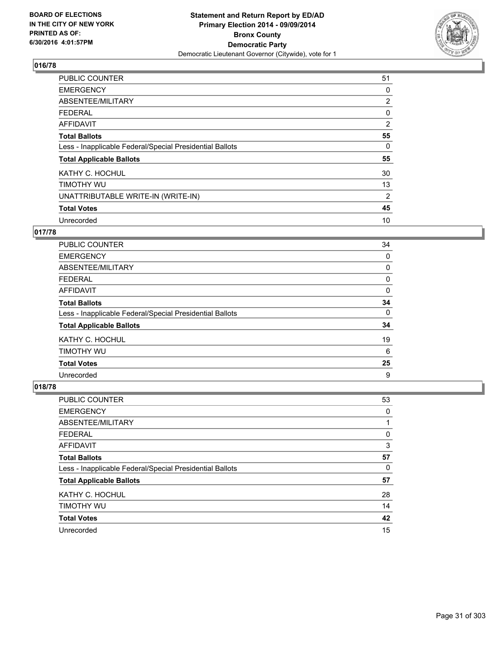

| <b>PUBLIC COUNTER</b>                                    | 51             |
|----------------------------------------------------------|----------------|
| <b>EMERGENCY</b>                                         | 0              |
| ABSENTEE/MILITARY                                        | $\overline{2}$ |
| <b>FEDERAL</b>                                           | 0              |
| AFFIDAVIT                                                | $\overline{2}$ |
| <b>Total Ballots</b>                                     | 55             |
| Less - Inapplicable Federal/Special Presidential Ballots | 0              |
| <b>Total Applicable Ballots</b>                          | 55             |
| KATHY C. HOCHUL                                          | 30             |
| TIMOTHY WU                                               | 13             |
| UNATTRIBUTABLE WRITE-IN (WRITE-IN)                       | 2              |
| <b>Total Votes</b>                                       | 45             |
| Unrecorded                                               | 10             |

## **017/78**

| PUBLIC COUNTER                                           | 34 |
|----------------------------------------------------------|----|
| <b>EMERGENCY</b>                                         | 0  |
| ABSENTEE/MILITARY                                        | 0  |
| FEDERAL                                                  | 0  |
| <b>AFFIDAVIT</b>                                         | 0  |
| <b>Total Ballots</b>                                     | 34 |
| Less - Inapplicable Federal/Special Presidential Ballots | 0  |
| <b>Total Applicable Ballots</b>                          | 34 |
| KATHY C. HOCHUL                                          | 19 |
| TIMOTHY WU                                               | 6  |
| <b>Total Votes</b>                                       | 25 |
| Unrecorded                                               | 9  |

| <b>PUBLIC COUNTER</b>                                    | 53 |
|----------------------------------------------------------|----|
| <b>EMERGENCY</b>                                         | 0  |
| ABSENTEE/MILITARY                                        |    |
| <b>FEDERAL</b>                                           | 0  |
| AFFIDAVIT                                                | 3  |
| <b>Total Ballots</b>                                     | 57 |
| Less - Inapplicable Federal/Special Presidential Ballots | 0  |
| <b>Total Applicable Ballots</b>                          | 57 |
| KATHY C. HOCHUL                                          | 28 |
| TIMOTHY WU                                               | 14 |
| <b>Total Votes</b>                                       | 42 |
| Unrecorded                                               | 15 |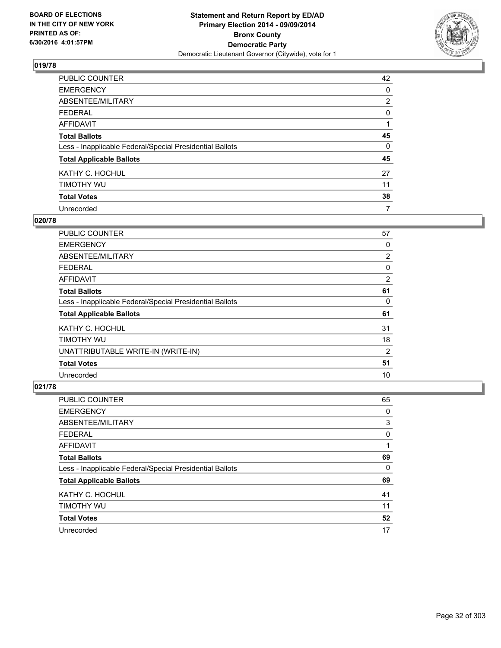

| PUBLIC COUNTER                                           | 42             |
|----------------------------------------------------------|----------------|
| <b>EMERGENCY</b>                                         | 0              |
| ABSENTEE/MILITARY                                        | $\overline{2}$ |
| <b>FEDERAL</b>                                           | 0              |
| <b>AFFIDAVIT</b>                                         |                |
| <b>Total Ballots</b>                                     | 45             |
| Less - Inapplicable Federal/Special Presidential Ballots | 0              |
| <b>Total Applicable Ballots</b>                          | 45             |
| KATHY C. HOCHUL                                          | 27             |
| TIMOTHY WU                                               | 11             |
| <b>Total Votes</b>                                       | 38             |
| Unrecorded                                               | 7              |

#### **020/78**

| <b>PUBLIC COUNTER</b>                                    | 57             |
|----------------------------------------------------------|----------------|
| <b>EMERGENCY</b>                                         | 0              |
| ABSENTEE/MILITARY                                        | $\overline{2}$ |
| <b>FEDERAL</b>                                           | 0              |
| AFFIDAVIT                                                | 2              |
| <b>Total Ballots</b>                                     | 61             |
| Less - Inapplicable Federal/Special Presidential Ballots | 0              |
| <b>Total Applicable Ballots</b>                          | 61             |
| KATHY C. HOCHUL                                          | 31             |
| TIMOTHY WU                                               | 18             |
| UNATTRIBUTABLE WRITE-IN (WRITE-IN)                       | 2              |
| <b>Total Votes</b>                                       | 51             |
| Unrecorded                                               | 10             |

| <b>PUBLIC COUNTER</b>                                    | 65 |
|----------------------------------------------------------|----|
| <b>EMERGENCY</b>                                         | 0  |
| ABSENTEE/MILITARY                                        | 3  |
| <b>FEDERAL</b>                                           | 0  |
| AFFIDAVIT                                                |    |
| <b>Total Ballots</b>                                     | 69 |
| Less - Inapplicable Federal/Special Presidential Ballots | 0  |
| <b>Total Applicable Ballots</b>                          | 69 |
| KATHY C. HOCHUL                                          | 41 |
| TIMOTHY WU                                               | 11 |
| <b>Total Votes</b>                                       | 52 |
| Unrecorded                                               | 17 |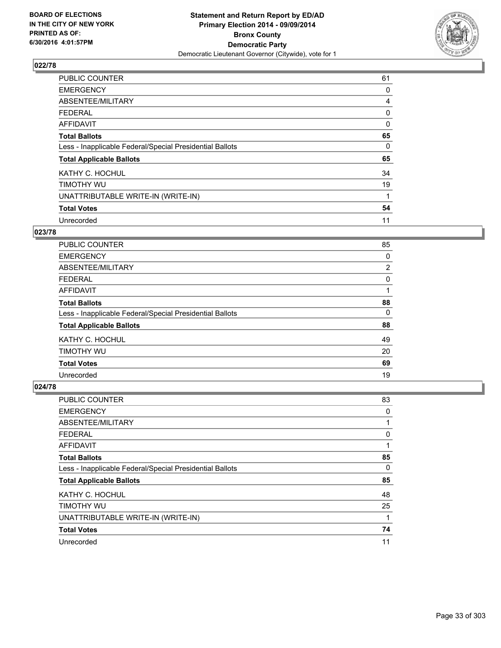

| <b>PUBLIC COUNTER</b>                                    | 61 |
|----------------------------------------------------------|----|
| <b>EMERGENCY</b>                                         | 0  |
| ABSENTEE/MILITARY                                        | 4  |
| <b>FEDERAL</b>                                           | 0  |
| AFFIDAVIT                                                | 0  |
| <b>Total Ballots</b>                                     | 65 |
| Less - Inapplicable Federal/Special Presidential Ballots | 0  |
| <b>Total Applicable Ballots</b>                          | 65 |
| KATHY C. HOCHUL                                          | 34 |
| TIMOTHY WU                                               | 19 |
| UNATTRIBUTABLE WRITE-IN (WRITE-IN)                       | 1  |
| <b>Total Votes</b>                                       | 54 |
| Unrecorded                                               | 11 |

# **023/78**

| <b>PUBLIC COUNTER</b>                                    | 85             |
|----------------------------------------------------------|----------------|
| <b>EMERGENCY</b>                                         | 0              |
| ABSENTEE/MILITARY                                        | $\overline{2}$ |
| <b>FEDERAL</b>                                           | 0              |
| <b>AFFIDAVIT</b>                                         |                |
| <b>Total Ballots</b>                                     | 88             |
| Less - Inapplicable Federal/Special Presidential Ballots | 0              |
| <b>Total Applicable Ballots</b>                          | 88             |
| KATHY C. HOCHUL                                          | 49             |
| TIMOTHY WU                                               | 20             |
| <b>Total Votes</b>                                       | 69             |
| Unrecorded                                               | 19             |

| <b>PUBLIC COUNTER</b>                                    | 83 |
|----------------------------------------------------------|----|
| <b>EMERGENCY</b>                                         | 0  |
| ABSENTEE/MILITARY                                        | 1  |
| <b>FEDERAL</b>                                           | 0  |
| <b>AFFIDAVIT</b>                                         |    |
| <b>Total Ballots</b>                                     | 85 |
| Less - Inapplicable Federal/Special Presidential Ballots | 0  |
| <b>Total Applicable Ballots</b>                          | 85 |
| KATHY C. HOCHUL                                          | 48 |
| TIMOTHY WU                                               | 25 |
| UNATTRIBUTABLE WRITE-IN (WRITE-IN)                       |    |
| <b>Total Votes</b>                                       | 74 |
| Unrecorded                                               | 11 |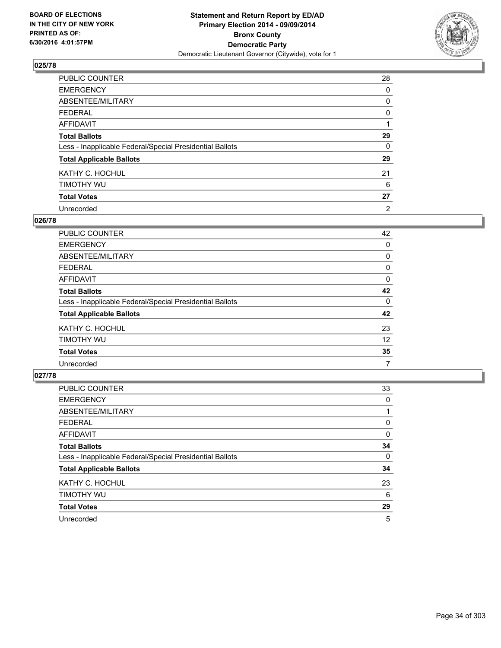

| PUBLIC COUNTER                                           | 28       |
|----------------------------------------------------------|----------|
| <b>EMERGENCY</b>                                         | 0        |
| ABSENTEE/MILITARY                                        | 0        |
| <b>FEDERAL</b>                                           | 0        |
| <b>AFFIDAVIT</b>                                         |          |
| <b>Total Ballots</b>                                     | 29       |
| Less - Inapplicable Federal/Special Presidential Ballots | $\Omega$ |
| <b>Total Applicable Ballots</b>                          | 29       |
| KATHY C. HOCHUL                                          | 21       |
| TIMOTHY WU                                               | 6        |
| <b>Total Votes</b>                                       | 27       |
| Unrecorded                                               | 2        |

#### **026/78**

| PUBLIC COUNTER                                           | 42 |
|----------------------------------------------------------|----|
| <b>EMERGENCY</b>                                         | 0  |
| ABSENTEE/MILITARY                                        | 0  |
| <b>FEDERAL</b>                                           | 0  |
| <b>AFFIDAVIT</b>                                         | 0  |
| <b>Total Ballots</b>                                     | 42 |
| Less - Inapplicable Federal/Special Presidential Ballots | 0  |
| <b>Total Applicable Ballots</b>                          | 42 |
| KATHY C. HOCHUL                                          | 23 |
| TIMOTHY WU                                               | 12 |
| <b>Total Votes</b>                                       | 35 |
| Unrecorded                                               | 7  |
|                                                          |    |

| PUBLIC COUNTER                                           | 33 |
|----------------------------------------------------------|----|
| <b>EMERGENCY</b>                                         | 0  |
| ABSENTEE/MILITARY                                        |    |
| <b>FEDERAL</b>                                           | 0  |
| <b>AFFIDAVIT</b>                                         | 0  |
| <b>Total Ballots</b>                                     | 34 |
| Less - Inapplicable Federal/Special Presidential Ballots | 0  |
| <b>Total Applicable Ballots</b>                          | 34 |
| KATHY C. HOCHUL                                          | 23 |
| TIMOTHY WU                                               | 6  |
| <b>Total Votes</b>                                       | 29 |
| Unrecorded                                               | 5  |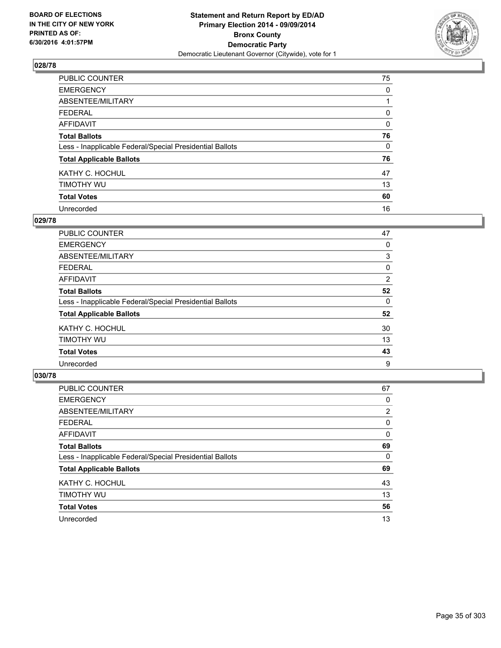

| PUBLIC COUNTER                                           | 75 |
|----------------------------------------------------------|----|
| <b>EMERGENCY</b>                                         | 0  |
| ABSENTEE/MILITARY                                        |    |
| <b>FEDERAL</b>                                           | 0  |
| <b>AFFIDAVIT</b>                                         | 0  |
| <b>Total Ballots</b>                                     | 76 |
| Less - Inapplicable Federal/Special Presidential Ballots | 0  |
| <b>Total Applicable Ballots</b>                          | 76 |
| KATHY C. HOCHUL                                          | 47 |
| TIMOTHY WU                                               | 13 |
| <b>Total Votes</b>                                       | 60 |
| Unrecorded                                               | 16 |

#### **029/78**

| PUBLIC COUNTER                                           | 47 |
|----------------------------------------------------------|----|
| <b>EMERGENCY</b>                                         | 0  |
| ABSENTEE/MILITARY                                        | 3  |
| <b>FEDERAL</b>                                           | 0  |
| <b>AFFIDAVIT</b>                                         | 2  |
| <b>Total Ballots</b>                                     | 52 |
| Less - Inapplicable Federal/Special Presidential Ballots | 0  |
| <b>Total Applicable Ballots</b>                          | 52 |
| KATHY C. HOCHUL                                          | 30 |
| TIMOTHY WU                                               | 13 |
| <b>Total Votes</b>                                       | 43 |
| Unrecorded                                               | 9  |
|                                                          |    |

| PUBLIC COUNTER                                           | 67             |
|----------------------------------------------------------|----------------|
| <b>EMERGENCY</b>                                         | 0              |
| ABSENTEE/MILITARY                                        | $\overline{2}$ |
| <b>FEDERAL</b>                                           | 0              |
| <b>AFFIDAVIT</b>                                         | 0              |
| <b>Total Ballots</b>                                     | 69             |
| Less - Inapplicable Federal/Special Presidential Ballots | 0              |
| <b>Total Applicable Ballots</b>                          | 69             |
| KATHY C. HOCHUL                                          | 43             |
| TIMOTHY WU                                               | 13             |
| <b>Total Votes</b>                                       | 56             |
| Unrecorded                                               | 13             |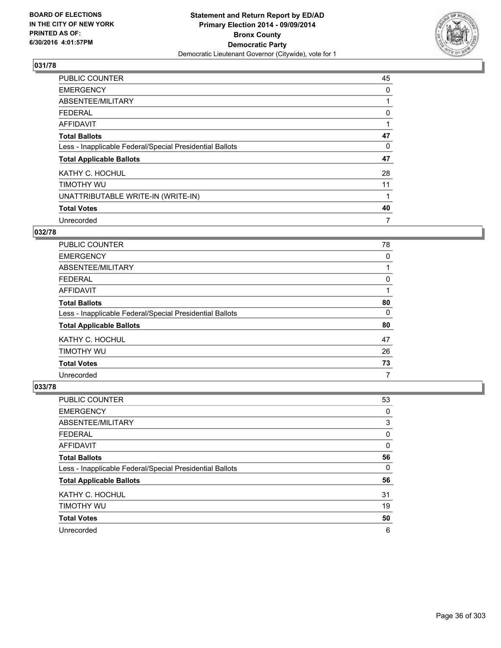

| PUBLIC COUNTER                                           | 45 |
|----------------------------------------------------------|----|
| <b>EMERGENCY</b>                                         | 0  |
| ABSENTEE/MILITARY                                        |    |
| <b>FEDERAL</b>                                           | 0  |
| <b>AFFIDAVIT</b>                                         |    |
| <b>Total Ballots</b>                                     | 47 |
| Less - Inapplicable Federal/Special Presidential Ballots | 0  |
| <b>Total Applicable Ballots</b>                          | 47 |
| KATHY C. HOCHUL                                          | 28 |
| TIMOTHY WU                                               | 11 |
| UNATTRIBUTABLE WRITE-IN (WRITE-IN)                       |    |
| <b>Total Votes</b>                                       | 40 |
| Unrecorded                                               | 7  |

## **032/78**

| <b>PUBLIC COUNTER</b>                                    | 78 |
|----------------------------------------------------------|----|
| <b>EMERGENCY</b>                                         | 0  |
| ABSENTEE/MILITARY                                        |    |
| <b>FEDERAL</b>                                           | 0  |
| <b>AFFIDAVIT</b>                                         |    |
| <b>Total Ballots</b>                                     | 80 |
| Less - Inapplicable Federal/Special Presidential Ballots | 0  |
| <b>Total Applicable Ballots</b>                          | 80 |
| KATHY C. HOCHUL                                          | 47 |
| TIMOTHY WU                                               | 26 |
| <b>Total Votes</b>                                       | 73 |
| Unrecorded                                               | 7  |

| <b>PUBLIC COUNTER</b>                                    | 53 |
|----------------------------------------------------------|----|
| <b>EMERGENCY</b>                                         | 0  |
| ABSENTEE/MILITARY                                        | 3  |
| <b>FEDERAL</b>                                           | 0  |
| AFFIDAVIT                                                | 0  |
| <b>Total Ballots</b>                                     | 56 |
| Less - Inapplicable Federal/Special Presidential Ballots | 0  |
| <b>Total Applicable Ballots</b>                          | 56 |
| KATHY C. HOCHUL                                          | 31 |
| TIMOTHY WU                                               | 19 |
| <b>Total Votes</b>                                       | 50 |
| Unrecorded                                               | 6  |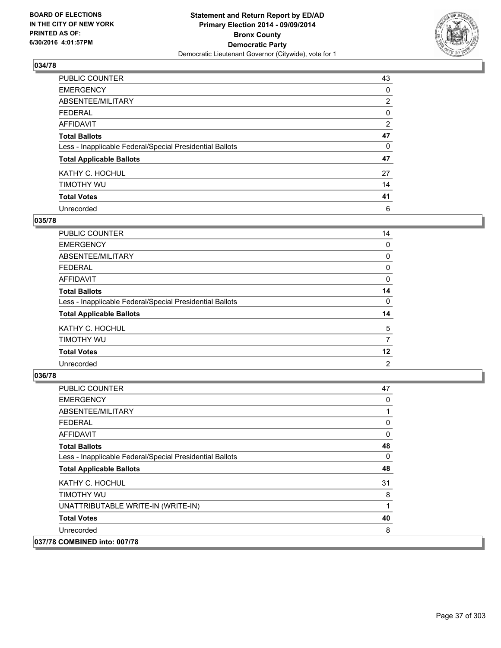

| PUBLIC COUNTER                                           | 43             |
|----------------------------------------------------------|----------------|
| <b>EMERGENCY</b>                                         | 0              |
| ABSENTEE/MILITARY                                        | $\overline{2}$ |
| <b>FEDERAL</b>                                           | 0              |
| <b>AFFIDAVIT</b>                                         | 2              |
| <b>Total Ballots</b>                                     | 47             |
| Less - Inapplicable Federal/Special Presidential Ballots | 0              |
| <b>Total Applicable Ballots</b>                          | 47             |
| KATHY C. HOCHUL                                          | 27             |
| TIMOTHY WU                                               | 14             |
| <b>Total Votes</b>                                       | 41             |
| Unrecorded                                               | 6              |

#### **035/78**

| PUBLIC COUNTER                                           | 14 |
|----------------------------------------------------------|----|
| <b>EMERGENCY</b>                                         | 0  |
| ABSENTEE/MILITARY                                        | 0  |
| <b>FEDERAL</b>                                           | 0  |
| <b>AFFIDAVIT</b>                                         | 0  |
| <b>Total Ballots</b>                                     | 14 |
| Less - Inapplicable Federal/Special Presidential Ballots | 0  |
| <b>Total Applicable Ballots</b>                          | 14 |
| KATHY C. HOCHUL                                          | 5  |
| TIMOTHY WU                                               | 7  |
| <b>Total Votes</b>                                       | 12 |
| Unrecorded                                               | 2  |

| <b>PUBLIC COUNTER</b>                                    | 47 |
|----------------------------------------------------------|----|
| <b>EMERGENCY</b>                                         | 0  |
| ABSENTEE/MILITARY                                        | 1  |
| <b>FEDERAL</b>                                           | 0  |
| AFFIDAVIT                                                | 0  |
| <b>Total Ballots</b>                                     | 48 |
| Less - Inapplicable Federal/Special Presidential Ballots | 0  |
| <b>Total Applicable Ballots</b>                          | 48 |
| KATHY C. HOCHUL                                          | 31 |
| timothy wu                                               | 8  |
| UNATTRIBUTABLE WRITE-IN (WRITE-IN)                       | 1  |
| <b>Total Votes</b>                                       | 40 |
| Unrecorded                                               | 8  |
| 037/78 COMBINED into: 007/78                             |    |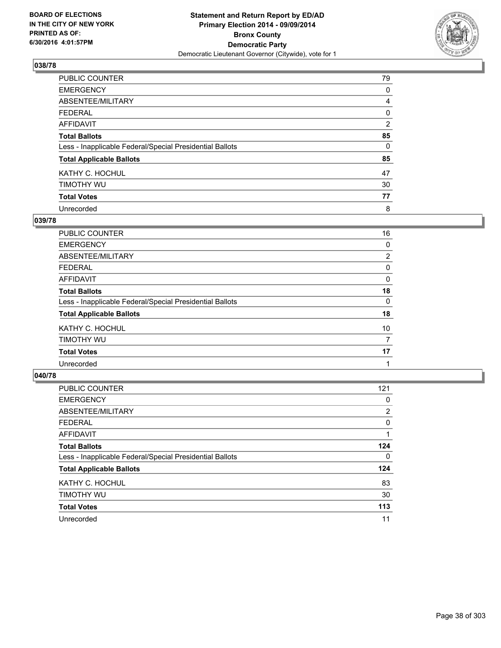

| PUBLIC COUNTER                                           | 79       |
|----------------------------------------------------------|----------|
| <b>EMERGENCY</b>                                         | 0        |
| ABSENTEE/MILITARY                                        | 4        |
| <b>FEDERAL</b>                                           | 0        |
| <b>AFFIDAVIT</b>                                         | 2        |
| <b>Total Ballots</b>                                     | 85       |
| Less - Inapplicable Federal/Special Presidential Ballots | $\Omega$ |
| <b>Total Applicable Ballots</b>                          | 85       |
| KATHY C. HOCHUL                                          | 47       |
| TIMOTHY WU                                               | 30       |
| <b>Total Votes</b>                                       | 77       |
| Unrecorded                                               | 8        |

#### **039/78**

| PUBLIC COUNTER                                           | 16             |
|----------------------------------------------------------|----------------|
| <b>EMERGENCY</b>                                         | 0              |
| ABSENTEE/MILITARY                                        | $\overline{2}$ |
| <b>FEDERAL</b>                                           | 0              |
| <b>AFFIDAVIT</b>                                         | 0              |
| <b>Total Ballots</b>                                     | 18             |
| Less - Inapplicable Federal/Special Presidential Ballots | 0              |
| <b>Total Applicable Ballots</b>                          | 18             |
| KATHY C. HOCHUL                                          | 10             |
| TIMOTHY WU                                               | 7              |
| <b>Total Votes</b>                                       | 17             |
| Unrecorded                                               |                |

| PUBLIC COUNTER                                           | 121 |
|----------------------------------------------------------|-----|
| <b>EMERGENCY</b>                                         | 0   |
| ABSENTEE/MILITARY                                        | 2   |
| <b>FEDERAL</b>                                           | 0   |
| <b>AFFIDAVIT</b>                                         |     |
| <b>Total Ballots</b>                                     | 124 |
| Less - Inapplicable Federal/Special Presidential Ballots | 0   |
| <b>Total Applicable Ballots</b>                          | 124 |
| KATHY C. HOCHUL                                          | 83  |
| TIMOTHY WU                                               | 30  |
| <b>Total Votes</b>                                       | 113 |
| Unrecorded                                               | 11  |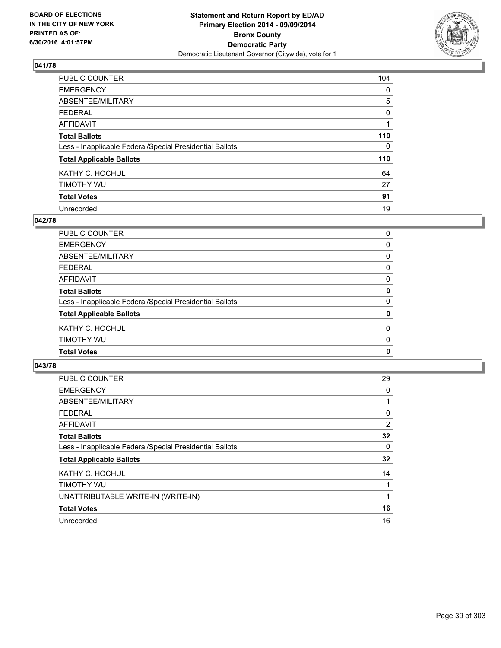

| PUBLIC COUNTER                                           | 104 |
|----------------------------------------------------------|-----|
| <b>EMERGENCY</b>                                         | 0   |
| ABSENTEE/MILITARY                                        | 5   |
| <b>FEDERAL</b>                                           | 0   |
| <b>AFFIDAVIT</b>                                         |     |
| <b>Total Ballots</b>                                     | 110 |
| Less - Inapplicable Federal/Special Presidential Ballots | 0   |
| <b>Total Applicable Ballots</b>                          | 110 |
| KATHY C. HOCHUL                                          | 64  |
| TIMOTHY WU                                               | 27  |
| <b>Total Votes</b>                                       | 91  |
| Unrecorded                                               | 19  |

#### **042/78**

| PUBLIC COUNTER                                           | 0            |
|----------------------------------------------------------|--------------|
|                                                          |              |
| <b>EMERGENCY</b>                                         | 0            |
| ABSENTEE/MILITARY                                        | 0            |
| <b>FEDERAL</b>                                           | 0            |
| <b>AFFIDAVIT</b>                                         | 0            |
| <b>Total Ballots</b>                                     | 0            |
| Less - Inapplicable Federal/Special Presidential Ballots | $\Omega$     |
| <b>Total Applicable Ballots</b>                          | 0            |
| KATHY C. HOCHUL                                          | 0            |
| TIMOTHY WU                                               | 0            |
| <b>Total Votes</b>                                       | $\mathbf{0}$ |
|                                                          |              |

| <b>PUBLIC COUNTER</b>                                    | 29 |
|----------------------------------------------------------|----|
| <b>EMERGENCY</b>                                         | 0  |
| ABSENTEE/MILITARY                                        | 1  |
| <b>FEDERAL</b>                                           | 0  |
| AFFIDAVIT                                                | 2  |
| <b>Total Ballots</b>                                     | 32 |
| Less - Inapplicable Federal/Special Presidential Ballots | 0  |
| <b>Total Applicable Ballots</b>                          | 32 |
| KATHY C. HOCHUL                                          | 14 |
| TIMOTHY WU                                               |    |
| UNATTRIBUTABLE WRITE-IN (WRITE-IN)                       | 1  |
| <b>Total Votes</b>                                       | 16 |
| Unrecorded                                               | 16 |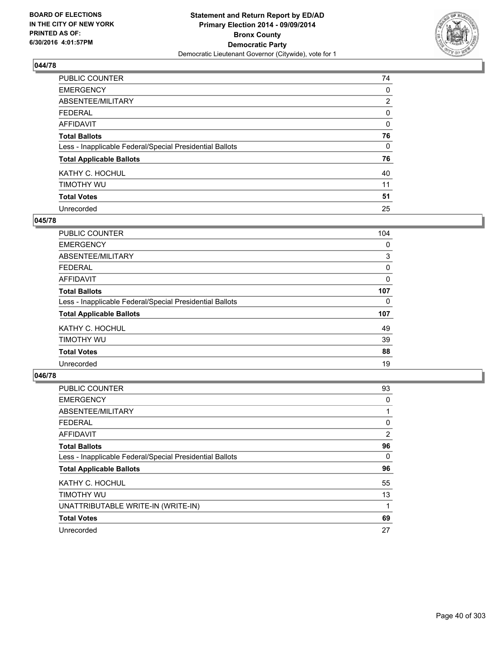

| PUBLIC COUNTER                                           | 74             |
|----------------------------------------------------------|----------------|
| <b>EMERGENCY</b>                                         | 0              |
| ABSENTEE/MILITARY                                        | $\overline{2}$ |
| <b>FEDERAL</b>                                           | 0              |
| <b>AFFIDAVIT</b>                                         | 0              |
| <b>Total Ballots</b>                                     | 76             |
| Less - Inapplicable Federal/Special Presidential Ballots | 0              |
| <b>Total Applicable Ballots</b>                          | 76             |
| KATHY C. HOCHUL                                          | 40             |
| TIMOTHY WU                                               | 11             |
| <b>Total Votes</b>                                       | 51             |
| Unrecorded                                               | 25             |

#### **045/78**

| <b>PUBLIC COUNTER</b>                                    | 104 |
|----------------------------------------------------------|-----|
| <b>EMERGENCY</b>                                         | 0   |
| ABSENTEE/MILITARY                                        | 3   |
| <b>FEDERAL</b>                                           | 0   |
| AFFIDAVIT                                                | 0   |
| <b>Total Ballots</b>                                     | 107 |
| Less - Inapplicable Federal/Special Presidential Ballots | 0   |
| <b>Total Applicable Ballots</b>                          | 107 |
| KATHY C. HOCHUL                                          | 49  |
| TIMOTHY WU                                               | 39  |
| <b>Total Votes</b>                                       | 88  |
| Unrecorded                                               | 19  |

| PUBLIC COUNTER                                           | 93 |
|----------------------------------------------------------|----|
| <b>EMERGENCY</b>                                         | 0  |
| ABSENTEE/MILITARY                                        | 1  |
| <b>FEDERAL</b>                                           | 0  |
| <b>AFFIDAVIT</b>                                         | 2  |
| <b>Total Ballots</b>                                     | 96 |
| Less - Inapplicable Federal/Special Presidential Ballots | 0  |
| <b>Total Applicable Ballots</b>                          | 96 |
| KATHY C. HOCHUL                                          | 55 |
| TIMOTHY WU                                               | 13 |
| UNATTRIBUTABLE WRITE-IN (WRITE-IN)                       |    |
| <b>Total Votes</b>                                       | 69 |
| Unrecorded                                               | 27 |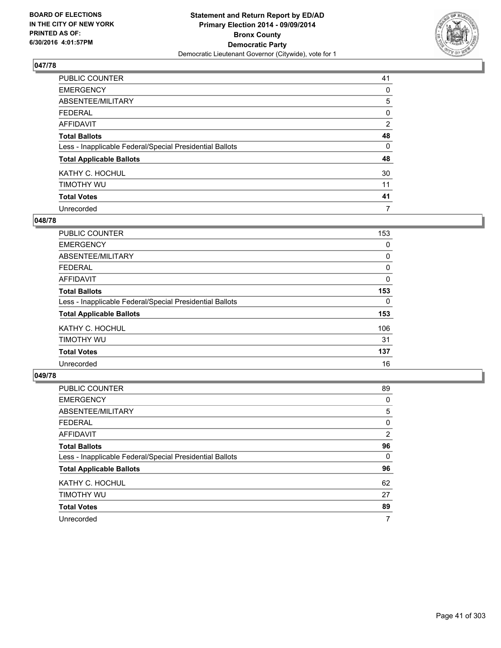

| PUBLIC COUNTER                                           | 41 |
|----------------------------------------------------------|----|
| <b>EMERGENCY</b>                                         | 0  |
| ABSENTEE/MILITARY                                        | 5  |
| <b>FEDERAL</b>                                           | 0  |
| <b>AFFIDAVIT</b>                                         | 2  |
| <b>Total Ballots</b>                                     | 48 |
| Less - Inapplicable Federal/Special Presidential Ballots | 0  |
| <b>Total Applicable Ballots</b>                          | 48 |
| KATHY C. HOCHUL                                          | 30 |
| TIMOTHY WU                                               | 11 |
| <b>Total Votes</b>                                       | 41 |
| Unrecorded                                               | 7  |

#### **048/78**

| <b>PUBLIC COUNTER</b>                                    | 153 |
|----------------------------------------------------------|-----|
| <b>EMERGENCY</b>                                         | 0   |
| ABSENTEE/MILITARY                                        | 0   |
| FEDERAL                                                  | 0   |
| AFFIDAVIT                                                | 0   |
| <b>Total Ballots</b>                                     | 153 |
| Less - Inapplicable Federal/Special Presidential Ballots | 0   |
| <b>Total Applicable Ballots</b>                          | 153 |
| KATHY C. HOCHUL                                          | 106 |
| TIMOTHY WU                                               | 31  |
| <b>Total Votes</b>                                       | 137 |
| Unrecorded                                               | 16  |

| PUBLIC COUNTER                                           | 89             |
|----------------------------------------------------------|----------------|
| <b>EMERGENCY</b>                                         | 0              |
| ABSENTEE/MILITARY                                        | 5              |
| <b>FEDERAL</b>                                           | 0              |
| <b>AFFIDAVIT</b>                                         | $\overline{2}$ |
| <b>Total Ballots</b>                                     | 96             |
| Less - Inapplicable Federal/Special Presidential Ballots | 0              |
| <b>Total Applicable Ballots</b>                          | 96             |
| KATHY C. HOCHUL                                          | 62             |
| TIMOTHY WU                                               | 27             |
| <b>Total Votes</b>                                       | 89             |
| Unrecorded                                               | 7              |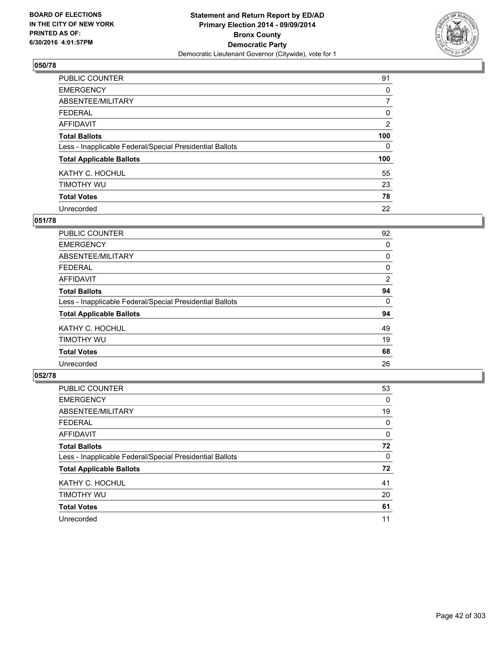

| <b>PUBLIC COUNTER</b>                                    | 91       |
|----------------------------------------------------------|----------|
| <b>EMERGENCY</b>                                         | 0        |
| ABSENTEE/MILITARY                                        | 7        |
| <b>FEDERAL</b>                                           | 0        |
| <b>AFFIDAVIT</b>                                         | 2        |
| <b>Total Ballots</b>                                     | 100      |
| Less - Inapplicable Federal/Special Presidential Ballots | $\Omega$ |
| <b>Total Applicable Ballots</b>                          | 100      |
| KATHY C. HOCHUL                                          | 55       |
| TIMOTHY WU                                               | 23       |
| <b>Total Votes</b>                                       | 78       |
| Unrecorded                                               | 22       |

#### **051/78**

| <b>PUBLIC COUNTER</b>                                    | 92 |
|----------------------------------------------------------|----|
| <b>EMERGENCY</b>                                         | 0  |
| ABSENTEE/MILITARY                                        | 0  |
| <b>FEDERAL</b>                                           | 0  |
| <b>AFFIDAVIT</b>                                         | 2  |
| <b>Total Ballots</b>                                     | 94 |
| Less - Inapplicable Federal/Special Presidential Ballots | 0  |
| <b>Total Applicable Ballots</b>                          | 94 |
| KATHY C. HOCHUL                                          | 49 |
| TIMOTHY WU                                               | 19 |
| <b>Total Votes</b>                                       | 68 |
| Unrecorded                                               | 26 |

| <b>PUBLIC COUNTER</b>                                    | 53 |
|----------------------------------------------------------|----|
| <b>EMERGENCY</b>                                         | 0  |
| ABSENTEE/MILITARY                                        | 19 |
| <b>FEDERAL</b>                                           | 0  |
| AFFIDAVIT                                                | 0  |
| <b>Total Ballots</b>                                     | 72 |
| Less - Inapplicable Federal/Special Presidential Ballots | 0  |
| <b>Total Applicable Ballots</b>                          | 72 |
| KATHY C. HOCHUL                                          | 41 |
| TIMOTHY WU                                               | 20 |
| <b>Total Votes</b>                                       | 61 |
| Unrecorded                                               | 11 |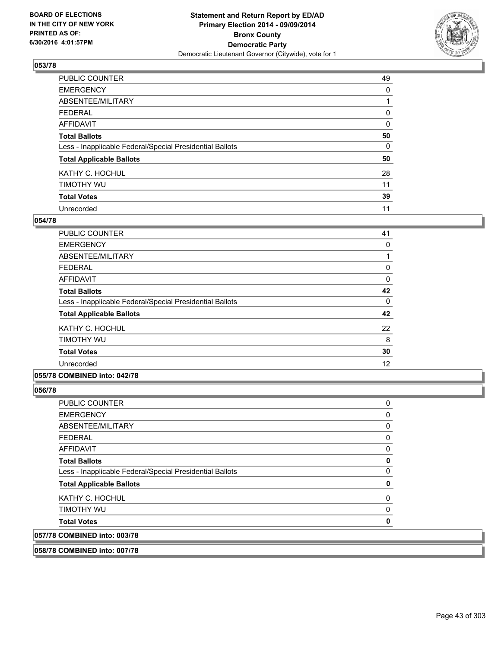

| PUBLIC COUNTER                                           | 49 |
|----------------------------------------------------------|----|
| <b>EMERGENCY</b>                                         | 0  |
| ABSENTEE/MILITARY                                        |    |
| <b>FEDERAL</b>                                           | 0  |
| <b>AFFIDAVIT</b>                                         | 0  |
| <b>Total Ballots</b>                                     | 50 |
| Less - Inapplicable Federal/Special Presidential Ballots | 0  |
| <b>Total Applicable Ballots</b>                          | 50 |
| KATHY C. HOCHUL                                          | 28 |
| TIMOTHY WU                                               | 11 |
| <b>Total Votes</b>                                       | 39 |
| Unrecorded                                               | 11 |

#### **054/78**

| PUBLIC COUNTER                                           | 41 |
|----------------------------------------------------------|----|
| <b>EMERGENCY</b>                                         | 0  |
| ABSENTEE/MILITARY                                        |    |
| <b>FEDERAL</b>                                           | 0  |
| AFFIDAVIT                                                | 0  |
| <b>Total Ballots</b>                                     | 42 |
| Less - Inapplicable Federal/Special Presidential Ballots | 0  |
| <b>Total Applicable Ballots</b>                          | 42 |
| KATHY C. HOCHUL                                          | 22 |
| TIMOTHY WU                                               | 8  |
| <b>Total Votes</b>                                       | 30 |
| Unrecorded                                               | 12 |
|                                                          |    |

### **055/78 COMBINED into: 042/78**

**056/78** 

| <b>PUBLIC COUNTER</b>                                    | 0 |
|----------------------------------------------------------|---|
| <b>EMERGENCY</b>                                         | 0 |
| ABSENTEE/MILITARY                                        | 0 |
| <b>FEDERAL</b>                                           | 0 |
| AFFIDAVIT                                                | 0 |
| <b>Total Ballots</b>                                     | 0 |
| Less - Inapplicable Federal/Special Presidential Ballots | 0 |
| <b>Total Applicable Ballots</b>                          | 0 |
| KATHY C. HOCHUL                                          | 0 |
| TIMOTHY WU                                               | 0 |
| <b>Total Votes</b>                                       | 0 |
| 057/78 COMBINED into: 003/78                             |   |

**058/78 COMBINED into: 007/78**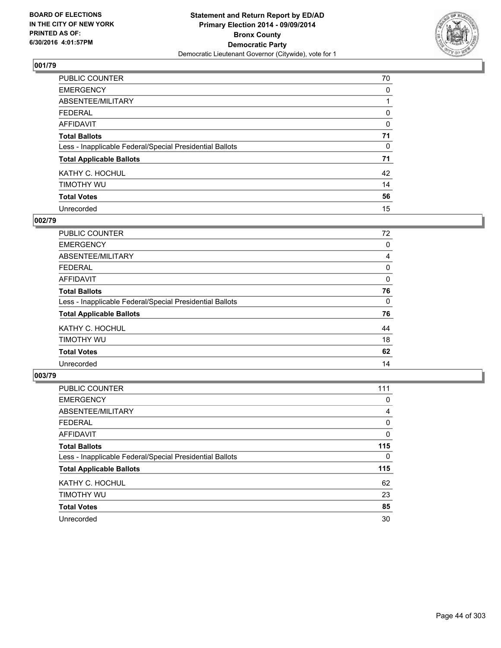

| <b>PUBLIC COUNTER</b>                                    | 70       |
|----------------------------------------------------------|----------|
| <b>EMERGENCY</b>                                         | 0        |
| ABSENTEE/MILITARY                                        |          |
| <b>FEDERAL</b>                                           | 0        |
| <b>AFFIDAVIT</b>                                         | $\Omega$ |
| <b>Total Ballots</b>                                     | 71       |
| Less - Inapplicable Federal/Special Presidential Ballots | 0        |
| <b>Total Applicable Ballots</b>                          | 71       |
| KATHY C. HOCHUL                                          | 42       |
| TIMOTHY WU                                               | 14       |
| <b>Total Votes</b>                                       | 56       |
| Unrecorded                                               | 15       |

# **002/79**

| <b>PUBLIC COUNTER</b>                                    | 72 |
|----------------------------------------------------------|----|
| <b>EMERGENCY</b>                                         | 0  |
| ABSENTEE/MILITARY                                        | 4  |
| FEDERAL                                                  | 0  |
| AFFIDAVIT                                                | 0  |
| <b>Total Ballots</b>                                     | 76 |
| Less - Inapplicable Federal/Special Presidential Ballots | 0  |
| <b>Total Applicable Ballots</b>                          | 76 |
| KATHY C. HOCHUL                                          | 44 |
| TIMOTHY WU                                               | 18 |
| <b>Total Votes</b>                                       | 62 |
| Unrecorded                                               | 14 |
|                                                          |    |

| PUBLIC COUNTER                                           | 111 |
|----------------------------------------------------------|-----|
| <b>EMERGENCY</b>                                         | 0   |
| ABSENTEE/MILITARY                                        | 4   |
| <b>FEDERAL</b>                                           | 0   |
| <b>AFFIDAVIT</b>                                         | 0   |
| <b>Total Ballots</b>                                     | 115 |
| Less - Inapplicable Federal/Special Presidential Ballots | 0   |
| <b>Total Applicable Ballots</b>                          | 115 |
| KATHY C. HOCHUL                                          | 62  |
| TIMOTHY WU                                               | 23  |
| <b>Total Votes</b>                                       | 85  |
| Unrecorded                                               | 30  |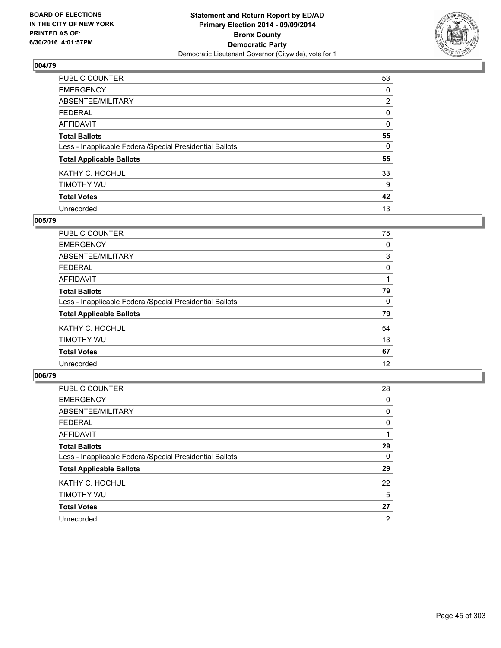

| PUBLIC COUNTER                                           | 53             |
|----------------------------------------------------------|----------------|
| <b>EMERGENCY</b>                                         | 0              |
| ABSENTEE/MILITARY                                        | $\overline{2}$ |
| <b>FEDERAL</b>                                           | 0              |
| <b>AFFIDAVIT</b>                                         | $\Omega$       |
| <b>Total Ballots</b>                                     | 55             |
| Less - Inapplicable Federal/Special Presidential Ballots | $\Omega$       |
| <b>Total Applicable Ballots</b>                          | 55             |
| KATHY C. HOCHUL                                          | 33             |
| TIMOTHY WU                                               | 9              |
| <b>Total Votes</b>                                       | 42             |
| Unrecorded                                               | 13             |

#### **005/79**

| <b>PUBLIC COUNTER</b>                                    | 75 |
|----------------------------------------------------------|----|
| <b>EMERGENCY</b>                                         | 0  |
| ABSENTEE/MILITARY                                        | 3  |
| <b>FEDERAL</b>                                           | 0  |
| <b>AFFIDAVIT</b>                                         |    |
| <b>Total Ballots</b>                                     | 79 |
| Less - Inapplicable Federal/Special Presidential Ballots | 0  |
| <b>Total Applicable Ballots</b>                          | 79 |
| KATHY C. HOCHUL                                          | 54 |
| TIMOTHY WU                                               | 13 |
| <b>Total Votes</b>                                       | 67 |
| Unrecorded                                               | 12 |

| PUBLIC COUNTER                                           | 28 |
|----------------------------------------------------------|----|
| <b>EMERGENCY</b>                                         | 0  |
| ABSENTEE/MILITARY                                        | 0  |
| <b>FEDERAL</b>                                           | 0  |
| <b>AFFIDAVIT</b>                                         |    |
| <b>Total Ballots</b>                                     | 29 |
| Less - Inapplicable Federal/Special Presidential Ballots | 0  |
| <b>Total Applicable Ballots</b>                          | 29 |
| KATHY C. HOCHUL                                          | 22 |
| TIMOTHY WU                                               | 5  |
| <b>Total Votes</b>                                       | 27 |
| Unrecorded                                               | 2  |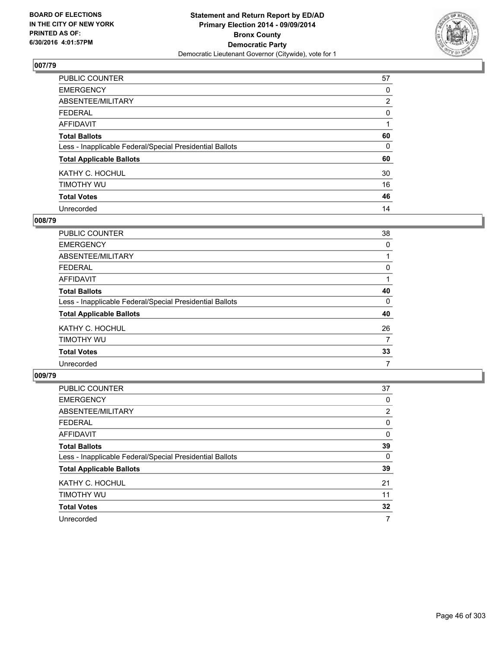

| PUBLIC COUNTER                                           | 57             |
|----------------------------------------------------------|----------------|
| <b>EMERGENCY</b>                                         | 0              |
| ABSENTEE/MILITARY                                        | $\overline{2}$ |
| <b>FEDERAL</b>                                           | 0              |
| <b>AFFIDAVIT</b>                                         |                |
| <b>Total Ballots</b>                                     | 60             |
| Less - Inapplicable Federal/Special Presidential Ballots | 0              |
| <b>Total Applicable Ballots</b>                          | 60             |
| KATHY C. HOCHUL                                          | 30             |
| TIMOTHY WU                                               | 16             |
| <b>Total Votes</b>                                       | 46             |
| Unrecorded                                               | 14             |

#### **008/79**

| <b>PUBLIC COUNTER</b>                                    | 38 |
|----------------------------------------------------------|----|
| <b>EMERGENCY</b>                                         | 0  |
| ABSENTEE/MILITARY                                        |    |
| <b>FEDERAL</b>                                           | 0  |
| <b>AFFIDAVIT</b>                                         |    |
| <b>Total Ballots</b>                                     | 40 |
| Less - Inapplicable Federal/Special Presidential Ballots | 0  |
| <b>Total Applicable Ballots</b>                          | 40 |
| KATHY C. HOCHUL                                          | 26 |
| TIMOTHY WU                                               | 7  |
| <b>Total Votes</b>                                       | 33 |
| Unrecorded                                               | 7  |

| <b>PUBLIC COUNTER</b>                                    | 37 |
|----------------------------------------------------------|----|
| <b>EMERGENCY</b>                                         | 0  |
| ABSENTEE/MILITARY                                        | 2  |
| <b>FEDERAL</b>                                           | 0  |
| AFFIDAVIT                                                | 0  |
| <b>Total Ballots</b>                                     | 39 |
| Less - Inapplicable Federal/Special Presidential Ballots | 0  |
| <b>Total Applicable Ballots</b>                          | 39 |
| KATHY C. HOCHUL                                          | 21 |
| TIMOTHY WU                                               | 11 |
| <b>Total Votes</b>                                       | 32 |
| Unrecorded                                               | 7  |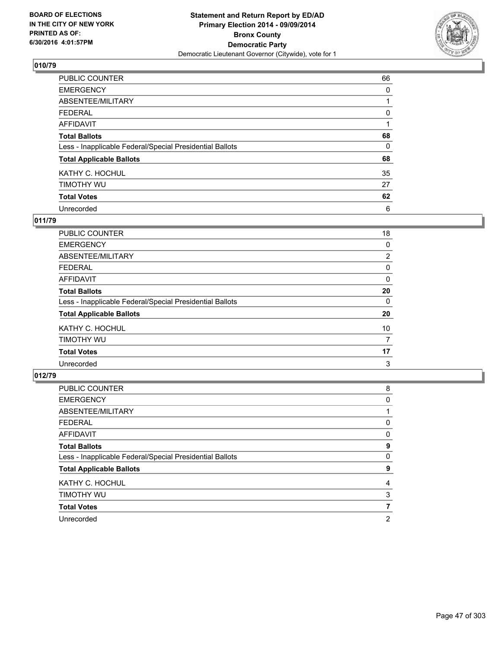

| PUBLIC COUNTER                                           | 66       |
|----------------------------------------------------------|----------|
| <b>EMERGENCY</b>                                         | 0        |
| ABSENTEE/MILITARY                                        |          |
| <b>FEDERAL</b>                                           | 0        |
| <b>AFFIDAVIT</b>                                         |          |
| <b>Total Ballots</b>                                     | 68       |
| Less - Inapplicable Federal/Special Presidential Ballots | $\Omega$ |
| <b>Total Applicable Ballots</b>                          | 68       |
| KATHY C. HOCHUL                                          | 35       |
| TIMOTHY WU                                               | 27       |
| <b>Total Votes</b>                                       | 62       |
| Unrecorded                                               | 6        |

#### **011/79**

| PUBLIC COUNTER                                           | 18             |
|----------------------------------------------------------|----------------|
| <b>EMERGENCY</b>                                         | 0              |
| ABSENTEE/MILITARY                                        | $\overline{2}$ |
| <b>FEDERAL</b>                                           | 0              |
| <b>AFFIDAVIT</b>                                         | 0              |
| <b>Total Ballots</b>                                     | 20             |
| Less - Inapplicable Federal/Special Presidential Ballots | 0              |
| <b>Total Applicable Ballots</b>                          | 20             |
| KATHY C. HOCHUL                                          | 10             |
| TIMOTHY WU                                               | 7              |
| <b>Total Votes</b>                                       | 17             |
| Unrecorded                                               | 3              |
|                                                          |                |

| PUBLIC COUNTER                                           | 8 |
|----------------------------------------------------------|---|
| <b>EMERGENCY</b>                                         | 0 |
| ABSENTEE/MILITARY                                        |   |
| <b>FEDERAL</b>                                           | 0 |
| <b>AFFIDAVIT</b>                                         | 0 |
| <b>Total Ballots</b>                                     | 9 |
| Less - Inapplicable Federal/Special Presidential Ballots | 0 |
| <b>Total Applicable Ballots</b>                          | 9 |
| KATHY C. HOCHUL                                          | 4 |
| TIMOTHY WU                                               | 3 |
| <b>Total Votes</b>                                       | 7 |
| Unrecorded                                               | 2 |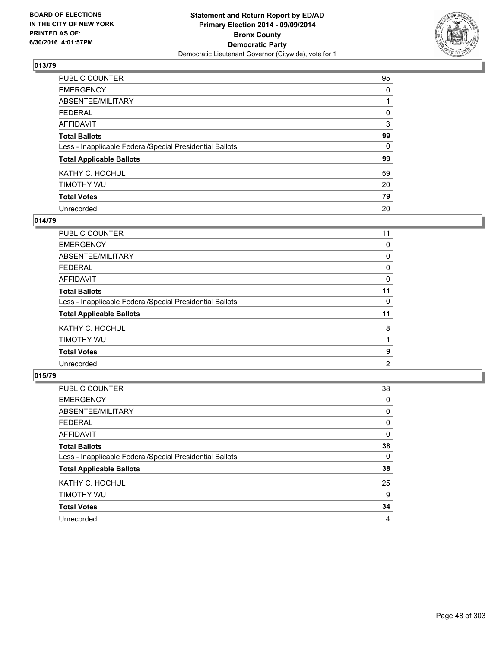

| PUBLIC COUNTER                                           | 95       |
|----------------------------------------------------------|----------|
| <b>EMERGENCY</b>                                         | 0        |
| ABSENTEE/MILITARY                                        |          |
| <b>FEDERAL</b>                                           | 0        |
| <b>AFFIDAVIT</b>                                         | 3        |
| <b>Total Ballots</b>                                     | 99       |
| Less - Inapplicable Federal/Special Presidential Ballots | $\Omega$ |
| <b>Total Applicable Ballots</b>                          | 99       |
| KATHY C. HOCHUL                                          | 59       |
| TIMOTHY WU                                               | 20       |
| <b>Total Votes</b>                                       | 79       |
| Unrecorded                                               | 20       |

#### **014/79**

| PUBLIC COUNTER                                           | 11 |
|----------------------------------------------------------|----|
| <b>EMERGENCY</b>                                         | 0  |
| ABSENTEE/MILITARY                                        | 0  |
| <b>FEDERAL</b>                                           | 0  |
| <b>AFFIDAVIT</b>                                         | 0  |
| <b>Total Ballots</b>                                     | 11 |
| Less - Inapplicable Federal/Special Presidential Ballots | 0  |
| <b>Total Applicable Ballots</b>                          | 11 |
| KATHY C. HOCHUL                                          | 8  |
| TIMOTHY WU                                               |    |
| <b>Total Votes</b>                                       | 9  |
| Unrecorded                                               | 2  |
|                                                          |    |

| PUBLIC COUNTER                                           | 38 |
|----------------------------------------------------------|----|
| <b>EMERGENCY</b>                                         | 0  |
| ABSENTEE/MILITARY                                        | 0  |
| <b>FEDERAL</b>                                           | 0  |
| <b>AFFIDAVIT</b>                                         | 0  |
| <b>Total Ballots</b>                                     | 38 |
| Less - Inapplicable Federal/Special Presidential Ballots | 0  |
| <b>Total Applicable Ballots</b>                          | 38 |
| KATHY C. HOCHUL                                          | 25 |
| TIMOTHY WU                                               | 9  |
| <b>Total Votes</b>                                       | 34 |
| Unrecorded                                               | 4  |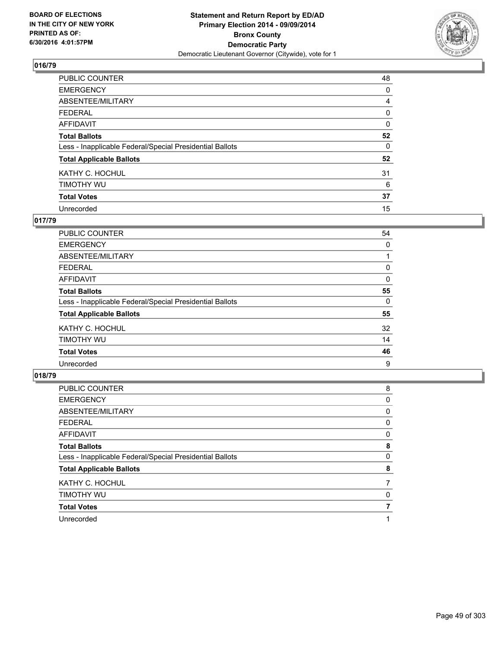

| PUBLIC COUNTER                                           | 48 |
|----------------------------------------------------------|----|
| <b>EMERGENCY</b>                                         | 0  |
| ABSENTEE/MILITARY                                        | 4  |
| <b>FEDERAL</b>                                           | 0  |
| <b>AFFIDAVIT</b>                                         | 0  |
| <b>Total Ballots</b>                                     | 52 |
| Less - Inapplicable Federal/Special Presidential Ballots | 0  |
| <b>Total Applicable Ballots</b>                          | 52 |
| KATHY C. HOCHUL                                          | 31 |
| TIMOTHY WU                                               | 6  |
| <b>Total Votes</b>                                       | 37 |
| Unrecorded                                               | 15 |

#### **017/79**

| PUBLIC COUNTER                                           | 54 |
|----------------------------------------------------------|----|
| <b>EMERGENCY</b>                                         | 0  |
| ABSENTEE/MILITARY                                        |    |
| <b>FEDERAL</b>                                           | 0  |
| <b>AFFIDAVIT</b>                                         | 0  |
| <b>Total Ballots</b>                                     | 55 |
| Less - Inapplicable Federal/Special Presidential Ballots | 0  |
| <b>Total Applicable Ballots</b>                          | 55 |
| KATHY C. HOCHUL                                          | 32 |
| TIMOTHY WU                                               | 14 |
| <b>Total Votes</b>                                       | 46 |
| Unrecorded                                               | 9  |

| PUBLIC COUNTER                                           | 8 |
|----------------------------------------------------------|---|
| <b>EMERGENCY</b>                                         | 0 |
| ABSENTEE/MILITARY                                        | 0 |
| <b>FEDERAL</b>                                           | 0 |
| <b>AFFIDAVIT</b>                                         | 0 |
| <b>Total Ballots</b>                                     | 8 |
| Less - Inapplicable Federal/Special Presidential Ballots | 0 |
| <b>Total Applicable Ballots</b>                          | 8 |
| KATHY C. HOCHUL                                          |   |
| TIMOTHY WU                                               | 0 |
| <b>Total Votes</b>                                       |   |
| Unrecorded                                               |   |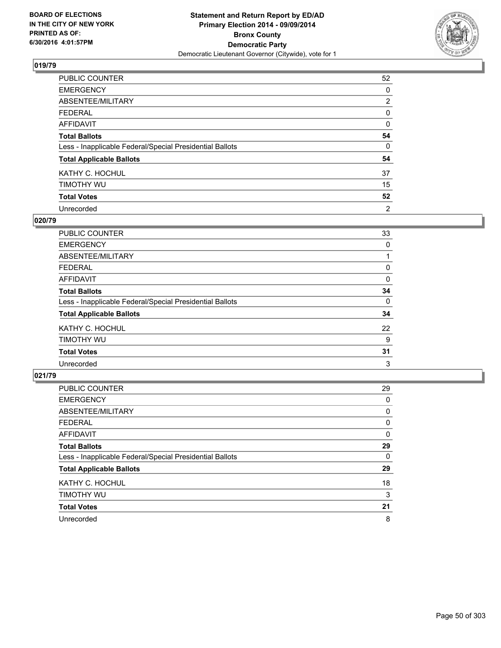

| PUBLIC COUNTER                                           | 52             |
|----------------------------------------------------------|----------------|
| <b>EMERGENCY</b>                                         | 0              |
| ABSENTEE/MILITARY                                        | $\overline{2}$ |
| <b>FEDERAL</b>                                           | 0              |
| <b>AFFIDAVIT</b>                                         | 0              |
| <b>Total Ballots</b>                                     | 54             |
| Less - Inapplicable Federal/Special Presidential Ballots | $\Omega$       |
| <b>Total Applicable Ballots</b>                          | 54             |
| KATHY C. HOCHUL                                          | 37             |
| TIMOTHY WU                                               | 15             |
| <b>Total Votes</b>                                       | 52             |
| Unrecorded                                               | $\overline{2}$ |

#### **020/79**

| PUBLIC COUNTER                                           | 33 |
|----------------------------------------------------------|----|
| <b>EMERGENCY</b>                                         | 0  |
| ABSENTEE/MILITARY                                        |    |
| <b>FEDERAL</b>                                           | 0  |
| <b>AFFIDAVIT</b>                                         | 0  |
| <b>Total Ballots</b>                                     | 34 |
| Less - Inapplicable Federal/Special Presidential Ballots | 0  |
| <b>Total Applicable Ballots</b>                          | 34 |
| KATHY C. HOCHUL                                          | 22 |
| TIMOTHY WU                                               | 9  |
| <b>Total Votes</b>                                       | 31 |
| Unrecorded                                               | 3  |

| PUBLIC COUNTER                                           | 29 |
|----------------------------------------------------------|----|
| <b>EMERGENCY</b>                                         | 0  |
| ABSENTEE/MILITARY                                        | 0  |
| <b>FEDERAL</b>                                           | 0  |
| <b>AFFIDAVIT</b>                                         | 0  |
| <b>Total Ballots</b>                                     | 29 |
| Less - Inapplicable Federal/Special Presidential Ballots | 0  |
| <b>Total Applicable Ballots</b>                          | 29 |
| KATHY C. HOCHUL                                          | 18 |
| TIMOTHY WU                                               | 3  |
| <b>Total Votes</b>                                       | 21 |
| Unrecorded                                               | 8  |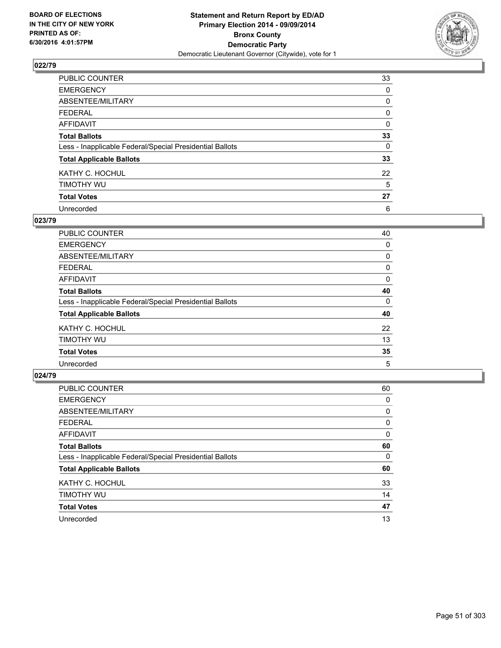

| PUBLIC COUNTER                                           | 33       |
|----------------------------------------------------------|----------|
| <b>EMERGENCY</b>                                         | 0        |
| ABSENTEE/MILITARY                                        | 0        |
| <b>FEDERAL</b>                                           | 0        |
| <b>AFFIDAVIT</b>                                         | 0        |
| <b>Total Ballots</b>                                     | 33       |
| Less - Inapplicable Federal/Special Presidential Ballots | $\Omega$ |
| <b>Total Applicable Ballots</b>                          | 33       |
| KATHY C. HOCHUL                                          | 22       |
| TIMOTHY WU                                               | 5        |
| <b>Total Votes</b>                                       | 27       |
| Unrecorded                                               | 6        |

#### **023/79**

| PUBLIC COUNTER                                           | 40 |
|----------------------------------------------------------|----|
| <b>EMERGENCY</b>                                         | 0  |
| ABSENTEE/MILITARY                                        | 0  |
| <b>FEDERAL</b>                                           | 0  |
| <b>AFFIDAVIT</b>                                         | 0  |
| <b>Total Ballots</b>                                     | 40 |
| Less - Inapplicable Federal/Special Presidential Ballots | 0  |
| <b>Total Applicable Ballots</b>                          | 40 |
| KATHY C. HOCHUL                                          | 22 |
| TIMOTHY WU                                               | 13 |
| <b>Total Votes</b>                                       | 35 |
| Unrecorded                                               | 5  |
|                                                          |    |

| PUBLIC COUNTER                                           | 60 |
|----------------------------------------------------------|----|
| <b>EMERGENCY</b>                                         | 0  |
| ABSENTEE/MILITARY                                        | 0  |
| <b>FEDERAL</b>                                           | 0  |
| <b>AFFIDAVIT</b>                                         | 0  |
| <b>Total Ballots</b>                                     | 60 |
| Less - Inapplicable Federal/Special Presidential Ballots | 0  |
| <b>Total Applicable Ballots</b>                          | 60 |
| KATHY C. HOCHUL                                          | 33 |
| TIMOTHY WU                                               | 14 |
| <b>Total Votes</b>                                       | 47 |
| Unrecorded                                               | 13 |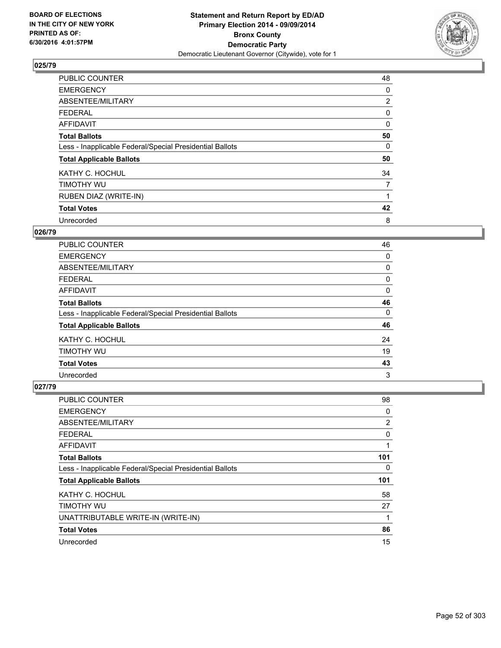

| <b>PUBLIC COUNTER</b>                                    | 48             |
|----------------------------------------------------------|----------------|
| <b>EMERGENCY</b>                                         | 0              |
| ABSENTEE/MILITARY                                        | $\overline{2}$ |
| <b>FEDERAL</b>                                           | 0              |
| AFFIDAVIT                                                | 0              |
| <b>Total Ballots</b>                                     | 50             |
| Less - Inapplicable Federal/Special Presidential Ballots | 0              |
| <b>Total Applicable Ballots</b>                          | 50             |
| KATHY C. HOCHUL                                          | 34             |
| TIMOTHY WU                                               | $\overline{7}$ |
| RUBEN DIAZ (WRITE-IN)                                    |                |
| <b>Total Votes</b>                                       | 42             |
| Unrecorded                                               | 8              |

# **026/79**

| <b>PUBLIC COUNTER</b>                                    | 46 |
|----------------------------------------------------------|----|
| <b>EMERGENCY</b>                                         | 0  |
| ABSENTEE/MILITARY                                        | 0  |
| <b>FEDERAL</b>                                           | 0  |
| AFFIDAVIT                                                | 0  |
| <b>Total Ballots</b>                                     | 46 |
| Less - Inapplicable Federal/Special Presidential Ballots | 0  |
| <b>Total Applicable Ballots</b>                          | 46 |
| KATHY C. HOCHUL                                          | 24 |
| TIMOTHY WU                                               | 19 |
| <b>Total Votes</b>                                       | 43 |
| Unrecorded                                               | 3  |

| <b>PUBLIC COUNTER</b>                                    | 98  |
|----------------------------------------------------------|-----|
| <b>EMERGENCY</b>                                         | 0   |
| ABSENTEE/MILITARY                                        | 2   |
| <b>FEDERAL</b>                                           | 0   |
| <b>AFFIDAVIT</b>                                         | 1   |
| <b>Total Ballots</b>                                     | 101 |
| Less - Inapplicable Federal/Special Presidential Ballots | 0   |
| <b>Total Applicable Ballots</b>                          | 101 |
| KATHY C. HOCHUL                                          | 58  |
| TIMOTHY WU                                               | 27  |
| UNATTRIBUTABLE WRITE-IN (WRITE-IN)                       |     |
| <b>Total Votes</b>                                       | 86  |
| Unrecorded                                               | 15  |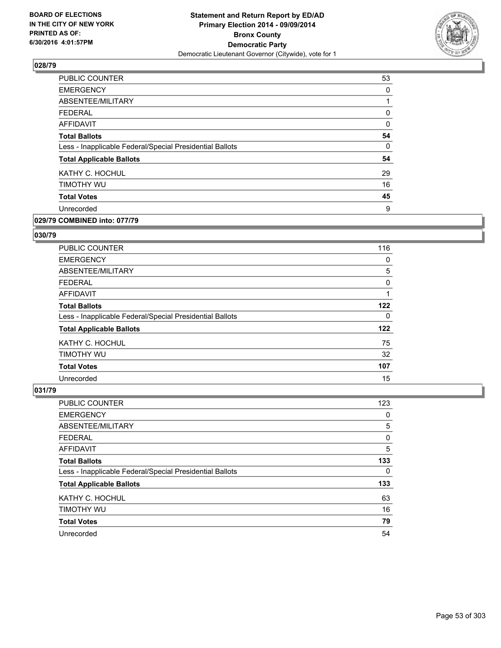

| PUBLIC COUNTER                                           | 53 |
|----------------------------------------------------------|----|
| <b>EMERGENCY</b>                                         | 0  |
| ABSENTEE/MILITARY                                        |    |
| <b>FEDERAL</b>                                           | 0  |
| AFFIDAVIT                                                | 0  |
| <b>Total Ballots</b>                                     | 54 |
| Less - Inapplicable Federal/Special Presidential Ballots | 0  |
| <b>Total Applicable Ballots</b>                          | 54 |
| KATHY C. HOCHUL                                          | 29 |
| TIMOTHY WU                                               | 16 |
| <b>Total Votes</b>                                       | 45 |
| Unrecorded                                               | 9  |
|                                                          |    |

# **029/79 COMBINED into: 077/79**

#### **030/79**

| <b>PUBLIC COUNTER</b>                                    | 116 |
|----------------------------------------------------------|-----|
| <b>EMERGENCY</b>                                         | 0   |
| ABSENTEE/MILITARY                                        | 5   |
| FEDERAL                                                  | 0   |
| AFFIDAVIT                                                |     |
| <b>Total Ballots</b>                                     | 122 |
| Less - Inapplicable Federal/Special Presidential Ballots | 0   |
| <b>Total Applicable Ballots</b>                          | 122 |
| KATHY C. HOCHUL                                          | 75  |
| TIMOTHY WU                                               | 32  |
| <b>Total Votes</b>                                       | 107 |
| Unrecorded                                               | 15  |

| PUBLIC COUNTER                                           | 123 |
|----------------------------------------------------------|-----|
| <b>EMERGENCY</b>                                         | 0   |
| ABSENTEE/MILITARY                                        | 5   |
| <b>FEDERAL</b>                                           | 0   |
| <b>AFFIDAVIT</b>                                         | 5   |
| <b>Total Ballots</b>                                     | 133 |
| Less - Inapplicable Federal/Special Presidential Ballots | 0   |
| <b>Total Applicable Ballots</b>                          | 133 |
| KATHY C. HOCHUL                                          | 63  |
| TIMOTHY WU                                               | 16  |
| <b>Total Votes</b>                                       | 79  |
| Unrecorded                                               | 54  |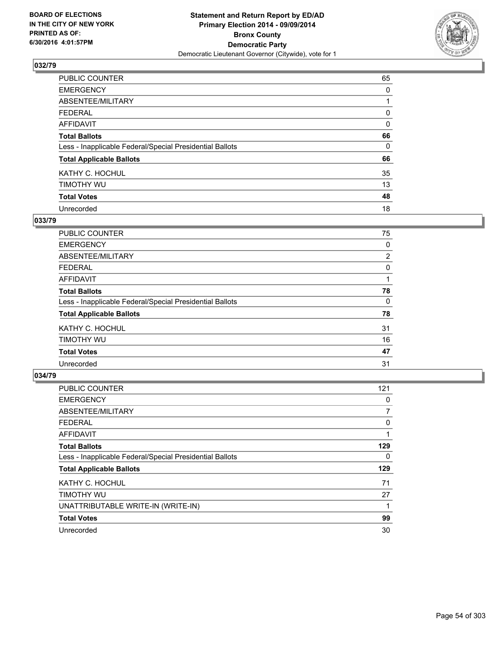

| PUBLIC COUNTER                                           | 65       |
|----------------------------------------------------------|----------|
| <b>EMERGENCY</b>                                         | 0        |
| ABSENTEE/MILITARY                                        |          |
| <b>FEDERAL</b>                                           | 0        |
| <b>AFFIDAVIT</b>                                         | 0        |
| <b>Total Ballots</b>                                     | 66       |
| Less - Inapplicable Federal/Special Presidential Ballots | $\Omega$ |
| <b>Total Applicable Ballots</b>                          | 66       |
| KATHY C. HOCHUL                                          | 35       |
| TIMOTHY WU                                               | 13       |
| <b>Total Votes</b>                                       | 48       |
| Unrecorded                                               | 18       |

#### **033/79**

| PUBLIC COUNTER                                           | 75             |
|----------------------------------------------------------|----------------|
| <b>EMERGENCY</b>                                         | 0              |
| ABSENTEE/MILITARY                                        | $\overline{2}$ |
| <b>FEDERAL</b>                                           | 0              |
| <b>AFFIDAVIT</b>                                         |                |
| <b>Total Ballots</b>                                     | 78             |
| Less - Inapplicable Federal/Special Presidential Ballots | 0              |
| <b>Total Applicable Ballots</b>                          | 78             |
| KATHY C. HOCHUL                                          | 31             |
| TIMOTHY WU                                               | 16             |
| <b>Total Votes</b>                                       | 47             |
| Unrecorded                                               | 31             |
|                                                          |                |

| <b>PUBLIC COUNTER</b>                                    | 121 |
|----------------------------------------------------------|-----|
| <b>EMERGENCY</b>                                         | 0   |
| ABSENTEE/MILITARY                                        | 7   |
| <b>FEDERAL</b>                                           | 0   |
| <b>AFFIDAVIT</b>                                         | 1   |
| <b>Total Ballots</b>                                     | 129 |
| Less - Inapplicable Federal/Special Presidential Ballots | 0   |
| <b>Total Applicable Ballots</b>                          | 129 |
| KATHY C. HOCHUL                                          | 71  |
| TIMOTHY WU                                               | 27  |
| UNATTRIBUTABLE WRITE-IN (WRITE-IN)                       | 1   |
| <b>Total Votes</b>                                       | 99  |
| Unrecorded                                               | 30  |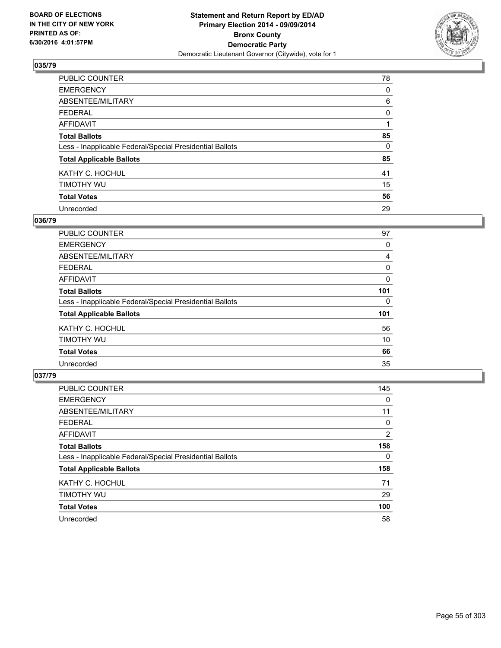

| PUBLIC COUNTER                                           | 78       |
|----------------------------------------------------------|----------|
| <b>EMERGENCY</b>                                         | 0        |
| ABSENTEE/MILITARY                                        | 6        |
| <b>FEDERAL</b>                                           | 0        |
| <b>AFFIDAVIT</b>                                         |          |
| <b>Total Ballots</b>                                     | 85       |
| Less - Inapplicable Federal/Special Presidential Ballots | $\Omega$ |
| <b>Total Applicable Ballots</b>                          | 85       |
| KATHY C. HOCHUL                                          | 41       |
| TIMOTHY WU                                               | 15       |
| <b>Total Votes</b>                                       | 56       |
| Unrecorded                                               | 29       |

#### **036/79**

| PUBLIC COUNTER                                           | 97  |
|----------------------------------------------------------|-----|
| <b>EMERGENCY</b>                                         | 0   |
| ABSENTEE/MILITARY                                        | 4   |
| FEDERAL                                                  | 0   |
| <b>AFFIDAVIT</b>                                         | 0   |
| <b>Total Ballots</b>                                     | 101 |
| Less - Inapplicable Federal/Special Presidential Ballots | 0   |
| <b>Total Applicable Ballots</b>                          | 101 |
| KATHY C. HOCHUL                                          | 56  |
| TIMOTHY WU                                               | 10  |
| <b>Total Votes</b>                                       | 66  |
| Unrecorded                                               | 35  |

| <b>PUBLIC COUNTER</b>                                    | 145            |
|----------------------------------------------------------|----------------|
| <b>EMERGENCY</b>                                         | 0              |
| ABSENTEE/MILITARY                                        | 11             |
| <b>FEDERAL</b>                                           | 0              |
| AFFIDAVIT                                                | $\overline{2}$ |
| <b>Total Ballots</b>                                     | 158            |
| Less - Inapplicable Federal/Special Presidential Ballots | 0              |
| <b>Total Applicable Ballots</b>                          | 158            |
| KATHY C. HOCHUL                                          | 71             |
| TIMOTHY WU                                               | 29             |
| <b>Total Votes</b>                                       | 100            |
| Unrecorded                                               | 58             |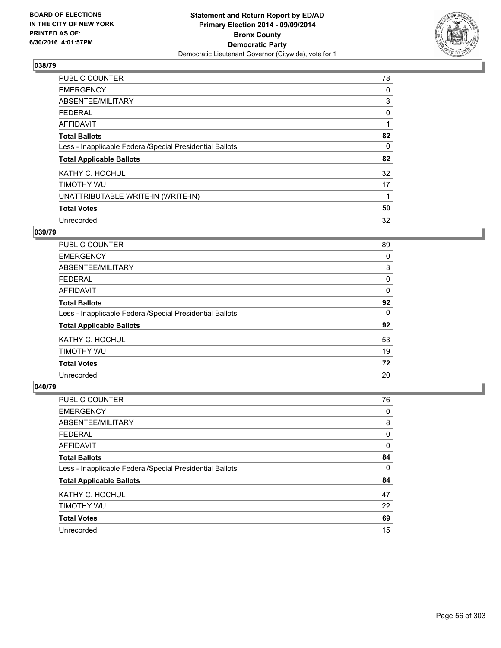

| <b>PUBLIC COUNTER</b>                                    | 78 |
|----------------------------------------------------------|----|
| <b>EMERGENCY</b>                                         | 0  |
| ABSENTEE/MILITARY                                        | 3  |
| <b>FEDERAL</b>                                           | 0  |
| AFFIDAVIT                                                | 1  |
| <b>Total Ballots</b>                                     | 82 |
| Less - Inapplicable Federal/Special Presidential Ballots | 0  |
| <b>Total Applicable Ballots</b>                          | 82 |
| KATHY C. HOCHUL                                          | 32 |
| TIMOTHY WU                                               | 17 |
| UNATTRIBUTABLE WRITE-IN (WRITE-IN)                       | 1  |
| <b>Total Votes</b>                                       | 50 |
| Unrecorded                                               | 32 |

# **039/79**

| <b>PUBLIC COUNTER</b>                                    | 89 |
|----------------------------------------------------------|----|
| <b>EMERGENCY</b>                                         | 0  |
| ABSENTEE/MILITARY                                        | 3  |
| <b>FEDERAL</b>                                           | 0  |
| AFFIDAVIT                                                | 0  |
| <b>Total Ballots</b>                                     | 92 |
| Less - Inapplicable Federal/Special Presidential Ballots | 0  |
| <b>Total Applicable Ballots</b>                          | 92 |
| KATHY C. HOCHUL                                          | 53 |
| TIMOTHY WU                                               | 19 |
| <b>Total Votes</b>                                       | 72 |
| Unrecorded                                               | 20 |

| PUBLIC COUNTER                                           | 76 |
|----------------------------------------------------------|----|
| <b>EMERGENCY</b>                                         | 0  |
| ABSENTEE/MILITARY                                        | 8  |
| <b>FEDERAL</b>                                           | 0  |
| AFFIDAVIT                                                | 0  |
| <b>Total Ballots</b>                                     | 84 |
| Less - Inapplicable Federal/Special Presidential Ballots | 0  |
| <b>Total Applicable Ballots</b>                          | 84 |
| KATHY C. HOCHUL                                          | 47 |
| TIMOTHY WU                                               | 22 |
| <b>Total Votes</b>                                       | 69 |
| Unrecorded                                               | 15 |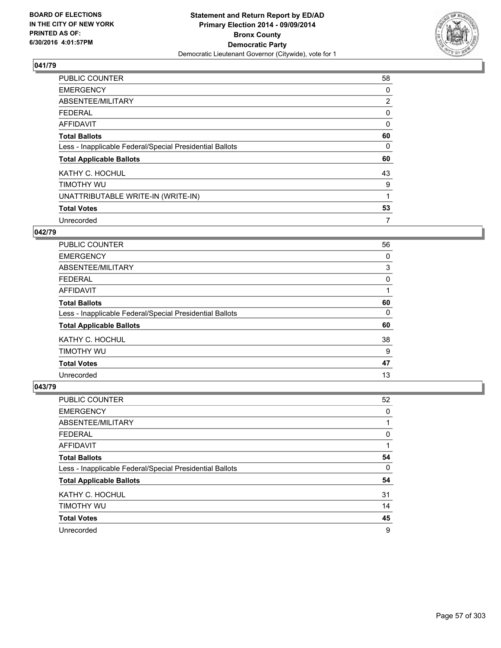

| <b>PUBLIC COUNTER</b>                                    | 58             |
|----------------------------------------------------------|----------------|
| <b>EMERGENCY</b>                                         | 0              |
| ABSENTEE/MILITARY                                        | $\overline{2}$ |
| <b>FEDERAL</b>                                           | 0              |
| AFFIDAVIT                                                | 0              |
| <b>Total Ballots</b>                                     | 60             |
| Less - Inapplicable Federal/Special Presidential Ballots | 0              |
| <b>Total Applicable Ballots</b>                          | 60             |
| KATHY C. HOCHUL                                          | 43             |
| TIMOTHY WU                                               | 9              |
| UNATTRIBUTABLE WRITE-IN (WRITE-IN)                       | 1              |
| <b>Total Votes</b>                                       | 53             |
| Unrecorded                                               | 7              |

#### **042/79**

| <b>PUBLIC COUNTER</b>                                    | 56 |
|----------------------------------------------------------|----|
| <b>EMERGENCY</b>                                         | 0  |
| ABSENTEE/MILITARY                                        | 3  |
| FEDERAL                                                  | 0  |
| AFFIDAVIT                                                |    |
| <b>Total Ballots</b>                                     | 60 |
| Less - Inapplicable Federal/Special Presidential Ballots | 0  |
| <b>Total Applicable Ballots</b>                          | 60 |
| KATHY C. HOCHUL                                          | 38 |
| TIMOTHY WU                                               | 9  |
| <b>Total Votes</b>                                       | 47 |
| Unrecorded                                               | 13 |

| PUBLIC COUNTER                                           | 52 |
|----------------------------------------------------------|----|
| <b>EMERGENCY</b>                                         | 0  |
| ABSENTEE/MILITARY                                        |    |
| <b>FEDERAL</b>                                           | 0  |
| AFFIDAVIT                                                |    |
| <b>Total Ballots</b>                                     | 54 |
| Less - Inapplicable Federal/Special Presidential Ballots | 0  |
| <b>Total Applicable Ballots</b>                          | 54 |
| KATHY C. HOCHUL                                          | 31 |
| TIMOTHY WU                                               | 14 |
| <b>Total Votes</b>                                       | 45 |
| Unrecorded                                               | 9  |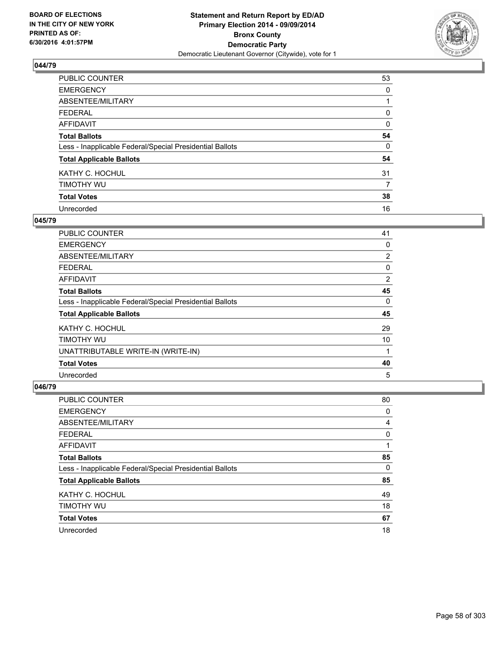

| PUBLIC COUNTER                                           | 53       |
|----------------------------------------------------------|----------|
| <b>EMERGENCY</b>                                         | 0        |
| ABSENTEE/MILITARY                                        |          |
| <b>FEDERAL</b>                                           | 0        |
| <b>AFFIDAVIT</b>                                         | $\Omega$ |
| <b>Total Ballots</b>                                     | 54       |
| Less - Inapplicable Federal/Special Presidential Ballots | 0        |
| <b>Total Applicable Ballots</b>                          | 54       |
| KATHY C. HOCHUL                                          | 31       |
| TIMOTHY WU                                               | 7        |
| <b>Total Votes</b>                                       | 38       |
| Unrecorded                                               | 16       |

#### **045/79**

| PUBLIC COUNTER                                           | 41             |
|----------------------------------------------------------|----------------|
| <b>EMERGENCY</b>                                         | 0              |
| ABSENTEE/MILITARY                                        | $\overline{2}$ |
| <b>FEDERAL</b>                                           | 0              |
| AFFIDAVIT                                                | $\overline{2}$ |
| <b>Total Ballots</b>                                     | 45             |
| Less - Inapplicable Federal/Special Presidential Ballots | 0              |
| <b>Total Applicable Ballots</b>                          | 45             |
| KATHY C. HOCHUL                                          | 29             |
| TIMOTHY WU                                               | 10             |
| UNATTRIBUTABLE WRITE-IN (WRITE-IN)                       | 1              |
| <b>Total Votes</b>                                       | 40             |
| Unrecorded                                               | 5              |

| <b>PUBLIC COUNTER</b>                                    | 80 |
|----------------------------------------------------------|----|
| <b>EMERGENCY</b>                                         | 0  |
| ABSENTEE/MILITARY                                        | 4  |
| <b>FEDERAL</b>                                           | 0  |
| AFFIDAVIT                                                | 1  |
| <b>Total Ballots</b>                                     | 85 |
| Less - Inapplicable Federal/Special Presidential Ballots | 0  |
| <b>Total Applicable Ballots</b>                          | 85 |
| KATHY C. HOCHUL                                          | 49 |
| TIMOTHY WU                                               | 18 |
| <b>Total Votes</b>                                       | 67 |
| Unrecorded                                               | 18 |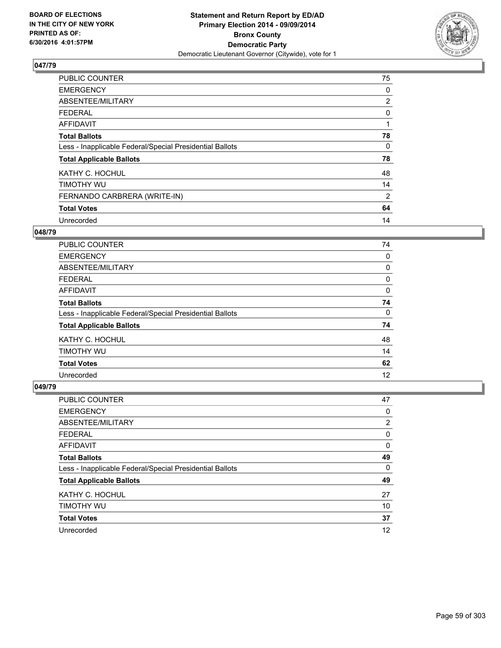

| <b>PUBLIC COUNTER</b>                                    | 75             |
|----------------------------------------------------------|----------------|
| <b>EMERGENCY</b>                                         | 0              |
| ABSENTEE/MILITARY                                        | $\overline{2}$ |
| <b>FEDERAL</b>                                           | 0              |
| AFFIDAVIT                                                |                |
| <b>Total Ballots</b>                                     | 78             |
| Less - Inapplicable Federal/Special Presidential Ballots | 0              |
| <b>Total Applicable Ballots</b>                          | 78             |
| KATHY C. HOCHUL                                          | 48             |
| TIMOTHY WU                                               | 14             |
| FERNANDO CARBRERA (WRITE-IN)                             | $\overline{2}$ |
| <b>Total Votes</b>                                       | 64             |
| Unrecorded                                               | 14             |

# **048/79**

| <b>PUBLIC COUNTER</b>                                    | 74 |
|----------------------------------------------------------|----|
| <b>EMERGENCY</b>                                         | 0  |
| ABSENTEE/MILITARY                                        | 0  |
| <b>FEDERAL</b>                                           | 0  |
| <b>AFFIDAVIT</b>                                         | 0  |
| <b>Total Ballots</b>                                     | 74 |
| Less - Inapplicable Federal/Special Presidential Ballots | 0  |
| <b>Total Applicable Ballots</b>                          | 74 |
| KATHY C. HOCHUL                                          | 48 |
| TIMOTHY WU                                               | 14 |
| <b>Total Votes</b>                                       | 62 |
| Unrecorded                                               | 12 |

| <b>PUBLIC COUNTER</b>                                    | 47 |
|----------------------------------------------------------|----|
| <b>EMERGENCY</b>                                         | 0  |
| ABSENTEE/MILITARY                                        | 2  |
| <b>FEDERAL</b>                                           | 0  |
| AFFIDAVIT                                                | 0  |
| <b>Total Ballots</b>                                     | 49 |
| Less - Inapplicable Federal/Special Presidential Ballots | 0  |
| <b>Total Applicable Ballots</b>                          | 49 |
| KATHY C. HOCHUL                                          | 27 |
| TIMOTHY WU                                               | 10 |
| <b>Total Votes</b>                                       | 37 |
| Unrecorded                                               | 12 |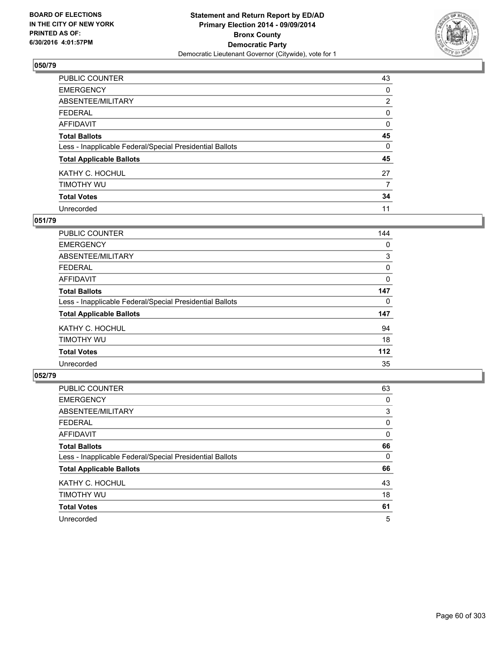

| <b>PUBLIC COUNTER</b>                                    | 43             |
|----------------------------------------------------------|----------------|
| <b>EMERGENCY</b>                                         | 0              |
| ABSENTEE/MILITARY                                        | $\overline{2}$ |
| <b>FEDERAL</b>                                           | 0              |
| <b>AFFIDAVIT</b>                                         | 0              |
| <b>Total Ballots</b>                                     | 45             |
| Less - Inapplicable Federal/Special Presidential Ballots | 0              |
| <b>Total Applicable Ballots</b>                          | 45             |
| KATHY C. HOCHUL                                          | 27             |
| TIMOTHY WU                                               | 7              |
| <b>Total Votes</b>                                       | 34             |
| Unrecorded                                               | 11             |

#### **051/79**

| <b>PUBLIC COUNTER</b>                                    | 144 |
|----------------------------------------------------------|-----|
| <b>EMERGENCY</b>                                         | 0   |
| ABSENTEE/MILITARY                                        | 3   |
| FEDERAL                                                  | 0   |
| AFFIDAVIT                                                | 0   |
| <b>Total Ballots</b>                                     | 147 |
| Less - Inapplicable Federal/Special Presidential Ballots | 0   |
| <b>Total Applicable Ballots</b>                          | 147 |
| KATHY C. HOCHUL                                          | 94  |
| TIMOTHY WU                                               | 18  |
| <b>Total Votes</b>                                       | 112 |
| Unrecorded                                               | 35  |
|                                                          |     |

| <b>PUBLIC COUNTER</b>                                    | 63 |
|----------------------------------------------------------|----|
| <b>EMERGENCY</b>                                         | 0  |
| ABSENTEE/MILITARY                                        | 3  |
| <b>FEDERAL</b>                                           | 0  |
| AFFIDAVIT                                                | 0  |
| <b>Total Ballots</b>                                     | 66 |
| Less - Inapplicable Federal/Special Presidential Ballots | 0  |
| <b>Total Applicable Ballots</b>                          | 66 |
| KATHY C. HOCHUL                                          | 43 |
| TIMOTHY WU                                               | 18 |
| <b>Total Votes</b>                                       | 61 |
| Unrecorded                                               | 5  |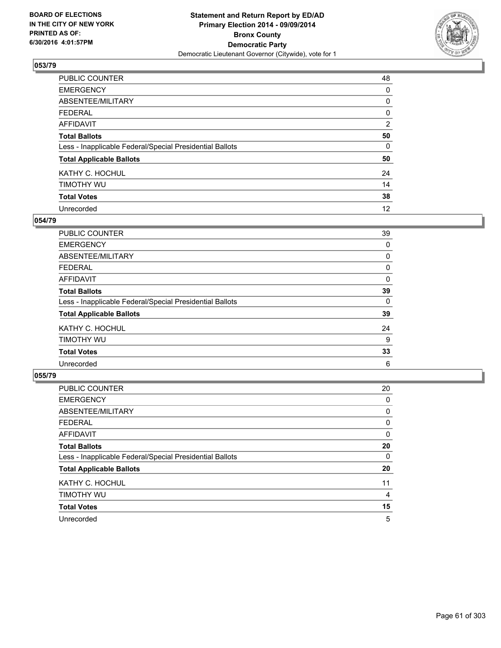

| PUBLIC COUNTER                                           | 48 |
|----------------------------------------------------------|----|
| <b>EMERGENCY</b>                                         | 0  |
| ABSENTEE/MILITARY                                        | 0  |
| <b>FEDERAL</b>                                           | 0  |
| <b>AFFIDAVIT</b>                                         | 2  |
| <b>Total Ballots</b>                                     | 50 |
| Less - Inapplicable Federal/Special Presidential Ballots | 0  |
| <b>Total Applicable Ballots</b>                          | 50 |
| KATHY C. HOCHUL                                          | 24 |
| TIMOTHY WU                                               | 14 |
| <b>Total Votes</b>                                       | 38 |
| Unrecorded                                               | 12 |

#### **054/79**

| PUBLIC COUNTER                                           | 39 |
|----------------------------------------------------------|----|
| <b>EMERGENCY</b>                                         | 0  |
| ABSENTEE/MILITARY                                        | 0  |
| <b>FEDERAL</b>                                           | 0  |
| <b>AFFIDAVIT</b>                                         | 0  |
| <b>Total Ballots</b>                                     | 39 |
| Less - Inapplicable Federal/Special Presidential Ballots | 0  |
| <b>Total Applicable Ballots</b>                          | 39 |
| KATHY C. HOCHUL                                          | 24 |
| TIMOTHY WU                                               | 9  |
| <b>Total Votes</b>                                       | 33 |
| Unrecorded                                               | 6  |

| <b>PUBLIC COUNTER</b>                                    | 20 |
|----------------------------------------------------------|----|
| <b>EMERGENCY</b>                                         | 0  |
| ABSENTEE/MILITARY                                        | 0  |
| <b>FEDERAL</b>                                           | 0  |
| AFFIDAVIT                                                | 0  |
| <b>Total Ballots</b>                                     | 20 |
| Less - Inapplicable Federal/Special Presidential Ballots | 0  |
| <b>Total Applicable Ballots</b>                          | 20 |
| KATHY C. HOCHUL                                          | 11 |
| TIMOTHY WU                                               | 4  |
| <b>Total Votes</b>                                       | 15 |
| Unrecorded                                               | 5  |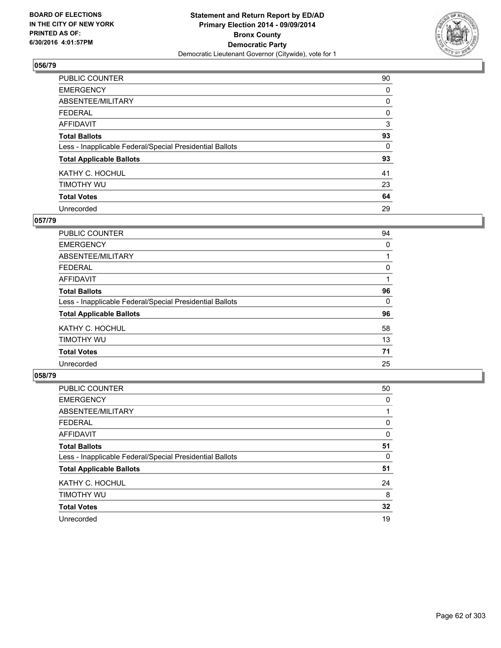

| PUBLIC COUNTER                                           | 90 |
|----------------------------------------------------------|----|
| <b>EMERGENCY</b>                                         | 0  |
| ABSENTEE/MILITARY                                        | 0  |
| <b>FEDERAL</b>                                           | 0  |
| <b>AFFIDAVIT</b>                                         | 3  |
| <b>Total Ballots</b>                                     | 93 |
| Less - Inapplicable Federal/Special Presidential Ballots | 0  |
| <b>Total Applicable Ballots</b>                          | 93 |
| KATHY C. HOCHUL                                          | 41 |
| TIMOTHY WU                                               | 23 |
| <b>Total Votes</b>                                       | 64 |
| Unrecorded                                               | 29 |

#### **057/79**

| PUBLIC COUNTER                                           | 94 |
|----------------------------------------------------------|----|
| <b>EMERGENCY</b>                                         | 0  |
| ABSENTEE/MILITARY                                        |    |
| <b>FEDERAL</b>                                           | 0  |
| <b>AFFIDAVIT</b>                                         |    |
| <b>Total Ballots</b>                                     | 96 |
| Less - Inapplicable Federal/Special Presidential Ballots | 0  |
| <b>Total Applicable Ballots</b>                          | 96 |
| KATHY C. HOCHUL                                          | 58 |
| TIMOTHY WU                                               | 13 |
| <b>Total Votes</b>                                       | 71 |
| Unrecorded                                               | 25 |

| <b>PUBLIC COUNTER</b>                                    | 50 |
|----------------------------------------------------------|----|
| <b>EMERGENCY</b>                                         | 0  |
| ABSENTEE/MILITARY                                        |    |
| <b>FEDERAL</b>                                           | 0  |
| AFFIDAVIT                                                | 0  |
| <b>Total Ballots</b>                                     | 51 |
| Less - Inapplicable Federal/Special Presidential Ballots | 0  |
| <b>Total Applicable Ballots</b>                          | 51 |
| KATHY C. HOCHUL                                          | 24 |
| TIMOTHY WU                                               | 8  |
| <b>Total Votes</b>                                       | 32 |
| Unrecorded                                               | 19 |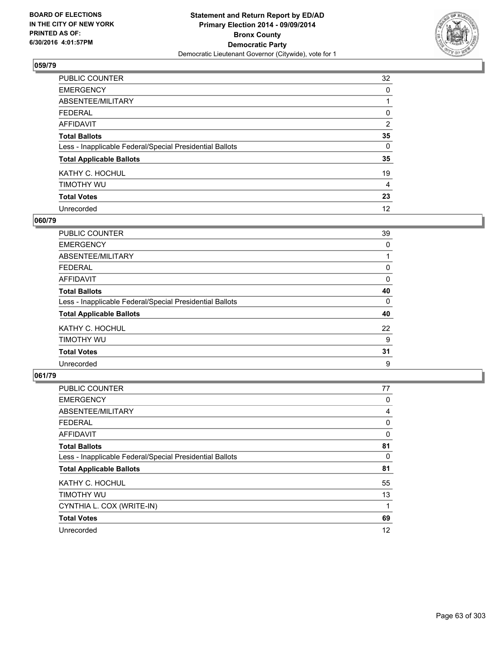

| PUBLIC COUNTER                                           | 32       |
|----------------------------------------------------------|----------|
| <b>EMERGENCY</b>                                         | 0        |
| ABSENTEE/MILITARY                                        |          |
| <b>FEDERAL</b>                                           | 0        |
| <b>AFFIDAVIT</b>                                         | 2        |
| <b>Total Ballots</b>                                     | 35       |
| Less - Inapplicable Federal/Special Presidential Ballots | $\Omega$ |
| <b>Total Applicable Ballots</b>                          | 35       |
| KATHY C. HOCHUL                                          | 19       |
| TIMOTHY WU                                               | 4        |
| <b>Total Votes</b>                                       | 23       |
| Unrecorded                                               | 12       |

#### **060/79**

| PUBLIC COUNTER                                           | 39 |
|----------------------------------------------------------|----|
| <b>EMERGENCY</b>                                         | 0  |
| ABSENTEE/MILITARY                                        |    |
| <b>FEDERAL</b>                                           | 0  |
| <b>AFFIDAVIT</b>                                         | 0  |
| <b>Total Ballots</b>                                     | 40 |
| Less - Inapplicable Federal/Special Presidential Ballots | 0  |
| <b>Total Applicable Ballots</b>                          | 40 |
| KATHY C. HOCHUL                                          | 22 |
| TIMOTHY WU                                               | 9  |
| <b>Total Votes</b>                                       | 31 |
| Unrecorded                                               | 9  |

| <b>PUBLIC COUNTER</b>                                    | 77 |
|----------------------------------------------------------|----|
| <b>EMERGENCY</b>                                         | 0  |
| ABSENTEE/MILITARY                                        | 4  |
| <b>FEDERAL</b>                                           | 0  |
| <b>AFFIDAVIT</b>                                         | 0  |
| <b>Total Ballots</b>                                     | 81 |
| Less - Inapplicable Federal/Special Presidential Ballots | 0  |
| <b>Total Applicable Ballots</b>                          | 81 |
| KATHY C. HOCHUL                                          | 55 |
| TIMOTHY WU                                               | 13 |
| CYNTHIA L. COX (WRITE-IN)                                |    |
| <b>Total Votes</b>                                       | 69 |
| Unrecorded                                               | 12 |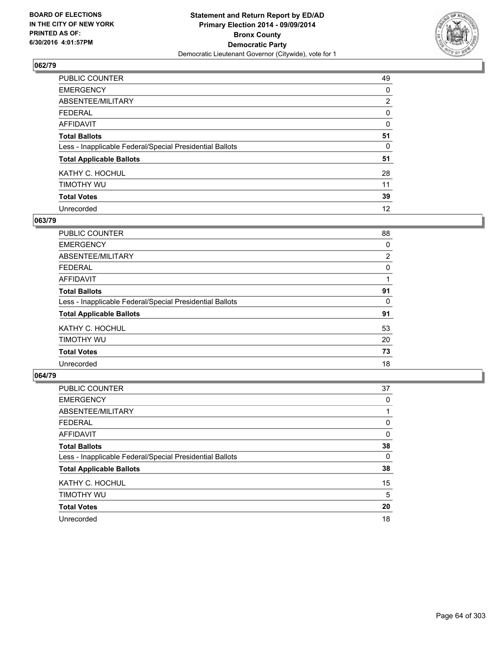

| <b>PUBLIC COUNTER</b>                                    | 49             |
|----------------------------------------------------------|----------------|
| <b>EMERGENCY</b>                                         | 0              |
| ABSENTEE/MILITARY                                        | $\overline{2}$ |
| <b>FEDERAL</b>                                           | 0              |
| <b>AFFIDAVIT</b>                                         | 0              |
| <b>Total Ballots</b>                                     | 51             |
| Less - Inapplicable Federal/Special Presidential Ballots | 0              |
| <b>Total Applicable Ballots</b>                          | 51             |
| KATHY C. HOCHUL                                          | 28             |
| TIMOTHY WU                                               | 11             |
| <b>Total Votes</b>                                       | 39             |
| Unrecorded                                               | 12             |

#### **063/79**

| PUBLIC COUNTER                                           | 88             |
|----------------------------------------------------------|----------------|
| <b>EMERGENCY</b>                                         | 0              |
| ABSENTEE/MILITARY                                        | $\overline{2}$ |
| <b>FEDERAL</b>                                           | 0              |
| <b>AFFIDAVIT</b>                                         |                |
| <b>Total Ballots</b>                                     | 91             |
| Less - Inapplicable Federal/Special Presidential Ballots | 0              |
| <b>Total Applicable Ballots</b>                          | 91             |
| KATHY C. HOCHUL                                          | 53             |
| TIMOTHY WU                                               | 20             |
| <b>Total Votes</b>                                       | 73             |
| Unrecorded                                               | 18             |

| <b>PUBLIC COUNTER</b>                                    | 37 |
|----------------------------------------------------------|----|
| <b>EMERGENCY</b>                                         | 0  |
| ABSENTEE/MILITARY                                        |    |
| <b>FEDERAL</b>                                           | 0  |
| AFFIDAVIT                                                | 0  |
| <b>Total Ballots</b>                                     | 38 |
| Less - Inapplicable Federal/Special Presidential Ballots | 0  |
| <b>Total Applicable Ballots</b>                          | 38 |
| KATHY C. HOCHUL                                          | 15 |
| TIMOTHY WU                                               | 5  |
| <b>Total Votes</b>                                       | 20 |
| Unrecorded                                               | 18 |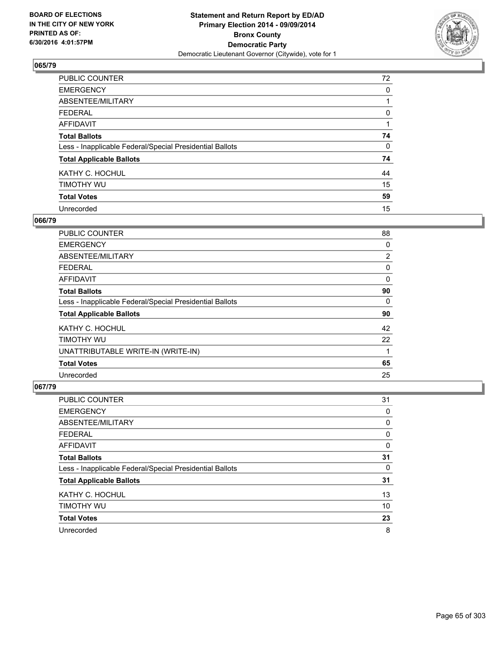

| <b>PUBLIC COUNTER</b>                                    | 72 |
|----------------------------------------------------------|----|
| <b>EMERGENCY</b>                                         | 0  |
| ABSENTEE/MILITARY                                        |    |
| <b>FEDERAL</b>                                           | 0  |
| <b>AFFIDAVIT</b>                                         |    |
| <b>Total Ballots</b>                                     | 74 |
| Less - Inapplicable Federal/Special Presidential Ballots | 0  |
| <b>Total Applicable Ballots</b>                          | 74 |
| KATHY C. HOCHUL                                          | 44 |
| TIMOTHY WU                                               | 15 |
| <b>Total Votes</b>                                       | 59 |
| Unrecorded                                               | 15 |

#### **066/79**

| PUBLIC COUNTER                                           | 88             |
|----------------------------------------------------------|----------------|
| <b>EMERGENCY</b>                                         | 0              |
| ABSENTEE/MILITARY                                        | $\overline{2}$ |
| <b>FEDERAL</b>                                           | 0              |
| AFFIDAVIT                                                | 0              |
| <b>Total Ballots</b>                                     | 90             |
| Less - Inapplicable Federal/Special Presidential Ballots | 0              |
| <b>Total Applicable Ballots</b>                          | 90             |
| KATHY C. HOCHUL                                          | 42             |
| TIMOTHY WU                                               | 22             |
| UNATTRIBUTABLE WRITE-IN (WRITE-IN)                       | 1              |
| <b>Total Votes</b>                                       | 65             |
| Unrecorded                                               | 25             |

| PUBLIC COUNTER                                           | 31 |
|----------------------------------------------------------|----|
| <b>EMERGENCY</b>                                         | 0  |
| ABSENTEE/MILITARY                                        | 0  |
| <b>FEDERAL</b>                                           | 0  |
| AFFIDAVIT                                                | 0  |
| <b>Total Ballots</b>                                     | 31 |
| Less - Inapplicable Federal/Special Presidential Ballots | 0  |
| <b>Total Applicable Ballots</b>                          | 31 |
| KATHY C. HOCHUL                                          | 13 |
| TIMOTHY WU                                               | 10 |
| <b>Total Votes</b>                                       | 23 |
| Unrecorded                                               | 8  |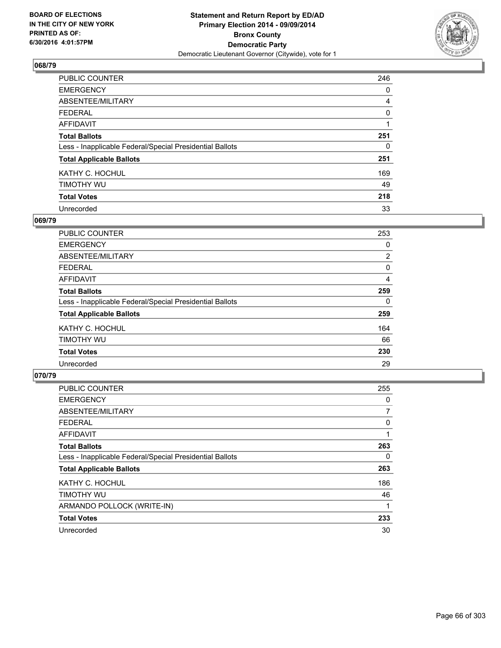

| <b>PUBLIC COUNTER</b>                                    | 246 |
|----------------------------------------------------------|-----|
| <b>EMERGENCY</b>                                         | 0   |
| ABSENTEE/MILITARY                                        | 4   |
| <b>FEDERAL</b>                                           | 0   |
| <b>AFFIDAVIT</b>                                         |     |
| <b>Total Ballots</b>                                     | 251 |
| Less - Inapplicable Federal/Special Presidential Ballots | 0   |
| <b>Total Applicable Ballots</b>                          | 251 |
| KATHY C. HOCHUL                                          | 169 |
| TIMOTHY WU                                               | 49  |
| <b>Total Votes</b>                                       | 218 |
| Unrecorded                                               | 33  |

#### **069/79**

| <b>PUBLIC COUNTER</b>                                    | 253            |
|----------------------------------------------------------|----------------|
| <b>EMERGENCY</b>                                         | 0              |
| ABSENTEE/MILITARY                                        | $\overline{2}$ |
| <b>FEDERAL</b>                                           | 0              |
| AFFIDAVIT                                                | 4              |
| <b>Total Ballots</b>                                     | 259            |
| Less - Inapplicable Federal/Special Presidential Ballots | 0              |
| <b>Total Applicable Ballots</b>                          | 259            |
| KATHY C. HOCHUL                                          | 164            |
| TIMOTHY WU                                               | 66             |
| <b>Total Votes</b>                                       | 230            |
| Unrecorded                                               | 29             |

| <b>PUBLIC COUNTER</b>                                    | 255 |
|----------------------------------------------------------|-----|
| <b>EMERGENCY</b>                                         | 0   |
| ABSENTEE/MILITARY                                        | 7   |
| <b>FEDERAL</b>                                           | 0   |
| <b>AFFIDAVIT</b>                                         | 1   |
| <b>Total Ballots</b>                                     | 263 |
| Less - Inapplicable Federal/Special Presidential Ballots | 0   |
| <b>Total Applicable Ballots</b>                          | 263 |
| KATHY C. HOCHUL                                          | 186 |
| TIMOTHY WU                                               | 46  |
| ARMANDO POLLOCK (WRITE-IN)                               | 1   |
| <b>Total Votes</b>                                       | 233 |
| Unrecorded                                               | 30  |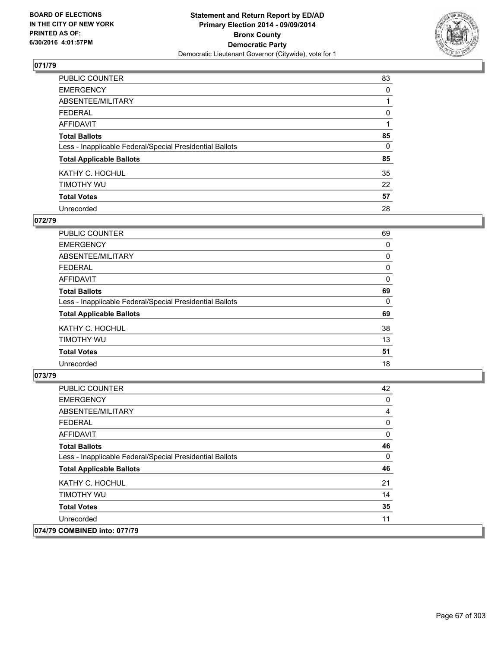

| PUBLIC COUNTER                                           | 83       |
|----------------------------------------------------------|----------|
| <b>EMERGENCY</b>                                         | 0        |
| ABSENTEE/MILITARY                                        |          |
| <b>FEDERAL</b>                                           | 0        |
| <b>AFFIDAVIT</b>                                         |          |
| <b>Total Ballots</b>                                     | 85       |
| Less - Inapplicable Federal/Special Presidential Ballots | $\Omega$ |
| <b>Total Applicable Ballots</b>                          | 85       |
| KATHY C. HOCHUL                                          | 35       |
| TIMOTHY WU                                               | 22       |
| <b>Total Votes</b>                                       | 57       |
| Unrecorded                                               | 28       |

#### **072/79**

| PUBLIC COUNTER                                           | 69 |
|----------------------------------------------------------|----|
| <b>EMERGENCY</b>                                         | 0  |
| ABSENTEE/MILITARY                                        | 0  |
| <b>FEDERAL</b>                                           | 0  |
| <b>AFFIDAVIT</b>                                         | 0  |
| <b>Total Ballots</b>                                     | 69 |
| Less - Inapplicable Federal/Special Presidential Ballots | 0  |
| <b>Total Applicable Ballots</b>                          | 69 |
| KATHY C. HOCHUL                                          | 38 |
| TIMOTHY WU                                               | 13 |
| <b>Total Votes</b>                                       | 51 |
| Unrecorded                                               | 18 |
|                                                          |    |

| <b>PUBLIC COUNTER</b>                                    | 42 |
|----------------------------------------------------------|----|
| <b>EMERGENCY</b>                                         | 0  |
| ABSENTEE/MILITARY                                        | 4  |
| <b>FEDERAL</b>                                           | 0  |
| AFFIDAVIT                                                | 0  |
| <b>Total Ballots</b>                                     | 46 |
| Less - Inapplicable Federal/Special Presidential Ballots | 0  |
| <b>Total Applicable Ballots</b>                          | 46 |
| KATHY C. HOCHUL                                          | 21 |
| TIMOTHY WU                                               | 14 |
| <b>Total Votes</b>                                       | 35 |
| Unrecorded                                               | 11 |
| 074/79 COMBINED into: 077/79                             |    |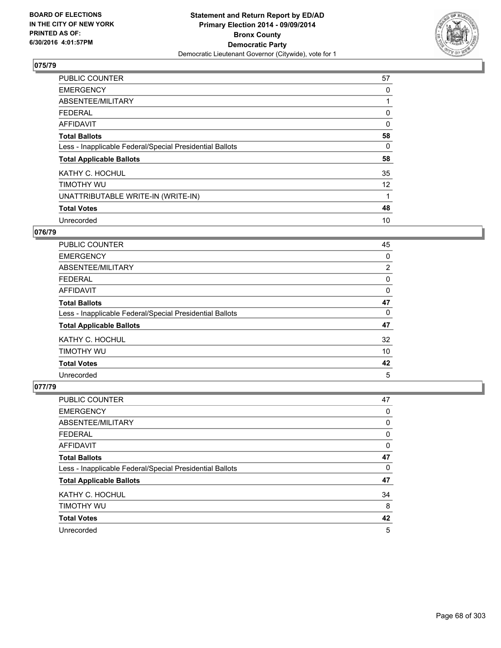

| <b>PUBLIC COUNTER</b>                                    | 57 |
|----------------------------------------------------------|----|
| <b>EMERGENCY</b>                                         | 0  |
| ABSENTEE/MILITARY                                        |    |
| <b>FEDERAL</b>                                           | 0  |
| AFFIDAVIT                                                | 0  |
| <b>Total Ballots</b>                                     | 58 |
| Less - Inapplicable Federal/Special Presidential Ballots | 0  |
| <b>Total Applicable Ballots</b>                          | 58 |
| KATHY C. HOCHUL                                          | 35 |
| TIMOTHY WU                                               | 12 |
| UNATTRIBUTABLE WRITE-IN (WRITE-IN)                       |    |
| <b>Total Votes</b>                                       | 48 |
| Unrecorded                                               | 10 |

### **076/79**

| PUBLIC COUNTER                                           | 45             |
|----------------------------------------------------------|----------------|
| <b>EMERGENCY</b>                                         | 0              |
| ABSENTEE/MILITARY                                        | $\overline{2}$ |
| <b>FEDERAL</b>                                           | 0              |
| <b>AFFIDAVIT</b>                                         | 0              |
| <b>Total Ballots</b>                                     | 47             |
| Less - Inapplicable Federal/Special Presidential Ballots | 0              |
| <b>Total Applicable Ballots</b>                          | 47             |
| KATHY C. HOCHUL                                          | 32             |
| TIMOTHY WU                                               | 10             |
| <b>Total Votes</b>                                       | 42             |
| Unrecorded                                               | 5              |

| <b>PUBLIC COUNTER</b>                                    | 47 |
|----------------------------------------------------------|----|
| <b>EMERGENCY</b>                                         | 0  |
| ABSENTEE/MILITARY                                        | 0  |
| <b>FEDERAL</b>                                           | 0  |
| <b>AFFIDAVIT</b>                                         | 0  |
| <b>Total Ballots</b>                                     | 47 |
| Less - Inapplicable Federal/Special Presidential Ballots | 0  |
| <b>Total Applicable Ballots</b>                          | 47 |
| KATHY C. HOCHUL                                          | 34 |
| TIMOTHY WU                                               | 8  |
| <b>Total Votes</b>                                       | 42 |
| Unrecorded                                               | 5  |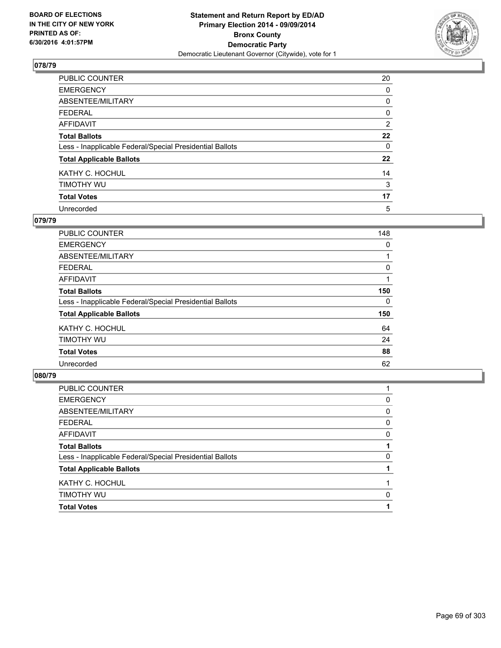

| PUBLIC COUNTER                                           | 20 |
|----------------------------------------------------------|----|
| <b>EMERGENCY</b>                                         | 0  |
| ABSENTEE/MILITARY                                        | 0  |
| <b>FEDERAL</b>                                           | 0  |
| <b>AFFIDAVIT</b>                                         | 2  |
| <b>Total Ballots</b>                                     | 22 |
| Less - Inapplicable Federal/Special Presidential Ballots | 0  |
| <b>Total Applicable Ballots</b>                          | 22 |
| KATHY C. HOCHUL                                          | 14 |
| TIMOTHY WU                                               | 3  |
| <b>Total Votes</b>                                       | 17 |
| Unrecorded                                               | 5  |

#### **079/79**

| PUBLIC COUNTER                                           | 148 |
|----------------------------------------------------------|-----|
| <b>EMERGENCY</b>                                         | 0   |
| ABSENTEE/MILITARY                                        |     |
| <b>FEDERAL</b>                                           | 0   |
| <b>AFFIDAVIT</b>                                         |     |
| <b>Total Ballots</b>                                     | 150 |
| Less - Inapplicable Federal/Special Presidential Ballots | 0   |
| <b>Total Applicable Ballots</b>                          | 150 |
| KATHY C. HOCHUL                                          | 64  |
| TIMOTHY WU                                               | 24  |
| <b>Total Votes</b>                                       | 88  |
| Unrecorded                                               | 62  |
|                                                          |     |

| <b>Total Votes</b>                                       |   |
|----------------------------------------------------------|---|
| <b>TIMOTHY WU</b>                                        | 0 |
| KATHY C. HOCHUL                                          |   |
| <b>Total Applicable Ballots</b>                          |   |
| Less - Inapplicable Federal/Special Presidential Ballots | 0 |
| <b>Total Ballots</b>                                     |   |
| <b>AFFIDAVIT</b>                                         | 0 |
| <b>FEDERAL</b>                                           | 0 |
| ABSENTEE/MILITARY                                        | 0 |
| <b>EMERGENCY</b>                                         | 0 |
| <b>PUBLIC COUNTER</b>                                    |   |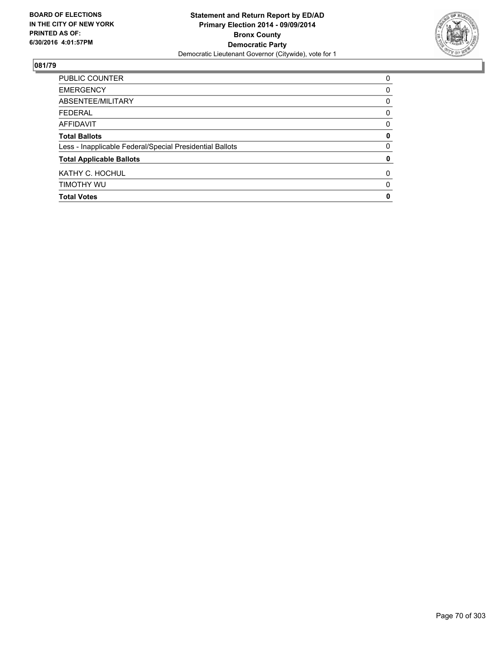

| <b>Total Votes</b>                                       | 0 |
|----------------------------------------------------------|---|
| TIMOTHY WU                                               | 0 |
| KATHY C. HOCHUL                                          | 0 |
| <b>Total Applicable Ballots</b>                          | 0 |
| Less - Inapplicable Federal/Special Presidential Ballots | 0 |
| <b>Total Ballots</b>                                     | 0 |
| AFFIDAVIT                                                | 0 |
| <b>FEDERAL</b>                                           | 0 |
| ABSENTEE/MILITARY                                        | 0 |
| <b>EMERGENCY</b>                                         | 0 |
| PUBLIC COUNTER                                           | 0 |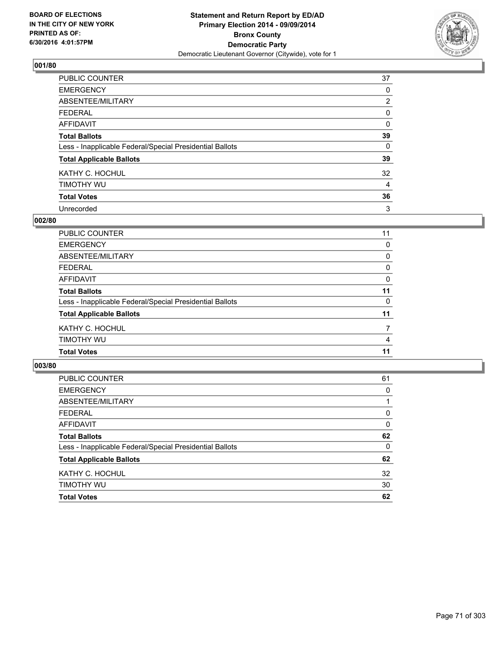

| PUBLIC COUNTER                                           | 37             |
|----------------------------------------------------------|----------------|
| <b>EMERGENCY</b>                                         | 0              |
| ABSENTEE/MILITARY                                        | $\overline{2}$ |
| <b>FEDERAL</b>                                           | 0              |
| <b>AFFIDAVIT</b>                                         | $\Omega$       |
| <b>Total Ballots</b>                                     | 39             |
| Less - Inapplicable Federal/Special Presidential Ballots | 0              |
| <b>Total Applicable Ballots</b>                          | 39             |
| KATHY C. HOCHUL                                          | 32             |
| TIMOTHY WU                                               | 4              |
| <b>Total Votes</b>                                       | 36             |
| Unrecorded                                               | 3              |

#### **002/80**

| <b>PUBLIC COUNTER</b>                                    | 11       |
|----------------------------------------------------------|----------|
| <b>EMERGENCY</b>                                         | $\Omega$ |
| <b>ABSENTEE/MILITARY</b>                                 | 0        |
| <b>FEDERAL</b>                                           | 0        |
| <b>AFFIDAVIT</b>                                         | 0        |
| <b>Total Ballots</b>                                     | 11       |
| Less - Inapplicable Federal/Special Presidential Ballots | $\Omega$ |
| <b>Total Applicable Ballots</b>                          | 11       |
| KATHY C. HOCHUL                                          | 7        |
| TIMOTHY WU                                               | 4        |
| <b>Total Votes</b>                                       | 11       |
|                                                          |          |

| PUBLIC COUNTER                                           | 61 |
|----------------------------------------------------------|----|
| <b>EMERGENCY</b>                                         | 0  |
| ABSENTEE/MILITARY                                        |    |
| <b>FEDERAL</b>                                           | 0  |
| <b>AFFIDAVIT</b>                                         | 0  |
| <b>Total Ballots</b>                                     | 62 |
| Less - Inapplicable Federal/Special Presidential Ballots | 0  |
| <b>Total Applicable Ballots</b>                          | 62 |
| KATHY C. HOCHUL                                          | 32 |
| TIMOTHY WU                                               | 30 |
| <b>Total Votes</b>                                       | 62 |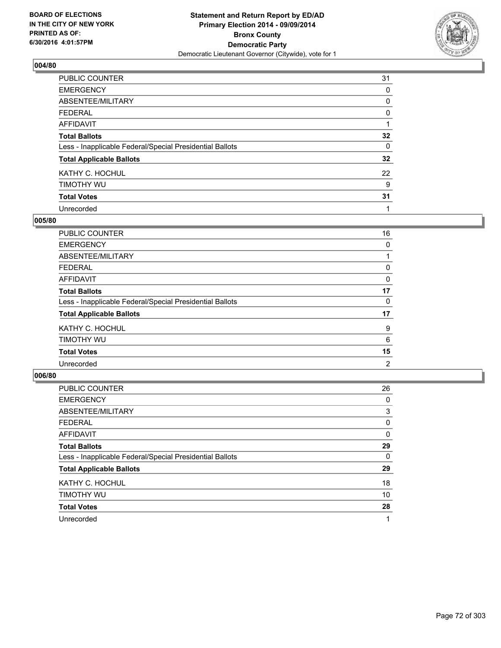

| PUBLIC COUNTER                                           | 31 |
|----------------------------------------------------------|----|
| <b>EMERGENCY</b>                                         | 0  |
| ABSENTEE/MILITARY                                        | 0  |
| <b>FEDERAL</b>                                           | 0  |
| <b>AFFIDAVIT</b>                                         |    |
| <b>Total Ballots</b>                                     | 32 |
| Less - Inapplicable Federal/Special Presidential Ballots | 0  |
| <b>Total Applicable Ballots</b>                          | 32 |
| KATHY C. HOCHUL                                          | 22 |
| TIMOTHY WU                                               | 9  |
| <b>Total Votes</b>                                       | 31 |
| Unrecorded                                               |    |

#### **005/80**

| <b>PUBLIC COUNTER</b>                                    | 16 |
|----------------------------------------------------------|----|
| <b>EMERGENCY</b>                                         | 0  |
| ABSENTEE/MILITARY                                        |    |
| <b>FEDERAL</b>                                           | 0  |
| <b>AFFIDAVIT</b>                                         | 0  |
| <b>Total Ballots</b>                                     | 17 |
| Less - Inapplicable Federal/Special Presidential Ballots | 0  |
| <b>Total Applicable Ballots</b>                          | 17 |
| KATHY C. HOCHUL                                          | 9  |
| TIMOTHY WU                                               | 6  |
| <b>Total Votes</b>                                       | 15 |
| Unrecorded                                               | 2  |

| <b>PUBLIC COUNTER</b>                                    | 26 |
|----------------------------------------------------------|----|
| <b>EMERGENCY</b>                                         | 0  |
| ABSENTEE/MILITARY                                        | 3  |
| <b>FEDERAL</b>                                           | 0  |
| AFFIDAVIT                                                | 0  |
| <b>Total Ballots</b>                                     | 29 |
| Less - Inapplicable Federal/Special Presidential Ballots | 0  |
| <b>Total Applicable Ballots</b>                          | 29 |
| KATHY C. HOCHUL                                          | 18 |
| TIMOTHY WU                                               | 10 |
| <b>Total Votes</b>                                       | 28 |
| Unrecorded                                               |    |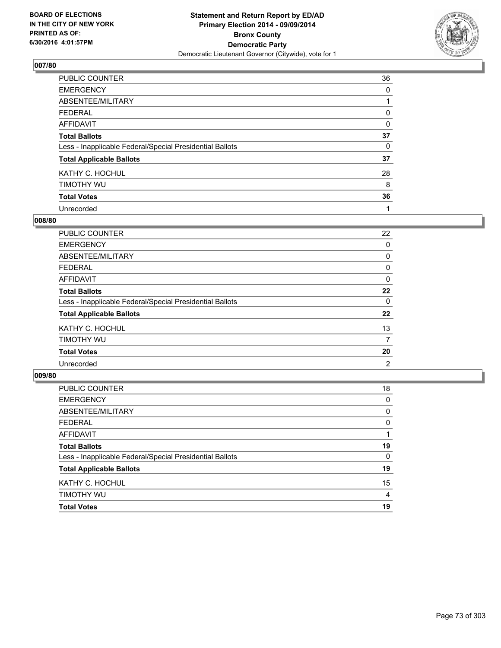

| PUBLIC COUNTER                                           | 36 |
|----------------------------------------------------------|----|
| <b>EMERGENCY</b>                                         | 0  |
| ABSENTEE/MILITARY                                        |    |
| <b>FEDERAL</b>                                           | 0  |
| <b>AFFIDAVIT</b>                                         | 0  |
| <b>Total Ballots</b>                                     | 37 |
| Less - Inapplicable Federal/Special Presidential Ballots | 0  |
| <b>Total Applicable Ballots</b>                          | 37 |
| KATHY C. HOCHUL                                          | 28 |
| TIMOTHY WU                                               | 8  |
| <b>Total Votes</b>                                       | 36 |
| Unrecorded                                               |    |

#### **008/80**

| PUBLIC COUNTER                                           | 22 |
|----------------------------------------------------------|----|
| <b>EMERGENCY</b>                                         | 0  |
| ABSENTEE/MILITARY                                        | 0  |
| <b>FEDERAL</b>                                           | 0  |
| <b>AFFIDAVIT</b>                                         | 0  |
| <b>Total Ballots</b>                                     | 22 |
| Less - Inapplicable Federal/Special Presidential Ballots | 0  |
| <b>Total Applicable Ballots</b>                          | 22 |
| KATHY C. HOCHUL                                          | 13 |
| TIMOTHY WU                                               | 7  |
| <b>Total Votes</b>                                       | 20 |
| Unrecorded                                               | 2  |

| PUBLIC COUNTER                                           | 18 |
|----------------------------------------------------------|----|
| <b>EMERGENCY</b>                                         | 0  |
| ABSENTEE/MILITARY                                        | 0  |
| <b>FEDERAL</b>                                           | 0  |
| <b>AFFIDAVIT</b>                                         |    |
| <b>Total Ballots</b>                                     | 19 |
| Less - Inapplicable Federal/Special Presidential Ballots | 0  |
| <b>Total Applicable Ballots</b>                          | 19 |
| KATHY C. HOCHUL                                          | 15 |
| TIMOTHY WU                                               | 4  |
| <b>Total Votes</b>                                       | 19 |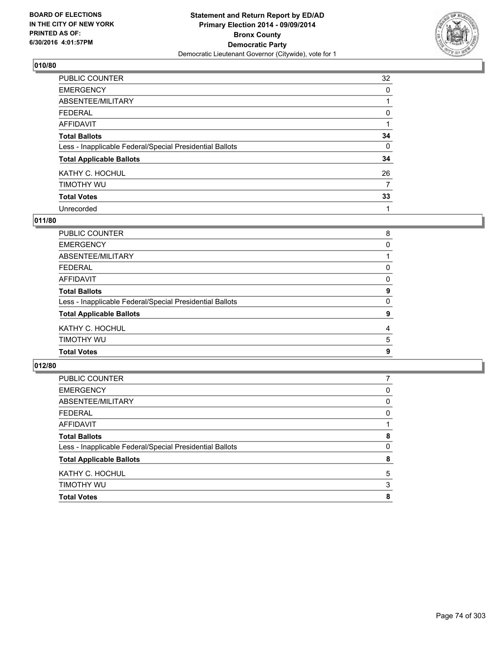

| PUBLIC COUNTER                                           | 32       |
|----------------------------------------------------------|----------|
| <b>EMERGENCY</b>                                         | 0        |
| ABSENTEE/MILITARY                                        |          |
| <b>FEDERAL</b>                                           | 0        |
| <b>AFFIDAVIT</b>                                         |          |
| <b>Total Ballots</b>                                     | 34       |
| Less - Inapplicable Federal/Special Presidential Ballots | $\Omega$ |
| <b>Total Applicable Ballots</b>                          | 34       |
| KATHY C. HOCHUL                                          | 26       |
| TIMOTHY WU                                               | 7        |
| <b>Total Votes</b>                                       | 33       |
| Unrecorded                                               |          |

#### **011/80**

| PUBLIC COUNTER                                           | 8 |
|----------------------------------------------------------|---|
| EMERGENCY                                                | 0 |
| ABSENTEE/MILITARY                                        |   |
| FEDERAL                                                  | 0 |
| AFFIDAVIT                                                | 0 |
| <b>Total Ballots</b>                                     | 9 |
| Less - Inapplicable Federal/Special Presidential Ballots | 0 |
| <b>Total Applicable Ballots</b>                          | 9 |
| KATHY C. HOCHUL                                          | 4 |
| Timothy wu                                               | 5 |
| <b>Total Votes</b>                                       | 9 |
|                                                          |   |

| <b>Total Votes</b>                                       | 8 |
|----------------------------------------------------------|---|
| TIMOTHY WU                                               | 3 |
| KATHY C. HOCHUL                                          | 5 |
| <b>Total Applicable Ballots</b>                          | 8 |
| Less - Inapplicable Federal/Special Presidential Ballots | 0 |
| <b>Total Ballots</b>                                     | 8 |
| <b>AFFIDAVIT</b>                                         |   |
| <b>FEDERAL</b>                                           | 0 |
| ABSENTEE/MILITARY                                        | 0 |
| <b>EMERGENCY</b>                                         | 0 |
| PUBLIC COUNTER                                           |   |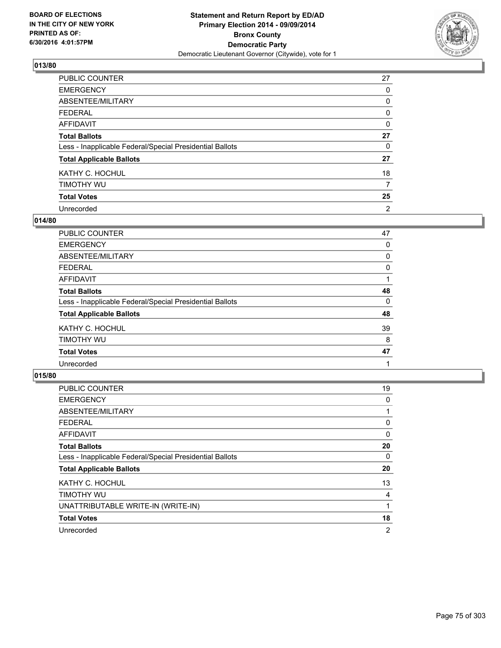

| PUBLIC COUNTER                                           | 27             |
|----------------------------------------------------------|----------------|
| <b>EMERGENCY</b>                                         | 0              |
| ABSENTEE/MILITARY                                        | 0              |
| <b>FEDERAL</b>                                           | 0              |
| <b>AFFIDAVIT</b>                                         | 0              |
| <b>Total Ballots</b>                                     | 27             |
| Less - Inapplicable Federal/Special Presidential Ballots | 0              |
| <b>Total Applicable Ballots</b>                          | 27             |
| KATHY C. HOCHUL                                          | 18             |
| TIMOTHY WU                                               | 7              |
| <b>Total Votes</b>                                       | 25             |
| Unrecorded                                               | $\overline{2}$ |

#### **014/80**

| PUBLIC COUNTER                                           | 47 |
|----------------------------------------------------------|----|
| <b>EMERGENCY</b>                                         | 0  |
| ABSENTEE/MILITARY                                        | 0  |
| <b>FEDERAL</b>                                           | 0  |
| <b>AFFIDAVIT</b>                                         |    |
| <b>Total Ballots</b>                                     | 48 |
| Less - Inapplicable Federal/Special Presidential Ballots | 0  |
| <b>Total Applicable Ballots</b>                          | 48 |
| KATHY C. HOCHUL                                          | 39 |
| TIMOTHY WU                                               | 8  |
| <b>Total Votes</b>                                       | 47 |
| Unrecorded                                               |    |

| <b>PUBLIC COUNTER</b>                                    | 19             |
|----------------------------------------------------------|----------------|
| <b>EMERGENCY</b>                                         | 0              |
| ABSENTEE/MILITARY                                        |                |
| <b>FEDERAL</b>                                           | 0              |
| <b>AFFIDAVIT</b>                                         | 0              |
| <b>Total Ballots</b>                                     | 20             |
| Less - Inapplicable Federal/Special Presidential Ballots | 0              |
| <b>Total Applicable Ballots</b>                          | 20             |
| KATHY C. HOCHUL                                          | 13             |
| TIMOTHY WU                                               | 4              |
| UNATTRIBUTABLE WRITE-IN (WRITE-IN)                       |                |
| <b>Total Votes</b>                                       | 18             |
| Unrecorded                                               | $\overline{2}$ |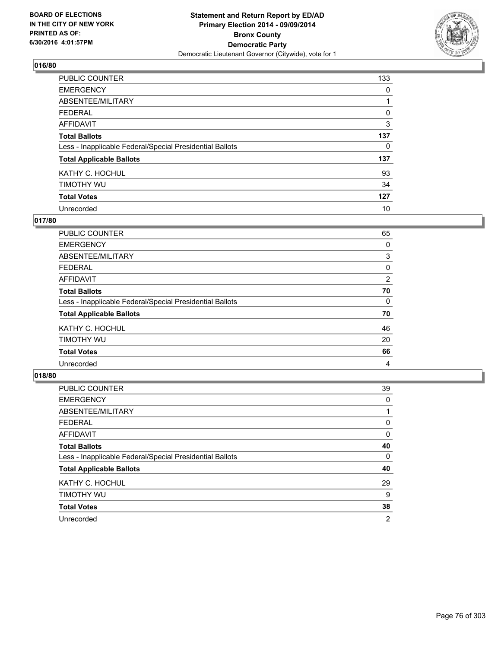

| PUBLIC COUNTER                                           | 133 |
|----------------------------------------------------------|-----|
| <b>EMERGENCY</b>                                         | 0   |
| ABSENTEE/MILITARY                                        |     |
| <b>FEDERAL</b>                                           | 0   |
| <b>AFFIDAVIT</b>                                         | 3   |
| <b>Total Ballots</b>                                     | 137 |
| Less - Inapplicable Federal/Special Presidential Ballots | 0   |
| <b>Total Applicable Ballots</b>                          | 137 |
| KATHY C. HOCHUL                                          | 93  |
| TIMOTHY WU                                               | 34  |
| <b>Total Votes</b>                                       | 127 |
| Unrecorded                                               | 10  |

#### **017/80**

| PUBLIC COUNTER                                           | 65             |
|----------------------------------------------------------|----------------|
| <b>EMERGENCY</b>                                         | 0              |
| ABSENTEE/MILITARY                                        | 3              |
| <b>FEDERAL</b>                                           | 0              |
| <b>AFFIDAVIT</b>                                         | $\overline{2}$ |
| <b>Total Ballots</b>                                     | 70             |
| Less - Inapplicable Federal/Special Presidential Ballots | 0              |
| <b>Total Applicable Ballots</b>                          | 70             |
| KATHY C. HOCHUL                                          | 46             |
| TIMOTHY WU                                               | 20             |
| <b>Total Votes</b>                                       | 66             |
| Unrecorded                                               | 4              |

| PUBLIC COUNTER                                           | 39 |
|----------------------------------------------------------|----|
| <b>EMERGENCY</b>                                         | 0  |
| ABSENTEE/MILITARY                                        |    |
| <b>FEDERAL</b>                                           | 0  |
| <b>AFFIDAVIT</b>                                         | 0  |
| <b>Total Ballots</b>                                     | 40 |
| Less - Inapplicable Federal/Special Presidential Ballots | 0  |
| <b>Total Applicable Ballots</b>                          | 40 |
| KATHY C. HOCHUL                                          | 29 |
| TIMOTHY WU                                               | 9  |
| <b>Total Votes</b>                                       | 38 |
| Unrecorded                                               | 2  |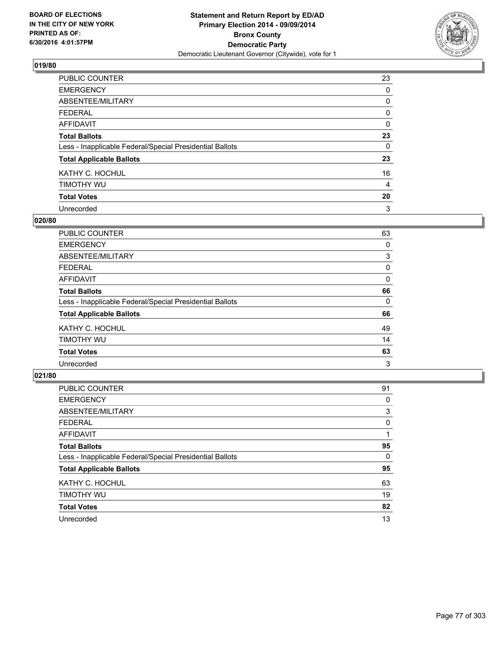

| PUBLIC COUNTER                                           | 23       |
|----------------------------------------------------------|----------|
| <b>EMERGENCY</b>                                         | 0        |
| ABSENTEE/MILITARY                                        | 0        |
| <b>FEDERAL</b>                                           | 0        |
| <b>AFFIDAVIT</b>                                         | $\Omega$ |
| <b>Total Ballots</b>                                     | 23       |
| Less - Inapplicable Federal/Special Presidential Ballots | 0        |
| <b>Total Applicable Ballots</b>                          | 23       |
| KATHY C. HOCHUL                                          | 16       |
| TIMOTHY WU                                               | 4        |
| <b>Total Votes</b>                                       | 20       |
| Unrecorded                                               | 3        |

#### **020/80**

| PUBLIC COUNTER                                           | 63 |
|----------------------------------------------------------|----|
| <b>EMERGENCY</b>                                         | 0  |
| ABSENTEE/MILITARY                                        | 3  |
| <b>FEDERAL</b>                                           | 0  |
| <b>AFFIDAVIT</b>                                         | 0  |
| <b>Total Ballots</b>                                     | 66 |
| Less - Inapplicable Federal/Special Presidential Ballots | 0  |
| <b>Total Applicable Ballots</b>                          | 66 |
| KATHY C. HOCHUL                                          | 49 |
| TIMOTHY WU                                               | 14 |
| <b>Total Votes</b>                                       | 63 |
| Unrecorded                                               | 3  |

| PUBLIC COUNTER                                           | 91 |
|----------------------------------------------------------|----|
| <b>EMERGENCY</b>                                         | 0  |
| ABSENTEE/MILITARY                                        | 3  |
| <b>FEDERAL</b>                                           | 0  |
| <b>AFFIDAVIT</b>                                         |    |
| <b>Total Ballots</b>                                     | 95 |
| Less - Inapplicable Federal/Special Presidential Ballots | 0  |
| <b>Total Applicable Ballots</b>                          | 95 |
| KATHY C. HOCHUL                                          | 63 |
| TIMOTHY WU                                               | 19 |
| <b>Total Votes</b>                                       | 82 |
| Unrecorded                                               | 13 |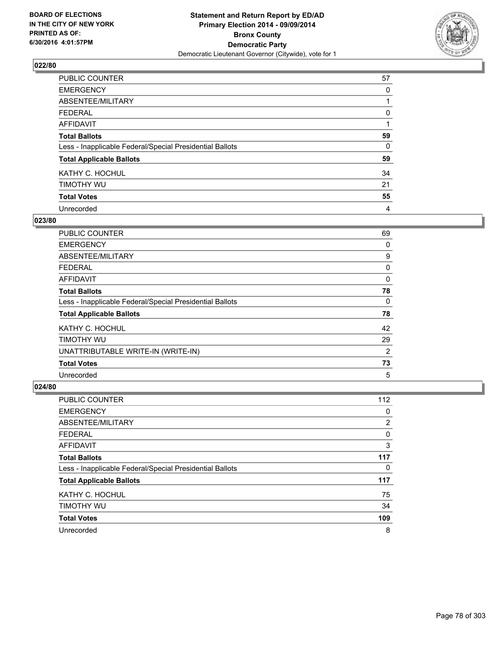

| PUBLIC COUNTER                                           | 57 |
|----------------------------------------------------------|----|
| <b>EMERGENCY</b>                                         | 0  |
| ABSENTEE/MILITARY                                        |    |
| <b>FEDERAL</b>                                           | 0  |
| <b>AFFIDAVIT</b>                                         |    |
| <b>Total Ballots</b>                                     | 59 |
| Less - Inapplicable Federal/Special Presidential Ballots | 0  |
| <b>Total Applicable Ballots</b>                          | 59 |
| KATHY C. HOCHUL                                          | 34 |
| TIMOTHY WU                                               | 21 |
| <b>Total Votes</b>                                       | 55 |
| Unrecorded                                               | 4  |

#### **023/80**

| <b>PUBLIC COUNTER</b>                                    | 69             |
|----------------------------------------------------------|----------------|
| <b>EMERGENCY</b>                                         | 0              |
| ABSENTEE/MILITARY                                        | 9              |
| <b>FEDERAL</b>                                           | 0              |
| AFFIDAVIT                                                | 0              |
| <b>Total Ballots</b>                                     | 78             |
| Less - Inapplicable Federal/Special Presidential Ballots | $\Omega$       |
| <b>Total Applicable Ballots</b>                          | 78             |
| KATHY C. HOCHUL                                          | 42             |
| TIMOTHY WU                                               | 29             |
| UNATTRIBUTABLE WRITE-IN (WRITE-IN)                       | $\overline{2}$ |
| <b>Total Votes</b>                                       | 73             |
| Unrecorded                                               | 5              |

| <b>PUBLIC COUNTER</b>                                    | 112 |
|----------------------------------------------------------|-----|
| <b>EMERGENCY</b>                                         | 0   |
| ABSENTEE/MILITARY                                        | 2   |
| <b>FEDERAL</b>                                           | 0   |
| AFFIDAVIT                                                | 3   |
| <b>Total Ballots</b>                                     | 117 |
| Less - Inapplicable Federal/Special Presidential Ballots | 0   |
| <b>Total Applicable Ballots</b>                          | 117 |
| KATHY C. HOCHUL                                          | 75  |
| TIMOTHY WU                                               | 34  |
| <b>Total Votes</b>                                       | 109 |
| Unrecorded                                               | 8   |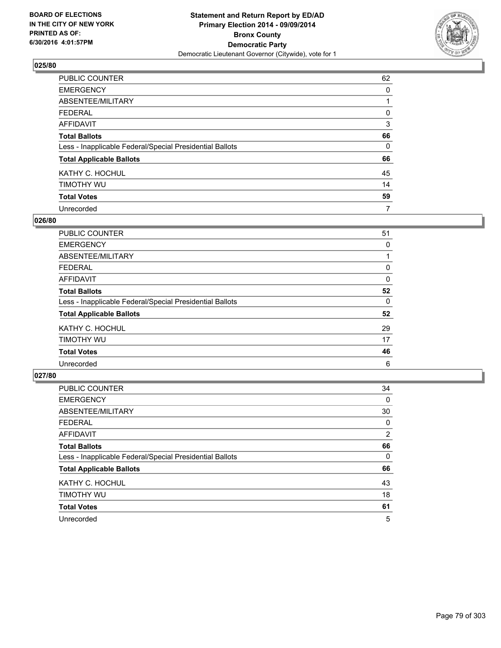

| PUBLIC COUNTER                                           | 62       |
|----------------------------------------------------------|----------|
| <b>EMERGENCY</b>                                         | 0        |
| ABSENTEE/MILITARY                                        |          |
| <b>FEDERAL</b>                                           | 0        |
| <b>AFFIDAVIT</b>                                         | 3        |
| <b>Total Ballots</b>                                     | 66       |
| Less - Inapplicable Federal/Special Presidential Ballots | $\Omega$ |
| <b>Total Applicable Ballots</b>                          | 66       |
| KATHY C. HOCHUL                                          | 45       |
| TIMOTHY WU                                               | 14       |
| <b>Total Votes</b>                                       | 59       |
| Unrecorded                                               | 7        |

#### **026/80**

| PUBLIC COUNTER                                           | 51 |
|----------------------------------------------------------|----|
| <b>EMERGENCY</b>                                         | 0  |
| ABSENTEE/MILITARY                                        |    |
| <b>FEDERAL</b>                                           | 0  |
| <b>AFFIDAVIT</b>                                         | 0  |
| <b>Total Ballots</b>                                     | 52 |
| Less - Inapplicable Federal/Special Presidential Ballots | 0  |
| <b>Total Applicable Ballots</b>                          | 52 |
| KATHY C. HOCHUL                                          | 29 |
| TIMOTHY WU                                               | 17 |
| <b>Total Votes</b>                                       | 46 |
| Unrecorded                                               | 6  |
|                                                          |    |

| PUBLIC COUNTER                                           | 34             |
|----------------------------------------------------------|----------------|
| <b>EMERGENCY</b>                                         | 0              |
| ABSENTEE/MILITARY                                        | 30             |
| <b>FEDERAL</b>                                           | 0              |
| <b>AFFIDAVIT</b>                                         | $\overline{2}$ |
| <b>Total Ballots</b>                                     | 66             |
| Less - Inapplicable Federal/Special Presidential Ballots | 0              |
| <b>Total Applicable Ballots</b>                          | 66             |
| KATHY C. HOCHUL                                          | 43             |
| TIMOTHY WU                                               | 18             |
| <b>Total Votes</b>                                       | 61             |
| Unrecorded                                               | 5              |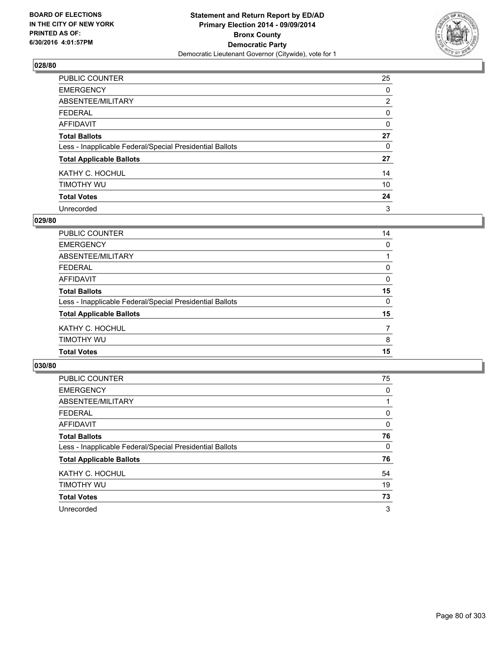

| PUBLIC COUNTER                                           | 25             |
|----------------------------------------------------------|----------------|
| <b>EMERGENCY</b>                                         | 0              |
| ABSENTEE/MILITARY                                        | $\overline{2}$ |
| <b>FEDERAL</b>                                           | 0              |
| <b>AFFIDAVIT</b>                                         | 0              |
| <b>Total Ballots</b>                                     | 27             |
| Less - Inapplicable Federal/Special Presidential Ballots | 0              |
| <b>Total Applicable Ballots</b>                          | 27             |
| KATHY C. HOCHUL                                          | 14             |
| TIMOTHY WU                                               | 10             |
| <b>Total Votes</b>                                       | 24             |
| Unrecorded                                               | 3              |

#### **029/80**

| PUBLIC COUNTER                                           | 14       |
|----------------------------------------------------------|----------|
| <b>EMERGENCY</b>                                         | $\Omega$ |
| ABSENTEE/MILITARY                                        |          |
| <b>FEDERAL</b>                                           | 0        |
| <b>AFFIDAVIT</b>                                         | 0        |
| <b>Total Ballots</b>                                     | 15       |
| Less - Inapplicable Federal/Special Presidential Ballots | 0        |
| <b>Total Applicable Ballots</b>                          | 15       |
| KATHY C. HOCHUL                                          | 7        |
| TIMOTHY WU                                               | 8        |
| <b>Total Votes</b>                                       | 15       |
|                                                          |          |

| <b>PUBLIC COUNTER</b>                                    | 75       |
|----------------------------------------------------------|----------|
| <b>EMERGENCY</b>                                         | 0        |
| ABSENTEE/MILITARY                                        |          |
| <b>FEDERAL</b>                                           | 0        |
| AFFIDAVIT                                                | 0        |
| <b>Total Ballots</b>                                     | 76       |
| Less - Inapplicable Federal/Special Presidential Ballots | $\Omega$ |
| <b>Total Applicable Ballots</b>                          | 76       |
| KATHY C. HOCHUL                                          | 54       |
| TIMOTHY WU                                               | 19       |
| <b>Total Votes</b>                                       | 73       |
| Unrecorded                                               | 3        |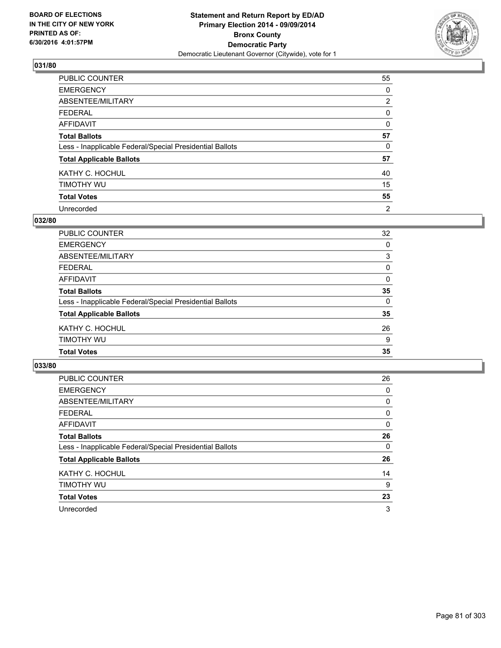

| PUBLIC COUNTER                                           | 55             |
|----------------------------------------------------------|----------------|
| <b>EMERGENCY</b>                                         | 0              |
| ABSENTEE/MILITARY                                        | $\overline{2}$ |
| <b>FEDERAL</b>                                           | 0              |
| <b>AFFIDAVIT</b>                                         | $\Omega$       |
| <b>Total Ballots</b>                                     | 57             |
| Less - Inapplicable Federal/Special Presidential Ballots | 0              |
| <b>Total Applicable Ballots</b>                          | 57             |
| KATHY C. HOCHUL                                          | 40             |
| TIMOTHY WU                                               | 15             |
| <b>Total Votes</b>                                       | 55             |
| Unrecorded                                               | 2              |

#### **032/80**

| <b>Total Votes</b>                                       | 35       |
|----------------------------------------------------------|----------|
| TIMOTHY WU                                               | 9        |
| KATHY C. HOCHUL                                          | 26       |
| <b>Total Applicable Ballots</b>                          | 35       |
| Less - Inapplicable Federal/Special Presidential Ballots | 0        |
| <b>Total Ballots</b>                                     | 35       |
| <b>AFFIDAVIT</b>                                         | $\Omega$ |
| <b>FEDERAL</b>                                           | 0        |
| ABSENTEE/MILITARY                                        | 3        |
| <b>EMERGENCY</b>                                         | 0        |
| PUBLIC COUNTER                                           | 32       |

| <b>PUBLIC COUNTER</b>                                    | 26       |
|----------------------------------------------------------|----------|
| <b>EMERGENCY</b>                                         | 0        |
| ABSENTEE/MILITARY                                        | 0        |
| <b>FEDERAL</b>                                           | 0        |
| AFFIDAVIT                                                | 0        |
| <b>Total Ballots</b>                                     | 26       |
| Less - Inapplicable Federal/Special Presidential Ballots | $\Omega$ |
| <b>Total Applicable Ballots</b>                          | 26       |
| KATHY C. HOCHUL                                          | 14       |
| TIMOTHY WU                                               | 9        |
| <b>Total Votes</b>                                       | 23       |
| Unrecorded                                               | 3        |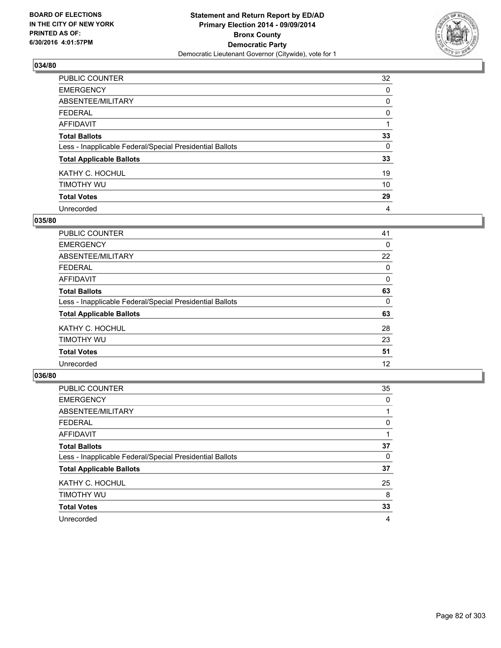

| PUBLIC COUNTER                                           | 32 |
|----------------------------------------------------------|----|
| <b>EMERGENCY</b>                                         | 0  |
| ABSENTEE/MILITARY                                        | 0  |
| <b>FEDERAL</b>                                           | 0  |
| <b>AFFIDAVIT</b>                                         |    |
| <b>Total Ballots</b>                                     | 33 |
| Less - Inapplicable Federal/Special Presidential Ballots | 0  |
| <b>Total Applicable Ballots</b>                          | 33 |
| KATHY C. HOCHUL                                          | 19 |
| TIMOTHY WU                                               | 10 |
| <b>Total Votes</b>                                       | 29 |
| Unrecorded                                               | 4  |

#### **035/80**

| PUBLIC COUNTER                                           | 41 |
|----------------------------------------------------------|----|
| <b>EMERGENCY</b>                                         | 0  |
| ABSENTEE/MILITARY                                        | 22 |
| FEDERAL                                                  | 0  |
| <b>AFFIDAVIT</b>                                         | 0  |
| <b>Total Ballots</b>                                     | 63 |
| Less - Inapplicable Federal/Special Presidential Ballots | 0  |
| <b>Total Applicable Ballots</b>                          | 63 |
| KATHY C. HOCHUL                                          | 28 |
| TIMOTHY WU                                               | 23 |
| <b>Total Votes</b>                                       | 51 |
| Unrecorded                                               | 12 |
|                                                          |    |

| PUBLIC COUNTER                                           | 35 |
|----------------------------------------------------------|----|
| <b>EMERGENCY</b>                                         | 0  |
| ABSENTEE/MILITARY                                        |    |
| <b>FEDERAL</b>                                           | 0  |
| <b>AFFIDAVIT</b>                                         |    |
| <b>Total Ballots</b>                                     | 37 |
| Less - Inapplicable Federal/Special Presidential Ballots | 0  |
| <b>Total Applicable Ballots</b>                          | 37 |
| KATHY C. HOCHUL                                          | 25 |
| TIMOTHY WU                                               | 8  |
| <b>Total Votes</b>                                       | 33 |
| Unrecorded                                               | 4  |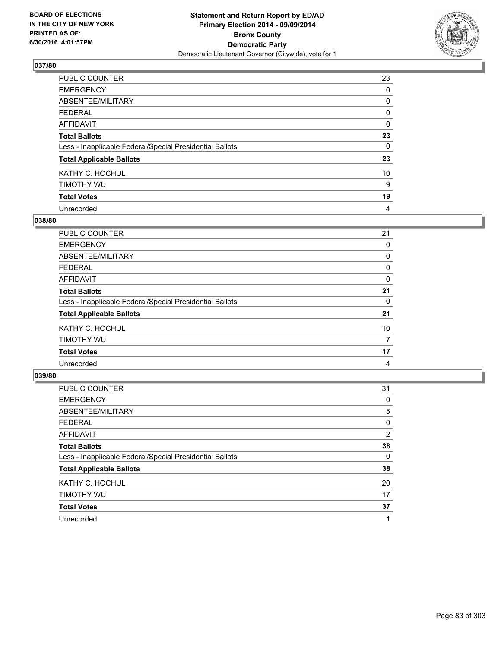

| PUBLIC COUNTER                                           | 23       |
|----------------------------------------------------------|----------|
| <b>EMERGENCY</b>                                         | 0        |
| ABSENTEE/MILITARY                                        | 0        |
| <b>FEDERAL</b>                                           | 0        |
| <b>AFFIDAVIT</b>                                         | 0        |
| <b>Total Ballots</b>                                     | 23       |
| Less - Inapplicable Federal/Special Presidential Ballots | $\Omega$ |
| <b>Total Applicable Ballots</b>                          | 23       |
| KATHY C. HOCHUL                                          | 10       |
| TIMOTHY WU                                               | 9        |
| <b>Total Votes</b>                                       | 19       |
| Unrecorded                                               | 4        |

#### **038/80**

| PUBLIC COUNTER                                           | 21 |
|----------------------------------------------------------|----|
| <b>EMERGENCY</b>                                         | 0  |
| ABSENTEE/MILITARY                                        | 0  |
| <b>FEDERAL</b>                                           | 0  |
| <b>AFFIDAVIT</b>                                         | 0  |
| <b>Total Ballots</b>                                     | 21 |
| Less - Inapplicable Federal/Special Presidential Ballots | 0  |
| <b>Total Applicable Ballots</b>                          | 21 |
| KATHY C. HOCHUL                                          | 10 |
| TIMOTHY WU                                               | 7  |
| <b>Total Votes</b>                                       | 17 |
| Unrecorded                                               | 4  |

| PUBLIC COUNTER                                           | 31             |
|----------------------------------------------------------|----------------|
| <b>EMERGENCY</b>                                         | 0              |
| ABSENTEE/MILITARY                                        | 5              |
| <b>FEDERAL</b>                                           | 0              |
| AFFIDAVIT                                                | $\overline{2}$ |
| <b>Total Ballots</b>                                     | 38             |
| Less - Inapplicable Federal/Special Presidential Ballots | 0              |
| <b>Total Applicable Ballots</b>                          | 38             |
| KATHY C. HOCHUL                                          | 20             |
| TIMOTHY WU                                               | 17             |
| <b>Total Votes</b>                                       | 37             |
| Unrecorded                                               |                |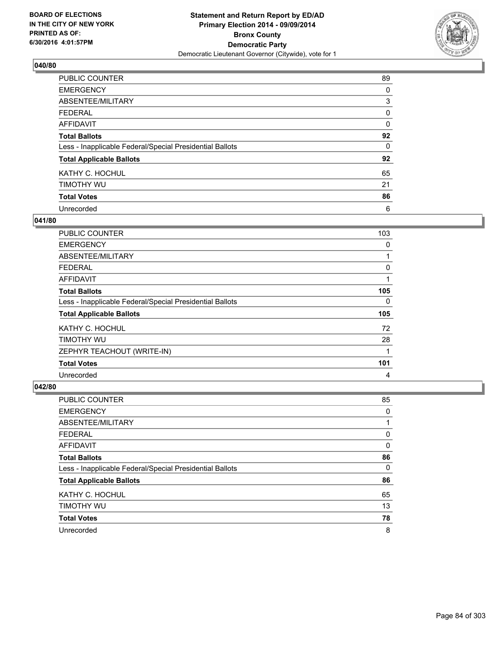

| PUBLIC COUNTER                                           | 89 |
|----------------------------------------------------------|----|
| <b>EMERGENCY</b>                                         | 0  |
| ABSENTEE/MILITARY                                        | 3  |
| <b>FEDERAL</b>                                           | 0  |
| <b>AFFIDAVIT</b>                                         | 0  |
| <b>Total Ballots</b>                                     | 92 |
| Less - Inapplicable Federal/Special Presidential Ballots | 0  |
| <b>Total Applicable Ballots</b>                          | 92 |
| KATHY C. HOCHUL                                          | 65 |
| TIMOTHY WU                                               | 21 |
| <b>Total Votes</b>                                       | 86 |
| Unrecorded                                               | 6  |

#### **041/80**

| <b>PUBLIC COUNTER</b>                                    | 103 |
|----------------------------------------------------------|-----|
| <b>EMERGENCY</b>                                         | 0   |
| ABSENTEE/MILITARY                                        |     |
| <b>FEDERAL</b>                                           | 0   |
| AFFIDAVIT                                                |     |
| <b>Total Ballots</b>                                     | 105 |
| Less - Inapplicable Federal/Special Presidential Ballots | 0   |
| <b>Total Applicable Ballots</b>                          | 105 |
| KATHY C. HOCHUL                                          | 72  |
| TIMOTHY WU                                               | 28  |
| ZEPHYR TEACHOUT (WRITE-IN)                               | 1   |
| <b>Total Votes</b>                                       | 101 |
| Unrecorded                                               | 4   |

| <b>PUBLIC COUNTER</b>                                    | 85 |
|----------------------------------------------------------|----|
| <b>EMERGENCY</b>                                         | 0  |
| ABSENTEE/MILITARY                                        | 1  |
| <b>FEDERAL</b>                                           | 0  |
| AFFIDAVIT                                                | 0  |
| <b>Total Ballots</b>                                     | 86 |
| Less - Inapplicable Federal/Special Presidential Ballots | 0  |
| <b>Total Applicable Ballots</b>                          | 86 |
| KATHY C. HOCHUL                                          | 65 |
| TIMOTHY WU                                               | 13 |
| <b>Total Votes</b>                                       | 78 |
| Unrecorded                                               | 8  |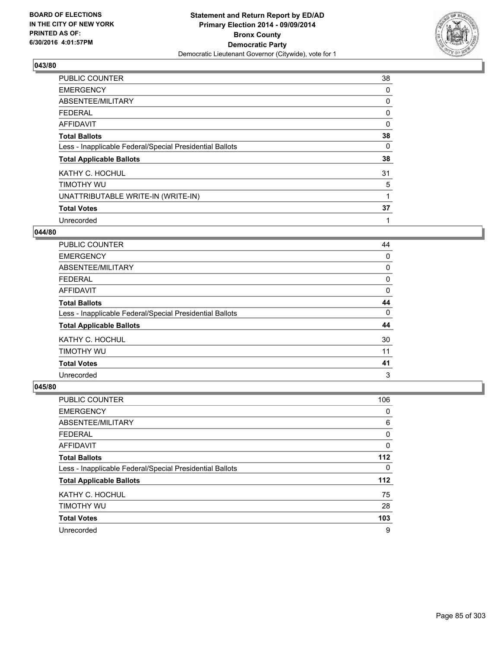

| PUBLIC COUNTER                                           | 38       |
|----------------------------------------------------------|----------|
| <b>EMERGENCY</b>                                         | 0        |
| ABSENTEE/MILITARY                                        | 0        |
| <b>FEDERAL</b>                                           | 0        |
| AFFIDAVIT                                                | $\Omega$ |
| <b>Total Ballots</b>                                     | 38       |
| Less - Inapplicable Federal/Special Presidential Ballots | 0        |
| <b>Total Applicable Ballots</b>                          | 38       |
| KATHY C. HOCHUL                                          | 31       |
| TIMOTHY WU                                               | 5        |
| UNATTRIBUTABLE WRITE-IN (WRITE-IN)                       | 1        |
| <b>Total Votes</b>                                       | 37       |
| Unrecorded                                               | 1        |

## **044/80**

| PUBLIC COUNTER                                           | 44 |
|----------------------------------------------------------|----|
| <b>EMERGENCY</b>                                         | 0  |
| ABSENTEE/MILITARY                                        | 0  |
| <b>FEDERAL</b>                                           | 0  |
| AFFIDAVIT                                                | 0  |
| <b>Total Ballots</b>                                     | 44 |
| Less - Inapplicable Federal/Special Presidential Ballots | 0  |
| <b>Total Applicable Ballots</b>                          | 44 |
| KATHY C. HOCHUL                                          | 30 |
| TIMOTHY WU                                               | 11 |
| <b>Total Votes</b>                                       | 41 |
| Unrecorded                                               | 3  |

| <b>PUBLIC COUNTER</b>                                    | 106   |
|----------------------------------------------------------|-------|
| <b>EMERGENCY</b>                                         | 0     |
| ABSENTEE/MILITARY                                        | 6     |
| <b>FEDERAL</b>                                           | 0     |
| AFFIDAVIT                                                | 0     |
| <b>Total Ballots</b>                                     | $112$ |
| Less - Inapplicable Federal/Special Presidential Ballots | 0     |
| <b>Total Applicable Ballots</b>                          | $112$ |
| KATHY C. HOCHUL                                          | 75    |
| TIMOTHY WU                                               | 28    |
| <b>Total Votes</b>                                       | 103   |
| Unrecorded                                               | 9     |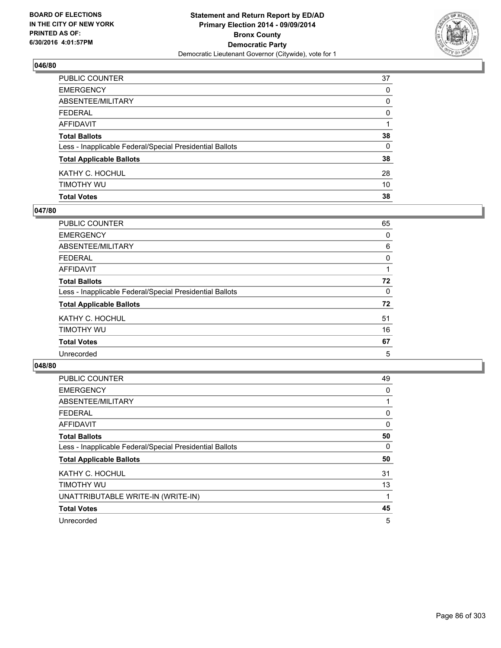

| PUBLIC COUNTER                                           | 37       |
|----------------------------------------------------------|----------|
| <b>EMERGENCY</b>                                         | 0        |
| ABSENTEE/MILITARY                                        | 0        |
| FEDERAL                                                  | 0        |
| AFFIDAVIT                                                |          |
| <b>Total Ballots</b>                                     | 38       |
| Less - Inapplicable Federal/Special Presidential Ballots | $\Omega$ |
| <b>Total Applicable Ballots</b>                          | 38       |
| KATHY C. HOCHUL                                          | 28       |
| Timothy Wu                                               | 10       |
| <b>Total Votes</b>                                       | 38       |

### **047/80**

| PUBLIC COUNTER                                           | 65 |
|----------------------------------------------------------|----|
| <b>EMERGENCY</b>                                         | 0  |
| ABSENTEE/MILITARY                                        | 6  |
| <b>FEDERAL</b>                                           | 0  |
| <b>AFFIDAVIT</b>                                         |    |
| <b>Total Ballots</b>                                     | 72 |
| Less - Inapplicable Federal/Special Presidential Ballots | 0  |
| <b>Total Applicable Ballots</b>                          | 72 |
| KATHY C. HOCHUL                                          | 51 |
| TIMOTHY WU                                               | 16 |
| <b>Total Votes</b>                                       | 67 |
| Unrecorded                                               | 5  |
|                                                          |    |

| <b>PUBLIC COUNTER</b>                                    | 49 |
|----------------------------------------------------------|----|
| <b>EMERGENCY</b>                                         | 0  |
| ABSENTEE/MILITARY                                        |    |
| FEDERAL                                                  | 0  |
| <b>AFFIDAVIT</b>                                         | 0  |
| <b>Total Ballots</b>                                     | 50 |
| Less - Inapplicable Federal/Special Presidential Ballots | 0  |
| <b>Total Applicable Ballots</b>                          | 50 |
| KATHY C. HOCHUL                                          | 31 |
| TIMOTHY WU                                               | 13 |
| UNATTRIBUTABLE WRITE-IN (WRITE-IN)                       | 1  |
| <b>Total Votes</b>                                       | 45 |
| Unrecorded                                               | 5  |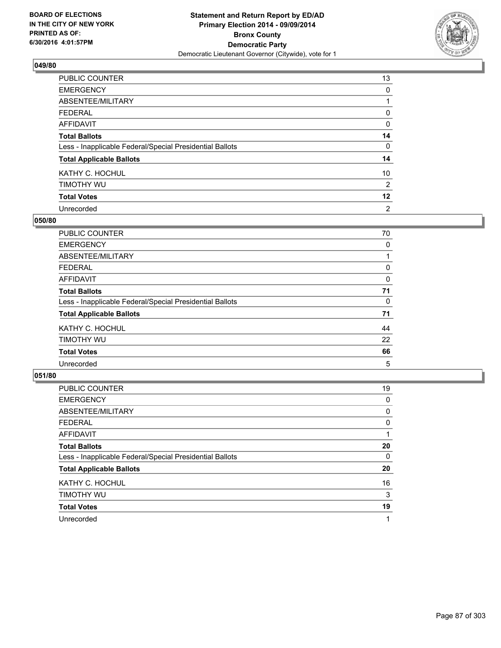

| PUBLIC COUNTER                                           | 13             |
|----------------------------------------------------------|----------------|
| <b>EMERGENCY</b>                                         | 0              |
| ABSENTEE/MILITARY                                        |                |
| <b>FEDERAL</b>                                           | 0              |
| <b>AFFIDAVIT</b>                                         | 0              |
| <b>Total Ballots</b>                                     | 14             |
| Less - Inapplicable Federal/Special Presidential Ballots | 0              |
| <b>Total Applicable Ballots</b>                          | 14             |
| KATHY C. HOCHUL                                          | 10             |
| TIMOTHY WU                                               | 2              |
| <b>Total Votes</b>                                       | $12 \,$        |
| Unrecorded                                               | $\overline{2}$ |

#### **050/80**

| PUBLIC COUNTER                                           | 70 |
|----------------------------------------------------------|----|
| <b>EMERGENCY</b>                                         | 0  |
| ABSENTEE/MILITARY                                        |    |
| <b>FEDERAL</b>                                           | 0  |
| <b>AFFIDAVIT</b>                                         | 0  |
| <b>Total Ballots</b>                                     | 71 |
| Less - Inapplicable Federal/Special Presidential Ballots | 0  |
| <b>Total Applicable Ballots</b>                          | 71 |
| KATHY C. HOCHUL                                          | 44 |
| TIMOTHY WU                                               | 22 |
| <b>Total Votes</b>                                       | 66 |
| Unrecorded                                               | 5  |
|                                                          |    |

| PUBLIC COUNTER                                           | 19 |
|----------------------------------------------------------|----|
| <b>EMERGENCY</b>                                         | 0  |
| ABSENTEE/MILITARY                                        | 0  |
| <b>FEDERAL</b>                                           | 0  |
| <b>AFFIDAVIT</b>                                         |    |
| <b>Total Ballots</b>                                     | 20 |
| Less - Inapplicable Federal/Special Presidential Ballots | 0  |
| <b>Total Applicable Ballots</b>                          | 20 |
| KATHY C. HOCHUL                                          | 16 |
| TIMOTHY WU                                               | 3  |
| <b>Total Votes</b>                                       | 19 |
| Unrecorded                                               |    |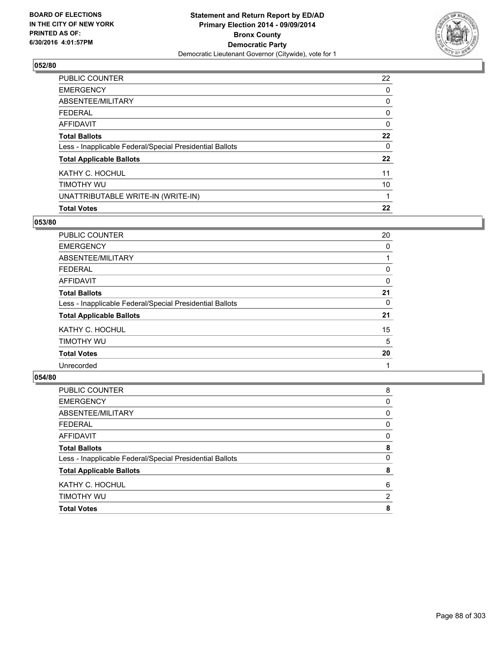

| <b>PUBLIC COUNTER</b>                                    | 22 |
|----------------------------------------------------------|----|
| <b>EMERGENCY</b>                                         | 0  |
| ABSENTEE/MILITARY                                        | 0  |
| FEDERAL                                                  | 0  |
| AFFIDAVIT                                                | 0  |
| <b>Total Ballots</b>                                     | 22 |
| Less - Inapplicable Federal/Special Presidential Ballots | 0  |
| <b>Total Applicable Ballots</b>                          | 22 |
| KATHY C. HOCHUL                                          | 11 |
| TIMOTHY WU                                               | 10 |
| UNATTRIBUTABLE WRITE-IN (WRITE-IN)                       |    |
| <b>Total Votes</b>                                       | 22 |

### **053/80**

| <b>PUBLIC COUNTER</b>                                    | 20 |
|----------------------------------------------------------|----|
| <b>EMERGENCY</b>                                         | 0  |
| ABSENTEE/MILITARY                                        |    |
| FEDERAL                                                  | 0  |
| AFFIDAVIT                                                | 0  |
| <b>Total Ballots</b>                                     | 21 |
| Less - Inapplicable Federal/Special Presidential Ballots | 0  |
| <b>Total Applicable Ballots</b>                          | 21 |
| KATHY C. HOCHUL                                          | 15 |
| TIMOTHY WU                                               | 5  |
| <b>Total Votes</b>                                       | 20 |
| Unrecorded                                               |    |

| <b>Total Votes</b>                                       | 8                     |
|----------------------------------------------------------|-----------------------|
| TIMOTHY WU                                               | $\mathbf{2}^{\prime}$ |
| KATHY C. HOCHUL                                          | 6                     |
| <b>Total Applicable Ballots</b>                          | 8                     |
| Less - Inapplicable Federal/Special Presidential Ballots | 0                     |
| <b>Total Ballots</b>                                     | 8                     |
| <b>AFFIDAVIT</b>                                         | 0                     |
| <b>FEDERAL</b>                                           | 0                     |
| ABSENTEE/MILITARY                                        | 0                     |
| <b>EMERGENCY</b>                                         | 0                     |
| PUBLIC COUNTER                                           | 8                     |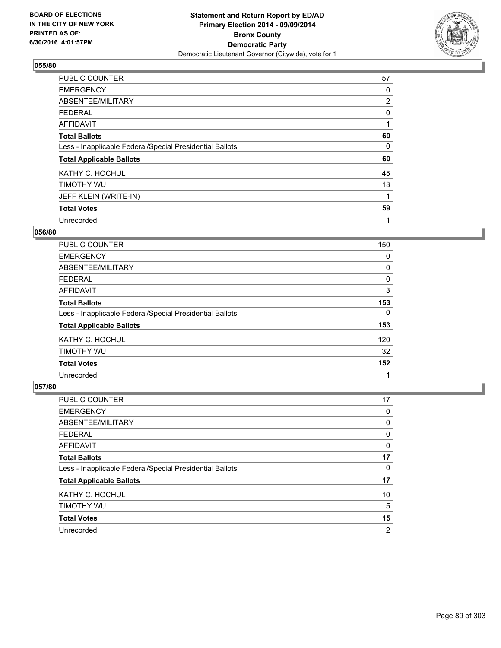

| <b>PUBLIC COUNTER</b>                                    | 57             |
|----------------------------------------------------------|----------------|
| <b>EMERGENCY</b>                                         | 0              |
| ABSENTEE/MILITARY                                        | $\overline{2}$ |
| <b>FEDERAL</b>                                           | 0              |
| AFFIDAVIT                                                |                |
| <b>Total Ballots</b>                                     | 60             |
| Less - Inapplicable Federal/Special Presidential Ballots | 0              |
| <b>Total Applicable Ballots</b>                          | 60             |
| KATHY C. HOCHUL                                          | 45             |
| TIMOTHY WU                                               | 13             |
| JEFF KLEIN (WRITE-IN)                                    |                |
| <b>Total Votes</b>                                       | 59             |
| Unrecorded                                               | 1              |

### **056/80**

| <b>PUBLIC COUNTER</b>                                    | 150 |
|----------------------------------------------------------|-----|
| <b>EMERGENCY</b>                                         | 0   |
| ABSENTEE/MILITARY                                        | 0   |
| <b>FEDERAL</b>                                           | 0   |
| AFFIDAVIT                                                | 3   |
| <b>Total Ballots</b>                                     | 153 |
| Less - Inapplicable Federal/Special Presidential Ballots | 0   |
| <b>Total Applicable Ballots</b>                          | 153 |
| KATHY C. HOCHUL                                          | 120 |
| TIMOTHY WU                                               | 32  |
| <b>Total Votes</b>                                       | 152 |
| Unrecorded                                               | 1   |

| <b>PUBLIC COUNTER</b>                                    | 17 |
|----------------------------------------------------------|----|
| <b>EMERGENCY</b>                                         | 0  |
| ABSENTEE/MILITARY                                        | 0  |
| <b>FEDERAL</b>                                           | 0  |
| AFFIDAVIT                                                | 0  |
| <b>Total Ballots</b>                                     | 17 |
| Less - Inapplicable Federal/Special Presidential Ballots | 0  |
| <b>Total Applicable Ballots</b>                          | 17 |
| KATHY C. HOCHUL                                          | 10 |
| TIMOTHY WU                                               | 5  |
| <b>Total Votes</b>                                       | 15 |
| Unrecorded                                               | 2  |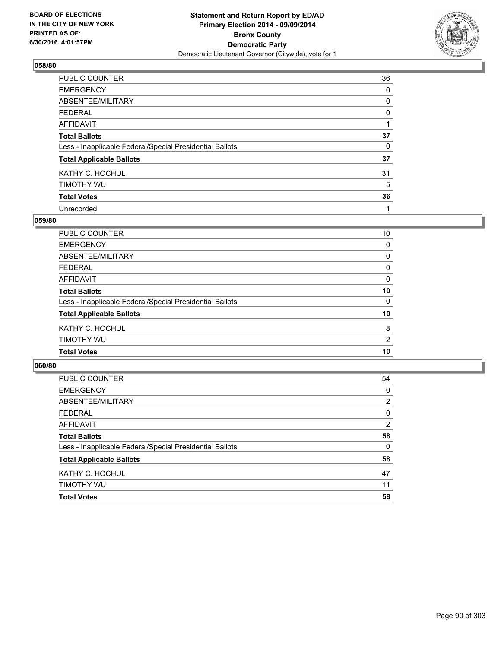

| PUBLIC COUNTER                                           | 36 |
|----------------------------------------------------------|----|
| <b>EMERGENCY</b>                                         | 0  |
| ABSENTEE/MILITARY                                        | 0  |
| <b>FEDERAL</b>                                           | 0  |
| <b>AFFIDAVIT</b>                                         |    |
| <b>Total Ballots</b>                                     | 37 |
| Less - Inapplicable Federal/Special Presidential Ballots | 0  |
| <b>Total Applicable Ballots</b>                          | 37 |
| KATHY C. HOCHUL                                          | 31 |
| TIMOTHY WU                                               | 5  |
| <b>Total Votes</b>                                       | 36 |
| Unrecorded                                               | 1  |

#### **059/80**

| <b>Total Ballots</b>                                     | 10 |
|----------------------------------------------------------|----|
| Less - Inapplicable Federal/Special Presidential Ballots | 0  |
| <b>Total Applicable Ballots</b>                          | 10 |
| KATHY C. HOCHUL                                          | 8  |
| TIMOTHY WU                                               | 2  |
| <b>Total Votes</b>                                       | 10 |
|                                                          |    |

| PUBLIC COUNTER                                           | 54 |
|----------------------------------------------------------|----|
| <b>EMERGENCY</b>                                         | 0  |
| ABSENTEE/MILITARY                                        | 2  |
| <b>FEDERAL</b>                                           | 0  |
| <b>AFFIDAVIT</b>                                         | 2  |
| <b>Total Ballots</b>                                     | 58 |
| Less - Inapplicable Federal/Special Presidential Ballots | 0  |
| <b>Total Applicable Ballots</b>                          | 58 |
| KATHY C. HOCHUL                                          | 47 |
| TIMOTHY WU                                               | 11 |
| <b>Total Votes</b>                                       | 58 |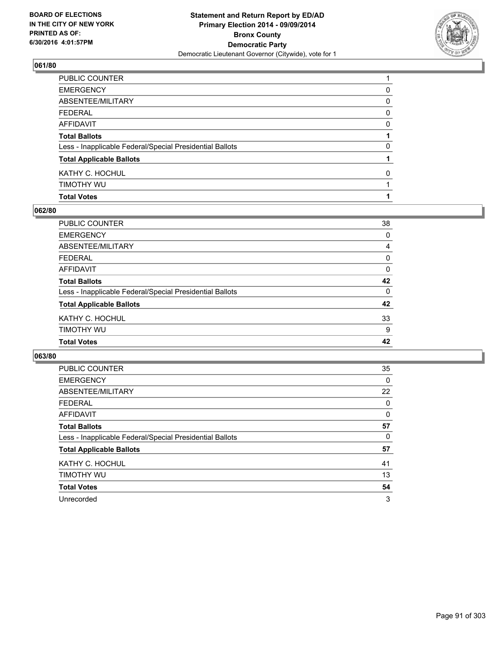

| PUBLIC COUNTER                                           |              |
|----------------------------------------------------------|--------------|
| EMERGENCY                                                | 0            |
| ABSENTEE/MILITARY                                        | 0            |
| FEDERAL                                                  | $\mathbf{0}$ |
| AFFIDAVIT                                                | 0            |
| <b>Total Ballots</b>                                     |              |
| Less - Inapplicable Federal/Special Presidential Ballots | 0            |
| <b>Total Applicable Ballots</b>                          |              |
| KATHY C. HOCHUL                                          | 0            |
| Timothy Wu                                               |              |
| <b>Total Votes</b>                                       |              |

### **062/80**

| PUBLIC COUNTER                                           | 38           |
|----------------------------------------------------------|--------------|
| <b>EMERGENCY</b>                                         | $\mathbf{0}$ |
| ABSENTEE/MILITARY                                        | 4            |
| <b>FEDERAL</b>                                           | 0            |
| AFFIDAVIT                                                | 0            |
| <b>Total Ballots</b>                                     | 42           |
| Less - Inapplicable Federal/Special Presidential Ballots | $\mathbf{0}$ |
| <b>Total Applicable Ballots</b>                          | 42           |
| KATHY C. HOCHUL                                          | 33           |
| TIMOTHY WU                                               | 9            |
| <b>Total Votes</b>                                       | 42           |
|                                                          |              |

| <b>PUBLIC COUNTER</b>                                    | 35 |
|----------------------------------------------------------|----|
| <b>EMERGENCY</b>                                         | 0  |
| ABSENTEE/MILITARY                                        | 22 |
| <b>FEDERAL</b>                                           | 0  |
| AFFIDAVIT                                                | 0  |
| <b>Total Ballots</b>                                     | 57 |
| Less - Inapplicable Federal/Special Presidential Ballots | 0  |
| <b>Total Applicable Ballots</b>                          | 57 |
| KATHY C. HOCHUL                                          | 41 |
| TIMOTHY WU                                               | 13 |
| <b>Total Votes</b>                                       | 54 |
| Unrecorded                                               | 3  |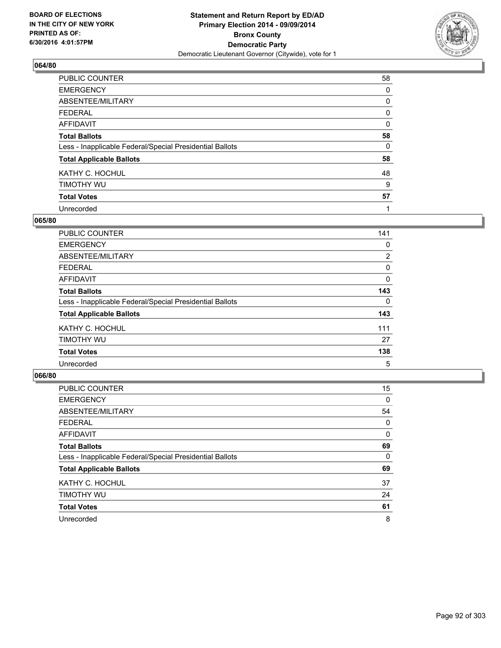

| PUBLIC COUNTER                                           | 58 |
|----------------------------------------------------------|----|
| <b>EMERGENCY</b>                                         | 0  |
| ABSENTEE/MILITARY                                        | 0  |
| <b>FEDERAL</b>                                           | 0  |
| <b>AFFIDAVIT</b>                                         | 0  |
| <b>Total Ballots</b>                                     | 58 |
| Less - Inapplicable Federal/Special Presidential Ballots | 0  |
| <b>Total Applicable Ballots</b>                          | 58 |
| KATHY C. HOCHUL                                          | 48 |
| TIMOTHY WU                                               | 9  |
| <b>Total Votes</b>                                       | 57 |
| Unrecorded                                               |    |

#### **065/80**

| PUBLIC COUNTER                                           | 141            |
|----------------------------------------------------------|----------------|
| <b>EMERGENCY</b>                                         | 0              |
| ABSENTEE/MILITARY                                        | $\overline{2}$ |
| FEDERAL                                                  | 0              |
| <b>AFFIDAVIT</b>                                         | 0              |
| <b>Total Ballots</b>                                     | 143            |
| Less - Inapplicable Federal/Special Presidential Ballots | 0              |
| <b>Total Applicable Ballots</b>                          | 143            |
| KATHY C. HOCHUL                                          | 111            |
| TIMOTHY WU                                               | 27             |
| <b>Total Votes</b>                                       | 138            |
| Unrecorded                                               | 5              |

| PUBLIC COUNTER                                           | 15 |
|----------------------------------------------------------|----|
| <b>EMERGENCY</b>                                         | 0  |
| ABSENTEE/MILITARY                                        | 54 |
| <b>FEDERAL</b>                                           | 0  |
| <b>AFFIDAVIT</b>                                         | 0  |
| <b>Total Ballots</b>                                     | 69 |
| Less - Inapplicable Federal/Special Presidential Ballots | 0  |
| <b>Total Applicable Ballots</b>                          | 69 |
| KATHY C. HOCHUL                                          | 37 |
| TIMOTHY WU                                               | 24 |
| <b>Total Votes</b>                                       | 61 |
| Unrecorded                                               | 8  |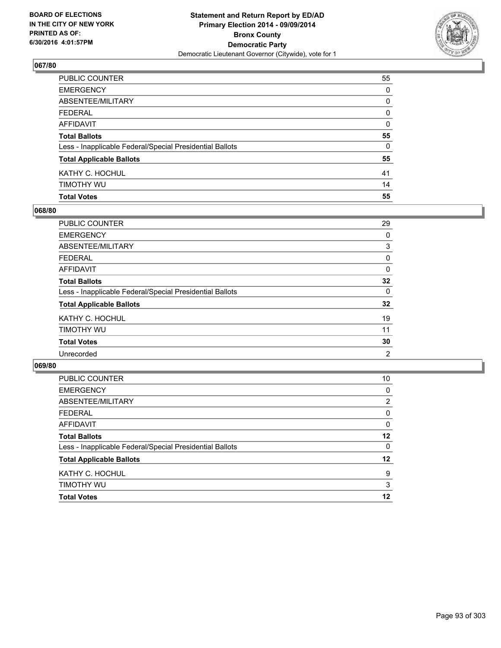

| <b>Total Votes</b>                                       | 55           |
|----------------------------------------------------------|--------------|
| timothy wu                                               | 14           |
| KATHY C. HOCHUL                                          | 41           |
| <b>Total Applicable Ballots</b>                          | 55           |
| Less - Inapplicable Federal/Special Presidential Ballots | 0            |
| <b>Total Ballots</b>                                     | 55           |
| AFFIDAVIT                                                | 0            |
| FEDERAL                                                  | $\mathbf{0}$ |
| ABSENTEE/MILITARY                                        | 0            |
| EMERGENCY                                                | $\Omega$     |
| PUBLIC COUNTER                                           | 55           |

### **068/80**

| PUBLIC COUNTER                                           | 29 |
|----------------------------------------------------------|----|
| <b>EMERGENCY</b>                                         | 0  |
| <b>ABSENTEE/MILITARY</b>                                 | 3  |
| <b>FEDERAL</b>                                           | 0  |
| <b>AFFIDAVIT</b>                                         | 0  |
| <b>Total Ballots</b>                                     | 32 |
| Less - Inapplicable Federal/Special Presidential Ballots | 0  |
| <b>Total Applicable Ballots</b>                          | 32 |
| KATHY C. HOCHUL                                          | 19 |
| TIMOTHY WU                                               | 11 |
| <b>Total Votes</b>                                       | 30 |
| Unrecorded                                               | 2  |
|                                                          |    |

| PUBLIC COUNTER                                           | 10 |
|----------------------------------------------------------|----|
| <b>EMERGENCY</b>                                         | 0  |
| ABSENTEE/MILITARY                                        | 2  |
| <b>FEDERAL</b>                                           | 0  |
| <b>AFFIDAVIT</b>                                         | 0  |
| <b>Total Ballots</b>                                     | 12 |
| Less - Inapplicable Federal/Special Presidential Ballots | 0  |
| <b>Total Applicable Ballots</b>                          | 12 |
| KATHY C. HOCHUL                                          | 9  |
| TIMOTHY WU                                               | 3  |
| <b>Total Votes</b>                                       | 12 |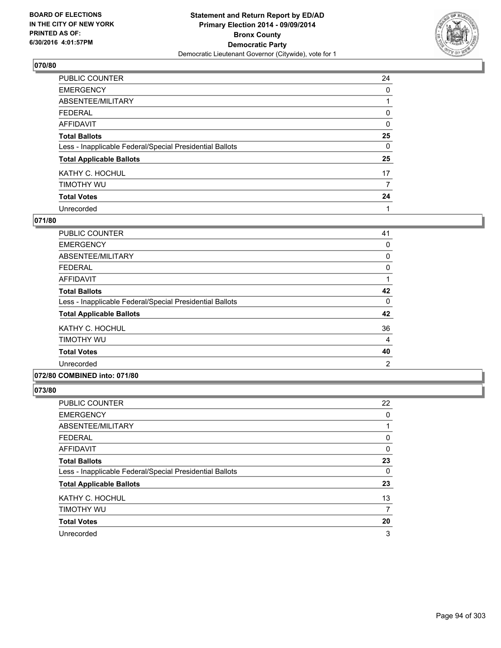

| PUBLIC COUNTER                                           | 24       |
|----------------------------------------------------------|----------|
| <b>EMERGENCY</b>                                         | 0        |
| ABSENTEE/MILITARY                                        |          |
| <b>FEDERAL</b>                                           | 0        |
| <b>AFFIDAVIT</b>                                         | $\Omega$ |
| <b>Total Ballots</b>                                     | 25       |
| Less - Inapplicable Federal/Special Presidential Ballots | $\Omega$ |
| <b>Total Applicable Ballots</b>                          | 25       |
| KATHY C. HOCHUL                                          | 17       |
| TIMOTHY WU                                               | 7        |
| <b>Total Votes</b>                                       | 24       |
| Unrecorded                                               |          |

#### **071/80**

| PUBLIC COUNTER                                           | 41             |
|----------------------------------------------------------|----------------|
| <b>EMERGENCY</b>                                         | 0              |
| ABSENTEE/MILITARY                                        | 0              |
| <b>FEDERAL</b>                                           | 0              |
| AFFIDAVIT                                                |                |
| <b>Total Ballots</b>                                     | 42             |
| Less - Inapplicable Federal/Special Presidential Ballots | 0              |
| <b>Total Applicable Ballots</b>                          | 42             |
| KATHY C. HOCHUL                                          | 36             |
| TIMOTHY WU                                               | 4              |
| <b>Total Votes</b>                                       | 40             |
| Unrecorded                                               | $\overline{2}$ |
|                                                          |                |

### **072/80 COMBINED into: 071/80**

| PUBLIC COUNTER                                           | 22 |
|----------------------------------------------------------|----|
| <b>EMERGENCY</b>                                         | 0  |
| ABSENTEE/MILITARY                                        | 1  |
| <b>FEDERAL</b>                                           | 0  |
| <b>AFFIDAVIT</b>                                         | 0  |
| <b>Total Ballots</b>                                     | 23 |
| Less - Inapplicable Federal/Special Presidential Ballots | 0  |
| <b>Total Applicable Ballots</b>                          | 23 |
| KATHY C. HOCHUL                                          | 13 |
| TIMOTHY WU                                               | 7  |
| <b>Total Votes</b>                                       | 20 |
| Unrecorded                                               | 3  |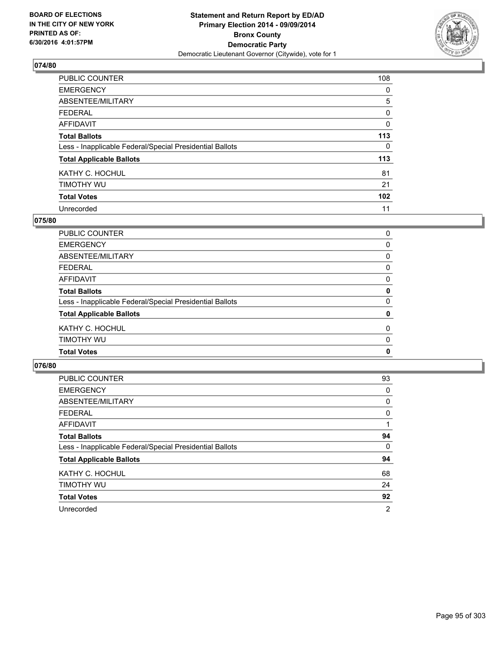

| PUBLIC COUNTER                                           | 108              |
|----------------------------------------------------------|------------------|
| <b>EMERGENCY</b>                                         | 0                |
| ABSENTEE/MILITARY                                        | 5                |
| <b>FEDERAL</b>                                           | 0                |
| <b>AFFIDAVIT</b>                                         | $\Omega$         |
| <b>Total Ballots</b>                                     | 113              |
| Less - Inapplicable Federal/Special Presidential Ballots | 0                |
| <b>Total Applicable Ballots</b>                          | 113              |
| KATHY C. HOCHUL                                          | 81               |
| TIMOTHY WU                                               | 21               |
| <b>Total Votes</b>                                       | 102 <sub>2</sub> |
| Unrecorded                                               | 11               |

#### **075/80**

| 0        |
|----------|
|          |
| 0        |
| 0        |
| 0        |
| 0        |
| 0        |
| 0        |
| 0        |
| $\Omega$ |
| 0        |
| 0        |
|          |

| <b>PUBLIC COUNTER</b>                                    | 93             |
|----------------------------------------------------------|----------------|
| <b>EMERGENCY</b>                                         | 0              |
| ABSENTEE/MILITARY                                        | 0              |
| <b>FEDERAL</b>                                           | 0              |
| AFFIDAVIT                                                |                |
| <b>Total Ballots</b>                                     | 94             |
| Less - Inapplicable Federal/Special Presidential Ballots | 0              |
| <b>Total Applicable Ballots</b>                          | 94             |
| KATHY C. HOCHUL                                          | 68             |
| TIMOTHY WU                                               | 24             |
| <b>Total Votes</b>                                       | 92             |
| Unrecorded                                               | $\overline{2}$ |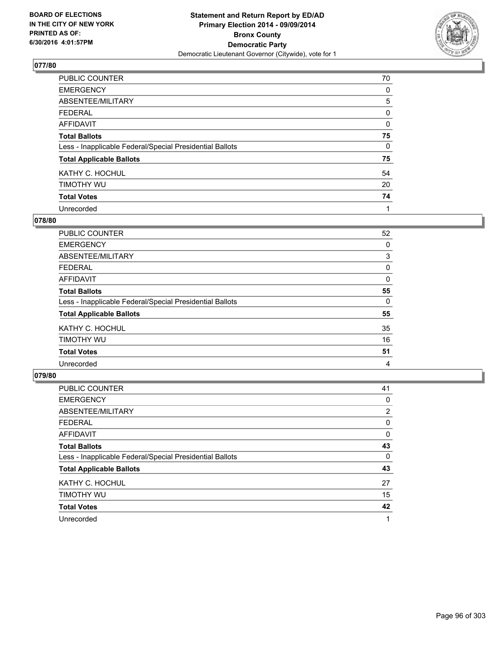

| PUBLIC COUNTER                                           | 70 |
|----------------------------------------------------------|----|
| <b>EMERGENCY</b>                                         | 0  |
| ABSENTEE/MILITARY                                        | 5  |
| <b>FEDERAL</b>                                           | 0  |
| <b>AFFIDAVIT</b>                                         | 0  |
| <b>Total Ballots</b>                                     | 75 |
| Less - Inapplicable Federal/Special Presidential Ballots | 0  |
| <b>Total Applicable Ballots</b>                          | 75 |
| KATHY C. HOCHUL                                          | 54 |
| TIMOTHY WU                                               | 20 |
| <b>Total Votes</b>                                       | 74 |
| Unrecorded                                               | 1  |

#### **078/80**

| <b>PUBLIC COUNTER</b>                                    | 52 |
|----------------------------------------------------------|----|
| <b>EMERGENCY</b>                                         | 0  |
| ABSENTEE/MILITARY                                        | 3  |
| <b>FEDERAL</b>                                           | 0  |
| <b>AFFIDAVIT</b>                                         | 0  |
| <b>Total Ballots</b>                                     | 55 |
| Less - Inapplicable Federal/Special Presidential Ballots | 0  |
| <b>Total Applicable Ballots</b>                          | 55 |
| KATHY C. HOCHUL                                          | 35 |
| TIMOTHY WU                                               | 16 |
| <b>Total Votes</b>                                       | 51 |
| Unrecorded                                               | 4  |

| PUBLIC COUNTER                                           | 41             |
|----------------------------------------------------------|----------------|
| <b>EMERGENCY</b>                                         | 0              |
| ABSENTEE/MILITARY                                        | $\overline{2}$ |
| <b>FEDERAL</b>                                           | 0              |
| AFFIDAVIT                                                | 0              |
| <b>Total Ballots</b>                                     | 43             |
| Less - Inapplicable Federal/Special Presidential Ballots | 0              |
| <b>Total Applicable Ballots</b>                          | 43             |
| KATHY C. HOCHUL                                          | 27             |
| TIMOTHY WU                                               | 15             |
| <b>Total Votes</b>                                       | 42             |
| Unrecorded                                               |                |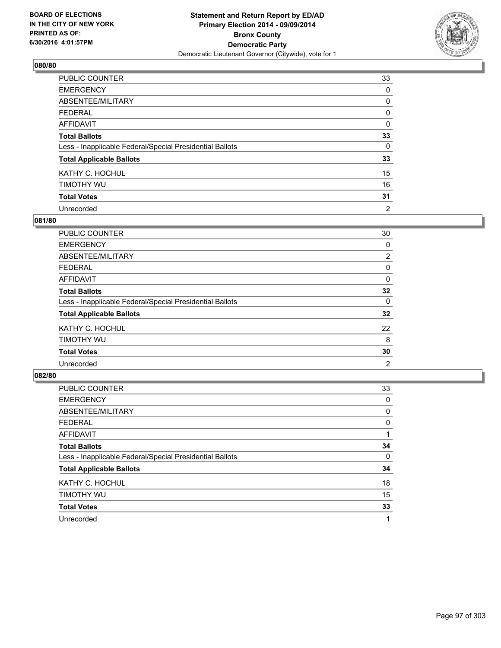

| PUBLIC COUNTER                                           | 33       |
|----------------------------------------------------------|----------|
| <b>EMERGENCY</b>                                         | 0        |
| ABSENTEE/MILITARY                                        | 0        |
| <b>FEDERAL</b>                                           | 0        |
| <b>AFFIDAVIT</b>                                         | 0        |
| <b>Total Ballots</b>                                     | 33       |
| Less - Inapplicable Federal/Special Presidential Ballots | $\Omega$ |
| <b>Total Applicable Ballots</b>                          | 33       |
| KATHY C. HOCHUL                                          | 15       |
| TIMOTHY WU                                               | 16       |
| <b>Total Votes</b>                                       | 31       |
| Unrecorded                                               | 2        |

#### **081/80**

| PUBLIC COUNTER                                           | 30             |
|----------------------------------------------------------|----------------|
| <b>EMERGENCY</b>                                         | 0              |
| ABSENTEE/MILITARY                                        | $\overline{2}$ |
| <b>FEDERAL</b>                                           | 0              |
| <b>AFFIDAVIT</b>                                         | 0              |
| <b>Total Ballots</b>                                     | 32             |
| Less - Inapplicable Federal/Special Presidential Ballots | 0              |
| <b>Total Applicable Ballots</b>                          | 32             |
| KATHY C. HOCHUL                                          | 22             |
| TIMOTHY WU                                               | 8              |
| <b>Total Votes</b>                                       | 30             |
| Unrecorded                                               | 2              |

| PUBLIC COUNTER                                           | 33 |
|----------------------------------------------------------|----|
| <b>EMERGENCY</b>                                         | 0  |
| ABSENTEE/MILITARY                                        | 0  |
| <b>FEDERAL</b>                                           | 0  |
| AFFIDAVIT                                                |    |
| <b>Total Ballots</b>                                     | 34 |
| Less - Inapplicable Federal/Special Presidential Ballots | 0  |
| <b>Total Applicable Ballots</b>                          | 34 |
| KATHY C. HOCHUL                                          | 18 |
| TIMOTHY WU                                               | 15 |
| <b>Total Votes</b>                                       | 33 |
| Unrecorded                                               |    |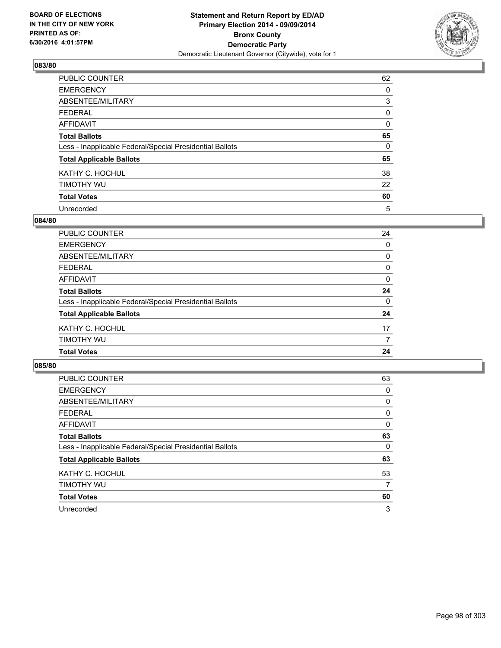

| PUBLIC COUNTER                                           | 62       |
|----------------------------------------------------------|----------|
| <b>EMERGENCY</b>                                         | 0        |
| ABSENTEE/MILITARY                                        | 3        |
| <b>FEDERAL</b>                                           | 0        |
| <b>AFFIDAVIT</b>                                         | $\Omega$ |
| <b>Total Ballots</b>                                     | 65       |
| Less - Inapplicable Federal/Special Presidential Ballots | 0        |
| <b>Total Applicable Ballots</b>                          | 65       |
| KATHY C. HOCHUL                                          | 38       |
| TIMOTHY WU                                               | 22       |
| <b>Total Votes</b>                                       | 60       |
| Unrecorded                                               | 5        |

#### **084/80**

| <b>Total Votes</b>                                       | 24           |
|----------------------------------------------------------|--------------|
| TIMOTHY WU                                               | 7            |
| KATHY C. HOCHUL                                          | 17           |
| <b>Total Applicable Ballots</b>                          | 24           |
| Less - Inapplicable Federal/Special Presidential Ballots | 0            |
| <b>Total Ballots</b>                                     | 24           |
| <b>AFFIDAVIT</b>                                         | $\mathbf{0}$ |
| <b>FEDERAL</b>                                           | 0            |
| ABSENTEE/MILITARY                                        | $\Omega$     |
| <b>EMERGENCY</b>                                         | 0            |
| PUBLIC COUNTER                                           | 24           |

| <b>PUBLIC COUNTER</b>                                    | 63 |
|----------------------------------------------------------|----|
| <b>EMERGENCY</b>                                         | 0  |
| ABSENTEE/MILITARY                                        | 0  |
| <b>FEDERAL</b>                                           | 0  |
| AFFIDAVIT                                                | 0  |
| <b>Total Ballots</b>                                     | 63 |
| Less - Inapplicable Federal/Special Presidential Ballots | 0  |
| <b>Total Applicable Ballots</b>                          | 63 |
| KATHY C. HOCHUL                                          | 53 |
| TIMOTHY WU                                               | 7  |
| <b>Total Votes</b>                                       | 60 |
| Unrecorded                                               | 3  |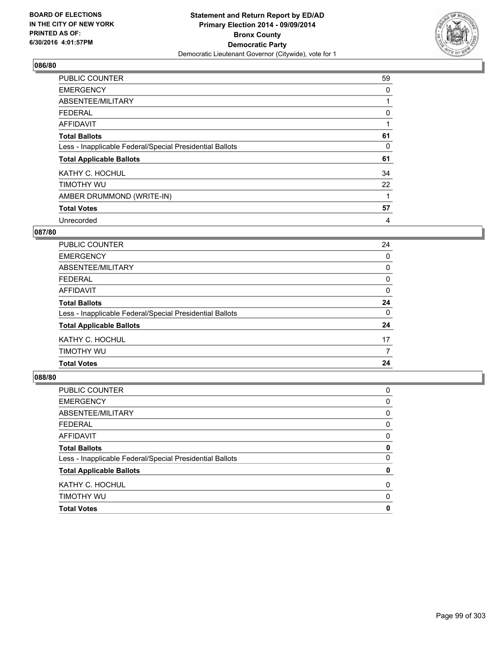

| <b>PUBLIC COUNTER</b>                                    | 59 |
|----------------------------------------------------------|----|
| <b>EMERGENCY</b>                                         | 0  |
| ABSENTEE/MILITARY                                        |    |
| <b>FEDERAL</b>                                           | 0  |
| AFFIDAVIT                                                |    |
| <b>Total Ballots</b>                                     | 61 |
| Less - Inapplicable Federal/Special Presidential Ballots | 0  |
| <b>Total Applicable Ballots</b>                          | 61 |
| KATHY C. HOCHUL                                          | 34 |
| TIMOTHY WU                                               | 22 |
| AMBER DRUMMOND (WRITE-IN)                                |    |
| <b>Total Votes</b>                                       | 57 |
| Unrecorded                                               | 4  |

### **087/80**

| <b>Total Votes</b>                                       | 24 |
|----------------------------------------------------------|----|
| TIMOTHY WU                                               | 7  |
| KATHY C. HOCHUL                                          | 17 |
| <b>Total Applicable Ballots</b>                          | 24 |
| Less - Inapplicable Federal/Special Presidential Ballots | 0  |
| <b>Total Ballots</b>                                     | 24 |
| AFFIDAVIT                                                | 0  |
| <b>FEDERAL</b>                                           | 0  |
| ABSENTEE/MILITARY                                        | 0  |
| <b>EMERGENCY</b>                                         | 0  |
| <b>PUBLIC COUNTER</b>                                    | 24 |

| <b>Total Votes</b>                                       | 0        |
|----------------------------------------------------------|----------|
| TIMOTHY WU                                               | 0        |
| KATHY C. HOCHUL                                          | 0        |
| <b>Total Applicable Ballots</b>                          | 0        |
| Less - Inapplicable Federal/Special Presidential Ballots | $\Omega$ |
| <b>Total Ballots</b>                                     | 0        |
| <b>AFFIDAVIT</b>                                         | 0        |
| <b>FEDERAL</b>                                           | 0        |
| ABSENTEE/MILITARY                                        | 0        |
| <b>EMERGENCY</b>                                         | 0        |
| <b>PUBLIC COUNTER</b>                                    | 0        |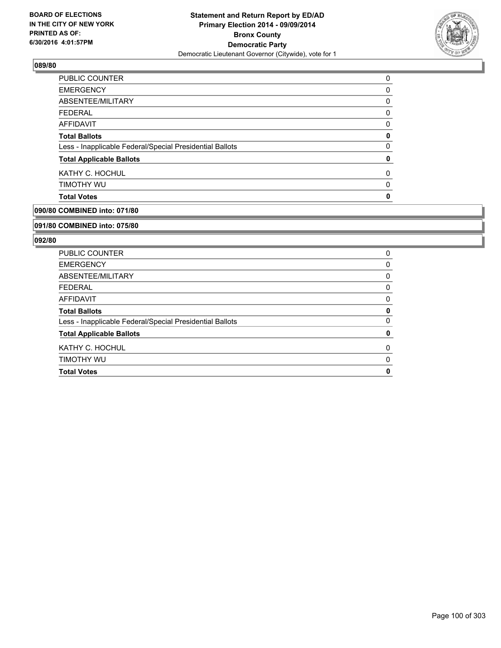

| <b>Total Votes</b>                                       | 0 |
|----------------------------------------------------------|---|
| TIMOTHY WU                                               | 0 |
| KATHY C. HOCHUL                                          | 0 |
| <b>Total Applicable Ballots</b>                          | 0 |
| Less - Inapplicable Federal/Special Presidential Ballots | 0 |
| <b>Total Ballots</b>                                     | 0 |
| AFFIDAVIT                                                | 0 |
| <b>FEDERAL</b>                                           | 0 |
| ABSENTEE/MILITARY                                        | 0 |
| <b>EMERGENCY</b>                                         | 0 |
| <b>PUBLIC COUNTER</b>                                    | 0 |

# **090/80 COMBINED into: 071/80**

#### **091/80 COMBINED into: 075/80**

| PUBLIC COUNTER                                           | 0 |
|----------------------------------------------------------|---|
| <b>EMERGENCY</b>                                         | 0 |
| ABSENTEE/MILITARY                                        | 0 |
| <b>FEDERAL</b>                                           | 0 |
| AFFIDAVIT                                                | 0 |
| <b>Total Ballots</b>                                     | 0 |
| Less - Inapplicable Federal/Special Presidential Ballots | 0 |
| <b>Total Applicable Ballots</b>                          | 0 |
| KATHY C. HOCHUL                                          | 0 |
| TIMOTHY WU                                               | 0 |
| <b>Total Votes</b>                                       | 0 |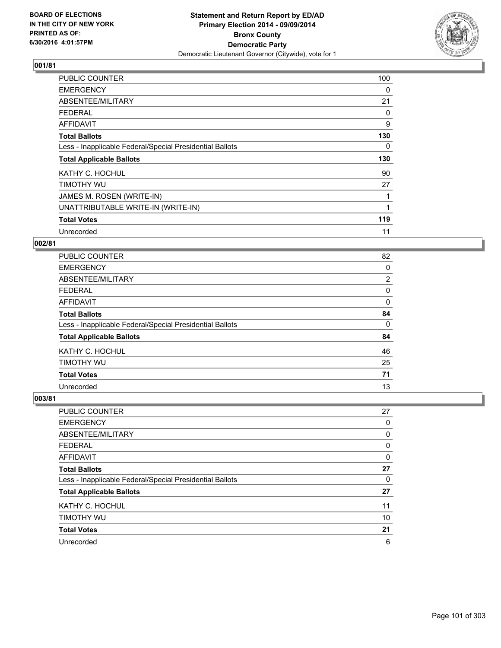

| <b>PUBLIC COUNTER</b>                                    | 100 |
|----------------------------------------------------------|-----|
| <b>EMERGENCY</b>                                         | 0   |
| ABSENTEE/MILITARY                                        | 21  |
| <b>FEDERAL</b>                                           | 0   |
| AFFIDAVIT                                                | 9   |
| <b>Total Ballots</b>                                     | 130 |
| Less - Inapplicable Federal/Special Presidential Ballots | 0   |
| <b>Total Applicable Ballots</b>                          | 130 |
| KATHY C. HOCHUL                                          | 90  |
| TIMOTHY WU                                               | 27  |
| JAMES M. ROSEN (WRITE-IN)                                |     |
| UNATTRIBUTABLE WRITE-IN (WRITE-IN)                       |     |
| <b>Total Votes</b>                                       | 119 |
| Unrecorded                                               | 11  |

### **002/81**

| <b>PUBLIC COUNTER</b>                                    | 82             |
|----------------------------------------------------------|----------------|
| <b>EMERGENCY</b>                                         | 0              |
| ABSENTEE/MILITARY                                        | $\overline{2}$ |
| <b>FEDERAL</b>                                           | 0              |
| AFFIDAVIT                                                | 0              |
| <b>Total Ballots</b>                                     | 84             |
| Less - Inapplicable Federal/Special Presidential Ballots | 0              |
| <b>Total Applicable Ballots</b>                          | 84             |
| KATHY C. HOCHUL                                          | 46             |
| TIMOTHY WU                                               | 25             |
| <b>Total Votes</b>                                       | 71             |
| Unrecorded                                               | 13             |

| PUBLIC COUNTER                                           | 27 |
|----------------------------------------------------------|----|
| <b>EMERGENCY</b>                                         | 0  |
| ABSENTEE/MILITARY                                        | 0  |
| <b>FEDERAL</b>                                           | 0  |
| <b>AFFIDAVIT</b>                                         | 0  |
| <b>Total Ballots</b>                                     | 27 |
| Less - Inapplicable Federal/Special Presidential Ballots | 0  |
| <b>Total Applicable Ballots</b>                          | 27 |
| KATHY C. HOCHUL                                          | 11 |
| TIMOTHY WU                                               | 10 |
| <b>Total Votes</b>                                       | 21 |
| Unrecorded                                               | 6  |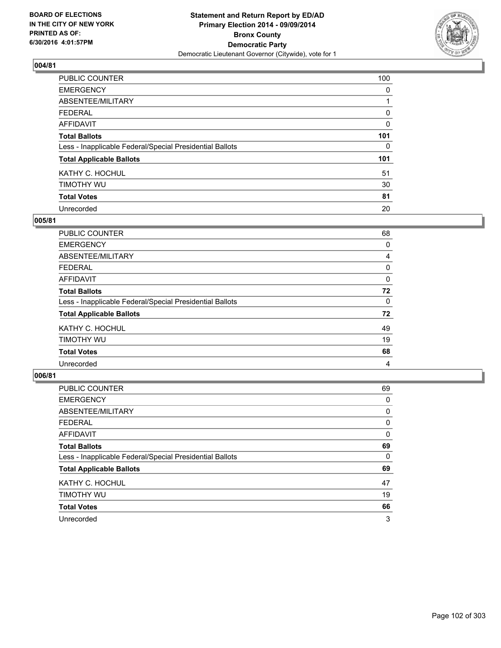

| <b>PUBLIC COUNTER</b>                                    | 100      |
|----------------------------------------------------------|----------|
| <b>EMERGENCY</b>                                         | 0        |
| ABSENTEE/MILITARY                                        |          |
| <b>FEDERAL</b>                                           | 0        |
| <b>AFFIDAVIT</b>                                         | $\Omega$ |
| <b>Total Ballots</b>                                     | 101      |
| Less - Inapplicable Federal/Special Presidential Ballots | 0        |
| <b>Total Applicable Ballots</b>                          | 101      |
| KATHY C. HOCHUL                                          | 51       |
| TIMOTHY WU                                               | 30       |
| <b>Total Votes</b>                                       | 81       |
| Unrecorded                                               | 20       |

#### **005/81**

| PUBLIC COUNTER                                           | 68 |
|----------------------------------------------------------|----|
| <b>EMERGENCY</b>                                         | 0  |
| ABSENTEE/MILITARY                                        | 4  |
| <b>FEDERAL</b>                                           | 0  |
| <b>AFFIDAVIT</b>                                         | 0  |
| <b>Total Ballots</b>                                     | 72 |
| Less - Inapplicable Federal/Special Presidential Ballots | 0  |
| <b>Total Applicable Ballots</b>                          | 72 |
| KATHY C. HOCHUL                                          | 49 |
| TIMOTHY WU                                               | 19 |
| <b>Total Votes</b>                                       | 68 |
| Unrecorded                                               | 4  |
|                                                          |    |

| PUBLIC COUNTER                                           | 69 |
|----------------------------------------------------------|----|
| <b>EMERGENCY</b>                                         | 0  |
| ABSENTEE/MILITARY                                        | 0  |
| <b>FEDERAL</b>                                           | 0  |
| <b>AFFIDAVIT</b>                                         | 0  |
| <b>Total Ballots</b>                                     | 69 |
| Less - Inapplicable Federal/Special Presidential Ballots | 0  |
| <b>Total Applicable Ballots</b>                          | 69 |
| KATHY C. HOCHUL                                          | 47 |
| TIMOTHY WU                                               | 19 |
| <b>Total Votes</b>                                       | 66 |
| Unrecorded                                               | 3  |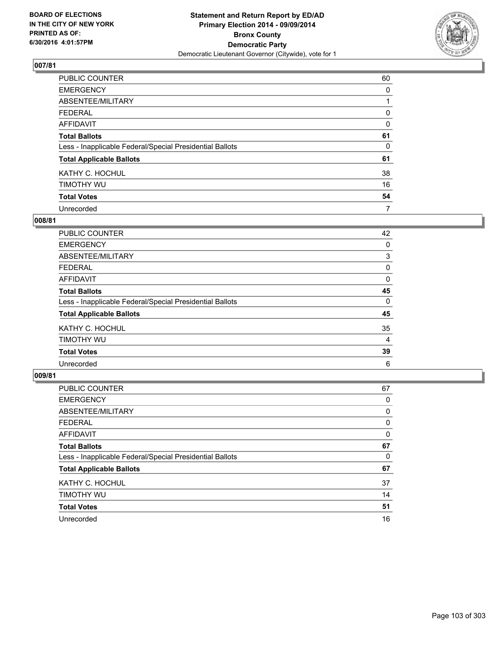

| PUBLIC COUNTER                                           | 60 |
|----------------------------------------------------------|----|
| <b>EMERGENCY</b>                                         | 0  |
| ABSENTEE/MILITARY                                        |    |
| <b>FEDERAL</b>                                           | 0  |
| <b>AFFIDAVIT</b>                                         | 0  |
| <b>Total Ballots</b>                                     | 61 |
| Less - Inapplicable Federal/Special Presidential Ballots | 0  |
| <b>Total Applicable Ballots</b>                          | 61 |
| KATHY C. HOCHUL                                          | 38 |
| TIMOTHY WU                                               | 16 |
| <b>Total Votes</b>                                       | 54 |
| Unrecorded                                               | 7  |

#### **008/81**

| PUBLIC COUNTER                                           | 42 |
|----------------------------------------------------------|----|
| <b>EMERGENCY</b>                                         | 0  |
| ABSENTEE/MILITARY                                        | 3  |
| <b>FEDERAL</b>                                           | 0  |
| <b>AFFIDAVIT</b>                                         | 0  |
| <b>Total Ballots</b>                                     | 45 |
| Less - Inapplicable Federal/Special Presidential Ballots | 0  |
| <b>Total Applicable Ballots</b>                          | 45 |
| KATHY C. HOCHUL                                          | 35 |
| TIMOTHY WU                                               | 4  |
| <b>Total Votes</b>                                       | 39 |
| Unrecorded                                               | 6  |

| PUBLIC COUNTER                                           | 67 |
|----------------------------------------------------------|----|
| <b>EMERGENCY</b>                                         | 0  |
| ABSENTEE/MILITARY                                        | 0  |
| <b>FEDERAL</b>                                           | 0  |
| <b>AFFIDAVIT</b>                                         | 0  |
| <b>Total Ballots</b>                                     | 67 |
| Less - Inapplicable Federal/Special Presidential Ballots | 0  |
| <b>Total Applicable Ballots</b>                          | 67 |
| KATHY C. HOCHUL                                          | 37 |
| TIMOTHY WU                                               | 14 |
| <b>Total Votes</b>                                       | 51 |
| Unrecorded                                               | 16 |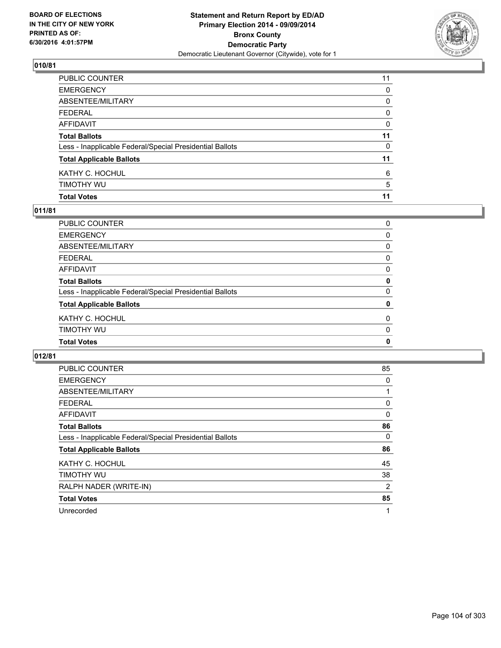

| PUBLIC COUNTER                                           | 11          |
|----------------------------------------------------------|-------------|
| EMERGENCY                                                | 0           |
| ABSENTEE/MILITARY                                        | 0           |
| FEDERAL                                                  | $\mathbf 0$ |
| AFFIDAVIT                                                | 0           |
| <b>Total Ballots</b>                                     | 11          |
| Less - Inapplicable Federal/Special Presidential Ballots | 0           |
| <b>Total Applicable Ballots</b>                          | 11          |
| KATHY C. HOCHUL                                          | 6           |
| timothy wu                                               | 5           |
| <b>Total Votes</b>                                       | 11          |

### **011/81**

| PUBLIC COUNTER                                           | 0           |
|----------------------------------------------------------|-------------|
| <b>EMERGENCY</b>                                         | 0           |
| ABSENTEE/MILITARY                                        | 0           |
| FEDERAL                                                  | 0           |
| AFFIDAVIT                                                | 0           |
| <b>Total Ballots</b>                                     | 0           |
| Less - Inapplicable Federal/Special Presidential Ballots | 0           |
| <b>Total Applicable Ballots</b>                          | 0           |
| KATHY C. HOCHUL                                          | 0           |
| TIMOTHY WU                                               | 0           |
| <b>Total Votes</b>                                       | $\mathbf 0$ |
|                                                          |             |

| PUBLIC COUNTER                                           | 85 |
|----------------------------------------------------------|----|
| <b>EMERGENCY</b>                                         | 0  |
| ABSENTEE/MILITARY                                        |    |
| <b>FEDERAL</b>                                           | 0  |
| AFFIDAVIT                                                | 0  |
| <b>Total Ballots</b>                                     | 86 |
| Less - Inapplicable Federal/Special Presidential Ballots | 0  |
| <b>Total Applicable Ballots</b>                          | 86 |
| KATHY C. HOCHUL                                          | 45 |
| TIMOTHY WU                                               | 38 |
| RALPH NADER (WRITE-IN)                                   | 2  |
| <b>Total Votes</b>                                       | 85 |
| Unrecorded                                               | 1  |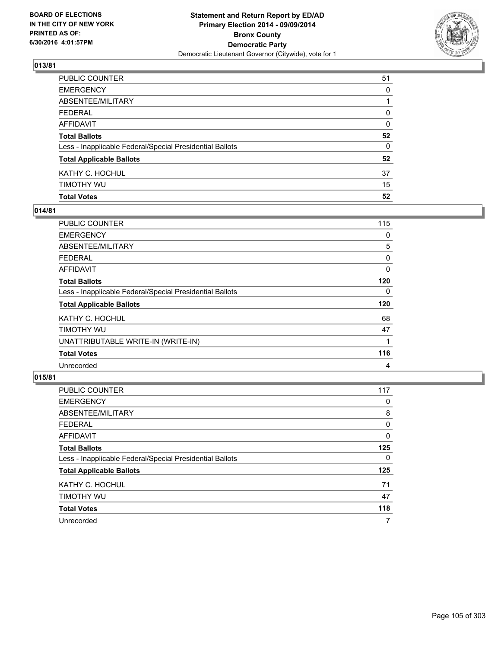

| PUBLIC COUNTER                                           | 51 |
|----------------------------------------------------------|----|
| EMERGENCY                                                | 0  |
| ABSENTEE/MILITARY                                        |    |
| FEDERAL                                                  | 0  |
| AFFIDAVIT                                                | 0  |
| <b>Total Ballots</b>                                     | 52 |
| Less - Inapplicable Federal/Special Presidential Ballots | 0  |
| <b>Total Applicable Ballots</b>                          | 52 |
| KATHY C. HOCHUL                                          | 37 |
| timothy wu                                               | 15 |
| <b>Total Votes</b>                                       | 52 |

### **014/81**

| PUBLIC COUNTER                                           | 115 |
|----------------------------------------------------------|-----|
| <b>EMERGENCY</b>                                         | 0   |
| ABSENTEE/MILITARY                                        | 5   |
| <b>FEDERAL</b>                                           | 0   |
| <b>AFFIDAVIT</b>                                         | 0   |
| <b>Total Ballots</b>                                     | 120 |
| Less - Inapplicable Federal/Special Presidential Ballots | 0   |
| <b>Total Applicable Ballots</b>                          | 120 |
| KATHY C. HOCHUL                                          | 68  |
| TIMOTHY WU                                               | 47  |
| UNATTRIBUTABLE WRITE-IN (WRITE-IN)                       | 1   |
| <b>Total Votes</b>                                       | 116 |
| Unrecorded                                               | 4   |

| <b>PUBLIC COUNTER</b>                                    | 117 |
|----------------------------------------------------------|-----|
| <b>EMERGENCY</b>                                         | 0   |
| ABSENTEE/MILITARY                                        | 8   |
| <b>FEDERAL</b>                                           | 0   |
| AFFIDAVIT                                                | 0   |
| <b>Total Ballots</b>                                     | 125 |
| Less - Inapplicable Federal/Special Presidential Ballots | 0   |
| <b>Total Applicable Ballots</b>                          | 125 |
| KATHY C. HOCHUL                                          | 71  |
| TIMOTHY WU                                               | 47  |
| <b>Total Votes</b>                                       | 118 |
| Unrecorded                                               | 7   |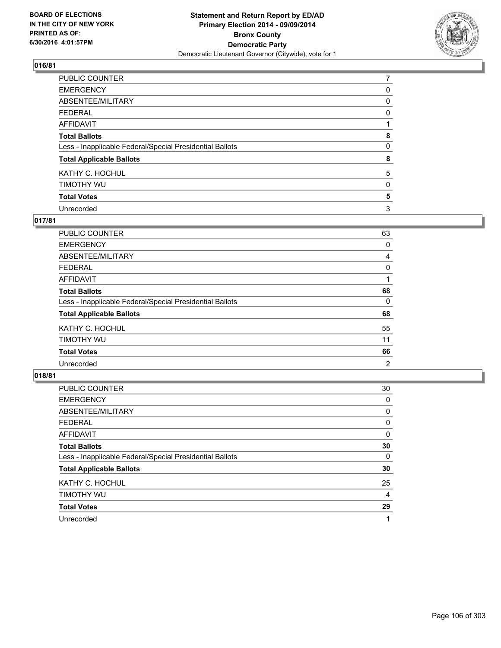

| PUBLIC COUNTER                                           | 7 |
|----------------------------------------------------------|---|
| <b>EMERGENCY</b>                                         | 0 |
| ABSENTEE/MILITARY                                        | 0 |
| <b>FEDERAL</b>                                           | 0 |
| <b>AFFIDAVIT</b>                                         |   |
| <b>Total Ballots</b>                                     | 8 |
| Less - Inapplicable Federal/Special Presidential Ballots | 0 |
| <b>Total Applicable Ballots</b>                          | 8 |
| KATHY C. HOCHUL                                          | 5 |
| TIMOTHY WU                                               | 0 |
| <b>Total Votes</b>                                       | 5 |
| Unrecorded                                               | 3 |

### **017/81**

| PUBLIC COUNTER                                           | 63 |
|----------------------------------------------------------|----|
| <b>EMERGENCY</b>                                         | 0  |
| ABSENTEE/MILITARY                                        | 4  |
| <b>FEDERAL</b>                                           | 0  |
| <b>AFFIDAVIT</b>                                         |    |
| <b>Total Ballots</b>                                     | 68 |
| Less - Inapplicable Federal/Special Presidential Ballots | 0  |
| <b>Total Applicable Ballots</b>                          | 68 |
| KATHY C. HOCHUL                                          | 55 |
| TIMOTHY WU                                               | 11 |
| <b>Total Votes</b>                                       | 66 |
| Unrecorded                                               | 2  |

| PUBLIC COUNTER                                           | 30 |
|----------------------------------------------------------|----|
| <b>EMERGENCY</b>                                         | 0  |
| ABSENTEE/MILITARY                                        | 0  |
| <b>FEDERAL</b>                                           | 0  |
| AFFIDAVIT                                                | 0  |
| <b>Total Ballots</b>                                     | 30 |
| Less - Inapplicable Federal/Special Presidential Ballots | 0  |
| <b>Total Applicable Ballots</b>                          | 30 |
| KATHY C. HOCHUL                                          | 25 |
| TIMOTHY WU                                               | 4  |
| <b>Total Votes</b>                                       | 29 |
| Unrecorded                                               |    |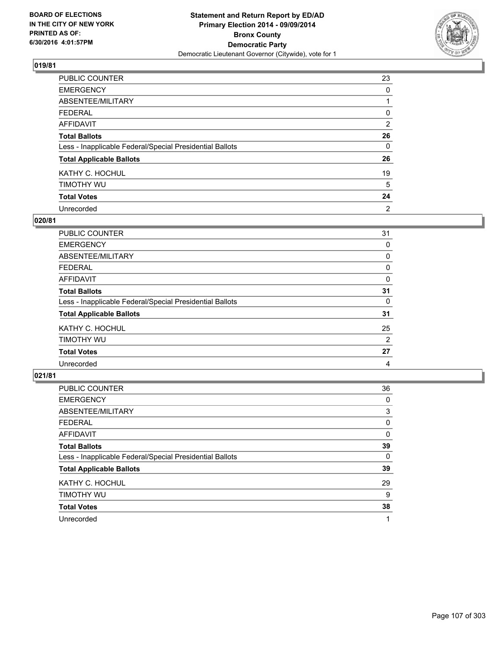

| PUBLIC COUNTER                                           | 23             |
|----------------------------------------------------------|----------------|
| <b>EMERGENCY</b>                                         | 0              |
| ABSENTEE/MILITARY                                        |                |
| <b>FEDERAL</b>                                           | 0              |
| <b>AFFIDAVIT</b>                                         | $\overline{2}$ |
| <b>Total Ballots</b>                                     | 26             |
| Less - Inapplicable Federal/Special Presidential Ballots | 0              |
| <b>Total Applicable Ballots</b>                          | 26             |
| KATHY C. HOCHUL                                          | 19             |
| TIMOTHY WU                                               | 5              |
| <b>Total Votes</b>                                       | 24             |
| Unrecorded                                               | 2              |

#### **020/81**

| PUBLIC COUNTER                                           | 31             |
|----------------------------------------------------------|----------------|
| <b>EMERGENCY</b>                                         | 0              |
| ABSENTEE/MILITARY                                        | 0              |
| <b>FEDERAL</b>                                           | 0              |
| <b>AFFIDAVIT</b>                                         | 0              |
| <b>Total Ballots</b>                                     | 31             |
| Less - Inapplicable Federal/Special Presidential Ballots | 0              |
| <b>Total Applicable Ballots</b>                          | 31             |
| KATHY C. HOCHUL                                          | 25             |
| TIMOTHY WU                                               | $\overline{2}$ |
| <b>Total Votes</b>                                       | 27             |
| Unrecorded                                               | 4              |

| PUBLIC COUNTER                                           | 36 |
|----------------------------------------------------------|----|
| <b>EMERGENCY</b>                                         | 0  |
| ABSENTEE/MILITARY                                        | 3  |
| <b>FEDERAL</b>                                           | 0  |
| AFFIDAVIT                                                | 0  |
| <b>Total Ballots</b>                                     | 39 |
| Less - Inapplicable Federal/Special Presidential Ballots | 0  |
| <b>Total Applicable Ballots</b>                          | 39 |
| KATHY C. HOCHUL                                          | 29 |
| TIMOTHY WU                                               | 9  |
| <b>Total Votes</b>                                       | 38 |
| Unrecorded                                               |    |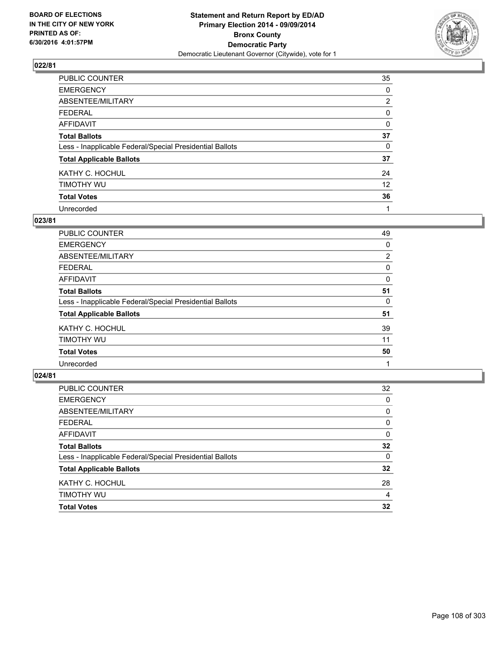

| PUBLIC COUNTER                                           | 35             |
|----------------------------------------------------------|----------------|
| <b>EMERGENCY</b>                                         | 0              |
| ABSENTEE/MILITARY                                        | $\overline{2}$ |
| <b>FEDERAL</b>                                           | 0              |
| <b>AFFIDAVIT</b>                                         | 0              |
| <b>Total Ballots</b>                                     | 37             |
| Less - Inapplicable Federal/Special Presidential Ballots | 0              |
| <b>Total Applicable Ballots</b>                          | 37             |
| KATHY C. HOCHUL                                          | 24             |
| TIMOTHY WU                                               | 12             |
| <b>Total Votes</b>                                       | 36             |
| Unrecorded                                               | 1              |

#### **023/81**

| PUBLIC COUNTER                                           | 49             |
|----------------------------------------------------------|----------------|
| <b>EMERGENCY</b>                                         | 0              |
| ABSENTEE/MILITARY                                        | $\overline{2}$ |
| <b>FEDERAL</b>                                           | 0              |
| <b>AFFIDAVIT</b>                                         | 0              |
| <b>Total Ballots</b>                                     | 51             |
| Less - Inapplicable Federal/Special Presidential Ballots | 0              |
| <b>Total Applicable Ballots</b>                          | 51             |
| KATHY C. HOCHUL                                          | 39             |
| TIMOTHY WU                                               | 11             |
| <b>Total Votes</b>                                       | 50             |
| Unrecorded                                               |                |

| PUBLIC COUNTER                                           | 32       |
|----------------------------------------------------------|----------|
| <b>EMERGENCY</b>                                         | 0        |
| ABSENTEE/MILITARY                                        | 0        |
| <b>FEDERAL</b>                                           | 0        |
| <b>AFFIDAVIT</b>                                         | $\Omega$ |
| <b>Total Ballots</b>                                     | 32       |
| Less - Inapplicable Federal/Special Presidential Ballots | 0        |
| <b>Total Applicable Ballots</b>                          | 32       |
| KATHY C. HOCHUL                                          | 28       |
| TIMOTHY WU                                               | 4        |
| <b>Total Votes</b>                                       | 32       |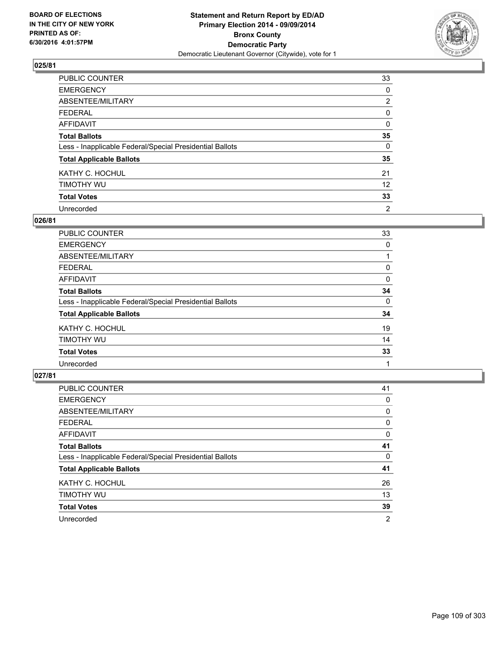

| PUBLIC COUNTER                                           | 33             |
|----------------------------------------------------------|----------------|
| <b>EMERGENCY</b>                                         | 0              |
| ABSENTEE/MILITARY                                        | $\overline{2}$ |
| <b>FEDERAL</b>                                           | 0              |
| <b>AFFIDAVIT</b>                                         | 0              |
| <b>Total Ballots</b>                                     | 35             |
| Less - Inapplicable Federal/Special Presidential Ballots | 0              |
| <b>Total Applicable Ballots</b>                          | 35             |
| KATHY C. HOCHUL                                          | 21             |
| TIMOTHY WU                                               | 12             |
| <b>Total Votes</b>                                       | 33             |
| Unrecorded                                               | 2              |

#### **026/81**

| PUBLIC COUNTER                                           | 33 |
|----------------------------------------------------------|----|
| <b>EMERGENCY</b>                                         | 0  |
| <b>ABSENTEE/MILITARY</b>                                 |    |
| <b>FEDERAL</b>                                           | 0  |
| <b>AFFIDAVIT</b>                                         | 0  |
| <b>Total Ballots</b>                                     | 34 |
| Less - Inapplicable Federal/Special Presidential Ballots | 0  |
| <b>Total Applicable Ballots</b>                          | 34 |
| KATHY C. HOCHUL                                          | 19 |
| TIMOTHY WU                                               | 14 |
| <b>Total Votes</b>                                       | 33 |
| Unrecorded                                               |    |
|                                                          |    |

| PUBLIC COUNTER                                           | 41 |
|----------------------------------------------------------|----|
| <b>EMERGENCY</b>                                         | 0  |
| ABSENTEE/MILITARY                                        | 0  |
| <b>FEDERAL</b>                                           | 0  |
| <b>AFFIDAVIT</b>                                         | 0  |
| <b>Total Ballots</b>                                     | 41 |
| Less - Inapplicable Federal/Special Presidential Ballots | 0  |
| <b>Total Applicable Ballots</b>                          | 41 |
| KATHY C. HOCHUL                                          | 26 |
| TIMOTHY WU                                               | 13 |
| <b>Total Votes</b>                                       | 39 |
| Unrecorded                                               | 2  |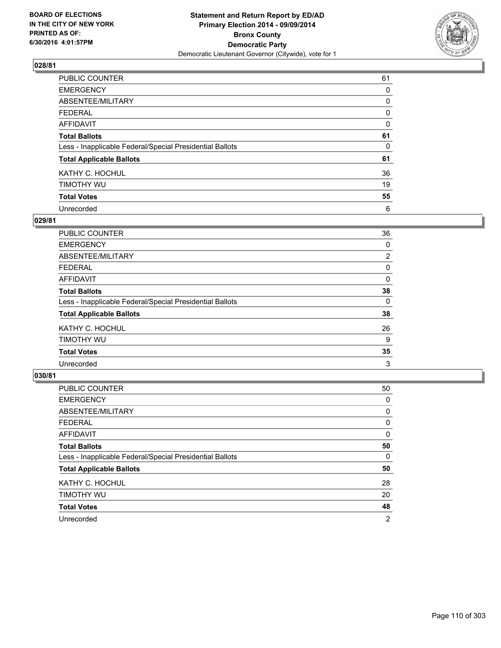

| PUBLIC COUNTER                                           | 61 |
|----------------------------------------------------------|----|
| <b>EMERGENCY</b>                                         | 0  |
| ABSENTEE/MILITARY                                        | 0  |
| <b>FEDERAL</b>                                           | 0  |
| <b>AFFIDAVIT</b>                                         | 0  |
| <b>Total Ballots</b>                                     | 61 |
| Less - Inapplicable Federal/Special Presidential Ballots | 0  |
| <b>Total Applicable Ballots</b>                          | 61 |
| KATHY C. HOCHUL                                          | 36 |
| TIMOTHY WU                                               | 19 |
| <b>Total Votes</b>                                       | 55 |
| Unrecorded                                               | 6  |

#### **029/81**

| <b>PUBLIC COUNTER</b>                                    | 36             |
|----------------------------------------------------------|----------------|
| <b>EMERGENCY</b>                                         | 0              |
| ABSENTEE/MILITARY                                        | $\overline{2}$ |
| <b>FEDERAL</b>                                           | 0              |
| <b>AFFIDAVIT</b>                                         | 0              |
| <b>Total Ballots</b>                                     | 38             |
| Less - Inapplicable Federal/Special Presidential Ballots | 0              |
| <b>Total Applicable Ballots</b>                          | 38             |
| KATHY C. HOCHUL                                          | 26             |
| TIMOTHY WU                                               | 9              |
| <b>Total Votes</b>                                       | 35             |
| Unrecorded                                               | 3              |
|                                                          |                |

| PUBLIC COUNTER                                           | 50 |
|----------------------------------------------------------|----|
| <b>EMERGENCY</b>                                         | 0  |
| ABSENTEE/MILITARY                                        | 0  |
| <b>FEDERAL</b>                                           | 0  |
| <b>AFFIDAVIT</b>                                         | 0  |
| <b>Total Ballots</b>                                     | 50 |
| Less - Inapplicable Federal/Special Presidential Ballots | 0  |
| <b>Total Applicable Ballots</b>                          | 50 |
| KATHY C. HOCHUL                                          | 28 |
| TIMOTHY WU                                               | 20 |
| <b>Total Votes</b>                                       | 48 |
| Unrecorded                                               | 2  |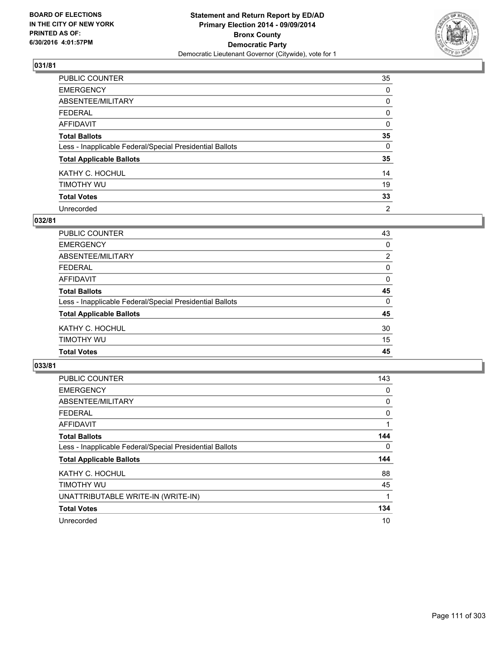

| PUBLIC COUNTER                                           | 35       |
|----------------------------------------------------------|----------|
| <b>EMERGENCY</b>                                         | 0        |
| ABSENTEE/MILITARY                                        | 0        |
| <b>FEDERAL</b>                                           | 0        |
| <b>AFFIDAVIT</b>                                         | 0        |
| <b>Total Ballots</b>                                     | 35       |
| Less - Inapplicable Federal/Special Presidential Ballots | $\Omega$ |
| <b>Total Applicable Ballots</b>                          | 35       |
| KATHY C. HOCHUL                                          | 14       |
| TIMOTHY WU                                               | 19       |
| <b>Total Votes</b>                                       | 33       |
| Unrecorded                                               | 2        |

#### **032/81**

| PUBLIC COUNTER                                           | 43             |
|----------------------------------------------------------|----------------|
| <b>EMERGENCY</b>                                         | 0              |
| <b>ABSENTEE/MILITARY</b>                                 | $\overline{2}$ |
| <b>FEDERAL</b>                                           | 0              |
| <b>AFFIDAVIT</b>                                         | 0              |
| <b>Total Ballots</b>                                     | 45             |
| Less - Inapplicable Federal/Special Presidential Ballots | 0              |
| <b>Total Applicable Ballots</b>                          | 45             |
| KATHY C. HOCHUL                                          | 30             |
| TIMOTHY WU                                               | 15             |
| <b>Total Votes</b>                                       | 45             |
|                                                          |                |

| <b>PUBLIC COUNTER</b>                                    | 143 |
|----------------------------------------------------------|-----|
| <b>EMERGENCY</b>                                         | 0   |
| ABSENTEE/MILITARY                                        | 0   |
| <b>FEDERAL</b>                                           | 0   |
| AFFIDAVIT                                                | 1   |
| <b>Total Ballots</b>                                     | 144 |
| Less - Inapplicable Federal/Special Presidential Ballots | 0   |
| <b>Total Applicable Ballots</b>                          | 144 |
| KATHY C. HOCHUL                                          | 88  |
| TIMOTHY WU                                               | 45  |
| UNATTRIBUTABLE WRITE-IN (WRITE-IN)                       | 1   |
| <b>Total Votes</b>                                       | 134 |
| Unrecorded                                               | 10  |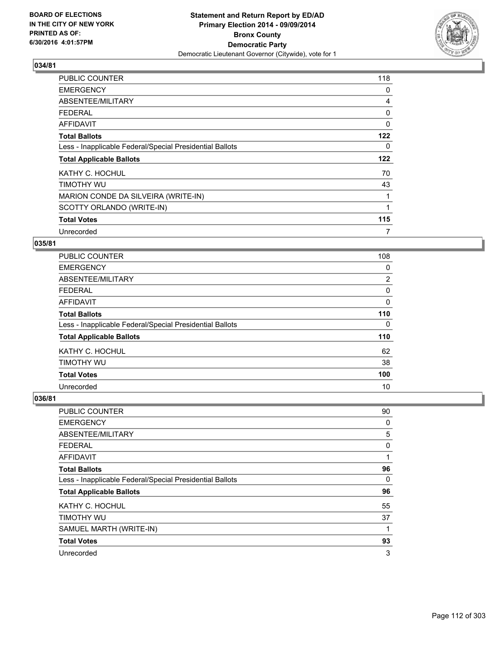

| <b>PUBLIC COUNTER</b>                                    | 118 |
|----------------------------------------------------------|-----|
| <b>EMERGENCY</b>                                         | 0   |
| ABSENTEE/MILITARY                                        | 4   |
| <b>FEDERAL</b>                                           | 0   |
| <b>AFFIDAVIT</b>                                         | 0   |
| <b>Total Ballots</b>                                     | 122 |
| Less - Inapplicable Federal/Special Presidential Ballots | 0   |
| <b>Total Applicable Ballots</b>                          | 122 |
| KATHY C. HOCHUL                                          | 70  |
| TIMOTHY WU                                               | 43  |
| MARION CONDE DA SILVEIRA (WRITE-IN)                      |     |
| SCOTTY ORLANDO (WRITE-IN)                                |     |
| <b>Total Votes</b>                                       | 115 |
| Unrecorded                                               | 7   |

#### **035/81**

| <b>PUBLIC COUNTER</b>                                    | 108            |
|----------------------------------------------------------|----------------|
| <b>EMERGENCY</b>                                         | 0              |
| ABSENTEE/MILITARY                                        | $\overline{2}$ |
| <b>FEDERAL</b>                                           | 0              |
| AFFIDAVIT                                                | 0              |
| <b>Total Ballots</b>                                     | 110            |
| Less - Inapplicable Federal/Special Presidential Ballots | 0              |
| <b>Total Applicable Ballots</b>                          | 110            |
| KATHY C. HOCHUL                                          | 62             |
| TIMOTHY WU                                               | 38             |
| <b>Total Votes</b>                                       | 100            |
| Unrecorded                                               | 10             |

| PUBLIC COUNTER                                           | 90 |
|----------------------------------------------------------|----|
| <b>EMERGENCY</b>                                         | 0  |
| ABSENTEE/MILITARY                                        | 5  |
| <b>FEDERAL</b>                                           | 0  |
| <b>AFFIDAVIT</b>                                         | 1  |
| <b>Total Ballots</b>                                     | 96 |
| Less - Inapplicable Federal/Special Presidential Ballots | 0  |
| <b>Total Applicable Ballots</b>                          | 96 |
| KATHY C. HOCHUL                                          | 55 |
| TIMOTHY WU                                               | 37 |
| SAMUEL MARTH (WRITE-IN)                                  | 1  |
| <b>Total Votes</b>                                       | 93 |
| Unrecorded                                               | 3  |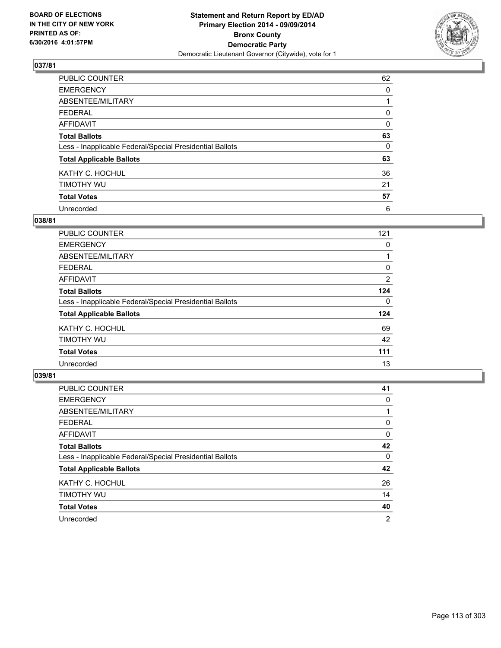

| PUBLIC COUNTER                                           | 62 |
|----------------------------------------------------------|----|
| <b>EMERGENCY</b>                                         | 0  |
| ABSENTEE/MILITARY                                        |    |
| <b>FEDERAL</b>                                           | 0  |
| <b>AFFIDAVIT</b>                                         | 0  |
| <b>Total Ballots</b>                                     | 63 |
| Less - Inapplicable Federal/Special Presidential Ballots | 0  |
| <b>Total Applicable Ballots</b>                          | 63 |
| KATHY C. HOCHUL                                          | 36 |
| TIMOTHY WU                                               | 21 |
| <b>Total Votes</b>                                       | 57 |
| Unrecorded                                               | 6  |

#### **038/81**

| PUBLIC COUNTER                                           | 121            |
|----------------------------------------------------------|----------------|
| <b>EMERGENCY</b>                                         | 0              |
| ABSENTEE/MILITARY                                        |                |
| FEDERAL                                                  | 0              |
| AFFIDAVIT                                                | $\overline{2}$ |
| <b>Total Ballots</b>                                     | 124            |
| Less - Inapplicable Federal/Special Presidential Ballots | 0              |
| <b>Total Applicable Ballots</b>                          | 124            |
| KATHY C. HOCHUL                                          | 69             |
| TIMOTHY WU                                               | 42             |
| <b>Total Votes</b>                                       | 111            |
| Unrecorded                                               | 13             |

| PUBLIC COUNTER                                           | 41 |
|----------------------------------------------------------|----|
| <b>EMERGENCY</b>                                         | 0  |
| ABSENTEE/MILITARY                                        |    |
| <b>FEDERAL</b>                                           | 0  |
| <b>AFFIDAVIT</b>                                         | 0  |
| <b>Total Ballots</b>                                     | 42 |
| Less - Inapplicable Federal/Special Presidential Ballots | 0  |
| <b>Total Applicable Ballots</b>                          | 42 |
| KATHY C. HOCHUL                                          | 26 |
| TIMOTHY WU                                               | 14 |
| <b>Total Votes</b>                                       | 40 |
| Unrecorded                                               | 2  |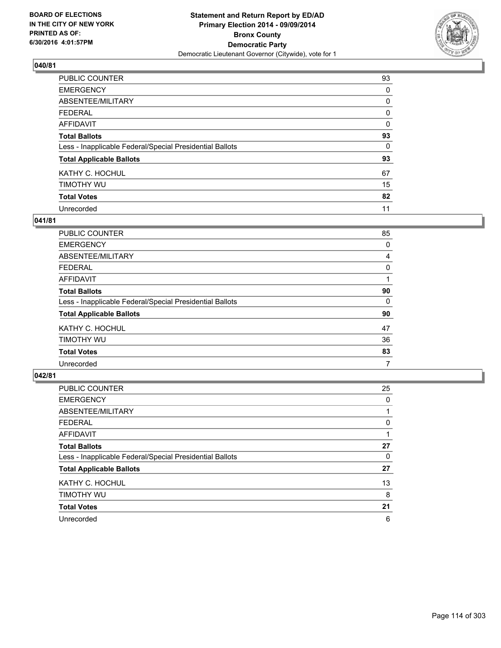

| PUBLIC COUNTER                                           | 93       |
|----------------------------------------------------------|----------|
| <b>EMERGENCY</b>                                         | 0        |
| ABSENTEE/MILITARY                                        | 0        |
| <b>FEDERAL</b>                                           | 0        |
| <b>AFFIDAVIT</b>                                         | $\Omega$ |
| <b>Total Ballots</b>                                     | 93       |
| Less - Inapplicable Federal/Special Presidential Ballots | $\Omega$ |
| <b>Total Applicable Ballots</b>                          | 93       |
| KATHY C. HOCHUL                                          | 67       |
| TIMOTHY WU                                               | 15       |
| <b>Total Votes</b>                                       | 82       |
| Unrecorded                                               | 11       |

#### **041/81**

| PUBLIC COUNTER                                           | 85 |
|----------------------------------------------------------|----|
| <b>EMERGENCY</b>                                         | 0  |
| ABSENTEE/MILITARY                                        | 4  |
| <b>FEDERAL</b>                                           | 0  |
| <b>AFFIDAVIT</b>                                         |    |
| <b>Total Ballots</b>                                     | 90 |
| Less - Inapplicable Federal/Special Presidential Ballots | 0  |
| <b>Total Applicable Ballots</b>                          | 90 |
| KATHY C. HOCHUL                                          | 47 |
| TIMOTHY WU                                               | 36 |
| <b>Total Votes</b>                                       | 83 |
| Unrecorded                                               | 7  |
|                                                          |    |

| <b>PUBLIC COUNTER</b>                                    | 25 |
|----------------------------------------------------------|----|
| <b>EMERGENCY</b>                                         | 0  |
| ABSENTEE/MILITARY                                        |    |
| <b>FEDERAL</b>                                           | 0  |
| AFFIDAVIT                                                |    |
| <b>Total Ballots</b>                                     | 27 |
| Less - Inapplicable Federal/Special Presidential Ballots | 0  |
| <b>Total Applicable Ballots</b>                          | 27 |
| KATHY C. HOCHUL                                          | 13 |
| TIMOTHY WU                                               | 8  |
| <b>Total Votes</b>                                       | 21 |
| Unrecorded                                               | 6  |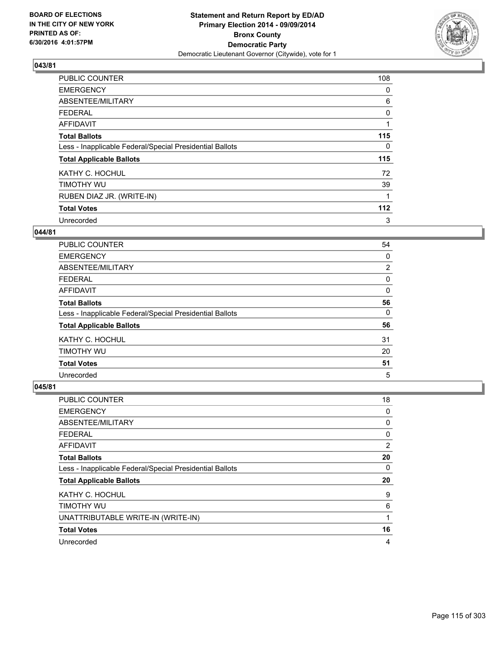

| <b>PUBLIC COUNTER</b>                                    | 108 |
|----------------------------------------------------------|-----|
| <b>EMERGENCY</b>                                         | 0   |
| ABSENTEE/MILITARY                                        | 6   |
| <b>FEDERAL</b>                                           | 0   |
| AFFIDAVIT                                                |     |
| <b>Total Ballots</b>                                     | 115 |
| Less - Inapplicable Federal/Special Presidential Ballots | 0   |
| <b>Total Applicable Ballots</b>                          | 115 |
| KATHY C. HOCHUL                                          | 72  |
| TIMOTHY WU                                               | 39  |
| RUBEN DIAZ JR. (WRITE-IN)                                |     |
| <b>Total Votes</b>                                       | 112 |
| Unrecorded                                               | 3   |

# **044/81**

| PUBLIC COUNTER                                           | 54 |
|----------------------------------------------------------|----|
| <b>EMERGENCY</b>                                         | 0  |
| ABSENTEE/MILITARY                                        | 2  |
| <b>FEDERAL</b>                                           | 0  |
| <b>AFFIDAVIT</b>                                         | 0  |
| <b>Total Ballots</b>                                     | 56 |
| Less - Inapplicable Federal/Special Presidential Ballots | 0  |
| <b>Total Applicable Ballots</b>                          | 56 |
| KATHY C. HOCHUL                                          | 31 |
| TIMOTHY WU                                               | 20 |
| <b>Total Votes</b>                                       | 51 |
| Unrecorded                                               | 5  |

| <b>PUBLIC COUNTER</b>                                    | 18 |
|----------------------------------------------------------|----|
| <b>EMERGENCY</b>                                         | 0  |
| ABSENTEE/MILITARY                                        | 0  |
| <b>FEDERAL</b>                                           | 0  |
| <b>AFFIDAVIT</b>                                         | 2  |
| <b>Total Ballots</b>                                     | 20 |
| Less - Inapplicable Federal/Special Presidential Ballots | 0  |
| <b>Total Applicable Ballots</b>                          | 20 |
| KATHY C. HOCHUL                                          | 9  |
| TIMOTHY WU                                               | 6  |
| UNATTRIBUTABLE WRITE-IN (WRITE-IN)                       | 1  |
| <b>Total Votes</b>                                       | 16 |
| Unrecorded                                               | 4  |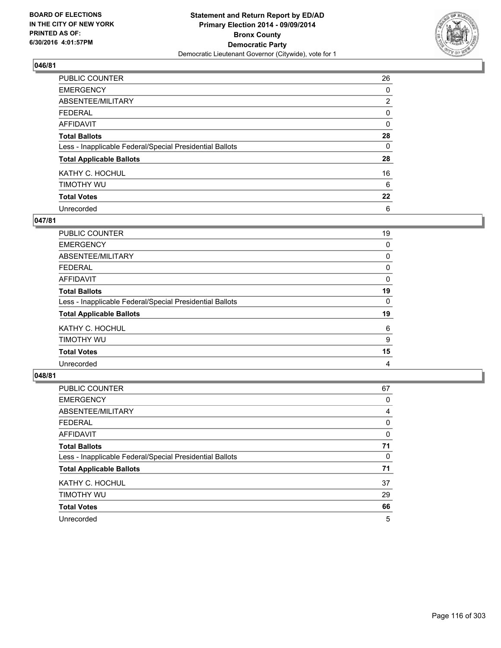

| PUBLIC COUNTER                                           | 26             |
|----------------------------------------------------------|----------------|
| <b>EMERGENCY</b>                                         | 0              |
| ABSENTEE/MILITARY                                        | $\overline{2}$ |
| <b>FEDERAL</b>                                           | 0              |
| <b>AFFIDAVIT</b>                                         | 0              |
| <b>Total Ballots</b>                                     | 28             |
| Less - Inapplicable Federal/Special Presidential Ballots | $\Omega$       |
| <b>Total Applicable Ballots</b>                          | 28             |
| KATHY C. HOCHUL                                          | 16             |
| TIMOTHY WU                                               | 6              |
| <b>Total Votes</b>                                       | 22             |
| Unrecorded                                               | 6              |

#### **047/81**

| PUBLIC COUNTER                                           | 19 |
|----------------------------------------------------------|----|
| <b>EMERGENCY</b>                                         | 0  |
| ABSENTEE/MILITARY                                        | 0  |
| <b>FEDERAL</b>                                           | 0  |
| <b>AFFIDAVIT</b>                                         | 0  |
| <b>Total Ballots</b>                                     | 19 |
| Less - Inapplicable Federal/Special Presidential Ballots | 0  |
| <b>Total Applicable Ballots</b>                          | 19 |
| KATHY C. HOCHUL                                          | 6  |
| TIMOTHY WU                                               | 9  |
| <b>Total Votes</b>                                       | 15 |
| Unrecorded                                               | 4  |
|                                                          |    |

| <b>PUBLIC COUNTER</b>                                    | 67 |
|----------------------------------------------------------|----|
| <b>EMERGENCY</b>                                         | 0  |
| ABSENTEE/MILITARY                                        | 4  |
| <b>FEDERAL</b>                                           | 0  |
| AFFIDAVIT                                                | 0  |
| <b>Total Ballots</b>                                     | 71 |
| Less - Inapplicable Federal/Special Presidential Ballots | 0  |
| <b>Total Applicable Ballots</b>                          | 71 |
| KATHY C. HOCHUL                                          | 37 |
| TIMOTHY WU                                               | 29 |
| <b>Total Votes</b>                                       | 66 |
| Unrecorded                                               | 5  |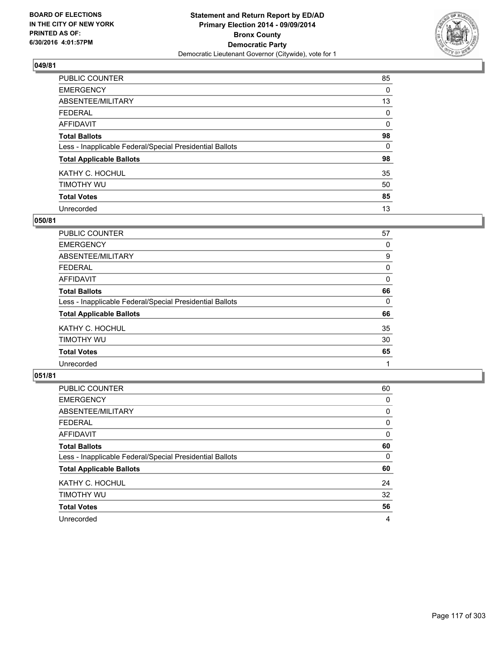

| PUBLIC COUNTER                                           | 85           |
|----------------------------------------------------------|--------------|
| <b>EMERGENCY</b>                                         | 0            |
| ABSENTEE/MILITARY                                        | 13           |
| <b>FEDERAL</b>                                           | 0            |
| <b>AFFIDAVIT</b>                                         | $\mathbf{0}$ |
| <b>Total Ballots</b>                                     | 98           |
| Less - Inapplicable Federal/Special Presidential Ballots | $\Omega$     |
| <b>Total Applicable Ballots</b>                          | 98           |
| KATHY C. HOCHUL                                          | 35           |
| TIMOTHY WU                                               | 50           |
| <b>Total Votes</b>                                       | 85           |
| Unrecorded                                               | 13           |

#### **050/81**

| PUBLIC COUNTER                                           | 57 |
|----------------------------------------------------------|----|
| <b>EMERGENCY</b>                                         | 0  |
| ABSENTEE/MILITARY                                        | 9  |
| <b>FEDERAL</b>                                           | 0  |
| <b>AFFIDAVIT</b>                                         | 0  |
| <b>Total Ballots</b>                                     | 66 |
| Less - Inapplicable Federal/Special Presidential Ballots | 0  |
| <b>Total Applicable Ballots</b>                          | 66 |
| KATHY C. HOCHUL                                          | 35 |
| TIMOTHY WU                                               | 30 |
| <b>Total Votes</b>                                       | 65 |
| Unrecorded                                               |    |
|                                                          |    |

| PUBLIC COUNTER                                           | 60 |
|----------------------------------------------------------|----|
| <b>EMERGENCY</b>                                         | 0  |
| ABSENTEE/MILITARY                                        | 0  |
| <b>FEDERAL</b>                                           | 0  |
| <b>AFFIDAVIT</b>                                         | 0  |
| <b>Total Ballots</b>                                     | 60 |
| Less - Inapplicable Federal/Special Presidential Ballots | 0  |
| <b>Total Applicable Ballots</b>                          | 60 |
| KATHY C. HOCHUL                                          | 24 |
| TIMOTHY WU                                               | 32 |
| <b>Total Votes</b>                                       | 56 |
| Unrecorded                                               | 4  |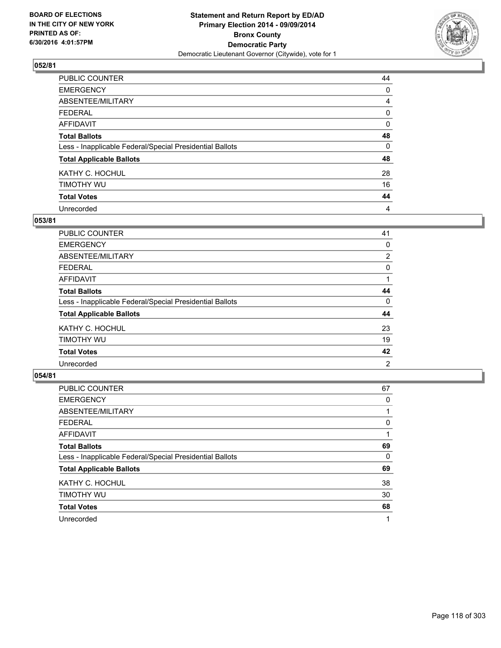

| PUBLIC COUNTER                                           | 44 |
|----------------------------------------------------------|----|
| <b>EMERGENCY</b>                                         | 0  |
| ABSENTEE/MILITARY                                        | 4  |
| <b>FEDERAL</b>                                           | 0  |
| <b>AFFIDAVIT</b>                                         | 0  |
| <b>Total Ballots</b>                                     | 48 |
| Less - Inapplicable Federal/Special Presidential Ballots | 0  |
| <b>Total Applicable Ballots</b>                          | 48 |
| KATHY C. HOCHUL                                          | 28 |
| TIMOTHY WU                                               | 16 |
| <b>Total Votes</b>                                       | 44 |
| Unrecorded                                               | 4  |

#### **053/81**

| PUBLIC COUNTER                                           | 41 |
|----------------------------------------------------------|----|
| <b>EMERGENCY</b>                                         | 0  |
| ABSENTEE/MILITARY                                        | 2  |
| <b>FEDERAL</b>                                           | 0  |
| <b>AFFIDAVIT</b>                                         |    |
| <b>Total Ballots</b>                                     | 44 |
| Less - Inapplicable Federal/Special Presidential Ballots | 0  |
| <b>Total Applicable Ballots</b>                          | 44 |
| KATHY C. HOCHUL                                          | 23 |
| TIMOTHY WU                                               | 19 |
| <b>Total Votes</b>                                       | 42 |
| Unrecorded                                               | 2  |
|                                                          |    |

| PUBLIC COUNTER                                           | 67 |
|----------------------------------------------------------|----|
| <b>EMERGENCY</b>                                         | 0  |
| ABSENTEE/MILITARY                                        |    |
| <b>FEDERAL</b>                                           | 0  |
| <b>AFFIDAVIT</b>                                         |    |
| <b>Total Ballots</b>                                     | 69 |
| Less - Inapplicable Federal/Special Presidential Ballots | 0  |
| <b>Total Applicable Ballots</b>                          | 69 |
| KATHY C. HOCHUL                                          | 38 |
| TIMOTHY WU                                               | 30 |
| <b>Total Votes</b>                                       | 68 |
| Unrecorded                                               |    |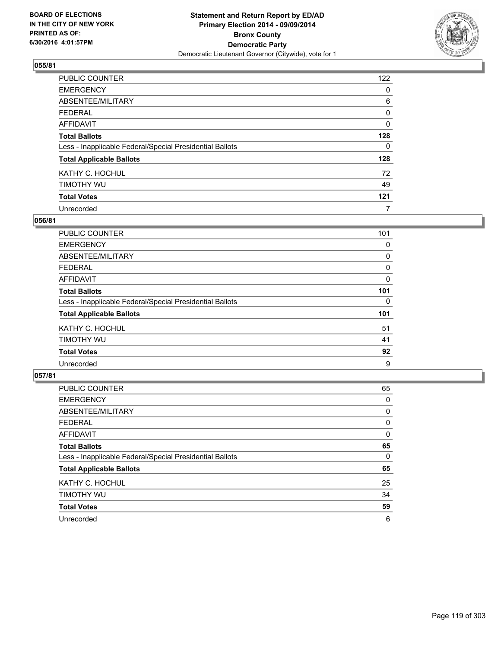

| PUBLIC COUNTER                                           | 122      |
|----------------------------------------------------------|----------|
| <b>EMERGENCY</b>                                         | 0        |
| ABSENTEE/MILITARY                                        | 6        |
| <b>FEDERAL</b>                                           | 0        |
| <b>AFFIDAVIT</b>                                         | $\Omega$ |
| <b>Total Ballots</b>                                     | 128      |
| Less - Inapplicable Federal/Special Presidential Ballots | $\Omega$ |
| <b>Total Applicable Ballots</b>                          | 128      |
| KATHY C. HOCHUL                                          | 72       |
| TIMOTHY WU                                               | 49       |
| <b>Total Votes</b>                                       | 121      |
| Unrecorded                                               | 7        |

#### **056/81**

| <b>PUBLIC COUNTER</b>                                    | 101 |
|----------------------------------------------------------|-----|
| <b>EMERGENCY</b>                                         | 0   |
| ABSENTEE/MILITARY                                        | 0   |
| <b>FEDERAL</b>                                           | 0   |
| AFFIDAVIT                                                | 0   |
| <b>Total Ballots</b>                                     | 101 |
| Less - Inapplicable Federal/Special Presidential Ballots | 0   |
| <b>Total Applicable Ballots</b>                          | 101 |
| KATHY C. HOCHUL                                          | 51  |
| TIMOTHY WU                                               | 41  |
| <b>Total Votes</b>                                       | 92  |
| Unrecorded                                               | 9   |
|                                                          |     |

| <b>PUBLIC COUNTER</b>                                    | 65 |
|----------------------------------------------------------|----|
| <b>EMERGENCY</b>                                         | 0  |
| ABSENTEE/MILITARY                                        | 0  |
| <b>FEDERAL</b>                                           | 0  |
| AFFIDAVIT                                                | 0  |
| <b>Total Ballots</b>                                     | 65 |
| Less - Inapplicable Federal/Special Presidential Ballots | 0  |
| <b>Total Applicable Ballots</b>                          | 65 |
| KATHY C. HOCHUL                                          | 25 |
| TIMOTHY WU                                               | 34 |
| <b>Total Votes</b>                                       | 59 |
| Unrecorded                                               | 6  |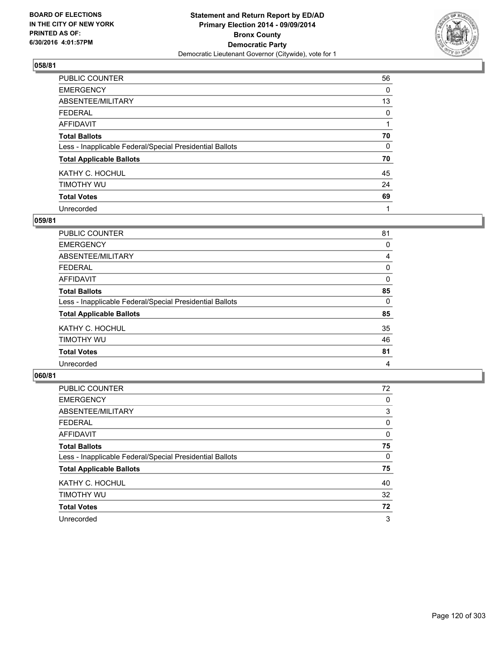

| PUBLIC COUNTER                                           | 56 |
|----------------------------------------------------------|----|
| <b>EMERGENCY</b>                                         | 0  |
| ABSENTEE/MILITARY                                        | 13 |
| <b>FEDERAL</b>                                           | 0  |
| <b>AFFIDAVIT</b>                                         |    |
| <b>Total Ballots</b>                                     | 70 |
| Less - Inapplicable Federal/Special Presidential Ballots | 0  |
| <b>Total Applicable Ballots</b>                          | 70 |
| KATHY C. HOCHUL                                          | 45 |
| TIMOTHY WU                                               | 24 |
| <b>Total Votes</b>                                       | 69 |
| Unrecorded                                               | 1  |

#### **059/81**

| PUBLIC COUNTER                                           | 81 |
|----------------------------------------------------------|----|
| <b>EMERGENCY</b>                                         | 0  |
| ABSENTEE/MILITARY                                        | 4  |
| <b>FEDERAL</b>                                           | 0  |
| <b>AFFIDAVIT</b>                                         | 0  |
| <b>Total Ballots</b>                                     | 85 |
| Less - Inapplicable Federal/Special Presidential Ballots | 0  |
| <b>Total Applicable Ballots</b>                          | 85 |
| KATHY C. HOCHUL                                          | 35 |
| TIMOTHY WU                                               | 46 |
| <b>Total Votes</b>                                       | 81 |
| Unrecorded                                               | 4  |
|                                                          |    |

| <b>PUBLIC COUNTER</b>                                    | 72 |
|----------------------------------------------------------|----|
| <b>EMERGENCY</b>                                         | 0  |
| ABSENTEE/MILITARY                                        | 3  |
| <b>FEDERAL</b>                                           | 0  |
| AFFIDAVIT                                                | 0  |
| <b>Total Ballots</b>                                     | 75 |
| Less - Inapplicable Federal/Special Presidential Ballots | 0  |
| <b>Total Applicable Ballots</b>                          | 75 |
| KATHY C. HOCHUL                                          | 40 |
| TIMOTHY WU                                               | 32 |
| <b>Total Votes</b>                                       | 72 |
| Unrecorded                                               | 3  |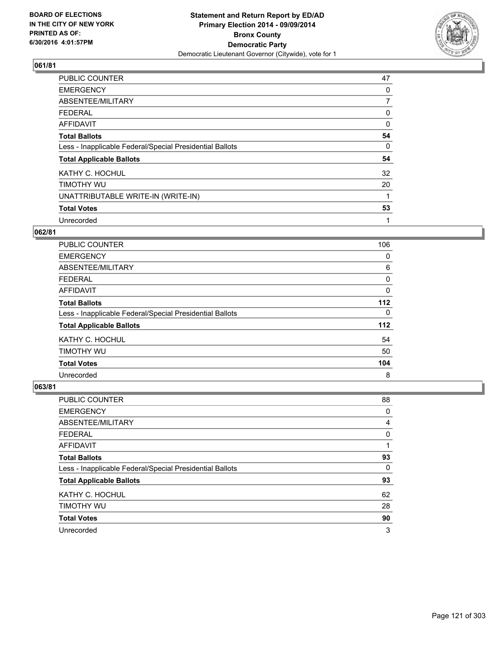

| <b>PUBLIC COUNTER</b>                                    | 47       |
|----------------------------------------------------------|----------|
| <b>EMERGENCY</b>                                         | 0        |
| ABSENTEE/MILITARY                                        | 7        |
| <b>FEDERAL</b>                                           | 0        |
| AFFIDAVIT                                                | $\Omega$ |
| <b>Total Ballots</b>                                     | 54       |
| Less - Inapplicable Federal/Special Presidential Ballots | 0        |
| <b>Total Applicable Ballots</b>                          | 54       |
| KATHY C. HOCHUL                                          | 32       |
| TIMOTHY WU                                               | 20       |
| UNATTRIBUTABLE WRITE-IN (WRITE-IN)                       | 1        |
| <b>Total Votes</b>                                       | 53       |
| Unrecorded                                               | 1        |

#### **062/81**

| PUBLIC COUNTER                                           | 106 |
|----------------------------------------------------------|-----|
| <b>EMERGENCY</b>                                         | 0   |
| ABSENTEE/MILITARY                                        | 6   |
| <b>FEDERAL</b>                                           | 0   |
| <b>AFFIDAVIT</b>                                         | 0   |
| <b>Total Ballots</b>                                     | 112 |
| Less - Inapplicable Federal/Special Presidential Ballots | 0   |
| <b>Total Applicable Ballots</b>                          | 112 |
| KATHY C. HOCHUL                                          | 54  |
| TIMOTHY WU                                               | 50  |
| <b>Total Votes</b>                                       | 104 |
| Unrecorded                                               | 8   |

| <b>PUBLIC COUNTER</b>                                    | 88 |
|----------------------------------------------------------|----|
| <b>EMERGENCY</b>                                         | 0  |
| ABSENTEE/MILITARY                                        | 4  |
| <b>FEDERAL</b>                                           | 0  |
| AFFIDAVIT                                                |    |
| <b>Total Ballots</b>                                     | 93 |
| Less - Inapplicable Federal/Special Presidential Ballots | 0  |
| <b>Total Applicable Ballots</b>                          | 93 |
| KATHY C. HOCHUL                                          | 62 |
| TIMOTHY WU                                               | 28 |
| <b>Total Votes</b>                                       | 90 |
| Unrecorded                                               | 3  |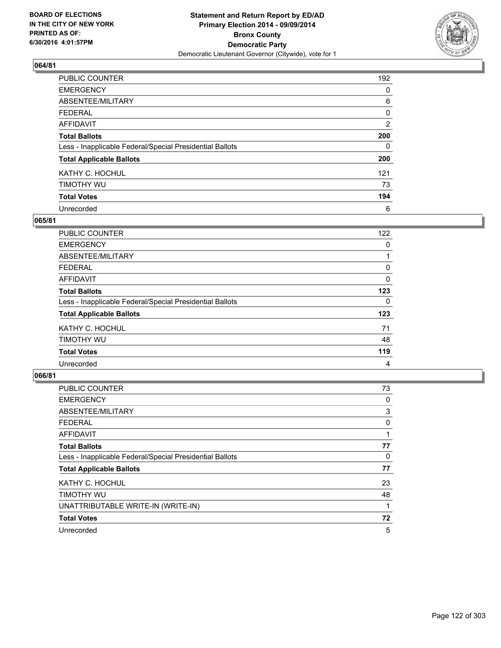

| <b>PUBLIC COUNTER</b>                                    | 192 |
|----------------------------------------------------------|-----|
| <b>EMERGENCY</b>                                         | 0   |
| ABSENTEE/MILITARY                                        | 6   |
| <b>FEDERAL</b>                                           | 0   |
| <b>AFFIDAVIT</b>                                         | 2   |
| <b>Total Ballots</b>                                     | 200 |
| Less - Inapplicable Federal/Special Presidential Ballots | 0   |
| <b>Total Applicable Ballots</b>                          | 200 |
| KATHY C. HOCHUL                                          | 121 |
| TIMOTHY WU                                               | 73  |
| <b>Total Votes</b>                                       | 194 |
| Unrecorded                                               | 6   |

#### **065/81**

| <b>PUBLIC COUNTER</b>                                    | 122 |
|----------------------------------------------------------|-----|
| <b>EMERGENCY</b>                                         | 0   |
| ABSENTEE/MILITARY                                        |     |
| <b>FEDERAL</b>                                           | 0   |
| AFFIDAVIT                                                | 0   |
| <b>Total Ballots</b>                                     | 123 |
| Less - Inapplicable Federal/Special Presidential Ballots | 0   |
| <b>Total Applicable Ballots</b>                          | 123 |
| KATHY C. HOCHUL                                          | 71  |
| TIMOTHY WU                                               | 48  |
| <b>Total Votes</b>                                       | 119 |
| Unrecorded                                               | 4   |

| <b>PUBLIC COUNTER</b>                                    | 73 |
|----------------------------------------------------------|----|
| <b>EMERGENCY</b>                                         | 0  |
| ABSENTEE/MILITARY                                        | 3  |
| <b>FEDERAL</b>                                           | 0  |
| <b>AFFIDAVIT</b>                                         |    |
| <b>Total Ballots</b>                                     | 77 |
| Less - Inapplicable Federal/Special Presidential Ballots | 0  |
| <b>Total Applicable Ballots</b>                          | 77 |
| KATHY C. HOCHUL                                          | 23 |
| TIMOTHY WU                                               | 48 |
| UNATTRIBUTABLE WRITE-IN (WRITE-IN)                       |    |
| <b>Total Votes</b>                                       | 72 |
| Unrecorded                                               | 5  |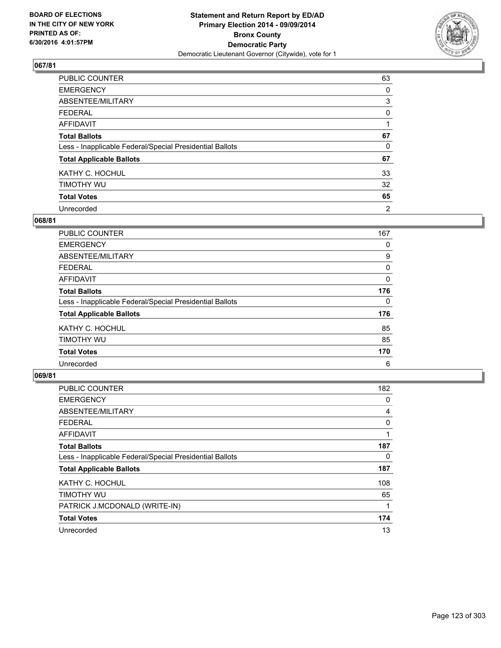

| PUBLIC COUNTER                                           | 63 |
|----------------------------------------------------------|----|
| <b>EMERGENCY</b>                                         | 0  |
| ABSENTEE/MILITARY                                        | 3  |
| <b>FEDERAL</b>                                           | 0  |
| <b>AFFIDAVIT</b>                                         |    |
| <b>Total Ballots</b>                                     | 67 |
| Less - Inapplicable Federal/Special Presidential Ballots | 0  |
| <b>Total Applicable Ballots</b>                          | 67 |
| KATHY C. HOCHUL                                          | 33 |
| TIMOTHY WU                                               | 32 |
| <b>Total Votes</b>                                       | 65 |
| Unrecorded                                               | 2  |

#### **068/81**

| <b>PUBLIC COUNTER</b>                                    | 167 |
|----------------------------------------------------------|-----|
| <b>EMERGENCY</b>                                         | 0   |
| ABSENTEE/MILITARY                                        | 9   |
| <b>FEDERAL</b>                                           | 0   |
| AFFIDAVIT                                                | 0   |
| <b>Total Ballots</b>                                     | 176 |
| Less - Inapplicable Federal/Special Presidential Ballots | 0   |
| <b>Total Applicable Ballots</b>                          | 176 |
| KATHY C. HOCHUL                                          | 85  |
| TIMOTHY WU                                               | 85  |
| <b>Total Votes</b>                                       | 170 |
| Unrecorded                                               | 6   |

| <b>PUBLIC COUNTER</b>                                    | 182 |
|----------------------------------------------------------|-----|
| <b>EMERGENCY</b>                                         | 0   |
| ABSENTEE/MILITARY                                        | 4   |
| <b>FEDERAL</b>                                           | 0   |
| <b>AFFIDAVIT</b>                                         |     |
| <b>Total Ballots</b>                                     | 187 |
| Less - Inapplicable Federal/Special Presidential Ballots | 0   |
| <b>Total Applicable Ballots</b>                          | 187 |
| KATHY C. HOCHUL                                          | 108 |
| TIMOTHY WU                                               | 65  |
| PATRICK J.MCDONALD (WRITE-IN)                            |     |
| <b>Total Votes</b>                                       | 174 |
| Unrecorded                                               | 13  |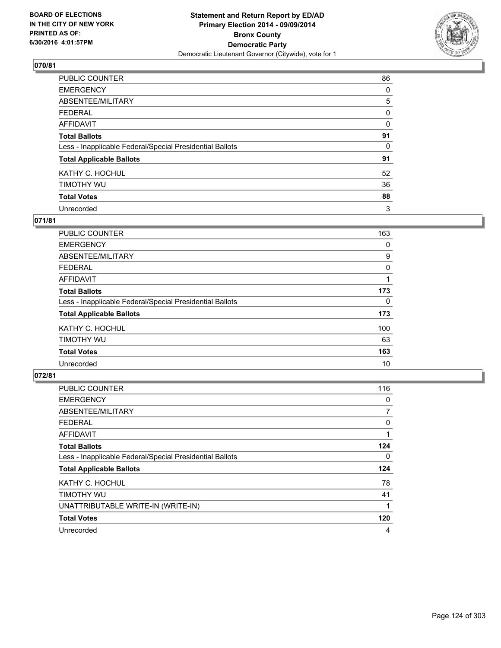

| PUBLIC COUNTER                                           | 86 |
|----------------------------------------------------------|----|
| <b>EMERGENCY</b>                                         | 0  |
| ABSENTEE/MILITARY                                        | 5  |
| <b>FEDERAL</b>                                           | 0  |
| <b>AFFIDAVIT</b>                                         | 0  |
| <b>Total Ballots</b>                                     | 91 |
| Less - Inapplicable Federal/Special Presidential Ballots | 0  |
| <b>Total Applicable Ballots</b>                          | 91 |
| KATHY C. HOCHUL                                          | 52 |
| TIMOTHY WU                                               | 36 |
| <b>Total Votes</b>                                       | 88 |
| Unrecorded                                               | 3  |

#### **071/81**

| <b>PUBLIC COUNTER</b>                                    | 163 |
|----------------------------------------------------------|-----|
| <b>EMERGENCY</b>                                         | 0   |
| ABSENTEE/MILITARY                                        | 9   |
| FEDERAL                                                  | 0   |
| AFFIDAVIT                                                |     |
| <b>Total Ballots</b>                                     | 173 |
| Less - Inapplicable Federal/Special Presidential Ballots | 0   |
| <b>Total Applicable Ballots</b>                          | 173 |
| KATHY C. HOCHUL                                          | 100 |
| TIMOTHY WU                                               | 63  |
| <b>Total Votes</b>                                       | 163 |
| Unrecorded                                               | 10  |
|                                                          |     |

| <b>PUBLIC COUNTER</b>                                    | 116            |
|----------------------------------------------------------|----------------|
| <b>EMERGENCY</b>                                         | 0              |
| ABSENTEE/MILITARY                                        | $\overline{7}$ |
| <b>FEDERAL</b>                                           | 0              |
| <b>AFFIDAVIT</b>                                         |                |
| <b>Total Ballots</b>                                     | 124            |
| Less - Inapplicable Federal/Special Presidential Ballots | 0              |
| <b>Total Applicable Ballots</b>                          | 124            |
| KATHY C. HOCHUL                                          | 78             |
| TIMOTHY WU                                               | 41             |
| UNATTRIBUTABLE WRITE-IN (WRITE-IN)                       |                |
| <b>Total Votes</b>                                       | 120            |
| Unrecorded                                               | 4              |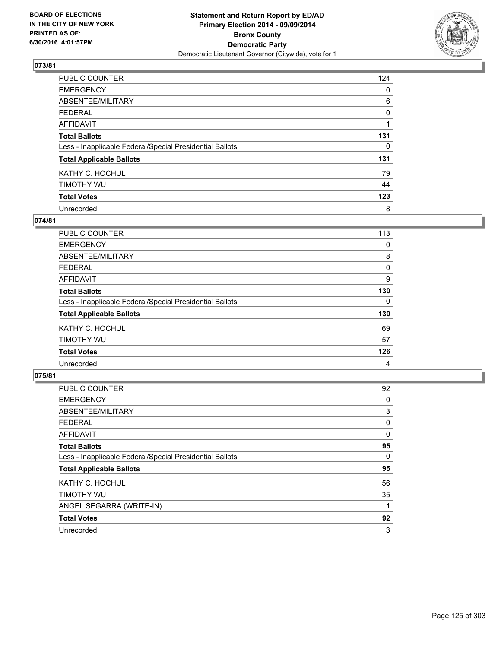

| <b>PUBLIC COUNTER</b>                                    | 124 |
|----------------------------------------------------------|-----|
| <b>EMERGENCY</b>                                         | 0   |
| ABSENTEE/MILITARY                                        | 6   |
| <b>FEDERAL</b>                                           | 0   |
| <b>AFFIDAVIT</b>                                         |     |
| <b>Total Ballots</b>                                     | 131 |
| Less - Inapplicable Federal/Special Presidential Ballots | 0   |
| <b>Total Applicable Ballots</b>                          | 131 |
| KATHY C. HOCHUL                                          | 79  |
| TIMOTHY WU                                               | 44  |
| <b>Total Votes</b>                                       | 123 |
| Unrecorded                                               | 8   |

#### **074/81**

| <b>PUBLIC COUNTER</b>                                    | 113 |
|----------------------------------------------------------|-----|
| <b>EMERGENCY</b>                                         | 0   |
| ABSENTEE/MILITARY                                        | 8   |
| <b>FEDERAL</b>                                           | 0   |
| AFFIDAVIT                                                | 9   |
| <b>Total Ballots</b>                                     | 130 |
| Less - Inapplicable Federal/Special Presidential Ballots | 0   |
| <b>Total Applicable Ballots</b>                          | 130 |
| KATHY C. HOCHUL                                          | 69  |
| TIMOTHY WU                                               | 57  |
| <b>Total Votes</b>                                       | 126 |
| Unrecorded                                               | 4   |

| <b>PUBLIC COUNTER</b>                                    | 92 |
|----------------------------------------------------------|----|
| <b>EMERGENCY</b>                                         | 0  |
| ABSENTEE/MILITARY                                        | 3  |
| <b>FEDERAL</b>                                           | 0  |
| <b>AFFIDAVIT</b>                                         | 0  |
| <b>Total Ballots</b>                                     | 95 |
| Less - Inapplicable Federal/Special Presidential Ballots | 0  |
| <b>Total Applicable Ballots</b>                          | 95 |
| KATHY C. HOCHUL                                          | 56 |
| TIMOTHY WU                                               | 35 |
| ANGEL SEGARRA (WRITE-IN)                                 |    |
| <b>Total Votes</b>                                       | 92 |
| Unrecorded                                               | 3  |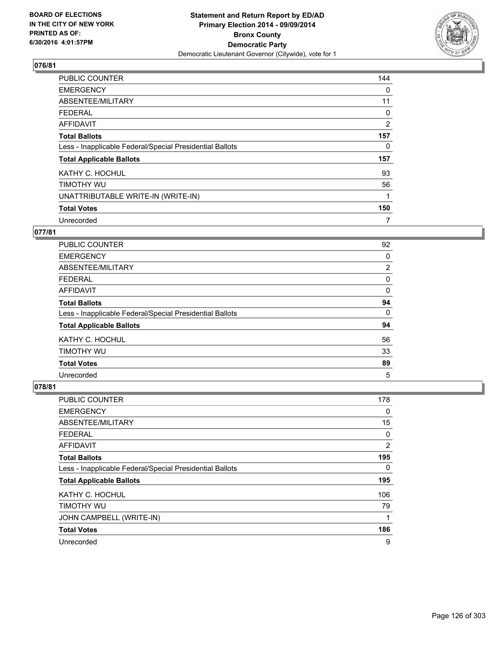

| <b>PUBLIC COUNTER</b>                                    | 144 |
|----------------------------------------------------------|-----|
| <b>EMERGENCY</b>                                         | 0   |
| ABSENTEE/MILITARY                                        | 11  |
| <b>FEDERAL</b>                                           | 0   |
| <b>AFFIDAVIT</b>                                         | 2   |
| <b>Total Ballots</b>                                     | 157 |
| Less - Inapplicable Federal/Special Presidential Ballots | 0   |
| <b>Total Applicable Ballots</b>                          | 157 |
| KATHY C. HOCHUL                                          | 93  |
| TIMOTHY WU                                               | 56  |
| UNATTRIBUTABLE WRITE-IN (WRITE-IN)                       |     |
| <b>Total Votes</b>                                       | 150 |
| Unrecorded                                               | 7   |

# **077/81**

| PUBLIC COUNTER                                           | 92             |
|----------------------------------------------------------|----------------|
| <b>EMERGENCY</b>                                         | 0              |
| ABSENTEE/MILITARY                                        | $\overline{2}$ |
| <b>FEDERAL</b>                                           | 0              |
| <b>AFFIDAVIT</b>                                         | 0              |
| <b>Total Ballots</b>                                     | 94             |
| Less - Inapplicable Federal/Special Presidential Ballots | 0              |
| <b>Total Applicable Ballots</b>                          | 94             |
| KATHY C. HOCHUL                                          | 56             |
| TIMOTHY WU                                               | 33             |
| <b>Total Votes</b>                                       | 89             |
| Unrecorded                                               | 5              |

| <b>PUBLIC COUNTER</b>                                    | 178 |
|----------------------------------------------------------|-----|
| <b>EMERGENCY</b>                                         | 0   |
| ABSENTEE/MILITARY                                        | 15  |
| <b>FEDERAL</b>                                           | 0   |
| AFFIDAVIT                                                | 2   |
| <b>Total Ballots</b>                                     | 195 |
| Less - Inapplicable Federal/Special Presidential Ballots | 0   |
| <b>Total Applicable Ballots</b>                          | 195 |
| KATHY C. HOCHUL                                          | 106 |
| TIMOTHY WU                                               | 79  |
| JOHN CAMPBELL (WRITE-IN)                                 | 1   |
| <b>Total Votes</b>                                       | 186 |
| Unrecorded                                               | 9   |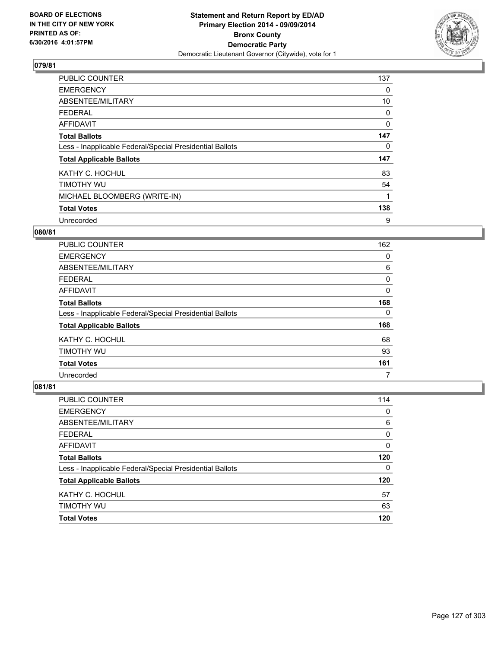

| <b>PUBLIC COUNTER</b>                                    | 137      |
|----------------------------------------------------------|----------|
| <b>EMERGENCY</b>                                         | 0        |
| ABSENTEE/MILITARY                                        | 10       |
| FEDERAL                                                  | 0        |
| <b>AFFIDAVIT</b>                                         | $\Omega$ |
| <b>Total Ballots</b>                                     | 147      |
| Less - Inapplicable Federal/Special Presidential Ballots | 0        |
| <b>Total Applicable Ballots</b>                          | 147      |
| KATHY C. HOCHUL                                          | 83       |
| TIMOTHY WU                                               | 54       |
| MICHAEL BLOOMBERG (WRITE-IN)                             | 1        |
| <b>Total Votes</b>                                       | 138      |
| Unrecorded                                               | 9        |

#### **080/81**

| <b>PUBLIC COUNTER</b>                                    | 162 |
|----------------------------------------------------------|-----|
| <b>EMERGENCY</b>                                         | 0   |
| ABSENTEE/MILITARY                                        | 6   |
| <b>FEDERAL</b>                                           | 0   |
| <b>AFFIDAVIT</b>                                         | 0   |
| <b>Total Ballots</b>                                     | 168 |
| Less - Inapplicable Federal/Special Presidential Ballots | 0   |
| <b>Total Applicable Ballots</b>                          | 168 |
| KATHY C. HOCHUL                                          | 68  |
| TIMOTHY WU                                               | 93  |
| <b>Total Votes</b>                                       | 161 |
| Unrecorded                                               | 7   |

| PUBLIC COUNTER                                           | 114 |
|----------------------------------------------------------|-----|
| <b>EMERGENCY</b>                                         | 0   |
| ABSENTEE/MILITARY                                        | 6   |
| <b>FEDERAL</b>                                           | 0   |
| <b>AFFIDAVIT</b>                                         | 0   |
| <b>Total Ballots</b>                                     | 120 |
| Less - Inapplicable Federal/Special Presidential Ballots | 0   |
| <b>Total Applicable Ballots</b>                          | 120 |
| KATHY C. HOCHUL                                          | 57  |
| TIMOTHY WU                                               | 63  |
| <b>Total Votes</b>                                       | 120 |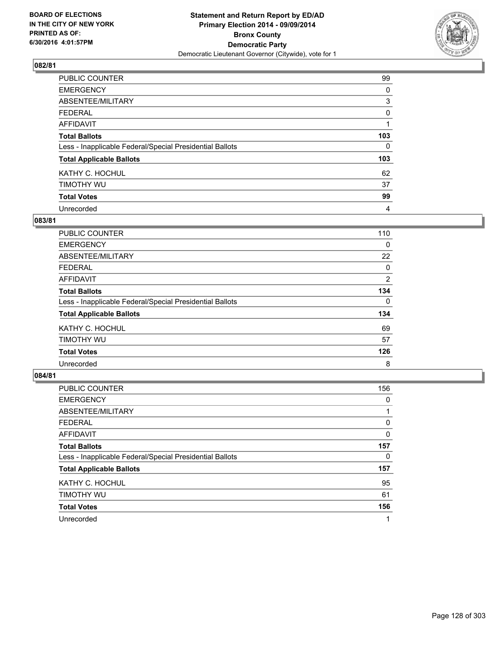

| PUBLIC COUNTER                                           | 99       |
|----------------------------------------------------------|----------|
| <b>EMERGENCY</b>                                         | 0        |
| ABSENTEE/MILITARY                                        | 3        |
| <b>FEDERAL</b>                                           | 0        |
| <b>AFFIDAVIT</b>                                         |          |
| <b>Total Ballots</b>                                     | 103      |
| Less - Inapplicable Federal/Special Presidential Ballots | $\Omega$ |
| <b>Total Applicable Ballots</b>                          | 103      |
| KATHY C. HOCHUL                                          | 62       |
| TIMOTHY WU                                               | 37       |
| <b>Total Votes</b>                                       | 99       |
| Unrecorded                                               | 4        |

#### **083/81**

| PUBLIC COUNTER                                           | 110 |
|----------------------------------------------------------|-----|
| <b>EMERGENCY</b>                                         | 0   |
| ABSENTEE/MILITARY                                        | 22  |
| <b>FEDERAL</b>                                           | 0   |
| <b>AFFIDAVIT</b>                                         | 2   |
| <b>Total Ballots</b>                                     | 134 |
| Less - Inapplicable Federal/Special Presidential Ballots | 0   |
| <b>Total Applicable Ballots</b>                          | 134 |
| KATHY C. HOCHUL                                          | 69  |
| TIMOTHY WU                                               | 57  |
| <b>Total Votes</b>                                       | 126 |
| Unrecorded                                               | 8   |
|                                                          |     |

| PUBLIC COUNTER                                           | 156 |
|----------------------------------------------------------|-----|
| <b>EMERGENCY</b>                                         | 0   |
| ABSENTEE/MILITARY                                        |     |
| <b>FEDERAL</b>                                           | 0   |
| AFFIDAVIT                                                | 0   |
| <b>Total Ballots</b>                                     | 157 |
| Less - Inapplicable Federal/Special Presidential Ballots | 0   |
| <b>Total Applicable Ballots</b>                          | 157 |
| KATHY C. HOCHUL                                          | 95  |
| TIMOTHY WU                                               | 61  |
| <b>Total Votes</b>                                       | 156 |
| Unrecorded                                               |     |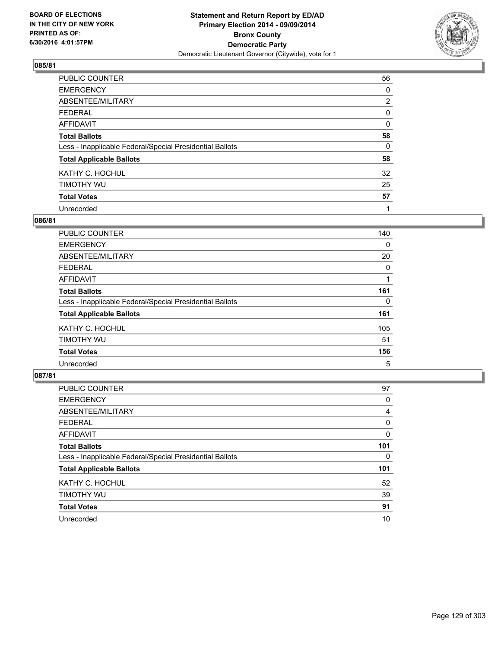

| PUBLIC COUNTER                                           | 56             |
|----------------------------------------------------------|----------------|
| <b>EMERGENCY</b>                                         | 0              |
| ABSENTEE/MILITARY                                        | $\overline{2}$ |
| <b>FEDERAL</b>                                           | 0              |
| <b>AFFIDAVIT</b>                                         | 0              |
| <b>Total Ballots</b>                                     | 58             |
| Less - Inapplicable Federal/Special Presidential Ballots | 0              |
| <b>Total Applicable Ballots</b>                          | 58             |
| KATHY C. HOCHUL                                          | 32             |
| TIMOTHY WU                                               | 25             |
| <b>Total Votes</b>                                       | 57             |
| Unrecorded                                               |                |

#### **086/81**

| PUBLIC COUNTER                                           | 140 |
|----------------------------------------------------------|-----|
| <b>EMERGENCY</b>                                         | 0   |
| ABSENTEE/MILITARY                                        | 20  |
| <b>FEDERAL</b>                                           | 0   |
| AFFIDAVIT                                                |     |
| <b>Total Ballots</b>                                     | 161 |
| Less - Inapplicable Federal/Special Presidential Ballots | 0   |
| <b>Total Applicable Ballots</b>                          | 161 |
| KATHY C. HOCHUL                                          | 105 |
| TIMOTHY WU                                               | 51  |
| <b>Total Votes</b>                                       | 156 |
| Unrecorded                                               | 5   |
|                                                          |     |

| PUBLIC COUNTER                                           | 97  |
|----------------------------------------------------------|-----|
| <b>EMERGENCY</b>                                         | 0   |
| ABSENTEE/MILITARY                                        | 4   |
| <b>FEDERAL</b>                                           | 0   |
| AFFIDAVIT                                                | 0   |
| <b>Total Ballots</b>                                     | 101 |
| Less - Inapplicable Federal/Special Presidential Ballots | 0   |
| <b>Total Applicable Ballots</b>                          | 101 |
| KATHY C. HOCHUL                                          | 52  |
| TIMOTHY WU                                               | 39  |
| <b>Total Votes</b>                                       | 91  |
| Unrecorded                                               | 10  |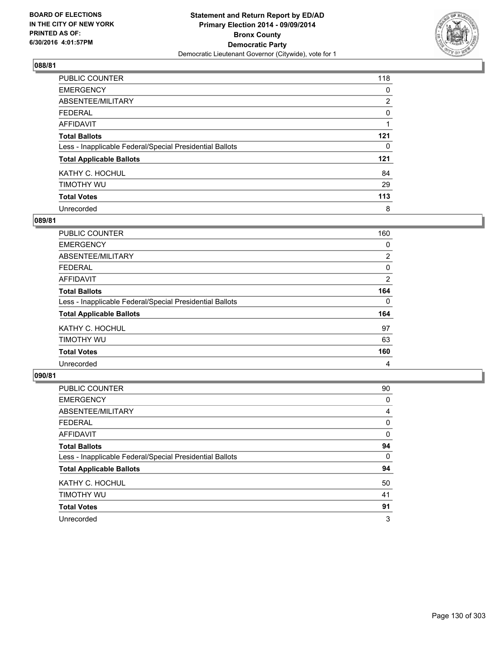

| PUBLIC COUNTER                                           | 118            |
|----------------------------------------------------------|----------------|
| <b>EMERGENCY</b>                                         | 0              |
| ABSENTEE/MILITARY                                        | $\overline{2}$ |
| <b>FEDERAL</b>                                           | 0              |
| <b>AFFIDAVIT</b>                                         |                |
| <b>Total Ballots</b>                                     | 121            |
| Less - Inapplicable Federal/Special Presidential Ballots | 0              |
| <b>Total Applicable Ballots</b>                          | 121            |
| KATHY C. HOCHUL                                          | 84             |
| TIMOTHY WU                                               | 29             |
| <b>Total Votes</b>                                       | 113            |
| Unrecorded                                               | 8              |

#### **089/81**

| PUBLIC COUNTER                                           | 160 |
|----------------------------------------------------------|-----|
| <b>EMERGENCY</b>                                         | 0   |
| ABSENTEE/MILITARY                                        | 2   |
| <b>FEDERAL</b>                                           | 0   |
| AFFIDAVIT                                                | 2   |
| <b>Total Ballots</b>                                     | 164 |
| Less - Inapplicable Federal/Special Presidential Ballots | 0   |
| <b>Total Applicable Ballots</b>                          | 164 |
| KATHY C. HOCHUL                                          | 97  |
| TIMOTHY WU                                               | 63  |
| <b>Total Votes</b>                                       | 160 |
| Unrecorded                                               | 4   |
|                                                          |     |

| <b>PUBLIC COUNTER</b>                                    | 90 |
|----------------------------------------------------------|----|
| <b>EMERGENCY</b>                                         | 0  |
| ABSENTEE/MILITARY                                        | 4  |
| <b>FEDERAL</b>                                           | 0  |
| AFFIDAVIT                                                | 0  |
| <b>Total Ballots</b>                                     | 94 |
| Less - Inapplicable Federal/Special Presidential Ballots | 0  |
| <b>Total Applicable Ballots</b>                          | 94 |
| KATHY C. HOCHUL                                          | 50 |
| TIMOTHY WU                                               | 41 |
| <b>Total Votes</b>                                       | 91 |
| Unrecorded                                               | 3  |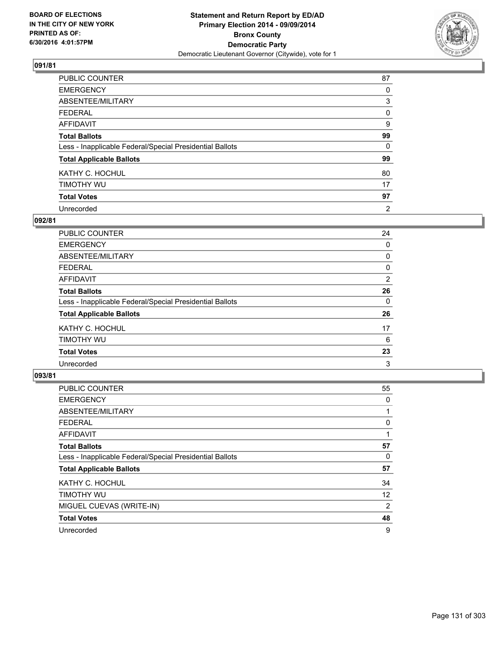

| <b>PUBLIC COUNTER</b>                                    | 87 |
|----------------------------------------------------------|----|
| <b>EMERGENCY</b>                                         | 0  |
| ABSENTEE/MILITARY                                        | 3  |
| <b>FEDERAL</b>                                           | 0  |
| <b>AFFIDAVIT</b>                                         | 9  |
| <b>Total Ballots</b>                                     | 99 |
| Less - Inapplicable Federal/Special Presidential Ballots | 0  |
| <b>Total Applicable Ballots</b>                          | 99 |
| KATHY C. HOCHUL                                          | 80 |
| TIMOTHY WU                                               | 17 |
| <b>Total Votes</b>                                       | 97 |
| Unrecorded                                               | 2  |

#### **092/81**

| PUBLIC COUNTER                                           | 24             |
|----------------------------------------------------------|----------------|
| <b>EMERGENCY</b>                                         | 0              |
| ABSENTEE/MILITARY                                        | 0              |
| <b>FEDERAL</b>                                           | 0              |
| <b>AFFIDAVIT</b>                                         | $\overline{2}$ |
| <b>Total Ballots</b>                                     | 26             |
| Less - Inapplicable Federal/Special Presidential Ballots | 0              |
| <b>Total Applicable Ballots</b>                          | 26             |
| KATHY C. HOCHUL                                          | 17             |
| TIMOTHY WU                                               | 6              |
| <b>Total Votes</b>                                       | 23             |
| Unrecorded                                               | 3              |

| <b>PUBLIC COUNTER</b>                                    | 55 |
|----------------------------------------------------------|----|
| <b>EMERGENCY</b>                                         | 0  |
| ABSENTEE/MILITARY                                        |    |
| <b>FEDERAL</b>                                           | 0  |
| <b>AFFIDAVIT</b>                                         |    |
| <b>Total Ballots</b>                                     | 57 |
| Less - Inapplicable Federal/Special Presidential Ballots | 0  |
| <b>Total Applicable Ballots</b>                          | 57 |
| KATHY C. HOCHUL                                          | 34 |
| TIMOTHY WU                                               | 12 |
| MIGUEL CUEVAS (WRITE-IN)                                 | 2  |
| <b>Total Votes</b>                                       | 48 |
| Unrecorded                                               | 9  |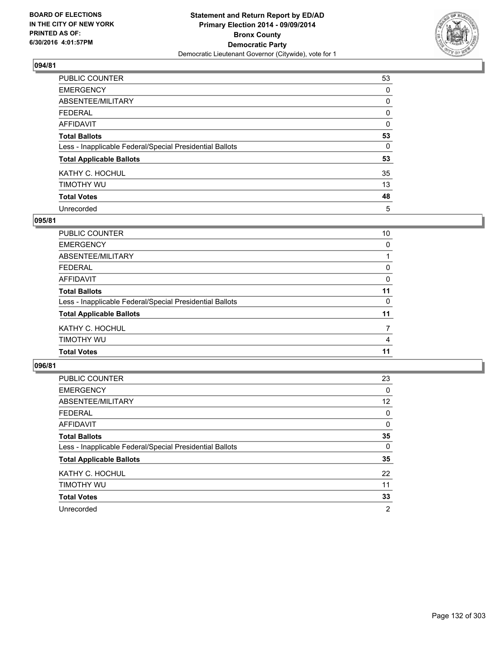

| PUBLIC COUNTER                                           | 53       |
|----------------------------------------------------------|----------|
| <b>EMERGENCY</b>                                         | 0        |
| ABSENTEE/MILITARY                                        | 0        |
| <b>FEDERAL</b>                                           | 0        |
| <b>AFFIDAVIT</b>                                         | $\Omega$ |
| <b>Total Ballots</b>                                     | 53       |
| Less - Inapplicable Federal/Special Presidential Ballots | 0        |
| <b>Total Applicable Ballots</b>                          | 53       |
| KATHY C. HOCHUL                                          | 35       |
| TIMOTHY WU                                               | 13       |
| <b>Total Votes</b>                                       | 48       |
| Unrecorded                                               | 5        |

#### **095/81**

| 10       |
|----------|
| $\Omega$ |
|          |
| 0        |
| 0        |
| 11       |
| 0        |
| 11       |
| 7        |
| 4        |
| 11       |
|          |

| <b>PUBLIC COUNTER</b>                                    | 23             |
|----------------------------------------------------------|----------------|
| <b>EMERGENCY</b>                                         | 0              |
| ABSENTEE/MILITARY                                        | 12             |
| <b>FEDERAL</b>                                           | 0              |
| AFFIDAVIT                                                | 0              |
| <b>Total Ballots</b>                                     | 35             |
| Less - Inapplicable Federal/Special Presidential Ballots | 0              |
| <b>Total Applicable Ballots</b>                          | 35             |
| KATHY C. HOCHUL                                          | 22             |
| TIMOTHY WU                                               | 11             |
| <b>Total Votes</b>                                       | 33             |
| Unrecorded                                               | $\overline{2}$ |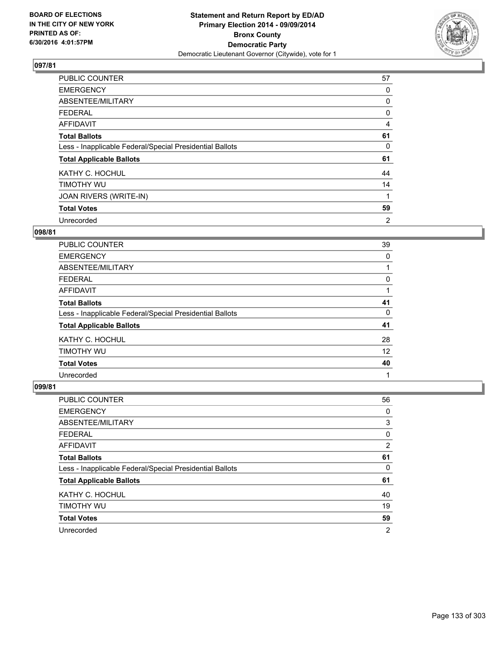

| <b>PUBLIC COUNTER</b>                                    | 57 |
|----------------------------------------------------------|----|
| <b>EMERGENCY</b>                                         | 0  |
| ABSENTEE/MILITARY                                        | 0  |
| <b>FEDERAL</b>                                           | 0  |
| <b>AFFIDAVIT</b>                                         | 4  |
| <b>Total Ballots</b>                                     | 61 |
| Less - Inapplicable Federal/Special Presidential Ballots | 0  |
| <b>Total Applicable Ballots</b>                          | 61 |
| KATHY C. HOCHUL                                          | 44 |
| TIMOTHY WU                                               | 14 |
| JOAN RIVERS (WRITE-IN)                                   |    |
| <b>Total Votes</b>                                       | 59 |
| Unrecorded                                               | 2  |

### **098/81**

| <b>PUBLIC COUNTER</b>                                    | 39 |
|----------------------------------------------------------|----|
| <b>EMERGENCY</b>                                         | 0  |
| ABSENTEE/MILITARY                                        |    |
| <b>FEDERAL</b>                                           | 0  |
| <b>AFFIDAVIT</b>                                         |    |
| <b>Total Ballots</b>                                     | 41 |
| Less - Inapplicable Federal/Special Presidential Ballots | 0  |
| <b>Total Applicable Ballots</b>                          | 41 |
| KATHY C. HOCHUL                                          | 28 |
| TIMOTHY WU                                               | 12 |
| <b>Total Votes</b>                                       | 40 |
| Unrecorded                                               |    |

| <b>PUBLIC COUNTER</b>                                    | 56             |
|----------------------------------------------------------|----------------|
| <b>EMERGENCY</b>                                         | 0              |
| ABSENTEE/MILITARY                                        | 3              |
| <b>FEDERAL</b>                                           | 0              |
| AFFIDAVIT                                                | 2              |
| <b>Total Ballots</b>                                     | 61             |
| Less - Inapplicable Federal/Special Presidential Ballots | 0              |
| <b>Total Applicable Ballots</b>                          | 61             |
| KATHY C. HOCHUL                                          | 40             |
| TIMOTHY WU                                               | 19             |
| <b>Total Votes</b>                                       | 59             |
| Unrecorded                                               | $\overline{2}$ |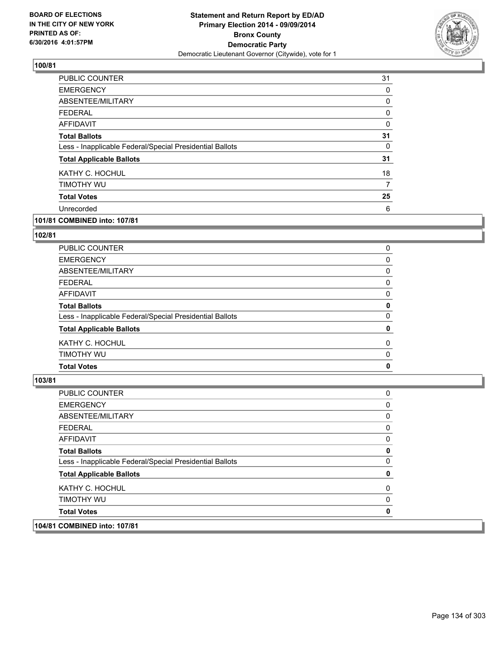

| <b>PUBLIC COUNTER</b>                                    | 31 |
|----------------------------------------------------------|----|
| <b>EMERGENCY</b>                                         | 0  |
| ABSENTEE/MILITARY                                        | 0  |
| <b>FEDERAL</b>                                           | 0  |
| AFFIDAVIT                                                | 0  |
| <b>Total Ballots</b>                                     | 31 |
| Less - Inapplicable Federal/Special Presidential Ballots | 0  |
| <b>Total Applicable Ballots</b>                          | 31 |
| KATHY C. HOCHUL                                          | 18 |
| TIMOTHY WU                                               | 7  |
| <b>Total Votes</b>                                       | 25 |
| Unrecorded                                               | 6  |
|                                                          |    |

# **101/81 COMBINED into: 107/81**

#### **102/81**

| Less - Inapplicable Federal/Special Presidential Ballots<br><b>Total Applicable Ballots</b> | 0 |
|---------------------------------------------------------------------------------------------|---|
|                                                                                             |   |
| <b>Total Ballots</b>                                                                        | 0 |
| AFFIDAVIT                                                                                   | 0 |
| <b>FEDERAL</b>                                                                              | 0 |
| ABSENTEE/MILITARY                                                                           | 0 |
| <b>EMERGENCY</b>                                                                            | 0 |
| <b>PUBLIC COUNTER</b>                                                                       | 0 |

| 104/81 COMBINED into: 107/81                             |   |
|----------------------------------------------------------|---|
| <b>Total Votes</b>                                       | 0 |
| TIMOTHY WU                                               | 0 |
| KATHY C. HOCHUL                                          | 0 |
| <b>Total Applicable Ballots</b>                          | 0 |
| Less - Inapplicable Federal/Special Presidential Ballots | 0 |
| <b>Total Ballots</b>                                     | 0 |
| <b>AFFIDAVIT</b>                                         | 0 |
| <b>FEDERAL</b>                                           | 0 |
| ABSENTEE/MILITARY                                        | 0 |
| <b>EMERGENCY</b>                                         | 0 |
| PUBLIC COUNTER                                           | 0 |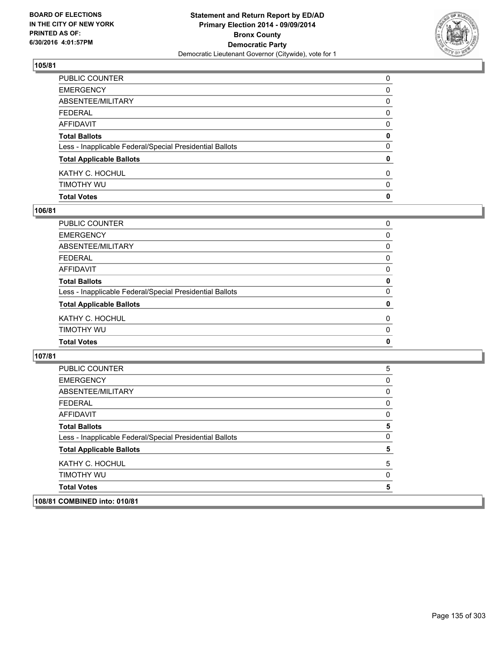

| <b>Total Votes</b>                                       | $\mathbf{0}$ |
|----------------------------------------------------------|--------------|
| timothy wu                                               | 0            |
| KATHY C. HOCHUL                                          | $\mathbf{0}$ |
| <b>Total Applicable Ballots</b>                          | $\mathbf 0$  |
| Less - Inapplicable Federal/Special Presidential Ballots | $\mathbf{0}$ |
| <b>Total Ballots</b>                                     | 0            |
| AFFIDAVIT                                                | 0            |
| FEDERAL                                                  | 0            |
| ABSENTEE/MILITARY                                        | 0            |
| <b>EMERGENCY</b>                                         | 0            |
| PUBLIC COUNTER                                           | 0            |

#### **106/81**

| PUBLIC COUNTER                                           | 0           |
|----------------------------------------------------------|-------------|
| <b>EMERGENCY</b>                                         | 0           |
| ABSENTEE/MILITARY                                        | 0           |
| <b>FEDERAL</b>                                           | 0           |
| AFFIDAVIT                                                | $\Omega$    |
| <b>Total Ballots</b>                                     | 0           |
| Less - Inapplicable Federal/Special Presidential Ballots | 0           |
| <b>Total Applicable Ballots</b>                          | 0           |
| KATHY C. HOCHUL                                          | 0           |
| TIMOTHY WU                                               | $\Omega$    |
| <b>Total Votes</b>                                       | $\mathbf 0$ |
|                                                          |             |

| 108/81 COMBINED into: 010/81                             |              |
|----------------------------------------------------------|--------------|
| <b>Total Votes</b>                                       | 5            |
| <b>TIMOTHY WU</b>                                        | 0            |
| KATHY C. HOCHUL                                          | 5            |
| <b>Total Applicable Ballots</b>                          | 5            |
| Less - Inapplicable Federal/Special Presidential Ballots | $\mathbf{0}$ |
| <b>Total Ballots</b>                                     | 5            |
| <b>AFFIDAVIT</b>                                         | 0            |
| <b>FEDERAL</b>                                           | 0            |
| ABSENTEE/MILITARY                                        | 0            |
| <b>EMERGENCY</b>                                         | 0            |
| <b>PUBLIC COUNTER</b>                                    | 5            |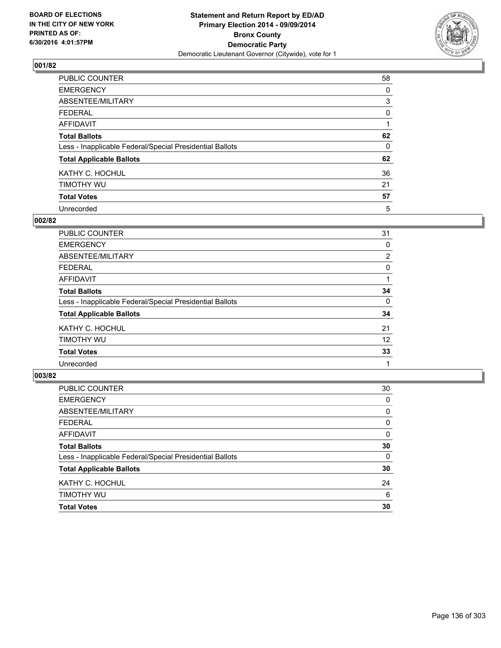

| PUBLIC COUNTER                                           | 58 |
|----------------------------------------------------------|----|
| <b>EMERGENCY</b>                                         | 0  |
| ABSENTEE/MILITARY                                        | 3  |
| <b>FEDERAL</b>                                           | 0  |
| <b>AFFIDAVIT</b>                                         |    |
| <b>Total Ballots</b>                                     | 62 |
| Less - Inapplicable Federal/Special Presidential Ballots | 0  |
| <b>Total Applicable Ballots</b>                          | 62 |
| KATHY C. HOCHUL                                          | 36 |
| TIMOTHY WU                                               | 21 |
| <b>Total Votes</b>                                       | 57 |
| Unrecorded                                               | 5  |

#### **002/82**

| <b>PUBLIC COUNTER</b>                                    | 31             |
|----------------------------------------------------------|----------------|
| <b>EMERGENCY</b>                                         | 0              |
| ABSENTEE/MILITARY                                        | $\overline{2}$ |
| <b>FEDERAL</b>                                           | 0              |
| <b>AFFIDAVIT</b>                                         |                |
| <b>Total Ballots</b>                                     | 34             |
| Less - Inapplicable Federal/Special Presidential Ballots | 0              |
| <b>Total Applicable Ballots</b>                          | 34             |
| KATHY C. HOCHUL                                          | 21             |
| TIMOTHY WU                                               | 12             |
| <b>Total Votes</b>                                       | 33             |
| Unrecorded                                               |                |

| PUBLIC COUNTER                                           | 30       |
|----------------------------------------------------------|----------|
| <b>EMERGENCY</b>                                         | $\Omega$ |
| ABSENTEE/MILITARY                                        | 0        |
| <b>FEDERAL</b>                                           | 0        |
| <b>AFFIDAVIT</b>                                         | $\Omega$ |
| <b>Total Ballots</b>                                     | 30       |
| Less - Inapplicable Federal/Special Presidential Ballots | $\Omega$ |
| <b>Total Applicable Ballots</b>                          | 30       |
| KATHY C. HOCHUL                                          | 24       |
| TIMOTHY WU                                               | 6        |
| <b>Total Votes</b>                                       | 30       |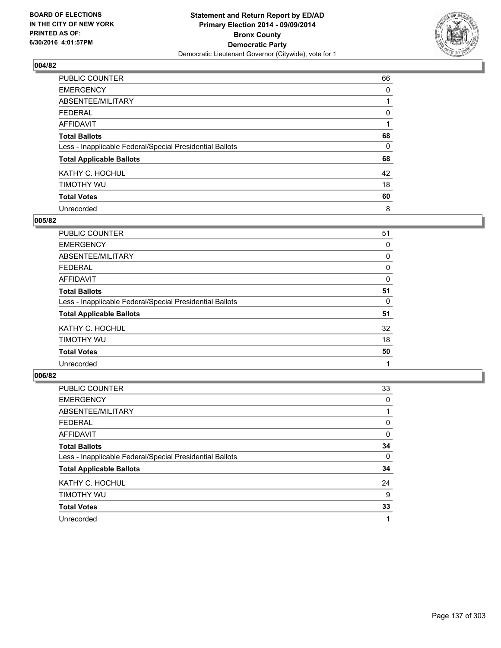

| PUBLIC COUNTER                                           | 66       |
|----------------------------------------------------------|----------|
| <b>EMERGENCY</b>                                         | 0        |
| ABSENTEE/MILITARY                                        |          |
| <b>FEDERAL</b>                                           | 0        |
| <b>AFFIDAVIT</b>                                         |          |
| <b>Total Ballots</b>                                     | 68       |
| Less - Inapplicable Federal/Special Presidential Ballots | $\Omega$ |
| <b>Total Applicable Ballots</b>                          | 68       |
| KATHY C. HOCHUL                                          | 42       |
| TIMOTHY WU                                               | 18       |
| <b>Total Votes</b>                                       | 60       |
| Unrecorded                                               | 8        |

#### **005/82**

| <b>PUBLIC COUNTER</b>                                    | 51 |
|----------------------------------------------------------|----|
| <b>EMERGENCY</b>                                         | 0  |
| ABSENTEE/MILITARY                                        | 0  |
| <b>FEDERAL</b>                                           | 0  |
| <b>AFFIDAVIT</b>                                         | 0  |
| <b>Total Ballots</b>                                     | 51 |
| Less - Inapplicable Federal/Special Presidential Ballots | 0  |
| <b>Total Applicable Ballots</b>                          | 51 |
| KATHY C. HOCHUL                                          | 32 |
| TIMOTHY WU                                               | 18 |
| <b>Total Votes</b>                                       | 50 |
| Unrecorded                                               |    |

| PUBLIC COUNTER                                           | 33 |
|----------------------------------------------------------|----|
| <b>EMERGENCY</b>                                         | 0  |
| ABSENTEE/MILITARY                                        |    |
| <b>FEDERAL</b>                                           | 0  |
| AFFIDAVIT                                                | 0  |
| <b>Total Ballots</b>                                     | 34 |
| Less - Inapplicable Federal/Special Presidential Ballots | 0  |
| <b>Total Applicable Ballots</b>                          | 34 |
| KATHY C. HOCHUL                                          | 24 |
| TIMOTHY WU                                               | 9  |
| <b>Total Votes</b>                                       | 33 |
| Unrecorded                                               |    |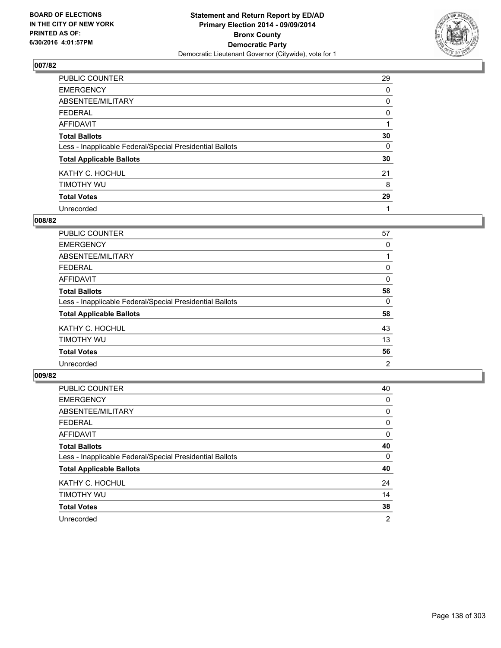

| PUBLIC COUNTER                                           | 29 |
|----------------------------------------------------------|----|
| <b>EMERGENCY</b>                                         | 0  |
| ABSENTEE/MILITARY                                        | 0  |
| <b>FEDERAL</b>                                           | 0  |
| <b>AFFIDAVIT</b>                                         |    |
| <b>Total Ballots</b>                                     | 30 |
| Less - Inapplicable Federal/Special Presidential Ballots | 0  |
| <b>Total Applicable Ballots</b>                          | 30 |
| KATHY C. HOCHUL                                          | 21 |
| TIMOTHY WU                                               | 8  |
| <b>Total Votes</b>                                       | 29 |
| Unrecorded                                               |    |

#### **008/82**

| <b>PUBLIC COUNTER</b>                                    | 57 |
|----------------------------------------------------------|----|
| <b>EMERGENCY</b>                                         | 0  |
| ABSENTEE/MILITARY                                        |    |
| <b>FEDERAL</b>                                           | 0  |
| <b>AFFIDAVIT</b>                                         | 0  |
| <b>Total Ballots</b>                                     | 58 |
| Less - Inapplicable Federal/Special Presidential Ballots | 0  |
| <b>Total Applicable Ballots</b>                          | 58 |
| KATHY C. HOCHUL                                          | 43 |
| TIMOTHY WU                                               | 13 |
| <b>Total Votes</b>                                       | 56 |
| Unrecorded                                               | 2  |

| PUBLIC COUNTER                                           | 40 |
|----------------------------------------------------------|----|
| <b>EMERGENCY</b>                                         | 0  |
| ABSENTEE/MILITARY                                        | 0  |
| <b>FEDERAL</b>                                           | 0  |
| <b>AFFIDAVIT</b>                                         | 0  |
| <b>Total Ballots</b>                                     | 40 |
| Less - Inapplicable Federal/Special Presidential Ballots | 0  |
| <b>Total Applicable Ballots</b>                          | 40 |
| KATHY C. HOCHUL                                          | 24 |
| TIMOTHY WU                                               | 14 |
| <b>Total Votes</b>                                       | 38 |
| Unrecorded                                               | 2  |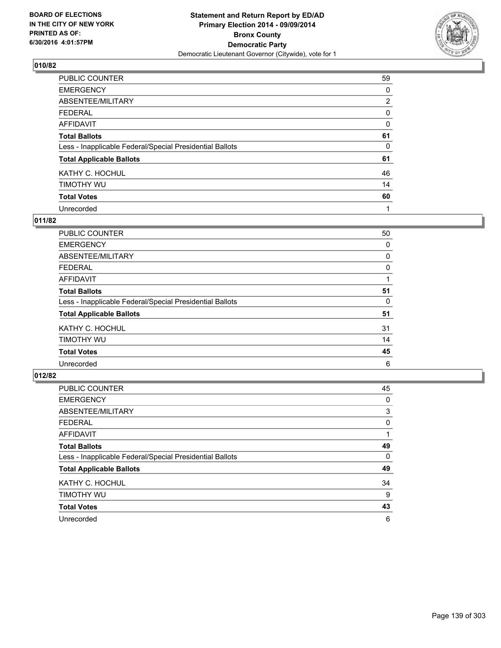

| <b>PUBLIC COUNTER</b>                                    | 59             |
|----------------------------------------------------------|----------------|
| <b>EMERGENCY</b>                                         | 0              |
| ABSENTEE/MILITARY                                        | $\overline{2}$ |
| <b>FEDERAL</b>                                           | 0              |
| <b>AFFIDAVIT</b>                                         | 0              |
| <b>Total Ballots</b>                                     | 61             |
| Less - Inapplicable Federal/Special Presidential Ballots | 0              |
| <b>Total Applicable Ballots</b>                          | 61             |
| KATHY C. HOCHUL                                          | 46             |
| TIMOTHY WU                                               | 14             |
| <b>Total Votes</b>                                       | 60             |
| Unrecorded                                               | 1              |

#### **011/82**

| <b>PUBLIC COUNTER</b>                                    | 50 |
|----------------------------------------------------------|----|
| <b>EMERGENCY</b>                                         | 0  |
| ABSENTEE/MILITARY                                        | 0  |
| <b>FEDERAL</b>                                           | 0  |
| <b>AFFIDAVIT</b>                                         |    |
| <b>Total Ballots</b>                                     | 51 |
| Less - Inapplicable Federal/Special Presidential Ballots | 0  |
| <b>Total Applicable Ballots</b>                          | 51 |
| KATHY C. HOCHUL                                          | 31 |
| TIMOTHY WU                                               | 14 |
| <b>Total Votes</b>                                       | 45 |
| Unrecorded                                               | 6  |

| PUBLIC COUNTER                                           | 45 |
|----------------------------------------------------------|----|
| <b>EMERGENCY</b>                                         | 0  |
| ABSENTEE/MILITARY                                        | 3  |
| <b>FEDERAL</b>                                           | 0  |
| <b>AFFIDAVIT</b>                                         |    |
| <b>Total Ballots</b>                                     | 49 |
| Less - Inapplicable Federal/Special Presidential Ballots | 0  |
| <b>Total Applicable Ballots</b>                          | 49 |
| KATHY C. HOCHUL                                          | 34 |
| TIMOTHY WU                                               | 9  |
| <b>Total Votes</b>                                       | 43 |
| Unrecorded                                               | 6  |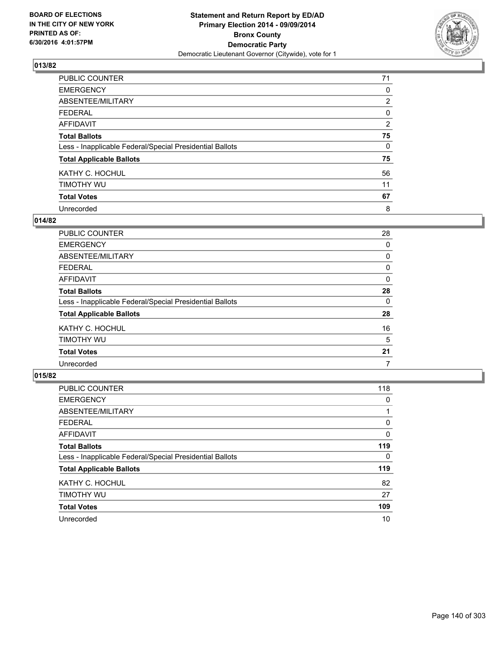

| PUBLIC COUNTER                                           | 71             |
|----------------------------------------------------------|----------------|
| <b>EMERGENCY</b>                                         | 0              |
| ABSENTEE/MILITARY                                        | $\overline{2}$ |
| <b>FEDERAL</b>                                           | 0              |
| <b>AFFIDAVIT</b>                                         | 2              |
| <b>Total Ballots</b>                                     | 75             |
| Less - Inapplicable Federal/Special Presidential Ballots | 0              |
| <b>Total Applicable Ballots</b>                          | 75             |
| KATHY C. HOCHUL                                          | 56             |
| TIMOTHY WU                                               | 11             |
| <b>Total Votes</b>                                       | 67             |
| Unrecorded                                               | 8              |

#### **014/82**

| <b>PUBLIC COUNTER</b>                                    | 28 |
|----------------------------------------------------------|----|
| <b>EMERGENCY</b>                                         | 0  |
| ABSENTEE/MILITARY                                        | 0  |
| <b>FEDERAL</b>                                           | 0  |
| <b>AFFIDAVIT</b>                                         | 0  |
| <b>Total Ballots</b>                                     | 28 |
| Less - Inapplicable Federal/Special Presidential Ballots | 0  |
| <b>Total Applicable Ballots</b>                          | 28 |
| KATHY C. HOCHUL                                          | 16 |
| TIMOTHY WU                                               | 5  |
| <b>Total Votes</b>                                       | 21 |
| Unrecorded                                               | 7  |

| PUBLIC COUNTER                                           | 118 |
|----------------------------------------------------------|-----|
| <b>EMERGENCY</b>                                         | 0   |
| ABSENTEE/MILITARY                                        |     |
| <b>FEDERAL</b>                                           | 0   |
| AFFIDAVIT                                                | 0   |
| <b>Total Ballots</b>                                     | 119 |
| Less - Inapplicable Federal/Special Presidential Ballots | 0   |
| <b>Total Applicable Ballots</b>                          | 119 |
| KATHY C. HOCHUL                                          | 82  |
| TIMOTHY WU                                               | 27  |
| <b>Total Votes</b>                                       | 109 |
| Unrecorded                                               | 10  |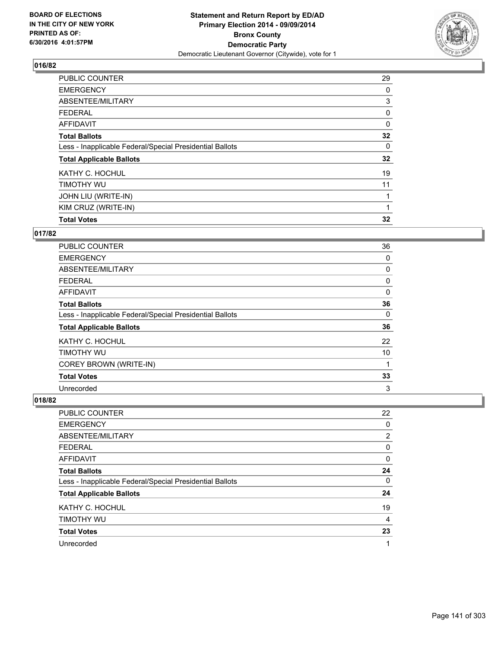

| 29 |
|----|
| 0  |
| 3  |
| 0  |
| 0  |
| 32 |
| 0  |
| 32 |
| 19 |
| 11 |
|    |
|    |
| 32 |
|    |

### **017/82**

| <b>PUBLIC COUNTER</b>                                    | 36 |
|----------------------------------------------------------|----|
| <b>EMERGENCY</b>                                         | 0  |
| ABSENTEE/MILITARY                                        | 0  |
| <b>FEDERAL</b>                                           | 0  |
| <b>AFFIDAVIT</b>                                         | 0  |
| <b>Total Ballots</b>                                     | 36 |
| Less - Inapplicable Federal/Special Presidential Ballots | 0  |
| <b>Total Applicable Ballots</b>                          | 36 |
| KATHY C. HOCHUL                                          | 22 |
| TIMOTHY WU                                               | 10 |
| COREY BROWN (WRITE-IN)                                   | 1  |
| <b>Total Votes</b>                                       | 33 |
| Unrecorded                                               | 3  |

| PUBLIC COUNTER                                           | 22             |
|----------------------------------------------------------|----------------|
| <b>EMERGENCY</b>                                         | 0              |
| ABSENTEE/MILITARY                                        | $\overline{2}$ |
| <b>FEDERAL</b>                                           | 0              |
| <b>AFFIDAVIT</b>                                         | 0              |
| <b>Total Ballots</b>                                     | 24             |
| Less - Inapplicable Federal/Special Presidential Ballots | 0              |
| <b>Total Applicable Ballots</b>                          | 24             |
| KATHY C. HOCHUL                                          | 19             |
| TIMOTHY WU                                               | 4              |
| <b>Total Votes</b>                                       | 23             |
| Unrecorded                                               |                |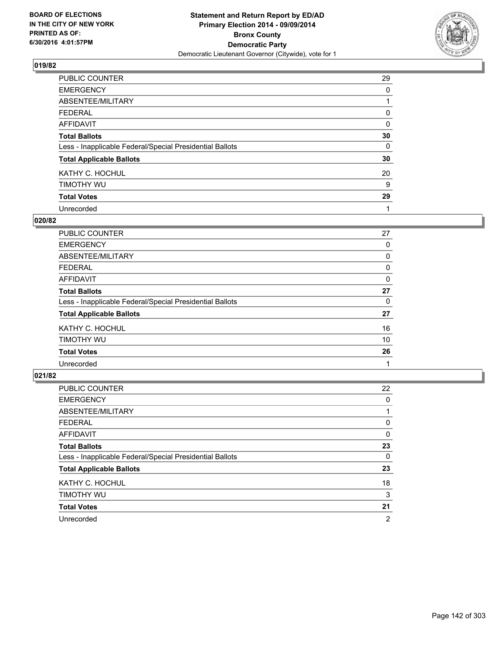

| PUBLIC COUNTER                                           | 29       |
|----------------------------------------------------------|----------|
| <b>EMERGENCY</b>                                         | 0        |
| ABSENTEE/MILITARY                                        |          |
| <b>FEDERAL</b>                                           | 0        |
| <b>AFFIDAVIT</b>                                         | $\Omega$ |
| <b>Total Ballots</b>                                     | 30       |
| Less - Inapplicable Federal/Special Presidential Ballots | 0        |
| <b>Total Applicable Ballots</b>                          | 30       |
| KATHY C. HOCHUL                                          | 20       |
| TIMOTHY WU                                               | 9        |
| <b>Total Votes</b>                                       | 29       |
| Unrecorded                                               |          |

#### **020/82**

| PUBLIC COUNTER                                           | 27 |
|----------------------------------------------------------|----|
| <b>EMERGENCY</b>                                         | 0  |
| ABSENTEE/MILITARY                                        | 0  |
| <b>FEDERAL</b>                                           | 0  |
| <b>AFFIDAVIT</b>                                         | 0  |
| <b>Total Ballots</b>                                     | 27 |
| Less - Inapplicable Federal/Special Presidential Ballots | 0  |
| <b>Total Applicable Ballots</b>                          | 27 |
| KATHY C. HOCHUL                                          | 16 |
| TIMOTHY WU                                               | 10 |
| <b>Total Votes</b>                                       | 26 |
| Unrecorded                                               |    |
|                                                          |    |

| PUBLIC COUNTER                                           | 22 |
|----------------------------------------------------------|----|
| <b>EMERGENCY</b>                                         | 0  |
| ABSENTEE/MILITARY                                        |    |
| <b>FEDERAL</b>                                           | 0  |
| <b>AFFIDAVIT</b>                                         | 0  |
| <b>Total Ballots</b>                                     | 23 |
| Less - Inapplicable Federal/Special Presidential Ballots | 0  |
| <b>Total Applicable Ballots</b>                          | 23 |
| KATHY C. HOCHUL                                          | 18 |
| TIMOTHY WU                                               | 3  |
| <b>Total Votes</b>                                       | 21 |
| Unrecorded                                               | 2  |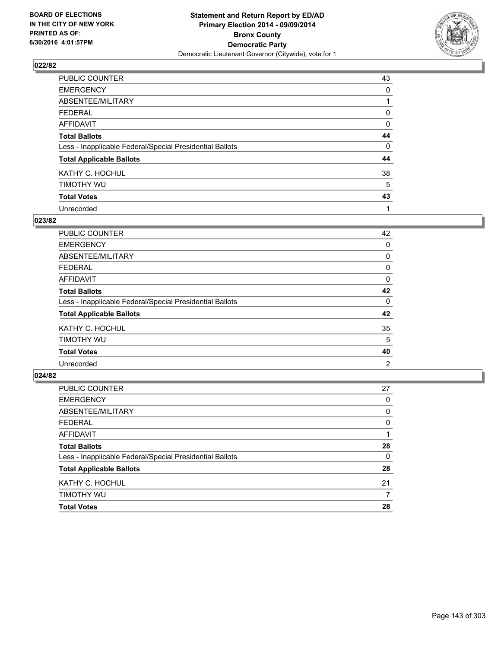

| PUBLIC COUNTER                                           | 43 |
|----------------------------------------------------------|----|
| <b>EMERGENCY</b>                                         | 0  |
| ABSENTEE/MILITARY                                        |    |
| <b>FEDERAL</b>                                           | 0  |
| <b>AFFIDAVIT</b>                                         | 0  |
| <b>Total Ballots</b>                                     | 44 |
| Less - Inapplicable Federal/Special Presidential Ballots | 0  |
| <b>Total Applicable Ballots</b>                          | 44 |
| KATHY C. HOCHUL                                          | 38 |
| TIMOTHY WU                                               | 5  |
| <b>Total Votes</b>                                       | 43 |
| Unrecorded                                               | 1  |

#### **023/82**

| PUBLIC COUNTER                                           | 42 |
|----------------------------------------------------------|----|
| <b>EMERGENCY</b>                                         | 0  |
| ABSENTEE/MILITARY                                        | 0  |
| <b>FEDERAL</b>                                           | 0  |
| <b>AFFIDAVIT</b>                                         | 0  |
| <b>Total Ballots</b>                                     | 42 |
| Less - Inapplicable Federal/Special Presidential Ballots | 0  |
| <b>Total Applicable Ballots</b>                          | 42 |
| KATHY C. HOCHUL                                          | 35 |
| TIMOTHY WU                                               | 5  |
| <b>Total Votes</b>                                       | 40 |
| Unrecorded                                               | 2  |
|                                                          |    |

| <b>Total Votes</b>                                       | 28 |
|----------------------------------------------------------|----|
| <b>TIMOTHY WU</b>                                        | 7  |
| KATHY C. HOCHUL                                          | 21 |
| <b>Total Applicable Ballots</b>                          | 28 |
| Less - Inapplicable Federal/Special Presidential Ballots | 0  |
| <b>Total Ballots</b>                                     | 28 |
| <b>AFFIDAVIT</b>                                         |    |
| <b>FEDERAL</b>                                           | 0  |
| ABSENTEE/MILITARY                                        | 0  |
| <b>EMERGENCY</b>                                         | 0  |
| PUBLIC COUNTER                                           | 27 |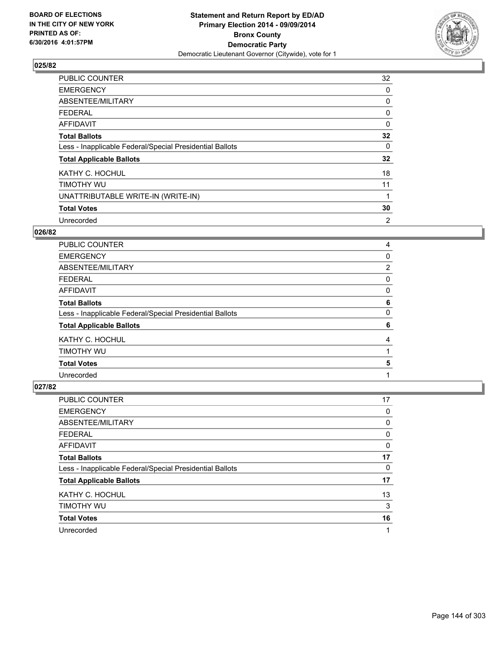

| <b>PUBLIC COUNTER</b>                                    | 32             |
|----------------------------------------------------------|----------------|
| <b>EMERGENCY</b>                                         | 0              |
| ABSENTEE/MILITARY                                        | 0              |
| <b>FEDERAL</b>                                           | 0              |
| AFFIDAVIT                                                | $\Omega$       |
| <b>Total Ballots</b>                                     | 32             |
| Less - Inapplicable Federal/Special Presidential Ballots | 0              |
| <b>Total Applicable Ballots</b>                          | 32             |
| KATHY C. HOCHUL                                          | 18             |
| TIMOTHY WU                                               | 11             |
| UNATTRIBUTABLE WRITE-IN (WRITE-IN)                       |                |
| <b>Total Votes</b>                                       | 30             |
| Unrecorded                                               | $\overline{2}$ |

# **026/82**

| <b>PUBLIC COUNTER</b>                                    | 4              |
|----------------------------------------------------------|----------------|
| <b>EMERGENCY</b>                                         | 0              |
| ABSENTEE/MILITARY                                        | $\overline{2}$ |
| <b>FEDERAL</b>                                           | 0              |
| AFFIDAVIT                                                | 0              |
| <b>Total Ballots</b>                                     | 6              |
| Less - Inapplicable Federal/Special Presidential Ballots | 0              |
| <b>Total Applicable Ballots</b>                          | 6              |
| KATHY C. HOCHUL                                          | 4              |
| TIMOTHY WU                                               |                |
| <b>Total Votes</b>                                       | 5              |
| Unrecorded                                               |                |

| PUBLIC COUNTER                                           | 17 |
|----------------------------------------------------------|----|
| <b>EMERGENCY</b>                                         | 0  |
| ABSENTEE/MILITARY                                        | 0  |
| <b>FEDERAL</b>                                           | 0  |
| AFFIDAVIT                                                | 0  |
| <b>Total Ballots</b>                                     | 17 |
| Less - Inapplicable Federal/Special Presidential Ballots | 0  |
| <b>Total Applicable Ballots</b>                          | 17 |
| KATHY C. HOCHUL                                          | 13 |
| TIMOTHY WU                                               | 3  |
| <b>Total Votes</b>                                       | 16 |
| Unrecorded                                               | 1  |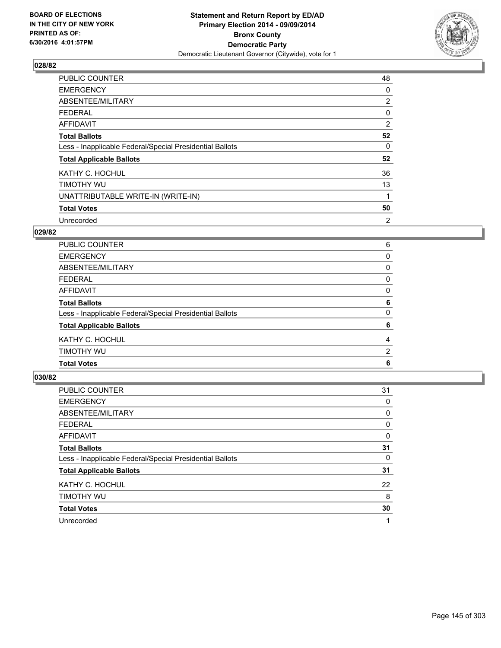

| <b>PUBLIC COUNTER</b>                                    | 48             |
|----------------------------------------------------------|----------------|
| <b>EMERGENCY</b>                                         | 0              |
| ABSENTEE/MILITARY                                        | $\overline{2}$ |
| FEDERAL                                                  | 0              |
| <b>AFFIDAVIT</b>                                         | 2              |
| <b>Total Ballots</b>                                     | 52             |
| Less - Inapplicable Federal/Special Presidential Ballots | 0              |
| <b>Total Applicable Ballots</b>                          | 52             |
| KATHY C. HOCHUL                                          | 36             |
| TIMOTHY WU                                               | 13             |
| UNATTRIBUTABLE WRITE-IN (WRITE-IN)                       |                |
| <b>Total Votes</b>                                       | 50             |
| Unrecorded                                               | 2              |

# **029/82**

| <b>Total Votes</b>                                       | 6              |
|----------------------------------------------------------|----------------|
| TIMOTHY WU                                               | $\overline{2}$ |
| KATHY C. HOCHUL                                          | 4              |
| <b>Total Applicable Ballots</b>                          | 6              |
| Less - Inapplicable Federal/Special Presidential Ballots | 0              |
| <b>Total Ballots</b>                                     | 6              |
| AFFIDAVIT                                                | 0              |
| <b>FEDERAL</b>                                           | 0              |
| ABSENTEE/MILITARY                                        | 0              |
| <b>EMERGENCY</b>                                         | 0              |
| PUBLIC COUNTER                                           | 6              |

| <b>PUBLIC COUNTER</b>                                    | 31 |
|----------------------------------------------------------|----|
| <b>EMERGENCY</b>                                         | 0  |
| ABSENTEE/MILITARY                                        | 0  |
| <b>FEDERAL</b>                                           | 0  |
| AFFIDAVIT                                                | 0  |
| <b>Total Ballots</b>                                     | 31 |
| Less - Inapplicable Federal/Special Presidential Ballots | 0  |
| <b>Total Applicable Ballots</b>                          | 31 |
| KATHY C. HOCHUL                                          | 22 |
| TIMOTHY WU                                               | 8  |
| <b>Total Votes</b>                                       | 30 |
| Unrecorded                                               | 1  |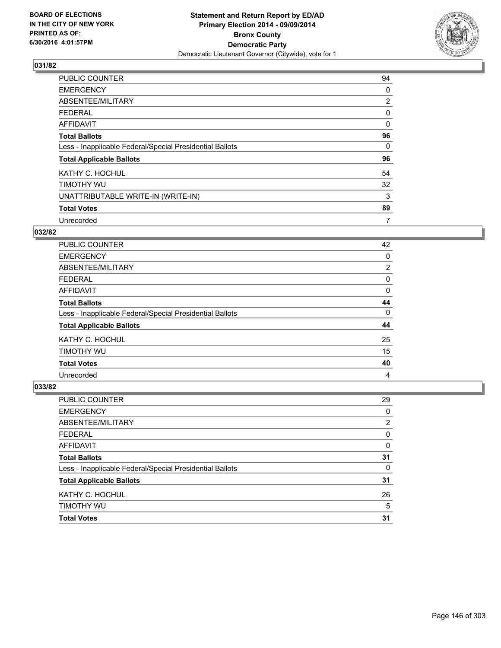

| <b>PUBLIC COUNTER</b>                                    | 94             |
|----------------------------------------------------------|----------------|
| <b>EMERGENCY</b>                                         | 0              |
| ABSENTEE/MILITARY                                        | $\overline{2}$ |
| <b>FEDERAL</b>                                           | 0              |
| <b>AFFIDAVIT</b>                                         | $\Omega$       |
| <b>Total Ballots</b>                                     | 96             |
| Less - Inapplicable Federal/Special Presidential Ballots | 0              |
| <b>Total Applicable Ballots</b>                          | 96             |
| KATHY C. HOCHUL                                          | 54             |
| TIMOTHY WU                                               | 32             |
| UNATTRIBUTABLE WRITE-IN (WRITE-IN)                       | 3              |
| <b>Total Votes</b>                                       | 89             |
| Unrecorded                                               | 7              |

# **032/82**

| <b>PUBLIC COUNTER</b>                                    | 42             |
|----------------------------------------------------------|----------------|
| <b>EMERGENCY</b>                                         | 0              |
| ABSENTEE/MILITARY                                        | $\overline{2}$ |
| <b>FEDERAL</b>                                           | 0              |
| <b>AFFIDAVIT</b>                                         | 0              |
| <b>Total Ballots</b>                                     | 44             |
| Less - Inapplicable Federal/Special Presidential Ballots | 0              |
| <b>Total Applicable Ballots</b>                          | 44             |
| KATHY C. HOCHUL                                          | 25             |
| TIMOTHY WU                                               | 15             |
| <b>Total Votes</b>                                       | 40             |
| Unrecorded                                               | 4              |

| <b>Total Votes</b>                                       | 31 |
|----------------------------------------------------------|----|
| TIMOTHY WU                                               | 5  |
| KATHY C. HOCHUL                                          | 26 |
| <b>Total Applicable Ballots</b>                          | 31 |
| Less - Inapplicable Federal/Special Presidential Ballots | 0  |
| <b>Total Ballots</b>                                     | 31 |
| <b>AFFIDAVIT</b>                                         | 0  |
| <b>FEDERAL</b>                                           | 0  |
| ABSENTEE/MILITARY                                        | 2  |
| <b>EMERGENCY</b>                                         | 0  |
| <b>PUBLIC COUNTER</b>                                    | 29 |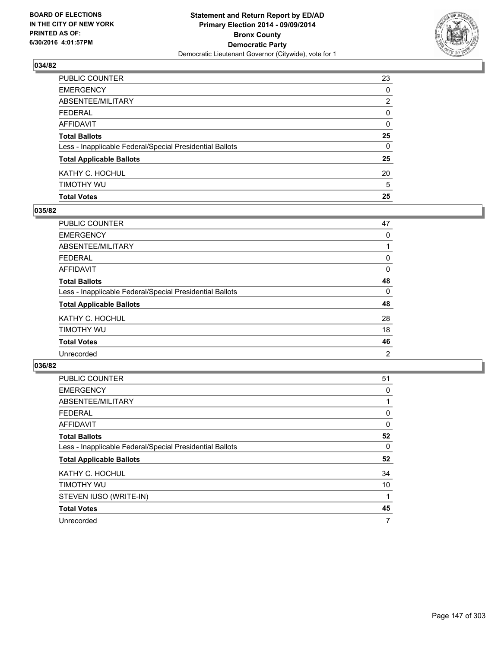

| AFFIDAVIT                                                | 0  |
|----------------------------------------------------------|----|
| <b>Total Ballots</b>                                     | 25 |
| Less - Inapplicable Federal/Special Presidential Ballots | 0  |
| <b>Total Applicable Ballots</b>                          | 25 |
| KATHY C. HOCHUL                                          | 20 |
| timothy wu                                               | 5  |
| <b>Total Votes</b>                                       | 25 |

### **035/82**

| PUBLIC COUNTER                                           | 47 |
|----------------------------------------------------------|----|
| <b>EMERGENCY</b>                                         | 0  |
| <b>ABSENTEE/MILITARY</b>                                 |    |
| <b>FEDERAL</b>                                           | 0  |
| <b>AFFIDAVIT</b>                                         | 0  |
| <b>Total Ballots</b>                                     | 48 |
| Less - Inapplicable Federal/Special Presidential Ballots | 0  |
| <b>Total Applicable Ballots</b>                          | 48 |
| KATHY C. HOCHUL                                          | 28 |
| TIMOTHY WU                                               | 18 |
| <b>Total Votes</b>                                       | 46 |
| Unrecorded                                               | 2  |
|                                                          |    |

| <b>PUBLIC COUNTER</b>                                    | 51 |
|----------------------------------------------------------|----|
| <b>EMERGENCY</b>                                         | 0  |
| ABSENTEE/MILITARY                                        | 1  |
| <b>FEDERAL</b>                                           | 0  |
| AFFIDAVIT                                                | 0  |
| <b>Total Ballots</b>                                     | 52 |
| Less - Inapplicable Federal/Special Presidential Ballots | 0  |
| <b>Total Applicable Ballots</b>                          | 52 |
| KATHY C. HOCHUL                                          | 34 |
| TIMOTHY WU                                               | 10 |
| STEVEN IUSO (WRITE-IN)                                   | 1  |
| <b>Total Votes</b>                                       | 45 |
| Unrecorded                                               | 7  |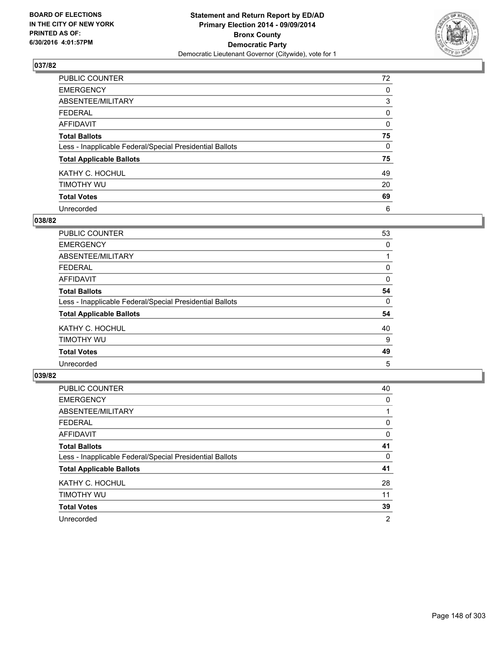

| PUBLIC COUNTER                                           | 72       |
|----------------------------------------------------------|----------|
| <b>EMERGENCY</b>                                         | 0        |
| ABSENTEE/MILITARY                                        | 3        |
| <b>FEDERAL</b>                                           | 0        |
| <b>AFFIDAVIT</b>                                         | $\Omega$ |
| <b>Total Ballots</b>                                     | 75       |
| Less - Inapplicable Federal/Special Presidential Ballots | 0        |
| <b>Total Applicable Ballots</b>                          | 75       |
| KATHY C. HOCHUL                                          | 49       |
| TIMOTHY WU                                               | 20       |
| <b>Total Votes</b>                                       | 69       |
| Unrecorded                                               | 6        |

### **038/82**

| <b>PUBLIC COUNTER</b>                                    | 53 |
|----------------------------------------------------------|----|
| <b>EMERGENCY</b>                                         | 0  |
| ABSENTEE/MILITARY                                        |    |
| <b>FEDERAL</b>                                           | 0  |
| <b>AFFIDAVIT</b>                                         | 0  |
| <b>Total Ballots</b>                                     | 54 |
| Less - Inapplicable Federal/Special Presidential Ballots | 0  |
| <b>Total Applicable Ballots</b>                          | 54 |
| KATHY C. HOCHUL                                          | 40 |
| TIMOTHY WU                                               | 9  |
| <b>Total Votes</b>                                       | 49 |
| Unrecorded                                               | 5  |

| PUBLIC COUNTER                                           | 40 |
|----------------------------------------------------------|----|
| <b>EMERGENCY</b>                                         | 0  |
| ABSENTEE/MILITARY                                        |    |
| <b>FEDERAL</b>                                           | 0  |
| AFFIDAVIT                                                | 0  |
| <b>Total Ballots</b>                                     | 41 |
| Less - Inapplicable Federal/Special Presidential Ballots | 0  |
| <b>Total Applicable Ballots</b>                          | 41 |
| KATHY C. HOCHUL                                          | 28 |
| TIMOTHY WU                                               | 11 |
| <b>Total Votes</b>                                       | 39 |
| Unrecorded                                               | 2  |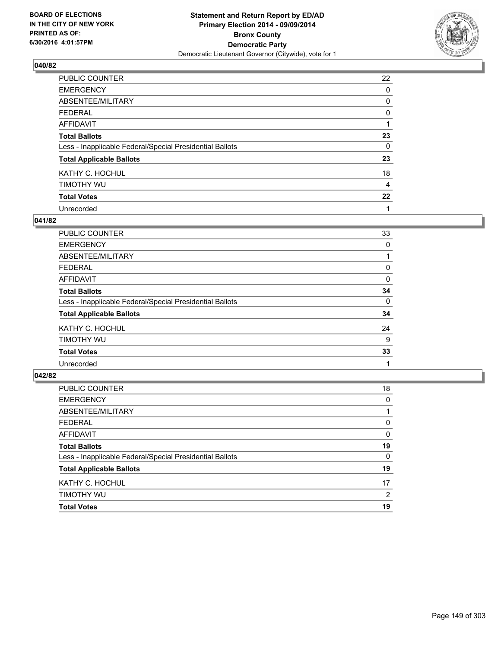

| PUBLIC COUNTER                                           | 22 |
|----------------------------------------------------------|----|
| <b>EMERGENCY</b>                                         | 0  |
| ABSENTEE/MILITARY                                        | 0  |
| <b>FEDERAL</b>                                           | 0  |
| <b>AFFIDAVIT</b>                                         |    |
| <b>Total Ballots</b>                                     | 23 |
| Less - Inapplicable Federal/Special Presidential Ballots | 0  |
| <b>Total Applicable Ballots</b>                          | 23 |
| KATHY C. HOCHUL                                          | 18 |
| TIMOTHY WU                                               | 4  |
| <b>Total Votes</b>                                       | 22 |
| Unrecorded                                               |    |

### **041/82**

| <b>PUBLIC COUNTER</b>                                    | 33 |
|----------------------------------------------------------|----|
| <b>EMERGENCY</b>                                         | 0  |
| ABSENTEE/MILITARY                                        |    |
| <b>FEDERAL</b>                                           | 0  |
| <b>AFFIDAVIT</b>                                         | 0  |
| <b>Total Ballots</b>                                     | 34 |
| Less - Inapplicable Federal/Special Presidential Ballots | 0  |
| <b>Total Applicable Ballots</b>                          | 34 |
| KATHY C. HOCHUL                                          | 24 |
| TIMOTHY WU                                               | 9  |
| <b>Total Votes</b>                                       | 33 |
| Unrecorded                                               |    |

| PUBLIC COUNTER                                           | 18             |
|----------------------------------------------------------|----------------|
| <b>EMERGENCY</b>                                         | 0              |
| ABSENTEE/MILITARY                                        |                |
| <b>FEDERAL</b>                                           | 0              |
| <b>AFFIDAVIT</b>                                         | $\Omega$       |
| <b>Total Ballots</b>                                     | 19             |
| Less - Inapplicable Federal/Special Presidential Ballots | 0              |
| <b>Total Applicable Ballots</b>                          | 19             |
| KATHY C. HOCHUL                                          | 17             |
| TIMOTHY WU                                               | $\overline{2}$ |
| <b>Total Votes</b>                                       | 19             |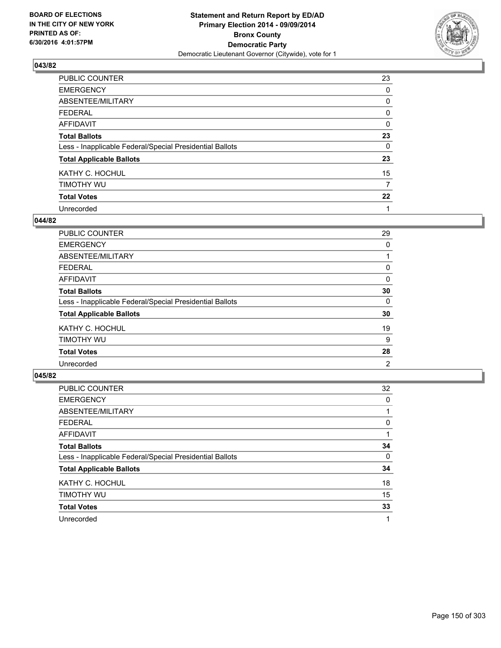

| PUBLIC COUNTER                                           | 23       |
|----------------------------------------------------------|----------|
| <b>EMERGENCY</b>                                         | 0        |
| ABSENTEE/MILITARY                                        | 0        |
| <b>FEDERAL</b>                                           | 0        |
| <b>AFFIDAVIT</b>                                         | $\Omega$ |
| <b>Total Ballots</b>                                     | 23       |
| Less - Inapplicable Federal/Special Presidential Ballots | 0        |
| <b>Total Applicable Ballots</b>                          | 23       |
| KATHY C. HOCHUL                                          | 15       |
| TIMOTHY WU                                               | 7        |
| <b>Total Votes</b>                                       | 22       |
| Unrecorded                                               |          |

### **044/82**

| <b>PUBLIC COUNTER</b>                                    | 29 |
|----------------------------------------------------------|----|
| <b>EMERGENCY</b>                                         | 0  |
| ABSENTEE/MILITARY                                        |    |
| <b>FEDERAL</b>                                           | 0  |
| <b>AFFIDAVIT</b>                                         | 0  |
| <b>Total Ballots</b>                                     | 30 |
| Less - Inapplicable Federal/Special Presidential Ballots | 0  |
| <b>Total Applicable Ballots</b>                          | 30 |
| KATHY C. HOCHUL                                          | 19 |
| TIMOTHY WU                                               | 9  |
| <b>Total Votes</b>                                       | 28 |
| Unrecorded                                               | 2  |

| PUBLIC COUNTER                                           | 32 |
|----------------------------------------------------------|----|
| <b>EMERGENCY</b>                                         | 0  |
| ABSENTEE/MILITARY                                        |    |
| <b>FEDERAL</b>                                           | 0  |
| AFFIDAVIT                                                |    |
| <b>Total Ballots</b>                                     | 34 |
| Less - Inapplicable Federal/Special Presidential Ballots | 0  |
| <b>Total Applicable Ballots</b>                          | 34 |
| KATHY C. HOCHUL                                          | 18 |
| TIMOTHY WU                                               | 15 |
| <b>Total Votes</b>                                       | 33 |
| Unrecorded                                               |    |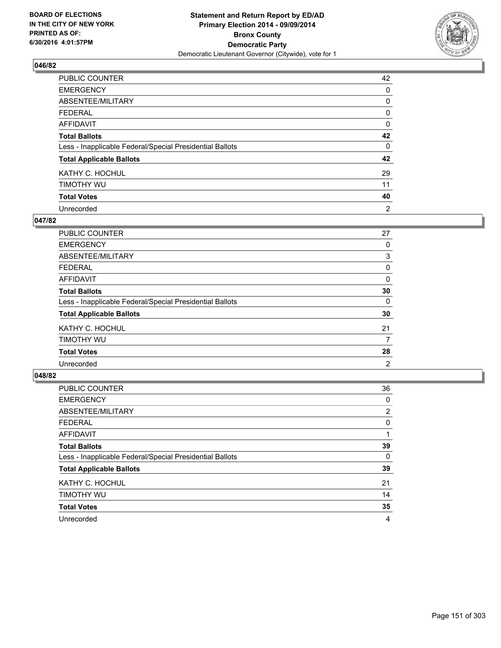

| PUBLIC COUNTER                                           | 42 |
|----------------------------------------------------------|----|
| <b>EMERGENCY</b>                                         | 0  |
| ABSENTEE/MILITARY                                        | 0  |
| <b>FEDERAL</b>                                           | 0  |
| <b>AFFIDAVIT</b>                                         | 0  |
| <b>Total Ballots</b>                                     | 42 |
| Less - Inapplicable Federal/Special Presidential Ballots | 0  |
| <b>Total Applicable Ballots</b>                          | 42 |
| KATHY C. HOCHUL                                          | 29 |
| TIMOTHY WU                                               | 11 |
| <b>Total Votes</b>                                       | 40 |
| Unrecorded                                               | 2  |

### **047/82**

| PUBLIC COUNTER                                           | 27 |
|----------------------------------------------------------|----|
| <b>EMERGENCY</b>                                         | 0  |
| ABSENTEE/MILITARY                                        | 3  |
| <b>FEDERAL</b>                                           | 0  |
| <b>AFFIDAVIT</b>                                         | 0  |
| <b>Total Ballots</b>                                     | 30 |
| Less - Inapplicable Federal/Special Presidential Ballots | 0  |
| <b>Total Applicable Ballots</b>                          | 30 |
| KATHY C. HOCHUL                                          | 21 |
| TIMOTHY WU                                               | 7  |
| <b>Total Votes</b>                                       | 28 |
| Unrecorded                                               | 2  |

| PUBLIC COUNTER                                           | 36             |
|----------------------------------------------------------|----------------|
| <b>EMERGENCY</b>                                         | 0              |
| ABSENTEE/MILITARY                                        | $\overline{2}$ |
| <b>FEDERAL</b>                                           | 0              |
| <b>AFFIDAVIT</b>                                         |                |
| <b>Total Ballots</b>                                     | 39             |
| Less - Inapplicable Federal/Special Presidential Ballots | 0              |
| <b>Total Applicable Ballots</b>                          | 39             |
| KATHY C. HOCHUL                                          | 21             |
| TIMOTHY WU                                               | 14             |
| <b>Total Votes</b>                                       | 35             |
| Unrecorded                                               | 4              |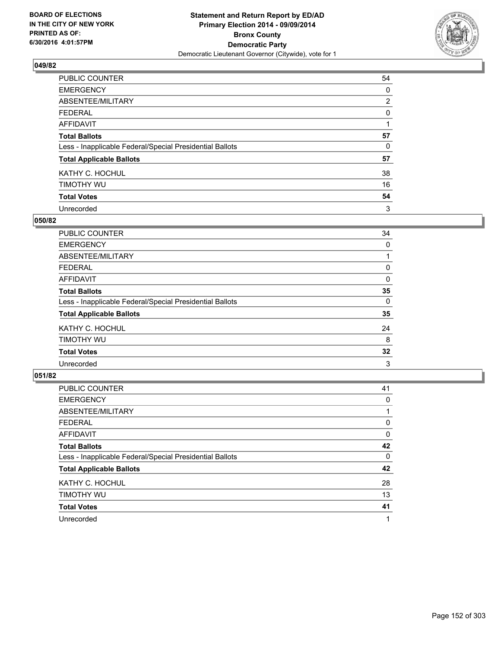

| PUBLIC COUNTER                                           | 54             |
|----------------------------------------------------------|----------------|
| <b>EMERGENCY</b>                                         | 0              |
| ABSENTEE/MILITARY                                        | $\overline{2}$ |
| <b>FEDERAL</b>                                           | 0              |
| <b>AFFIDAVIT</b>                                         |                |
| <b>Total Ballots</b>                                     | 57             |
| Less - Inapplicable Federal/Special Presidential Ballots | 0              |
| <b>Total Applicable Ballots</b>                          | 57             |
| KATHY C. HOCHUL                                          | 38             |
| TIMOTHY WU                                               | 16             |
| <b>Total Votes</b>                                       | 54             |
| Unrecorded                                               | 3              |

### **050/82**

| <b>PUBLIC COUNTER</b>                                    | 34 |
|----------------------------------------------------------|----|
| <b>EMERGENCY</b>                                         | 0  |
| ABSENTEE/MILITARY                                        |    |
| <b>FEDERAL</b>                                           | 0  |
| <b>AFFIDAVIT</b>                                         | 0  |
| <b>Total Ballots</b>                                     | 35 |
| Less - Inapplicable Federal/Special Presidential Ballots | 0  |
| <b>Total Applicable Ballots</b>                          | 35 |
| KATHY C. HOCHUL                                          | 24 |
| TIMOTHY WU                                               | 8  |
| <b>Total Votes</b>                                       | 32 |
| Unrecorded                                               | 3  |

| PUBLIC COUNTER                                           | 41 |
|----------------------------------------------------------|----|
| <b>EMERGENCY</b>                                         | 0  |
| ABSENTEE/MILITARY                                        |    |
| <b>FEDERAL</b>                                           | 0  |
| AFFIDAVIT                                                | 0  |
| <b>Total Ballots</b>                                     | 42 |
| Less - Inapplicable Federal/Special Presidential Ballots | 0  |
| <b>Total Applicable Ballots</b>                          | 42 |
| KATHY C. HOCHUL                                          | 28 |
| TIMOTHY WU                                               | 13 |
| <b>Total Votes</b>                                       | 41 |
| Unrecorded                                               |    |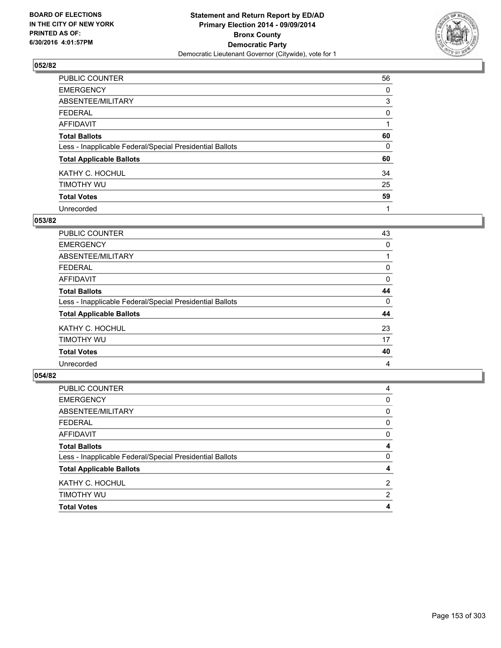

| <b>PUBLIC COUNTER</b>                                    | 56 |
|----------------------------------------------------------|----|
| <b>EMERGENCY</b>                                         | 0  |
| ABSENTEE/MILITARY                                        | 3  |
| <b>FEDERAL</b>                                           | 0  |
| <b>AFFIDAVIT</b>                                         |    |
| <b>Total Ballots</b>                                     | 60 |
| Less - Inapplicable Federal/Special Presidential Ballots | 0  |
| <b>Total Applicable Ballots</b>                          | 60 |
| KATHY C. HOCHUL                                          | 34 |
| TIMOTHY WU                                               | 25 |
| <b>Total Votes</b>                                       | 59 |
| Unrecorded                                               |    |

### **053/82**

| PUBLIC COUNTER                                           | 43 |
|----------------------------------------------------------|----|
| <b>EMERGENCY</b>                                         | 0  |
| ABSENTEE/MILITARY                                        |    |
| <b>FEDERAL</b>                                           | 0  |
| <b>AFFIDAVIT</b>                                         | 0  |
| <b>Total Ballots</b>                                     | 44 |
| Less - Inapplicable Federal/Special Presidential Ballots | 0  |
| <b>Total Applicable Ballots</b>                          | 44 |
| KATHY C. HOCHUL                                          | 23 |
| TIMOTHY WU                                               | 17 |
| <b>Total Votes</b>                                       | 40 |
| Unrecorded                                               | 4  |
|                                                          |    |

| <b>Total Votes</b>                                       | 4              |
|----------------------------------------------------------|----------------|
| <b>TIMOTHY WU</b>                                        | $\overline{2}$ |
| KATHY C. HOCHUL                                          | $\overline{2}$ |
| <b>Total Applicable Ballots</b>                          | 4              |
| Less - Inapplicable Federal/Special Presidential Ballots | 0              |
| <b>Total Ballots</b>                                     | 4              |
| <b>AFFIDAVIT</b>                                         | 0              |
| <b>FEDERAL</b>                                           | 0              |
| ABSENTEE/MILITARY                                        | 0              |
| <b>EMERGENCY</b>                                         | 0              |
| PUBLIC COUNTER                                           | 4              |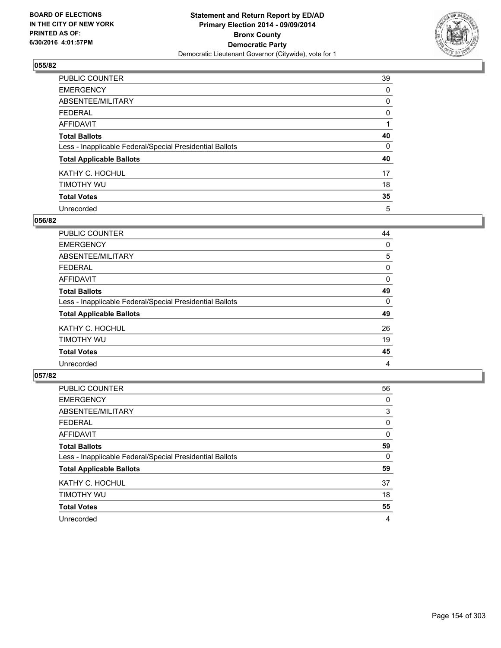

| PUBLIC COUNTER                                           | 39 |
|----------------------------------------------------------|----|
| <b>EMERGENCY</b>                                         | 0  |
| ABSENTEE/MILITARY                                        | 0  |
| <b>FEDERAL</b>                                           | 0  |
| <b>AFFIDAVIT</b>                                         |    |
| <b>Total Ballots</b>                                     | 40 |
| Less - Inapplicable Federal/Special Presidential Ballots | 0  |
| <b>Total Applicable Ballots</b>                          | 40 |
| KATHY C. HOCHUL                                          | 17 |
| TIMOTHY WU                                               | 18 |
| <b>Total Votes</b>                                       | 35 |
| Unrecorded                                               | 5  |

### **056/82**

| <b>PUBLIC COUNTER</b>                                    | 44 |
|----------------------------------------------------------|----|
| <b>EMERGENCY</b>                                         | 0  |
| ABSENTEE/MILITARY                                        | 5  |
| <b>FEDERAL</b>                                           | 0  |
| <b>AFFIDAVIT</b>                                         | 0  |
| <b>Total Ballots</b>                                     | 49 |
| Less - Inapplicable Federal/Special Presidential Ballots | 0  |
| <b>Total Applicable Ballots</b>                          | 49 |
| KATHY C. HOCHUL                                          | 26 |
| TIMOTHY WU                                               | 19 |
| <b>Total Votes</b>                                       | 45 |
| Unrecorded                                               | 4  |

| PUBLIC COUNTER                                           | 56 |
|----------------------------------------------------------|----|
| <b>EMERGENCY</b>                                         | 0  |
| ABSENTEE/MILITARY                                        | 3  |
| <b>FEDERAL</b>                                           | 0  |
| AFFIDAVIT                                                | 0  |
| <b>Total Ballots</b>                                     | 59 |
| Less - Inapplicable Federal/Special Presidential Ballots | 0  |
| <b>Total Applicable Ballots</b>                          | 59 |
| KATHY C. HOCHUL                                          | 37 |
| TIMOTHY WU                                               | 18 |
| <b>Total Votes</b>                                       | 55 |
| Unrecorded                                               | 4  |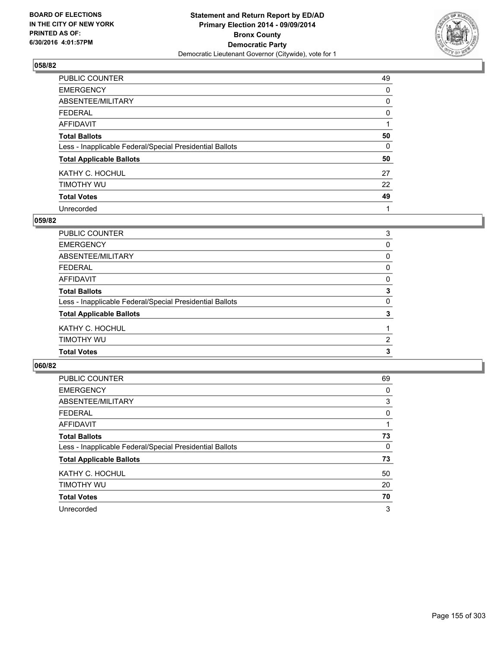

| PUBLIC COUNTER                                           | 49 |
|----------------------------------------------------------|----|
| <b>EMERGENCY</b>                                         | 0  |
| ABSENTEE/MILITARY                                        | 0  |
| <b>FEDERAL</b>                                           | 0  |
| <b>AFFIDAVIT</b>                                         |    |
| <b>Total Ballots</b>                                     | 50 |
| Less - Inapplicable Federal/Special Presidential Ballots | 0  |
| <b>Total Applicable Ballots</b>                          | 50 |
| KATHY C. HOCHUL                                          | 27 |
| TIMOTHY WU                                               | 22 |
| <b>Total Votes</b>                                       | 49 |
| Unrecorded                                               |    |

### **059/82**

| <b>Total Votes</b>                                       | 3            |
|----------------------------------------------------------|--------------|
| TIMOTHY WU                                               | 2            |
| KATHY C. HOCHUL                                          |              |
| <b>Total Applicable Ballots</b>                          | 3            |
| Less - Inapplicable Federal/Special Presidential Ballots | $\Omega$     |
| <b>Total Ballots</b>                                     | 3            |
| AFFIDAVIT                                                | 0            |
| <b>FEDERAL</b>                                           | 0            |
| ABSENTEE/MILITARY                                        | $\mathbf{0}$ |
| <b>EMERGENCY</b>                                         | 0            |
| PUBLIC COUNTER                                           | 3            |

| <b>PUBLIC COUNTER</b>                                    | 69 |
|----------------------------------------------------------|----|
| <b>EMERGENCY</b>                                         | 0  |
| ABSENTEE/MILITARY                                        | 3  |
| <b>FEDERAL</b>                                           | 0  |
| AFFIDAVIT                                                |    |
| <b>Total Ballots</b>                                     | 73 |
| Less - Inapplicable Federal/Special Presidential Ballots | 0  |
| <b>Total Applicable Ballots</b>                          | 73 |
| KATHY C. HOCHUL                                          | 50 |
| TIMOTHY WU                                               | 20 |
| <b>Total Votes</b>                                       | 70 |
| Unrecorded                                               | 3  |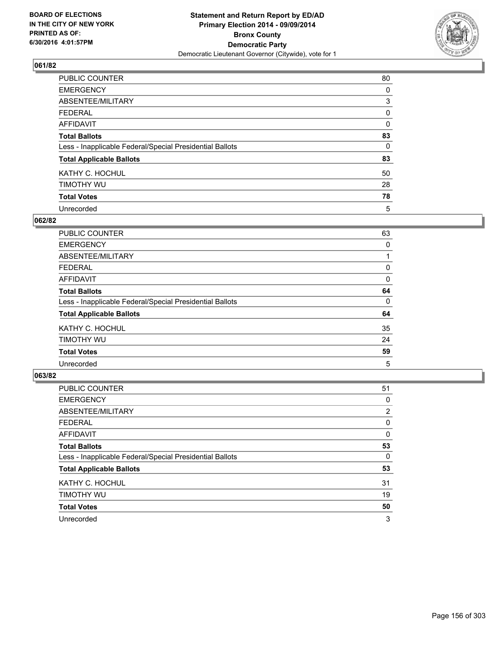

| PUBLIC COUNTER                                           | 80       |
|----------------------------------------------------------|----------|
| <b>EMERGENCY</b>                                         | 0        |
| ABSENTEE/MILITARY                                        | 3        |
| <b>FEDERAL</b>                                           | 0        |
| <b>AFFIDAVIT</b>                                         | $\Omega$ |
| <b>Total Ballots</b>                                     | 83       |
| Less - Inapplicable Federal/Special Presidential Ballots | 0        |
| <b>Total Applicable Ballots</b>                          | 83       |
| KATHY C. HOCHUL                                          | 50       |
| TIMOTHY WU                                               | 28       |
| <b>Total Votes</b>                                       | 78       |
| Unrecorded                                               | 5        |

### **062/82**

| <b>PUBLIC COUNTER</b>                                    | 63 |
|----------------------------------------------------------|----|
| <b>EMERGENCY</b>                                         | 0  |
| ABSENTEE/MILITARY                                        |    |
| <b>FEDERAL</b>                                           | 0  |
| <b>AFFIDAVIT</b>                                         | 0  |
| <b>Total Ballots</b>                                     | 64 |
| Less - Inapplicable Federal/Special Presidential Ballots | 0  |
| <b>Total Applicable Ballots</b>                          | 64 |
| KATHY C. HOCHUL                                          | 35 |
| TIMOTHY WU                                               | 24 |
| <b>Total Votes</b>                                       | 59 |
| Unrecorded                                               | 5  |

| PUBLIC COUNTER                                           | 51             |
|----------------------------------------------------------|----------------|
| <b>EMERGENCY</b>                                         | 0              |
| ABSENTEE/MILITARY                                        | $\overline{2}$ |
| <b>FEDERAL</b>                                           | 0              |
| AFFIDAVIT                                                | 0              |
| <b>Total Ballots</b>                                     | 53             |
| Less - Inapplicable Federal/Special Presidential Ballots | 0              |
| <b>Total Applicable Ballots</b>                          | 53             |
| KATHY C. HOCHUL                                          | 31             |
| TIMOTHY WU                                               | 19             |
| <b>Total Votes</b>                                       | 50             |
| Unrecorded                                               | 3              |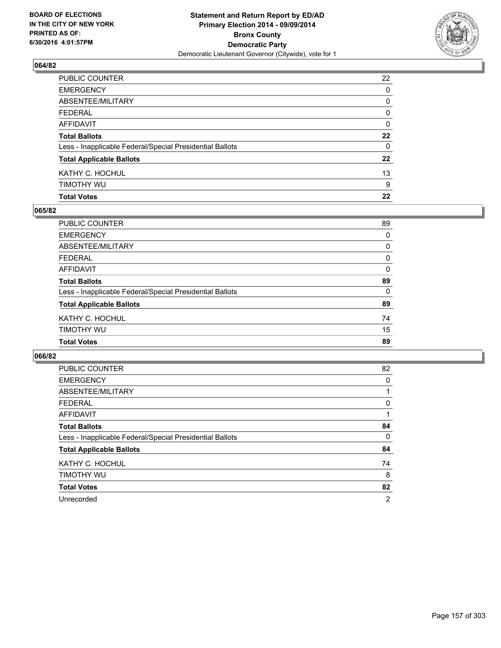

| PUBLIC COUNTER                                           | 22               |
|----------------------------------------------------------|------------------|
| EMERGENCY                                                | 0                |
| ABSENTEE/MILITARY                                        | 0                |
| FEDERAL                                                  | 0                |
| AFFIDAVIT                                                | 0                |
| <b>Total Ballots</b>                                     | $22\phantom{.0}$ |
| Less - Inapplicable Federal/Special Presidential Ballots | 0                |
| <b>Total Applicable Ballots</b>                          | 22               |
| KATHY C. HOCHUL                                          | 13               |
| timothy wu                                               | 9                |
| <b>Total Votes</b>                                       | 22               |

### **065/82**

| <b>PUBLIC COUNTER</b>                                    | 89       |
|----------------------------------------------------------|----------|
| <b>EMERGENCY</b>                                         | 0        |
| <b>ABSENTEE/MILITARY</b>                                 | $\Omega$ |
| <b>FEDERAL</b>                                           | 0        |
| <b>AFFIDAVIT</b>                                         | 0        |
| <b>Total Ballots</b>                                     | 89       |
| Less - Inapplicable Federal/Special Presidential Ballots | $\Omega$ |
| <b>Total Applicable Ballots</b>                          | 89       |
| KATHY C. HOCHUL                                          | 74       |
| TIMOTHY WU                                               | 15       |
| <b>Total Votes</b>                                       | 89       |
|                                                          |          |

| <b>PUBLIC COUNTER</b>                                    | 82             |
|----------------------------------------------------------|----------------|
| <b>EMERGENCY</b>                                         | 0              |
| ABSENTEE/MILITARY                                        |                |
| <b>FEDERAL</b>                                           | 0              |
| AFFIDAVIT                                                |                |
| <b>Total Ballots</b>                                     | 84             |
| Less - Inapplicable Federal/Special Presidential Ballots | 0              |
| <b>Total Applicable Ballots</b>                          | 84             |
| KATHY C. HOCHUL                                          | 74             |
| TIMOTHY WU                                               | 8              |
| <b>Total Votes</b>                                       | 82             |
| Unrecorded                                               | $\overline{2}$ |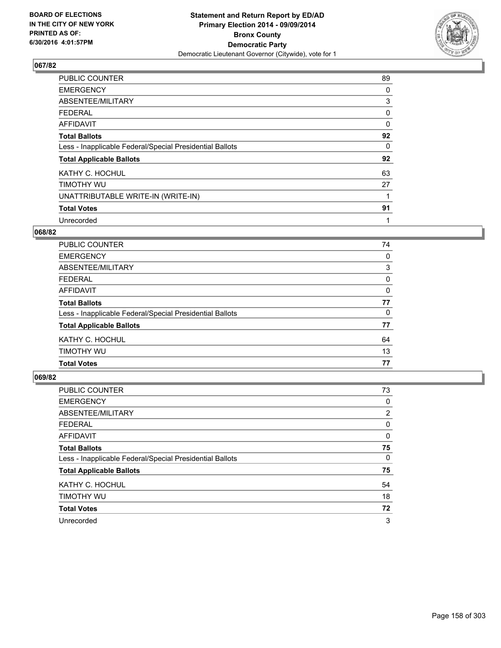

| <b>PUBLIC COUNTER</b>                                    | 89 |
|----------------------------------------------------------|----|
| <b>EMERGENCY</b>                                         | 0  |
| ABSENTEE/MILITARY                                        | 3  |
| <b>FEDERAL</b>                                           | 0  |
| <b>AFFIDAVIT</b>                                         | 0  |
| <b>Total Ballots</b>                                     | 92 |
| Less - Inapplicable Federal/Special Presidential Ballots | 0  |
| <b>Total Applicable Ballots</b>                          | 92 |
| KATHY C. HOCHUL                                          | 63 |
| TIMOTHY WU                                               | 27 |
| UNATTRIBUTABLE WRITE-IN (WRITE-IN)                       |    |
| <b>Total Votes</b>                                       | 91 |
| Unrecorded                                               |    |

### **068/82**

| <b>PUBLIC COUNTER</b>                                    | 74 |
|----------------------------------------------------------|----|
| <b>EMERGENCY</b>                                         | 0  |
| ABSENTEE/MILITARY                                        | 3  |
| <b>FEDERAL</b>                                           | 0  |
| AFFIDAVIT                                                | 0  |
| <b>Total Ballots</b>                                     | 77 |
| Less - Inapplicable Federal/Special Presidential Ballots | 0  |
| <b>Total Applicable Ballots</b>                          | 77 |
| KATHY C. HOCHUL                                          | 64 |
| TIMOTHY WU                                               | 13 |
| <b>Total Votes</b>                                       | 77 |

| <b>PUBLIC COUNTER</b>                                    | 73 |
|----------------------------------------------------------|----|
| <b>EMERGENCY</b>                                         | 0  |
| ABSENTEE/MILITARY                                        | 2  |
| <b>FEDERAL</b>                                           | 0  |
| AFFIDAVIT                                                | 0  |
| <b>Total Ballots</b>                                     | 75 |
| Less - Inapplicable Federal/Special Presidential Ballots | 0  |
| <b>Total Applicable Ballots</b>                          | 75 |
| KATHY C. HOCHUL                                          | 54 |
| TIMOTHY WU                                               | 18 |
| <b>Total Votes</b>                                       | 72 |
| Unrecorded                                               | 3  |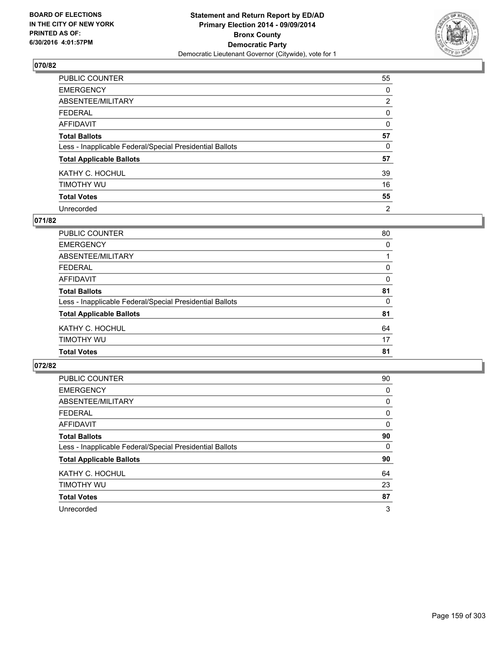

| PUBLIC COUNTER                                           | 55             |
|----------------------------------------------------------|----------------|
| <b>EMERGENCY</b>                                         | 0              |
| ABSENTEE/MILITARY                                        | $\overline{2}$ |
| <b>FEDERAL</b>                                           | 0              |
| <b>AFFIDAVIT</b>                                         | 0              |
| <b>Total Ballots</b>                                     | 57             |
| Less - Inapplicable Federal/Special Presidential Ballots | 0              |
| <b>Total Applicable Ballots</b>                          | 57             |
| KATHY C. HOCHUL                                          | 39             |
| TIMOTHY WU                                               | 16             |
| <b>Total Votes</b>                                       | 55             |
| Unrecorded                                               | $\overline{2}$ |

### **071/82**

| <b>PUBLIC COUNTER</b>                                    | 80       |
|----------------------------------------------------------|----------|
| <b>EMERGENCY</b>                                         | $\Omega$ |
| <b>ABSENTEE/MILITARY</b>                                 |          |
| <b>FEDERAL</b>                                           | 0        |
| <b>AFFIDAVIT</b>                                         | 0        |
| <b>Total Ballots</b>                                     | 81       |
| Less - Inapplicable Federal/Special Presidential Ballots | $\Omega$ |
| <b>Total Applicable Ballots</b>                          | 81       |
| KATHY C. HOCHUL                                          | 64       |
| TIMOTHY WU                                               | 17       |
| <b>Total Votes</b>                                       | 81       |
|                                                          |          |

| <b>PUBLIC COUNTER</b>                                    | 90       |
|----------------------------------------------------------|----------|
| <b>EMERGENCY</b>                                         | 0        |
| ABSENTEE/MILITARY                                        | 0        |
| <b>FEDERAL</b>                                           | 0        |
| AFFIDAVIT                                                | 0        |
| <b>Total Ballots</b>                                     | 90       |
| Less - Inapplicable Federal/Special Presidential Ballots | $\Omega$ |
| <b>Total Applicable Ballots</b>                          | 90       |
| KATHY C. HOCHUL                                          | 64       |
| TIMOTHY WU                                               | 23       |
| <b>Total Votes</b>                                       | 87       |
| Unrecorded                                               | 3        |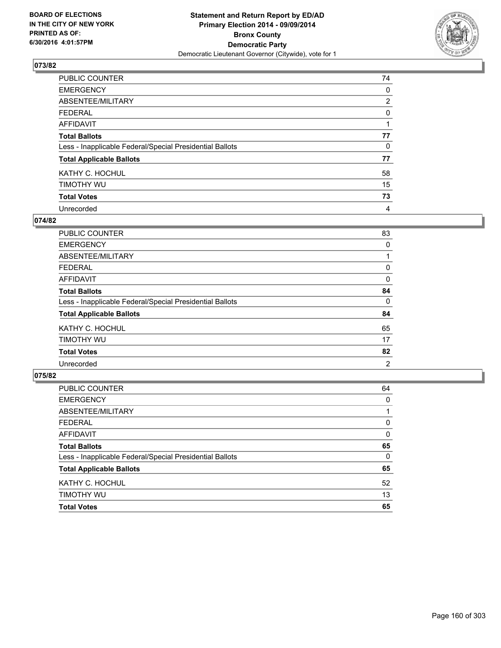

| PUBLIC COUNTER                                           | 74             |
|----------------------------------------------------------|----------------|
| <b>EMERGENCY</b>                                         | 0              |
| ABSENTEE/MILITARY                                        | $\overline{2}$ |
| <b>FEDERAL</b>                                           | 0              |
| <b>AFFIDAVIT</b>                                         |                |
| <b>Total Ballots</b>                                     | 77             |
| Less - Inapplicable Federal/Special Presidential Ballots | 0              |
| <b>Total Applicable Ballots</b>                          | 77             |
| KATHY C. HOCHUL                                          | 58             |
| TIMOTHY WU                                               | 15             |
| <b>Total Votes</b>                                       | 73             |
| Unrecorded                                               | 4              |

### **074/82**

| <b>PUBLIC COUNTER</b>                                    | 83 |
|----------------------------------------------------------|----|
| <b>EMERGENCY</b>                                         | 0  |
| ABSENTEE/MILITARY                                        |    |
| <b>FEDERAL</b>                                           | 0  |
| <b>AFFIDAVIT</b>                                         | 0  |
| <b>Total Ballots</b>                                     | 84 |
| Less - Inapplicable Federal/Special Presidential Ballots | 0  |
| <b>Total Applicable Ballots</b>                          | 84 |
| KATHY C. HOCHUL                                          | 65 |
| TIMOTHY WU                                               | 17 |
| <b>Total Votes</b>                                       | 82 |
| Unrecorded                                               | 2  |

| PUBLIC COUNTER                                           | 64 |
|----------------------------------------------------------|----|
| <b>EMERGENCY</b>                                         | 0  |
| ABSENTEE/MILITARY                                        | 1  |
| <b>FEDERAL</b>                                           | 0  |
| <b>AFFIDAVIT</b>                                         | 0  |
| <b>Total Ballots</b>                                     | 65 |
| Less - Inapplicable Federal/Special Presidential Ballots | 0  |
| <b>Total Applicable Ballots</b>                          | 65 |
| KATHY C. HOCHUL                                          | 52 |
| TIMOTHY WU                                               | 13 |
| <b>Total Votes</b>                                       | 65 |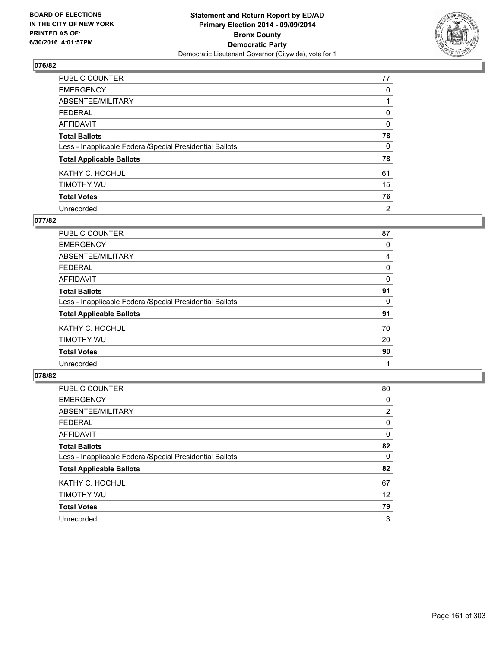

| PUBLIC COUNTER                                           | 77 |
|----------------------------------------------------------|----|
| <b>EMERGENCY</b>                                         | 0  |
| ABSENTEE/MILITARY                                        |    |
| <b>FEDERAL</b>                                           | 0  |
| <b>AFFIDAVIT</b>                                         | 0  |
| <b>Total Ballots</b>                                     | 78 |
| Less - Inapplicable Federal/Special Presidential Ballots | 0  |
| <b>Total Applicable Ballots</b>                          | 78 |
| KATHY C. HOCHUL                                          | 61 |
| TIMOTHY WU                                               | 15 |
| <b>Total Votes</b>                                       | 76 |
| Unrecorded                                               | 2  |

### **077/82**

| <b>PUBLIC COUNTER</b>                                    | 87 |
|----------------------------------------------------------|----|
| <b>EMERGENCY</b>                                         | 0  |
| ABSENTEE/MILITARY                                        | 4  |
| <b>FEDERAL</b>                                           | 0  |
| <b>AFFIDAVIT</b>                                         | 0  |
| <b>Total Ballots</b>                                     | 91 |
| Less - Inapplicable Federal/Special Presidential Ballots | 0  |
| <b>Total Applicable Ballots</b>                          | 91 |
| KATHY C. HOCHUL                                          | 70 |
| TIMOTHY WU                                               | 20 |
| <b>Total Votes</b>                                       | 90 |
| Unrecorded                                               |    |
|                                                          |    |

| PUBLIC COUNTER                                           | 80 |
|----------------------------------------------------------|----|
| <b>EMERGENCY</b>                                         | 0  |
| ABSENTEE/MILITARY                                        | 2  |
| <b>FEDERAL</b>                                           | 0  |
| <b>AFFIDAVIT</b>                                         | 0  |
| <b>Total Ballots</b>                                     | 82 |
| Less - Inapplicable Federal/Special Presidential Ballots | 0  |
| <b>Total Applicable Ballots</b>                          | 82 |
| KATHY C. HOCHUL                                          | 67 |
| TIMOTHY WU                                               | 12 |
| <b>Total Votes</b>                                       | 79 |
| Unrecorded                                               | 3  |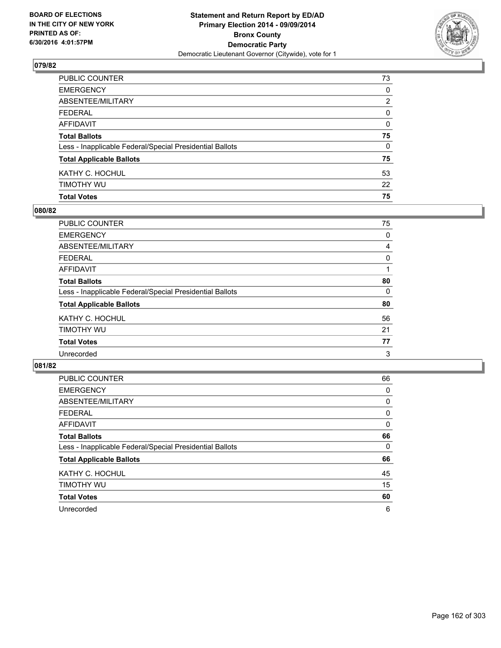

| PUBLIC COUNTER                                           | 73 |
|----------------------------------------------------------|----|
| EMERGENCY                                                | 0  |
| ABSENTEE/MILITARY                                        | 2  |
| FEDERAL                                                  | 0  |
| AFFIDAVIT                                                | 0  |
| <b>Total Ballots</b>                                     | 75 |
| Less - Inapplicable Federal/Special Presidential Ballots | 0  |
| <b>Total Applicable Ballots</b>                          | 75 |
| KATHY C. HOCHUL                                          | 53 |
| timothy wu                                               | 22 |
| <b>Total Votes</b>                                       | 75 |

### **080/82**

| <b>PUBLIC COUNTER</b>                                    | 75 |
|----------------------------------------------------------|----|
| <b>EMERGENCY</b>                                         | 0  |
| ABSENTEE/MILITARY                                        | 4  |
| <b>FEDERAL</b>                                           | 0  |
| <b>AFFIDAVIT</b>                                         |    |
| <b>Total Ballots</b>                                     | 80 |
| Less - Inapplicable Federal/Special Presidential Ballots | 0  |
| <b>Total Applicable Ballots</b>                          | 80 |
| KATHY C. HOCHUL                                          | 56 |
| TIMOTHY WU                                               | 21 |
| <b>Total Votes</b>                                       | 77 |
| Unrecorded                                               | 3  |
|                                                          |    |

| <b>PUBLIC COUNTER</b>                                    | 66 |
|----------------------------------------------------------|----|
| <b>EMERGENCY</b>                                         | 0  |
| ABSENTEE/MILITARY                                        | 0  |
| <b>FEDERAL</b>                                           | 0  |
| AFFIDAVIT                                                | 0  |
| <b>Total Ballots</b>                                     | 66 |
| Less - Inapplicable Federal/Special Presidential Ballots | 0  |
| <b>Total Applicable Ballots</b>                          | 66 |
| KATHY C. HOCHUL                                          | 45 |
| TIMOTHY WU                                               | 15 |
| <b>Total Votes</b>                                       | 60 |
| Unrecorded                                               | 6  |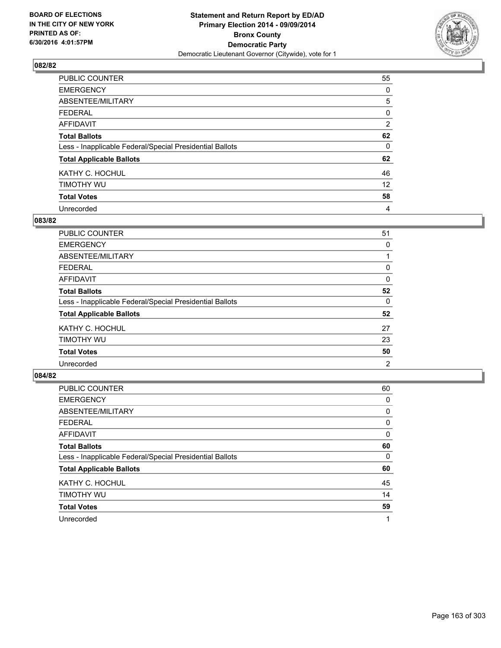

| PUBLIC COUNTER                                           | 55             |
|----------------------------------------------------------|----------------|
| <b>EMERGENCY</b>                                         | 0              |
| ABSENTEE/MILITARY                                        | 5              |
| <b>FEDERAL</b>                                           | 0              |
| <b>AFFIDAVIT</b>                                         | $\overline{2}$ |
| <b>Total Ballots</b>                                     | 62             |
| Less - Inapplicable Federal/Special Presidential Ballots | 0              |
| <b>Total Applicable Ballots</b>                          | 62             |
| KATHY C. HOCHUL                                          | 46             |
| TIMOTHY WU                                               | 12             |
| <b>Total Votes</b>                                       | 58             |
| Unrecorded                                               | 4              |

### **083/82**

| 51 |
|----|
| 0  |
|    |
| 0  |
| 0  |
| 52 |
| 0  |
| 52 |
| 27 |
| 23 |
| 50 |
| 2  |
|    |

| PUBLIC COUNTER                                           | 60 |
|----------------------------------------------------------|----|
| <b>EMERGENCY</b>                                         | 0  |
| ABSENTEE/MILITARY                                        | 0  |
| <b>FEDERAL</b>                                           | 0  |
| AFFIDAVIT                                                | 0  |
| <b>Total Ballots</b>                                     | 60 |
| Less - Inapplicable Federal/Special Presidential Ballots | 0  |
| <b>Total Applicable Ballots</b>                          | 60 |
| KATHY C. HOCHUL                                          | 45 |
| TIMOTHY WU                                               | 14 |
| <b>Total Votes</b>                                       | 59 |
| Unrecorded                                               |    |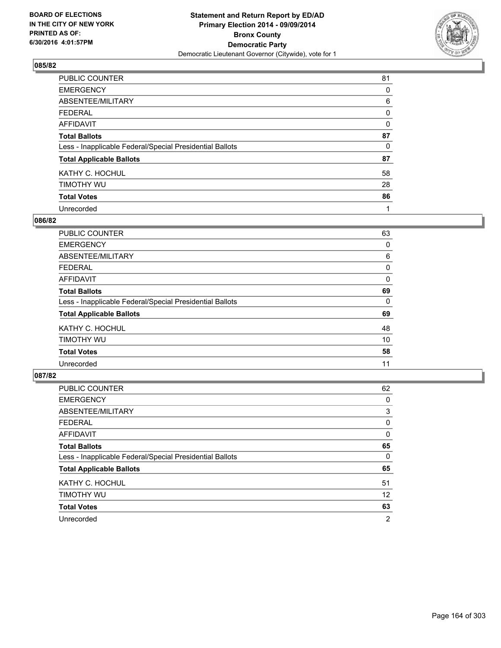

| PUBLIC COUNTER                                           | 81       |
|----------------------------------------------------------|----------|
| <b>EMERGENCY</b>                                         | 0        |
| ABSENTEE/MILITARY                                        | 6        |
| <b>FEDERAL</b>                                           | 0        |
| <b>AFFIDAVIT</b>                                         | $\Omega$ |
| <b>Total Ballots</b>                                     | 87       |
| Less - Inapplicable Federal/Special Presidential Ballots | 0        |
| <b>Total Applicable Ballots</b>                          | 87       |
| KATHY C. HOCHUL                                          | 58       |
| TIMOTHY WU                                               | 28       |
| <b>Total Votes</b>                                       | 86       |
| Unrecorded                                               | 1        |

### **086/82**

| <b>PUBLIC COUNTER</b>                                    | 63 |
|----------------------------------------------------------|----|
| <b>EMERGENCY</b>                                         | 0  |
| ABSENTEE/MILITARY                                        | 6  |
| <b>FEDERAL</b>                                           | 0  |
| <b>AFFIDAVIT</b>                                         | 0  |
| <b>Total Ballots</b>                                     | 69 |
| Less - Inapplicable Federal/Special Presidential Ballots | 0  |
| <b>Total Applicable Ballots</b>                          | 69 |
| KATHY C. HOCHUL                                          | 48 |
| TIMOTHY WU                                               | 10 |
| <b>Total Votes</b>                                       | 58 |
| Unrecorded                                               | 11 |

| PUBLIC COUNTER                                           | 62 |
|----------------------------------------------------------|----|
| <b>EMERGENCY</b>                                         | 0  |
| ABSENTEE/MILITARY                                        | 3  |
| <b>FEDERAL</b>                                           | 0  |
| AFFIDAVIT                                                | 0  |
| <b>Total Ballots</b>                                     | 65 |
| Less - Inapplicable Federal/Special Presidential Ballots | 0  |
| <b>Total Applicable Ballots</b>                          | 65 |
| KATHY C. HOCHUL                                          | 51 |
| TIMOTHY WU                                               | 12 |
| <b>Total Votes</b>                                       | 63 |
| Unrecorded                                               | 2  |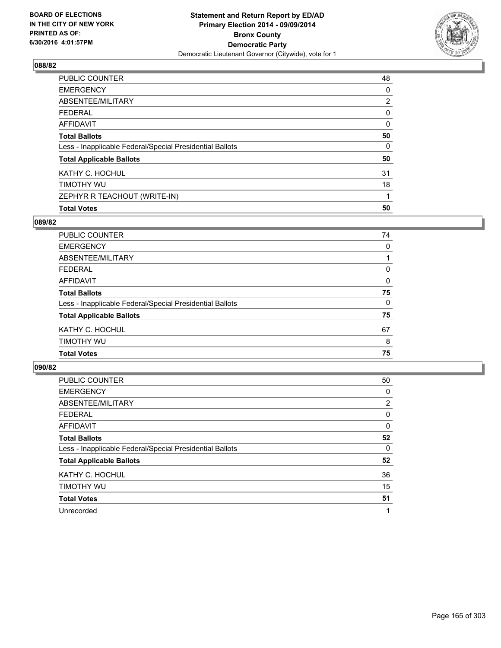

| <b>Total Votes</b>                                       | 50             |
|----------------------------------------------------------|----------------|
| ZEPHYR R TEACHOUT (WRITE-IN)                             |                |
| TIMOTHY WU                                               | 18             |
| KATHY C. HOCHUL                                          | 31             |
| <b>Total Applicable Ballots</b>                          | 50             |
| Less - Inapplicable Federal/Special Presidential Ballots | 0              |
| <b>Total Ballots</b>                                     | 50             |
| AFFIDAVIT                                                | 0              |
| <b>FEDERAL</b>                                           | 0              |
| ABSENTEE/MILITARY                                        | $\overline{2}$ |
| <b>EMERGENCY</b>                                         | 0              |
| PUBLIC COUNTER                                           | 48             |

## **089/82**

| PUBLIC COUNTER                                           | 74       |
|----------------------------------------------------------|----------|
| <b>EMERGENCY</b>                                         | 0        |
| ABSENTEE/MILITARY                                        |          |
| <b>FEDERAL</b>                                           | 0        |
| <b>AFFIDAVIT</b>                                         | 0        |
| <b>Total Ballots</b>                                     | 75       |
| Less - Inapplicable Federal/Special Presidential Ballots | $\Omega$ |
| <b>Total Applicable Ballots</b>                          | 75       |
| KATHY C. HOCHUL                                          | 67       |
| TIMOTHY WU                                               | 8        |
| <b>Total Votes</b>                                       | 75       |
|                                                          |          |

| PUBLIC COUNTER                                           | 50             |
|----------------------------------------------------------|----------------|
| <b>EMERGENCY</b>                                         | 0              |
| ABSENTEE/MILITARY                                        | $\overline{2}$ |
| FEDERAL                                                  | 0              |
| AFFIDAVIT                                                | 0              |
| <b>Total Ballots</b>                                     | 52             |
| Less - Inapplicable Federal/Special Presidential Ballots | 0              |
| <b>Total Applicable Ballots</b>                          | 52             |
| KATHY C. HOCHUL                                          | 36             |
| TIMOTHY WU                                               | 15             |
| <b>Total Votes</b>                                       | 51             |
| Unrecorded                                               | 1              |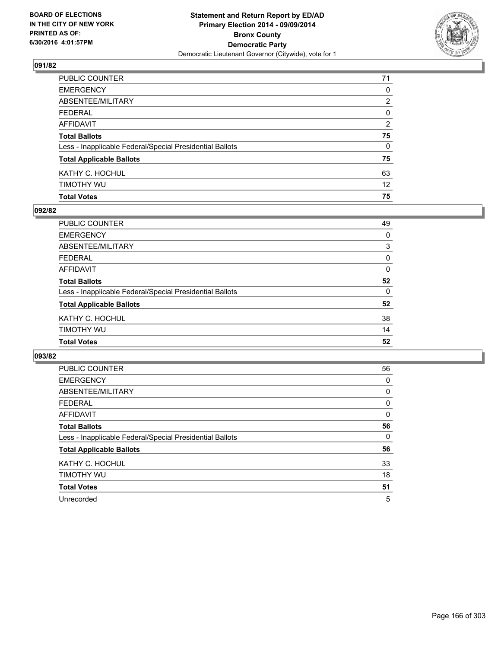

| PUBLIC COUNTER                                           | 71              |
|----------------------------------------------------------|-----------------|
| EMERGENCY                                                | $\mathbf{0}$    |
| ABSENTEE/MILITARY                                        | 2               |
| FEDERAL                                                  | $\mathbf{0}$    |
| AFFIDAVIT                                                | 2               |
| <b>Total Ballots</b>                                     | 75              |
| Less - Inapplicable Federal/Special Presidential Ballots | 0               |
| <b>Total Applicable Ballots</b>                          | 75              |
| KATHY C. HOCHUL                                          | 63              |
| timothy wu                                               | 12 <sup>°</sup> |
| <b>Total Votes</b>                                       | 75              |

### **092/82**

| PUBLIC COUNTER                                           | 49       |
|----------------------------------------------------------|----------|
| <b>EMERGENCY</b>                                         | 0        |
| <b>ABSENTEE/MILITARY</b>                                 | 3        |
| <b>FEDERAL</b>                                           | 0        |
| <b>AFFIDAVIT</b>                                         | 0        |
| <b>Total Ballots</b>                                     | 52       |
| Less - Inapplicable Federal/Special Presidential Ballots | $\Omega$ |
| <b>Total Applicable Ballots</b>                          | 52       |
| KATHY C. HOCHUL                                          | 38       |
| <b>TIMOTHY WU</b>                                        | 14       |
| <b>Total Votes</b>                                       | 52       |
|                                                          |          |

| <b>PUBLIC COUNTER</b>                                    | 56 |
|----------------------------------------------------------|----|
| <b>EMERGENCY</b>                                         | 0  |
| ABSENTEE/MILITARY                                        | 0  |
| <b>FEDERAL</b>                                           | 0  |
| <b>AFFIDAVIT</b>                                         | 0  |
| <b>Total Ballots</b>                                     | 56 |
| Less - Inapplicable Federal/Special Presidential Ballots | 0  |
| <b>Total Applicable Ballots</b>                          | 56 |
| KATHY C. HOCHUL                                          | 33 |
| TIMOTHY WU                                               | 18 |
| <b>Total Votes</b>                                       | 51 |
| Unrecorded                                               | 5  |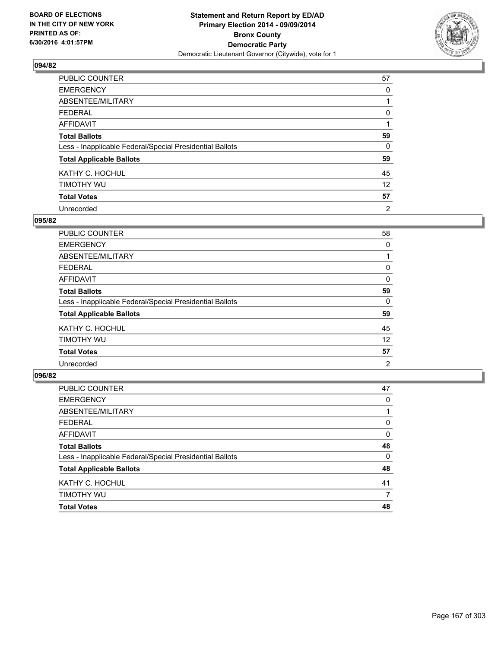

| PUBLIC COUNTER                                           | 57             |
|----------------------------------------------------------|----------------|
| <b>EMERGENCY</b>                                         | 0              |
| ABSENTEE/MILITARY                                        |                |
| <b>FEDERAL</b>                                           | 0              |
| <b>AFFIDAVIT</b>                                         |                |
| <b>Total Ballots</b>                                     | 59             |
| Less - Inapplicable Federal/Special Presidential Ballots | 0              |
| <b>Total Applicable Ballots</b>                          | 59             |
| KATHY C. HOCHUL                                          | 45             |
| TIMOTHY WU                                               | 12             |
| <b>Total Votes</b>                                       | 57             |
| Unrecorded                                               | $\overline{2}$ |

### **095/82**

| <b>PUBLIC COUNTER</b>                                    | 58 |
|----------------------------------------------------------|----|
| <b>EMERGENCY</b>                                         | 0  |
| ABSENTEE/MILITARY                                        |    |
| <b>FEDERAL</b>                                           | 0  |
| <b>AFFIDAVIT</b>                                         | 0  |
| <b>Total Ballots</b>                                     | 59 |
| Less - Inapplicable Federal/Special Presidential Ballots | 0  |
| <b>Total Applicable Ballots</b>                          | 59 |
| KATHY C. HOCHUL                                          | 45 |
| TIMOTHY WU                                               | 12 |
| <b>Total Votes</b>                                       | 57 |
| Unrecorded                                               | 2  |

| PUBLIC COUNTER                                           | 47 |
|----------------------------------------------------------|----|
| <b>EMERGENCY</b>                                         | 0  |
| ABSENTEE/MILITARY                                        | 1  |
| <b>FEDERAL</b>                                           | 0  |
| <b>AFFIDAVIT</b>                                         | 0  |
| <b>Total Ballots</b>                                     | 48 |
| Less - Inapplicable Federal/Special Presidential Ballots | 0  |
| <b>Total Applicable Ballots</b>                          | 48 |
| KATHY C. HOCHUL                                          | 41 |
| TIMOTHY WU                                               | 7  |
| <b>Total Votes</b>                                       | 48 |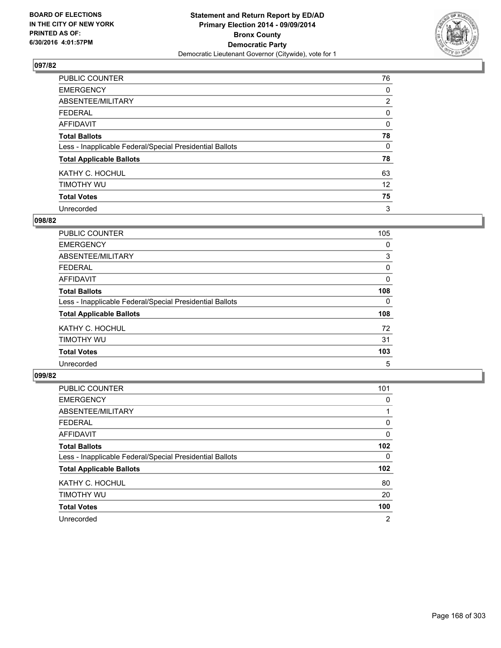

| PUBLIC COUNTER                                           | 76             |
|----------------------------------------------------------|----------------|
| <b>EMERGENCY</b>                                         | 0              |
| ABSENTEE/MILITARY                                        | $\overline{2}$ |
| <b>FEDERAL</b>                                           | 0              |
| <b>AFFIDAVIT</b>                                         | $\Omega$       |
| <b>Total Ballots</b>                                     | 78             |
| Less - Inapplicable Federal/Special Presidential Ballots | 0              |
| <b>Total Applicable Ballots</b>                          | 78             |
| KATHY C. HOCHUL                                          | 63             |
| TIMOTHY WU                                               | 12             |
| <b>Total Votes</b>                                       | 75             |
| Unrecorded                                               | 3              |

### **098/82**

| <b>PUBLIC COUNTER</b>                                    | 105 |
|----------------------------------------------------------|-----|
| <b>EMERGENCY</b>                                         | 0   |
| ABSENTEE/MILITARY                                        | 3   |
| <b>FEDERAL</b>                                           | 0   |
| AFFIDAVIT                                                | 0   |
| <b>Total Ballots</b>                                     | 108 |
| Less - Inapplicable Federal/Special Presidential Ballots | 0   |
| <b>Total Applicable Ballots</b>                          | 108 |
| KATHY C. HOCHUL                                          | 72  |
| TIMOTHY WU                                               | 31  |
| <b>Total Votes</b>                                       | 103 |
| Unrecorded                                               | 5   |

| <b>PUBLIC COUNTER</b>                                    | 101              |
|----------------------------------------------------------|------------------|
| <b>EMERGENCY</b>                                         | 0                |
| ABSENTEE/MILITARY                                        |                  |
| <b>FEDERAL</b>                                           | 0                |
| <b>AFFIDAVIT</b>                                         | 0                |
| <b>Total Ballots</b>                                     | 102 <sub>2</sub> |
| Less - Inapplicable Federal/Special Presidential Ballots | 0                |
| <b>Total Applicable Ballots</b>                          | 102 <sub>2</sub> |
| KATHY C. HOCHUL                                          | 80               |
| TIMOTHY WU                                               | 20               |
| <b>Total Votes</b>                                       | 100              |
| Unrecorded                                               | 2                |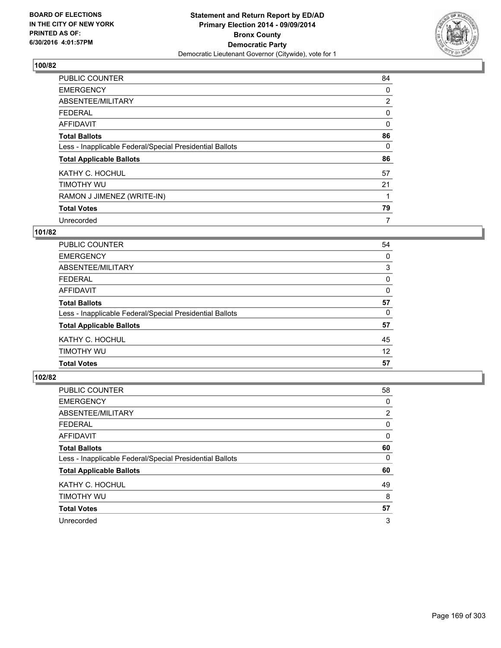

| <b>PUBLIC COUNTER</b>                                    | 84             |
|----------------------------------------------------------|----------------|
| <b>EMERGENCY</b>                                         | 0              |
| ABSENTEE/MILITARY                                        | $\overline{2}$ |
| <b>FEDERAL</b>                                           | 0              |
| <b>AFFIDAVIT</b>                                         | $\Omega$       |
| <b>Total Ballots</b>                                     | 86             |
| Less - Inapplicable Federal/Special Presidential Ballots | 0              |
| <b>Total Applicable Ballots</b>                          | 86             |
| KATHY C. HOCHUL                                          | 57             |
| TIMOTHY WU                                               | 21             |
| RAMON J JIMENEZ (WRITE-IN)                               |                |
| <b>Total Votes</b>                                       | 79             |
| Unrecorded                                               | 7              |

# **101/82**

| PUBLIC COUNTER                                           | 54 |
|----------------------------------------------------------|----|
| <b>EMERGENCY</b>                                         | 0  |
| ABSENTEE/MILITARY                                        | 3  |
| <b>FEDERAL</b>                                           | 0  |
| AFFIDAVIT                                                | 0  |
| <b>Total Ballots</b>                                     | 57 |
| Less - Inapplicable Federal/Special Presidential Ballots | 0  |
| <b>Total Applicable Ballots</b>                          | 57 |
| KATHY C. HOCHUL                                          | 45 |
| TIMOTHY WU                                               | 12 |
| <b>Total Votes</b>                                       | 57 |

| <b>PUBLIC COUNTER</b>                                    | 58 |
|----------------------------------------------------------|----|
| <b>EMERGENCY</b>                                         | 0  |
| ABSENTEE/MILITARY                                        | 2  |
| <b>FEDERAL</b>                                           | 0  |
| AFFIDAVIT                                                | 0  |
| <b>Total Ballots</b>                                     | 60 |
| Less - Inapplicable Federal/Special Presidential Ballots | 0  |
| <b>Total Applicable Ballots</b>                          | 60 |
| KATHY C. HOCHUL                                          | 49 |
| TIMOTHY WU                                               | 8  |
| <b>Total Votes</b>                                       | 57 |
| Unrecorded                                               | 3  |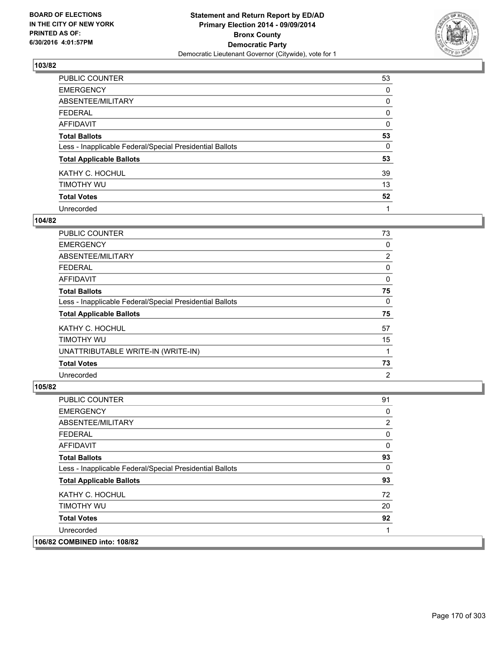

| <b>PUBLIC COUNTER</b>                                    | 53 |
|----------------------------------------------------------|----|
| <b>EMERGENCY</b>                                         | 0  |
| ABSENTEE/MILITARY                                        | 0  |
| <b>FEDERAL</b>                                           | 0  |
| <b>AFFIDAVIT</b>                                         | 0  |
| <b>Total Ballots</b>                                     | 53 |
| Less - Inapplicable Federal/Special Presidential Ballots | 0  |
| <b>Total Applicable Ballots</b>                          | 53 |
| KATHY C. HOCHUL                                          | 39 |
| TIMOTHY WU                                               | 13 |
| <b>Total Votes</b>                                       | 52 |
| Unrecorded                                               | 1  |

### **104/82**

| <b>PUBLIC COUNTER</b>                                    | 73             |
|----------------------------------------------------------|----------------|
| <b>EMERGENCY</b>                                         | 0              |
| ABSENTEE/MILITARY                                        | 2              |
| <b>FEDERAL</b>                                           | 0              |
| AFFIDAVIT                                                | 0              |
| <b>Total Ballots</b>                                     | 75             |
| Less - Inapplicable Federal/Special Presidential Ballots | $\Omega$       |
| <b>Total Applicable Ballots</b>                          | 75             |
| KATHY C. HOCHUL                                          | 57             |
| TIMOTHY WU                                               | 15             |
| UNATTRIBUTABLE WRITE-IN (WRITE-IN)                       |                |
| <b>Total Votes</b>                                       | 73             |
| Unrecorded                                               | $\overline{2}$ |

| <b>PUBLIC COUNTER</b>                                    | 91 |
|----------------------------------------------------------|----|
| <b>EMERGENCY</b>                                         | 0  |
| ABSENTEE/MILITARY                                        | 2  |
| <b>FEDERAL</b>                                           | 0  |
| AFFIDAVIT                                                | 0  |
| <b>Total Ballots</b>                                     | 93 |
| Less - Inapplicable Federal/Special Presidential Ballots | 0  |
| <b>Total Applicable Ballots</b>                          | 93 |
| KATHY C. HOCHUL                                          | 72 |
| TIMOTHY WU                                               | 20 |
| <b>Total Votes</b>                                       | 92 |
| Unrecorded                                               |    |
| 106/82 COMBINED into: 108/82                             |    |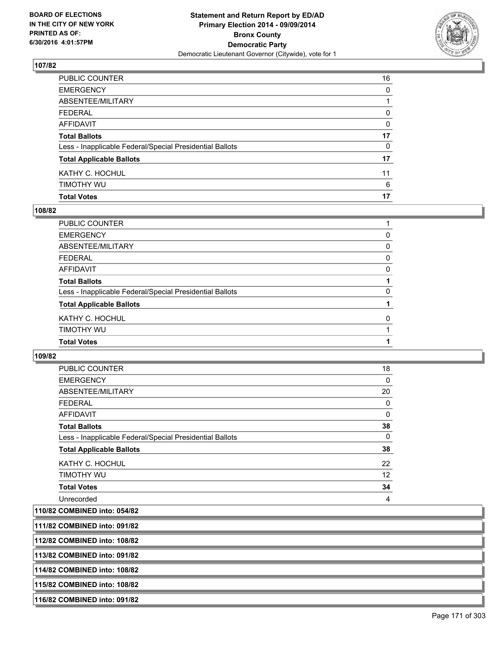

| PUBLIC COUNTER                                           | 16 |
|----------------------------------------------------------|----|
| EMERGENCY                                                | 0  |
| ABSENTEE/MILITARY                                        |    |
| FEDERAL                                                  | 0  |
| AFFIDAVIT                                                | 0  |
| <b>Total Ballots</b>                                     | 17 |
| Less - Inapplicable Federal/Special Presidential Ballots | 0  |
| <b>Total Applicable Ballots</b>                          | 17 |
| KATHY C. HOCHUL                                          | 11 |
| timothy wu                                               | 6  |
| Total Votes                                              | 17 |

### **108/82**

| PUBLIC COUNTER                                           |          |
|----------------------------------------------------------|----------|
| <b>EMERGENCY</b>                                         | 0        |
| <b>ABSENTEE/MILITARY</b>                                 | 0        |
| <b>FEDERAL</b>                                           | 0        |
| <b>AFFIDAVIT</b>                                         | 0        |
| <b>Total Ballots</b>                                     |          |
| Less - Inapplicable Federal/Special Presidential Ballots | $\Omega$ |
| <b>Total Applicable Ballots</b>                          |          |
| KATHY C. HOCHUL                                          | 0        |
| <b>TIMOTHY WU</b>                                        |          |
| <b>Total Votes</b>                                       |          |
|                                                          |          |

**109/82** 

| <b>PUBLIC COUNTER</b>                                    | 18           |
|----------------------------------------------------------|--------------|
| <b>EMERGENCY</b>                                         | 0            |
| ABSENTEE/MILITARY                                        | 20           |
| <b>FEDERAL</b>                                           | 0            |
| <b>AFFIDAVIT</b>                                         | 0            |
| <b>Total Ballots</b>                                     | 38           |
| Less - Inapplicable Federal/Special Presidential Ballots | $\mathbf{0}$ |
| <b>Total Applicable Ballots</b>                          | 38           |
| KATHY C. HOCHUL                                          | 22           |
| TIMOTHY WU                                               | 12           |
| <b>Total Votes</b>                                       | 34           |
| Unrecorded                                               | 4            |
| 110/82 COMBINED into: 054/82                             |              |

**111/82 COMBINED into: 091/82**

**112/82 COMBINED into: 108/82**

**113/82 COMBINED into: 091/82**

**114/82 COMBINED into: 108/82**

**115/82 COMBINED into: 108/82**

**116/82 COMBINED into: 091/82**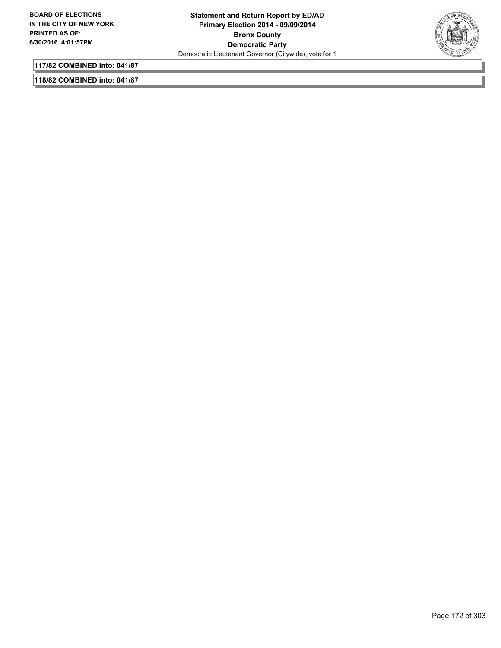

**117/82 COMBINED into: 041/87**

**118/82 COMBINED into: 041/87**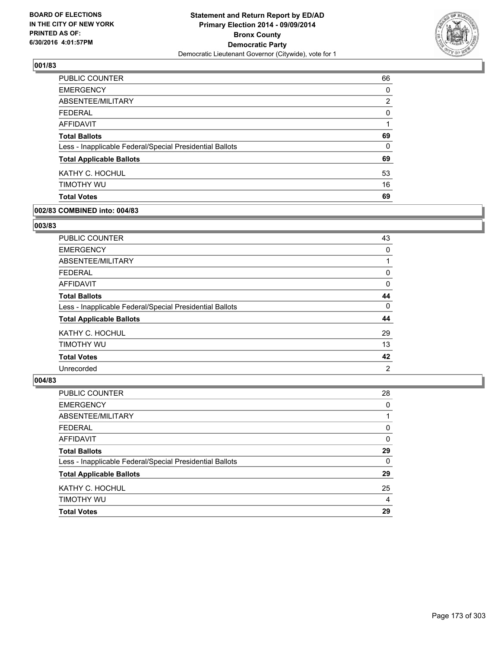

| PUBLIC COUNTER                                           | 66             |
|----------------------------------------------------------|----------------|
| <b>EMERGENCY</b>                                         | 0              |
| ABSENTEE/MILITARY                                        | $\overline{2}$ |
| <b>FEDERAL</b>                                           | 0              |
| AFFIDAVIT                                                |                |
| <b>Total Ballots</b>                                     | 69             |
| Less - Inapplicable Federal/Special Presidential Ballots | $\Omega$       |
| <b>Total Applicable Ballots</b>                          | 69             |
| KATHY C. HOCHUL                                          | 53             |
| TIMOTHY WU                                               | 16             |
| <b>Total Votes</b>                                       | 69             |

### **002/83 COMBINED into: 004/83**

## **003/83**

| <b>PUBLIC COUNTER</b>                                    | 43             |
|----------------------------------------------------------|----------------|
| <b>EMERGENCY</b>                                         | 0              |
| ABSENTEE/MILITARY                                        |                |
| FEDERAL                                                  | 0              |
| AFFIDAVIT                                                | 0              |
| <b>Total Ballots</b>                                     | 44             |
| Less - Inapplicable Federal/Special Presidential Ballots | 0              |
| <b>Total Applicable Ballots</b>                          | 44             |
| KATHY C. HOCHUL                                          | 29             |
| TIMOTHY WU                                               | 13             |
| <b>Total Votes</b>                                       | 42             |
| Unrecorded                                               | $\overline{2}$ |

| <b>PUBLIC COUNTER</b>                                    | 28       |
|----------------------------------------------------------|----------|
| <b>EMERGENCY</b>                                         | 0        |
| ABSENTEE/MILITARY                                        |          |
| <b>FEDERAL</b>                                           | 0        |
| <b>AFFIDAVIT</b>                                         | 0        |
| <b>Total Ballots</b>                                     | 29       |
| Less - Inapplicable Federal/Special Presidential Ballots | $\Omega$ |
| <b>Total Applicable Ballots</b>                          | 29       |
| KATHY C. HOCHUL                                          | 25       |
| TIMOTHY WU                                               | 4        |
| <b>Total Votes</b>                                       | 29       |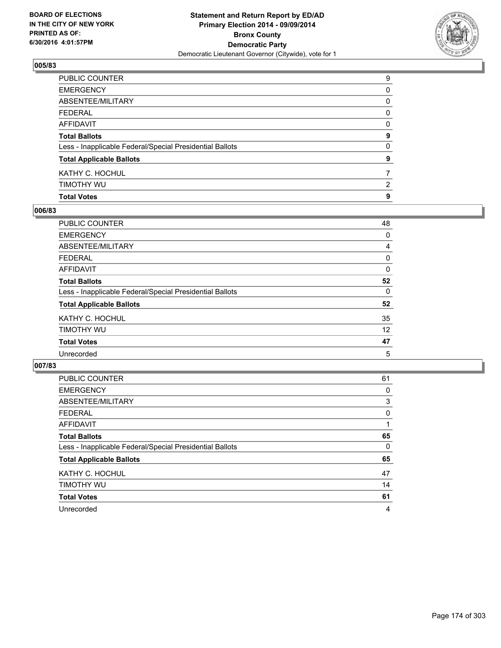

| <b>Total Votes</b>                                       | 9              |
|----------------------------------------------------------|----------------|
| timothy wu                                               | $\overline{2}$ |
| KATHY C. HOCHUL                                          | $\overline{7}$ |
| <b>Total Applicable Ballots</b>                          | 9              |
| Less - Inapplicable Federal/Special Presidential Ballots | $\mathbf{0}$   |
| <b>Total Ballots</b>                                     | 9              |
| AFFIDAVIT                                                | 0              |
| FEDERAL                                                  | 0              |
| ABSENTEE/MILITARY                                        | 0              |
| EMERGENCY                                                | 0              |
| PUBLIC COUNTER                                           | 9              |

### **006/83**

| 48 |
|----|
| 0  |
| 4  |
| 0  |
| 0  |
| 52 |
| 0  |
| 52 |
| 35 |
| 12 |
| 47 |
| 5  |
|    |

| <b>PUBLIC COUNTER</b>                                    | 61 |
|----------------------------------------------------------|----|
| <b>EMERGENCY</b>                                         | 0  |
| ABSENTEE/MILITARY                                        | 3  |
| <b>FEDERAL</b>                                           | 0  |
| AFFIDAVIT                                                |    |
| <b>Total Ballots</b>                                     | 65 |
| Less - Inapplicable Federal/Special Presidential Ballots | 0  |
| <b>Total Applicable Ballots</b>                          | 65 |
| KATHY C. HOCHUL                                          | 47 |
| TIMOTHY WU                                               | 14 |
| <b>Total Votes</b>                                       | 61 |
| Unrecorded                                               | 4  |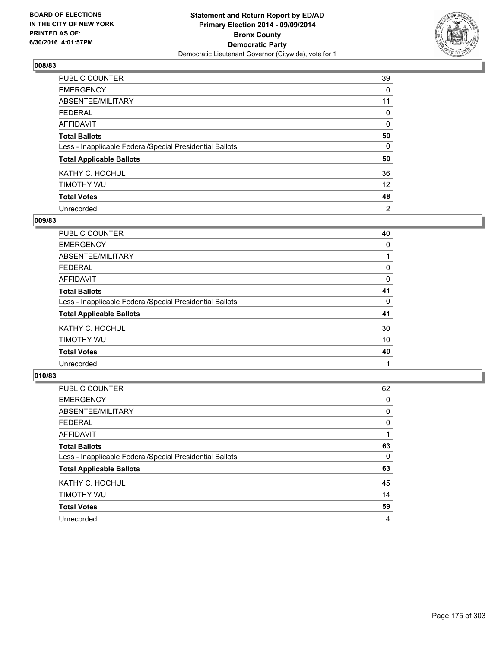

| PUBLIC COUNTER                                           | 39             |
|----------------------------------------------------------|----------------|
| <b>EMERGENCY</b>                                         | 0              |
| ABSENTEE/MILITARY                                        | 11             |
| <b>FEDERAL</b>                                           | 0              |
| <b>AFFIDAVIT</b>                                         | 0              |
| <b>Total Ballots</b>                                     | 50             |
| Less - Inapplicable Federal/Special Presidential Ballots | 0              |
| <b>Total Applicable Ballots</b>                          | 50             |
| KATHY C. HOCHUL                                          | 36             |
| TIMOTHY WU                                               | 12             |
| <b>Total Votes</b>                                       | 48             |
| Unrecorded                                               | $\overline{2}$ |

### **009/83**

| <b>PUBLIC COUNTER</b>                                    | 40 |
|----------------------------------------------------------|----|
| <b>EMERGENCY</b>                                         | 0  |
| ABSENTEE/MILITARY                                        |    |
| <b>FEDERAL</b>                                           | 0  |
| <b>AFFIDAVIT</b>                                         | 0  |
| <b>Total Ballots</b>                                     | 41 |
| Less - Inapplicable Federal/Special Presidential Ballots | 0  |
| <b>Total Applicable Ballots</b>                          | 41 |
| KATHY C. HOCHUL                                          | 30 |
| TIMOTHY WU                                               | 10 |
| <b>Total Votes</b>                                       | 40 |
| Unrecorded                                               |    |

| PUBLIC COUNTER                                           | 62 |
|----------------------------------------------------------|----|
| <b>EMERGENCY</b>                                         | 0  |
| ABSENTEE/MILITARY                                        | 0  |
| <b>FEDERAL</b>                                           | 0  |
| AFFIDAVIT                                                |    |
| <b>Total Ballots</b>                                     | 63 |
| Less - Inapplicable Federal/Special Presidential Ballots | 0  |
| <b>Total Applicable Ballots</b>                          | 63 |
| KATHY C. HOCHUL                                          | 45 |
| TIMOTHY WU                                               | 14 |
| <b>Total Votes</b>                                       | 59 |
| Unrecorded                                               | 4  |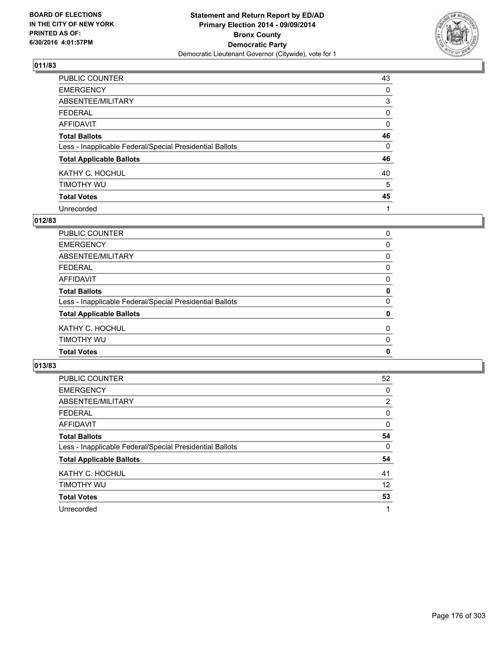

| PUBLIC COUNTER                                           | 43 |
|----------------------------------------------------------|----|
| <b>EMERGENCY</b>                                         | 0  |
| ABSENTEE/MILITARY                                        | 3  |
| <b>FEDERAL</b>                                           | 0  |
| <b>AFFIDAVIT</b>                                         | 0  |
| <b>Total Ballots</b>                                     | 46 |
| Less - Inapplicable Federal/Special Presidential Ballots | 0  |
| <b>Total Applicable Ballots</b>                          | 46 |
| KATHY C. HOCHUL                                          | 40 |
| TIMOTHY WU                                               | 5  |
| <b>Total Votes</b>                                       | 45 |
| Unrecorded                                               |    |

### **012/83**

| PUBLIC COUNTER                                           | 0           |
|----------------------------------------------------------|-------------|
| EMERGENCY                                                | 0           |
| ABSENTEE/MILITARY                                        | 0           |
| FEDERAL                                                  | 0           |
| AFFIDAVIT                                                | 0           |
| <b>Total Ballots</b>                                     | $\mathbf 0$ |
| Less - Inapplicable Federal/Special Presidential Ballots | 0           |
| <b>Total Applicable Ballots</b>                          | $\mathbf 0$ |
| KATHY C. HOCHUL                                          | 0           |
| Timothy wu                                               | 0           |
| <b>Total Votes</b>                                       | 0           |
|                                                          |             |

| <b>PUBLIC COUNTER</b>                                    | 52             |
|----------------------------------------------------------|----------------|
| <b>EMERGENCY</b>                                         | 0              |
| ABSENTEE/MILITARY                                        | $\overline{2}$ |
| <b>FEDERAL</b>                                           | 0              |
| AFFIDAVIT                                                | 0              |
| <b>Total Ballots</b>                                     | 54             |
| Less - Inapplicable Federal/Special Presidential Ballots | 0              |
| <b>Total Applicable Ballots</b>                          | 54             |
| KATHY C. HOCHUL                                          | 41             |
| TIMOTHY WU                                               | 12             |
| <b>Total Votes</b>                                       | 53             |
| Unrecorded                                               | 1              |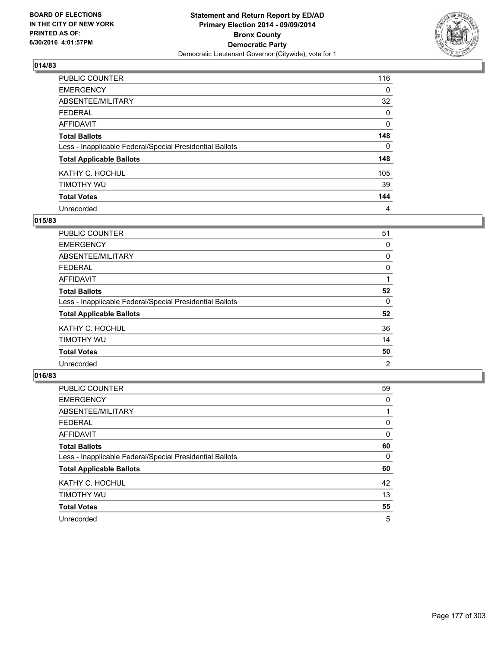

| <b>PUBLIC COUNTER</b>                                    | 116      |
|----------------------------------------------------------|----------|
| <b>EMERGENCY</b>                                         | 0        |
| ABSENTEE/MILITARY                                        | 32       |
| <b>FEDERAL</b>                                           | 0        |
| <b>AFFIDAVIT</b>                                         | 0        |
| <b>Total Ballots</b>                                     | 148      |
| Less - Inapplicable Federal/Special Presidential Ballots | $\Omega$ |
| <b>Total Applicable Ballots</b>                          | 148      |
| KATHY C. HOCHUL                                          | 105      |
| TIMOTHY WU                                               | 39       |
| <b>Total Votes</b>                                       | 144      |
| Unrecorded                                               | 4        |

### **015/83**

| <b>PUBLIC COUNTER</b>                                    | 51 |
|----------------------------------------------------------|----|
| <b>EMERGENCY</b>                                         | 0  |
| ABSENTEE/MILITARY                                        | 0  |
| <b>FEDERAL</b>                                           | 0  |
| <b>AFFIDAVIT</b>                                         |    |
| <b>Total Ballots</b>                                     | 52 |
| Less - Inapplicable Federal/Special Presidential Ballots | 0  |
| <b>Total Applicable Ballots</b>                          | 52 |
| KATHY C. HOCHUL                                          | 36 |
| TIMOTHY WU                                               | 14 |
| <b>Total Votes</b>                                       | 50 |
| Unrecorded                                               | 2  |

| <b>PUBLIC COUNTER</b>                                    | 59 |
|----------------------------------------------------------|----|
| <b>EMERGENCY</b>                                         | 0  |
| ABSENTEE/MILITARY                                        |    |
| <b>FEDERAL</b>                                           | 0  |
| <b>AFFIDAVIT</b>                                         | 0  |
| <b>Total Ballots</b>                                     | 60 |
| Less - Inapplicable Federal/Special Presidential Ballots | 0  |
| <b>Total Applicable Ballots</b>                          | 60 |
| KATHY C. HOCHUL                                          | 42 |
| TIMOTHY WU                                               | 13 |
| <b>Total Votes</b>                                       | 55 |
| Unrecorded                                               | 5  |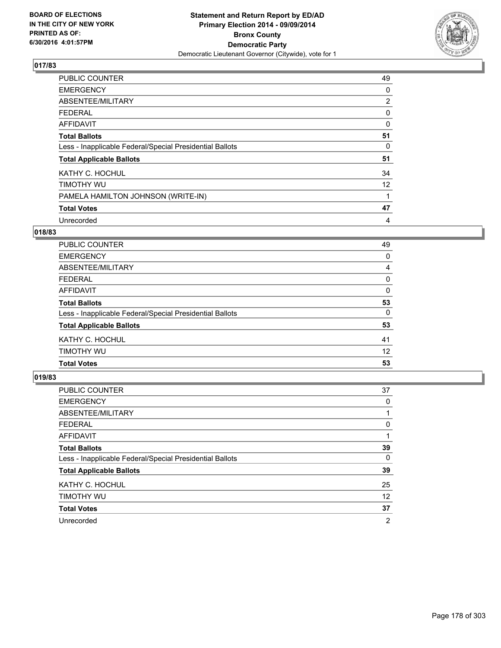

| PUBLIC COUNTER                                           | 49             |
|----------------------------------------------------------|----------------|
| <b>EMERGENCY</b>                                         | 0              |
| ABSENTEE/MILITARY                                        | $\overline{2}$ |
| FEDERAL                                                  | 0              |
| <b>AFFIDAVIT</b>                                         | $\mathbf 0$    |
| <b>Total Ballots</b>                                     | 51             |
| Less - Inapplicable Federal/Special Presidential Ballots | 0              |
| <b>Total Applicable Ballots</b>                          | 51             |
| KATHY C. HOCHUL                                          | 34             |
| TIMOTHY WU                                               | 12             |
| PAMELA HAMILTON JOHNSON (WRITE-IN)                       |                |
| <b>Total Votes</b>                                       | 47             |
| Unrecorded                                               | 4              |

# **018/83**

| <b>PUBLIC COUNTER</b>                                    | 49 |
|----------------------------------------------------------|----|
| <b>EMERGENCY</b>                                         | 0  |
| ABSENTEE/MILITARY                                        | 4  |
| <b>FEDERAL</b>                                           | 0  |
| AFFIDAVIT                                                | 0  |
| <b>Total Ballots</b>                                     | 53 |
| Less - Inapplicable Federal/Special Presidential Ballots | 0  |
| <b>Total Applicable Ballots</b>                          | 53 |
| KATHY C. HOCHUL                                          | 41 |
| TIMOTHY WU                                               | 12 |
| <b>Total Votes</b>                                       | 53 |

| <b>PUBLIC COUNTER</b>                                    | 37             |
|----------------------------------------------------------|----------------|
| <b>EMERGENCY</b>                                         | 0              |
| ABSENTEE/MILITARY                                        |                |
| <b>FEDERAL</b>                                           | 0              |
| AFFIDAVIT                                                |                |
| <b>Total Ballots</b>                                     | 39             |
| Less - Inapplicable Federal/Special Presidential Ballots | 0              |
| <b>Total Applicable Ballots</b>                          | 39             |
| KATHY C. HOCHUL                                          | 25             |
| TIMOTHY WU                                               | 12             |
| <b>Total Votes</b>                                       | 37             |
| Unrecorded                                               | $\overline{2}$ |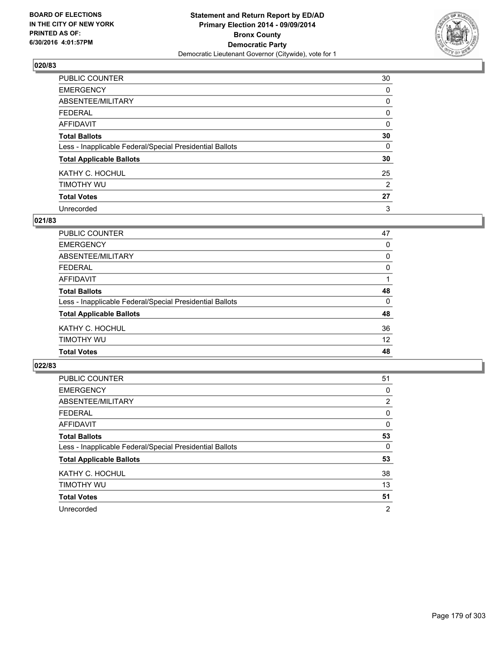

| PUBLIC COUNTER                                           | 30       |
|----------------------------------------------------------|----------|
| <b>EMERGENCY</b>                                         | 0        |
| ABSENTEE/MILITARY                                        | 0        |
| <b>FEDERAL</b>                                           | 0        |
| <b>AFFIDAVIT</b>                                         | 0        |
| <b>Total Ballots</b>                                     | 30       |
| Less - Inapplicable Federal/Special Presidential Ballots | $\Omega$ |
| <b>Total Applicable Ballots</b>                          | 30       |
| KATHY C. HOCHUL                                          | 25       |
| TIMOTHY WU                                               | 2        |
| <b>Total Votes</b>                                       | 27       |
| Unrecorded                                               | 3        |

### **021/83**

| <b>PUBLIC COUNTER</b>                                    | 47       |
|----------------------------------------------------------|----------|
| <b>EMERGENCY</b>                                         | 0        |
| ABSENTEE/MILITARY                                        | 0        |
| <b>FEDERAL</b>                                           | 0        |
| <b>AFFIDAVIT</b>                                         | 1        |
| <b>Total Ballots</b>                                     | 48       |
| Less - Inapplicable Federal/Special Presidential Ballots | $\Omega$ |
| <b>Total Applicable Ballots</b>                          | 48       |
| KATHY C. HOCHUL                                          | 36       |
| TIMOTHY WU                                               | 12       |
| <b>Total Votes</b>                                       | 48       |
|                                                          |          |

| <b>PUBLIC COUNTER</b>                                    | 51             |
|----------------------------------------------------------|----------------|
| <b>EMERGENCY</b>                                         | 0              |
| ABSENTEE/MILITARY                                        | $\overline{2}$ |
| <b>FEDERAL</b>                                           | 0              |
| AFFIDAVIT                                                | 0              |
| <b>Total Ballots</b>                                     | 53             |
| Less - Inapplicable Federal/Special Presidential Ballots | 0              |
| <b>Total Applicable Ballots</b>                          | 53             |
| KATHY C. HOCHUL                                          | 38             |
| TIMOTHY WU                                               | 13             |
| <b>Total Votes</b>                                       | 51             |
| Unrecorded                                               | $\overline{2}$ |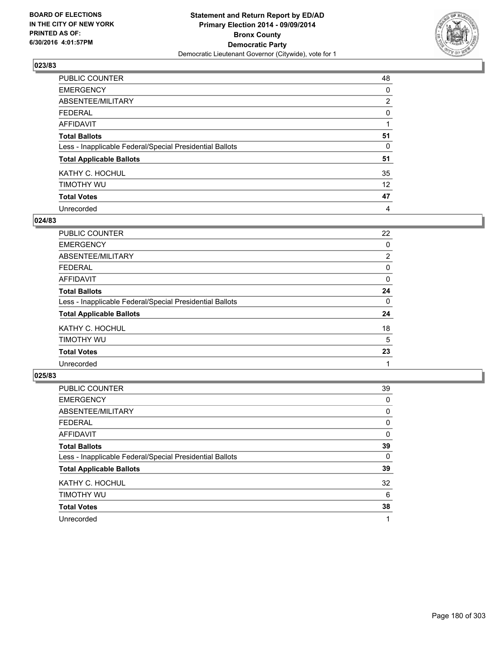

| PUBLIC COUNTER                                           | 48             |
|----------------------------------------------------------|----------------|
| <b>EMERGENCY</b>                                         | 0              |
| ABSENTEE/MILITARY                                        | $\overline{2}$ |
| <b>FEDERAL</b>                                           | 0              |
| <b>AFFIDAVIT</b>                                         |                |
| <b>Total Ballots</b>                                     | 51             |
| Less - Inapplicable Federal/Special Presidential Ballots | 0              |
| <b>Total Applicable Ballots</b>                          | 51             |
| KATHY C. HOCHUL                                          | 35             |
| TIMOTHY WU                                               | 12             |
| <b>Total Votes</b>                                       | 47             |
| Unrecorded                                               | 4              |

### **024/83**

| PUBLIC COUNTER                                           | 22             |
|----------------------------------------------------------|----------------|
| <b>EMERGENCY</b>                                         | 0              |
| ABSENTEE/MILITARY                                        | $\overline{2}$ |
| <b>FEDERAL</b>                                           | 0              |
| <b>AFFIDAVIT</b>                                         | 0              |
| <b>Total Ballots</b>                                     | 24             |
| Less - Inapplicable Federal/Special Presidential Ballots | 0              |
| <b>Total Applicable Ballots</b>                          | 24             |
| KATHY C. HOCHUL                                          | 18             |
| TIMOTHY WU                                               | 5              |
| <b>Total Votes</b>                                       | 23             |
| Unrecorded                                               |                |
|                                                          |                |

| PUBLIC COUNTER                                           | 39 |
|----------------------------------------------------------|----|
| <b>EMERGENCY</b>                                         | 0  |
| ABSENTEE/MILITARY                                        | 0  |
| <b>FEDERAL</b>                                           | 0  |
| AFFIDAVIT                                                | 0  |
| <b>Total Ballots</b>                                     | 39 |
| Less - Inapplicable Federal/Special Presidential Ballots | 0  |
| <b>Total Applicable Ballots</b>                          | 39 |
| KATHY C. HOCHUL                                          | 32 |
| TIMOTHY WU                                               | 6  |
| <b>Total Votes</b>                                       | 38 |
| Unrecorded                                               |    |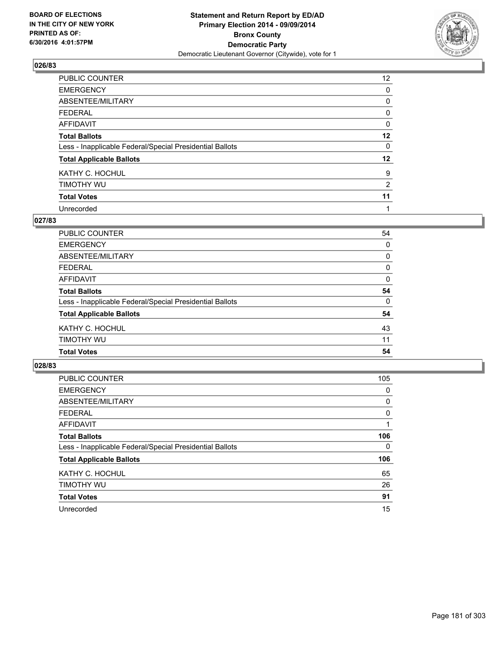

| PUBLIC COUNTER                                           | 12 <sup>°</sup> |
|----------------------------------------------------------|-----------------|
| <b>EMERGENCY</b>                                         | 0               |
| ABSENTEE/MILITARY                                        | 0               |
| <b>FEDERAL</b>                                           | 0               |
| <b>AFFIDAVIT</b>                                         | 0               |
| <b>Total Ballots</b>                                     | 12              |
| Less - Inapplicable Federal/Special Presidential Ballots | 0               |
| <b>Total Applicable Ballots</b>                          | $12 \,$         |
| KATHY C. HOCHUL                                          | 9               |
| TIMOTHY WU                                               | $\overline{2}$  |
| <b>Total Votes</b>                                       | 11              |
| Unrecorded                                               | 1               |

### **027/83**

| <b>Total Votes</b>                                       | 54 |
|----------------------------------------------------------|----|
| TIMOTHY WU                                               | 11 |
| KATHY C. HOCHUL                                          | 43 |
| <b>Total Applicable Ballots</b>                          | 54 |
| Less - Inapplicable Federal/Special Presidential Ballots | 0  |
| <b>Total Ballots</b>                                     | 54 |
| <b>AFFIDAVIT</b>                                         | 0  |
| <b>FEDERAL</b>                                           | 0  |
| <b>ABSENTEE/MILITARY</b>                                 | 0  |
| <b>EMERGENCY</b>                                         | 0  |
| <b>PUBLIC COUNTER</b>                                    | 54 |

| <b>PUBLIC COUNTER</b>                                    | 105      |
|----------------------------------------------------------|----------|
| <b>EMERGENCY</b>                                         | 0        |
| ABSENTEE/MILITARY                                        | 0        |
| <b>FEDERAL</b>                                           | 0        |
| AFFIDAVIT                                                |          |
| <b>Total Ballots</b>                                     | 106      |
| Less - Inapplicable Federal/Special Presidential Ballots | $\Omega$ |
| <b>Total Applicable Ballots</b>                          | 106      |
| KATHY C. HOCHUL                                          | 65       |
| TIMOTHY WU                                               | 26       |
| <b>Total Votes</b>                                       | 91       |
| Unrecorded                                               | 15       |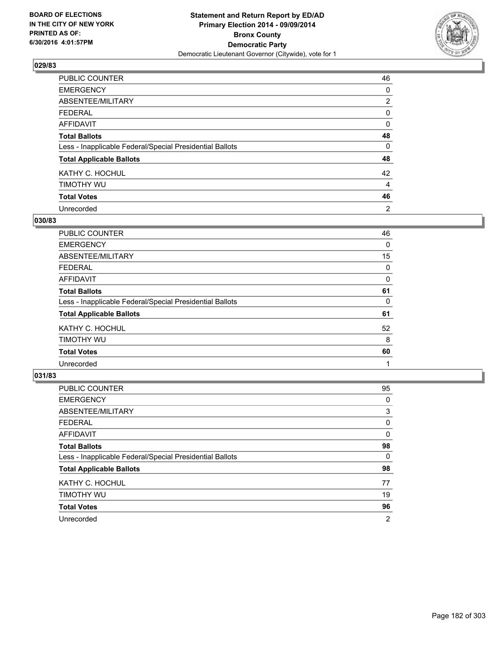

| PUBLIC COUNTER                                           | 46             |
|----------------------------------------------------------|----------------|
| <b>EMERGENCY</b>                                         | 0              |
| ABSENTEE/MILITARY                                        | $\overline{2}$ |
| <b>FEDERAL</b>                                           | 0              |
| <b>AFFIDAVIT</b>                                         | 0              |
| <b>Total Ballots</b>                                     | 48             |
| Less - Inapplicable Federal/Special Presidential Ballots | 0              |
| <b>Total Applicable Ballots</b>                          | 48             |
| KATHY C. HOCHUL                                          | 42             |
| TIMOTHY WU                                               | 4              |
| <b>Total Votes</b>                                       | 46             |
| Unrecorded                                               | 2              |

### **030/83**

| PUBLIC COUNTER                                           | 46 |
|----------------------------------------------------------|----|
| <b>EMERGENCY</b>                                         | 0  |
| ABSENTEE/MILITARY                                        | 15 |
| <b>FEDERAL</b>                                           | 0  |
| <b>AFFIDAVIT</b>                                         | 0  |
| <b>Total Ballots</b>                                     | 61 |
| Less - Inapplicable Federal/Special Presidential Ballots | 0  |
| <b>Total Applicable Ballots</b>                          | 61 |
| KATHY C. HOCHUL                                          | 52 |
| TIMOTHY WU                                               | 8  |
| <b>Total Votes</b>                                       | 60 |
| Unrecorded                                               |    |
|                                                          |    |

| PUBLIC COUNTER                                           | 95 |
|----------------------------------------------------------|----|
| <b>EMERGENCY</b>                                         | 0  |
| ABSENTEE/MILITARY                                        | 3  |
| <b>FEDERAL</b>                                           | 0  |
| <b>AFFIDAVIT</b>                                         | 0  |
| <b>Total Ballots</b>                                     | 98 |
| Less - Inapplicable Federal/Special Presidential Ballots | 0  |
| <b>Total Applicable Ballots</b>                          | 98 |
| KATHY C. HOCHUL                                          | 77 |
| TIMOTHY WU                                               | 19 |
| <b>Total Votes</b>                                       | 96 |
| Unrecorded                                               | 2  |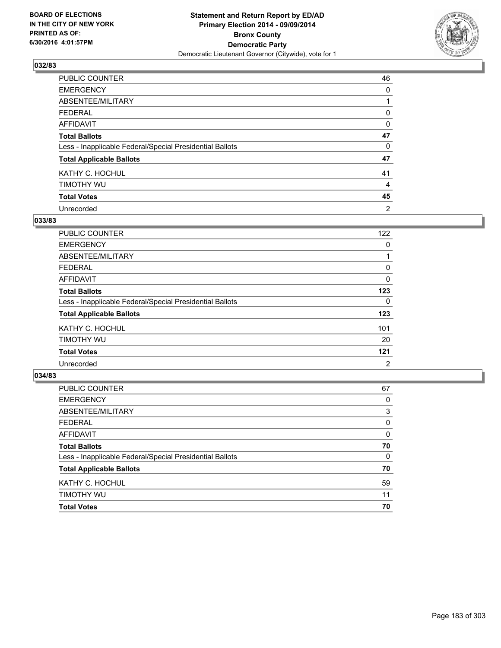

| PUBLIC COUNTER                                           | 46 |
|----------------------------------------------------------|----|
| <b>EMERGENCY</b>                                         | 0  |
| ABSENTEE/MILITARY                                        |    |
| <b>FEDERAL</b>                                           | 0  |
| <b>AFFIDAVIT</b>                                         | 0  |
| <b>Total Ballots</b>                                     | 47 |
| Less - Inapplicable Federal/Special Presidential Ballots | 0  |
| <b>Total Applicable Ballots</b>                          | 47 |
| KATHY C. HOCHUL                                          | 41 |
| TIMOTHY WU                                               | 4  |
| <b>Total Votes</b>                                       | 45 |
| Unrecorded                                               | 2  |

### **033/83**

| PUBLIC COUNTER                                           | 122 |
|----------------------------------------------------------|-----|
| <b>EMERGENCY</b>                                         | 0   |
| ABSENTEE/MILITARY                                        |     |
| <b>FEDERAL</b>                                           | 0   |
| AFFIDAVIT                                                | 0   |
| <b>Total Ballots</b>                                     | 123 |
| Less - Inapplicable Federal/Special Presidential Ballots | 0   |
| <b>Total Applicable Ballots</b>                          | 123 |
| KATHY C. HOCHUL                                          | 101 |
| TIMOTHY WU                                               | 20  |
| <b>Total Votes</b>                                       | 121 |
| Unrecorded                                               | 2   |
|                                                          |     |

| <b>Total Votes</b>                                       | 70 |
|----------------------------------------------------------|----|
| <b>TIMOTHY WU</b>                                        | 11 |
| KATHY C. HOCHUL                                          | 59 |
| <b>Total Applicable Ballots</b>                          | 70 |
| Less - Inapplicable Federal/Special Presidential Ballots | 0  |
| <b>Total Ballots</b>                                     | 70 |
| <b>AFFIDAVIT</b>                                         | 0  |
| <b>FEDERAL</b>                                           | 0  |
| ABSENTEE/MILITARY                                        | 3  |
| <b>EMERGENCY</b>                                         | 0  |
| PUBLIC COUNTER                                           | 67 |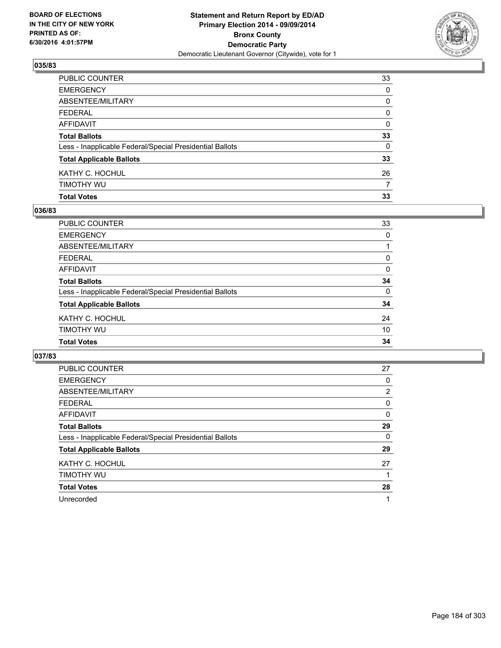

| <b>Total Votes</b>                                       | 33 |
|----------------------------------------------------------|----|
| timothy wu                                               | 7  |
| KATHY C. HOCHUL                                          | 26 |
| <b>Total Applicable Ballots</b>                          | 33 |
| Less - Inapplicable Federal/Special Presidential Ballots | 0  |
| <b>Total Ballots</b>                                     | 33 |
| AFFIDAVIT                                                | 0  |
| FEDERAL                                                  | 0  |
| ABSENTEE/MILITARY                                        | 0  |
| EMERGENCY                                                | 0  |
| PUBLIC COUNTER                                           | 33 |

## **036/83**

| <b>PUBLIC COUNTER</b>                                    | 33       |
|----------------------------------------------------------|----------|
| <b>EMERGENCY</b>                                         | 0        |
| <b>ABSENTEE/MILITARY</b>                                 |          |
| <b>FEDERAL</b>                                           | 0        |
| <b>AFFIDAVIT</b>                                         | 0        |
| <b>Total Ballots</b>                                     | 34       |
| Less - Inapplicable Federal/Special Presidential Ballots | $\Omega$ |
| <b>Total Applicable Ballots</b>                          | 34       |
| KATHY C. HOCHUL                                          | 24       |
| TIMOTHY WU                                               | 10       |
| <b>Total Votes</b>                                       | 34       |
|                                                          |          |

| <b>PUBLIC COUNTER</b>                                    | 27             |
|----------------------------------------------------------|----------------|
| <b>EMERGENCY</b>                                         | 0              |
| ABSENTEE/MILITARY                                        | $\overline{2}$ |
| <b>FEDERAL</b>                                           | 0              |
| AFFIDAVIT                                                | 0              |
| <b>Total Ballots</b>                                     | 29             |
| Less - Inapplicable Federal/Special Presidential Ballots | 0              |
| <b>Total Applicable Ballots</b>                          | 29             |
| KATHY C. HOCHUL                                          | 27             |
| TIMOTHY WU                                               |                |
| <b>Total Votes</b>                                       | 28             |
| Unrecorded                                               |                |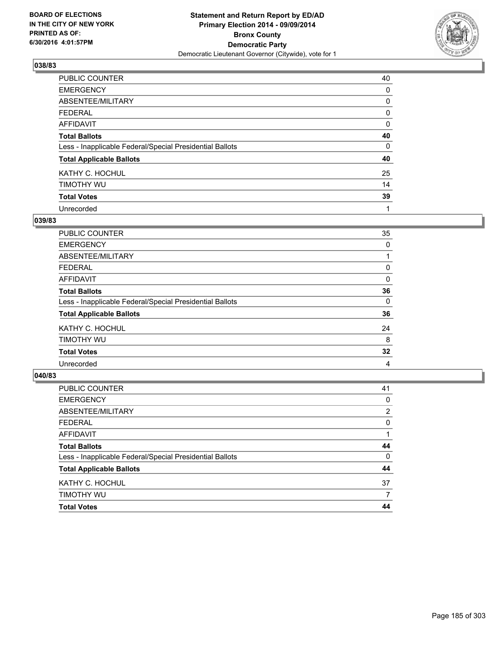

| PUBLIC COUNTER                                           | 40 |
|----------------------------------------------------------|----|
| <b>EMERGENCY</b>                                         | 0  |
| ABSENTEE/MILITARY                                        | 0  |
| <b>FEDERAL</b>                                           | 0  |
| <b>AFFIDAVIT</b>                                         | 0  |
| <b>Total Ballots</b>                                     | 40 |
| Less - Inapplicable Federal/Special Presidential Ballots | 0  |
| <b>Total Applicable Ballots</b>                          | 40 |
| KATHY C. HOCHUL                                          | 25 |
| TIMOTHY WU                                               | 14 |
| <b>Total Votes</b>                                       | 39 |
| Unrecorded                                               |    |

### **039/83**

| PUBLIC COUNTER                                           | 35 |
|----------------------------------------------------------|----|
| <b>EMERGENCY</b>                                         | 0  |
| ABSENTEE/MILITARY                                        |    |
| <b>FEDERAL</b>                                           | 0  |
| <b>AFFIDAVIT</b>                                         | 0  |
| <b>Total Ballots</b>                                     | 36 |
| Less - Inapplicable Federal/Special Presidential Ballots | 0  |
| <b>Total Applicable Ballots</b>                          | 36 |
| KATHY C. HOCHUL                                          | 24 |
| TIMOTHY WU                                               | 8  |
| <b>Total Votes</b>                                       | 32 |
| Unrecorded                                               | 4  |

| <b>Total Votes</b>                                       | 44       |
|----------------------------------------------------------|----------|
| TIMOTHY WU                                               | 7        |
| KATHY C. HOCHUL                                          | 37       |
| <b>Total Applicable Ballots</b>                          | 44       |
| Less - Inapplicable Federal/Special Presidential Ballots | $\Omega$ |
| <b>Total Ballots</b>                                     | 44       |
| <b>AFFIDAVIT</b>                                         |          |
| <b>FEDERAL</b>                                           | $\Omega$ |
| ABSENTEE/MILITARY                                        | 2        |
| <b>EMERGENCY</b>                                         | 0        |
| PUBLIC COUNTER                                           | 41       |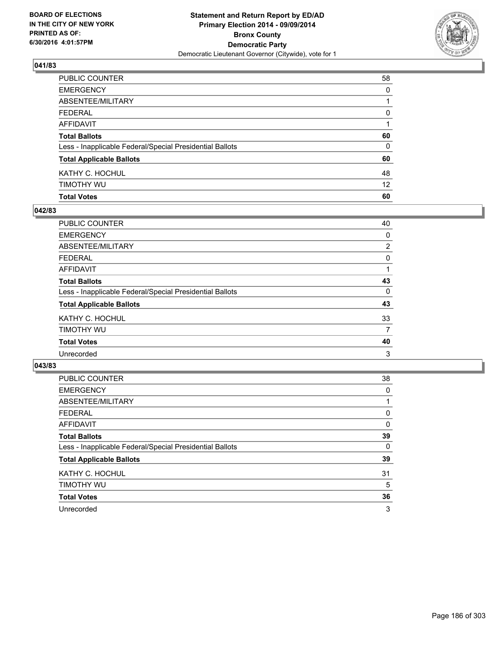

| PUBLIC COUNTER                                           | 58                |
|----------------------------------------------------------|-------------------|
| EMERGENCY                                                | $\Omega$          |
| ABSENTEE/MILITARY                                        |                   |
| FEDERAL                                                  | $\mathbf{0}$      |
| AFFIDAVIT                                                |                   |
| <b>Total Ballots</b>                                     | 60                |
| Less - Inapplicable Federal/Special Presidential Ballots | 0                 |
| <b>Total Applicable Ballots</b>                          | 60                |
| KATHY C. HOCHUL                                          | 48                |
| timothy wu                                               | $12 \overline{ }$ |
| <b>Total Votes</b>                                       | 60                |

## **042/83**

| PUBLIC COUNTER                                           | 40             |
|----------------------------------------------------------|----------------|
| <b>EMERGENCY</b>                                         | 0              |
| ABSENTEE/MILITARY                                        | $\overline{2}$ |
| <b>FEDERAL</b>                                           | 0              |
| <b>AFFIDAVIT</b>                                         |                |
| <b>Total Ballots</b>                                     | 43             |
| Less - Inapplicable Federal/Special Presidential Ballots | 0              |
| <b>Total Applicable Ballots</b>                          | 43             |
| KATHY C. HOCHUL                                          | 33             |
| TIMOTHY WU                                               | 7              |
| <b>Total Votes</b>                                       | 40             |
| Unrecorded                                               | 3              |
|                                                          |                |

| <b>PUBLIC COUNTER</b>                                    | 38 |
|----------------------------------------------------------|----|
| <b>EMERGENCY</b>                                         | 0  |
| ABSENTEE/MILITARY                                        |    |
| <b>FEDERAL</b>                                           | 0  |
| AFFIDAVIT                                                | 0  |
| <b>Total Ballots</b>                                     | 39 |
| Less - Inapplicable Federal/Special Presidential Ballots | 0  |
| <b>Total Applicable Ballots</b>                          | 39 |
| KATHY C. HOCHUL                                          | 31 |
| TIMOTHY WU                                               | 5  |
| <b>Total Votes</b>                                       | 36 |
| Unrecorded                                               | 3  |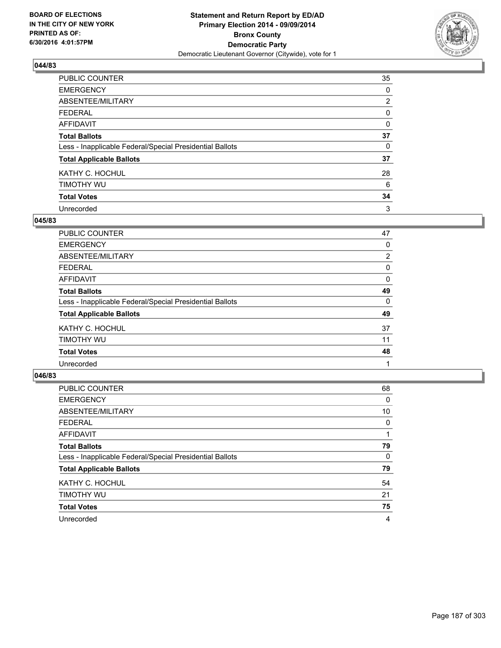

| PUBLIC COUNTER                                           | 35             |
|----------------------------------------------------------|----------------|
| <b>EMERGENCY</b>                                         | 0              |
| ABSENTEE/MILITARY                                        | $\overline{2}$ |
| <b>FEDERAL</b>                                           | 0              |
| <b>AFFIDAVIT</b>                                         | 0              |
| <b>Total Ballots</b>                                     | 37             |
| Less - Inapplicable Federal/Special Presidential Ballots | 0              |
| <b>Total Applicable Ballots</b>                          | 37             |
| KATHY C. HOCHUL                                          | 28             |
| TIMOTHY WU                                               | 6              |
| <b>Total Votes</b>                                       | 34             |
| Unrecorded                                               | 3              |

### **045/83**

| PUBLIC COUNTER                                           | 47             |
|----------------------------------------------------------|----------------|
| <b>EMERGENCY</b>                                         | 0              |
| ABSENTEE/MILITARY                                        | $\overline{2}$ |
| <b>FEDERAL</b>                                           | 0              |
| <b>AFFIDAVIT</b>                                         | 0              |
| <b>Total Ballots</b>                                     | 49             |
| Less - Inapplicable Federal/Special Presidential Ballots | 0              |
| <b>Total Applicable Ballots</b>                          | 49             |
| KATHY C. HOCHUL                                          | 37             |
| TIMOTHY WU                                               | 11             |
| <b>Total Votes</b>                                       | 48             |
| Unrecorded                                               |                |

| PUBLIC COUNTER                                           | 68 |
|----------------------------------------------------------|----|
| <b>EMERGENCY</b>                                         | 0  |
| ABSENTEE/MILITARY                                        | 10 |
| <b>FEDERAL</b>                                           | 0  |
| AFFIDAVIT                                                |    |
| <b>Total Ballots</b>                                     | 79 |
| Less - Inapplicable Federal/Special Presidential Ballots | 0  |
| <b>Total Applicable Ballots</b>                          | 79 |
| KATHY C. HOCHUL                                          | 54 |
| TIMOTHY WU                                               | 21 |
| <b>Total Votes</b>                                       | 75 |
| Unrecorded                                               | 4  |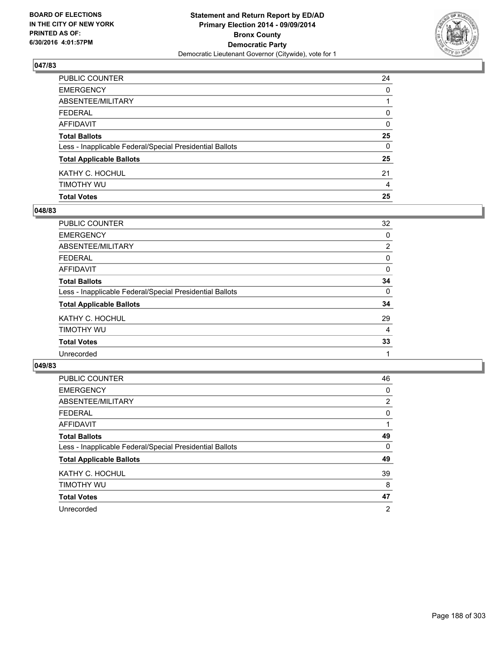

| PUBLIC COUNTER                                           | 24 |
|----------------------------------------------------------|----|
| EMERGENCY                                                | 0  |
| ABSENTEE/MILITARY                                        |    |
| FEDERAL                                                  | 0  |
| AFFIDAVIT                                                | 0  |
| <b>Total Ballots</b>                                     | 25 |
| Less - Inapplicable Federal/Special Presidential Ballots | 0  |
| <b>Total Applicable Ballots</b>                          | 25 |
| KATHY C. HOCHUL                                          | 21 |
| timothy wu                                               | 4  |
| <b>Total Votes</b>                                       | 25 |

## **048/83**

| PUBLIC COUNTER                                           | 32             |
|----------------------------------------------------------|----------------|
| <b>EMERGENCY</b>                                         | 0              |
| <b>ABSENTEE/MILITARY</b>                                 | $\overline{2}$ |
| <b>FEDERAL</b>                                           | 0              |
| <b>AFFIDAVIT</b>                                         | 0              |
| <b>Total Ballots</b>                                     | 34             |
| Less - Inapplicable Federal/Special Presidential Ballots | 0              |
| <b>Total Applicable Ballots</b>                          | 34             |
| KATHY C. HOCHUL                                          | 29             |
| TIMOTHY WU                                               | 4              |
| <b>Total Votes</b>                                       | 33             |
| Unrecorded                                               |                |
|                                                          |                |

| <b>PUBLIC COUNTER</b>                                    | 46             |
|----------------------------------------------------------|----------------|
| <b>EMERGENCY</b>                                         | 0              |
| ABSENTEE/MILITARY                                        | 2              |
| <b>FEDERAL</b>                                           | 0              |
| AFFIDAVIT                                                |                |
| <b>Total Ballots</b>                                     | 49             |
| Less - Inapplicable Federal/Special Presidential Ballots | 0              |
| <b>Total Applicable Ballots</b>                          | 49             |
| KATHY C. HOCHUL                                          | 39             |
| TIMOTHY WU                                               | 8              |
| <b>Total Votes</b>                                       | 47             |
| Unrecorded                                               | $\overline{2}$ |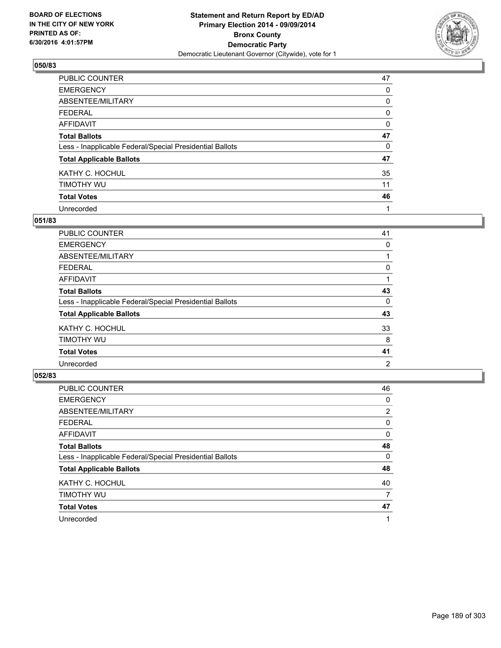

| PUBLIC COUNTER                                           | 47 |
|----------------------------------------------------------|----|
| <b>EMERGENCY</b>                                         | 0  |
| ABSENTEE/MILITARY                                        | 0  |
| <b>FEDERAL</b>                                           | 0  |
| <b>AFFIDAVIT</b>                                         | 0  |
| <b>Total Ballots</b>                                     | 47 |
| Less - Inapplicable Federal/Special Presidential Ballots | 0  |
| <b>Total Applicable Ballots</b>                          | 47 |
| KATHY C. HOCHUL                                          | 35 |
| TIMOTHY WU                                               | 11 |
| <b>Total Votes</b>                                       | 46 |
| Unrecorded                                               |    |

### **051/83**

| PUBLIC COUNTER                                           | 41 |
|----------------------------------------------------------|----|
| <b>EMERGENCY</b>                                         | 0  |
| ABSENTEE/MILITARY                                        |    |
| <b>FEDERAL</b>                                           | 0  |
| <b>AFFIDAVIT</b>                                         |    |
| <b>Total Ballots</b>                                     | 43 |
| Less - Inapplicable Federal/Special Presidential Ballots | 0  |
| <b>Total Applicable Ballots</b>                          | 43 |
| KATHY C. HOCHUL                                          | 33 |
| TIMOTHY WU                                               | 8  |
| <b>Total Votes</b>                                       | 41 |
| Unrecorded                                               | 2  |
|                                                          |    |

| PUBLIC COUNTER                                           | 46             |
|----------------------------------------------------------|----------------|
| <b>EMERGENCY</b>                                         | 0              |
| ABSENTEE/MILITARY                                        | $\overline{2}$ |
| <b>FEDERAL</b>                                           | 0              |
| AFFIDAVIT                                                | 0              |
| <b>Total Ballots</b>                                     | 48             |
| Less - Inapplicable Federal/Special Presidential Ballots | 0              |
| <b>Total Applicable Ballots</b>                          | 48             |
| KATHY C. HOCHUL                                          | 40             |
| TIMOTHY WU                                               | 7              |
| <b>Total Votes</b>                                       | 47             |
| Unrecorded                                               |                |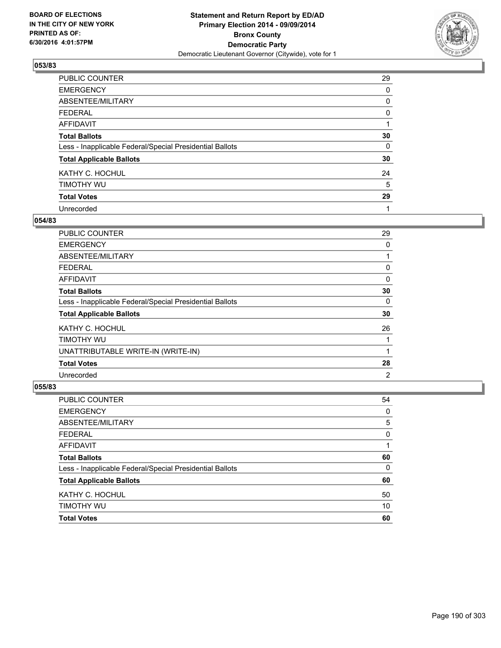

| PUBLIC COUNTER                                           | 29 |
|----------------------------------------------------------|----|
| <b>EMERGENCY</b>                                         | 0  |
| ABSENTEE/MILITARY                                        | 0  |
| <b>FEDERAL</b>                                           | 0  |
| <b>AFFIDAVIT</b>                                         |    |
| <b>Total Ballots</b>                                     | 30 |
| Less - Inapplicable Federal/Special Presidential Ballots | 0  |
| <b>Total Applicable Ballots</b>                          | 30 |
| KATHY C. HOCHUL                                          | 24 |
| TIMOTHY WU                                               | 5  |
| <b>Total Votes</b>                                       | 29 |
| Unrecorded                                               |    |

### **054/83**

| <b>PUBLIC COUNTER</b>                                    | 29 |
|----------------------------------------------------------|----|
| <b>EMERGENCY</b>                                         | 0  |
| ABSENTEE/MILITARY                                        |    |
| <b>FEDERAL</b>                                           | 0  |
| AFFIDAVIT                                                | 0  |
| <b>Total Ballots</b>                                     | 30 |
| Less - Inapplicable Federal/Special Presidential Ballots | 0  |
| <b>Total Applicable Ballots</b>                          | 30 |
| KATHY C. HOCHUL                                          | 26 |
| TIMOTHY WU                                               |    |
| UNATTRIBUTABLE WRITE-IN (WRITE-IN)                       |    |
| <b>Total Votes</b>                                       | 28 |
| Unrecorded                                               | 2  |

| PUBLIC COUNTER                                           | 54 |
|----------------------------------------------------------|----|
| <b>EMERGENCY</b>                                         | 0  |
| ABSENTEE/MILITARY                                        | 5  |
| <b>FEDERAL</b>                                           | 0  |
| <b>AFFIDAVIT</b>                                         | 1  |
| <b>Total Ballots</b>                                     | 60 |
| Less - Inapplicable Federal/Special Presidential Ballots | 0  |
| <b>Total Applicable Ballots</b>                          | 60 |
| KATHY C. HOCHUL                                          | 50 |
| TIMOTHY WU                                               | 10 |
| <b>Total Votes</b>                                       | 60 |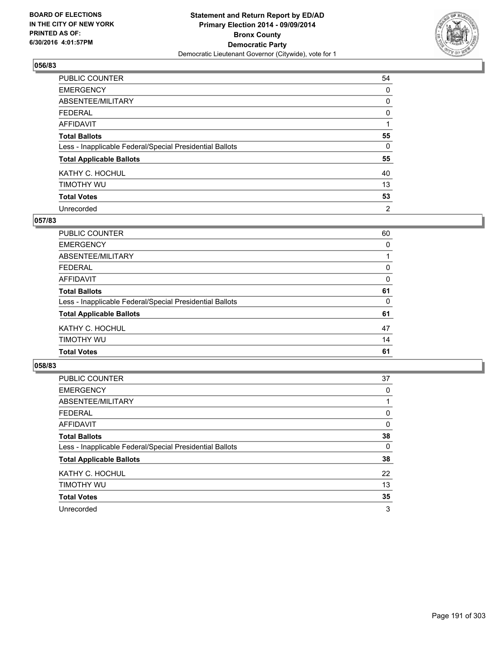

| PUBLIC COUNTER                                           | 54             |
|----------------------------------------------------------|----------------|
| <b>EMERGENCY</b>                                         | 0              |
| ABSENTEE/MILITARY                                        | 0              |
| <b>FEDERAL</b>                                           | 0              |
| <b>AFFIDAVIT</b>                                         |                |
| <b>Total Ballots</b>                                     | 55             |
| Less - Inapplicable Federal/Special Presidential Ballots | $\Omega$       |
| <b>Total Applicable Ballots</b>                          | 55             |
| KATHY C. HOCHUL                                          | 40             |
| TIMOTHY WU                                               | 13             |
| <b>Total Votes</b>                                       | 53             |
| Unrecorded                                               | $\overline{2}$ |

### **057/83**

| <b>PUBLIC COUNTER</b>                                    | 60       |
|----------------------------------------------------------|----------|
| <b>EMERGENCY</b>                                         | $\Omega$ |
| <b>ABSENTEE/MILITARY</b>                                 |          |
| <b>FEDERAL</b>                                           | 0        |
| <b>AFFIDAVIT</b>                                         | 0        |
| <b>Total Ballots</b>                                     | 61       |
| Less - Inapplicable Federal/Special Presidential Ballots | $\Omega$ |
| <b>Total Applicable Ballots</b>                          | 61       |
| KATHY C. HOCHUL                                          | 47       |
| TIMOTHY WU                                               | 14       |
| <b>Total Votes</b>                                       | 61       |
|                                                          |          |

| <b>PUBLIC COUNTER</b>                                    | 37       |
|----------------------------------------------------------|----------|
| <b>EMERGENCY</b>                                         | 0        |
| ABSENTEE/MILITARY                                        |          |
| <b>FEDERAL</b>                                           | 0        |
| AFFIDAVIT                                                | 0        |
| <b>Total Ballots</b>                                     | 38       |
| Less - Inapplicable Federal/Special Presidential Ballots | $\Omega$ |
| <b>Total Applicable Ballots</b>                          | 38       |
| KATHY C. HOCHUL                                          | 22       |
| TIMOTHY WU                                               | 13       |
| <b>Total Votes</b>                                       | 35       |
| Unrecorded                                               | 3        |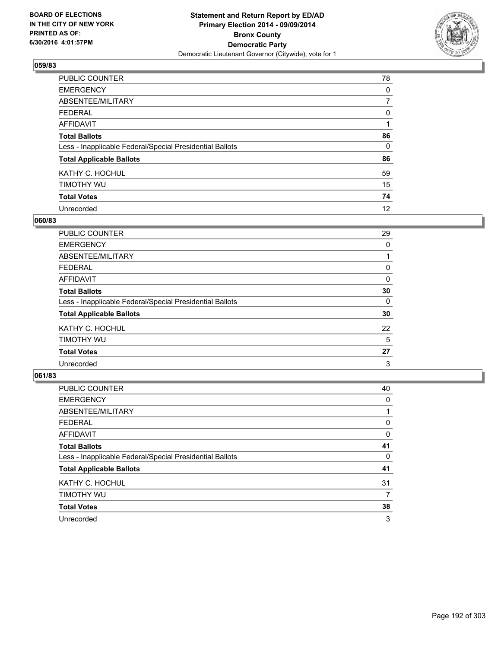

| PUBLIC COUNTER                                           | 78             |
|----------------------------------------------------------|----------------|
| <b>EMERGENCY</b>                                         | 0              |
| ABSENTEE/MILITARY                                        | $\overline{7}$ |
| <b>FEDERAL</b>                                           | 0              |
| <b>AFFIDAVIT</b>                                         |                |
| <b>Total Ballots</b>                                     | 86             |
| Less - Inapplicable Federal/Special Presidential Ballots | 0              |
| <b>Total Applicable Ballots</b>                          | 86             |
| KATHY C. HOCHUL                                          | 59             |
| TIMOTHY WU                                               | 15             |
| <b>Total Votes</b>                                       | 74             |
| Unrecorded                                               | 12             |

### **060/83**

| PUBLIC COUNTER                                           | 29 |
|----------------------------------------------------------|----|
| <b>EMERGENCY</b>                                         | 0  |
| ABSENTEE/MILITARY                                        |    |
| <b>FEDERAL</b>                                           | 0  |
| <b>AFFIDAVIT</b>                                         | 0  |
| <b>Total Ballots</b>                                     | 30 |
| Less - Inapplicable Federal/Special Presidential Ballots | 0  |
| <b>Total Applicable Ballots</b>                          | 30 |
| KATHY C. HOCHUL                                          | 22 |
| TIMOTHY WU                                               | 5  |
| <b>Total Votes</b>                                       | 27 |
| Unrecorded                                               | 3  |

| PUBLIC COUNTER                                           | 40 |
|----------------------------------------------------------|----|
| <b>EMERGENCY</b>                                         | 0  |
| ABSENTEE/MILITARY                                        |    |
| <b>FEDERAL</b>                                           | 0  |
| <b>AFFIDAVIT</b>                                         | 0  |
| <b>Total Ballots</b>                                     | 41 |
| Less - Inapplicable Federal/Special Presidential Ballots | 0  |
| <b>Total Applicable Ballots</b>                          | 41 |
| KATHY C. HOCHUL                                          | 31 |
| TIMOTHY WU                                               | 7  |
| <b>Total Votes</b>                                       | 38 |
| Unrecorded                                               | 3  |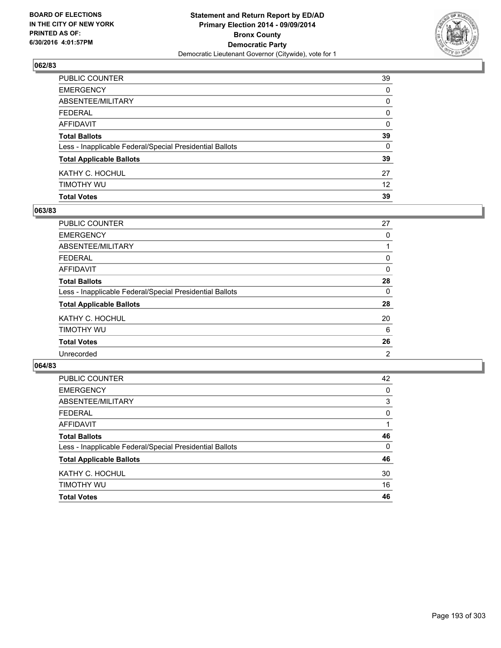

| PUBLIC COUNTER                                           | 39              |
|----------------------------------------------------------|-----------------|
| EMERGENCY                                                | 0               |
| ABSENTEE/MILITARY                                        | 0               |
| FEDERAL                                                  | 0               |
| AFFIDAVIT                                                | 0               |
| Total Ballots                                            | 39              |
| Less - Inapplicable Federal/Special Presidential Ballots | 0               |
| <b>Total Applicable Ballots</b>                          | 39              |
| KATHY C. HOCHUL                                          | 27              |
| timothy wu                                               | 12 <sup>2</sup> |
| <b>Total Votes</b>                                       | 39              |

## **063/83**

| 27 |
|----|
| 0  |
|    |
| 0  |
| 0  |
| 28 |
| 0  |
| 28 |
| 20 |
| 6  |
| 26 |
| 2  |
|    |

| PUBLIC COUNTER                                           | 42       |
|----------------------------------------------------------|----------|
| <b>EMERGENCY</b>                                         | 0        |
| ABSENTEE/MILITARY                                        | 3        |
| <b>FEDERAL</b>                                           | 0        |
| <b>AFFIDAVIT</b>                                         | 1        |
| <b>Total Ballots</b>                                     | 46       |
| Less - Inapplicable Federal/Special Presidential Ballots | $\Omega$ |
| <b>Total Applicable Ballots</b>                          | 46       |
| KATHY C. HOCHUL                                          | 30       |
| TIMOTHY WU                                               | 16       |
| <b>Total Votes</b>                                       | 46       |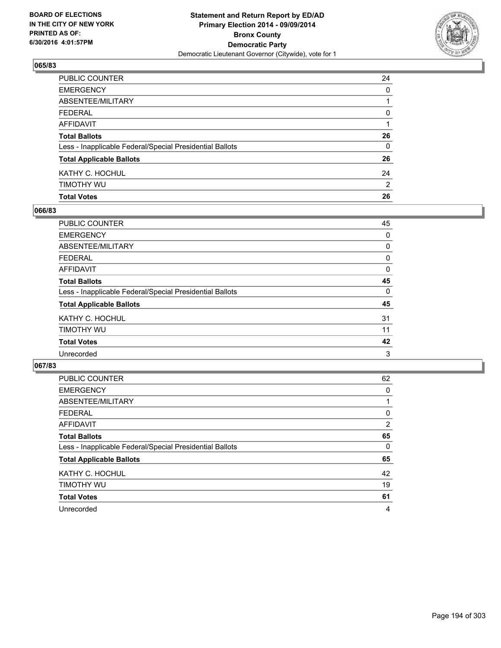

| PUBLIC COUNTER                                           | 24             |
|----------------------------------------------------------|----------------|
| EMERGENCY                                                | $\mathbf{0}$   |
| ABSENTEE/MILITARY                                        |                |
| FEDERAL                                                  | 0              |
| AFFIDAVIT                                                |                |
| <b>Total Ballots</b>                                     | 26             |
| Less - Inapplicable Federal/Special Presidential Ballots | 0              |
| <b>Total Applicable Ballots</b>                          | 26             |
| KATHY C. HOCHUL                                          | 24             |
| timothy wu                                               | $\overline{2}$ |
| <b>Total Votes</b>                                       | 26             |

## **066/83**

| PUBLIC COUNTER                                           | 45 |
|----------------------------------------------------------|----|
| <b>EMERGENCY</b>                                         | 0  |
| <b>ABSENTEE/MILITARY</b>                                 | 0  |
| <b>FEDERAL</b>                                           | 0  |
| <b>AFFIDAVIT</b>                                         | 0  |
| <b>Total Ballots</b>                                     | 45 |
| Less - Inapplicable Federal/Special Presidential Ballots | 0  |
| <b>Total Applicable Ballots</b>                          | 45 |
| KATHY C. HOCHUL                                          | 31 |
| TIMOTHY WU                                               | 11 |
| <b>Total Votes</b>                                       | 42 |
| Unrecorded                                               | 3  |
|                                                          |    |

| <b>PUBLIC COUNTER</b>                                    | 62 |
|----------------------------------------------------------|----|
| <b>EMERGENCY</b>                                         | 0  |
| ABSENTEE/MILITARY                                        |    |
| <b>FEDERAL</b>                                           | 0  |
| AFFIDAVIT                                                | 2  |
| <b>Total Ballots</b>                                     | 65 |
| Less - Inapplicable Federal/Special Presidential Ballots | 0  |
| <b>Total Applicable Ballots</b>                          | 65 |
| KATHY C. HOCHUL                                          | 42 |
| TIMOTHY WU                                               | 19 |
| <b>Total Votes</b>                                       | 61 |
| Unrecorded                                               | 4  |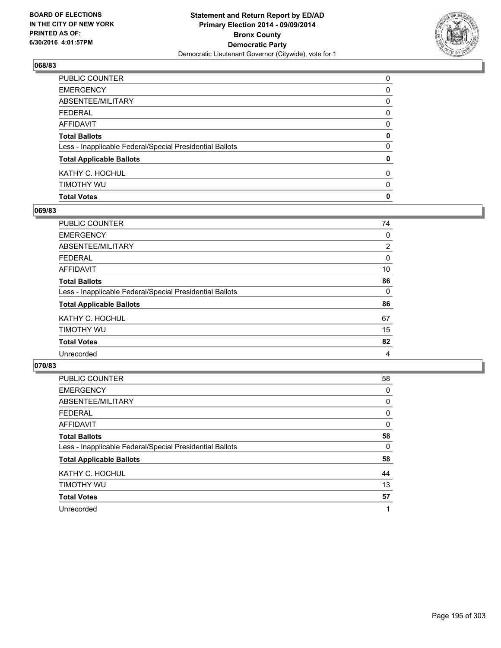

| <b>Total Votes</b>                                       | $\mathbf 0$  |
|----------------------------------------------------------|--------------|
| timothy wu                                               | 0            |
| KATHY C. HOCHUL                                          | 0            |
| <b>Total Applicable Ballots</b>                          | 0            |
| Less - Inapplicable Federal/Special Presidential Ballots | 0            |
| <b>Total Ballots</b>                                     | 0            |
| AFFIDAVIT                                                | 0            |
| FEDERAL                                                  | $\mathbf{0}$ |
| ABSENTEE/MILITARY                                        | 0            |
| EMERGENCY                                                | $\mathbf{0}$ |
| PUBLIC COUNTER                                           | 0            |

## **069/83**

| <b>PUBLIC COUNTER</b>                                    | 74             |
|----------------------------------------------------------|----------------|
| <b>EMERGENCY</b>                                         | 0              |
| ABSENTEE/MILITARY                                        | $\overline{2}$ |
| <b>FEDERAL</b>                                           | 0              |
| <b>AFFIDAVIT</b>                                         | 10             |
| <b>Total Ballots</b>                                     | 86             |
| Less - Inapplicable Federal/Special Presidential Ballots | 0              |
| <b>Total Applicable Ballots</b>                          | 86             |
| KATHY C. HOCHUL                                          | 67             |
| TIMOTHY WU                                               | 15             |
| <b>Total Votes</b>                                       | 82             |
| Unrecorded                                               | 4              |
|                                                          |                |

| <b>PUBLIC COUNTER</b>                                    | 58 |
|----------------------------------------------------------|----|
| <b>EMERGENCY</b>                                         | 0  |
| ABSENTEE/MILITARY                                        | 0  |
| <b>FEDERAL</b>                                           | 0  |
| AFFIDAVIT                                                | 0  |
| <b>Total Ballots</b>                                     | 58 |
| Less - Inapplicable Federal/Special Presidential Ballots | 0  |
| <b>Total Applicable Ballots</b>                          | 58 |
| KATHY C. HOCHUL                                          | 44 |
| TIMOTHY WU                                               | 13 |
| <b>Total Votes</b>                                       | 57 |
| Unrecorded                                               | 1  |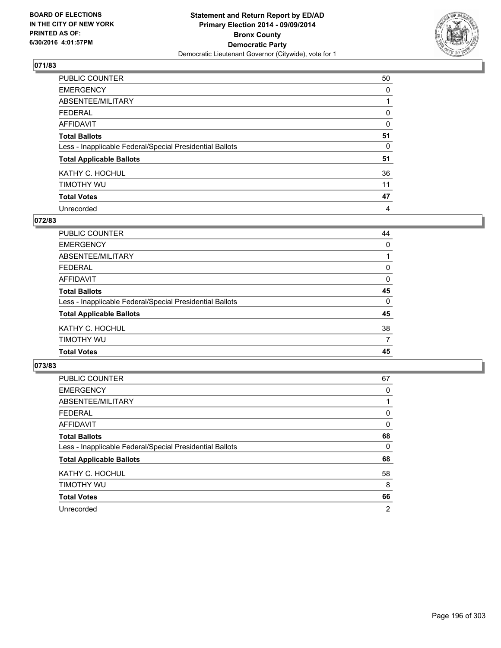

| <b>PUBLIC COUNTER</b>                                    | 50       |
|----------------------------------------------------------|----------|
| <b>EMERGENCY</b>                                         | 0        |
| ABSENTEE/MILITARY                                        |          |
| <b>FEDERAL</b>                                           | 0        |
| <b>AFFIDAVIT</b>                                         | $\Omega$ |
| <b>Total Ballots</b>                                     | 51       |
| Less - Inapplicable Federal/Special Presidential Ballots | 0        |
| <b>Total Applicable Ballots</b>                          | 51       |
| KATHY C. HOCHUL                                          | 36       |
| TIMOTHY WU                                               | 11       |
| <b>Total Votes</b>                                       | 47       |
| Unrecorded                                               | 4        |

### **072/83**

| 45 |
|----|
| 7  |
| 38 |
| 45 |
| 0  |
| 45 |
| 0  |
| 0  |
|    |
| 0  |
| 44 |
|    |

| <b>PUBLIC COUNTER</b>                                    | 67             |
|----------------------------------------------------------|----------------|
| <b>EMERGENCY</b>                                         | 0              |
| ABSENTEE/MILITARY                                        |                |
| FEDERAL                                                  | 0              |
| AFFIDAVIT                                                | 0              |
| <b>Total Ballots</b>                                     | 68             |
| Less - Inapplicable Federal/Special Presidential Ballots | 0              |
| <b>Total Applicable Ballots</b>                          | 68             |
| KATHY C. HOCHUL                                          | 58             |
| TIMOTHY WU                                               | 8              |
| <b>Total Votes</b>                                       | 66             |
| Unrecorded                                               | $\overline{2}$ |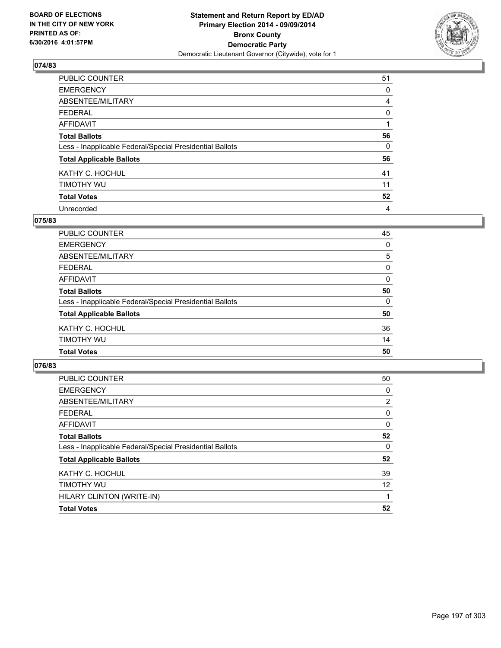

| PUBLIC COUNTER                                           | 51       |
|----------------------------------------------------------|----------|
| <b>EMERGENCY</b>                                         | 0        |
| ABSENTEE/MILITARY                                        | 4        |
| <b>FEDERAL</b>                                           | 0        |
| <b>AFFIDAVIT</b>                                         |          |
| <b>Total Ballots</b>                                     | 56       |
| Less - Inapplicable Federal/Special Presidential Ballots | $\Omega$ |
| <b>Total Applicable Ballots</b>                          | 56       |
| KATHY C. HOCHUL                                          | 41       |
| TIMOTHY WU                                               | 11       |
| <b>Total Votes</b>                                       | 52       |
| Unrecorded                                               | 4        |

### **075/83**

| <b>Total Ballots</b>                                     | 50       |
|----------------------------------------------------------|----------|
| Less - Inapplicable Federal/Special Presidential Ballots | $\Omega$ |
| <b>Total Applicable Ballots</b>                          | 50       |
| KATHY C. HOCHUL                                          | 36       |
| TIMOTHY WU                                               | 14       |
| <b>Total Votes</b>                                       | 50       |
|                                                          |          |

| <b>PUBLIC COUNTER</b>                                    | 50 |
|----------------------------------------------------------|----|
| <b>EMERGENCY</b>                                         | 0  |
| ABSENTEE/MILITARY                                        | 2  |
| <b>FEDERAL</b>                                           | 0  |
| AFFIDAVIT                                                | 0  |
| <b>Total Ballots</b>                                     | 52 |
| Less - Inapplicable Federal/Special Presidential Ballots | 0  |
| <b>Total Applicable Ballots</b>                          | 52 |
| KATHY C. HOCHUL                                          | 39 |
| <b>TIMOTHY WU</b>                                        | 12 |
| HILARY CLINTON (WRITE-IN)                                |    |
| <b>Total Votes</b>                                       | 52 |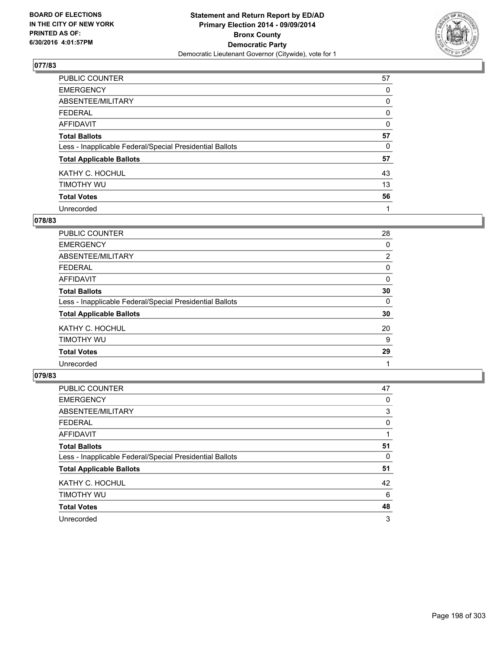

| PUBLIC COUNTER                                           | 57       |
|----------------------------------------------------------|----------|
| <b>EMERGENCY</b>                                         | 0        |
| ABSENTEE/MILITARY                                        | 0        |
| <b>FEDERAL</b>                                           | 0        |
| <b>AFFIDAVIT</b>                                         | $\Omega$ |
| <b>Total Ballots</b>                                     | 57       |
| Less - Inapplicable Federal/Special Presidential Ballots | 0        |
| <b>Total Applicable Ballots</b>                          | 57       |
| KATHY C. HOCHUL                                          | 43       |
| TIMOTHY WU                                               | 13       |
| <b>Total Votes</b>                                       | 56       |
| Unrecorded                                               |          |

### **078/83**

| PUBLIC COUNTER                                           | 28             |
|----------------------------------------------------------|----------------|
| <b>EMERGENCY</b>                                         | 0              |
| ABSENTEE/MILITARY                                        | $\overline{2}$ |
| <b>FEDERAL</b>                                           | 0              |
| <b>AFFIDAVIT</b>                                         | 0              |
| <b>Total Ballots</b>                                     | 30             |
| Less - Inapplicable Federal/Special Presidential Ballots | 0              |
| <b>Total Applicable Ballots</b>                          | 30             |
| KATHY C. HOCHUL                                          | 20             |
| TIMOTHY WU                                               | 9              |
| <b>Total Votes</b>                                       | 29             |
| Unrecorded                                               |                |

| PUBLIC COUNTER                                           | 47 |
|----------------------------------------------------------|----|
| <b>EMERGENCY</b>                                         | 0  |
| ABSENTEE/MILITARY                                        | 3  |
| <b>FEDERAL</b>                                           | 0  |
| AFFIDAVIT                                                |    |
| <b>Total Ballots</b>                                     | 51 |
| Less - Inapplicable Federal/Special Presidential Ballots | 0  |
| <b>Total Applicable Ballots</b>                          | 51 |
| KATHY C. HOCHUL                                          | 42 |
| TIMOTHY WU                                               | 6  |
| <b>Total Votes</b>                                       | 48 |
| Unrecorded                                               | 3  |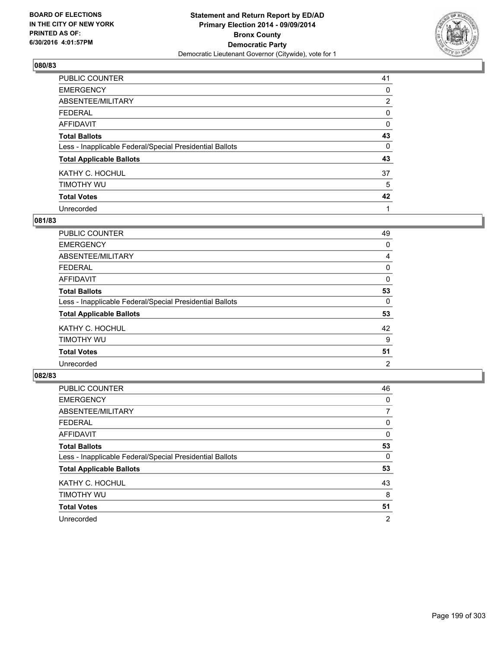

| PUBLIC COUNTER                                           | 41             |
|----------------------------------------------------------|----------------|
| <b>EMERGENCY</b>                                         | 0              |
| ABSENTEE/MILITARY                                        | $\overline{2}$ |
| <b>FEDERAL</b>                                           | 0              |
| <b>AFFIDAVIT</b>                                         | 0              |
| <b>Total Ballots</b>                                     | 43             |
| Less - Inapplicable Federal/Special Presidential Ballots | 0              |
| <b>Total Applicable Ballots</b>                          | 43             |
| KATHY C. HOCHUL                                          | 37             |
| TIMOTHY WU                                               | 5              |
| <b>Total Votes</b>                                       | 42             |
| Unrecorded                                               |                |

### **081/83**

| <b>PUBLIC COUNTER</b>                                    | 49 |
|----------------------------------------------------------|----|
| <b>EMERGENCY</b>                                         | 0  |
| ABSENTEE/MILITARY                                        | 4  |
| <b>FEDERAL</b>                                           | 0  |
| <b>AFFIDAVIT</b>                                         | 0  |
| <b>Total Ballots</b>                                     | 53 |
| Less - Inapplicable Federal/Special Presidential Ballots | 0  |
| <b>Total Applicable Ballots</b>                          | 53 |
| KATHY C. HOCHUL                                          | 42 |
| TIMOTHY WU                                               | 9  |
| <b>Total Votes</b>                                       | 51 |
| Unrecorded                                               | 2  |

| PUBLIC COUNTER                                           | 46 |
|----------------------------------------------------------|----|
| <b>EMERGENCY</b>                                         | 0  |
| ABSENTEE/MILITARY                                        | 7  |
| <b>FEDERAL</b>                                           | 0  |
| AFFIDAVIT                                                | 0  |
| <b>Total Ballots</b>                                     | 53 |
| Less - Inapplicable Federal/Special Presidential Ballots | 0  |
| <b>Total Applicable Ballots</b>                          | 53 |
| KATHY C. HOCHUL                                          | 43 |
| TIMOTHY WU                                               | 8  |
| <b>Total Votes</b>                                       | 51 |
| Unrecorded                                               | 2  |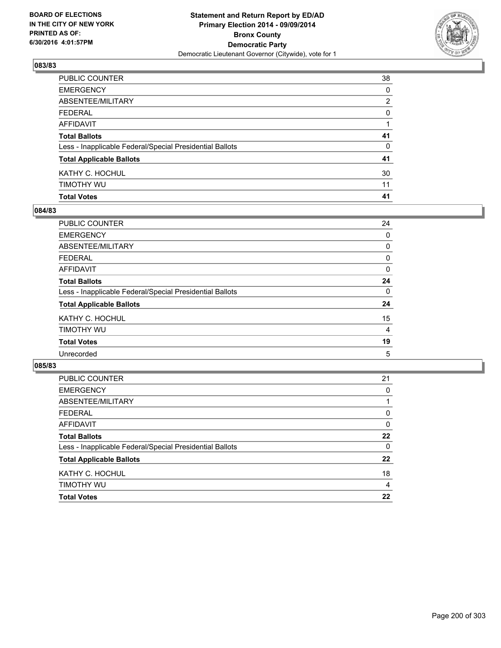

| <b>Total Votes</b>                                       | 41           |
|----------------------------------------------------------|--------------|
| timothy wu                                               | 11           |
| KATHY C. HOCHUL                                          | 30           |
| <b>Total Applicable Ballots</b>                          | 41           |
| Less - Inapplicable Federal/Special Presidential Ballots | 0            |
| <b>Total Ballots</b>                                     | 41           |
| AFFIDAVIT                                                |              |
| FEDERAL                                                  | $\mathbf{0}$ |
| ABSENTEE/MILITARY                                        | 2            |
| EMERGENCY                                                | $\mathbf{0}$ |
| PUBLIC COUNTER                                           | 38           |

## **084/83**

| 24 |
|----|
| 0  |
| 0  |
| 0  |
| 0  |
| 24 |
| 0  |
| 24 |
| 15 |
| 4  |
| 19 |
| 5  |
|    |

| PUBLIC COUNTER                                           | 21 |
|----------------------------------------------------------|----|
| <b>EMERGENCY</b>                                         | 0  |
| ABSENTEE/MILITARY                                        |    |
| <b>FEDERAL</b>                                           | 0  |
| <b>AFFIDAVIT</b>                                         | 0  |
| <b>Total Ballots</b>                                     | 22 |
| Less - Inapplicable Federal/Special Presidential Ballots | 0  |
| <b>Total Applicable Ballots</b>                          | 22 |
| KATHY C. HOCHUL                                          | 18 |
| TIMOTHY WU                                               | 4  |
| <b>Total Votes</b>                                       | 22 |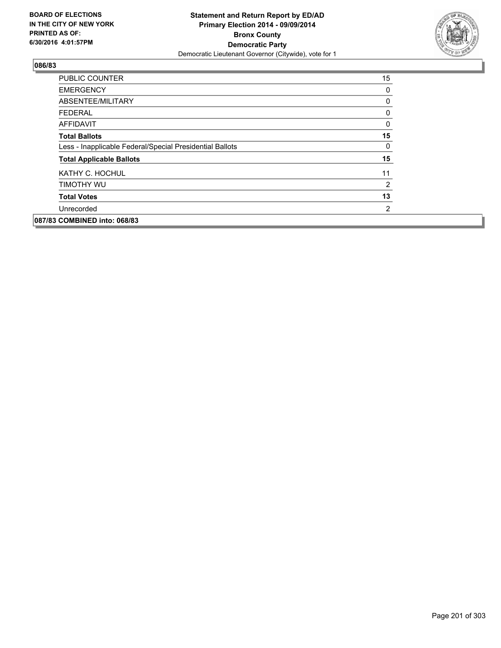

| <b>PUBLIC COUNTER</b>                                    | 15 |
|----------------------------------------------------------|----|
| <b>EMERGENCY</b>                                         | 0  |
| ABSENTEE/MILITARY                                        | 0  |
| <b>FEDERAL</b>                                           | 0  |
| <b>AFFIDAVIT</b>                                         | 0  |
| <b>Total Ballots</b>                                     | 15 |
| Less - Inapplicable Federal/Special Presidential Ballots | 0  |
| <b>Total Applicable Ballots</b>                          | 15 |
| KATHY C. HOCHUL                                          | 11 |
| TIMOTHY WU                                               | 2  |
| <b>Total Votes</b>                                       | 13 |
| Unrecorded                                               | 2  |
| 087/83 COMBINED into: 068/83                             |    |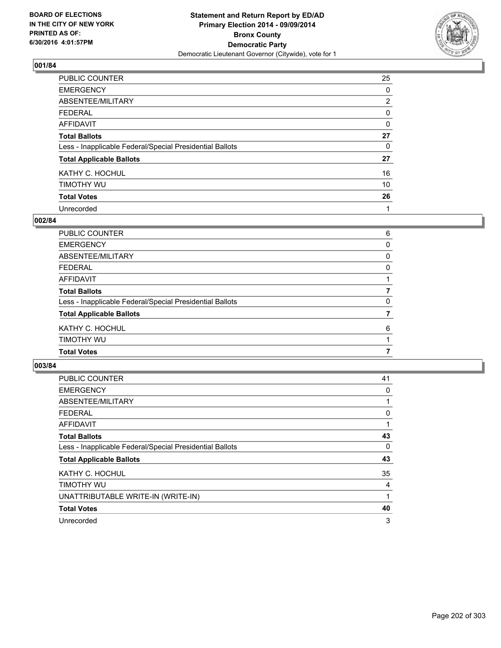

| PUBLIC COUNTER                                           | 25             |
|----------------------------------------------------------|----------------|
| <b>EMERGENCY</b>                                         | 0              |
| ABSENTEE/MILITARY                                        | $\overline{2}$ |
| <b>FEDERAL</b>                                           | 0              |
| <b>AFFIDAVIT</b>                                         | $\Omega$       |
| <b>Total Ballots</b>                                     | 27             |
| Less - Inapplicable Federal/Special Presidential Ballots | 0              |
| <b>Total Applicable Ballots</b>                          | 27             |
| KATHY C. HOCHUL                                          | 16             |
| TIMOTHY WU                                               | 10             |
| <b>Total Votes</b>                                       | 26             |
| Unrecorded                                               | 1              |

### **002/84**

| <b>Total Votes</b>                                       | 7            |
|----------------------------------------------------------|--------------|
| TIMOTHY WU                                               |              |
| KATHY C. HOCHUL                                          | 6            |
| <b>Total Applicable Ballots</b>                          |              |
| Less - Inapplicable Federal/Special Presidential Ballots | 0            |
| <b>Total Ballots</b>                                     | 7            |
| AFFIDAVIT                                                |              |
| <b>FEDERAL</b>                                           | 0            |
| ABSENTEE/MILITARY                                        | $\mathbf{0}$ |
| <b>EMERGENCY</b>                                         | 0            |
| PUBLIC COUNTER                                           | 6            |

| <b>PUBLIC COUNTER</b>                                    | 41 |
|----------------------------------------------------------|----|
| <b>EMERGENCY</b>                                         | 0  |
| ABSENTEE/MILITARY                                        |    |
| <b>FEDERAL</b>                                           | 0  |
| AFFIDAVIT                                                |    |
| <b>Total Ballots</b>                                     | 43 |
| Less - Inapplicable Federal/Special Presidential Ballots | 0  |
| <b>Total Applicable Ballots</b>                          | 43 |
| KATHY C. HOCHUL                                          | 35 |
| TIMOTHY WU                                               | 4  |
| UNATTRIBUTABLE WRITE-IN (WRITE-IN)                       | 1  |
| <b>Total Votes</b>                                       | 40 |
| Unrecorded                                               | 3  |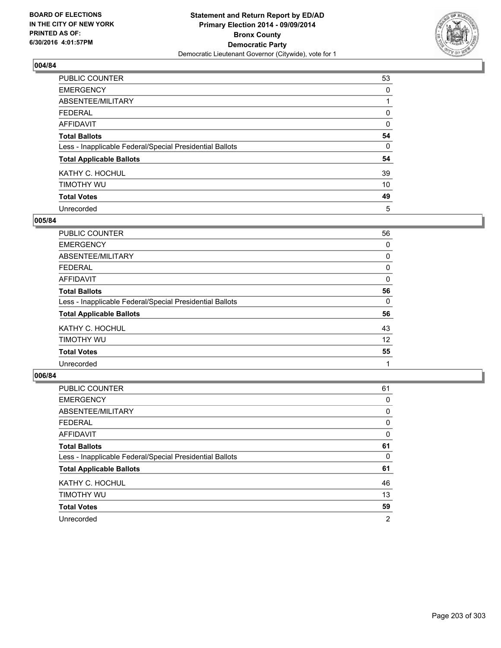

| PUBLIC COUNTER                                           | 53       |
|----------------------------------------------------------|----------|
| <b>EMERGENCY</b>                                         | 0        |
| ABSENTEE/MILITARY                                        |          |
| <b>FEDERAL</b>                                           | 0        |
| <b>AFFIDAVIT</b>                                         | $\Omega$ |
| <b>Total Ballots</b>                                     | 54       |
| Less - Inapplicable Federal/Special Presidential Ballots | $\Omega$ |
| <b>Total Applicable Ballots</b>                          | 54       |
| KATHY C. HOCHUL                                          | 39       |
| TIMOTHY WU                                               | 10       |
| <b>Total Votes</b>                                       | 49       |
| Unrecorded                                               | 5        |

### **005/84**

| <b>PUBLIC COUNTER</b>                                    | 56 |
|----------------------------------------------------------|----|
| <b>EMERGENCY</b>                                         | 0  |
| ABSENTEE/MILITARY                                        | 0  |
| <b>FEDERAL</b>                                           | 0  |
| <b>AFFIDAVIT</b>                                         | 0  |
| <b>Total Ballots</b>                                     | 56 |
| Less - Inapplicable Federal/Special Presidential Ballots | 0  |
| <b>Total Applicable Ballots</b>                          | 56 |
| KATHY C. HOCHUL                                          | 43 |
| TIMOTHY WU                                               | 12 |
| <b>Total Votes</b>                                       | 55 |
| Unrecorded                                               |    |

| PUBLIC COUNTER                                           | 61 |
|----------------------------------------------------------|----|
| <b>EMERGENCY</b>                                         | 0  |
| ABSENTEE/MILITARY                                        | 0  |
| <b>FEDERAL</b>                                           | 0  |
| AFFIDAVIT                                                | 0  |
| <b>Total Ballots</b>                                     | 61 |
| Less - Inapplicable Federal/Special Presidential Ballots | 0  |
| <b>Total Applicable Ballots</b>                          | 61 |
| KATHY C. HOCHUL                                          | 46 |
| TIMOTHY WU                                               | 13 |
| <b>Total Votes</b>                                       | 59 |
| Unrecorded                                               | 2  |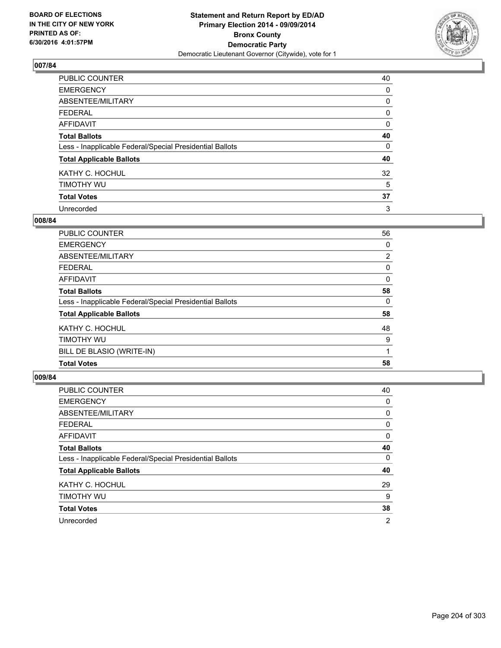

| PUBLIC COUNTER                                           | 40 |
|----------------------------------------------------------|----|
| <b>EMERGENCY</b>                                         | 0  |
| ABSENTEE/MILITARY                                        | 0  |
| <b>FEDERAL</b>                                           | 0  |
| <b>AFFIDAVIT</b>                                         | 0  |
| <b>Total Ballots</b>                                     | 40 |
| Less - Inapplicable Federal/Special Presidential Ballots | 0  |
| <b>Total Applicable Ballots</b>                          | 40 |
| KATHY C. HOCHUL                                          | 32 |
| TIMOTHY WU                                               | 5  |
| <b>Total Votes</b>                                       | 37 |
| Unrecorded                                               | 3  |

### **008/84**

| PUBLIC COUNTER                                           | 56             |
|----------------------------------------------------------|----------------|
| <b>EMERGENCY</b>                                         | 0              |
| ABSENTEE/MILITARY                                        | $\overline{2}$ |
| <b>FEDERAL</b>                                           | 0              |
| <b>AFFIDAVIT</b>                                         | 0              |
| <b>Total Ballots</b>                                     | 58             |
| Less - Inapplicable Federal/Special Presidential Ballots | 0              |
| <b>Total Applicable Ballots</b>                          | 58             |
| KATHY C. HOCHUL                                          | 48             |
| TIMOTHY WU                                               | 9              |
| BILL DE BLASIO (WRITE-IN)                                |                |
| <b>Total Votes</b>                                       | 58             |

| <b>PUBLIC COUNTER</b>                                    | 40             |
|----------------------------------------------------------|----------------|
| <b>EMERGENCY</b>                                         | 0              |
| ABSENTEE/MILITARY                                        | 0              |
| <b>FEDERAL</b>                                           | 0              |
| AFFIDAVIT                                                | 0              |
| <b>Total Ballots</b>                                     | 40             |
| Less - Inapplicable Federal/Special Presidential Ballots | 0              |
| <b>Total Applicable Ballots</b>                          | 40             |
| KATHY C. HOCHUL                                          | 29             |
| TIMOTHY WU                                               | 9              |
| <b>Total Votes</b>                                       | 38             |
| Unrecorded                                               | $\overline{2}$ |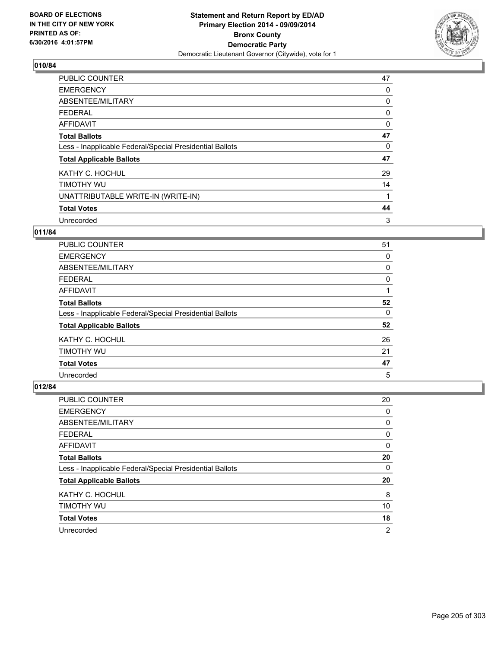

| PUBLIC COUNTER                                           | 47 |
|----------------------------------------------------------|----|
| <b>EMERGENCY</b>                                         | 0  |
| ABSENTEE/MILITARY                                        | 0  |
| <b>FEDERAL</b>                                           | 0  |
| <b>AFFIDAVIT</b>                                         | 0  |
| <b>Total Ballots</b>                                     | 47 |
| Less - Inapplicable Federal/Special Presidential Ballots | 0  |
| <b>Total Applicable Ballots</b>                          | 47 |
| KATHY C. HOCHUL                                          | 29 |
| TIMOTHY WU                                               | 14 |
| UNATTRIBUTABLE WRITE-IN (WRITE-IN)                       | 1  |
| <b>Total Votes</b>                                       | 44 |
| Unrecorded                                               | 3  |

# **011/84**

| PUBLIC COUNTER                                           | 51 |
|----------------------------------------------------------|----|
| <b>EMERGENCY</b>                                         | 0  |
| ABSENTEE/MILITARY                                        | 0  |
| <b>FEDERAL</b>                                           | 0  |
| <b>AFFIDAVIT</b>                                         |    |
| <b>Total Ballots</b>                                     | 52 |
| Less - Inapplicable Federal/Special Presidential Ballots | 0  |
| <b>Total Applicable Ballots</b>                          | 52 |
| KATHY C. HOCHUL                                          | 26 |
| TIMOTHY WU                                               | 21 |
| <b>Total Votes</b>                                       | 47 |
| Unrecorded                                               | 5  |

| <b>PUBLIC COUNTER</b>                                    | 20             |
|----------------------------------------------------------|----------------|
| <b>EMERGENCY</b>                                         | 0              |
| ABSENTEE/MILITARY                                        | 0              |
| <b>FEDERAL</b>                                           | 0              |
| AFFIDAVIT                                                | 0              |
| <b>Total Ballots</b>                                     | 20             |
| Less - Inapplicable Federal/Special Presidential Ballots | 0              |
| <b>Total Applicable Ballots</b>                          | 20             |
| KATHY C. HOCHUL                                          | 8              |
| TIMOTHY WU                                               | 10             |
| <b>Total Votes</b>                                       | 18             |
| Unrecorded                                               | $\overline{2}$ |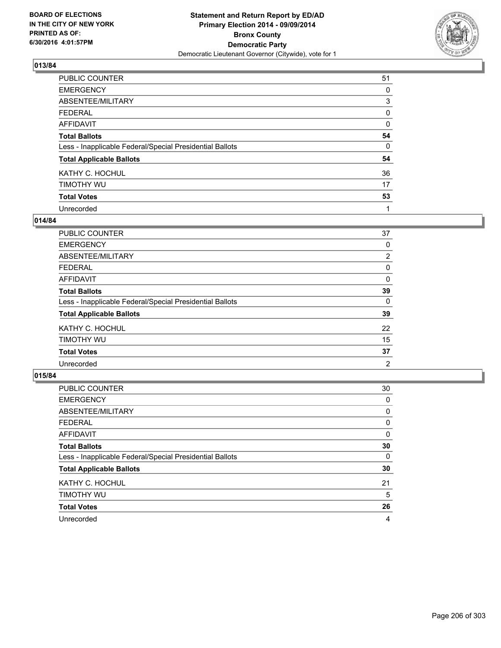

| PUBLIC COUNTER                                           | 51       |
|----------------------------------------------------------|----------|
| <b>EMERGENCY</b>                                         | 0        |
| ABSENTEE/MILITARY                                        | 3        |
| <b>FEDERAL</b>                                           | 0        |
| <b>AFFIDAVIT</b>                                         | $\Omega$ |
| <b>Total Ballots</b>                                     | 54       |
| Less - Inapplicable Federal/Special Presidential Ballots | 0        |
| <b>Total Applicable Ballots</b>                          | 54       |
| KATHY C. HOCHUL                                          | 36       |
| TIMOTHY WU                                               | 17       |
| <b>Total Votes</b>                                       | 53       |
| Unrecorded                                               |          |

### **014/84**

| <b>PUBLIC COUNTER</b>                                    | 37                    |
|----------------------------------------------------------|-----------------------|
| <b>EMERGENCY</b>                                         | 0                     |
| ABSENTEE/MILITARY                                        | $\mathbf{2}^{\prime}$ |
| <b>FEDERAL</b>                                           | 0                     |
| <b>AFFIDAVIT</b>                                         | 0                     |
| <b>Total Ballots</b>                                     | 39                    |
| Less - Inapplicable Federal/Special Presidential Ballots | 0                     |
| <b>Total Applicable Ballots</b>                          | 39                    |
| KATHY C. HOCHUL                                          | 22                    |
| TIMOTHY WU                                               | 15                    |
| <b>Total Votes</b>                                       | 37                    |
| Unrecorded                                               | 2                     |

| PUBLIC COUNTER                                           | 30 |
|----------------------------------------------------------|----|
| <b>EMERGENCY</b>                                         | 0  |
| ABSENTEE/MILITARY                                        | 0  |
| <b>FEDERAL</b>                                           | 0  |
| AFFIDAVIT                                                | 0  |
| <b>Total Ballots</b>                                     | 30 |
| Less - Inapplicable Federal/Special Presidential Ballots | 0  |
| <b>Total Applicable Ballots</b>                          | 30 |
| KATHY C. HOCHUL                                          | 21 |
| TIMOTHY WU                                               | 5  |
| <b>Total Votes</b>                                       | 26 |
| Unrecorded                                               | 4  |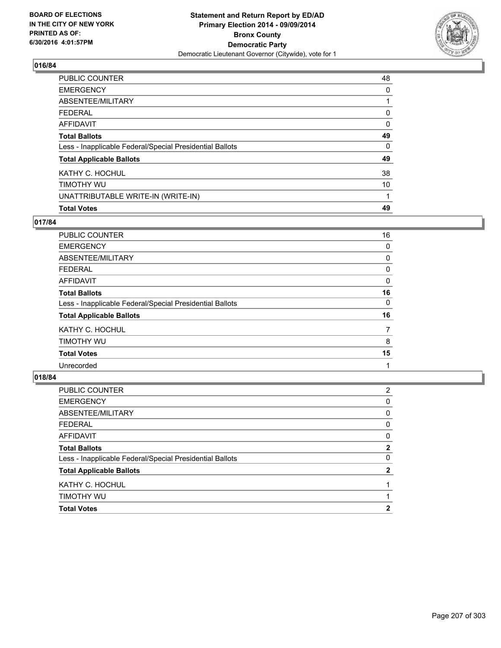

| <b>Total Votes</b>                                       | 49 |
|----------------------------------------------------------|----|
| UNATTRIBUTABLE WRITE-IN (WRITE-IN)                       |    |
| TIMOTHY WU                                               | 10 |
| KATHY C. HOCHUL                                          | 38 |
| <b>Total Applicable Ballots</b>                          | 49 |
| Less - Inapplicable Federal/Special Presidential Ballots | 0  |
| <b>Total Ballots</b>                                     | 49 |
| <b>AFFIDAVIT</b>                                         | 0  |
| <b>FEDERAL</b>                                           | 0  |
| ABSENTEE/MILITARY                                        |    |
| <b>EMERGENCY</b>                                         | 0  |
| PUBLIC COUNTER                                           | 48 |

# **017/84**

| PUBLIC COUNTER                                           | 16 |
|----------------------------------------------------------|----|
| <b>EMERGENCY</b>                                         | 0  |
| ABSENTEE/MILITARY                                        | 0  |
| <b>FEDERAL</b>                                           | 0  |
| <b>AFFIDAVIT</b>                                         | 0  |
| <b>Total Ballots</b>                                     | 16 |
| Less - Inapplicable Federal/Special Presidential Ballots | 0  |
| <b>Total Applicable Ballots</b>                          | 16 |
| KATHY C. HOCHUL                                          | 7  |
| <b>TIMOTHY WU</b>                                        | 8  |
| <b>Total Votes</b>                                       | 15 |
| Unrecorded                                               |    |

| TIMOTHY WU                                               |                |
|----------------------------------------------------------|----------------|
| KATHY C. HOCHUL                                          |                |
| <b>Total Applicable Ballots</b>                          | 2              |
| Less - Inapplicable Federal/Special Presidential Ballots | 0              |
| <b>Total Ballots</b>                                     | $\mathbf{2}$   |
| <b>AFFIDAVIT</b>                                         | 0              |
| <b>FEDERAL</b>                                           | 0              |
| ABSENTEE/MILITARY                                        | 0              |
| <b>EMERGENCY</b>                                         | 0              |
| PUBLIC COUNTER                                           | $\overline{2}$ |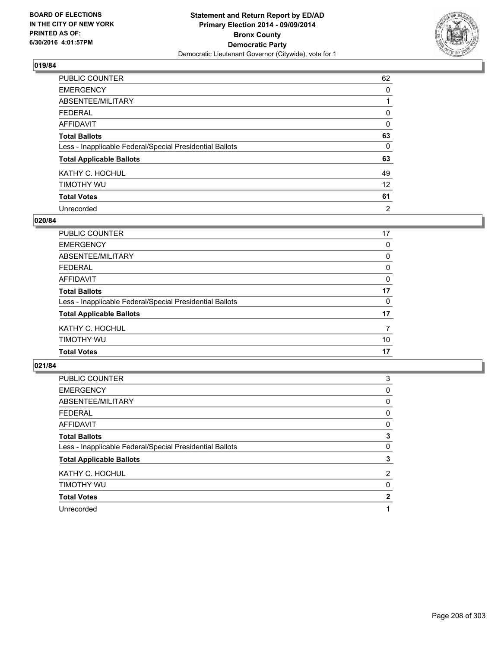

| PUBLIC COUNTER                                           | 62       |
|----------------------------------------------------------|----------|
| <b>EMERGENCY</b>                                         | 0        |
| ABSENTEE/MILITARY                                        |          |
| <b>FEDERAL</b>                                           | 0        |
| <b>AFFIDAVIT</b>                                         | $\Omega$ |
| <b>Total Ballots</b>                                     | 63       |
| Less - Inapplicable Federal/Special Presidential Ballots | 0        |
| <b>Total Applicable Ballots</b>                          | 63       |
| KATHY C. HOCHUL                                          | 49       |
| TIMOTHY WU                                               | 12       |
| <b>Total Votes</b>                                       | 61       |
| Unrecorded                                               | 2        |

### **020/84**

| <b>PUBLIC COUNTER</b>                                    | 17       |
|----------------------------------------------------------|----------|
| <b>EMERGENCY</b>                                         | $\Omega$ |
| <b>ABSENTEE/MILITARY</b>                                 | 0        |
| <b>FEDERAL</b>                                           | 0        |
| <b>AFFIDAVIT</b>                                         | 0        |
| <b>Total Ballots</b>                                     | 17       |
| Less - Inapplicable Federal/Special Presidential Ballots | $\Omega$ |
| <b>Total Applicable Ballots</b>                          | 17       |
| KATHY C. HOCHUL                                          | 7        |
| TIMOTHY WU                                               | 10       |
| <b>Total Votes</b>                                       | 17       |
|                                                          |          |

| <b>PUBLIC COUNTER</b>                                    | 3              |
|----------------------------------------------------------|----------------|
| <b>EMERGENCY</b>                                         | 0              |
| ABSENTEE/MILITARY                                        | 0              |
| <b>FEDERAL</b>                                           | 0              |
| AFFIDAVIT                                                | 0              |
| <b>Total Ballots</b>                                     | 3              |
| Less - Inapplicable Federal/Special Presidential Ballots | 0              |
| <b>Total Applicable Ballots</b>                          | 3              |
| KATHY C. HOCHUL                                          | $\overline{2}$ |
| TIMOTHY WU                                               | 0              |
| <b>Total Votes</b>                                       | 2              |
| Unrecorded                                               |                |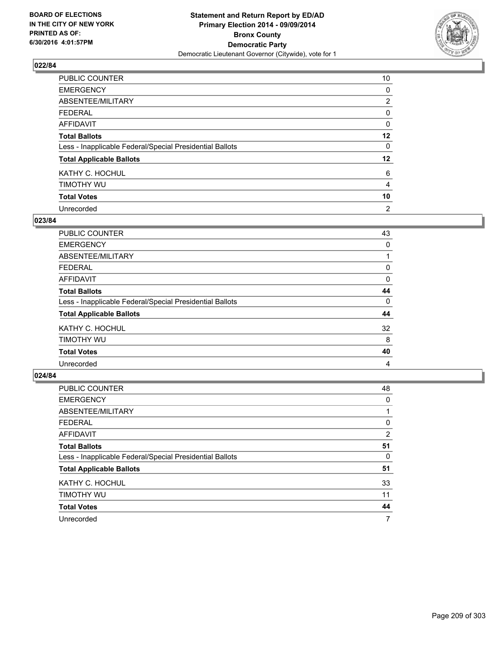

| PUBLIC COUNTER                                           | 10             |
|----------------------------------------------------------|----------------|
| <b>EMERGENCY</b>                                         | 0              |
| ABSENTEE/MILITARY                                        | $\overline{2}$ |
| <b>FEDERAL</b>                                           | 0              |
| <b>AFFIDAVIT</b>                                         | 0              |
| <b>Total Ballots</b>                                     | 12             |
| Less - Inapplicable Federal/Special Presidential Ballots | 0              |
| <b>Total Applicable Ballots</b>                          | $12 \,$        |
| KATHY C. HOCHUL                                          | 6              |
| TIMOTHY WU                                               | 4              |
| <b>Total Votes</b>                                       | 10             |
| Unrecorded                                               | 2              |

### **023/84**

| PUBLIC COUNTER                                           | 43 |
|----------------------------------------------------------|----|
| <b>EMERGENCY</b>                                         | 0  |
| ABSENTEE/MILITARY                                        |    |
| <b>FEDERAL</b>                                           | 0  |
| <b>AFFIDAVIT</b>                                         | 0  |
| <b>Total Ballots</b>                                     | 44 |
| Less - Inapplicable Federal/Special Presidential Ballots | 0  |
| <b>Total Applicable Ballots</b>                          | 44 |
| KATHY C. HOCHUL                                          | 32 |
| TIMOTHY WU                                               | 8  |
| <b>Total Votes</b>                                       | 40 |
| Unrecorded                                               | 4  |
|                                                          |    |

| PUBLIC COUNTER                                           | 48 |
|----------------------------------------------------------|----|
| <b>EMERGENCY</b>                                         | 0  |
| ABSENTEE/MILITARY                                        |    |
| <b>FEDERAL</b>                                           | 0  |
| AFFIDAVIT                                                | 2  |
| <b>Total Ballots</b>                                     | 51 |
| Less - Inapplicable Federal/Special Presidential Ballots | 0  |
| <b>Total Applicable Ballots</b>                          | 51 |
| KATHY C. HOCHUL                                          | 33 |
| TIMOTHY WU                                               | 11 |
| <b>Total Votes</b>                                       | 44 |
| Unrecorded                                               | 7  |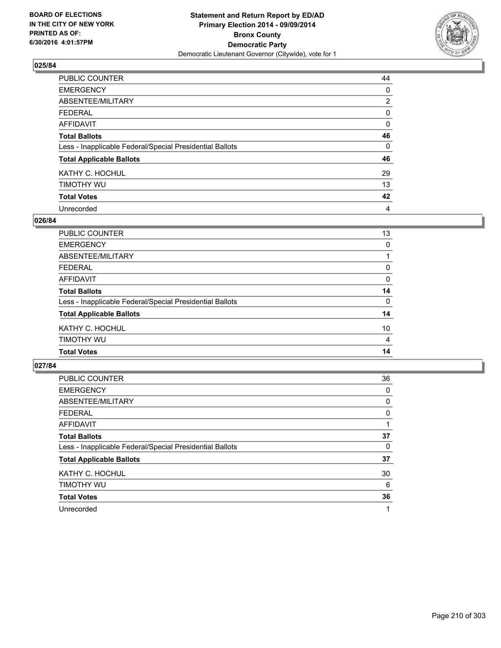

| PUBLIC COUNTER                                           | 44             |
|----------------------------------------------------------|----------------|
| <b>EMERGENCY</b>                                         | 0              |
| ABSENTEE/MILITARY                                        | $\overline{2}$ |
| <b>FEDERAL</b>                                           | 0              |
| <b>AFFIDAVIT</b>                                         | 0              |
| <b>Total Ballots</b>                                     | 46             |
| Less - Inapplicable Federal/Special Presidential Ballots | 0              |
| <b>Total Applicable Ballots</b>                          | 46             |
| KATHY C. HOCHUL                                          | 29             |
| TIMOTHY WU                                               | 13             |
| <b>Total Votes</b>                                       | 42             |
| Unrecorded                                               | 4              |

### **026/84**

| TIMOTHY WU                                               | $\overline{4}$ |
|----------------------------------------------------------|----------------|
| KATHY C. HOCHUL                                          | 10             |
| <b>Total Applicable Ballots</b>                          | 14             |
| Less - Inapplicable Federal/Special Presidential Ballots | 0              |
| <b>Total Ballots</b>                                     | 14             |
| <b>AFFIDAVIT</b>                                         | 0              |
| <b>FEDERAL</b>                                           | 0              |
| <b>ABSENTEE/MILITARY</b>                                 |                |
| <b>EMERGENCY</b>                                         | $\Omega$       |
| <b>PUBLIC COUNTER</b>                                    | 13             |

| <b>PUBLIC COUNTER</b>                                    | 36 |
|----------------------------------------------------------|----|
| <b>EMERGENCY</b>                                         | 0  |
| ABSENTEE/MILITARY                                        | 0  |
| <b>FEDERAL</b>                                           | 0  |
| AFFIDAVIT                                                |    |
| <b>Total Ballots</b>                                     | 37 |
| Less - Inapplicable Federal/Special Presidential Ballots | 0  |
| <b>Total Applicable Ballots</b>                          | 37 |
| KATHY C. HOCHUL                                          | 30 |
| TIMOTHY WU                                               | 6  |
| <b>Total Votes</b>                                       | 36 |
| Unrecorded                                               | 1  |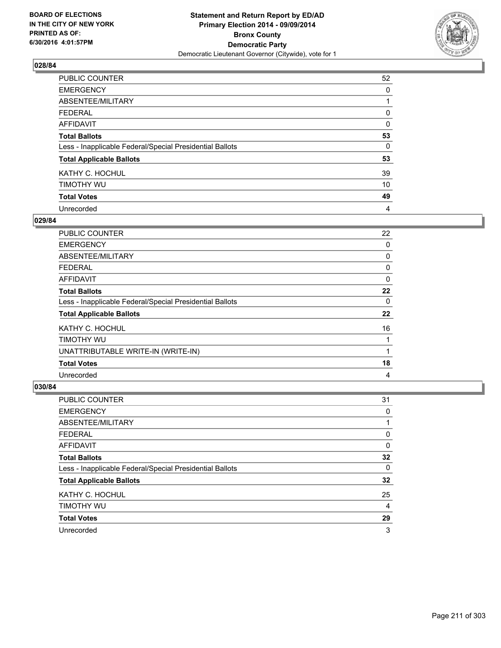

| PUBLIC COUNTER                                           | 52 |
|----------------------------------------------------------|----|
| <b>EMERGENCY</b>                                         | 0  |
| ABSENTEE/MILITARY                                        |    |
| <b>FEDERAL</b>                                           | 0  |
| <b>AFFIDAVIT</b>                                         | 0  |
| <b>Total Ballots</b>                                     | 53 |
| Less - Inapplicable Federal/Special Presidential Ballots | 0  |
| <b>Total Applicable Ballots</b>                          | 53 |
| KATHY C. HOCHUL                                          | 39 |
| TIMOTHY WU                                               | 10 |
| <b>Total Votes</b>                                       | 49 |
| Unrecorded                                               | 4  |

### **029/84**

| <b>PUBLIC COUNTER</b>                                    | 22 |
|----------------------------------------------------------|----|
| <b>EMERGENCY</b>                                         | 0  |
| ABSENTEE/MILITARY                                        | 0  |
| <b>FEDERAL</b>                                           | 0  |
| AFFIDAVIT                                                | 0  |
| <b>Total Ballots</b>                                     | 22 |
| Less - Inapplicable Federal/Special Presidential Ballots | 0  |
| <b>Total Applicable Ballots</b>                          | 22 |
| KATHY C. HOCHUL                                          | 16 |
| TIMOTHY WU                                               |    |
| UNATTRIBUTABLE WRITE-IN (WRITE-IN)                       | 1  |
| <b>Total Votes</b>                                       | 18 |
| Unrecorded                                               | 4  |

| <b>PUBLIC COUNTER</b>                                    | 31 |
|----------------------------------------------------------|----|
| <b>EMERGENCY</b>                                         | 0  |
| ABSENTEE/MILITARY                                        |    |
| FEDERAL                                                  | 0  |
| AFFIDAVIT                                                | 0  |
| <b>Total Ballots</b>                                     | 32 |
| Less - Inapplicable Federal/Special Presidential Ballots | 0  |
| <b>Total Applicable Ballots</b>                          | 32 |
| KATHY C. HOCHUL                                          | 25 |
| TIMOTHY WU                                               | 4  |
| <b>Total Votes</b>                                       | 29 |
| Unrecorded                                               | 3  |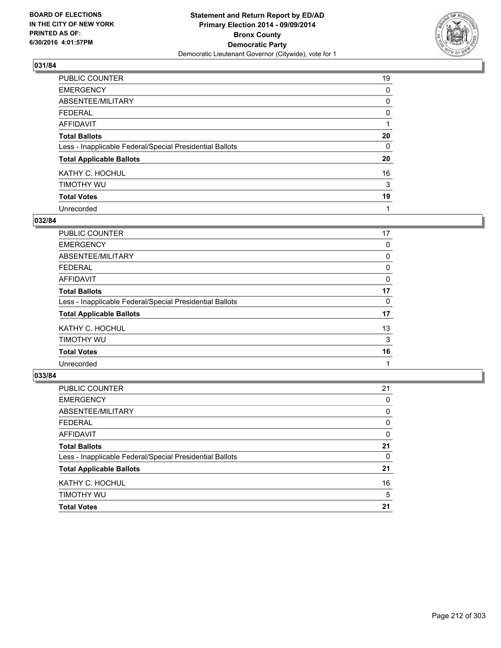

| PUBLIC COUNTER                                           | 19 |
|----------------------------------------------------------|----|
| <b>EMERGENCY</b>                                         | 0  |
| ABSENTEE/MILITARY                                        | 0  |
| <b>FEDERAL</b>                                           | 0  |
| <b>AFFIDAVIT</b>                                         |    |
| <b>Total Ballots</b>                                     | 20 |
| Less - Inapplicable Federal/Special Presidential Ballots | 0  |
| <b>Total Applicable Ballots</b>                          | 20 |
| KATHY C. HOCHUL                                          | 16 |
| TIMOTHY WU                                               | 3  |
| <b>Total Votes</b>                                       | 19 |
| Unrecorded                                               |    |

### **032/84**

| PUBLIC COUNTER                                           | 17 |
|----------------------------------------------------------|----|
| <b>EMERGENCY</b>                                         | 0  |
| ABSENTEE/MILITARY                                        | 0  |
| <b>FEDERAL</b>                                           | 0  |
| <b>AFFIDAVIT</b>                                         | 0  |
| <b>Total Ballots</b>                                     | 17 |
| Less - Inapplicable Federal/Special Presidential Ballots | 0  |
| <b>Total Applicable Ballots</b>                          | 17 |
| KATHY C. HOCHUL                                          | 13 |
| TIMOTHY WU                                               | 3  |
| <b>Total Votes</b>                                       | 16 |
| Unrecorded                                               |    |

| <b>PUBLIC COUNTER</b>                                    | 21       |
|----------------------------------------------------------|----------|
| <b>EMERGENCY</b>                                         | 0        |
| ABSENTEE/MILITARY                                        | 0        |
| <b>FEDERAL</b>                                           | 0        |
| <b>AFFIDAVIT</b>                                         | 0        |
| <b>Total Ballots</b>                                     | 21       |
| Less - Inapplicable Federal/Special Presidential Ballots | $\Omega$ |
| <b>Total Applicable Ballots</b>                          | 21       |
| KATHY C. HOCHUL                                          | 16       |
| TIMOTHY WU                                               | 5        |
| <b>Total Votes</b>                                       | 21       |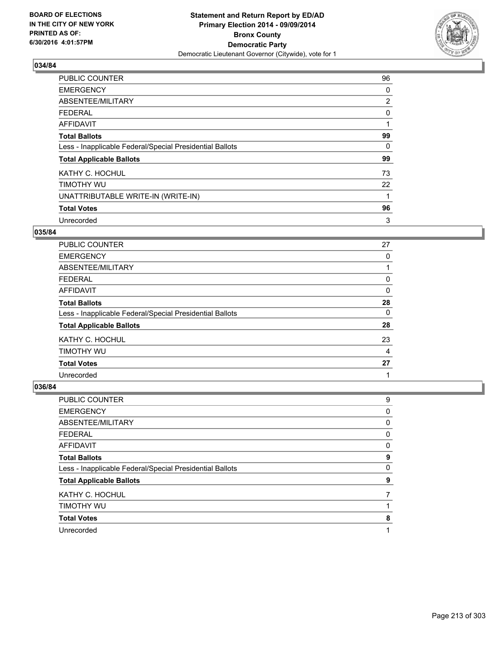

| PUBLIC COUNTER                                           | 96             |
|----------------------------------------------------------|----------------|
| <b>EMERGENCY</b>                                         | 0              |
| ABSENTEE/MILITARY                                        | $\overline{2}$ |
| <b>FEDERAL</b>                                           | 0              |
| <b>AFFIDAVIT</b>                                         |                |
| <b>Total Ballots</b>                                     | 99             |
| Less - Inapplicable Federal/Special Presidential Ballots | 0              |
| <b>Total Applicable Ballots</b>                          | 99             |
| KATHY C. HOCHUL                                          | 73             |
| TIMOTHY WU                                               | 22             |
| UNATTRIBUTABLE WRITE-IN (WRITE-IN)                       |                |
| <b>Total Votes</b>                                       | 96             |
| Unrecorded                                               | 3              |

# **035/84**

| <b>PUBLIC COUNTER</b>                                    | 27 |
|----------------------------------------------------------|----|
| <b>EMERGENCY</b>                                         | 0  |
| ABSENTEE/MILITARY                                        |    |
| <b>FEDERAL</b>                                           | 0  |
| <b>AFFIDAVIT</b>                                         | 0  |
| <b>Total Ballots</b>                                     | 28 |
| Less - Inapplicable Federal/Special Presidential Ballots | 0  |
| <b>Total Applicable Ballots</b>                          | 28 |
| KATHY C. HOCHUL                                          | 23 |
| TIMOTHY WU                                               | 4  |
| <b>Total Votes</b>                                       | 27 |
| Unrecorded                                               |    |

| PUBLIC COUNTER                                           | 9 |
|----------------------------------------------------------|---|
| <b>EMERGENCY</b>                                         | 0 |
| ABSENTEE/MILITARY                                        | 0 |
| <b>FEDERAL</b>                                           | 0 |
| AFFIDAVIT                                                | 0 |
| <b>Total Ballots</b>                                     | 9 |
| Less - Inapplicable Federal/Special Presidential Ballots | 0 |
| <b>Total Applicable Ballots</b>                          | 9 |
| KATHY C. HOCHUL                                          |   |
| TIMOTHY WU                                               |   |
| <b>Total Votes</b>                                       | 8 |
| Unrecorded                                               |   |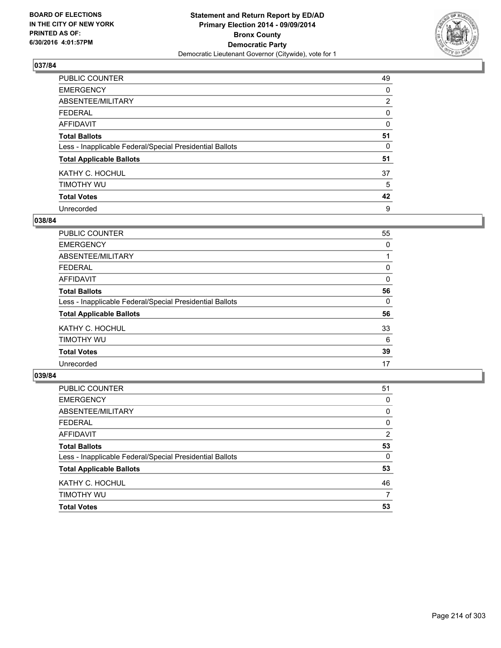

| PUBLIC COUNTER                                           | 49             |
|----------------------------------------------------------|----------------|
| <b>EMERGENCY</b>                                         | 0              |
| ABSENTEE/MILITARY                                        | $\overline{2}$ |
| <b>FEDERAL</b>                                           | 0              |
| <b>AFFIDAVIT</b>                                         | $\Omega$       |
| <b>Total Ballots</b>                                     | 51             |
| Less - Inapplicable Federal/Special Presidential Ballots | 0              |
| <b>Total Applicable Ballots</b>                          | 51             |
| KATHY C. HOCHUL                                          | 37             |
| TIMOTHY WU                                               | 5              |
| <b>Total Votes</b>                                       | 42             |
| Unrecorded                                               | 9              |

### **038/84**

| PUBLIC COUNTER                                           | 55 |
|----------------------------------------------------------|----|
| <b>EMERGENCY</b>                                         | 0  |
| ABSENTEE/MILITARY                                        |    |
| <b>FEDERAL</b>                                           | 0  |
| <b>AFFIDAVIT</b>                                         | 0  |
| <b>Total Ballots</b>                                     | 56 |
| Less - Inapplicable Federal/Special Presidential Ballots | 0  |
| <b>Total Applicable Ballots</b>                          | 56 |
| KATHY C. HOCHUL                                          | 33 |
| TIMOTHY WU                                               | 6  |
| <b>Total Votes</b>                                       | 39 |
| Unrecorded                                               | 17 |

| PUBLIC COUNTER                                           | 51       |
|----------------------------------------------------------|----------|
| <b>EMERGENCY</b>                                         | 0        |
| ABSENTEE/MILITARY                                        | 0        |
| <b>FEDERAL</b>                                           | 0        |
| <b>AFFIDAVIT</b>                                         | 2        |
| <b>Total Ballots</b>                                     | 53       |
| Less - Inapplicable Federal/Special Presidential Ballots | $\Omega$ |
| <b>Total Applicable Ballots</b>                          | 53       |
| KATHY C. HOCHUL                                          | 46       |
| TIMOTHY WU                                               | 7        |
| <b>Total Votes</b>                                       | 53       |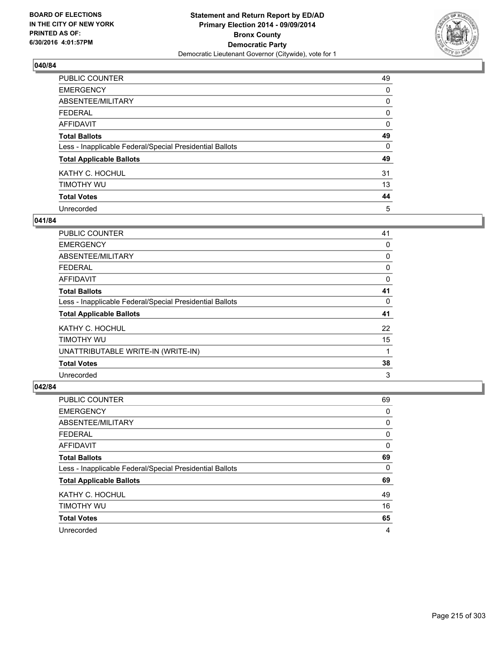

| PUBLIC COUNTER                                           | 49 |
|----------------------------------------------------------|----|
| <b>EMERGENCY</b>                                         | 0  |
| ABSENTEE/MILITARY                                        | 0  |
| <b>FEDERAL</b>                                           | 0  |
| <b>AFFIDAVIT</b>                                         | 0  |
| <b>Total Ballots</b>                                     | 49 |
| Less - Inapplicable Federal/Special Presidential Ballots | 0  |
| <b>Total Applicable Ballots</b>                          | 49 |
| KATHY C. HOCHUL                                          | 31 |
| TIMOTHY WU                                               | 13 |
| <b>Total Votes</b>                                       | 44 |
| Unrecorded                                               | 5  |

### **041/84**

| <b>PUBLIC COUNTER</b>                                    | 41 |
|----------------------------------------------------------|----|
| <b>EMERGENCY</b>                                         | 0  |
| ABSENTEE/MILITARY                                        | 0  |
| <b>FEDERAL</b>                                           | 0  |
| AFFIDAVIT                                                | 0  |
| <b>Total Ballots</b>                                     | 41 |
| Less - Inapplicable Federal/Special Presidential Ballots | 0  |
| <b>Total Applicable Ballots</b>                          | 41 |
| KATHY C. HOCHUL                                          | 22 |
| TIMOTHY WU                                               | 15 |
| UNATTRIBUTABLE WRITE-IN (WRITE-IN)                       | 1  |
| <b>Total Votes</b>                                       | 38 |
| Unrecorded                                               | 3  |

| <b>PUBLIC COUNTER</b>                                    | 69 |
|----------------------------------------------------------|----|
| <b>EMERGENCY</b>                                         | 0  |
| ABSENTEE/MILITARY                                        | 0  |
| <b>FEDERAL</b>                                           | 0  |
| AFFIDAVIT                                                | 0  |
| <b>Total Ballots</b>                                     | 69 |
| Less - Inapplicable Federal/Special Presidential Ballots | 0  |
| <b>Total Applicable Ballots</b>                          | 69 |
| KATHY C. HOCHUL                                          | 49 |
| TIMOTHY WU                                               | 16 |
| <b>Total Votes</b>                                       | 65 |
| Unrecorded                                               | 4  |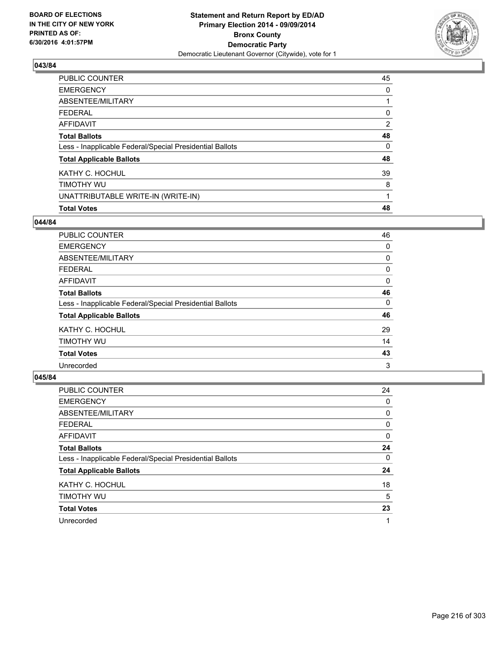

| PUBLIC COUNTER                                           | 45             |
|----------------------------------------------------------|----------------|
| <b>EMERGENCY</b>                                         | 0              |
| ABSENTEE/MILITARY                                        |                |
| FEDERAL                                                  | 0              |
| AFFIDAVIT                                                | $\overline{2}$ |
| <b>Total Ballots</b>                                     | 48             |
| Less - Inapplicable Federal/Special Presidential Ballots | 0              |
| <b>Total Applicable Ballots</b>                          | 48             |
| KATHY C. HOCHUL                                          | 39             |
| TIMOTHY WU                                               | 8              |
| UNATTRIBUTABLE WRITE-IN (WRITE-IN)                       |                |
| <b>Total Votes</b>                                       | 48             |

### **044/84**

| PUBLIC COUNTER                                           | 46 |
|----------------------------------------------------------|----|
| <b>EMERGENCY</b>                                         | 0  |
| ABSENTEE/MILITARY                                        | 0  |
| <b>FEDERAL</b>                                           | 0  |
| AFFIDAVIT                                                | 0  |
| <b>Total Ballots</b>                                     | 46 |
| Less - Inapplicable Federal/Special Presidential Ballots | 0  |
| <b>Total Applicable Ballots</b>                          | 46 |
| KATHY C. HOCHUL                                          | 29 |
| TIMOTHY WU                                               | 14 |
| <b>Total Votes</b>                                       | 43 |
| Unrecorded                                               | 3  |
|                                                          |    |

| PUBLIC COUNTER                                           | 24 |
|----------------------------------------------------------|----|
| <b>EMERGENCY</b>                                         | 0  |
| ABSENTEE/MILITARY                                        | 0  |
| <b>FEDERAL</b>                                           | 0  |
| AFFIDAVIT                                                | 0  |
| <b>Total Ballots</b>                                     | 24 |
| Less - Inapplicable Federal/Special Presidential Ballots | 0  |
| <b>Total Applicable Ballots</b>                          | 24 |
| KATHY C. HOCHUL                                          | 18 |
| TIMOTHY WU                                               | 5  |
| <b>Total Votes</b>                                       | 23 |
| Unrecorded                                               | 1  |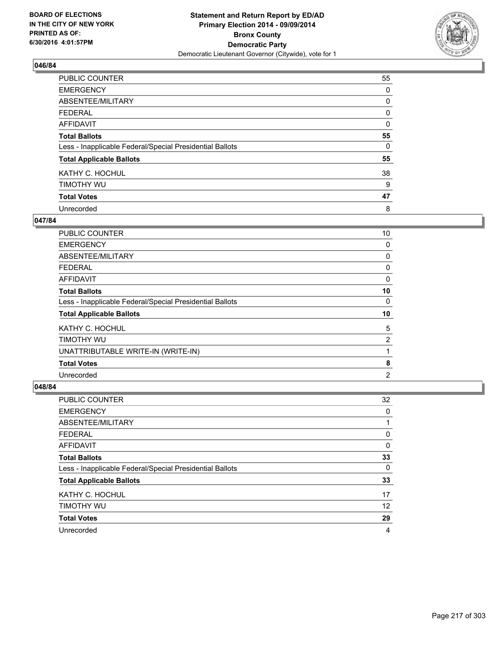

| PUBLIC COUNTER                                           | 55 |
|----------------------------------------------------------|----|
| <b>EMERGENCY</b>                                         | 0  |
| ABSENTEE/MILITARY                                        | 0  |
| <b>FEDERAL</b>                                           | 0  |
| <b>AFFIDAVIT</b>                                         | 0  |
| <b>Total Ballots</b>                                     | 55 |
| Less - Inapplicable Federal/Special Presidential Ballots | 0  |
| <b>Total Applicable Ballots</b>                          | 55 |
| KATHY C. HOCHUL                                          | 38 |
| TIMOTHY WU                                               | 9  |
| <b>Total Votes</b>                                       | 47 |
| Unrecorded                                               | 8  |

#### **047/84**

| <b>PUBLIC COUNTER</b>                                    | 10             |
|----------------------------------------------------------|----------------|
| <b>EMERGENCY</b>                                         | 0              |
| ABSENTEE/MILITARY                                        | 0              |
| <b>FEDERAL</b>                                           | 0              |
| AFFIDAVIT                                                | 0              |
| <b>Total Ballots</b>                                     | 10             |
| Less - Inapplicable Federal/Special Presidential Ballots | 0              |
| <b>Total Applicable Ballots</b>                          | 10             |
| KATHY C. HOCHUL                                          | 5              |
| TIMOTHY WU                                               | 2              |
| UNATTRIBUTABLE WRITE-IN (WRITE-IN)                       |                |
| <b>Total Votes</b>                                       | 8              |
| Unrecorded                                               | $\overline{2}$ |

| <b>PUBLIC COUNTER</b>                                    | 32 |
|----------------------------------------------------------|----|
| <b>EMERGENCY</b>                                         | 0  |
| ABSENTEE/MILITARY                                        |    |
| <b>FEDERAL</b>                                           | 0  |
| AFFIDAVIT                                                | 0  |
| <b>Total Ballots</b>                                     | 33 |
| Less - Inapplicable Federal/Special Presidential Ballots | 0  |
| <b>Total Applicable Ballots</b>                          | 33 |
| KATHY C. HOCHUL                                          | 17 |
| TIMOTHY WU                                               | 12 |
| <b>Total Votes</b>                                       | 29 |
| Unrecorded                                               | 4  |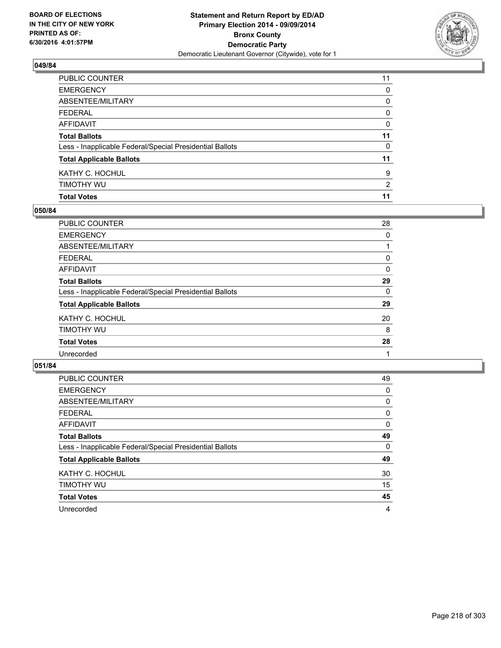

| PUBLIC COUNTER                                           | 11             |
|----------------------------------------------------------|----------------|
| EMERGENCY                                                | 0              |
| ABSENTEE/MILITARY                                        | 0              |
| FEDERAL                                                  | $\mathbf{0}$   |
| AFFIDAVIT                                                | 0              |
| <b>Total Ballots</b>                                     | 11             |
| Less - Inapplicable Federal/Special Presidential Ballots | 0              |
| <b>Total Applicable Ballots</b>                          | 11             |
| KATHY C. HOCHUL                                          | 9              |
| timothy wu                                               | $\overline{2}$ |
| <b>Total Votes</b>                                       | 11             |

### **050/84**

| PUBLIC COUNTER                                           | 28 |
|----------------------------------------------------------|----|
| <b>EMERGENCY</b>                                         | 0  |
| ABSENTEE/MILITARY                                        |    |
| <b>FEDERAL</b>                                           | 0  |
| <b>AFFIDAVIT</b>                                         | 0  |
| <b>Total Ballots</b>                                     | 29 |
| Less - Inapplicable Federal/Special Presidential Ballots | 0  |
| <b>Total Applicable Ballots</b>                          | 29 |
| KATHY C. HOCHUL                                          | 20 |
| TIMOTHY WU                                               | 8  |
| <b>Total Votes</b>                                       | 28 |
| Unrecorded                                               |    |
|                                                          |    |

| <b>PUBLIC COUNTER</b>                                    | 49 |
|----------------------------------------------------------|----|
| <b>EMERGENCY</b>                                         | 0  |
| ABSENTEE/MILITARY                                        | 0  |
| <b>FEDERAL</b>                                           | 0  |
| <b>AFFIDAVIT</b>                                         | 0  |
| <b>Total Ballots</b>                                     | 49 |
| Less - Inapplicable Federal/Special Presidential Ballots | 0  |
| <b>Total Applicable Ballots</b>                          | 49 |
| KATHY C. HOCHUL                                          | 30 |
| TIMOTHY WU                                               | 15 |
| <b>Total Votes</b>                                       | 45 |
| Unrecorded                                               | 4  |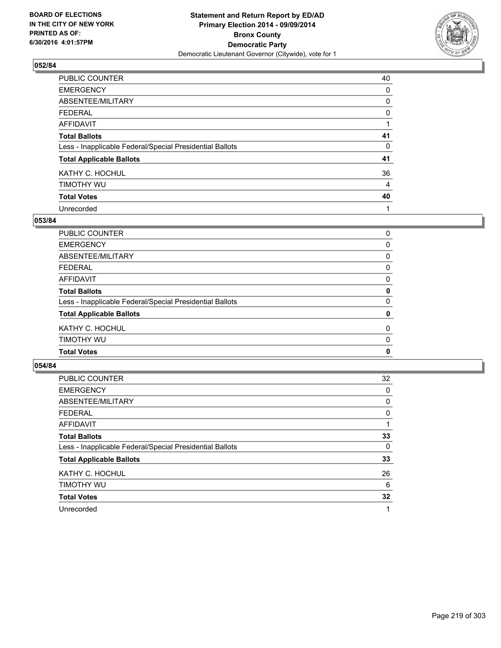

| PUBLIC COUNTER                                           | 40 |
|----------------------------------------------------------|----|
| <b>EMERGENCY</b>                                         | 0  |
| ABSENTEE/MILITARY                                        | 0  |
| <b>FEDERAL</b>                                           | 0  |
| <b>AFFIDAVIT</b>                                         |    |
| <b>Total Ballots</b>                                     | 41 |
| Less - Inapplicable Federal/Special Presidential Ballots | 0  |
| <b>Total Applicable Ballots</b>                          | 41 |
| KATHY C. HOCHUL                                          | 36 |
| TIMOTHY WU                                               | 4  |
| <b>Total Votes</b>                                       | 40 |
| Unrecorded                                               |    |

#### **053/84**

| <b>Total Votes</b>                                       | 0        |
|----------------------------------------------------------|----------|
|                                                          |          |
| TIMOTHY WU                                               | 0        |
| KATHY C. HOCHUL                                          | 0        |
| <b>Total Applicable Ballots</b>                          | 0        |
| Less - Inapplicable Federal/Special Presidential Ballots | $\Omega$ |
| <b>Total Ballots</b>                                     | 0        |
| <b>AFFIDAVIT</b>                                         | 0        |
| <b>FEDERAL</b>                                           | 0        |
| <b>ABSENTEE/MILITARY</b>                                 | 0        |
| <b>EMERGENCY</b>                                         | 0        |
| <b>PUBLIC COUNTER</b>                                    | 0        |

| <b>PUBLIC COUNTER</b>                                    | 32 |
|----------------------------------------------------------|----|
| <b>EMERGENCY</b>                                         | 0  |
| ABSENTEE/MILITARY                                        | 0  |
| <b>FEDERAL</b>                                           | 0  |
| AFFIDAVIT                                                |    |
| <b>Total Ballots</b>                                     | 33 |
| Less - Inapplicable Federal/Special Presidential Ballots | 0  |
| <b>Total Applicable Ballots</b>                          | 33 |
| KATHY C. HOCHUL                                          | 26 |
| TIMOTHY WU                                               | 6  |
| <b>Total Votes</b>                                       | 32 |
| Unrecorded                                               | 1  |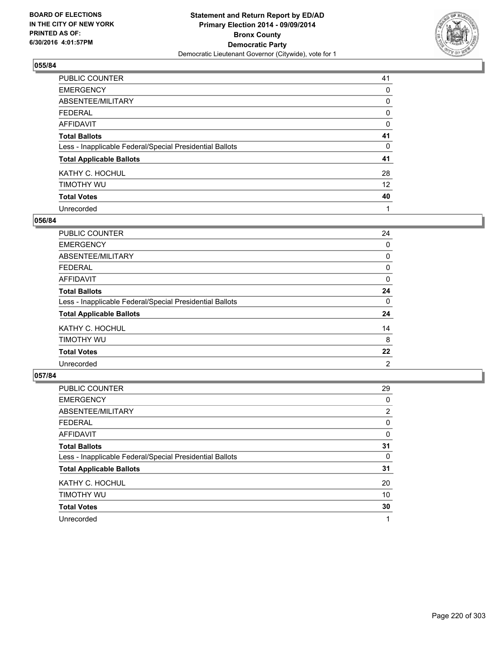

| PUBLIC COUNTER                                           | 41 |
|----------------------------------------------------------|----|
| <b>EMERGENCY</b>                                         | 0  |
| ABSENTEE/MILITARY                                        | 0  |
| <b>FEDERAL</b>                                           | 0  |
| <b>AFFIDAVIT</b>                                         | 0  |
| <b>Total Ballots</b>                                     | 41 |
| Less - Inapplicable Federal/Special Presidential Ballots | 0  |
| <b>Total Applicable Ballots</b>                          | 41 |
| KATHY C. HOCHUL                                          | 28 |
| TIMOTHY WU                                               | 12 |
| <b>Total Votes</b>                                       | 40 |
| Unrecorded                                               |    |

### **056/84**

| <b>PUBLIC COUNTER</b>                                    | 24 |
|----------------------------------------------------------|----|
| <b>EMERGENCY</b>                                         | 0  |
| ABSENTEE/MILITARY                                        | 0  |
| <b>FEDERAL</b>                                           | 0  |
| <b>AFFIDAVIT</b>                                         | 0  |
| <b>Total Ballots</b>                                     | 24 |
| Less - Inapplicable Federal/Special Presidential Ballots | 0  |
| <b>Total Applicable Ballots</b>                          | 24 |
| KATHY C. HOCHUL                                          | 14 |
| TIMOTHY WU                                               | 8  |
| <b>Total Votes</b>                                       | 22 |
| Unrecorded                                               | 2  |

| PUBLIC COUNTER                                           | 29             |
|----------------------------------------------------------|----------------|
| <b>EMERGENCY</b>                                         | 0              |
| ABSENTEE/MILITARY                                        | $\overline{2}$ |
| <b>FEDERAL</b>                                           | 0              |
| AFFIDAVIT                                                | 0              |
| <b>Total Ballots</b>                                     | 31             |
| Less - Inapplicable Federal/Special Presidential Ballots | 0              |
| <b>Total Applicable Ballots</b>                          | 31             |
| KATHY C. HOCHUL                                          | 20             |
| TIMOTHY WU                                               | 10             |
| <b>Total Votes</b>                                       | 30             |
| Unrecorded                                               |                |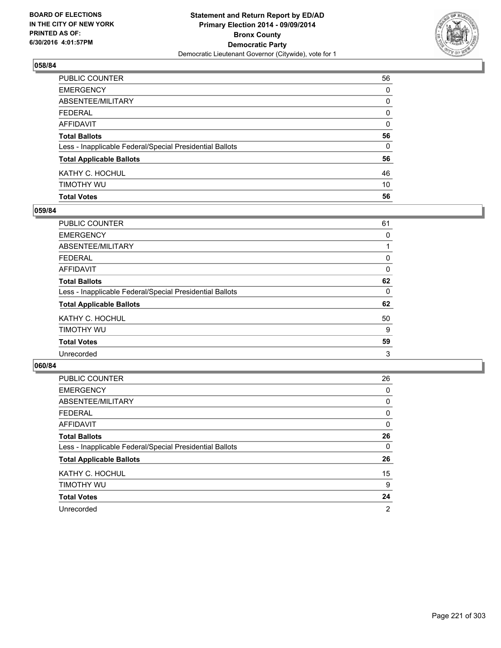

| PUBLIC COUNTER                                           | 56       |
|----------------------------------------------------------|----------|
| EMERGENCY                                                | $\Omega$ |
| ABSENTEE/MILITARY                                        | 0        |
| FEDERAL                                                  | 0        |
| AFFIDAVIT                                                | 0        |
| <b>Total Ballots</b>                                     | 56       |
| Less - Inapplicable Federal/Special Presidential Ballots | 0        |
| <b>Total Applicable Ballots</b>                          | 56       |
| KATHY C. HOCHUL                                          | 46       |
| timothy wu                                               | 10       |
| <b>Total Votes</b>                                       | 56       |

### **059/84**

| PUBLIC COUNTER                                           | 61 |
|----------------------------------------------------------|----|
| <b>EMERGENCY</b>                                         | 0  |
| ABSENTEE/MILITARY                                        |    |
| <b>FEDERAL</b>                                           | 0  |
| <b>AFFIDAVIT</b>                                         | 0  |
| <b>Total Ballots</b>                                     | 62 |
| Less - Inapplicable Federal/Special Presidential Ballots | 0  |
| <b>Total Applicable Ballots</b>                          | 62 |
| KATHY C. HOCHUL                                          | 50 |
| TIMOTHY WU                                               | 9  |
| <b>Total Votes</b>                                       | 59 |
| Unrecorded                                               | 3  |
|                                                          |    |

| <b>PUBLIC COUNTER</b>                                    | 26             |
|----------------------------------------------------------|----------------|
| <b>EMERGENCY</b>                                         | 0              |
| ABSENTEE/MILITARY                                        | 0              |
| <b>FEDERAL</b>                                           | 0              |
| AFFIDAVIT                                                | 0              |
| <b>Total Ballots</b>                                     | 26             |
| Less - Inapplicable Federal/Special Presidential Ballots | 0              |
| <b>Total Applicable Ballots</b>                          | 26             |
| KATHY C. HOCHUL                                          | 15             |
| TIMOTHY WU                                               | 9              |
| <b>Total Votes</b>                                       | 24             |
| Unrecorded                                               | $\overline{2}$ |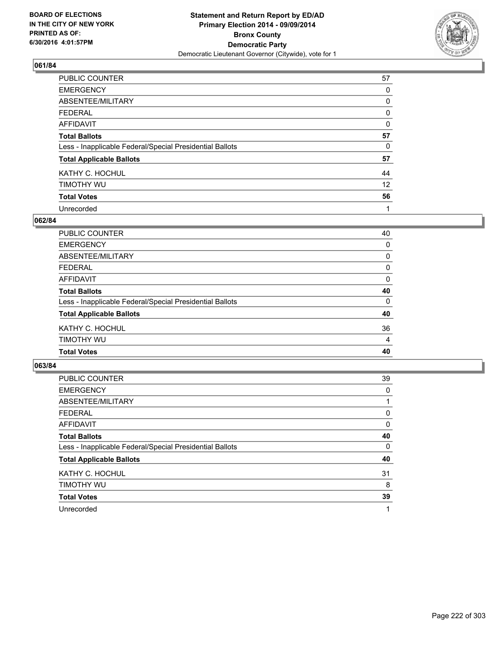

| PUBLIC COUNTER                                           | 57       |
|----------------------------------------------------------|----------|
| <b>EMERGENCY</b>                                         | 0        |
| ABSENTEE/MILITARY                                        | 0        |
| <b>FEDERAL</b>                                           | 0        |
| <b>AFFIDAVIT</b>                                         | $\Omega$ |
| <b>Total Ballots</b>                                     | 57       |
| Less - Inapplicable Federal/Special Presidential Ballots | 0        |
| <b>Total Applicable Ballots</b>                          | 57       |
| KATHY C. HOCHUL                                          | 44       |
| TIMOTHY WU                                               | 12       |
| <b>Total Votes</b>                                       | 56       |
| Unrecorded                                               |          |

#### **062/84**

| <b>Total Votes</b>                                       | 40             |
|----------------------------------------------------------|----------------|
| TIMOTHY WU                                               | $\overline{4}$ |
| KATHY C. HOCHUL                                          | 36             |
| <b>Total Applicable Ballots</b>                          | 40             |
| Less - Inapplicable Federal/Special Presidential Ballots | 0              |
| <b>Total Ballots</b>                                     | 40             |
| <b>AFFIDAVIT</b>                                         | 0              |
| <b>FEDERAL</b>                                           | 0              |
| ABSENTEE/MILITARY                                        | $\Omega$       |
| <b>EMERGENCY</b>                                         | 0              |
| PUBLIC COUNTER                                           | 40             |

| <b>PUBLIC COUNTER</b>                                    | 39       |
|----------------------------------------------------------|----------|
| <b>EMERGENCY</b>                                         | 0        |
| ABSENTEE/MILITARY                                        |          |
| <b>FEDERAL</b>                                           | 0        |
| AFFIDAVIT                                                | 0        |
| <b>Total Ballots</b>                                     | 40       |
| Less - Inapplicable Federal/Special Presidential Ballots | $\Omega$ |
| <b>Total Applicable Ballots</b>                          | 40       |
| KATHY C. HOCHUL                                          | 31       |
| TIMOTHY WU                                               | 8        |
| <b>Total Votes</b>                                       | 39       |
| Unrecorded                                               |          |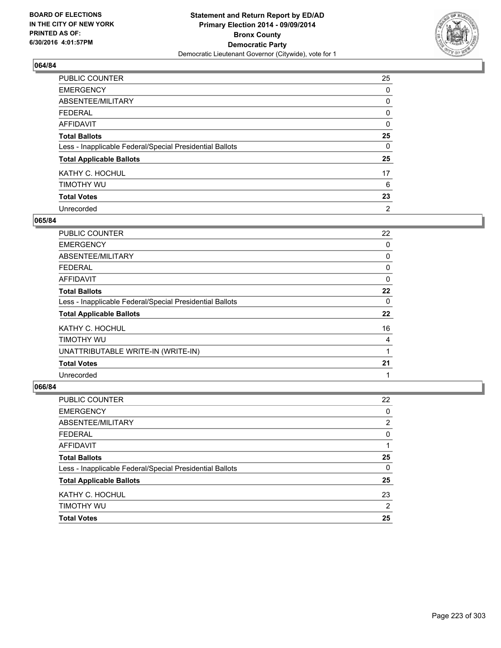

| PUBLIC COUNTER                                           | 25       |
|----------------------------------------------------------|----------|
| <b>EMERGENCY</b>                                         | 0        |
| ABSENTEE/MILITARY                                        | 0        |
| <b>FEDERAL</b>                                           | 0        |
| <b>AFFIDAVIT</b>                                         | 0        |
| <b>Total Ballots</b>                                     | 25       |
| Less - Inapplicable Federal/Special Presidential Ballots | $\Omega$ |
| <b>Total Applicable Ballots</b>                          | 25       |
| KATHY C. HOCHUL                                          | 17       |
| TIMOTHY WU                                               | 6        |
| <b>Total Votes</b>                                       | 23       |
| Unrecorded                                               | 2        |

#### **065/84**

| <b>PUBLIC COUNTER</b>                                    | 22 |
|----------------------------------------------------------|----|
| <b>EMERGENCY</b>                                         | 0  |
| ABSENTEE/MILITARY                                        | 0  |
| <b>FEDERAL</b>                                           | 0  |
| AFFIDAVIT                                                | 0  |
| <b>Total Ballots</b>                                     | 22 |
| Less - Inapplicable Federal/Special Presidential Ballots | 0  |
| <b>Total Applicable Ballots</b>                          | 22 |
| KATHY C. HOCHUL                                          | 16 |
| TIMOTHY WU                                               | 4  |
| UNATTRIBUTABLE WRITE-IN (WRITE-IN)                       |    |
| <b>Total Votes</b>                                       | 21 |
| Unrecorded                                               | 1  |

| PUBLIC COUNTER                                           | 22 |
|----------------------------------------------------------|----|
| <b>EMERGENCY</b>                                         | 0  |
| ABSENTEE/MILITARY                                        | 2  |
| <b>FEDERAL</b>                                           | 0  |
| AFFIDAVIT                                                |    |
| <b>Total Ballots</b>                                     | 25 |
| Less - Inapplicable Federal/Special Presidential Ballots | 0  |
| <b>Total Applicable Ballots</b>                          | 25 |
| KATHY C. HOCHUL                                          | 23 |
| TIMOTHY WU                                               | 2  |
| <b>Total Votes</b>                                       | 25 |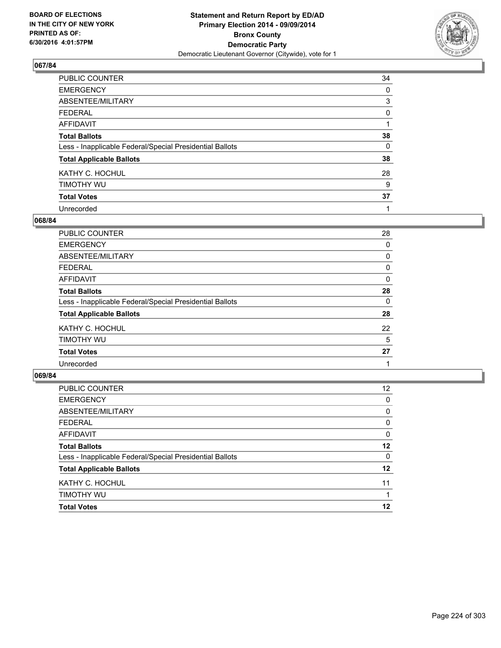

| PUBLIC COUNTER                                           | 34 |
|----------------------------------------------------------|----|
| <b>EMERGENCY</b>                                         | 0  |
| ABSENTEE/MILITARY                                        | 3  |
| <b>FEDERAL</b>                                           | 0  |
| <b>AFFIDAVIT</b>                                         |    |
| <b>Total Ballots</b>                                     | 38 |
| Less - Inapplicable Federal/Special Presidential Ballots | 0  |
| <b>Total Applicable Ballots</b>                          | 38 |
| KATHY C. HOCHUL                                          | 28 |
| TIMOTHY WU                                               | 9  |
| <b>Total Votes</b>                                       | 37 |
| Unrecorded                                               |    |

#### **068/84**

| <b>PUBLIC COUNTER</b>                                    | 28 |
|----------------------------------------------------------|----|
| <b>EMERGENCY</b>                                         | 0  |
| ABSENTEE/MILITARY                                        | 0  |
| <b>FEDERAL</b>                                           | 0  |
| <b>AFFIDAVIT</b>                                         | 0  |
| <b>Total Ballots</b>                                     | 28 |
| Less - Inapplicable Federal/Special Presidential Ballots | 0  |
| <b>Total Applicable Ballots</b>                          | 28 |
| KATHY C. HOCHUL                                          | 22 |
| TIMOTHY WU                                               | 5  |
| <b>Total Votes</b>                                       | 27 |
| Unrecorded                                               |    |

| <b>Total Votes</b>                                       | 12              |
|----------------------------------------------------------|-----------------|
| TIMOTHY WU                                               |                 |
| KATHY C. HOCHUL                                          | 11              |
| <b>Total Applicable Ballots</b>                          | $12 \,$         |
| Less - Inapplicable Federal/Special Presidential Ballots | 0               |
| <b>Total Ballots</b>                                     | 12              |
| <b>AFFIDAVIT</b>                                         | $\Omega$        |
| <b>FEDERAL</b>                                           | 0               |
| ABSENTEE/MILITARY                                        | 0               |
| <b>EMERGENCY</b>                                         | 0               |
| PUBLIC COUNTER                                           | 12 <sup>2</sup> |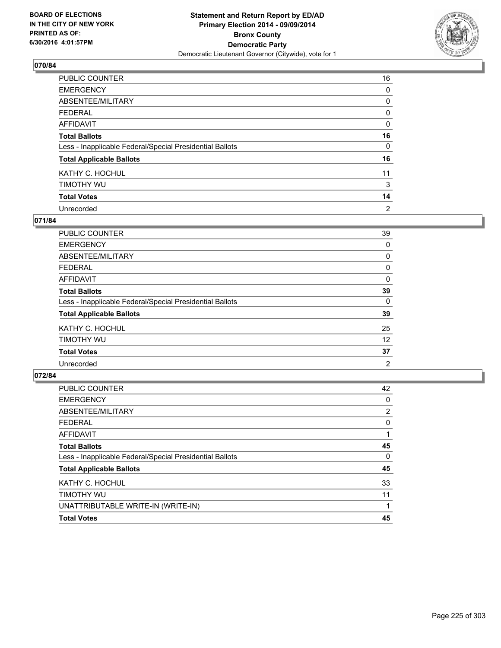

| PUBLIC COUNTER                                           | 16             |
|----------------------------------------------------------|----------------|
| <b>EMERGENCY</b>                                         | 0              |
| ABSENTEE/MILITARY                                        | 0              |
| <b>FEDERAL</b>                                           | 0              |
| <b>AFFIDAVIT</b>                                         | $\Omega$       |
| <b>Total Ballots</b>                                     | 16             |
| Less - Inapplicable Federal/Special Presidential Ballots | 0              |
| <b>Total Applicable Ballots</b>                          | 16             |
| KATHY C. HOCHUL                                          | 11             |
| TIMOTHY WU                                               | 3              |
| <b>Total Votes</b>                                       | 14             |
| Unrecorded                                               | $\overline{2}$ |

### **071/84**

| PUBLIC COUNTER                                           | 39 |
|----------------------------------------------------------|----|
| <b>EMERGENCY</b>                                         | 0  |
| ABSENTEE/MILITARY                                        | 0  |
| <b>FEDERAL</b>                                           | 0  |
| <b>AFFIDAVIT</b>                                         | 0  |
| <b>Total Ballots</b>                                     | 39 |
| Less - Inapplicable Federal/Special Presidential Ballots | 0  |
| <b>Total Applicable Ballots</b>                          | 39 |
| KATHY C. HOCHUL                                          | 25 |
| TIMOTHY WU                                               | 12 |
| <b>Total Votes</b>                                       | 37 |
| Unrecorded                                               | 2  |
|                                                          |    |

| PUBLIC COUNTER                                           | 42 |
|----------------------------------------------------------|----|
| <b>EMERGENCY</b>                                         | 0  |
| ABSENTEE/MILITARY                                        | 2  |
| <b>FEDERAL</b>                                           | 0  |
| <b>AFFIDAVIT</b>                                         |    |
| <b>Total Ballots</b>                                     | 45 |
| Less - Inapplicable Federal/Special Presidential Ballots | 0  |
| <b>Total Applicable Ballots</b>                          | 45 |
| KATHY C. HOCHUL                                          | 33 |
| TIMOTHY WU                                               | 11 |
| UNATTRIBUTABLE WRITE-IN (WRITE-IN)                       |    |
| <b>Total Votes</b>                                       | 45 |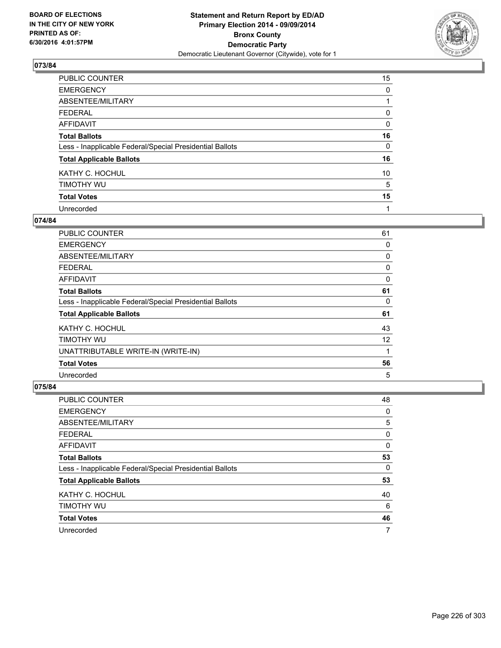

| PUBLIC COUNTER                                           | 15       |
|----------------------------------------------------------|----------|
| <b>EMERGENCY</b>                                         | 0        |
| ABSENTEE/MILITARY                                        |          |
| <b>FEDERAL</b>                                           | 0        |
| <b>AFFIDAVIT</b>                                         | $\Omega$ |
| <b>Total Ballots</b>                                     | 16       |
| Less - Inapplicable Federal/Special Presidential Ballots | 0        |
| <b>Total Applicable Ballots</b>                          | 16       |
| KATHY C. HOCHUL                                          | 10       |
| TIMOTHY WU                                               | 5        |
| <b>Total Votes</b>                                       | 15       |
| Unrecorded                                               | 1        |

#### **074/84**

| <b>PUBLIC COUNTER</b>                                    | 61 |
|----------------------------------------------------------|----|
| <b>EMERGENCY</b>                                         | 0  |
| ABSENTEE/MILITARY                                        | 0  |
| <b>FEDERAL</b>                                           | 0  |
| AFFIDAVIT                                                | 0  |
| <b>Total Ballots</b>                                     | 61 |
| Less - Inapplicable Federal/Special Presidential Ballots | 0  |
| <b>Total Applicable Ballots</b>                          | 61 |
| KATHY C. HOCHUL                                          | 43 |
| TIMOTHY WU                                               | 12 |
| UNATTRIBUTABLE WRITE-IN (WRITE-IN)                       | 1  |
| <b>Total Votes</b>                                       | 56 |
| Unrecorded                                               | 5  |

| <b>PUBLIC COUNTER</b>                                    | 48 |
|----------------------------------------------------------|----|
| <b>EMERGENCY</b>                                         | 0  |
| ABSENTEE/MILITARY                                        | 5  |
| <b>FEDERAL</b>                                           | 0  |
| AFFIDAVIT                                                | 0  |
| <b>Total Ballots</b>                                     | 53 |
| Less - Inapplicable Federal/Special Presidential Ballots | 0  |
| <b>Total Applicable Ballots</b>                          | 53 |
| KATHY C. HOCHUL                                          | 40 |
| TIMOTHY WU                                               | 6  |
| <b>Total Votes</b>                                       | 46 |
| Unrecorded                                               | 7  |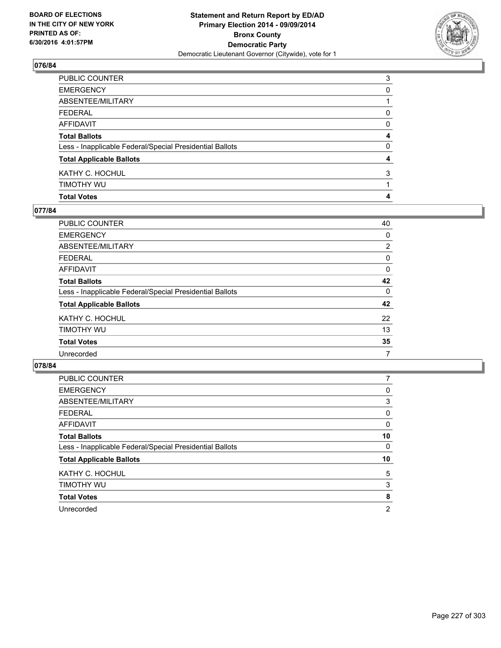

| PUBLIC COUNTER                                           | 3            |
|----------------------------------------------------------|--------------|
| EMERGENCY                                                | 0            |
| ABSENTEE/MILITARY                                        |              |
| FEDERAL                                                  | 0            |
| AFFIDAVIT                                                | 0            |
| <b>Total Ballots</b>                                     | 4            |
| Less - Inapplicable Federal/Special Presidential Ballots | $\mathbf{0}$ |
| <b>Total Applicable Ballots</b>                          | 4            |
| KATHY C. HOCHUL                                          | 3            |
| timothy wu                                               |              |
| <b>Total Votes</b>                                       | 4            |

### **077/84**

| PUBLIC COUNTER                                           | 40             |
|----------------------------------------------------------|----------------|
| <b>EMERGENCY</b>                                         | 0              |
| ABSENTEE/MILITARY                                        | $\overline{2}$ |
| FEDERAL                                                  | 0              |
| AFFIDAVIT                                                | 0              |
| <b>Total Ballots</b>                                     | 42             |
| Less - Inapplicable Federal/Special Presidential Ballots | 0              |
| <b>Total Applicable Ballots</b>                          | 42             |
| KATHY C. HOCHUL                                          | 22             |
| timothy wu                                               | 13             |
| <b>Total Votes</b>                                       | 35             |
| Unrecorded                                               | 7              |
|                                                          |                |

| <b>PUBLIC COUNTER</b>                                    |    |
|----------------------------------------------------------|----|
| <b>EMERGENCY</b>                                         | 0  |
| ABSENTEE/MILITARY                                        | 3  |
| <b>FEDERAL</b>                                           | 0  |
| <b>AFFIDAVIT</b>                                         | 0  |
| <b>Total Ballots</b>                                     | 10 |
| Less - Inapplicable Federal/Special Presidential Ballots | 0  |
| <b>Total Applicable Ballots</b>                          | 10 |
| KATHY C. HOCHUL                                          | 5  |
| TIMOTHY WU                                               | 3  |
| <b>Total Votes</b>                                       | 8  |
| Unrecorded                                               | 2  |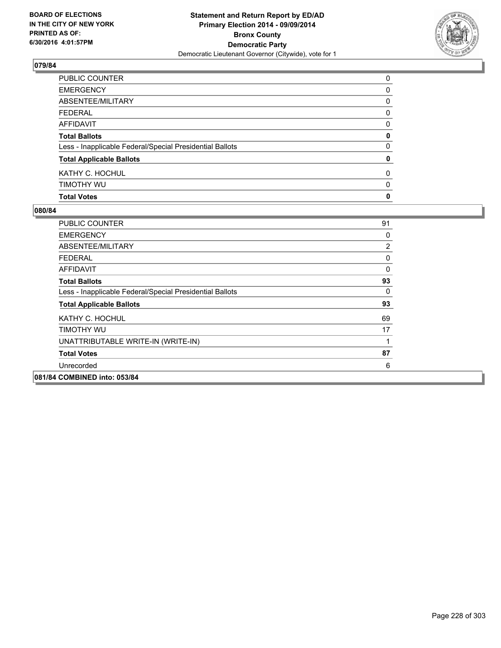

| PUBLIC COUNTER                                           | 0            |
|----------------------------------------------------------|--------------|
| EMERGENCY                                                | 0            |
| ABSENTEE/MILITARY                                        | 0            |
| FEDERAL                                                  | $\mathbf{0}$ |
| <b>AFFIDAVIT</b>                                         | 0            |
| <b>Total Ballots</b>                                     | 0            |
| Less - Inapplicable Federal/Special Presidential Ballots | $\mathbf{0}$ |
| <b>Total Applicable Ballots</b>                          | 0            |
| KATHY C. HOCHUL                                          | $\mathbf{0}$ |
| timothy wu                                               | 0            |
| <b>Total Votes</b>                                       | 0            |

| <b>PUBLIC COUNTER</b>                                    | 91       |
|----------------------------------------------------------|----------|
| <b>EMERGENCY</b>                                         | 0        |
| ABSENTEE/MILITARY                                        | 2        |
| <b>FEDERAL</b>                                           | 0        |
| AFFIDAVIT                                                | $\Omega$ |
| <b>Total Ballots</b>                                     | 93       |
| Less - Inapplicable Federal/Special Presidential Ballots | 0        |
| <b>Total Applicable Ballots</b>                          | 93       |
| KATHY C. HOCHUL                                          | 69       |
| TIMOTHY WU                                               | 17       |
| UNATTRIBUTABLE WRITE-IN (WRITE-IN)                       | 1        |
| <b>Total Votes</b>                                       | 87       |
| Unrecorded                                               | 6        |
| 081/84 COMBINED into: 053/84                             |          |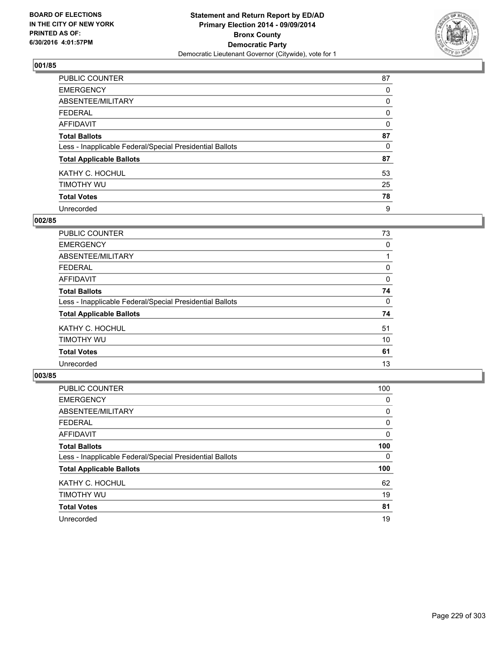

| PUBLIC COUNTER                                           | 87       |
|----------------------------------------------------------|----------|
| <b>EMERGENCY</b>                                         | 0        |
| ABSENTEE/MILITARY                                        | 0        |
| <b>FEDERAL</b>                                           | 0        |
| <b>AFFIDAVIT</b>                                         | $\Omega$ |
| <b>Total Ballots</b>                                     | 87       |
| Less - Inapplicable Federal/Special Presidential Ballots | 0        |
| <b>Total Applicable Ballots</b>                          | 87       |
| KATHY C. HOCHUL                                          | 53       |
| TIMOTHY WU                                               | 25       |
| <b>Total Votes</b>                                       | 78       |
| Unrecorded                                               | 9        |

#### **002/85**

| PUBLIC COUNTER                                           | 73 |
|----------------------------------------------------------|----|
| <b>EMERGENCY</b>                                         | 0  |
| ABSENTEE/MILITARY                                        |    |
| <b>FEDERAL</b>                                           | 0  |
| <b>AFFIDAVIT</b>                                         | 0  |
| <b>Total Ballots</b>                                     | 74 |
| Less - Inapplicable Federal/Special Presidential Ballots | 0  |
| <b>Total Applicable Ballots</b>                          | 74 |
| KATHY C. HOCHUL                                          | 51 |
| TIMOTHY WU                                               | 10 |
| <b>Total Votes</b>                                       | 61 |
| Unrecorded                                               | 13 |
|                                                          |    |

| PUBLIC COUNTER                                           | 100 |
|----------------------------------------------------------|-----|
| <b>EMERGENCY</b>                                         | 0   |
| ABSENTEE/MILITARY                                        | 0   |
| <b>FEDERAL</b>                                           | 0   |
| <b>AFFIDAVIT</b>                                         | 0   |
| <b>Total Ballots</b>                                     | 100 |
| Less - Inapplicable Federal/Special Presidential Ballots | 0   |
| <b>Total Applicable Ballots</b>                          | 100 |
| KATHY C. HOCHUL                                          | 62  |
| TIMOTHY WU                                               | 19  |
| <b>Total Votes</b>                                       | 81  |
| Unrecorded                                               | 19  |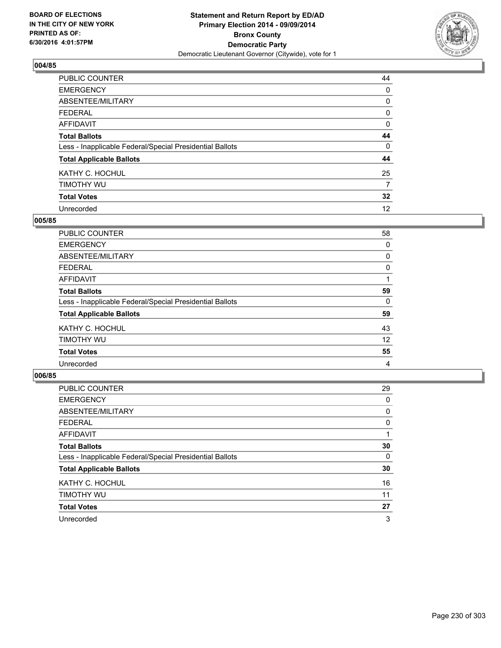

| PUBLIC COUNTER                                           | 44 |
|----------------------------------------------------------|----|
| <b>EMERGENCY</b>                                         | 0  |
| ABSENTEE/MILITARY                                        | 0  |
| <b>FEDERAL</b>                                           | 0  |
| <b>AFFIDAVIT</b>                                         | 0  |
| <b>Total Ballots</b>                                     | 44 |
| Less - Inapplicable Federal/Special Presidential Ballots | 0  |
| <b>Total Applicable Ballots</b>                          | 44 |
| KATHY C. HOCHUL                                          | 25 |
| TIMOTHY WU                                               | 7  |
| <b>Total Votes</b>                                       | 32 |
| Unrecorded                                               | 12 |

#### **005/85**

| PUBLIC COUNTER                                           | 58 |
|----------------------------------------------------------|----|
| <b>EMERGENCY</b>                                         | 0  |
| ABSENTEE/MILITARY                                        | 0  |
| <b>FEDERAL</b>                                           | 0  |
| <b>AFFIDAVIT</b>                                         |    |
| <b>Total Ballots</b>                                     | 59 |
| Less - Inapplicable Federal/Special Presidential Ballots | 0  |
| <b>Total Applicable Ballots</b>                          | 59 |
| KATHY C. HOCHUL                                          | 43 |
| TIMOTHY WU                                               | 12 |
| <b>Total Votes</b>                                       | 55 |
| Unrecorded                                               | 4  |
|                                                          |    |

| PUBLIC COUNTER                                           | 29 |
|----------------------------------------------------------|----|
| <b>EMERGENCY</b>                                         | 0  |
| ABSENTEE/MILITARY                                        | 0  |
| <b>FEDERAL</b>                                           | 0  |
| AFFIDAVIT                                                |    |
| <b>Total Ballots</b>                                     | 30 |
| Less - Inapplicable Federal/Special Presidential Ballots | 0  |
| <b>Total Applicable Ballots</b>                          | 30 |
| KATHY C. HOCHUL                                          | 16 |
| TIMOTHY WU                                               | 11 |
| <b>Total Votes</b>                                       | 27 |
| Unrecorded                                               | 3  |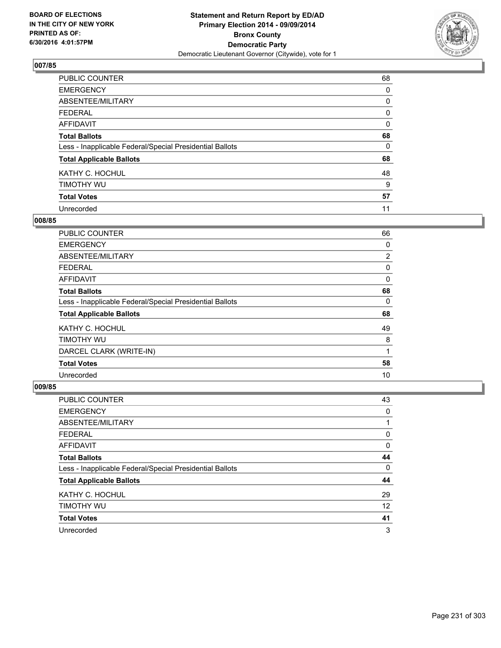

| PUBLIC COUNTER                                           | 68 |
|----------------------------------------------------------|----|
| <b>EMERGENCY</b>                                         | 0  |
| ABSENTEE/MILITARY                                        | 0  |
| <b>FEDERAL</b>                                           | 0  |
| <b>AFFIDAVIT</b>                                         | 0  |
| <b>Total Ballots</b>                                     | 68 |
| Less - Inapplicable Federal/Special Presidential Ballots | 0  |
| <b>Total Applicable Ballots</b>                          | 68 |
| KATHY C. HOCHUL                                          | 48 |
| TIMOTHY WU                                               | 9  |
| <b>Total Votes</b>                                       | 57 |
| Unrecorded                                               | 11 |

#### **008/85**

| <b>PUBLIC COUNTER</b>                                    | 66             |
|----------------------------------------------------------|----------------|
| <b>EMERGENCY</b>                                         | 0              |
| ABSENTEE/MILITARY                                        | $\overline{2}$ |
| <b>FEDERAL</b>                                           | 0              |
| AFFIDAVIT                                                | 0              |
| <b>Total Ballots</b>                                     | 68             |
| Less - Inapplicable Federal/Special Presidential Ballots | 0              |
| <b>Total Applicable Ballots</b>                          | 68             |
| KATHY C. HOCHUL                                          | 49             |
| TIMOTHY WU                                               | 8              |
| DARCEL CLARK (WRITE-IN)                                  | 1              |
| <b>Total Votes</b>                                       | 58             |
| Unrecorded                                               | 10             |

| <b>PUBLIC COUNTER</b>                                    | 43 |
|----------------------------------------------------------|----|
| <b>EMERGENCY</b>                                         | 0  |
| ABSENTEE/MILITARY                                        |    |
| <b>FEDERAL</b>                                           | 0  |
| AFFIDAVIT                                                | 0  |
| <b>Total Ballots</b>                                     | 44 |
| Less - Inapplicable Federal/Special Presidential Ballots | 0  |
| <b>Total Applicable Ballots</b>                          | 44 |
| KATHY C. HOCHUL                                          | 29 |
| TIMOTHY WU                                               | 12 |
| <b>Total Votes</b>                                       | 41 |
| Unrecorded                                               | 3  |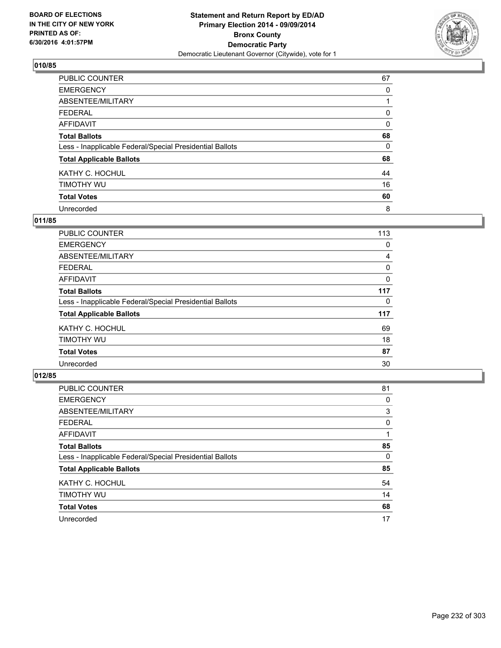

| PUBLIC COUNTER                                           | 67 |
|----------------------------------------------------------|----|
| <b>EMERGENCY</b>                                         | 0  |
| ABSENTEE/MILITARY                                        |    |
| <b>FEDERAL</b>                                           | 0  |
| <b>AFFIDAVIT</b>                                         | 0  |
| <b>Total Ballots</b>                                     | 68 |
| Less - Inapplicable Federal/Special Presidential Ballots | 0  |
| <b>Total Applicable Ballots</b>                          | 68 |
| KATHY C. HOCHUL                                          | 44 |
| TIMOTHY WU                                               | 16 |
| <b>Total Votes</b>                                       | 60 |
| Unrecorded                                               | 8  |

### **011/85**

| PUBLIC COUNTER                                           | 113 |
|----------------------------------------------------------|-----|
| <b>EMERGENCY</b>                                         | 0   |
| ABSENTEE/MILITARY                                        | 4   |
| <b>FEDERAL</b>                                           | 0   |
| AFFIDAVIT                                                | 0   |
| <b>Total Ballots</b>                                     | 117 |
| Less - Inapplicable Federal/Special Presidential Ballots | 0   |
| <b>Total Applicable Ballots</b>                          | 117 |
| KATHY C. HOCHUL                                          | 69  |
| TIMOTHY WU                                               | 18  |
| <b>Total Votes</b>                                       | 87  |
| Unrecorded                                               | 30  |

| PUBLIC COUNTER                                           | 81 |
|----------------------------------------------------------|----|
| <b>EMERGENCY</b>                                         | 0  |
| ABSENTEE/MILITARY                                        | 3  |
| <b>FEDERAL</b>                                           | 0  |
| AFFIDAVIT                                                |    |
| <b>Total Ballots</b>                                     | 85 |
| Less - Inapplicable Federal/Special Presidential Ballots | 0  |
| <b>Total Applicable Ballots</b>                          | 85 |
| KATHY C. HOCHUL                                          | 54 |
| TIMOTHY WU                                               | 14 |
| <b>Total Votes</b>                                       | 68 |
| Unrecorded                                               | 17 |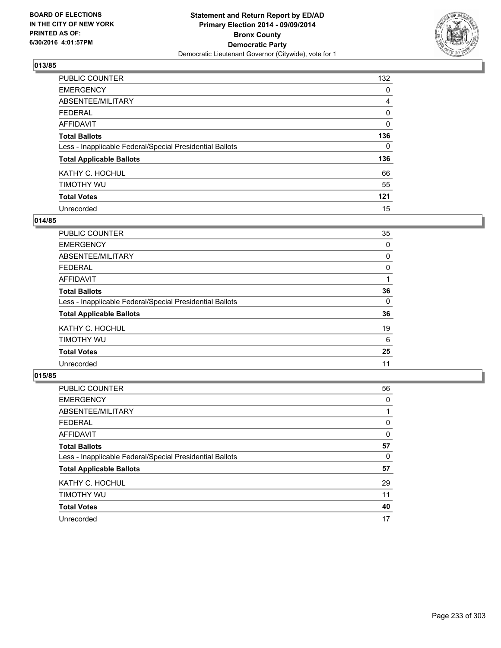

| <b>PUBLIC COUNTER</b>                                    | 132      |
|----------------------------------------------------------|----------|
| <b>EMERGENCY</b>                                         | 0        |
| ABSENTEE/MILITARY                                        | 4        |
| <b>FEDERAL</b>                                           | 0        |
| <b>AFFIDAVIT</b>                                         | 0        |
| <b>Total Ballots</b>                                     | 136      |
| Less - Inapplicable Federal/Special Presidential Ballots | $\Omega$ |
| <b>Total Applicable Ballots</b>                          | 136      |
| KATHY C. HOCHUL                                          | 66       |
| TIMOTHY WU                                               | 55       |
| <b>Total Votes</b>                                       | 121      |
| Unrecorded                                               | 15       |

#### **014/85**

| PUBLIC COUNTER                                           | 35 |
|----------------------------------------------------------|----|
| <b>EMERGENCY</b>                                         | 0  |
| ABSENTEE/MILITARY                                        | 0  |
| FEDERAL                                                  | 0  |
| AFFIDAVIT                                                |    |
| <b>Total Ballots</b>                                     | 36 |
| Less - Inapplicable Federal/Special Presidential Ballots | 0  |
| <b>Total Applicable Ballots</b>                          | 36 |
| KATHY C. HOCHUL                                          | 19 |
| TIMOTHY WU                                               | 6  |
| <b>Total Votes</b>                                       | 25 |
| Unrecorded                                               | 11 |
|                                                          |    |

| PUBLIC COUNTER                                           | 56 |
|----------------------------------------------------------|----|
| <b>EMERGENCY</b>                                         | 0  |
| ABSENTEE/MILITARY                                        |    |
| <b>FEDERAL</b>                                           | 0  |
| <b>AFFIDAVIT</b>                                         | 0  |
| <b>Total Ballots</b>                                     | 57 |
| Less - Inapplicable Federal/Special Presidential Ballots | 0  |
| <b>Total Applicable Ballots</b>                          | 57 |
| KATHY C. HOCHUL                                          | 29 |
| TIMOTHY WU                                               | 11 |
| <b>Total Votes</b>                                       | 40 |
| Unrecorded                                               | 17 |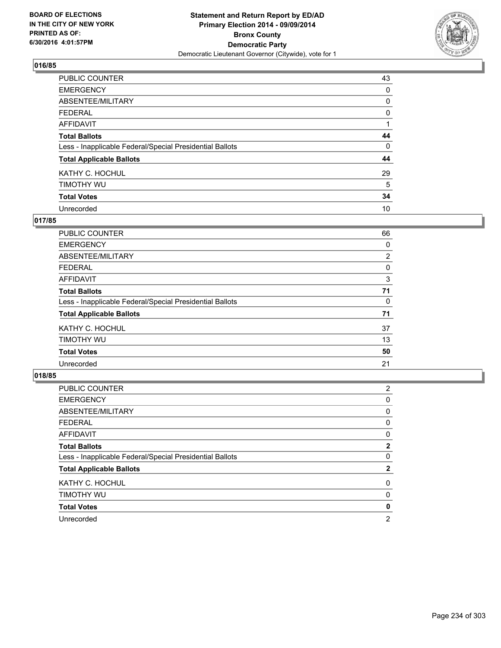

| <b>PUBLIC COUNTER</b>                                    | 43 |
|----------------------------------------------------------|----|
| <b>EMERGENCY</b>                                         | 0  |
| ABSENTEE/MILITARY                                        | 0  |
| <b>FEDERAL</b>                                           | 0  |
| <b>AFFIDAVIT</b>                                         |    |
| <b>Total Ballots</b>                                     | 44 |
| Less - Inapplicable Federal/Special Presidential Ballots | 0  |
| <b>Total Applicable Ballots</b>                          | 44 |
| KATHY C. HOCHUL                                          | 29 |
| TIMOTHY WU                                               | 5  |
| <b>Total Votes</b>                                       | 34 |
| Unrecorded                                               | 10 |

### **017/85**

| PUBLIC COUNTER                                           | 66             |
|----------------------------------------------------------|----------------|
| <b>EMERGENCY</b>                                         | 0              |
| ABSENTEE/MILITARY                                        | $\overline{2}$ |
| <b>FEDERAL</b>                                           | 0              |
| <b>AFFIDAVIT</b>                                         | 3              |
| <b>Total Ballots</b>                                     | 71             |
| Less - Inapplicable Federal/Special Presidential Ballots | 0              |
| <b>Total Applicable Ballots</b>                          | 71             |
| KATHY C. HOCHUL                                          | 37             |
| TIMOTHY WU                                               | 13             |
| <b>Total Votes</b>                                       | 50             |
| Unrecorded                                               | 21             |

| PUBLIC COUNTER                                           | 2 |
|----------------------------------------------------------|---|
| <b>EMERGENCY</b>                                         | 0 |
| ABSENTEE/MILITARY                                        | 0 |
| <b>FEDERAL</b>                                           | 0 |
| AFFIDAVIT                                                | 0 |
| <b>Total Ballots</b>                                     | 2 |
| Less - Inapplicable Federal/Special Presidential Ballots | 0 |
| <b>Total Applicable Ballots</b>                          | 2 |
| KATHY C. HOCHUL                                          | 0 |
| TIMOTHY WU                                               | 0 |
| <b>Total Votes</b>                                       | 0 |
| Unrecorded                                               | 2 |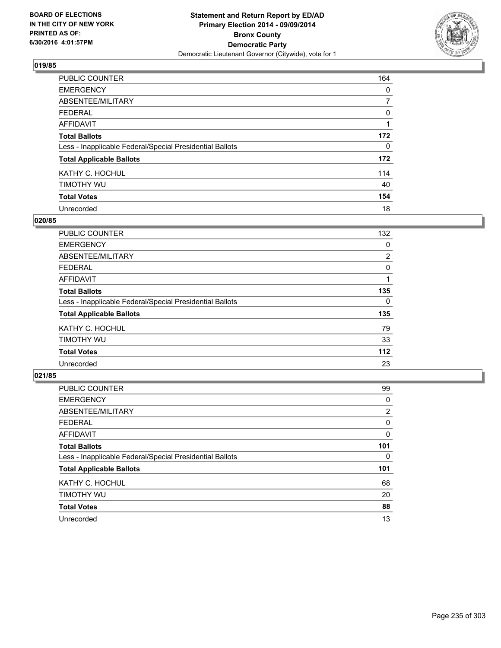

| PUBLIC COUNTER                                           | 164            |
|----------------------------------------------------------|----------------|
| <b>EMERGENCY</b>                                         | 0              |
| ABSENTEE/MILITARY                                        | $\overline{7}$ |
| <b>FEDERAL</b>                                           | 0              |
| <b>AFFIDAVIT</b>                                         |                |
| <b>Total Ballots</b>                                     | 172            |
| Less - Inapplicable Federal/Special Presidential Ballots | $\Omega$       |
| <b>Total Applicable Ballots</b>                          | 172            |
| KATHY C. HOCHUL                                          | 114            |
| TIMOTHY WU                                               | 40             |
| <b>Total Votes</b>                                       | 154            |
| Unrecorded                                               | 18             |

#### **020/85**

| PUBLIC COUNTER                                           | 132 |
|----------------------------------------------------------|-----|
| <b>EMERGENCY</b>                                         | 0   |
| ABSENTEE/MILITARY                                        | 2   |
| <b>FEDERAL</b>                                           | 0   |
| AFFIDAVIT                                                |     |
| <b>Total Ballots</b>                                     | 135 |
| Less - Inapplicable Federal/Special Presidential Ballots | 0   |
| <b>Total Applicable Ballots</b>                          | 135 |
| KATHY C. HOCHUL                                          | 79  |
| TIMOTHY WU                                               | 33  |
| <b>Total Votes</b>                                       | 112 |
| Unrecorded                                               | 23  |
|                                                          |     |

| PUBLIC COUNTER                                           | 99             |
|----------------------------------------------------------|----------------|
| <b>EMERGENCY</b>                                         | 0              |
| ABSENTEE/MILITARY                                        | $\overline{2}$ |
| <b>FEDERAL</b>                                           | 0              |
| <b>AFFIDAVIT</b>                                         | 0              |
| <b>Total Ballots</b>                                     | 101            |
| Less - Inapplicable Federal/Special Presidential Ballots | 0              |
| <b>Total Applicable Ballots</b>                          | 101            |
| KATHY C. HOCHUL                                          | 68             |
| TIMOTHY WU                                               | 20             |
| <b>Total Votes</b>                                       | 88             |
| Unrecorded                                               | 13             |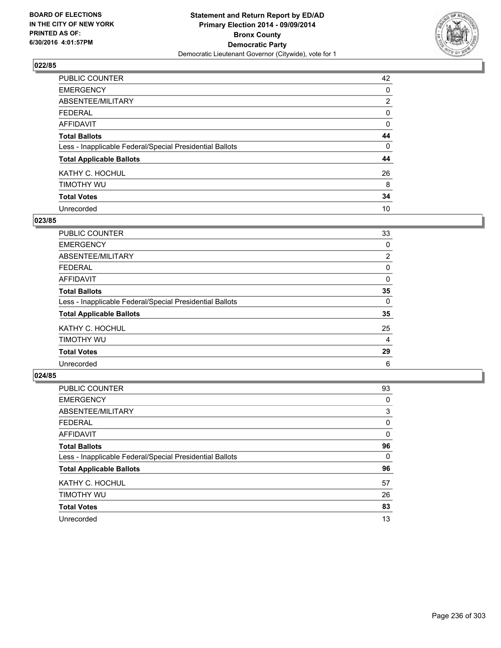

| PUBLIC COUNTER                                           | 42             |
|----------------------------------------------------------|----------------|
| <b>EMERGENCY</b>                                         | 0              |
| ABSENTEE/MILITARY                                        | $\overline{2}$ |
| <b>FEDERAL</b>                                           | 0              |
| <b>AFFIDAVIT</b>                                         | 0              |
| <b>Total Ballots</b>                                     | 44             |
| Less - Inapplicable Federal/Special Presidential Ballots | 0              |
| <b>Total Applicable Ballots</b>                          | 44             |
| KATHY C. HOCHUL                                          | 26             |
| TIMOTHY WU                                               | 8              |
| <b>Total Votes</b>                                       | 34             |
| Unrecorded                                               | 10             |

#### **023/85**

| PUBLIC COUNTER                                           | 33             |
|----------------------------------------------------------|----------------|
| <b>EMERGENCY</b>                                         | 0              |
| ABSENTEE/MILITARY                                        | $\overline{2}$ |
| <b>FEDERAL</b>                                           | 0              |
| <b>AFFIDAVIT</b>                                         | 0              |
| <b>Total Ballots</b>                                     | 35             |
| Less - Inapplicable Federal/Special Presidential Ballots | 0              |
| <b>Total Applicable Ballots</b>                          | 35             |
| KATHY C. HOCHUL                                          | 25             |
| TIMOTHY WU                                               | 4              |
| <b>Total Votes</b>                                       | 29             |
| Unrecorded                                               | 6              |
|                                                          |                |

| PUBLIC COUNTER                                           | 93 |
|----------------------------------------------------------|----|
| <b>EMERGENCY</b>                                         | 0  |
| ABSENTEE/MILITARY                                        | 3  |
| <b>FEDERAL</b>                                           | 0  |
| <b>AFFIDAVIT</b>                                         | 0  |
| <b>Total Ballots</b>                                     | 96 |
| Less - Inapplicable Federal/Special Presidential Ballots | 0  |
| <b>Total Applicable Ballots</b>                          | 96 |
| KATHY C. HOCHUL                                          | 57 |
| TIMOTHY WU                                               | 26 |
| <b>Total Votes</b>                                       | 83 |
| Unrecorded                                               | 13 |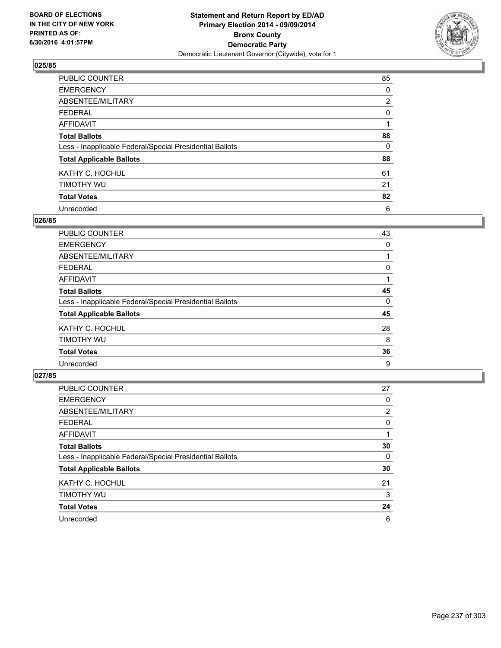

| PUBLIC COUNTER                                           | 85             |
|----------------------------------------------------------|----------------|
| <b>EMERGENCY</b>                                         | 0              |
| ABSENTEE/MILITARY                                        | $\overline{2}$ |
| <b>FEDERAL</b>                                           | 0              |
| <b>AFFIDAVIT</b>                                         |                |
| <b>Total Ballots</b>                                     | 88             |
| Less - Inapplicable Federal/Special Presidential Ballots | 0              |
| <b>Total Applicable Ballots</b>                          | 88             |
| KATHY C. HOCHUL                                          | 61             |
| TIMOTHY WU                                               | 21             |
| <b>Total Votes</b>                                       | 82             |
| Unrecorded                                               | 6              |

#### **026/85**

| PUBLIC COUNTER                                           | 43 |
|----------------------------------------------------------|----|
| <b>EMERGENCY</b>                                         | 0  |
| ABSENTEE/MILITARY                                        |    |
| <b>FEDERAL</b>                                           | 0  |
| <b>AFFIDAVIT</b>                                         |    |
| <b>Total Ballots</b>                                     | 45 |
| Less - Inapplicable Federal/Special Presidential Ballots | 0  |
| <b>Total Applicable Ballots</b>                          | 45 |
| KATHY C. HOCHUL                                          | 28 |
| TIMOTHY WU                                               | 8  |
| <b>Total Votes</b>                                       | 36 |
| Unrecorded                                               | 9  |

| PUBLIC COUNTER                                           | 27             |
|----------------------------------------------------------|----------------|
| <b>EMERGENCY</b>                                         | 0              |
| ABSENTEE/MILITARY                                        | $\overline{2}$ |
| <b>FEDERAL</b>                                           | 0              |
| AFFIDAVIT                                                |                |
| <b>Total Ballots</b>                                     | 30             |
| Less - Inapplicable Federal/Special Presidential Ballots | 0              |
| <b>Total Applicable Ballots</b>                          | 30             |
| KATHY C. HOCHUL                                          | 21             |
| TIMOTHY WU                                               | 3              |
| <b>Total Votes</b>                                       | 24             |
| Unrecorded                                               | 6              |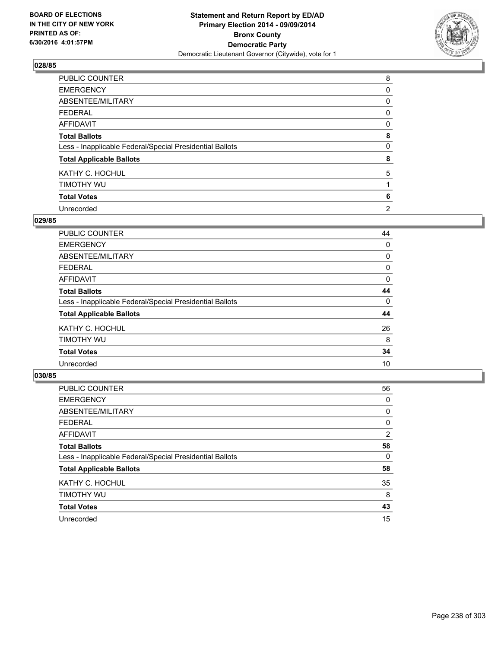

| <b>PUBLIC COUNTER</b>                                    | 8              |
|----------------------------------------------------------|----------------|
| <b>EMERGENCY</b>                                         | 0              |
| ABSENTEE/MILITARY                                        | 0              |
| <b>FEDERAL</b>                                           | 0              |
| <b>AFFIDAVIT</b>                                         | 0              |
| <b>Total Ballots</b>                                     | 8              |
| Less - Inapplicable Federal/Special Presidential Ballots | 0              |
| <b>Total Applicable Ballots</b>                          | 8              |
| KATHY C. HOCHUL                                          | 5              |
| TIMOTHY WU                                               |                |
| <b>Total Votes</b>                                       | 6              |
| Unrecorded                                               | $\overline{2}$ |

#### **029/85**

| PUBLIC COUNTER                                           | 44 |
|----------------------------------------------------------|----|
| <b>EMERGENCY</b>                                         | 0  |
| ABSENTEE/MILITARY                                        | 0  |
| <b>FEDERAL</b>                                           | 0  |
| <b>AFFIDAVIT</b>                                         | 0  |
| <b>Total Ballots</b>                                     | 44 |
| Less - Inapplicable Federal/Special Presidential Ballots | 0  |
| <b>Total Applicable Ballots</b>                          | 44 |
| KATHY C. HOCHUL                                          | 26 |
| TIMOTHY WU                                               | 8  |
| <b>Total Votes</b>                                       | 34 |
| Unrecorded                                               | 10 |

| PUBLIC COUNTER                                           | 56             |
|----------------------------------------------------------|----------------|
| <b>EMERGENCY</b>                                         | 0              |
| ABSENTEE/MILITARY                                        | 0              |
| <b>FEDERAL</b>                                           | 0              |
| <b>AFFIDAVIT</b>                                         | $\overline{2}$ |
| <b>Total Ballots</b>                                     | 58             |
| Less - Inapplicable Federal/Special Presidential Ballots | 0              |
| <b>Total Applicable Ballots</b>                          | 58             |
| KATHY C. HOCHUL                                          | 35             |
| TIMOTHY WU                                               | 8              |
| <b>Total Votes</b>                                       | 43             |
| Unrecorded                                               | 15             |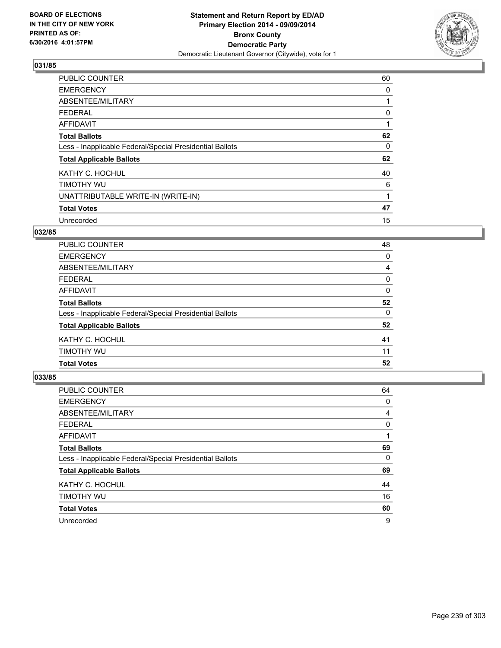

| <b>PUBLIC COUNTER</b>                                    | 60 |
|----------------------------------------------------------|----|
| <b>EMERGENCY</b>                                         | 0  |
| ABSENTEE/MILITARY                                        |    |
| <b>FEDERAL</b>                                           | 0  |
| AFFIDAVIT                                                |    |
| <b>Total Ballots</b>                                     | 62 |
| Less - Inapplicable Federal/Special Presidential Ballots | 0  |
| <b>Total Applicable Ballots</b>                          | 62 |
| KATHY C. HOCHUL                                          | 40 |
| TIMOTHY WU                                               | 6  |
| UNATTRIBUTABLE WRITE-IN (WRITE-IN)                       |    |
| <b>Total Votes</b>                                       | 47 |
| Unrecorded                                               | 15 |

# **032/85**

| Less - Inapplicable Federal/Special Presidential Ballots | $\Omega$ |
|----------------------------------------------------------|----------|
|                                                          | 52       |
|                                                          |          |
|                                                          |          |
| <b>Total Ballots</b>                                     | 52       |
|                                                          |          |
| AFFIDAVIT                                                | 0        |
| <b>FEDERAL</b>                                           | 0        |
| ABSENTEE/MILITARY                                        | 4        |
| <b>EMERGENCY</b>                                         | 0        |
| PUBLIC COUNTER                                           | 48       |

| <b>PUBLIC COUNTER</b>                                    | 64 |
|----------------------------------------------------------|----|
| <b>EMERGENCY</b>                                         | 0  |
| ABSENTEE/MILITARY                                        | 4  |
| <b>FEDERAL</b>                                           | 0  |
| AFFIDAVIT                                                |    |
| <b>Total Ballots</b>                                     | 69 |
| Less - Inapplicable Federal/Special Presidential Ballots | 0  |
| <b>Total Applicable Ballots</b>                          | 69 |
| KATHY C. HOCHUL                                          | 44 |
| TIMOTHY WU                                               | 16 |
| <b>Total Votes</b>                                       | 60 |
| Unrecorded                                               | 9  |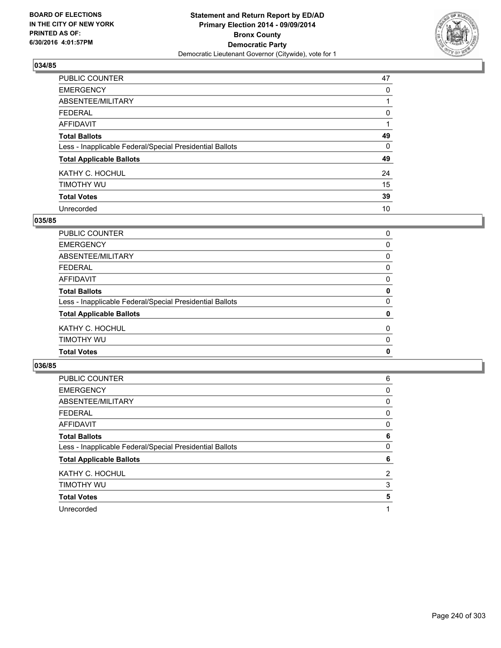

| PUBLIC COUNTER                                           | 47 |
|----------------------------------------------------------|----|
| <b>EMERGENCY</b>                                         | 0  |
| ABSENTEE/MILITARY                                        |    |
| <b>FEDERAL</b>                                           | 0  |
| <b>AFFIDAVIT</b>                                         |    |
| <b>Total Ballots</b>                                     | 49 |
| Less - Inapplicable Federal/Special Presidential Ballots | 0  |
| <b>Total Applicable Ballots</b>                          | 49 |
| KATHY C. HOCHUL                                          | 24 |
| TIMOTHY WU                                               | 15 |
| <b>Total Votes</b>                                       | 39 |
| Unrecorded                                               | 10 |

### **035/85**

| <b>Total Votes</b>                                       | 0        |
|----------------------------------------------------------|----------|
| TIMOTHY WU                                               | $\Omega$ |
| KATHY C. HOCHUL                                          | 0        |
| <b>Total Applicable Ballots</b>                          | 0        |
| Less - Inapplicable Federal/Special Presidential Ballots | $\Omega$ |
| <b>Total Ballots</b>                                     | 0        |
| <b>AFFIDAVIT</b>                                         | 0        |
| <b>FEDERAL</b>                                           | 0        |
| <b>ABSENTEE/MILITARY</b>                                 | 0        |
| <b>EMERGENCY</b>                                         | 0        |
| <b>PUBLIC COUNTER</b>                                    | 0        |

| <b>PUBLIC COUNTER</b>                                    | 6 |
|----------------------------------------------------------|---|
| <b>EMERGENCY</b>                                         | 0 |
| ABSENTEE/MILITARY                                        | 0 |
| <b>FEDERAL</b>                                           | 0 |
| AFFIDAVIT                                                | 0 |
| <b>Total Ballots</b>                                     | 6 |
| Less - Inapplicable Federal/Special Presidential Ballots | 0 |
| <b>Total Applicable Ballots</b>                          | 6 |
| KATHY C. HOCHUL                                          | 2 |
| TIMOTHY WU                                               | 3 |
| <b>Total Votes</b>                                       | 5 |
| Unrecorded                                               |   |
|                                                          |   |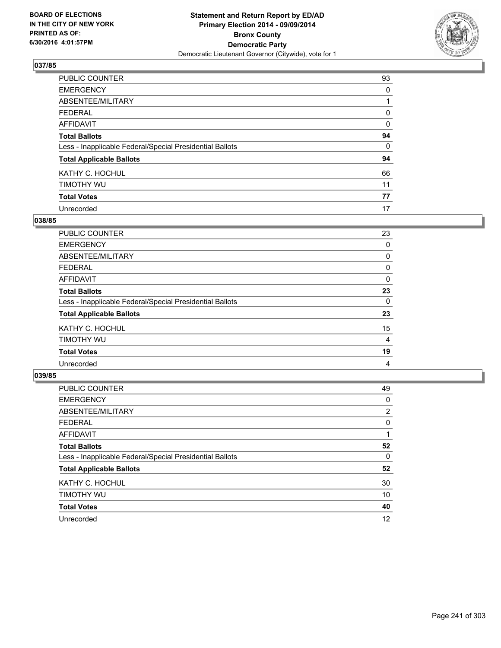

| <b>PUBLIC COUNTER</b>                                    | 93       |
|----------------------------------------------------------|----------|
| <b>EMERGENCY</b>                                         | 0        |
| ABSENTEE/MILITARY                                        |          |
| <b>FEDERAL</b>                                           | 0        |
| <b>AFFIDAVIT</b>                                         | $\Omega$ |
| <b>Total Ballots</b>                                     | 94       |
| Less - Inapplicable Federal/Special Presidential Ballots | 0        |
| <b>Total Applicable Ballots</b>                          | 94       |
| KATHY C. HOCHUL                                          | 66       |
| TIMOTHY WU                                               | 11       |
| <b>Total Votes</b>                                       | 77       |
| Unrecorded                                               | 17       |

#### **038/85**

| PUBLIC COUNTER                                           | 23 |
|----------------------------------------------------------|----|
| <b>EMERGENCY</b>                                         | 0  |
| ABSENTEE/MILITARY                                        | 0  |
| <b>FEDERAL</b>                                           | 0  |
| <b>AFFIDAVIT</b>                                         | 0  |
| <b>Total Ballots</b>                                     | 23 |
| Less - Inapplicable Federal/Special Presidential Ballots | 0  |
| <b>Total Applicable Ballots</b>                          | 23 |
| KATHY C. HOCHUL                                          | 15 |
| TIMOTHY WU                                               | 4  |
| <b>Total Votes</b>                                       | 19 |
| Unrecorded                                               | 4  |
|                                                          |    |

| PUBLIC COUNTER                                           | 49             |
|----------------------------------------------------------|----------------|
| <b>EMERGENCY</b>                                         | 0              |
| ABSENTEE/MILITARY                                        | $\overline{2}$ |
| <b>FEDERAL</b>                                           | 0              |
| <b>AFFIDAVIT</b>                                         |                |
| <b>Total Ballots</b>                                     | 52             |
| Less - Inapplicable Federal/Special Presidential Ballots | 0              |
| <b>Total Applicable Ballots</b>                          | 52             |
| KATHY C. HOCHUL                                          | 30             |
| TIMOTHY WU                                               | 10             |
| <b>Total Votes</b>                                       | 40             |
| Unrecorded                                               | 12             |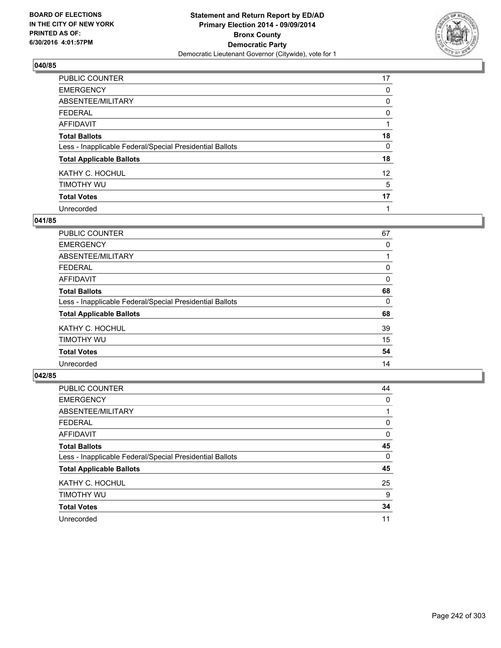

| PUBLIC COUNTER                                           | 17              |
|----------------------------------------------------------|-----------------|
| <b>EMERGENCY</b>                                         | 0               |
| ABSENTEE/MILITARY                                        | 0               |
| <b>FEDERAL</b>                                           | 0               |
| <b>AFFIDAVIT</b>                                         |                 |
| <b>Total Ballots</b>                                     | 18              |
| Less - Inapplicable Federal/Special Presidential Ballots | 0               |
| <b>Total Applicable Ballots</b>                          | 18              |
| KATHY C. HOCHUL                                          | 12 <sup>2</sup> |
| TIMOTHY WU                                               | 5               |
| <b>Total Votes</b>                                       | 17              |
| Unrecorded                                               |                 |

#### **041/85**

| <b>PUBLIC COUNTER</b>                                    | 67 |
|----------------------------------------------------------|----|
| <b>EMERGENCY</b>                                         | 0  |
| ABSENTEE/MILITARY                                        |    |
| <b>FEDERAL</b>                                           | 0  |
| <b>AFFIDAVIT</b>                                         | 0  |
| <b>Total Ballots</b>                                     | 68 |
| Less - Inapplicable Federal/Special Presidential Ballots | 0  |
| <b>Total Applicable Ballots</b>                          | 68 |
| KATHY C. HOCHUL                                          | 39 |
| TIMOTHY WU                                               | 15 |
| <b>Total Votes</b>                                       | 54 |
| Unrecorded                                               | 14 |

| PUBLIC COUNTER                                           | 44 |
|----------------------------------------------------------|----|
| <b>EMERGENCY</b>                                         | 0  |
| ABSENTEE/MILITARY                                        |    |
| <b>FEDERAL</b>                                           | 0  |
| <b>AFFIDAVIT</b>                                         | 0  |
| <b>Total Ballots</b>                                     | 45 |
| Less - Inapplicable Federal/Special Presidential Ballots | 0  |
| <b>Total Applicable Ballots</b>                          | 45 |
| KATHY C. HOCHUL                                          | 25 |
| TIMOTHY WU                                               | 9  |
| <b>Total Votes</b>                                       | 34 |
| Unrecorded                                               | 11 |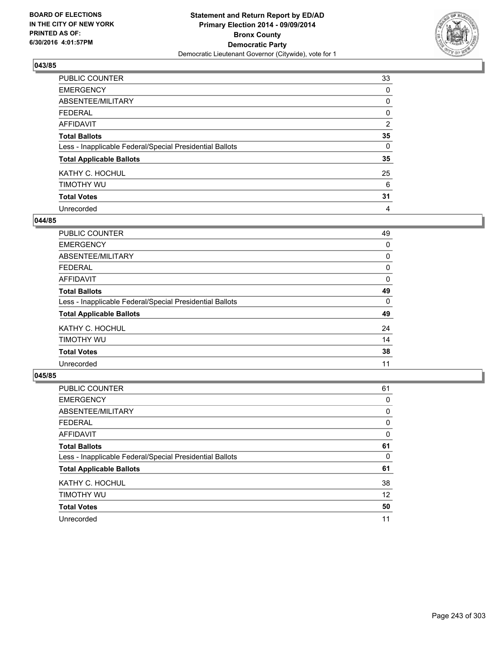

| PUBLIC COUNTER                                           | 33       |
|----------------------------------------------------------|----------|
| <b>EMERGENCY</b>                                         | 0        |
| ABSENTEE/MILITARY                                        | 0        |
| <b>FEDERAL</b>                                           | 0        |
| <b>AFFIDAVIT</b>                                         | 2        |
| <b>Total Ballots</b>                                     | 35       |
| Less - Inapplicable Federal/Special Presidential Ballots | $\Omega$ |
| <b>Total Applicable Ballots</b>                          | 35       |
| KATHY C. HOCHUL                                          | 25       |
| TIMOTHY WU                                               | 6        |
| <b>Total Votes</b>                                       | 31       |
| Unrecorded                                               | 4        |

#### **044/85**

| <b>PUBLIC COUNTER</b>                                    | 49       |
|----------------------------------------------------------|----------|
| <b>EMERGENCY</b>                                         | 0        |
| ABSENTEE/MILITARY                                        | 0        |
| <b>FEDERAL</b>                                           | 0        |
| <b>AFFIDAVIT</b>                                         | 0        |
| <b>Total Ballots</b>                                     | 49       |
| Less - Inapplicable Federal/Special Presidential Ballots | $\Omega$ |
| <b>Total Applicable Ballots</b>                          | 49       |
| KATHY C. HOCHUL                                          | 24       |
| TIMOTHY WU                                               | 14       |
| <b>Total Votes</b>                                       | 38       |
| Unrecorded                                               | 11       |

| PUBLIC COUNTER                                           | 61 |
|----------------------------------------------------------|----|
| <b>EMERGENCY</b>                                         | 0  |
| ABSENTEE/MILITARY                                        | 0  |
| <b>FEDERAL</b>                                           | 0  |
| <b>AFFIDAVIT</b>                                         | 0  |
| <b>Total Ballots</b>                                     | 61 |
| Less - Inapplicable Federal/Special Presidential Ballots | 0  |
| <b>Total Applicable Ballots</b>                          | 61 |
| KATHY C. HOCHUL                                          | 38 |
| TIMOTHY WU                                               | 12 |
| <b>Total Votes</b>                                       | 50 |
| Unrecorded                                               | 11 |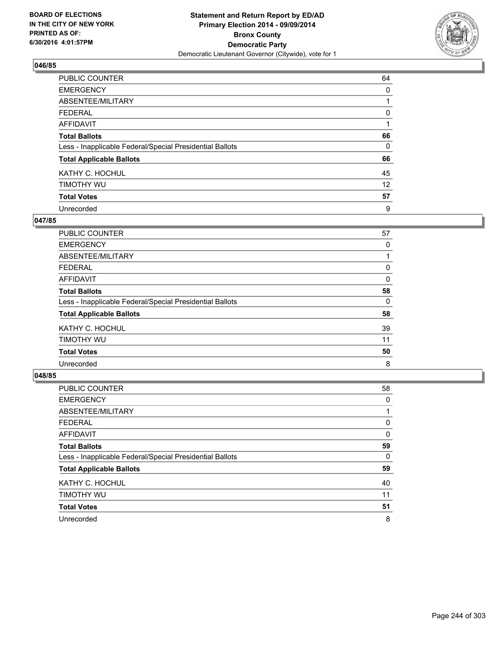

| PUBLIC COUNTER                                           | 64       |
|----------------------------------------------------------|----------|
| <b>EMERGENCY</b>                                         | 0        |
| ABSENTEE/MILITARY                                        |          |
| <b>FEDERAL</b>                                           | 0        |
| <b>AFFIDAVIT</b>                                         |          |
| <b>Total Ballots</b>                                     | 66       |
| Less - Inapplicable Federal/Special Presidential Ballots | $\Omega$ |
| <b>Total Applicable Ballots</b>                          | 66       |
| KATHY C. HOCHUL                                          | 45       |
| TIMOTHY WU                                               | 12       |
| <b>Total Votes</b>                                       | 57       |
| Unrecorded                                               | 9        |

#### **047/85**

| PUBLIC COUNTER                                           | 57 |
|----------------------------------------------------------|----|
| <b>EMERGENCY</b>                                         | 0  |
| ABSENTEE/MILITARY                                        |    |
| <b>FEDERAL</b>                                           | 0  |
| <b>AFFIDAVIT</b>                                         | 0  |
| <b>Total Ballots</b>                                     | 58 |
| Less - Inapplicable Federal/Special Presidential Ballots | 0  |
| <b>Total Applicable Ballots</b>                          | 58 |
| KATHY C. HOCHUL                                          | 39 |
| TIMOTHY WU                                               | 11 |
| <b>Total Votes</b>                                       | 50 |
| Unrecorded                                               | 8  |

| PUBLIC COUNTER                                           | 58 |
|----------------------------------------------------------|----|
| <b>EMERGENCY</b>                                         | 0  |
| ABSENTEE/MILITARY                                        |    |
| <b>FEDERAL</b>                                           | 0  |
| <b>AFFIDAVIT</b>                                         | 0  |
| <b>Total Ballots</b>                                     | 59 |
| Less - Inapplicable Federal/Special Presidential Ballots | 0  |
| <b>Total Applicable Ballots</b>                          | 59 |
| KATHY C. HOCHUL                                          | 40 |
| TIMOTHY WU                                               | 11 |
| <b>Total Votes</b>                                       | 51 |
| Unrecorded                                               | 8  |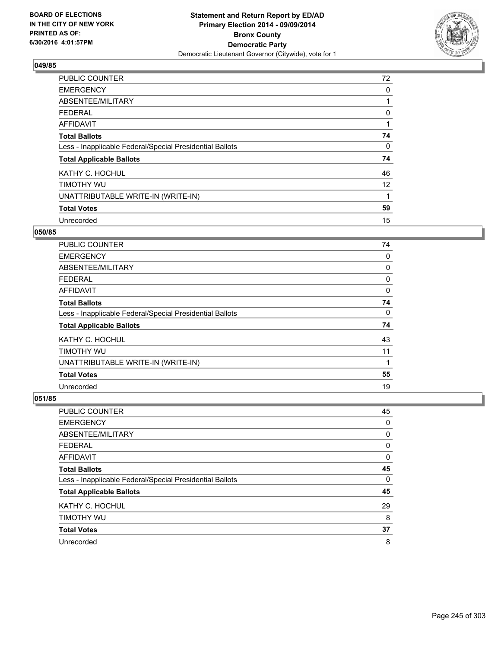

| <b>PUBLIC COUNTER</b>                                    | 72 |
|----------------------------------------------------------|----|
| <b>EMERGENCY</b>                                         | 0  |
| ABSENTEE/MILITARY                                        |    |
| <b>FEDERAL</b>                                           | 0  |
| AFFIDAVIT                                                |    |
| <b>Total Ballots</b>                                     | 74 |
| Less - Inapplicable Federal/Special Presidential Ballots | 0  |
| <b>Total Applicable Ballots</b>                          | 74 |
| KATHY C. HOCHUL                                          | 46 |
| TIMOTHY WU                                               | 12 |
| UNATTRIBUTABLE WRITE-IN (WRITE-IN)                       | 1  |
| <b>Total Votes</b>                                       | 59 |
| Unrecorded                                               | 15 |

### **050/85**

| <b>PUBLIC COUNTER</b>                                    | 74 |
|----------------------------------------------------------|----|
| <b>EMERGENCY</b>                                         | 0  |
| ABSENTEE/MILITARY                                        | 0  |
| <b>FEDERAL</b>                                           | 0  |
| <b>AFFIDAVIT</b>                                         | 0  |
| <b>Total Ballots</b>                                     | 74 |
| Less - Inapplicable Federal/Special Presidential Ballots | 0  |
| <b>Total Applicable Ballots</b>                          | 74 |
| KATHY C. HOCHUL                                          | 43 |
| TIMOTHY WU                                               | 11 |
| UNATTRIBUTABLE WRITE-IN (WRITE-IN)                       | 1  |
| <b>Total Votes</b>                                       | 55 |
| Unrecorded                                               | 19 |

| PUBLIC COUNTER                                           | 45 |
|----------------------------------------------------------|----|
| <b>EMERGENCY</b>                                         | 0  |
| ABSENTEE/MILITARY                                        | 0  |
| <b>FEDERAL</b>                                           | 0  |
| AFFIDAVIT                                                | 0  |
| <b>Total Ballots</b>                                     | 45 |
| Less - Inapplicable Federal/Special Presidential Ballots | 0  |
| <b>Total Applicable Ballots</b>                          | 45 |
| KATHY C. HOCHUL                                          | 29 |
| TIMOTHY WU                                               | 8  |
| <b>Total Votes</b>                                       | 37 |
| Unrecorded                                               | 8  |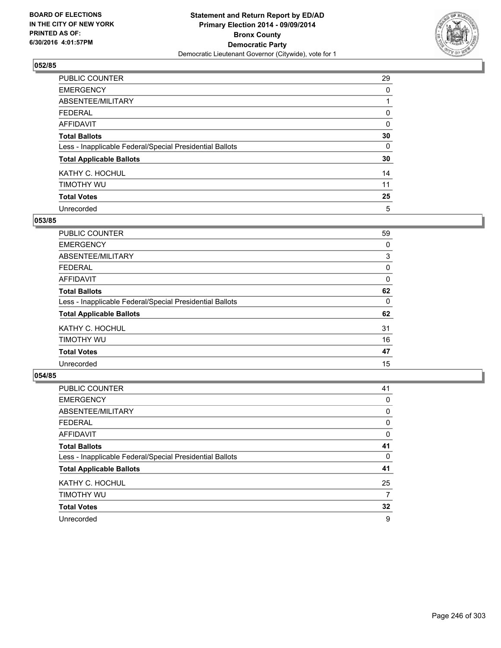

| PUBLIC COUNTER                                           | 29 |
|----------------------------------------------------------|----|
| <b>EMERGENCY</b>                                         | 0  |
| ABSENTEE/MILITARY                                        |    |
| <b>FEDERAL</b>                                           | 0  |
| <b>AFFIDAVIT</b>                                         | 0  |
| <b>Total Ballots</b>                                     | 30 |
| Less - Inapplicable Federal/Special Presidential Ballots | 0  |
| <b>Total Applicable Ballots</b>                          | 30 |
| KATHY C. HOCHUL                                          | 14 |
| TIMOTHY WU                                               | 11 |
| <b>Total Votes</b>                                       | 25 |
| Unrecorded                                               | 5  |

#### **053/85**

| <b>PUBLIC COUNTER</b>                                    | 59 |
|----------------------------------------------------------|----|
| <b>EMERGENCY</b>                                         | 0  |
| ABSENTEE/MILITARY                                        | 3  |
| <b>FEDERAL</b>                                           | 0  |
| <b>AFFIDAVIT</b>                                         | 0  |
| <b>Total Ballots</b>                                     | 62 |
| Less - Inapplicable Federal/Special Presidential Ballots | 0  |
| <b>Total Applicable Ballots</b>                          | 62 |
| KATHY C. HOCHUL                                          | 31 |
| TIMOTHY WU                                               | 16 |
| <b>Total Votes</b>                                       | 47 |
| Unrecorded                                               | 15 |
|                                                          |    |

| PUBLIC COUNTER                                           | 41 |
|----------------------------------------------------------|----|
| <b>EMERGENCY</b>                                         | 0  |
| ABSENTEE/MILITARY                                        | 0  |
| <b>FEDERAL</b>                                           | 0  |
| AFFIDAVIT                                                | 0  |
| <b>Total Ballots</b>                                     | 41 |
| Less - Inapplicable Federal/Special Presidential Ballots | 0  |
| <b>Total Applicable Ballots</b>                          | 41 |
| KATHY C. HOCHUL                                          | 25 |
| TIMOTHY WU                                               | 7  |
| <b>Total Votes</b>                                       | 32 |
| Unrecorded                                               | 9  |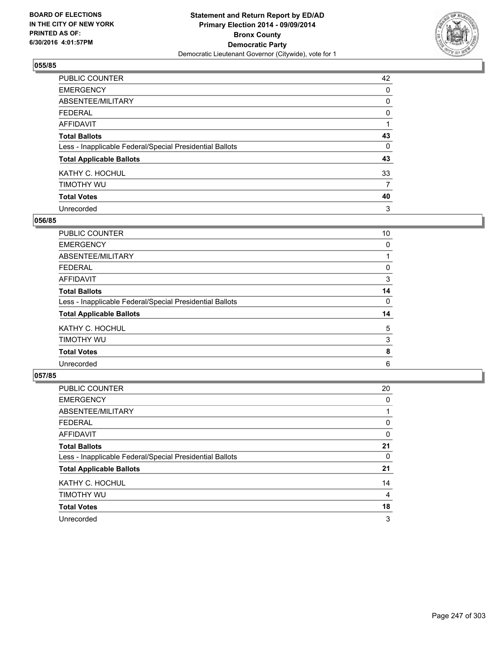

| PUBLIC COUNTER                                           | 42 |
|----------------------------------------------------------|----|
| <b>EMERGENCY</b>                                         | 0  |
| ABSENTEE/MILITARY                                        | 0  |
| <b>FEDERAL</b>                                           | 0  |
| <b>AFFIDAVIT</b>                                         |    |
| <b>Total Ballots</b>                                     | 43 |
| Less - Inapplicable Federal/Special Presidential Ballots | 0  |
| <b>Total Applicable Ballots</b>                          | 43 |
| KATHY C. HOCHUL                                          | 33 |
| TIMOTHY WU                                               | 7  |
| <b>Total Votes</b>                                       | 40 |
| Unrecorded                                               | 3  |

#### **056/85**

| PUBLIC COUNTER                                           | 10 |
|----------------------------------------------------------|----|
| <b>EMERGENCY</b>                                         | 0  |
| ABSENTEE/MILITARY                                        |    |
| <b>FEDERAL</b>                                           | 0  |
| <b>AFFIDAVIT</b>                                         | 3  |
| <b>Total Ballots</b>                                     | 14 |
| Less - Inapplicable Federal/Special Presidential Ballots | 0  |
| <b>Total Applicable Ballots</b>                          | 14 |
| KATHY C. HOCHUL                                          | 5  |
| TIMOTHY WU                                               | 3  |
| <b>Total Votes</b>                                       | 8  |
| Unrecorded                                               | 6  |
|                                                          |    |

| PUBLIC COUNTER                                           | 20 |
|----------------------------------------------------------|----|
| <b>EMERGENCY</b>                                         | 0  |
| ABSENTEE/MILITARY                                        |    |
| <b>FEDERAL</b>                                           | 0  |
| AFFIDAVIT                                                | 0  |
| <b>Total Ballots</b>                                     | 21 |
| Less - Inapplicable Federal/Special Presidential Ballots | 0  |
| <b>Total Applicable Ballots</b>                          | 21 |
| KATHY C. HOCHUL                                          | 14 |
| TIMOTHY WU                                               | 4  |
| <b>Total Votes</b>                                       | 18 |
| Unrecorded                                               | 3  |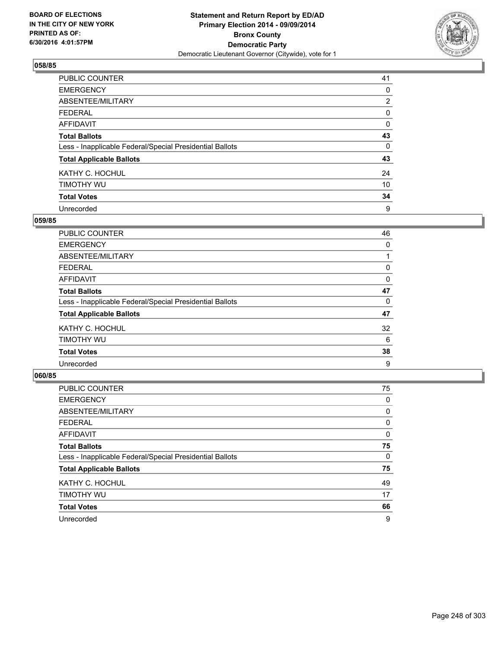

| PUBLIC COUNTER                                           | 41             |
|----------------------------------------------------------|----------------|
| <b>EMERGENCY</b>                                         | 0              |
| ABSENTEE/MILITARY                                        | $\overline{2}$ |
| <b>FEDERAL</b>                                           | 0              |
| <b>AFFIDAVIT</b>                                         | 0              |
| <b>Total Ballots</b>                                     | 43             |
| Less - Inapplicable Federal/Special Presidential Ballots | 0              |
| <b>Total Applicable Ballots</b>                          | 43             |
| KATHY C. HOCHUL                                          | 24             |
| TIMOTHY WU                                               | 10             |
| <b>Total Votes</b>                                       | 34             |
| Unrecorded                                               | 9              |

#### **059/85**

| PUBLIC COUNTER                                           | 46 |
|----------------------------------------------------------|----|
| <b>EMERGENCY</b>                                         | 0  |
| ABSENTEE/MILITARY                                        |    |
| <b>FEDERAL</b>                                           | 0  |
| <b>AFFIDAVIT</b>                                         | 0  |
| <b>Total Ballots</b>                                     | 47 |
| Less - Inapplicable Federal/Special Presidential Ballots | 0  |
| <b>Total Applicable Ballots</b>                          | 47 |
| KATHY C. HOCHUL                                          | 32 |
| TIMOTHY WU                                               | 6  |
| <b>Total Votes</b>                                       | 38 |
| Unrecorded                                               | 9  |

| PUBLIC COUNTER                                           | 75 |
|----------------------------------------------------------|----|
| <b>EMERGENCY</b>                                         | 0  |
| ABSENTEE/MILITARY                                        | 0  |
| <b>FEDERAL</b>                                           | 0  |
| AFFIDAVIT                                                | 0  |
| <b>Total Ballots</b>                                     | 75 |
| Less - Inapplicable Federal/Special Presidential Ballots | 0  |
| <b>Total Applicable Ballots</b>                          | 75 |
| KATHY C. HOCHUL                                          | 49 |
| TIMOTHY WU                                               | 17 |
| <b>Total Votes</b>                                       | 66 |
| Unrecorded                                               | 9  |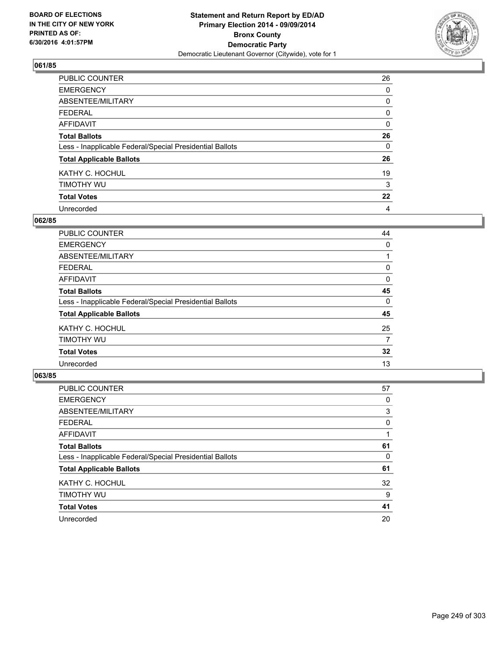

| PUBLIC COUNTER                                           | 26       |
|----------------------------------------------------------|----------|
| <b>EMERGENCY</b>                                         | 0        |
| ABSENTEE/MILITARY                                        | 0        |
| <b>FEDERAL</b>                                           | 0        |
| <b>AFFIDAVIT</b>                                         | $\Omega$ |
| <b>Total Ballots</b>                                     | 26       |
| Less - Inapplicable Federal/Special Presidential Ballots | 0        |
| <b>Total Applicable Ballots</b>                          | 26       |
| KATHY C. HOCHUL                                          | 19       |
| TIMOTHY WU                                               | 3        |
| <b>Total Votes</b>                                       | 22       |
| Unrecorded                                               | 4        |

#### **062/85**

| PUBLIC COUNTER                                           | 44 |
|----------------------------------------------------------|----|
| <b>EMERGENCY</b>                                         | 0  |
| ABSENTEE/MILITARY                                        |    |
| <b>FEDERAL</b>                                           | 0  |
| <b>AFFIDAVIT</b>                                         | 0  |
| <b>Total Ballots</b>                                     | 45 |
| Less - Inapplicable Federal/Special Presidential Ballots | 0  |
| <b>Total Applicable Ballots</b>                          | 45 |
| KATHY C. HOCHUL                                          | 25 |
| TIMOTHY WU                                               | 7  |
| <b>Total Votes</b>                                       | 32 |
| Unrecorded                                               | 13 |
|                                                          |    |

| PUBLIC COUNTER                                           | 57 |
|----------------------------------------------------------|----|
| <b>EMERGENCY</b>                                         | 0  |
| ABSENTEE/MILITARY                                        | 3  |
| <b>FEDERAL</b>                                           | 0  |
| AFFIDAVIT                                                |    |
| <b>Total Ballots</b>                                     | 61 |
| Less - Inapplicable Federal/Special Presidential Ballots | 0  |
| <b>Total Applicable Ballots</b>                          | 61 |
| KATHY C. HOCHUL                                          | 32 |
| TIMOTHY WU                                               | 9  |
| <b>Total Votes</b>                                       | 41 |
| Unrecorded                                               | 20 |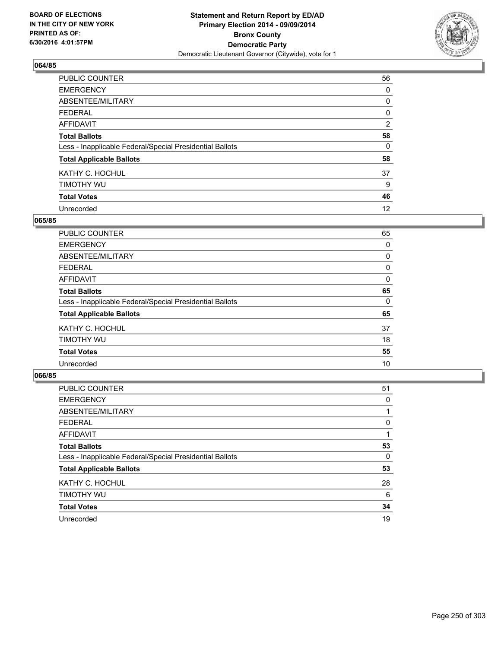

| PUBLIC COUNTER                                           | 56             |
|----------------------------------------------------------|----------------|
| <b>EMERGENCY</b>                                         | 0              |
| ABSENTEE/MILITARY                                        | 0              |
| <b>FEDERAL</b>                                           | 0              |
| <b>AFFIDAVIT</b>                                         | $\overline{2}$ |
| <b>Total Ballots</b>                                     | 58             |
| Less - Inapplicable Federal/Special Presidential Ballots | $\Omega$       |
| <b>Total Applicable Ballots</b>                          | 58             |
| KATHY C. HOCHUL                                          | 37             |
| TIMOTHY WU                                               | 9              |
| <b>Total Votes</b>                                       | 46             |
| Unrecorded                                               | 12             |

### **065/85**

| <b>PUBLIC COUNTER</b>                                    | 65 |
|----------------------------------------------------------|----|
| <b>EMERGENCY</b>                                         | 0  |
| ABSENTEE/MILITARY                                        | 0  |
| <b>FEDERAL</b>                                           | 0  |
| <b>AFFIDAVIT</b>                                         | 0  |
| <b>Total Ballots</b>                                     | 65 |
| Less - Inapplicable Federal/Special Presidential Ballots | 0  |
| <b>Total Applicable Ballots</b>                          | 65 |
| KATHY C. HOCHUL                                          | 37 |
| TIMOTHY WU                                               | 18 |
| <b>Total Votes</b>                                       | 55 |
| Unrecorded                                               | 10 |

| PUBLIC COUNTER                                           | 51 |
|----------------------------------------------------------|----|
| <b>EMERGENCY</b>                                         | 0  |
| ABSENTEE/MILITARY                                        |    |
| <b>FEDERAL</b>                                           | 0  |
| <b>AFFIDAVIT</b>                                         |    |
| <b>Total Ballots</b>                                     | 53 |
| Less - Inapplicable Federal/Special Presidential Ballots | 0  |
| <b>Total Applicable Ballots</b>                          | 53 |
| KATHY C. HOCHUL                                          | 28 |
| TIMOTHY WU                                               | 6  |
| <b>Total Votes</b>                                       | 34 |
| Unrecorded                                               | 19 |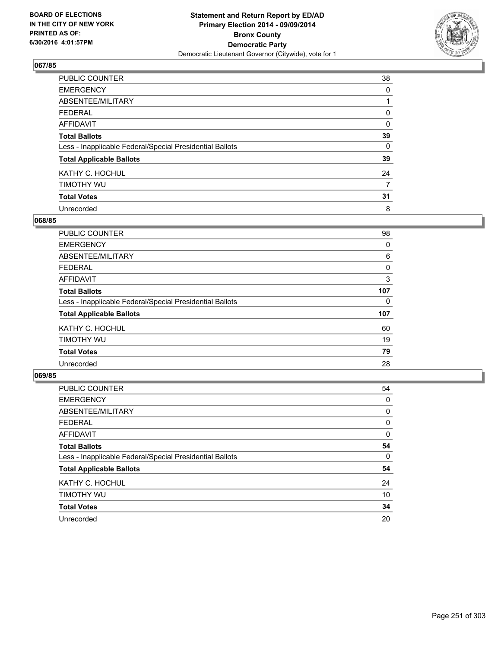

| PUBLIC COUNTER                                           | 38 |
|----------------------------------------------------------|----|
| <b>EMERGENCY</b>                                         | 0  |
| ABSENTEE/MILITARY                                        |    |
| <b>FEDERAL</b>                                           | 0  |
| <b>AFFIDAVIT</b>                                         | 0  |
| <b>Total Ballots</b>                                     | 39 |
| Less - Inapplicable Federal/Special Presidential Ballots | 0  |
| <b>Total Applicable Ballots</b>                          | 39 |
| KATHY C. HOCHUL                                          | 24 |
| TIMOTHY WU                                               | 7  |
| <b>Total Votes</b>                                       | 31 |
| Unrecorded                                               | 8  |

#### **068/85**

| PUBLIC COUNTER                                           | 98  |
|----------------------------------------------------------|-----|
| <b>EMERGENCY</b>                                         | 0   |
| ABSENTEE/MILITARY                                        | 6   |
| <b>FEDERAL</b>                                           | 0   |
| AFFIDAVIT                                                | 3   |
| <b>Total Ballots</b>                                     | 107 |
| Less - Inapplicable Federal/Special Presidential Ballots | 0   |
| <b>Total Applicable Ballots</b>                          | 107 |
| KATHY C. HOCHUL                                          | 60  |
| TIMOTHY WU                                               | 19  |
| <b>Total Votes</b>                                       | 79  |
| Unrecorded                                               | 28  |
|                                                          |     |

| PUBLIC COUNTER                                           | 54 |
|----------------------------------------------------------|----|
| <b>EMERGENCY</b>                                         | 0  |
| ABSENTEE/MILITARY                                        | 0  |
| <b>FEDERAL</b>                                           | 0  |
| <b>AFFIDAVIT</b>                                         | 0  |
| <b>Total Ballots</b>                                     | 54 |
| Less - Inapplicable Federal/Special Presidential Ballots | 0  |
| <b>Total Applicable Ballots</b>                          | 54 |
| KATHY C. HOCHUL                                          | 24 |
| TIMOTHY WU                                               | 10 |
| <b>Total Votes</b>                                       | 34 |
| Unrecorded                                               | 20 |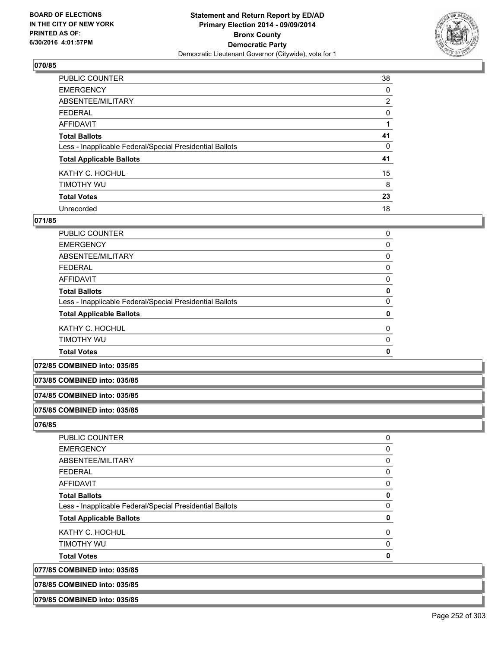

| PUBLIC COUNTER                                           | 38             |
|----------------------------------------------------------|----------------|
| <b>EMERGENCY</b>                                         | 0              |
| ABSENTEE/MILITARY                                        | $\overline{2}$ |
| <b>FEDERAL</b>                                           | 0              |
| <b>AFFIDAVIT</b>                                         |                |
| <b>Total Ballots</b>                                     | 41             |
| Less - Inapplicable Federal/Special Presidential Ballots | 0              |
| <b>Total Applicable Ballots</b>                          | 41             |
| KATHY C. HOCHUL                                          | 15             |
| TIMOTHY WU                                               | 8              |
| <b>Total Votes</b>                                       | 23             |
| Unrecorded                                               | 18             |

#### **071/85**

| <b>Total Votes</b>                                       | $\mathbf{0}$ |
|----------------------------------------------------------|--------------|
| TIMOTHY WU                                               | 0            |
| KATHY C. HOCHUL                                          | 0            |
| <b>Total Applicable Ballots</b>                          | 0            |
| Less - Inapplicable Federal/Special Presidential Ballots | 0            |
| <b>Total Ballots</b>                                     | 0            |
| AFFIDAVIT                                                | 0            |
| <b>FEDERAL</b>                                           | 0            |
| ABSENTEE/MILITARY                                        | 0            |
| <b>EMERGENCY</b>                                         | 0            |
| <b>PUBLIC COUNTER</b>                                    | 0            |

### **072/85 COMBINED into: 035/85**

#### **073/85 COMBINED into: 035/85**

#### **074/85 COMBINED into: 035/85**

#### **075/85 COMBINED into: 035/85**

**076/85** 

| 077/85 COMBINED into: 035/85<br>078/85 COMBINED into: 035/85 |   |
|--------------------------------------------------------------|---|
|                                                              |   |
| <b>Total Votes</b>                                           | 0 |
| TIMOTHY WU                                                   | 0 |
| KATHY C. HOCHUL                                              | 0 |
| <b>Total Applicable Ballots</b>                              | 0 |
| Less - Inapplicable Federal/Special Presidential Ballots     | 0 |
| <b>Total Ballots</b>                                         | 0 |
| AFFIDAVIT                                                    | 0 |
| <b>FEDERAL</b>                                               | 0 |
| ABSENTEE/MILITARY                                            | 0 |
| <b>EMERGENCY</b>                                             | 0 |
| PUBLIC COUNTER                                               | 0 |

**079/85 COMBINED into: 035/85**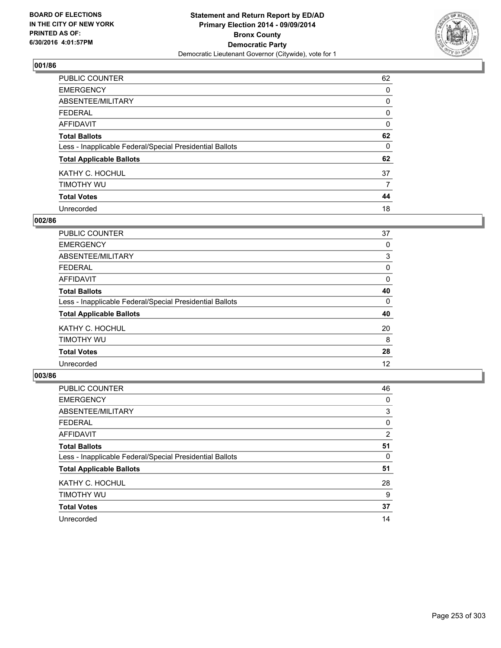

| PUBLIC COUNTER                                           | 62       |
|----------------------------------------------------------|----------|
| <b>EMERGENCY</b>                                         | 0        |
| ABSENTEE/MILITARY                                        | 0        |
| <b>FEDERAL</b>                                           | 0        |
| <b>AFFIDAVIT</b>                                         | $\Omega$ |
| <b>Total Ballots</b>                                     | 62       |
| Less - Inapplicable Federal/Special Presidential Ballots | 0        |
| <b>Total Applicable Ballots</b>                          | 62       |
| KATHY C. HOCHUL                                          | 37       |
| TIMOTHY WU                                               | 7        |
| <b>Total Votes</b>                                       | 44       |
| Unrecorded                                               | 18       |

#### **002/86**

| <b>PUBLIC COUNTER</b>                                    | 37 |
|----------------------------------------------------------|----|
| <b>EMERGENCY</b>                                         | 0  |
| ABSENTEE/MILITARY                                        | 3  |
| <b>FEDERAL</b>                                           | 0  |
| <b>AFFIDAVIT</b>                                         | 0  |
| <b>Total Ballots</b>                                     | 40 |
| Less - Inapplicable Federal/Special Presidential Ballots | 0  |
| <b>Total Applicable Ballots</b>                          | 40 |
| KATHY C. HOCHUL                                          | 20 |
| TIMOTHY WU                                               | 8  |
| <b>Total Votes</b>                                       | 28 |
| Unrecorded                                               | 12 |
|                                                          |    |

| PUBLIC COUNTER                                           | 46             |
|----------------------------------------------------------|----------------|
| <b>EMERGENCY</b>                                         | 0              |
| ABSENTEE/MILITARY                                        | 3              |
| <b>FEDERAL</b>                                           | 0              |
| AFFIDAVIT                                                | $\overline{2}$ |
| <b>Total Ballots</b>                                     | 51             |
| Less - Inapplicable Federal/Special Presidential Ballots | 0              |
| <b>Total Applicable Ballots</b>                          | 51             |
| KATHY C. HOCHUL                                          | 28             |
| TIMOTHY WU                                               | 9              |
| <b>Total Votes</b>                                       | 37             |
| Unrecorded                                               | 14             |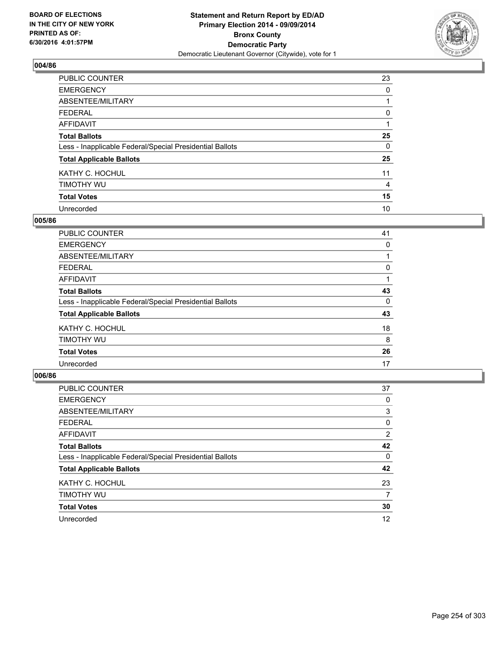

| PUBLIC COUNTER                                           | 23       |
|----------------------------------------------------------|----------|
| <b>EMERGENCY</b>                                         | 0        |
| ABSENTEE/MILITARY                                        |          |
| <b>FEDERAL</b>                                           | 0        |
| <b>AFFIDAVIT</b>                                         |          |
| <b>Total Ballots</b>                                     | 25       |
| Less - Inapplicable Federal/Special Presidential Ballots | $\Omega$ |
| <b>Total Applicable Ballots</b>                          | 25       |
| KATHY C. HOCHUL                                          | 11       |
| TIMOTHY WU                                               | 4        |
| <b>Total Votes</b>                                       | 15       |
| Unrecorded                                               | 10       |

#### **005/86**

| PUBLIC COUNTER                                           | 41 |
|----------------------------------------------------------|----|
| <b>EMERGENCY</b>                                         | 0  |
| ABSENTEE/MILITARY                                        |    |
| <b>FEDERAL</b>                                           | 0  |
| <b>AFFIDAVIT</b>                                         |    |
| <b>Total Ballots</b>                                     | 43 |
| Less - Inapplicable Federal/Special Presidential Ballots | 0  |
| <b>Total Applicable Ballots</b>                          | 43 |
| KATHY C. HOCHUL                                          | 18 |
| TIMOTHY WU                                               | 8  |
| <b>Total Votes</b>                                       | 26 |
| Unrecorded                                               | 17 |
|                                                          |    |

| PUBLIC COUNTER                                           | 37             |
|----------------------------------------------------------|----------------|
| <b>EMERGENCY</b>                                         | 0              |
| ABSENTEE/MILITARY                                        | 3              |
| <b>FEDERAL</b>                                           | 0              |
| AFFIDAVIT                                                | $\overline{2}$ |
| <b>Total Ballots</b>                                     | 42             |
| Less - Inapplicable Federal/Special Presidential Ballots | 0              |
| <b>Total Applicable Ballots</b>                          | 42             |
| KATHY C. HOCHUL                                          | 23             |
| TIMOTHY WU                                               | 7              |
| <b>Total Votes</b>                                       | 30             |
| Unrecorded                                               | 12             |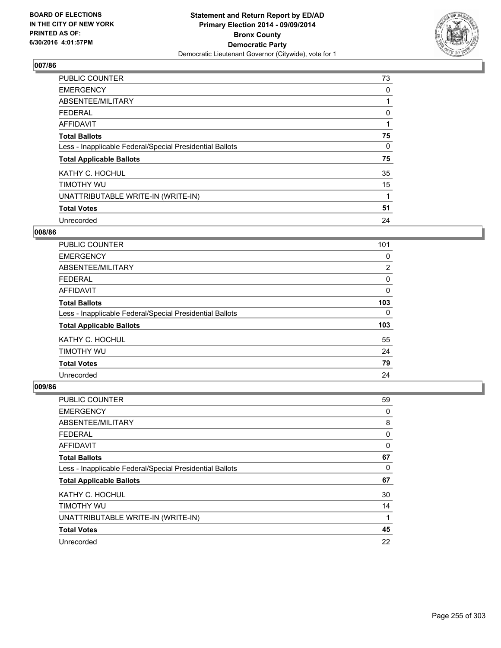

| <b>PUBLIC COUNTER</b>                                    | 73           |
|----------------------------------------------------------|--------------|
| <b>EMERGENCY</b>                                         | 0            |
| ABSENTEE/MILITARY                                        |              |
| FEDERAL                                                  | 0            |
| <b>AFFIDAVIT</b>                                         |              |
| <b>Total Ballots</b>                                     | 75           |
| Less - Inapplicable Federal/Special Presidential Ballots | $\mathbf{0}$ |
| <b>Total Applicable Ballots</b>                          | 75           |
| KATHY C. HOCHUL                                          | 35           |
| TIMOTHY WU                                               | 15           |
| UNATTRIBUTABLE WRITE-IN (WRITE-IN)                       | 1            |
| <b>Total Votes</b>                                       | 51           |
| Unrecorded                                               | 24           |

### **008/86**

| PUBLIC COUNTER                                           | 101 |
|----------------------------------------------------------|-----|
| <b>EMERGENCY</b>                                         | 0   |
| ABSENTEE/MILITARY                                        | 2   |
| <b>FEDERAL</b>                                           | 0   |
| <b>AFFIDAVIT</b>                                         | 0   |
| <b>Total Ballots</b>                                     | 103 |
| Less - Inapplicable Federal/Special Presidential Ballots | 0   |
| <b>Total Applicable Ballots</b>                          | 103 |
| KATHY C. HOCHUL                                          | 55  |
| TIMOTHY WU                                               | 24  |
| <b>Total Votes</b>                                       | 79  |
| Unrecorded                                               | 24  |

| <b>PUBLIC COUNTER</b>                                    | 59 |
|----------------------------------------------------------|----|
| <b>EMERGENCY</b>                                         | 0  |
| ABSENTEE/MILITARY                                        | 8  |
| <b>FEDERAL</b>                                           | 0  |
| AFFIDAVIT                                                | 0  |
| <b>Total Ballots</b>                                     | 67 |
| Less - Inapplicable Federal/Special Presidential Ballots | 0  |
| <b>Total Applicable Ballots</b>                          | 67 |
| KATHY C. HOCHUL                                          | 30 |
| <b>TIMOTHY WU</b>                                        | 14 |
| UNATTRIBUTABLE WRITE-IN (WRITE-IN)                       | 1  |
| <b>Total Votes</b>                                       | 45 |
| Unrecorded                                               | 22 |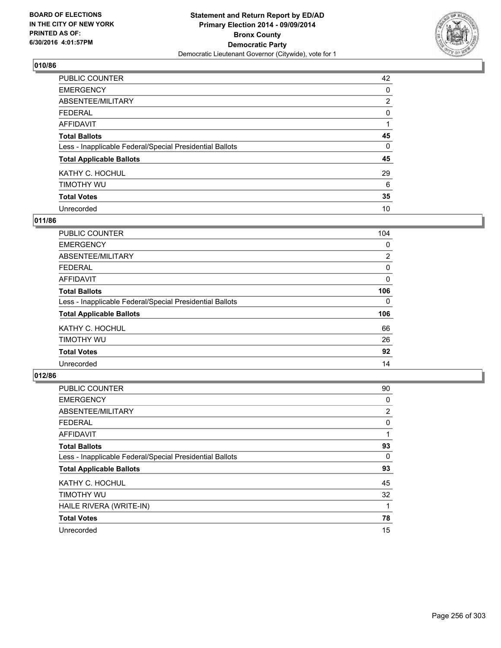

| PUBLIC COUNTER                                           | 42             |
|----------------------------------------------------------|----------------|
| <b>EMERGENCY</b>                                         | 0              |
| ABSENTEE/MILITARY                                        | $\overline{2}$ |
| <b>FEDERAL</b>                                           | 0              |
| <b>AFFIDAVIT</b>                                         |                |
| <b>Total Ballots</b>                                     | 45             |
| Less - Inapplicable Federal/Special Presidential Ballots | 0              |
| <b>Total Applicable Ballots</b>                          | 45             |
| KATHY C. HOCHUL                                          | 29             |
| TIMOTHY WU                                               | 6              |
| <b>Total Votes</b>                                       | 35             |
| Unrecorded                                               | 10             |

#### **011/86**

| <b>PUBLIC COUNTER</b>                                    | 104            |
|----------------------------------------------------------|----------------|
| <b>EMERGENCY</b>                                         | 0              |
| ABSENTEE/MILITARY                                        | $\overline{2}$ |
| <b>FEDERAL</b>                                           | 0              |
| AFFIDAVIT                                                | 0              |
| <b>Total Ballots</b>                                     | 106            |
| Less - Inapplicable Federal/Special Presidential Ballots | 0              |
| <b>Total Applicable Ballots</b>                          | 106            |
| KATHY C. HOCHUL                                          | 66             |
| TIMOTHY WU                                               | 26             |
| <b>Total Votes</b>                                       | 92             |
| Unrecorded                                               | 14             |

| PUBLIC COUNTER                                           | 90             |
|----------------------------------------------------------|----------------|
| <b>EMERGENCY</b>                                         | 0              |
| ABSENTEE/MILITARY                                        | $\overline{2}$ |
| <b>FEDERAL</b>                                           | 0              |
| <b>AFFIDAVIT</b>                                         |                |
| <b>Total Ballots</b>                                     | 93             |
| Less - Inapplicable Federal/Special Presidential Ballots | 0              |
| <b>Total Applicable Ballots</b>                          | 93             |
| KATHY C. HOCHUL                                          | 45             |
| TIMOTHY WU                                               | 32             |
| HAILE RIVERA (WRITE-IN)                                  |                |
| <b>Total Votes</b>                                       | 78             |
| Unrecorded                                               | 15             |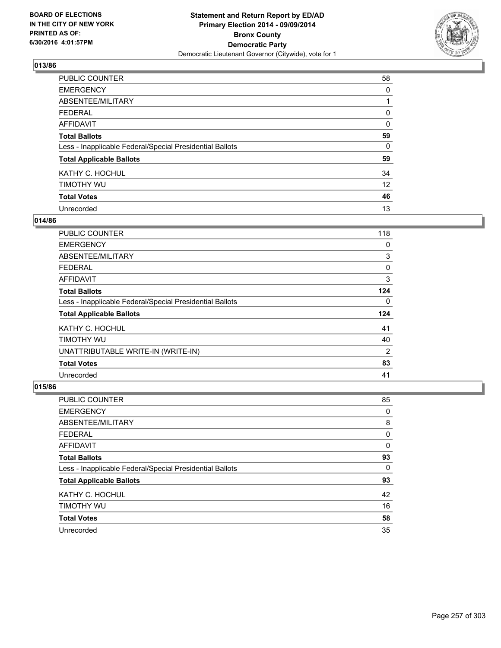

| PUBLIC COUNTER                                           | 58 |
|----------------------------------------------------------|----|
| <b>EMERGENCY</b>                                         | 0  |
| ABSENTEE/MILITARY                                        |    |
| <b>FEDERAL</b>                                           | 0  |
| <b>AFFIDAVIT</b>                                         | 0  |
| <b>Total Ballots</b>                                     | 59 |
| Less - Inapplicable Federal/Special Presidential Ballots | 0  |
| <b>Total Applicable Ballots</b>                          | 59 |
| KATHY C. HOCHUL                                          | 34 |
| TIMOTHY WU                                               | 12 |
| <b>Total Votes</b>                                       | 46 |
| Unrecorded                                               | 13 |

#### **014/86**

| <b>PUBLIC COUNTER</b>                                    | 118 |
|----------------------------------------------------------|-----|
| <b>EMERGENCY</b>                                         | 0   |
| ABSENTEE/MILITARY                                        | 3   |
| <b>FEDERAL</b>                                           | 0   |
| AFFIDAVIT                                                | 3   |
| <b>Total Ballots</b>                                     | 124 |
| Less - Inapplicable Federal/Special Presidential Ballots | 0   |
| <b>Total Applicable Ballots</b>                          | 124 |
| KATHY C. HOCHUL                                          | 41  |
| TIMOTHY WU                                               | 40  |
| UNATTRIBUTABLE WRITE-IN (WRITE-IN)                       | 2   |
| <b>Total Votes</b>                                       | 83  |
| Unrecorded                                               | 41  |

| <b>PUBLIC COUNTER</b>                                    | 85 |
|----------------------------------------------------------|----|
| <b>EMERGENCY</b>                                         | 0  |
| ABSENTEE/MILITARY                                        | 8  |
| <b>FEDERAL</b>                                           | 0  |
| AFFIDAVIT                                                | 0  |
| <b>Total Ballots</b>                                     | 93 |
| Less - Inapplicable Federal/Special Presidential Ballots | 0  |
| <b>Total Applicable Ballots</b>                          | 93 |
| KATHY C. HOCHUL                                          | 42 |
| TIMOTHY WU                                               | 16 |
| <b>Total Votes</b>                                       | 58 |
| Unrecorded                                               | 35 |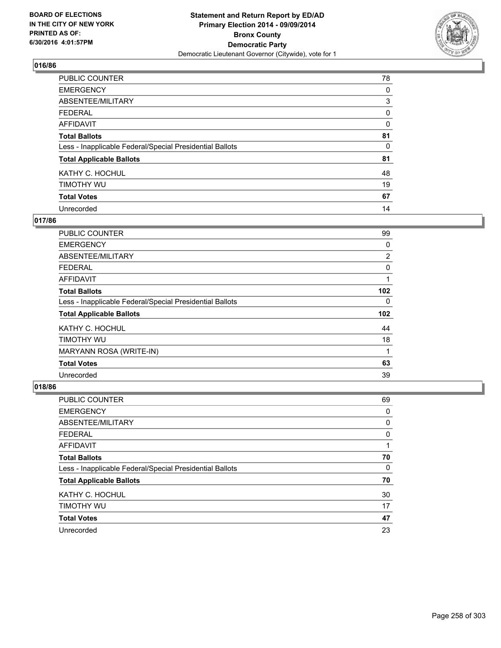

| <b>PUBLIC COUNTER</b>                                    | 78 |
|----------------------------------------------------------|----|
| <b>EMERGENCY</b>                                         | 0  |
| ABSENTEE/MILITARY                                        | 3  |
| <b>FEDERAL</b>                                           | 0  |
| <b>AFFIDAVIT</b>                                         | 0  |
| <b>Total Ballots</b>                                     | 81 |
| Less - Inapplicable Federal/Special Presidential Ballots | 0  |
| <b>Total Applicable Ballots</b>                          | 81 |
| KATHY C. HOCHUL                                          | 48 |
| TIMOTHY WU                                               | 19 |
| <b>Total Votes</b>                                       | 67 |
| Unrecorded                                               | 14 |

### **017/86**

| <b>PUBLIC COUNTER</b>                                    | 99               |
|----------------------------------------------------------|------------------|
| <b>EMERGENCY</b>                                         | 0                |
| ABSENTEE/MILITARY                                        | $\overline{2}$   |
| <b>FEDERAL</b>                                           | 0                |
| AFFIDAVIT                                                | 1                |
| <b>Total Ballots</b>                                     | 102              |
| Less - Inapplicable Federal/Special Presidential Ballots | 0                |
| <b>Total Applicable Ballots</b>                          | 102 <sub>2</sub> |
| KATHY C. HOCHUL                                          | 44               |
| TIMOTHY WU                                               | 18               |
| MARYANN ROSA (WRITE-IN)                                  | 1                |
| <b>Total Votes</b>                                       | 63               |
| Unrecorded                                               | 39               |

| <b>PUBLIC COUNTER</b>                                    | 69          |
|----------------------------------------------------------|-------------|
| <b>EMERGENCY</b>                                         | 0           |
| ABSENTEE/MILITARY                                        | 0           |
| <b>FEDERAL</b>                                           | 0           |
| AFFIDAVIT                                                | $\mathbf 1$ |
| <b>Total Ballots</b>                                     | 70          |
| Less - Inapplicable Federal/Special Presidential Ballots | 0           |
| <b>Total Applicable Ballots</b>                          | 70          |
| KATHY C. HOCHUL                                          | 30          |
| TIMOTHY WU                                               | 17          |
| <b>Total Votes</b>                                       | 47          |
| Unrecorded                                               | 23          |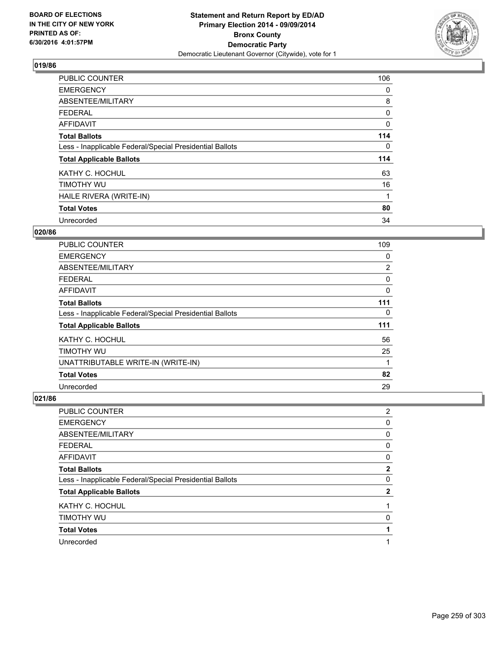

| <b>PUBLIC COUNTER</b>                                    | 106      |
|----------------------------------------------------------|----------|
| <b>EMERGENCY</b>                                         | 0        |
| ABSENTEE/MILITARY                                        | 8        |
| <b>FEDERAL</b>                                           | 0        |
| <b>AFFIDAVIT</b>                                         | $\Omega$ |
| <b>Total Ballots</b>                                     | 114      |
| Less - Inapplicable Federal/Special Presidential Ballots | 0        |
| <b>Total Applicable Ballots</b>                          | 114      |
| KATHY C. HOCHUL                                          | 63       |
| TIMOTHY WU                                               | 16       |
| HAILE RIVERA (WRITE-IN)                                  | 1        |
| <b>Total Votes</b>                                       | 80       |
| Unrecorded                                               | 34       |

### **020/86**

| PUBLIC COUNTER                                           | 109 |
|----------------------------------------------------------|-----|
| <b>EMERGENCY</b>                                         | 0   |
| ABSENTEE/MILITARY                                        | 2   |
| <b>FEDERAL</b>                                           | 0   |
| <b>AFFIDAVIT</b>                                         | 0   |
| <b>Total Ballots</b>                                     | 111 |
| Less - Inapplicable Federal/Special Presidential Ballots | 0   |
| <b>Total Applicable Ballots</b>                          | 111 |
| KATHY C. HOCHUL                                          | 56  |
| TIMOTHY WU                                               | 25  |
| UNATTRIBUTABLE WRITE-IN (WRITE-IN)                       | 1   |
| <b>Total Votes</b>                                       | 82  |
| Unrecorded                                               | 29  |

| PUBLIC COUNTER                                           | 2 |
|----------------------------------------------------------|---|
| <b>EMERGENCY</b>                                         | 0 |
| ABSENTEE/MILITARY                                        | 0 |
| <b>FEDERAL</b>                                           | 0 |
| <b>AFFIDAVIT</b>                                         | 0 |
| <b>Total Ballots</b>                                     | 2 |
| Less - Inapplicable Federal/Special Presidential Ballots | 0 |
| <b>Total Applicable Ballots</b>                          | 2 |
| KATHY C. HOCHUL                                          | 1 |
| TIMOTHY WU                                               | 0 |
| <b>Total Votes</b>                                       | 1 |
| Unrecorded                                               |   |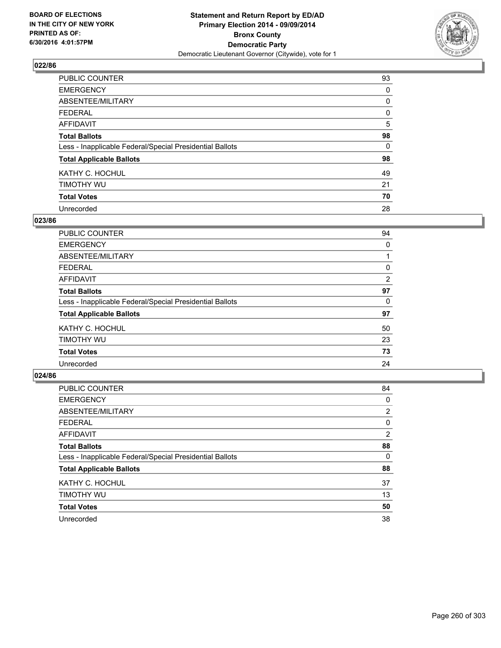

| PUBLIC COUNTER                                           | 93 |
|----------------------------------------------------------|----|
| <b>EMERGENCY</b>                                         | 0  |
| ABSENTEE/MILITARY                                        | 0  |
| <b>FEDERAL</b>                                           | 0  |
| <b>AFFIDAVIT</b>                                         | 5  |
| <b>Total Ballots</b>                                     | 98 |
| Less - Inapplicable Federal/Special Presidential Ballots | 0  |
| <b>Total Applicable Ballots</b>                          | 98 |
| KATHY C. HOCHUL                                          | 49 |
| TIMOTHY WU                                               | 21 |
| <b>Total Votes</b>                                       | 70 |
| Unrecorded                                               | 28 |

#### **023/86**

| PUBLIC COUNTER                                           | 94 |
|----------------------------------------------------------|----|
| <b>EMERGENCY</b>                                         | 0  |
| ABSENTEE/MILITARY                                        |    |
| <b>FEDERAL</b>                                           | 0  |
| <b>AFFIDAVIT</b>                                         | 2  |
| <b>Total Ballots</b>                                     | 97 |
| Less - Inapplicable Federal/Special Presidential Ballots | 0  |
| <b>Total Applicable Ballots</b>                          | 97 |
| KATHY C. HOCHUL                                          | 50 |
| TIMOTHY WU                                               | 23 |
| <b>Total Votes</b>                                       | 73 |
| Unrecorded                                               | 24 |
|                                                          |    |

| PUBLIC COUNTER                                           | 84             |
|----------------------------------------------------------|----------------|
| <b>EMERGENCY</b>                                         | 0              |
| ABSENTEE/MILITARY                                        | $\overline{2}$ |
| <b>FEDERAL</b>                                           | 0              |
| <b>AFFIDAVIT</b>                                         | $\overline{2}$ |
| <b>Total Ballots</b>                                     | 88             |
| Less - Inapplicable Federal/Special Presidential Ballots | 0              |
| <b>Total Applicable Ballots</b>                          | 88             |
| KATHY C. HOCHUL                                          | 37             |
| TIMOTHY WU                                               | 13             |
| <b>Total Votes</b>                                       | 50             |
| Unrecorded                                               | 38             |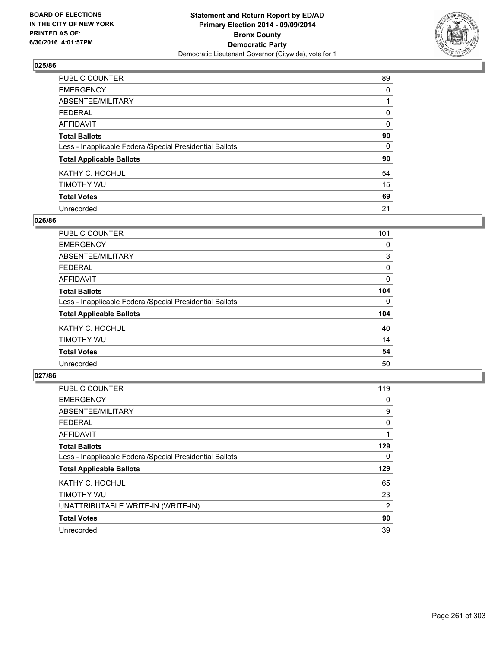

| PUBLIC COUNTER                                           | 89 |
|----------------------------------------------------------|----|
| <b>EMERGENCY</b>                                         | 0  |
| ABSENTEE/MILITARY                                        |    |
| <b>FEDERAL</b>                                           | 0  |
| <b>AFFIDAVIT</b>                                         | 0  |
| <b>Total Ballots</b>                                     | 90 |
| Less - Inapplicable Federal/Special Presidential Ballots | 0  |
| <b>Total Applicable Ballots</b>                          | 90 |
| KATHY C. HOCHUL                                          | 54 |
| TIMOTHY WU                                               | 15 |
| <b>Total Votes</b>                                       | 69 |
| Unrecorded                                               | 21 |

#### **026/86**

| PUBLIC COUNTER                                           | 101 |
|----------------------------------------------------------|-----|
| <b>EMERGENCY</b>                                         | 0   |
| ABSENTEE/MILITARY                                        | 3   |
| <b>FEDERAL</b>                                           | 0   |
| <b>AFFIDAVIT</b>                                         | 0   |
| <b>Total Ballots</b>                                     | 104 |
| Less - Inapplicable Federal/Special Presidential Ballots | 0   |
| <b>Total Applicable Ballots</b>                          | 104 |
| KATHY C. HOCHUL                                          | 40  |
| TIMOTHY WU                                               | 14  |
| <b>Total Votes</b>                                       | 54  |
| Unrecorded                                               | 50  |

| <b>PUBLIC COUNTER</b>                                    | 119 |
|----------------------------------------------------------|-----|
| <b>EMERGENCY</b>                                         | 0   |
| ABSENTEE/MILITARY                                        | 9   |
| <b>FEDERAL</b>                                           | 0   |
| <b>AFFIDAVIT</b>                                         |     |
| <b>Total Ballots</b>                                     | 129 |
| Less - Inapplicable Federal/Special Presidential Ballots | 0   |
| <b>Total Applicable Ballots</b>                          | 129 |
| KATHY C. HOCHUL                                          | 65  |
| TIMOTHY WU                                               | 23  |
| UNATTRIBUTABLE WRITE-IN (WRITE-IN)                       | 2   |
| <b>Total Votes</b>                                       | 90  |
| Unrecorded                                               | 39  |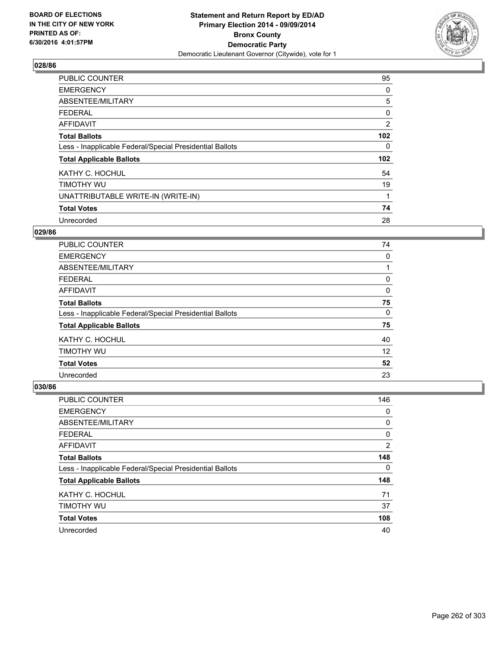

| <b>PUBLIC COUNTER</b>                                    | 95               |
|----------------------------------------------------------|------------------|
| <b>EMERGENCY</b>                                         | 0                |
| ABSENTEE/MILITARY                                        | 5                |
| <b>FEDERAL</b>                                           | 0                |
| AFFIDAVIT                                                | 2                |
| <b>Total Ballots</b>                                     | 102 <sub>2</sub> |
| Less - Inapplicable Federal/Special Presidential Ballots | 0                |
| <b>Total Applicable Ballots</b>                          | 102 <sub>2</sub> |
| KATHY C. HOCHUL                                          | 54               |
| TIMOTHY WU                                               | 19               |
| UNATTRIBUTABLE WRITE-IN (WRITE-IN)                       | 1                |
| <b>Total Votes</b>                                       | 74               |
| Unrecorded                                               | 28               |

## **029/86**

| PUBLIC COUNTER                                           | 74 |
|----------------------------------------------------------|----|
| <b>EMERGENCY</b>                                         | 0  |
| ABSENTEE/MILITARY                                        |    |
| <b>FEDERAL</b>                                           | 0  |
| <b>AFFIDAVIT</b>                                         | 0  |
| <b>Total Ballots</b>                                     | 75 |
| Less - Inapplicable Federal/Special Presidential Ballots | 0  |
| <b>Total Applicable Ballots</b>                          | 75 |
| KATHY C. HOCHUL                                          | 40 |
| TIMOTHY WU                                               | 12 |
| <b>Total Votes</b>                                       | 52 |
| Unrecorded                                               | 23 |

| <b>PUBLIC COUNTER</b>                                    | 146 |
|----------------------------------------------------------|-----|
| <b>EMERGENCY</b>                                         | 0   |
| ABSENTEE/MILITARY                                        | 0   |
| <b>FEDERAL</b>                                           | 0   |
| AFFIDAVIT                                                | 2   |
| <b>Total Ballots</b>                                     | 148 |
| Less - Inapplicable Federal/Special Presidential Ballots | 0   |
| <b>Total Applicable Ballots</b>                          | 148 |
| KATHY C. HOCHUL                                          | 71  |
| TIMOTHY WU                                               | 37  |
| <b>Total Votes</b>                                       | 108 |
| Unrecorded                                               | 40  |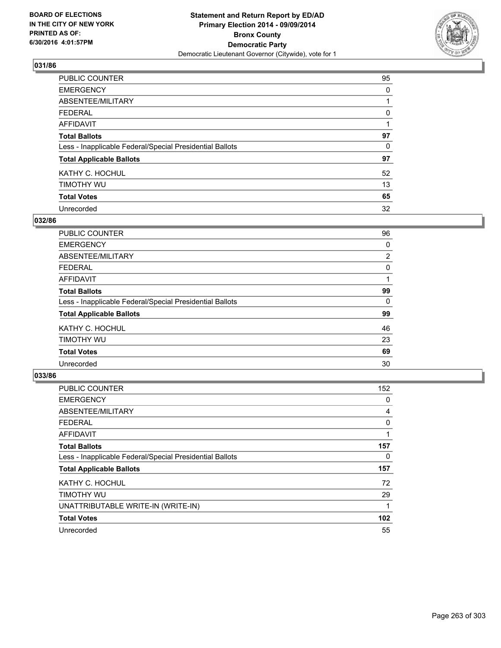

| <b>PUBLIC COUNTER</b>                                    | 95 |
|----------------------------------------------------------|----|
| <b>EMERGENCY</b>                                         | 0  |
| ABSENTEE/MILITARY                                        |    |
| <b>FEDERAL</b>                                           | 0  |
| <b>AFFIDAVIT</b>                                         |    |
| <b>Total Ballots</b>                                     | 97 |
| Less - Inapplicable Federal/Special Presidential Ballots | 0  |
| <b>Total Applicable Ballots</b>                          | 97 |
| KATHY C. HOCHUL                                          | 52 |
| TIMOTHY WU                                               | 13 |
| <b>Total Votes</b>                                       | 65 |
| Unrecorded                                               | 32 |

#### **032/86**

| PUBLIC COUNTER                                           | 96             |
|----------------------------------------------------------|----------------|
| <b>EMERGENCY</b>                                         | 0              |
| ABSENTEE/MILITARY                                        | $\overline{2}$ |
| <b>FEDERAL</b>                                           | 0              |
| <b>AFFIDAVIT</b>                                         | 1              |
| <b>Total Ballots</b>                                     | 99             |
| Less - Inapplicable Federal/Special Presidential Ballots | 0              |
| <b>Total Applicable Ballots</b>                          | 99             |
| KATHY C. HOCHUL                                          | 46             |
| TIMOTHY WU                                               | 23             |
| <b>Total Votes</b>                                       | 69             |
| Unrecorded                                               | 30             |

| <b>PUBLIC COUNTER</b>                                    | 152              |
|----------------------------------------------------------|------------------|
| <b>EMERGENCY</b>                                         | 0                |
| ABSENTEE/MILITARY                                        | 4                |
| <b>FEDERAL</b>                                           | 0                |
| <b>AFFIDAVIT</b>                                         | 1                |
| <b>Total Ballots</b>                                     | 157              |
| Less - Inapplicable Federal/Special Presidential Ballots | 0                |
| <b>Total Applicable Ballots</b>                          | 157              |
| KATHY C. HOCHUL                                          | 72               |
| TIMOTHY WU                                               | 29               |
| UNATTRIBUTABLE WRITE-IN (WRITE-IN)                       | 1                |
| <b>Total Votes</b>                                       | 102 <sub>2</sub> |
| Unrecorded                                               | 55               |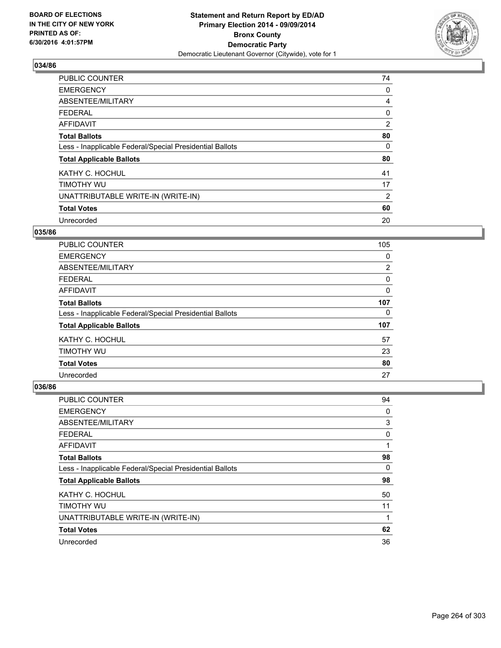

| <b>PUBLIC COUNTER</b>                                    | 74 |
|----------------------------------------------------------|----|
| <b>EMERGENCY</b>                                         | 0  |
| ABSENTEE/MILITARY                                        | 4  |
| <b>FEDERAL</b>                                           | 0  |
| AFFIDAVIT                                                | 2  |
| <b>Total Ballots</b>                                     | 80 |
| Less - Inapplicable Federal/Special Presidential Ballots | 0  |
| <b>Total Applicable Ballots</b>                          | 80 |
| KATHY C. HOCHUL                                          | 41 |
| TIMOTHY WU                                               | 17 |
| UNATTRIBUTABLE WRITE-IN (WRITE-IN)                       | 2  |
| <b>Total Votes</b>                                       | 60 |
| Unrecorded                                               | 20 |

# **035/86**

| PUBLIC COUNTER                                           | 105            |
|----------------------------------------------------------|----------------|
| <b>EMERGENCY</b>                                         | 0              |
| ABSENTEE/MILITARY                                        | $\overline{2}$ |
| <b>FEDERAL</b>                                           | 0              |
| AFFIDAVIT                                                | 0              |
| <b>Total Ballots</b>                                     | 107            |
| Less - Inapplicable Federal/Special Presidential Ballots | 0              |
| <b>Total Applicable Ballots</b>                          | 107            |
| KATHY C. HOCHUL                                          | 57             |
| TIMOTHY WU                                               | 23             |
| <b>Total Votes</b>                                       | 80             |
| Unrecorded                                               | 27             |

| <b>PUBLIC COUNTER</b>                                    | 94 |
|----------------------------------------------------------|----|
| <b>EMERGENCY</b>                                         | 0  |
| ABSENTEE/MILITARY                                        | 3  |
| <b>FEDERAL</b>                                           | 0  |
| <b>AFFIDAVIT</b>                                         |    |
| <b>Total Ballots</b>                                     | 98 |
| Less - Inapplicable Federal/Special Presidential Ballots | 0  |
| <b>Total Applicable Ballots</b>                          | 98 |
| KATHY C. HOCHUL                                          | 50 |
| TIMOTHY WU                                               | 11 |
| UNATTRIBUTABLE WRITE-IN (WRITE-IN)                       |    |
| <b>Total Votes</b>                                       | 62 |
| Unrecorded                                               | 36 |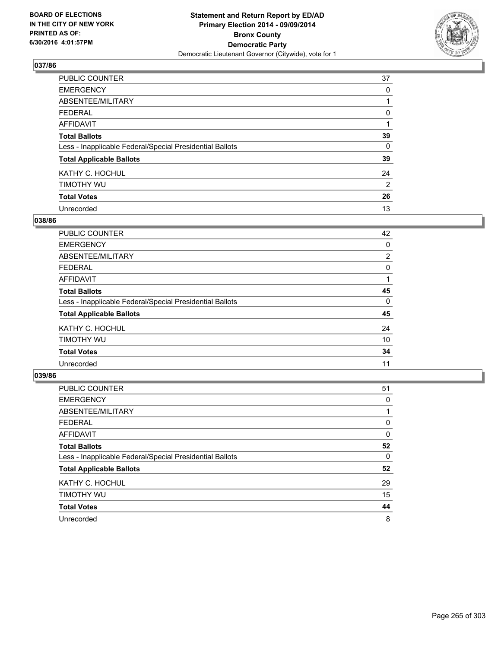

| PUBLIC COUNTER                                           | 37             |
|----------------------------------------------------------|----------------|
| <b>EMERGENCY</b>                                         | 0              |
| ABSENTEE/MILITARY                                        |                |
| <b>FEDERAL</b>                                           | 0              |
| <b>AFFIDAVIT</b>                                         |                |
| <b>Total Ballots</b>                                     | 39             |
| Less - Inapplicable Federal/Special Presidential Ballots | 0              |
| <b>Total Applicable Ballots</b>                          | 39             |
| KATHY C. HOCHUL                                          | 24             |
| TIMOTHY WU                                               | $\overline{2}$ |
| <b>Total Votes</b>                                       | 26             |
| Unrecorded                                               | 13             |

#### **038/86**

| PUBLIC COUNTER                                           | 42             |
|----------------------------------------------------------|----------------|
| <b>EMERGENCY</b>                                         | 0              |
| ABSENTEE/MILITARY                                        | $\overline{2}$ |
| <b>FEDERAL</b>                                           | 0              |
| <b>AFFIDAVIT</b>                                         |                |
| <b>Total Ballots</b>                                     | 45             |
| Less - Inapplicable Federal/Special Presidential Ballots | 0              |
| <b>Total Applicable Ballots</b>                          | 45             |
| KATHY C. HOCHUL                                          | 24             |
| TIMOTHY WU                                               | 10             |
| <b>Total Votes</b>                                       | 34             |
| Unrecorded                                               | 11             |

| PUBLIC COUNTER                                           | 51 |
|----------------------------------------------------------|----|
| <b>EMERGENCY</b>                                         | 0  |
| ABSENTEE/MILITARY                                        |    |
| <b>FEDERAL</b>                                           | 0  |
| AFFIDAVIT                                                | 0  |
| <b>Total Ballots</b>                                     | 52 |
| Less - Inapplicable Federal/Special Presidential Ballots | 0  |
| <b>Total Applicable Ballots</b>                          | 52 |
| KATHY C. HOCHUL                                          | 29 |
| TIMOTHY WU                                               | 15 |
| <b>Total Votes</b>                                       | 44 |
| Unrecorded                                               | 8  |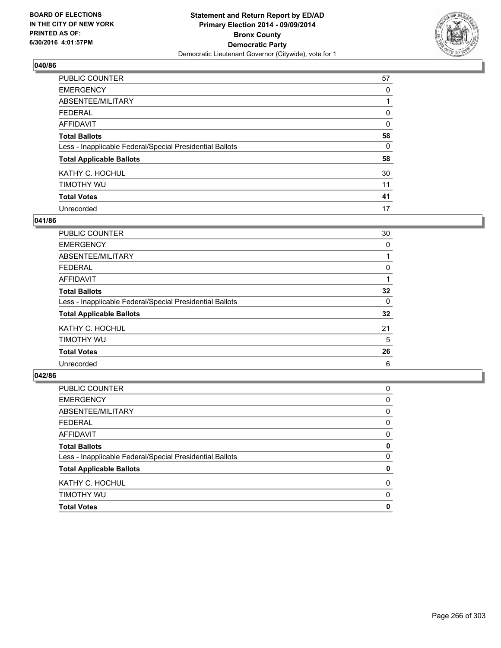

| <b>PUBLIC COUNTER</b>                                    | 57       |
|----------------------------------------------------------|----------|
| <b>EMERGENCY</b>                                         | 0        |
| ABSENTEE/MILITARY                                        |          |
| <b>FEDERAL</b>                                           | 0        |
| <b>AFFIDAVIT</b>                                         | $\Omega$ |
| <b>Total Ballots</b>                                     | 58       |
| Less - Inapplicable Federal/Special Presidential Ballots | 0        |
| <b>Total Applicable Ballots</b>                          | 58       |
| KATHY C. HOCHUL                                          | 30       |
| TIMOTHY WU                                               | 11       |
| <b>Total Votes</b>                                       | 41       |
| Unrecorded                                               | 17       |

### **041/86**

| PUBLIC COUNTER                                           | 30 |
|----------------------------------------------------------|----|
| <b>EMERGENCY</b>                                         | 0  |
| ABSENTEE/MILITARY                                        |    |
| <b>FEDERAL</b>                                           | 0  |
| <b>AFFIDAVIT</b>                                         |    |
| <b>Total Ballots</b>                                     | 32 |
| Less - Inapplicable Federal/Special Presidential Ballots | 0  |
| <b>Total Applicable Ballots</b>                          | 32 |
| KATHY C. HOCHUL                                          | 21 |
| TIMOTHY WU                                               | 5  |
| <b>Total Votes</b>                                       | 26 |
| Unrecorded                                               | 6  |
|                                                          |    |

| <b>Total Votes</b>                                       | 0 |
|----------------------------------------------------------|---|
| <b>TIMOTHY WU</b>                                        | 0 |
| KATHY C. HOCHUL                                          | 0 |
| <b>Total Applicable Ballots</b>                          | 0 |
| Less - Inapplicable Federal/Special Presidential Ballots | 0 |
| <b>Total Ballots</b>                                     | 0 |
| <b>AFFIDAVIT</b>                                         | 0 |
| <b>FEDERAL</b>                                           | 0 |
| ABSENTEE/MILITARY                                        | 0 |
| <b>EMERGENCY</b>                                         | 0 |
| PUBLIC COUNTER                                           | 0 |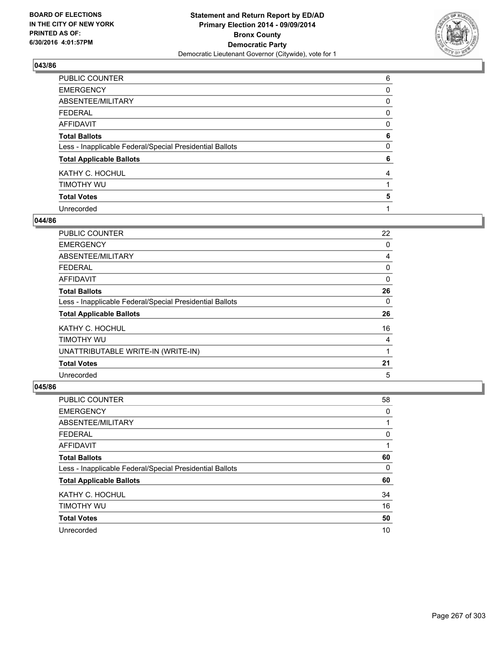

| PUBLIC COUNTER                                           | 6 |
|----------------------------------------------------------|---|
| <b>EMERGENCY</b>                                         | 0 |
| ABSENTEE/MILITARY                                        | 0 |
| <b>FEDERAL</b>                                           | 0 |
| <b>AFFIDAVIT</b>                                         | 0 |
| <b>Total Ballots</b>                                     | 6 |
| Less - Inapplicable Federal/Special Presidential Ballots | 0 |
| <b>Total Applicable Ballots</b>                          | 6 |
| KATHY C. HOCHUL                                          | 4 |
| TIMOTHY WU                                               |   |
| <b>Total Votes</b>                                       | 5 |
| Unrecorded                                               |   |

#### **044/86**

| <b>PUBLIC COUNTER</b>                                    | 22 |
|----------------------------------------------------------|----|
| <b>EMERGENCY</b>                                         | 0  |
| ABSENTEE/MILITARY                                        | 4  |
| <b>FEDERAL</b>                                           | 0  |
| AFFIDAVIT                                                | 0  |
| <b>Total Ballots</b>                                     | 26 |
| Less - Inapplicable Federal/Special Presidential Ballots | 0  |
| <b>Total Applicable Ballots</b>                          | 26 |
| KATHY C. HOCHUL                                          | 16 |
| TIMOTHY WU                                               | 4  |
| UNATTRIBUTABLE WRITE-IN (WRITE-IN)                       | 1  |
| <b>Total Votes</b>                                       | 21 |
| Unrecorded                                               | 5  |

| <b>PUBLIC COUNTER</b>                                    | 58 |
|----------------------------------------------------------|----|
| <b>EMERGENCY</b>                                         | 0  |
| ABSENTEE/MILITARY                                        |    |
| <b>FEDERAL</b>                                           | 0  |
| AFFIDAVIT                                                |    |
| <b>Total Ballots</b>                                     | 60 |
| Less - Inapplicable Federal/Special Presidential Ballots | 0  |
| <b>Total Applicable Ballots</b>                          | 60 |
| KATHY C. HOCHUL                                          | 34 |
| TIMOTHY WU                                               | 16 |
| <b>Total Votes</b>                                       | 50 |
| Unrecorded                                               | 10 |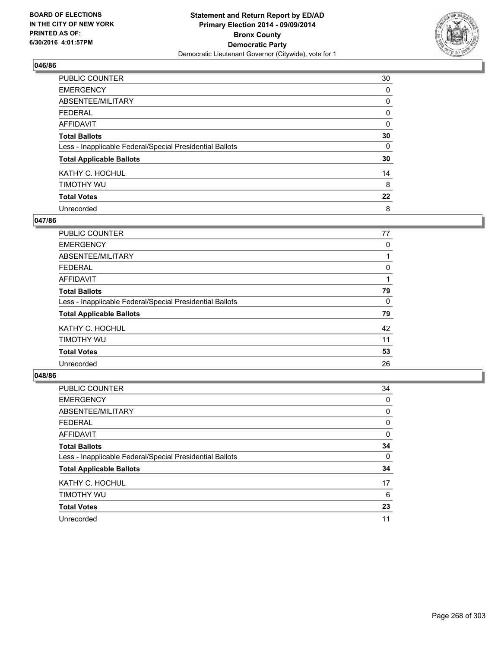

| PUBLIC COUNTER                                           | 30 |
|----------------------------------------------------------|----|
| <b>EMERGENCY</b>                                         | 0  |
| ABSENTEE/MILITARY                                        | 0  |
| <b>FEDERAL</b>                                           | 0  |
| <b>AFFIDAVIT</b>                                         | 0  |
| <b>Total Ballots</b>                                     | 30 |
| Less - Inapplicable Federal/Special Presidential Ballots | 0  |
| <b>Total Applicable Ballots</b>                          | 30 |
| KATHY C. HOCHUL                                          | 14 |
| TIMOTHY WU                                               | 8  |
| <b>Total Votes</b>                                       | 22 |
| Unrecorded                                               | 8  |

#### **047/86**

| PUBLIC COUNTER                                           | 77 |
|----------------------------------------------------------|----|
| <b>EMERGENCY</b>                                         | 0  |
| ABSENTEE/MILITARY                                        |    |
| <b>FEDERAL</b>                                           | 0  |
| <b>AFFIDAVIT</b>                                         |    |
| <b>Total Ballots</b>                                     | 79 |
| Less - Inapplicable Federal/Special Presidential Ballots | 0  |
| <b>Total Applicable Ballots</b>                          | 79 |
| KATHY C. HOCHUL                                          | 42 |
| TIMOTHY WU                                               | 11 |
| <b>Total Votes</b>                                       | 53 |
| Unrecorded                                               | 26 |
|                                                          |    |

| PUBLIC COUNTER                                           | 34 |
|----------------------------------------------------------|----|
| <b>EMERGENCY</b>                                         | 0  |
| ABSENTEE/MILITARY                                        | 0  |
| <b>FEDERAL</b>                                           | 0  |
| <b>AFFIDAVIT</b>                                         | 0  |
| <b>Total Ballots</b>                                     | 34 |
| Less - Inapplicable Federal/Special Presidential Ballots | 0  |
| <b>Total Applicable Ballots</b>                          | 34 |
| KATHY C. HOCHUL                                          | 17 |
| TIMOTHY WU                                               | 6  |
| <b>Total Votes</b>                                       | 23 |
| Unrecorded                                               | 11 |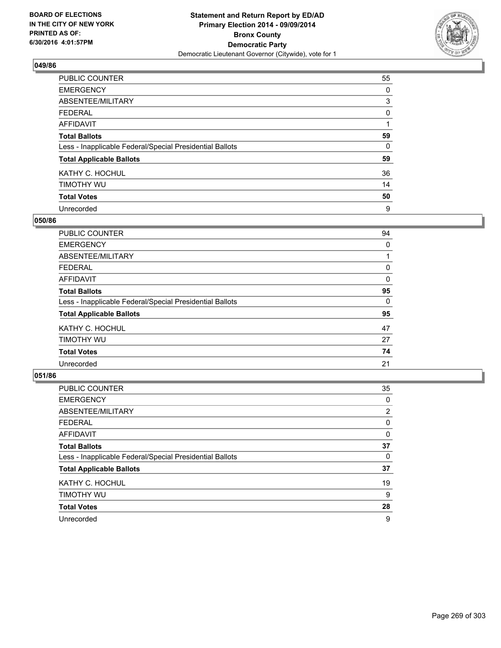

| PUBLIC COUNTER                                           | 55 |
|----------------------------------------------------------|----|
| <b>EMERGENCY</b>                                         | 0  |
| ABSENTEE/MILITARY                                        | 3  |
| <b>FEDERAL</b>                                           | 0  |
| <b>AFFIDAVIT</b>                                         |    |
| <b>Total Ballots</b>                                     | 59 |
| Less - Inapplicable Federal/Special Presidential Ballots | 0  |
| <b>Total Applicable Ballots</b>                          | 59 |
| KATHY C. HOCHUL                                          | 36 |
| TIMOTHY WU                                               | 14 |
| <b>Total Votes</b>                                       | 50 |
| Unrecorded                                               | 9  |

#### **050/86**

| <b>PUBLIC COUNTER</b>                                    | 94 |
|----------------------------------------------------------|----|
| <b>EMERGENCY</b>                                         | 0  |
| ABSENTEE/MILITARY                                        |    |
| <b>FEDERAL</b>                                           | 0  |
| <b>AFFIDAVIT</b>                                         | 0  |
| <b>Total Ballots</b>                                     | 95 |
| Less - Inapplicable Federal/Special Presidential Ballots | 0  |
| <b>Total Applicable Ballots</b>                          | 95 |
| KATHY C. HOCHUL                                          | 47 |
| TIMOTHY WU                                               | 27 |
| <b>Total Votes</b>                                       | 74 |
| Unrecorded                                               | 21 |

| PUBLIC COUNTER                                           | 35             |
|----------------------------------------------------------|----------------|
| <b>EMERGENCY</b>                                         | 0              |
| ABSENTEE/MILITARY                                        | $\overline{2}$ |
| <b>FEDERAL</b>                                           | 0              |
| <b>AFFIDAVIT</b>                                         | 0              |
| <b>Total Ballots</b>                                     | 37             |
| Less - Inapplicable Federal/Special Presidential Ballots | 0              |
| <b>Total Applicable Ballots</b>                          | 37             |
| KATHY C. HOCHUL                                          | 19             |
| TIMOTHY WU                                               | 9              |
| <b>Total Votes</b>                                       | 28             |
| Unrecorded                                               | 9              |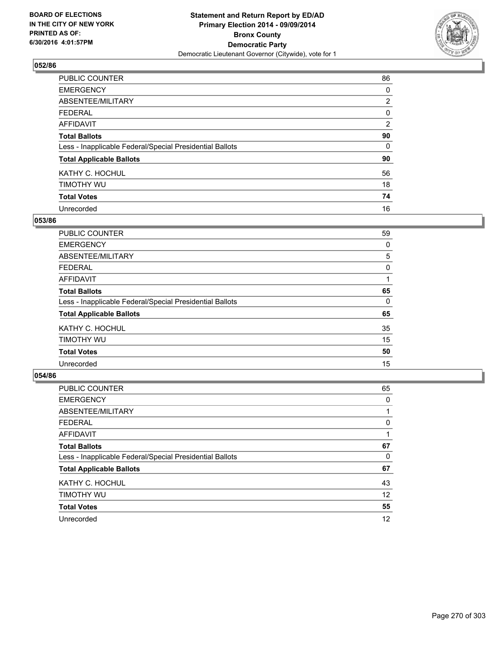

| <b>PUBLIC COUNTER</b>                                    | 86             |
|----------------------------------------------------------|----------------|
| <b>EMERGENCY</b>                                         | 0              |
| ABSENTEE/MILITARY                                        | $\overline{2}$ |
| <b>FEDERAL</b>                                           | 0              |
| <b>AFFIDAVIT</b>                                         | 2              |
| <b>Total Ballots</b>                                     | 90             |
| Less - Inapplicable Federal/Special Presidential Ballots | 0              |
| <b>Total Applicable Ballots</b>                          | 90             |
| KATHY C. HOCHUL                                          | 56             |
| TIMOTHY WU                                               | 18             |
| <b>Total Votes</b>                                       | 74             |
| Unrecorded                                               | 16             |

#### **053/86**

| <b>PUBLIC COUNTER</b>                                    | 59 |
|----------------------------------------------------------|----|
| <b>EMERGENCY</b>                                         | 0  |
| ABSENTEE/MILITARY                                        | 5  |
| <b>FEDERAL</b>                                           | 0  |
| <b>AFFIDAVIT</b>                                         |    |
| <b>Total Ballots</b>                                     | 65 |
| Less - Inapplicable Federal/Special Presidential Ballots | 0  |
| <b>Total Applicable Ballots</b>                          | 65 |
| KATHY C. HOCHUL                                          | 35 |
| TIMOTHY WU                                               | 15 |
| <b>Total Votes</b>                                       | 50 |
| Unrecorded                                               | 15 |

| PUBLIC COUNTER                                           | 65 |
|----------------------------------------------------------|----|
| <b>EMERGENCY</b>                                         | 0  |
| ABSENTEE/MILITARY                                        |    |
| <b>FEDERAL</b>                                           | 0  |
| <b>AFFIDAVIT</b>                                         |    |
| <b>Total Ballots</b>                                     | 67 |
| Less - Inapplicable Federal/Special Presidential Ballots | 0  |
| <b>Total Applicable Ballots</b>                          | 67 |
| KATHY C. HOCHUL                                          | 43 |
| TIMOTHY WU                                               | 12 |
| <b>Total Votes</b>                                       | 55 |
| Unrecorded                                               | 12 |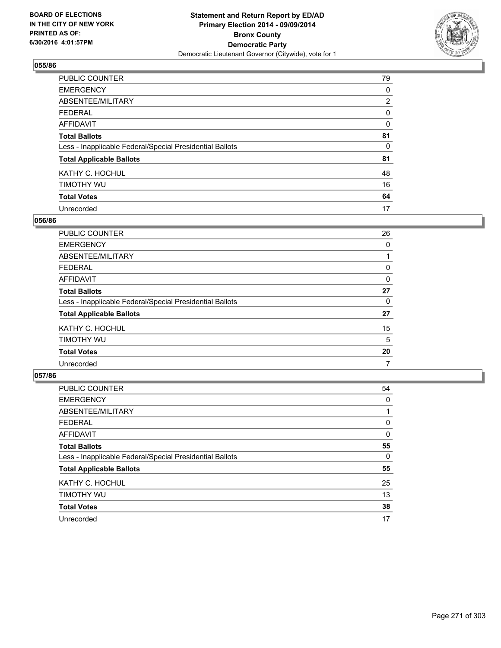

| PUBLIC COUNTER                                           | 79             |
|----------------------------------------------------------|----------------|
| <b>EMERGENCY</b>                                         | 0              |
| ABSENTEE/MILITARY                                        | $\overline{2}$ |
| <b>FEDERAL</b>                                           | 0              |
| <b>AFFIDAVIT</b>                                         | 0              |
| <b>Total Ballots</b>                                     | 81             |
| Less - Inapplicable Federal/Special Presidential Ballots | 0              |
| <b>Total Applicable Ballots</b>                          | 81             |
| KATHY C. HOCHUL                                          | 48             |
| TIMOTHY WU                                               | 16             |
| <b>Total Votes</b>                                       | 64             |
| Unrecorded                                               | 17             |

#### **056/86**

| <b>PUBLIC COUNTER</b>                                    | 26 |
|----------------------------------------------------------|----|
| <b>EMERGENCY</b>                                         | 0  |
| ABSENTEE/MILITARY                                        |    |
| <b>FEDERAL</b>                                           | 0  |
| <b>AFFIDAVIT</b>                                         | 0  |
| <b>Total Ballots</b>                                     | 27 |
| Less - Inapplicable Federal/Special Presidential Ballots | 0  |
| <b>Total Applicable Ballots</b>                          | 27 |
| KATHY C. HOCHUL                                          | 15 |
| TIMOTHY WU                                               | 5  |
| <b>Total Votes</b>                                       | 20 |
| Unrecorded                                               | 7  |

| PUBLIC COUNTER                                           | 54 |
|----------------------------------------------------------|----|
| <b>EMERGENCY</b>                                         | 0  |
| ABSENTEE/MILITARY                                        |    |
| <b>FEDERAL</b>                                           | 0  |
| AFFIDAVIT                                                | 0  |
| <b>Total Ballots</b>                                     | 55 |
| Less - Inapplicable Federal/Special Presidential Ballots | 0  |
| <b>Total Applicable Ballots</b>                          | 55 |
| KATHY C. HOCHUL                                          | 25 |
| TIMOTHY WU                                               | 13 |
| <b>Total Votes</b>                                       | 38 |
| Unrecorded                                               | 17 |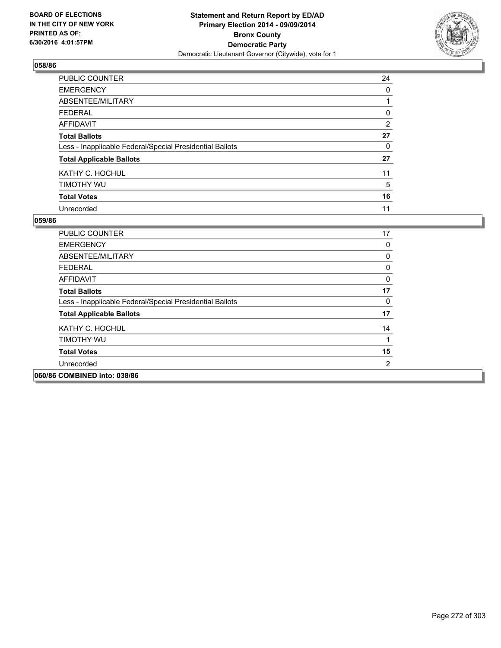

| <b>PUBLIC COUNTER</b>                                    | 24 |
|----------------------------------------------------------|----|
| <b>EMERGENCY</b>                                         | 0  |
| ABSENTEE/MILITARY                                        |    |
| <b>FEDERAL</b>                                           | 0  |
| <b>AFFIDAVIT</b>                                         | 2  |
| <b>Total Ballots</b>                                     | 27 |
| Less - Inapplicable Federal/Special Presidential Ballots | 0  |
| <b>Total Applicable Ballots</b>                          | 27 |
| KATHY C. HOCHUL                                          | 11 |
| TIMOTHY WU                                               | 5  |
| <b>Total Votes</b>                                       | 16 |
| Unrecorded                                               | 11 |

| PUBLIC COUNTER                                           | 17             |
|----------------------------------------------------------|----------------|
| <b>EMERGENCY</b>                                         | 0              |
| ABSENTEE/MILITARY                                        | 0              |
| <b>FEDERAL</b>                                           | 0              |
| AFFIDAVIT                                                | 0              |
| <b>Total Ballots</b>                                     | 17             |
| Less - Inapplicable Federal/Special Presidential Ballots | 0              |
| <b>Total Applicable Ballots</b>                          | 17             |
| KATHY C. HOCHUL                                          | 14             |
| TIMOTHY WU                                               | 1              |
| <b>Total Votes</b>                                       | 15             |
| Unrecorded                                               | $\overline{2}$ |
| 060/86 COMBINED into: 038/86                             |                |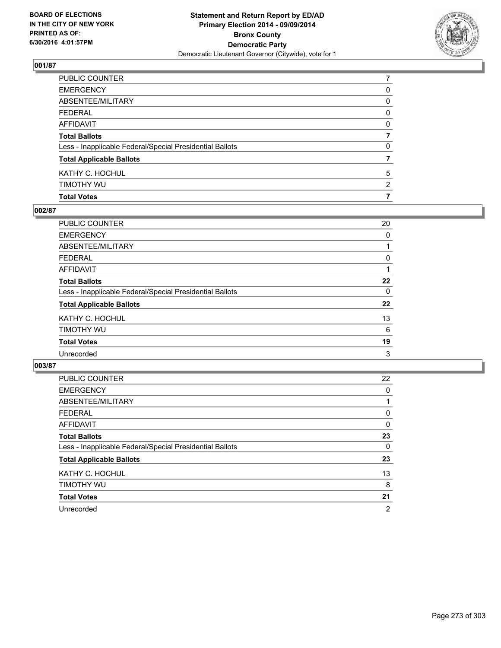

| PUBLIC COUNTER                                           | 7              |
|----------------------------------------------------------|----------------|
| EMERGENCY                                                | 0              |
| ABSENTEE/MILITARY                                        | 0              |
| FEDERAL                                                  | $\mathbf{0}$   |
| AFFIDAVIT                                                | 0              |
| <b>Total Ballots</b>                                     |                |
| Less - Inapplicable Federal/Special Presidential Ballots | 0              |
| <b>Total Applicable Ballots</b>                          |                |
| KATHY C. HOCHUL                                          | 5              |
| timothy wu                                               | $\overline{2}$ |
| <b>Total Votes</b>                                       | 7              |

## **002/87**

| PUBLIC COUNTER                                           | 20 |
|----------------------------------------------------------|----|
| <b>EMERGENCY</b>                                         | 0  |
| ABSENTEE/MILITARY                                        |    |
| <b>FEDERAL</b>                                           | 0  |
| AFFIDAVIT                                                |    |
| <b>Total Ballots</b>                                     | 22 |
| Less - Inapplicable Federal/Special Presidential Ballots | 0  |
| <b>Total Applicable Ballots</b>                          | 22 |
| KATHY C. HOCHUL                                          | 13 |
| TIMOTHY WU                                               | 6  |
| <b>Total Votes</b>                                       | 19 |
| Unrecorded                                               | 3  |
|                                                          |    |

| <b>PUBLIC COUNTER</b>                                    | 22             |
|----------------------------------------------------------|----------------|
| <b>EMERGENCY</b>                                         | 0              |
| ABSENTEE/MILITARY                                        |                |
| FEDERAL                                                  | 0              |
| AFFIDAVIT                                                | 0              |
| <b>Total Ballots</b>                                     | 23             |
| Less - Inapplicable Federal/Special Presidential Ballots | 0              |
| <b>Total Applicable Ballots</b>                          | 23             |
| KATHY C. HOCHUL                                          | 13             |
| TIMOTHY WU                                               | 8              |
| <b>Total Votes</b>                                       | 21             |
| Unrecorded                                               | $\overline{2}$ |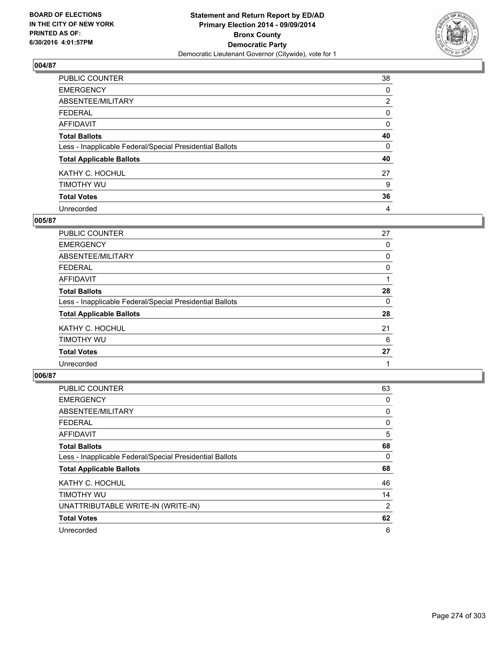

| PUBLIC COUNTER                                           | 38             |
|----------------------------------------------------------|----------------|
| <b>EMERGENCY</b>                                         | 0              |
| ABSENTEE/MILITARY                                        | $\overline{2}$ |
| <b>FEDERAL</b>                                           | 0              |
| <b>AFFIDAVIT</b>                                         | 0              |
| <b>Total Ballots</b>                                     | 40             |
| Less - Inapplicable Federal/Special Presidential Ballots | 0              |
| <b>Total Applicable Ballots</b>                          | 40             |
| KATHY C. HOCHUL                                          | 27             |
| TIMOTHY WU                                               | 9              |
| <b>Total Votes</b>                                       | 36             |
| Unrecorded                                               | 4              |

### **005/87**

| <b>PUBLIC COUNTER</b>                                    | 27 |
|----------------------------------------------------------|----|
| <b>EMERGENCY</b>                                         | 0  |
| ABSENTEE/MILITARY                                        | 0  |
| <b>FEDERAL</b>                                           | 0  |
| <b>AFFIDAVIT</b>                                         |    |
| <b>Total Ballots</b>                                     | 28 |
| Less - Inapplicable Federal/Special Presidential Ballots | 0  |
| <b>Total Applicable Ballots</b>                          | 28 |
| KATHY C. HOCHUL                                          | 21 |
| TIMOTHY WU                                               | 6  |
| <b>Total Votes</b>                                       | 27 |
| Unrecorded                                               |    |

| <b>PUBLIC COUNTER</b>                                    | 63 |
|----------------------------------------------------------|----|
| <b>EMERGENCY</b>                                         | 0  |
| ABSENTEE/MILITARY                                        | 0  |
| <b>FEDERAL</b>                                           | 0  |
| AFFIDAVIT                                                | 5  |
| <b>Total Ballots</b>                                     | 68 |
| Less - Inapplicable Federal/Special Presidential Ballots | 0  |
| <b>Total Applicable Ballots</b>                          | 68 |
| KATHY C. HOCHUL                                          | 46 |
| TIMOTHY WU                                               | 14 |
| UNATTRIBUTABLE WRITE-IN (WRITE-IN)                       | 2  |
| <b>Total Votes</b>                                       | 62 |
| Unrecorded                                               | 6  |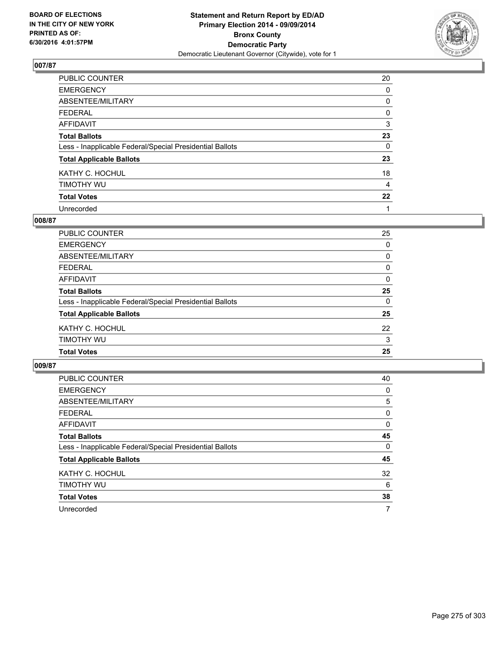

| PUBLIC COUNTER                                           | 20 |
|----------------------------------------------------------|----|
| <b>EMERGENCY</b>                                         | 0  |
| ABSENTEE/MILITARY                                        | 0  |
| <b>FEDERAL</b>                                           | 0  |
| <b>AFFIDAVIT</b>                                         | 3  |
| <b>Total Ballots</b>                                     | 23 |
| Less - Inapplicable Federal/Special Presidential Ballots | 0  |
| <b>Total Applicable Ballots</b>                          | 23 |
| KATHY C. HOCHUL                                          | 18 |
| TIMOTHY WU                                               | 4  |
| <b>Total Votes</b>                                       | 22 |
| Unrecorded                                               | 1  |

#### **008/87**

| <b>Total Votes</b>                                       | 25       |
|----------------------------------------------------------|----------|
| TIMOTHY WU                                               | 3        |
| KATHY C. HOCHUL                                          | 22       |
| <b>Total Applicable Ballots</b>                          | 25       |
| Less - Inapplicable Federal/Special Presidential Ballots | $\Omega$ |
| <b>Total Ballots</b>                                     | 25       |
| <b>AFFIDAVIT</b>                                         | 0        |
| <b>FEDERAL</b>                                           | 0        |
| <b>ABSENTEE/MILITARY</b>                                 | 0        |
| <b>EMERGENCY</b>                                         | 0        |
| <b>PUBLIC COUNTER</b>                                    | 25       |

| <b>PUBLIC COUNTER</b>                                    | 40       |
|----------------------------------------------------------|----------|
| <b>EMERGENCY</b>                                         | 0        |
| ABSENTEE/MILITARY                                        | 5        |
| <b>FEDERAL</b>                                           | 0        |
| AFFIDAVIT                                                | 0        |
| <b>Total Ballots</b>                                     | 45       |
| Less - Inapplicable Federal/Special Presidential Ballots | $\Omega$ |
| <b>Total Applicable Ballots</b>                          | 45       |
| KATHY C. HOCHUL                                          | 32       |
| TIMOTHY WU                                               | 6        |
| <b>Total Votes</b>                                       | 38       |
| Unrecorded                                               | 7        |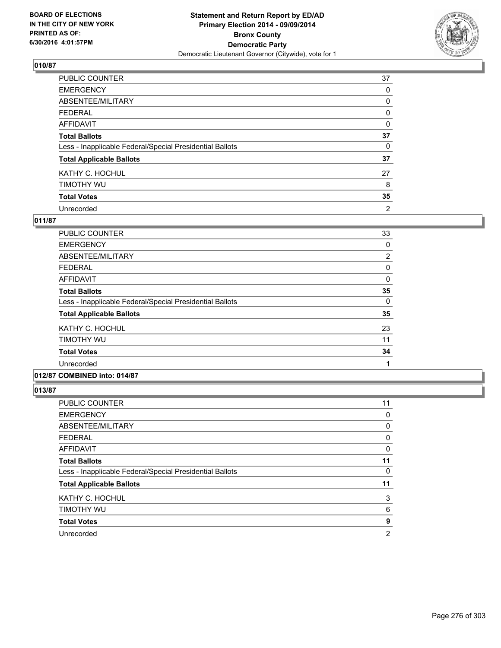

| PUBLIC COUNTER                                           | 37             |
|----------------------------------------------------------|----------------|
| <b>EMERGENCY</b>                                         | 0              |
| ABSENTEE/MILITARY                                        | 0              |
| <b>FEDERAL</b>                                           | 0              |
| <b>AFFIDAVIT</b>                                         | 0              |
| <b>Total Ballots</b>                                     | 37             |
| Less - Inapplicable Federal/Special Presidential Ballots | 0              |
| <b>Total Applicable Ballots</b>                          | 37             |
| KATHY C. HOCHUL                                          | 27             |
| TIMOTHY WU                                               | 8              |
| <b>Total Votes</b>                                       | 35             |
| Unrecorded                                               | $\overline{2}$ |

### **011/87**

| <b>PUBLIC COUNTER</b>                                    | 33             |
|----------------------------------------------------------|----------------|
| <b>EMERGENCY</b>                                         | 0              |
| ABSENTEE/MILITARY                                        | $\overline{2}$ |
| <b>FEDERAL</b>                                           | 0              |
| AFFIDAVIT                                                | 0              |
| <b>Total Ballots</b>                                     | 35             |
| Less - Inapplicable Federal/Special Presidential Ballots | 0              |
| <b>Total Applicable Ballots</b>                          | 35             |
| KATHY C. HOCHUL                                          | 23             |
| TIMOTHY WU                                               | 11             |
| <b>Total Votes</b>                                       | 34             |
| Unrecorded                                               | 1              |
|                                                          |                |

## **012/87 COMBINED into: 014/87**

| <b>PUBLIC COUNTER</b>                                    | 11 |
|----------------------------------------------------------|----|
| <b>EMERGENCY</b>                                         | 0  |
| ABSENTEE/MILITARY                                        | 0  |
| FEDERAL                                                  | 0  |
| AFFIDAVIT                                                | 0  |
| <b>Total Ballots</b>                                     | 11 |
| Less - Inapplicable Federal/Special Presidential Ballots | 0  |
| <b>Total Applicable Ballots</b>                          | 11 |
| KATHY C. HOCHUL                                          | 3  |
| TIMOTHY WU                                               | 6  |
| <b>Total Votes</b>                                       | 9  |
| Unrecorded                                               | 2  |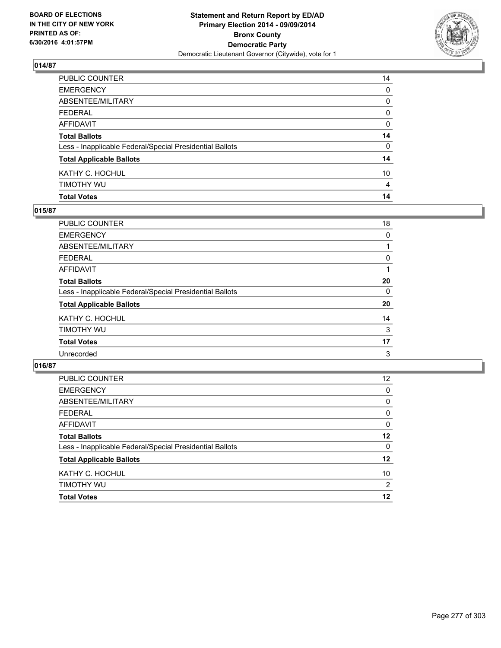

| Total Votes                                              | 14              |
|----------------------------------------------------------|-----------------|
| Timothy Wu                                               | 4               |
| KATHY C. HOCHUL                                          | 10 <sup>°</sup> |
| <b>Total Applicable Ballots</b>                          | 14              |
| Less - Inapplicable Federal/Special Presidential Ballots | 0               |
| <b>Total Ballots</b>                                     | 14              |
| AFFIDAVIT                                                | 0               |
| FEDERAL                                                  | 0               |
| ABSENTEE/MILITARY                                        | 0               |
| EMERGENCY                                                | 0               |
| PUBLIC COUNTER                                           | 14              |

## **015/87**

| PUBLIC COUNTER                                           | 18 |
|----------------------------------------------------------|----|
| <b>EMERGENCY</b>                                         | 0  |
| ABSENTEE/MILITARY                                        |    |
| <b>FEDERAL</b>                                           | 0  |
| AFFIDAVIT                                                |    |
| <b>Total Ballots</b>                                     | 20 |
| Less - Inapplicable Federal/Special Presidential Ballots | 0  |
| <b>Total Applicable Ballots</b>                          | 20 |
| KATHY C. HOCHUL                                          | 14 |
| TIMOTHY WU                                               | 3  |
| <b>Total Votes</b>                                       | 17 |
| Unrecorded                                               | 3  |
|                                                          |    |

| PUBLIC COUNTER                                           | $12 \overline{ }$ |
|----------------------------------------------------------|-------------------|
| <b>EMERGENCY</b>                                         | 0                 |
| ABSENTEE/MILITARY                                        | 0                 |
| <b>FEDERAL</b>                                           | 0                 |
| AFFIDAVIT                                                | 0                 |
| <b>Total Ballots</b>                                     | $12 \,$           |
| Less - Inapplicable Federal/Special Presidential Ballots | $\Omega$          |
| <b>Total Applicable Ballots</b>                          | $12 \,$           |
| KATHY C. HOCHUL                                          | 10                |
| TIMOTHY WU                                               | $\overline{2}$    |
| <b>Total Votes</b>                                       | 12                |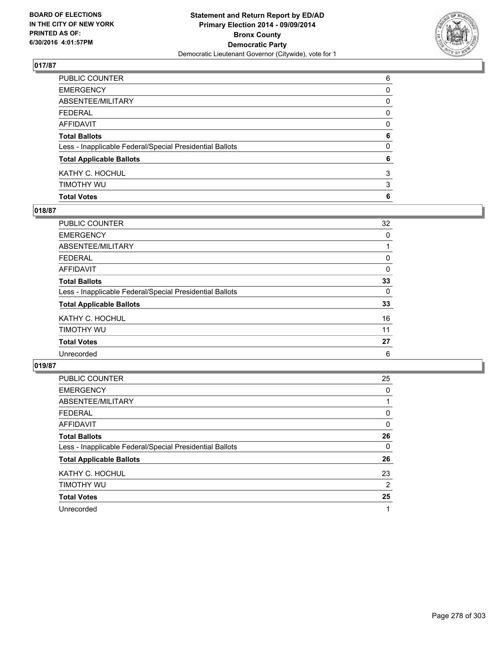

| <b>Total Votes</b>                                       | 6            |
|----------------------------------------------------------|--------------|
| timothy wu                                               | 3            |
| KATHY C. HOCHUL                                          | 3            |
| <b>Total Applicable Ballots</b>                          | 6            |
| Less - Inapplicable Federal/Special Presidential Ballots | $\mathbf{0}$ |
| <b>Total Ballots</b>                                     | 6            |
| AFFIDAVIT                                                | 0            |
| FEDERAL                                                  | 0            |
| ABSENTEE/MILITARY                                        | 0            |
| <b>EMERGENCY</b>                                         | 0            |
| PUBLIC COUNTER                                           | 6            |

## **018/87**

| PUBLIC COUNTER                                           | 32 |
|----------------------------------------------------------|----|
| <b>EMERGENCY</b>                                         | 0  |
| <b>ABSENTEE/MILITARY</b>                                 |    |
| <b>FEDERAL</b>                                           | 0  |
| <b>AFFIDAVIT</b>                                         | 0  |
| <b>Total Ballots</b>                                     | 33 |
| Less - Inapplicable Federal/Special Presidential Ballots | 0  |
| <b>Total Applicable Ballots</b>                          | 33 |
| KATHY C. HOCHUL                                          | 16 |
| TIMOTHY WU                                               | 11 |
| <b>Total Votes</b>                                       | 27 |
| Unrecorded                                               | 6  |
|                                                          |    |

| <b>PUBLIC COUNTER</b>                                    | 25             |
|----------------------------------------------------------|----------------|
| <b>EMERGENCY</b>                                         | 0              |
| ABSENTEE/MILITARY                                        |                |
| <b>FEDERAL</b>                                           | 0              |
| AFFIDAVIT                                                | 0              |
| <b>Total Ballots</b>                                     | 26             |
| Less - Inapplicable Federal/Special Presidential Ballots | $\Omega$       |
| <b>Total Applicable Ballots</b>                          | 26             |
| KATHY C. HOCHUL                                          | 23             |
| TIMOTHY WU                                               | $\overline{2}$ |
| <b>Total Votes</b>                                       | 25             |
| Unrecorded                                               | 1              |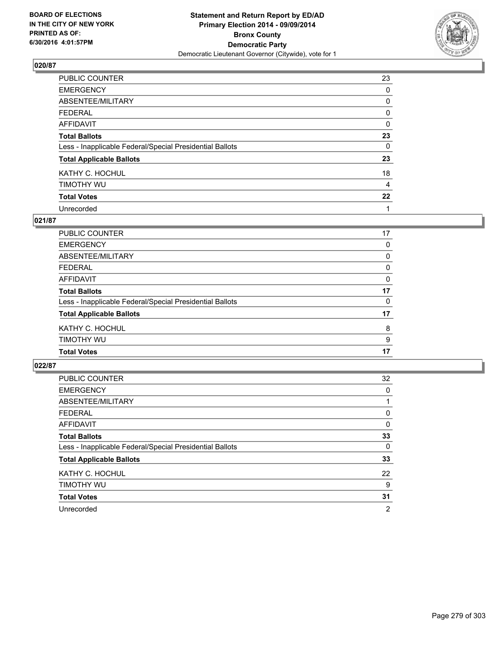

| PUBLIC COUNTER                                           | 23 |
|----------------------------------------------------------|----|
| <b>EMERGENCY</b>                                         | 0  |
| ABSENTEE/MILITARY                                        | 0  |
| <b>FEDERAL</b>                                           | 0  |
| <b>AFFIDAVIT</b>                                         | 0  |
| <b>Total Ballots</b>                                     | 23 |
| Less - Inapplicable Federal/Special Presidential Ballots | 0  |
| <b>Total Applicable Ballots</b>                          | 23 |
| KATHY C. HOCHUL                                          | 18 |
| TIMOTHY WU                                               | 4  |
| <b>Total Votes</b>                                       | 22 |
| Unrecorded                                               | 1  |

#### **021/87**

| <b>PUBLIC COUNTER</b>                                    | 17       |
|----------------------------------------------------------|----------|
| <b>EMERGENCY</b>                                         | 0        |
| <b>ABSENTEE/MILITARY</b>                                 | 0        |
| <b>FEDERAL</b>                                           | 0        |
| <b>AFFIDAVIT</b>                                         | 0        |
| <b>Total Ballots</b>                                     | 17       |
| Less - Inapplicable Federal/Special Presidential Ballots | $\Omega$ |
| <b>Total Applicable Ballots</b>                          | 17       |
| KATHY C. HOCHUL                                          | 8        |
| TIMOTHY WU                                               | 9        |
| <b>Total Votes</b>                                       | 17       |
|                                                          |          |

| <b>PUBLIC COUNTER</b>                                    | 32             |
|----------------------------------------------------------|----------------|
| <b>EMERGENCY</b>                                         | 0              |
| ABSENTEE/MILITARY                                        |                |
| <b>FEDERAL</b>                                           | 0              |
| AFFIDAVIT                                                | 0              |
| <b>Total Ballots</b>                                     | 33             |
| Less - Inapplicable Federal/Special Presidential Ballots | 0              |
| <b>Total Applicable Ballots</b>                          | 33             |
| KATHY C. HOCHUL                                          | 22             |
| TIMOTHY WU                                               | 9              |
| <b>Total Votes</b>                                       | 31             |
| Unrecorded                                               | $\overline{2}$ |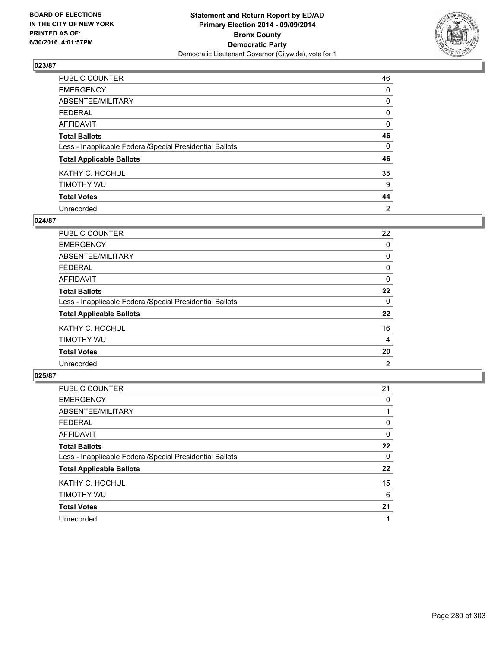

| PUBLIC COUNTER                                           | 46 |
|----------------------------------------------------------|----|
| <b>EMERGENCY</b>                                         | 0  |
| ABSENTEE/MILITARY                                        | 0  |
| <b>FEDERAL</b>                                           | 0  |
| <b>AFFIDAVIT</b>                                         | 0  |
| <b>Total Ballots</b>                                     | 46 |
| Less - Inapplicable Federal/Special Presidential Ballots | 0  |
| <b>Total Applicable Ballots</b>                          | 46 |
| KATHY C. HOCHUL                                          | 35 |
| TIMOTHY WU                                               | 9  |
| <b>Total Votes</b>                                       | 44 |
| Unrecorded                                               | 2  |

#### **024/87**

| PUBLIC COUNTER                                           | 22 |
|----------------------------------------------------------|----|
| <b>EMERGENCY</b>                                         | 0  |
| ABSENTEE/MILITARY                                        | 0  |
| <b>FEDERAL</b>                                           | 0  |
| <b>AFFIDAVIT</b>                                         | 0  |
| <b>Total Ballots</b>                                     | 22 |
| Less - Inapplicable Federal/Special Presidential Ballots | 0  |
| <b>Total Applicable Ballots</b>                          | 22 |
| KATHY C. HOCHUL                                          | 16 |
| TIMOTHY WU                                               | 4  |
| <b>Total Votes</b>                                       | 20 |
| Unrecorded                                               | 2  |
|                                                          |    |

| PUBLIC COUNTER                                           | 21 |
|----------------------------------------------------------|----|
| <b>EMERGENCY</b>                                         | 0  |
| ABSENTEE/MILITARY                                        |    |
| <b>FEDERAL</b>                                           | 0  |
| AFFIDAVIT                                                | 0  |
| <b>Total Ballots</b>                                     | 22 |
| Less - Inapplicable Federal/Special Presidential Ballots | 0  |
| <b>Total Applicable Ballots</b>                          | 22 |
| KATHY C. HOCHUL                                          | 15 |
| TIMOTHY WU                                               | 6  |
| <b>Total Votes</b>                                       | 21 |
| Unrecorded                                               |    |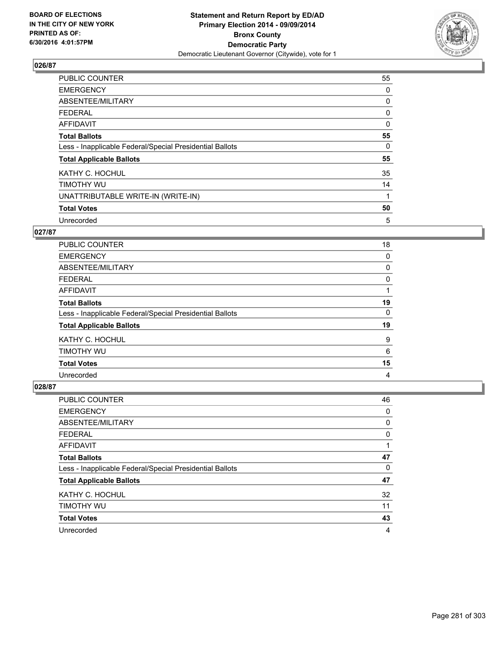

| <b>PUBLIC COUNTER</b>                                    | 55       |
|----------------------------------------------------------|----------|
| <b>EMERGENCY</b>                                         | 0        |
| ABSENTEE/MILITARY                                        | 0        |
| <b>FEDERAL</b>                                           | 0        |
| AFFIDAVIT                                                | $\Omega$ |
| <b>Total Ballots</b>                                     | 55       |
| Less - Inapplicable Federal/Special Presidential Ballots | 0        |
| <b>Total Applicable Ballots</b>                          | 55       |
| KATHY C. HOCHUL                                          | 35       |
| TIMOTHY WU                                               | 14       |
| UNATTRIBUTABLE WRITE-IN (WRITE-IN)                       | 1        |
| <b>Total Votes</b>                                       | 50       |
| Unrecorded                                               | 5        |

## **027/87**

| <b>PUBLIC COUNTER</b>                                    | 18 |
|----------------------------------------------------------|----|
| <b>EMERGENCY</b>                                         | 0  |
| ABSENTEE/MILITARY                                        | 0  |
| FEDERAL                                                  | 0  |
| AFFIDAVIT                                                |    |
| <b>Total Ballots</b>                                     | 19 |
| Less - Inapplicable Federal/Special Presidential Ballots | 0  |
| <b>Total Applicable Ballots</b>                          | 19 |
| KATHY C. HOCHUL                                          | 9  |
| TIMOTHY WU                                               | 6  |
| <b>Total Votes</b>                                       | 15 |
| Unrecorded                                               | 4  |

| <b>PUBLIC COUNTER</b>                                    | 46 |
|----------------------------------------------------------|----|
| <b>EMERGENCY</b>                                         | 0  |
| ABSENTEE/MILITARY                                        | 0  |
| <b>FEDERAL</b>                                           | 0  |
| AFFIDAVIT                                                |    |
| <b>Total Ballots</b>                                     | 47 |
| Less - Inapplicable Federal/Special Presidential Ballots | 0  |
| <b>Total Applicable Ballots</b>                          | 47 |
| KATHY C. HOCHUL                                          | 32 |
| TIMOTHY WU                                               | 11 |
| <b>Total Votes</b>                                       | 43 |
| Unrecorded                                               | 4  |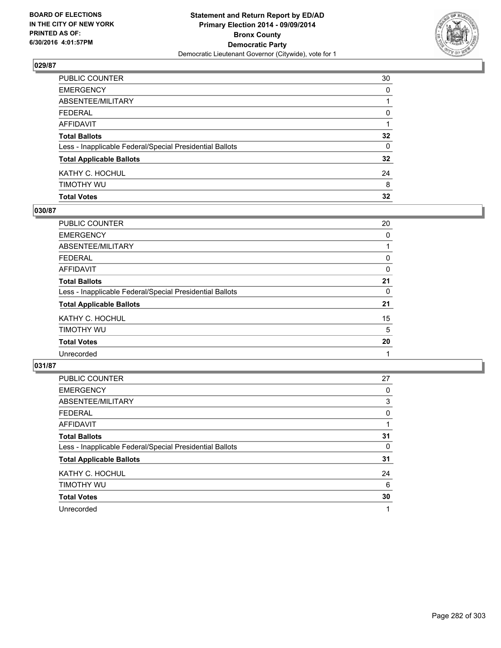

| PUBLIC COUNTER                                           | 30              |
|----------------------------------------------------------|-----------------|
| <b>EMERGENCY</b>                                         | 0               |
| ABSENTEE/MILITARY                                        |                 |
| FEDERAL                                                  | 0               |
| AFFIDAVIT                                                |                 |
| <b>Total Ballots</b>                                     | $32\phantom{a}$ |
| Less - Inapplicable Federal/Special Presidential Ballots | $\mathbf{0}$    |
| <b>Total Applicable Ballots</b>                          | 32              |
| KATHY C. HOCHUL                                          | 24              |
| Timothy Wu                                               | 8               |
| <b>Total Votes</b>                                       | 32              |

## **030/87**

| <b>PUBLIC COUNTER</b>                                    | 20 |
|----------------------------------------------------------|----|
| <b>EMERGENCY</b>                                         | 0  |
| ABSENTEE/MILITARY                                        |    |
| <b>FEDERAL</b>                                           | 0  |
| <b>AFFIDAVIT</b>                                         | 0  |
| <b>Total Ballots</b>                                     | 21 |
| Less - Inapplicable Federal/Special Presidential Ballots | 0  |
| <b>Total Applicable Ballots</b>                          | 21 |
| KATHY C. HOCHUL                                          | 15 |
| TIMOTHY WU                                               | 5  |
| <b>Total Votes</b>                                       | 20 |
| Unrecorded                                               |    |
|                                                          |    |

| PUBLIC COUNTER                                           | 27 |
|----------------------------------------------------------|----|
| <b>EMERGENCY</b>                                         | 0  |
| ABSENTEE/MILITARY                                        | 3  |
| <b>FEDERAL</b>                                           | 0  |
| AFFIDAVIT                                                |    |
| <b>Total Ballots</b>                                     | 31 |
| Less - Inapplicable Federal/Special Presidential Ballots | 0  |
| <b>Total Applicable Ballots</b>                          | 31 |
| KATHY C. HOCHUL                                          | 24 |
| TIMOTHY WU                                               | 6  |
| <b>Total Votes</b>                                       | 30 |
| Unrecorded                                               | 1  |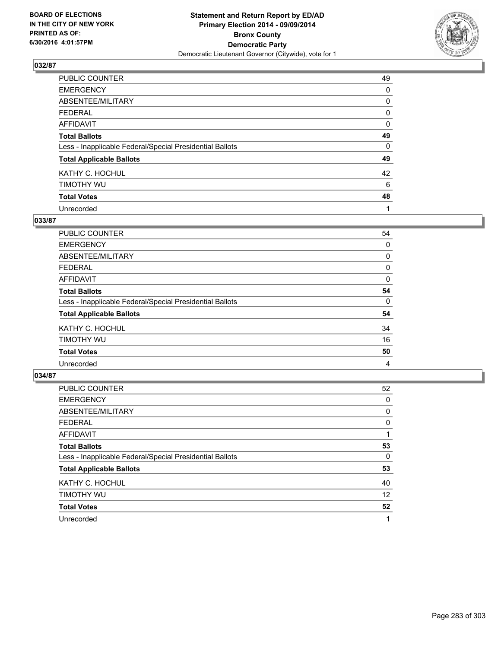

| PUBLIC COUNTER                                           | 49 |
|----------------------------------------------------------|----|
| <b>EMERGENCY</b>                                         | 0  |
| ABSENTEE/MILITARY                                        | 0  |
| <b>FEDERAL</b>                                           | 0  |
| <b>AFFIDAVIT</b>                                         | 0  |
| <b>Total Ballots</b>                                     | 49 |
| Less - Inapplicable Federal/Special Presidential Ballots | 0  |
| <b>Total Applicable Ballots</b>                          | 49 |
| KATHY C. HOCHUL                                          | 42 |
| TIMOTHY WU                                               | 6  |
| <b>Total Votes</b>                                       | 48 |
| Unrecorded                                               |    |

#### **033/87**

| <b>PUBLIC COUNTER</b>                                    | 54 |
|----------------------------------------------------------|----|
| <b>EMERGENCY</b>                                         | 0  |
| ABSENTEE/MILITARY                                        | 0  |
| <b>FEDERAL</b>                                           | 0  |
| <b>AFFIDAVIT</b>                                         | 0  |
| <b>Total Ballots</b>                                     | 54 |
| Less - Inapplicable Federal/Special Presidential Ballots | 0  |
| <b>Total Applicable Ballots</b>                          | 54 |
| KATHY C. HOCHUL                                          | 34 |
| TIMOTHY WU                                               | 16 |
| <b>Total Votes</b>                                       | 50 |
| Unrecorded                                               | 4  |
|                                                          |    |

| PUBLIC COUNTER                                           | 52 |
|----------------------------------------------------------|----|
| <b>EMERGENCY</b>                                         | 0  |
| ABSENTEE/MILITARY                                        | 0  |
| <b>FEDERAL</b>                                           | 0  |
| AFFIDAVIT                                                |    |
| <b>Total Ballots</b>                                     | 53 |
| Less - Inapplicable Federal/Special Presidential Ballots | 0  |
| <b>Total Applicable Ballots</b>                          | 53 |
| KATHY C. HOCHUL                                          | 40 |
| TIMOTHY WU                                               | 12 |
| <b>Total Votes</b>                                       | 52 |
| Unrecorded                                               |    |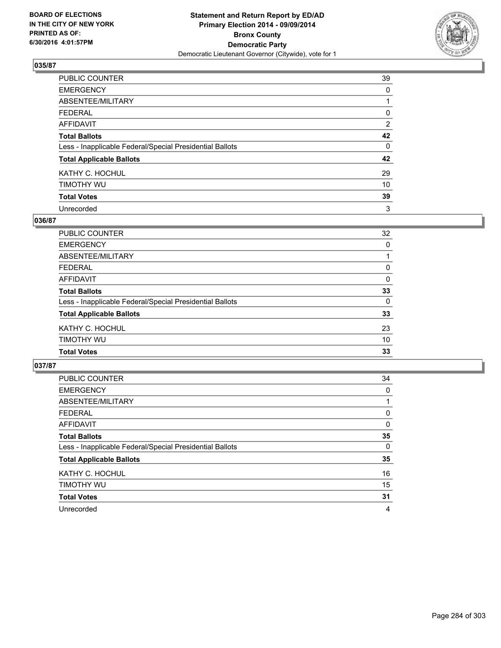

| PUBLIC COUNTER                                           | 39             |
|----------------------------------------------------------|----------------|
| <b>EMERGENCY</b>                                         | 0              |
| ABSENTEE/MILITARY                                        |                |
| <b>FEDERAL</b>                                           | 0              |
| <b>AFFIDAVIT</b>                                         | $\overline{2}$ |
| <b>Total Ballots</b>                                     | 42             |
| Less - Inapplicable Federal/Special Presidential Ballots | 0              |
| <b>Total Applicable Ballots</b>                          | 42             |
| KATHY C. HOCHUL                                          | 29             |
| TIMOTHY WU                                               | 10             |
| <b>Total Votes</b>                                       | 39             |
| Unrecorded                                               | 3              |

### **036/87**

| PUBLIC COUNTER                                           | 32 |
|----------------------------------------------------------|----|
| <b>EMERGENCY</b>                                         | 0  |
| <b>ABSENTEE/MILITARY</b>                                 |    |
| <b>FEDERAL</b>                                           | 0  |
| <b>AFFIDAVIT</b>                                         | 0  |
| <b>Total Ballots</b>                                     | 33 |
| Less - Inapplicable Federal/Special Presidential Ballots | 0  |
| <b>Total Applicable Ballots</b>                          | 33 |
| KATHY C. HOCHUL                                          | 23 |
| <b>TIMOTHY WU</b>                                        | 10 |
| <b>Total Votes</b>                                       | 33 |

| PUBLIC COUNTER                                           | 34       |
|----------------------------------------------------------|----------|
| <b>EMERGENCY</b>                                         | 0        |
| ABSENTEE/MILITARY                                        |          |
| <b>FEDERAL</b>                                           | 0        |
| AFFIDAVIT                                                | 0        |
| <b>Total Ballots</b>                                     | 35       |
| Less - Inapplicable Federal/Special Presidential Ballots | $\Omega$ |
| <b>Total Applicable Ballots</b>                          | 35       |
| KATHY C. HOCHUL                                          | 16       |
| TIMOTHY WU                                               | 15       |
| <b>Total Votes</b>                                       | 31       |
| Unrecorded                                               | 4        |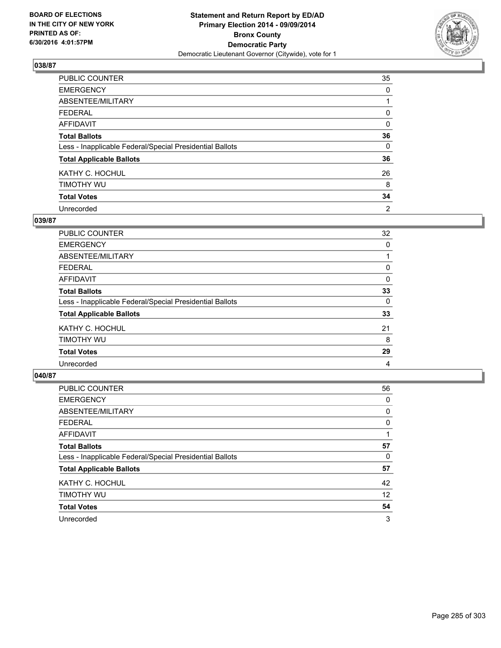

| PUBLIC COUNTER                                           | 35       |
|----------------------------------------------------------|----------|
| <b>EMERGENCY</b>                                         | 0        |
| ABSENTEE/MILITARY                                        |          |
| <b>FEDERAL</b>                                           | 0        |
| <b>AFFIDAVIT</b>                                         | 0        |
| <b>Total Ballots</b>                                     | 36       |
| Less - Inapplicable Federal/Special Presidential Ballots | $\Omega$ |
| <b>Total Applicable Ballots</b>                          | 36       |
| KATHY C. HOCHUL                                          | 26       |
| TIMOTHY WU                                               | 8        |
| <b>Total Votes</b>                                       | 34       |
| Unrecorded                                               | 2        |

#### **039/87**

| PUBLIC COUNTER                                           | 32 |
|----------------------------------------------------------|----|
| <b>EMERGENCY</b>                                         | 0  |
| ABSENTEE/MILITARY                                        |    |
| <b>FEDERAL</b>                                           | 0  |
| <b>AFFIDAVIT</b>                                         | 0  |
| <b>Total Ballots</b>                                     | 33 |
| Less - Inapplicable Federal/Special Presidential Ballots | 0  |
| <b>Total Applicable Ballots</b>                          | 33 |
| KATHY C. HOCHUL                                          | 21 |
| TIMOTHY WU                                               | 8  |
| <b>Total Votes</b>                                       | 29 |
| Unrecorded                                               | 4  |
|                                                          |    |

| PUBLIC COUNTER                                           | 56 |
|----------------------------------------------------------|----|
| <b>EMERGENCY</b>                                         | 0  |
| ABSENTEE/MILITARY                                        | 0  |
| <b>FEDERAL</b>                                           | 0  |
| <b>AFFIDAVIT</b>                                         |    |
| <b>Total Ballots</b>                                     | 57 |
| Less - Inapplicable Federal/Special Presidential Ballots | 0  |
| <b>Total Applicable Ballots</b>                          | 57 |
| KATHY C. HOCHUL                                          | 42 |
| TIMOTHY WU                                               | 12 |
| <b>Total Votes</b>                                       | 54 |
| Unrecorded                                               | 3  |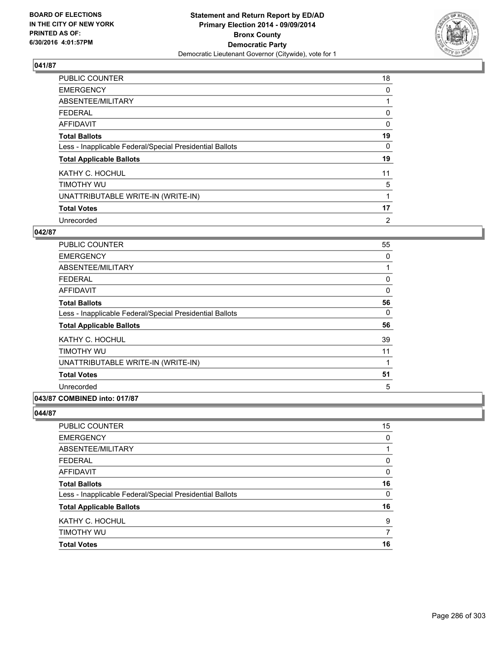

| <b>PUBLIC COUNTER</b>                                    | 18       |
|----------------------------------------------------------|----------|
| <b>EMERGENCY</b>                                         | 0        |
| ABSENTEE/MILITARY                                        |          |
| <b>FEDERAL</b>                                           | 0        |
| AFFIDAVIT                                                | $\Omega$ |
| <b>Total Ballots</b>                                     | 19       |
| Less - Inapplicable Federal/Special Presidential Ballots | 0        |
| <b>Total Applicable Ballots</b>                          | 19       |
| KATHY C. HOCHUL                                          | 11       |
| TIMOTHY WU                                               | 5        |
| UNATTRIBUTABLE WRITE-IN (WRITE-IN)                       |          |
| <b>Total Votes</b>                                       | 17       |
| Unrecorded                                               | 2        |

## **042/87**

| <b>PUBLIC COUNTER</b>                                    | 55          |
|----------------------------------------------------------|-------------|
| <b>EMERGENCY</b>                                         | 0           |
| ABSENTEE/MILITARY                                        |             |
| <b>FEDERAL</b>                                           | $\mathbf 0$ |
| <b>AFFIDAVIT</b>                                         | 0           |
| <b>Total Ballots</b>                                     | 56          |
| Less - Inapplicable Federal/Special Presidential Ballots | 0           |
| <b>Total Applicable Ballots</b>                          | 56          |
| KATHY C. HOCHUL                                          | 39          |
| TIMOTHY WU                                               | 11          |
| UNATTRIBUTABLE WRITE-IN (WRITE-IN)                       | 1           |
| <b>Total Votes</b>                                       | 51          |
| Unrecorded                                               | 5           |
| 043/87 COMBINED into: 017/87                             |             |

| <b>PUBLIC COUNTER</b>                                    | 15 |
|----------------------------------------------------------|----|
| <b>EMERGENCY</b>                                         | 0  |
| ABSENTEE/MILITARY                                        |    |
| <b>FEDERAL</b>                                           | 0  |
| <b>AFFIDAVIT</b>                                         | 0  |
| <b>Total Ballots</b>                                     | 16 |
| Less - Inapplicable Federal/Special Presidential Ballots | 0  |
| <b>Total Applicable Ballots</b>                          | 16 |
| KATHY C. HOCHUL                                          | 9  |
| TIMOTHY WU                                               |    |
| <b>Total Votes</b>                                       | 16 |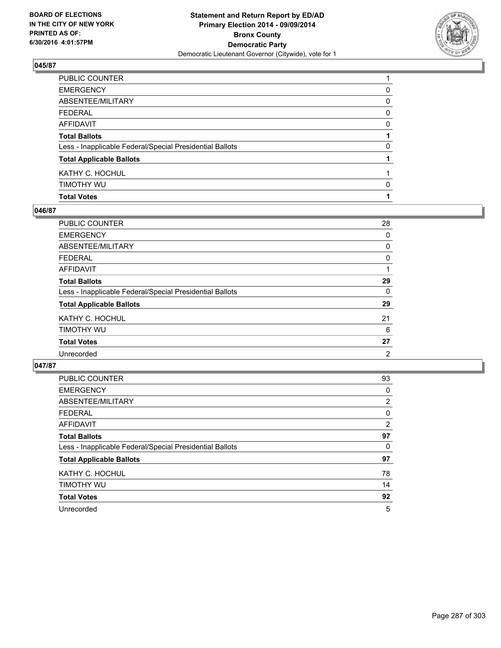

| PUBLIC COUNTER                                           |   |
|----------------------------------------------------------|---|
| EMERGENCY                                                | 0 |
| ABSENTEE/MILITARY                                        | 0 |
| FEDERAL                                                  | 0 |
| AFFIDAVIT                                                | 0 |
| <b>Total Ballots</b>                                     |   |
| Less - Inapplicable Federal/Special Presidential Ballots | 0 |
| <b>Total Applicable Ballots</b>                          |   |
| KATHY C. HOCHUL                                          |   |
| Timothy Wu                                               | 0 |
| <b>Total Votes</b>                                       |   |

## **046/87**

| PUBLIC COUNTER                                           | 28 |
|----------------------------------------------------------|----|
| <b>EMERGENCY</b>                                         | 0  |
| ABSENTEE/MILITARY                                        | 0  |
| <b>FEDERAL</b>                                           | 0  |
| AFFIDAVIT                                                |    |
| <b>Total Ballots</b>                                     | 29 |
| Less - Inapplicable Federal/Special Presidential Ballots | 0  |
| <b>Total Applicable Ballots</b>                          | 29 |
| KATHY C. HOCHUL                                          | 21 |
| TIMOTHY WU                                               | 6  |
| <b>Total Votes</b>                                       | 27 |
| Unrecorded                                               | 2  |
|                                                          |    |

| <b>PUBLIC COUNTER</b>                                    | 93             |
|----------------------------------------------------------|----------------|
| <b>EMERGENCY</b>                                         | 0              |
| ABSENTEE/MILITARY                                        | $\overline{2}$ |
| <b>FEDERAL</b>                                           | 0              |
| AFFIDAVIT                                                | 2              |
| <b>Total Ballots</b>                                     | 97             |
| Less - Inapplicable Federal/Special Presidential Ballots | 0              |
| <b>Total Applicable Ballots</b>                          | 97             |
| KATHY C. HOCHUL                                          | 78             |
| TIMOTHY WU                                               | 14             |
| <b>Total Votes</b>                                       | 92             |
| Unrecorded                                               | 5              |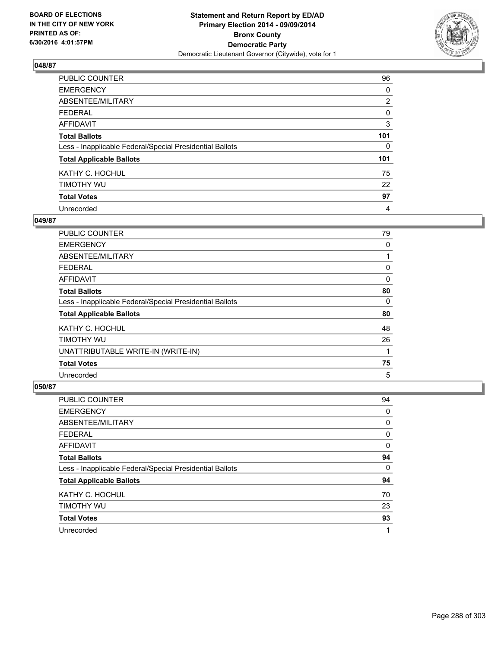

| PUBLIC COUNTER                                           | 96             |
|----------------------------------------------------------|----------------|
| <b>EMERGENCY</b>                                         | 0              |
| ABSENTEE/MILITARY                                        | $\overline{2}$ |
| <b>FEDERAL</b>                                           | 0              |
| <b>AFFIDAVIT</b>                                         | 3              |
| <b>Total Ballots</b>                                     | 101            |
| Less - Inapplicable Federal/Special Presidential Ballots | $\Omega$       |
| <b>Total Applicable Ballots</b>                          | 101            |
| KATHY C. HOCHUL                                          | 75             |
| TIMOTHY WU                                               | 22             |
| <b>Total Votes</b>                                       | 97             |
| Unrecorded                                               | 4              |

### **049/87**

| <b>PUBLIC COUNTER</b>                                    | 79 |
|----------------------------------------------------------|----|
| <b>EMERGENCY</b>                                         | 0  |
| ABSENTEE/MILITARY                                        |    |
| <b>FEDERAL</b>                                           | 0  |
| AFFIDAVIT                                                | 0  |
| <b>Total Ballots</b>                                     | 80 |
| Less - Inapplicable Federal/Special Presidential Ballots | 0  |
| <b>Total Applicable Ballots</b>                          | 80 |
| KATHY C. HOCHUL                                          | 48 |
| TIMOTHY WU                                               | 26 |
| UNATTRIBUTABLE WRITE-IN (WRITE-IN)                       | 1  |
| <b>Total Votes</b>                                       | 75 |
| Unrecorded                                               | 5  |

| <b>PUBLIC COUNTER</b>                                    | 94 |
|----------------------------------------------------------|----|
| <b>EMERGENCY</b>                                         | 0  |
| ABSENTEE/MILITARY                                        | 0  |
| <b>FEDERAL</b>                                           | 0  |
| AFFIDAVIT                                                | 0  |
| <b>Total Ballots</b>                                     | 94 |
| Less - Inapplicable Federal/Special Presidential Ballots | 0  |
| <b>Total Applicable Ballots</b>                          | 94 |
| KATHY C. HOCHUL                                          | 70 |
| TIMOTHY WU                                               | 23 |
| <b>Total Votes</b>                                       | 93 |
| Unrecorded                                               | 1  |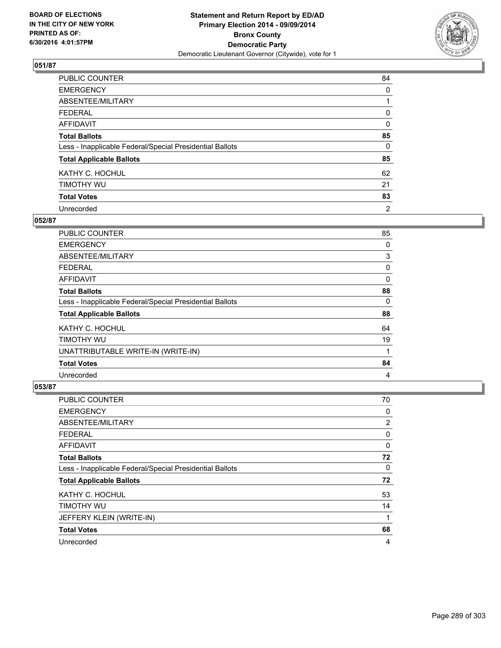

| PUBLIC COUNTER                                           | 84 |
|----------------------------------------------------------|----|
| <b>EMERGENCY</b>                                         | 0  |
| ABSENTEE/MILITARY                                        |    |
| <b>FEDERAL</b>                                           | 0  |
| <b>AFFIDAVIT</b>                                         | 0  |
| <b>Total Ballots</b>                                     | 85 |
| Less - Inapplicable Federal/Special Presidential Ballots | 0  |
| <b>Total Applicable Ballots</b>                          | 85 |
| KATHY C. HOCHUL                                          | 62 |
| TIMOTHY WU                                               | 21 |
| <b>Total Votes</b>                                       | 83 |
| Unrecorded                                               | 2  |

#### **052/87**

| <b>PUBLIC COUNTER</b>                                    | 85 |
|----------------------------------------------------------|----|
| <b>EMERGENCY</b>                                         | 0  |
| ABSENTEE/MILITARY                                        | 3  |
| <b>FEDERAL</b>                                           | 0  |
| AFFIDAVIT                                                | 0  |
| <b>Total Ballots</b>                                     | 88 |
| Less - Inapplicable Federal/Special Presidential Ballots | 0  |
| <b>Total Applicable Ballots</b>                          | 88 |
| KATHY C. HOCHUL                                          | 64 |
| TIMOTHY WU                                               | 19 |
| UNATTRIBUTABLE WRITE-IN (WRITE-IN)                       | 1  |
| <b>Total Votes</b>                                       | 84 |
| Unrecorded                                               | 4  |

| PUBLIC COUNTER                                           | 70 |
|----------------------------------------------------------|----|
| <b>EMERGENCY</b>                                         | 0  |
| ABSENTEE/MILITARY                                        | 2  |
| <b>FEDERAL</b>                                           | 0  |
| AFFIDAVIT                                                | 0  |
| <b>Total Ballots</b>                                     | 72 |
| Less - Inapplicable Federal/Special Presidential Ballots | 0  |
| <b>Total Applicable Ballots</b>                          | 72 |
| KATHY C. HOCHUL                                          | 53 |
| TIMOTHY WU                                               | 14 |
| JEFFERY KLEIN (WRITE-IN)                                 | 1  |
| <b>Total Votes</b>                                       | 68 |
| Unrecorded                                               | 4  |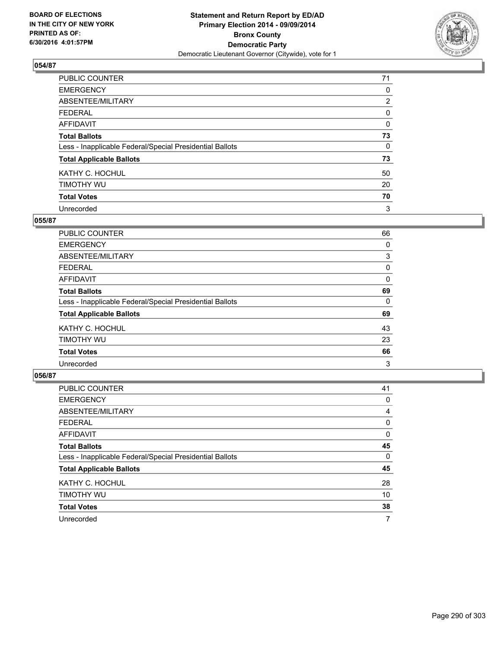

| PUBLIC COUNTER                                           | 71             |
|----------------------------------------------------------|----------------|
| <b>EMERGENCY</b>                                         | 0              |
| ABSENTEE/MILITARY                                        | $\overline{2}$ |
| <b>FEDERAL</b>                                           | 0              |
| <b>AFFIDAVIT</b>                                         | 0              |
| <b>Total Ballots</b>                                     | 73             |
| Less - Inapplicable Federal/Special Presidential Ballots | 0              |
| <b>Total Applicable Ballots</b>                          | 73             |
| KATHY C. HOCHUL                                          | 50             |
| TIMOTHY WU                                               | 20             |
| <b>Total Votes</b>                                       | 70             |
| Unrecorded                                               | 3              |

#### **055/87**

| PUBLIC COUNTER                                           | 66 |
|----------------------------------------------------------|----|
| <b>EMERGENCY</b>                                         | 0  |
| ABSENTEE/MILITARY                                        | 3  |
| <b>FEDERAL</b>                                           | 0  |
| <b>AFFIDAVIT</b>                                         | 0  |
| <b>Total Ballots</b>                                     | 69 |
| Less - Inapplicable Federal/Special Presidential Ballots | 0  |
| <b>Total Applicable Ballots</b>                          | 69 |
| KATHY C. HOCHUL                                          | 43 |
| TIMOTHY WU                                               | 23 |
| <b>Total Votes</b>                                       | 66 |
| Unrecorded                                               | 3  |
|                                                          |    |

| PUBLIC COUNTER                                           | 41 |
|----------------------------------------------------------|----|
| <b>EMERGENCY</b>                                         | 0  |
| ABSENTEE/MILITARY                                        | 4  |
| <b>FEDERAL</b>                                           | 0  |
| <b>AFFIDAVIT</b>                                         | 0  |
| <b>Total Ballots</b>                                     | 45 |
| Less - Inapplicable Federal/Special Presidential Ballots | 0  |
| <b>Total Applicable Ballots</b>                          | 45 |
| KATHY C. HOCHUL                                          | 28 |
| TIMOTHY WU                                               | 10 |
| <b>Total Votes</b>                                       | 38 |
| Unrecorded                                               | 7  |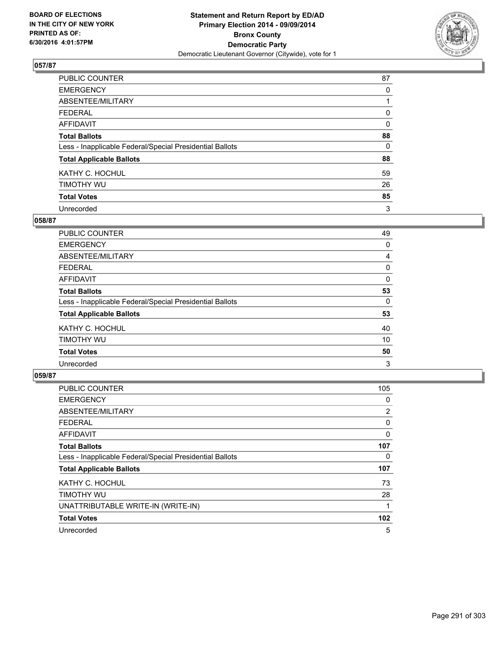

| PUBLIC COUNTER                                           | 87       |
|----------------------------------------------------------|----------|
| <b>EMERGENCY</b>                                         | 0        |
| ABSENTEE/MILITARY                                        |          |
| <b>FEDERAL</b>                                           | 0        |
| <b>AFFIDAVIT</b>                                         | 0        |
| <b>Total Ballots</b>                                     | 88       |
| Less - Inapplicable Federal/Special Presidential Ballots | $\Omega$ |
| <b>Total Applicable Ballots</b>                          | 88       |
| KATHY C. HOCHUL                                          | 59       |
| TIMOTHY WU                                               | 26       |
| <b>Total Votes</b>                                       | 85       |
| Unrecorded                                               | 3        |

#### **058/87**

| <b>PUBLIC COUNTER</b>                                    | 49 |
|----------------------------------------------------------|----|
| <b>EMERGENCY</b>                                         | 0  |
| ABSENTEE/MILITARY                                        | 4  |
| <b>FEDERAL</b>                                           | 0  |
| <b>AFFIDAVIT</b>                                         | 0  |
| <b>Total Ballots</b>                                     | 53 |
| Less - Inapplicable Federal/Special Presidential Ballots | 0  |
| <b>Total Applicable Ballots</b>                          | 53 |
| KATHY C. HOCHUL                                          | 40 |
| TIMOTHY WU                                               | 10 |
| <b>Total Votes</b>                                       | 50 |
| Unrecorded                                               | 3  |

| <b>PUBLIC COUNTER</b>                                    | 105              |
|----------------------------------------------------------|------------------|
| <b>EMERGENCY</b>                                         | 0                |
| ABSENTEE/MILITARY                                        | $\overline{2}$   |
| <b>FEDERAL</b>                                           | 0                |
| <b>AFFIDAVIT</b>                                         | 0                |
| <b>Total Ballots</b>                                     | 107              |
| Less - Inapplicable Federal/Special Presidential Ballots | 0                |
| <b>Total Applicable Ballots</b>                          | 107              |
| KATHY C. HOCHUL                                          | 73               |
| TIMOTHY WU                                               | 28               |
| UNATTRIBUTABLE WRITE-IN (WRITE-IN)                       |                  |
| <b>Total Votes</b>                                       | 102 <sub>2</sub> |
| Unrecorded                                               | 5                |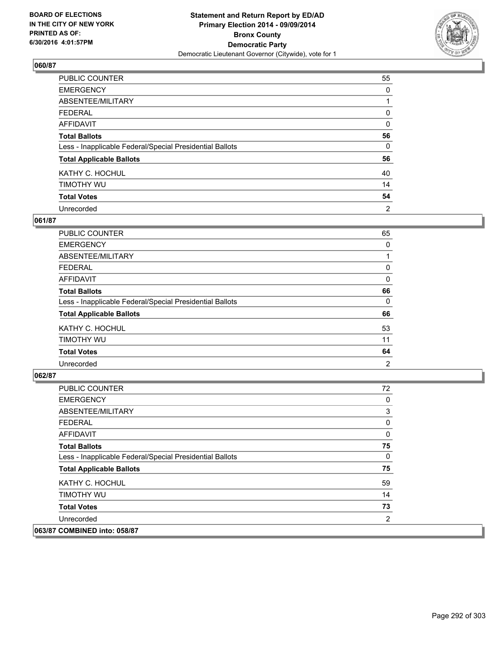

| PUBLIC COUNTER                                           | 55       |
|----------------------------------------------------------|----------|
| <b>EMERGENCY</b>                                         | 0        |
| ABSENTEE/MILITARY                                        |          |
| <b>FEDERAL</b>                                           | 0        |
| <b>AFFIDAVIT</b>                                         | 0        |
| <b>Total Ballots</b>                                     | 56       |
| Less - Inapplicable Federal/Special Presidential Ballots | $\Omega$ |
| <b>Total Applicable Ballots</b>                          | 56       |
| KATHY C. HOCHUL                                          | 40       |
| TIMOTHY WU                                               | 14       |
| <b>Total Votes</b>                                       | 54       |
| Unrecorded                                               | 2        |

#### **061/87**

| PUBLIC COUNTER                                           | 65 |
|----------------------------------------------------------|----|
| <b>EMERGENCY</b>                                         | 0  |
| ABSENTEE/MILITARY                                        |    |
| <b>FEDERAL</b>                                           | 0  |
| <b>AFFIDAVIT</b>                                         | 0  |
| <b>Total Ballots</b>                                     | 66 |
| Less - Inapplicable Federal/Special Presidential Ballots | 0  |
| <b>Total Applicable Ballots</b>                          | 66 |
| KATHY C. HOCHUL                                          | 53 |
| TIMOTHY WU                                               | 11 |
| <b>Total Votes</b>                                       | 64 |
| Unrecorded                                               | 2  |
|                                                          |    |

| <b>PUBLIC COUNTER</b>                                    | 72       |
|----------------------------------------------------------|----------|
| <b>EMERGENCY</b>                                         | 0        |
| ABSENTEE/MILITARY                                        | 3        |
| <b>FEDERAL</b>                                           | 0        |
| <b>AFFIDAVIT</b>                                         | 0        |
| <b>Total Ballots</b>                                     | 75       |
| Less - Inapplicable Federal/Special Presidential Ballots | $\Omega$ |
| <b>Total Applicable Ballots</b>                          | 75       |
| KATHY C. HOCHUL                                          | 59       |
| TIMOTHY WU                                               | 14       |
| <b>Total Votes</b>                                       | 73       |
| Unrecorded                                               | 2        |
| 063/87 COMBINED into: 058/87                             |          |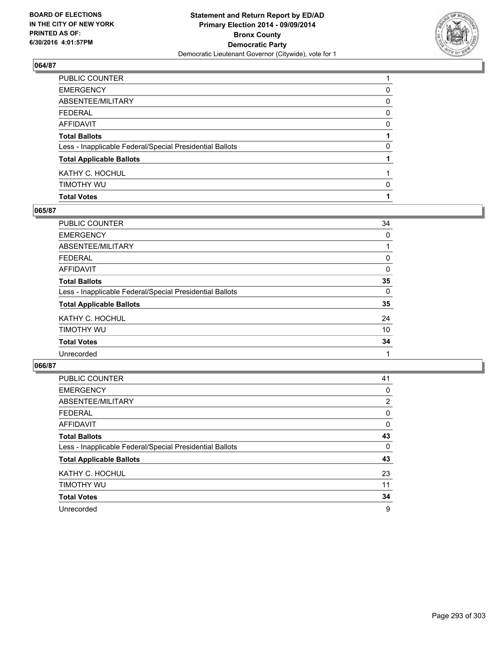

| PUBLIC COUNTER                                           |   |
|----------------------------------------------------------|---|
| EMERGENCY                                                | 0 |
| ABSENTEE/MILITARY                                        | 0 |
| FEDERAL                                                  | 0 |
| AFFIDAVIT                                                | 0 |
| <b>Total Ballots</b>                                     |   |
| Less - Inapplicable Federal/Special Presidential Ballots | 0 |
| <b>Total Applicable Ballots</b>                          |   |
| KATHY C. HOCHUL                                          |   |
| Timothy Wu                                               | 0 |
| <b>Total Votes</b>                                       |   |

## **065/87**

| PUBLIC COUNTER                                           | 34 |
|----------------------------------------------------------|----|
| <b>EMERGENCY</b>                                         | 0  |
| <b>ABSENTEE/MILITARY</b>                                 |    |
| <b>FEDERAL</b>                                           | 0  |
| AFFIDAVIT                                                | 0  |
| <b>Total Ballots</b>                                     | 35 |
| Less - Inapplicable Federal/Special Presidential Ballots | 0  |
| <b>Total Applicable Ballots</b>                          | 35 |
| KATHY C. HOCHUL                                          | 24 |
| TIMOTHY WU                                               | 10 |
| <b>Total Votes</b>                                       | 34 |
| Unrecorded                                               |    |
|                                                          |    |

| <b>PUBLIC COUNTER</b>                                    | 41             |
|----------------------------------------------------------|----------------|
| <b>EMERGENCY</b>                                         | 0              |
| ABSENTEE/MILITARY                                        | $\overline{2}$ |
| <b>FEDERAL</b>                                           | 0              |
| AFFIDAVIT                                                | 0              |
| <b>Total Ballots</b>                                     | 43             |
| Less - Inapplicable Federal/Special Presidential Ballots | $\Omega$       |
| <b>Total Applicable Ballots</b>                          | 43             |
| KATHY C. HOCHUL                                          | 23             |
| TIMOTHY WU                                               | 11             |
| <b>Total Votes</b>                                       | 34             |
| Unrecorded                                               | 9              |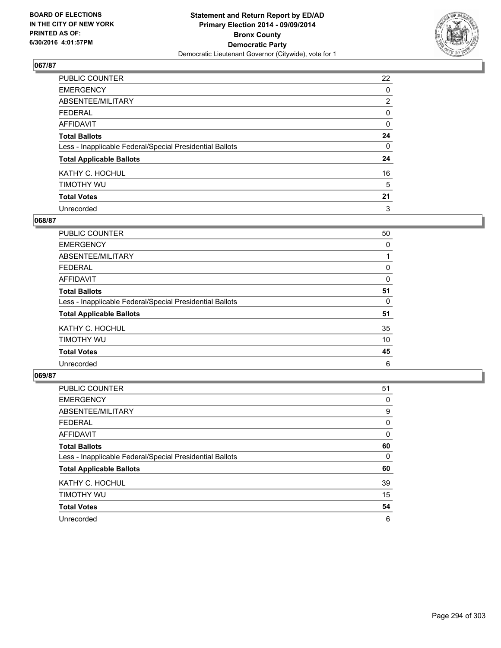

| PUBLIC COUNTER                                           | 22             |
|----------------------------------------------------------|----------------|
| <b>EMERGENCY</b>                                         | 0              |
| ABSENTEE/MILITARY                                        | $\overline{2}$ |
| <b>FEDERAL</b>                                           | 0              |
| <b>AFFIDAVIT</b>                                         | 0              |
| <b>Total Ballots</b>                                     | 24             |
| Less - Inapplicable Federal/Special Presidential Ballots | 0              |
| <b>Total Applicable Ballots</b>                          | 24             |
| KATHY C. HOCHUL                                          | 16             |
| TIMOTHY WU                                               | 5              |
| <b>Total Votes</b>                                       | 21             |
| Unrecorded                                               | 3              |

#### **068/87**

| PUBLIC COUNTER                                           | 50 |
|----------------------------------------------------------|----|
| <b>EMERGENCY</b>                                         | 0  |
| ABSENTEE/MILITARY                                        |    |
| <b>FEDERAL</b>                                           | 0  |
| <b>AFFIDAVIT</b>                                         | 0  |
| <b>Total Ballots</b>                                     | 51 |
| Less - Inapplicable Federal/Special Presidential Ballots | 0  |
| <b>Total Applicable Ballots</b>                          | 51 |
| KATHY C. HOCHUL                                          | 35 |
| TIMOTHY WU                                               | 10 |
| <b>Total Votes</b>                                       | 45 |
| Unrecorded                                               | 6  |
|                                                          |    |

| PUBLIC COUNTER                                           | 51 |
|----------------------------------------------------------|----|
| <b>EMERGENCY</b>                                         | 0  |
| ABSENTEE/MILITARY                                        | 9  |
| <b>FEDERAL</b>                                           | 0  |
| <b>AFFIDAVIT</b>                                         | 0  |
| <b>Total Ballots</b>                                     | 60 |
| Less - Inapplicable Federal/Special Presidential Ballots | 0  |
| <b>Total Applicable Ballots</b>                          | 60 |
| KATHY C. HOCHUL                                          | 39 |
| TIMOTHY WU                                               | 15 |
| <b>Total Votes</b>                                       | 54 |
| Unrecorded                                               | 6  |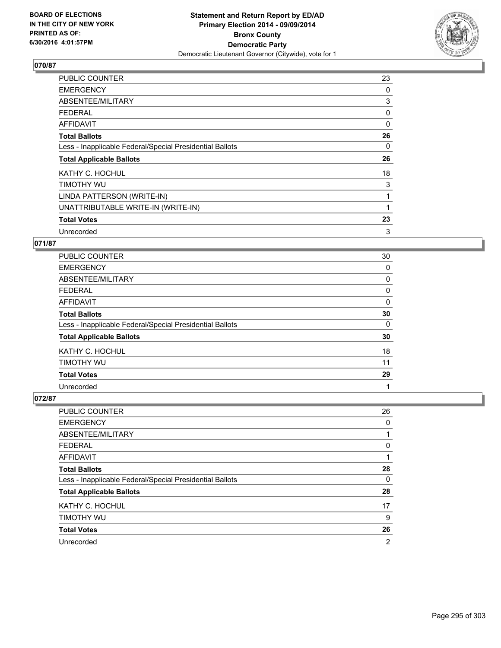

| <b>PUBLIC COUNTER</b>                                    | 23       |
|----------------------------------------------------------|----------|
| <b>EMERGENCY</b>                                         | 0        |
| ABSENTEE/MILITARY                                        | 3        |
| <b>FEDERAL</b>                                           | 0        |
| <b>AFFIDAVIT</b>                                         | $\Omega$ |
| <b>Total Ballots</b>                                     | 26       |
| Less - Inapplicable Federal/Special Presidential Ballots | 0        |
| <b>Total Applicable Ballots</b>                          | 26       |
| KATHY C. HOCHUL                                          | 18       |
| TIMOTHY WU                                               | 3        |
| LINDA PATTERSON (WRITE-IN)                               | 1        |
| UNATTRIBUTABLE WRITE-IN (WRITE-IN)                       |          |
| <b>Total Votes</b>                                       | 23       |
| Unrecorded                                               | 3        |

## **071/87**

| <b>PUBLIC COUNTER</b>                                    | 30 |
|----------------------------------------------------------|----|
| <b>EMERGENCY</b>                                         | 0  |
| ABSENTEE/MILITARY                                        | 0  |
| <b>FEDERAL</b>                                           | 0  |
| AFFIDAVIT                                                | 0  |
| <b>Total Ballots</b>                                     | 30 |
| Less - Inapplicable Federal/Special Presidential Ballots | 0  |
| <b>Total Applicable Ballots</b>                          | 30 |
| KATHY C. HOCHUL                                          | 18 |
| TIMOTHY WU                                               | 11 |
| <b>Total Votes</b>                                       | 29 |
| Unrecorded                                               |    |

| PUBLIC COUNTER                                           | 26 |
|----------------------------------------------------------|----|
| <b>EMERGENCY</b>                                         | 0  |
| ABSENTEE/MILITARY                                        |    |
| <b>FEDERAL</b>                                           | 0  |
| <b>AFFIDAVIT</b>                                         |    |
| <b>Total Ballots</b>                                     | 28 |
| Less - Inapplicable Federal/Special Presidential Ballots | 0  |
| <b>Total Applicable Ballots</b>                          | 28 |
| KATHY C. HOCHUL                                          | 17 |
| TIMOTHY WU                                               | 9  |
| <b>Total Votes</b>                                       | 26 |
| Unrecorded                                               | 2  |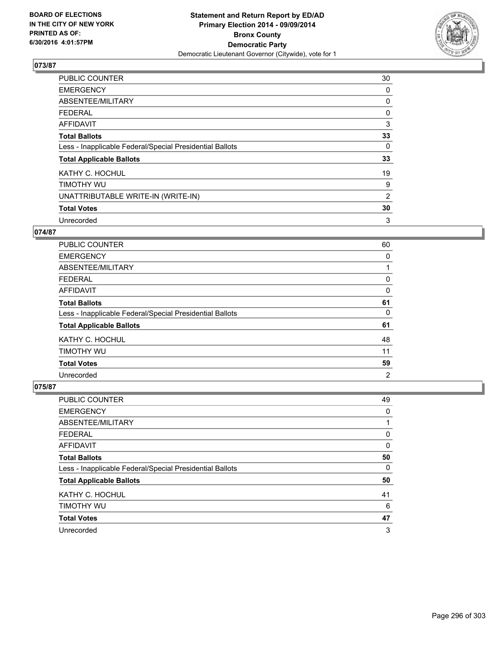

| <b>PUBLIC COUNTER</b>                                    | 30 |
|----------------------------------------------------------|----|
| <b>EMERGENCY</b>                                         | 0  |
| ABSENTEE/MILITARY                                        | 0  |
| <b>FEDERAL</b>                                           | 0  |
| AFFIDAVIT                                                | 3  |
| <b>Total Ballots</b>                                     | 33 |
| Less - Inapplicable Federal/Special Presidential Ballots | 0  |
| <b>Total Applicable Ballots</b>                          | 33 |
| KATHY C. HOCHUL                                          | 19 |
| TIMOTHY WU                                               | 9  |
| UNATTRIBUTABLE WRITE-IN (WRITE-IN)                       | 2  |
| <b>Total Votes</b>                                       | 30 |
| Unrecorded                                               | 3  |

## **074/87**

| <b>PUBLIC COUNTER</b>                                    | 60 |
|----------------------------------------------------------|----|
| <b>EMERGENCY</b>                                         | 0  |
| ABSENTEE/MILITARY                                        |    |
| <b>FEDERAL</b>                                           | 0  |
| AFFIDAVIT                                                | 0  |
| <b>Total Ballots</b>                                     | 61 |
| Less - Inapplicable Federal/Special Presidential Ballots | 0  |
| <b>Total Applicable Ballots</b>                          | 61 |
| KATHY C. HOCHUL                                          | 48 |
| TIMOTHY WU                                               | 11 |
| <b>Total Votes</b>                                       | 59 |
| Unrecorded                                               | 2  |

| <b>PUBLIC COUNTER</b>                                    | 49 |
|----------------------------------------------------------|----|
| <b>EMERGENCY</b>                                         | 0  |
| ABSENTEE/MILITARY                                        |    |
| <b>FEDERAL</b>                                           | 0  |
| AFFIDAVIT                                                | 0  |
| <b>Total Ballots</b>                                     | 50 |
| Less - Inapplicable Federal/Special Presidential Ballots | 0  |
| <b>Total Applicable Ballots</b>                          | 50 |
| KATHY C. HOCHUL                                          | 41 |
| TIMOTHY WU                                               | 6  |
| <b>Total Votes</b>                                       | 47 |
| Unrecorded                                               | 3  |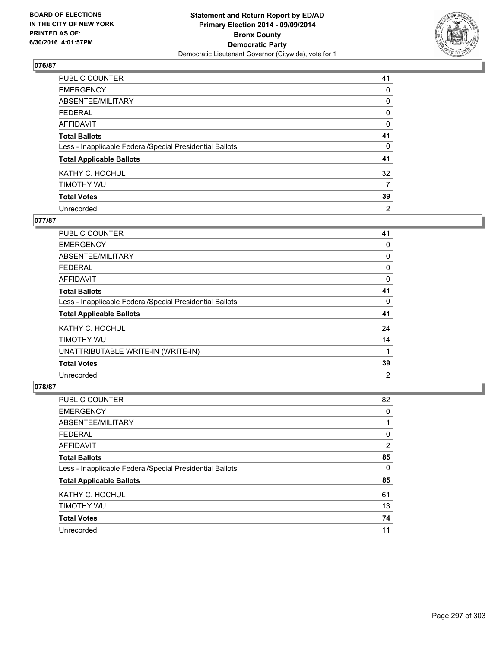

| PUBLIC COUNTER                                           | 41             |
|----------------------------------------------------------|----------------|
| <b>EMERGENCY</b>                                         | 0              |
| ABSENTEE/MILITARY                                        | 0              |
| <b>FEDERAL</b>                                           | 0              |
| <b>AFFIDAVIT</b>                                         | 0              |
| <b>Total Ballots</b>                                     | 41             |
| Less - Inapplicable Federal/Special Presidential Ballots | 0              |
| <b>Total Applicable Ballots</b>                          | 41             |
| KATHY C. HOCHUL                                          | 32             |
| TIMOTHY WU                                               | 7              |
| <b>Total Votes</b>                                       | 39             |
| Unrecorded                                               | $\overline{2}$ |

#### **077/87**

| <b>PUBLIC COUNTER</b>                                    | 41             |
|----------------------------------------------------------|----------------|
| <b>EMERGENCY</b>                                         | 0              |
| ABSENTEE/MILITARY                                        | 0              |
| <b>FEDERAL</b>                                           | 0              |
| AFFIDAVIT                                                | 0              |
| <b>Total Ballots</b>                                     | 41             |
| Less - Inapplicable Federal/Special Presidential Ballots | 0              |
| <b>Total Applicable Ballots</b>                          | 41             |
| KATHY C. HOCHUL                                          | 24             |
| <b>TIMOTHY WU</b>                                        | 14             |
| UNATTRIBUTABLE WRITE-IN (WRITE-IN)                       |                |
| <b>Total Votes</b>                                       | 39             |
| Unrecorded                                               | $\overline{2}$ |

| <b>PUBLIC COUNTER</b>                                    | 82 |
|----------------------------------------------------------|----|
| <b>EMERGENCY</b>                                         | 0  |
| ABSENTEE/MILITARY                                        |    |
| <b>FEDERAL</b>                                           | 0  |
| AFFIDAVIT                                                | 2  |
| <b>Total Ballots</b>                                     | 85 |
| Less - Inapplicable Federal/Special Presidential Ballots | 0  |
| <b>Total Applicable Ballots</b>                          | 85 |
| KATHY C. HOCHUL                                          | 61 |
| TIMOTHY WU                                               | 13 |
| <b>Total Votes</b>                                       | 74 |
| Unrecorded                                               | 11 |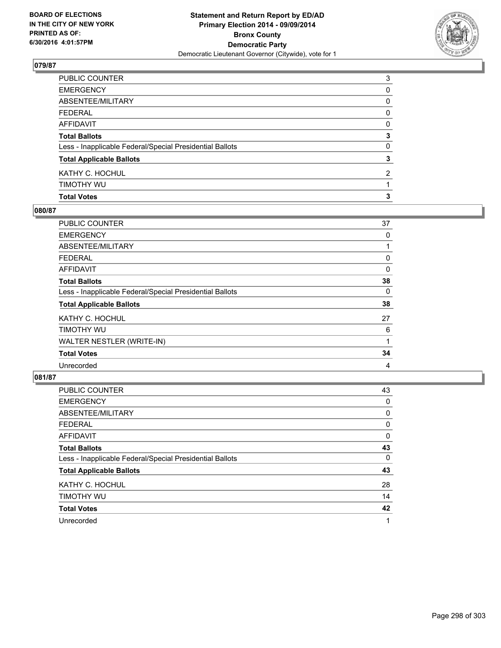

| PUBLIC COUNTER                                           | 3            |
|----------------------------------------------------------|--------------|
| EMERGENCY                                                | 0            |
| ABSENTEE/MILITARY                                        | 0            |
| FEDERAL                                                  | 0            |
| AFFIDAVIT                                                | 0            |
| <b>Total Ballots</b>                                     | 3            |
| Less - Inapplicable Federal/Special Presidential Ballots | $\mathbf{0}$ |
| <b>Total Applicable Ballots</b>                          | 3            |
| KATHY C. HOCHUL                                          | 2            |
| timothy wu                                               |              |
| <b>Total Votes</b>                                       | 3            |

## **080/87**

| PUBLIC COUNTER                                           | 37 |
|----------------------------------------------------------|----|
| <b>EMERGENCY</b>                                         | 0  |
| ABSENTEE/MILITARY                                        |    |
| <b>FEDERAL</b>                                           | 0  |
| <b>AFFIDAVIT</b>                                         | 0  |
| <b>Total Ballots</b>                                     | 38 |
| Less - Inapplicable Federal/Special Presidential Ballots | 0  |
| <b>Total Applicable Ballots</b>                          | 38 |
| KATHY C. HOCHUL                                          | 27 |
| <b>TIMOTHY WU</b>                                        | 6  |
| WALTER NESTLER (WRITE-IN)                                | 1  |
| <b>Total Votes</b>                                       | 34 |
| Unrecorded                                               | 4  |
|                                                          |    |

| <b>PUBLIC COUNTER</b>                                    | 43 |
|----------------------------------------------------------|----|
| <b>EMERGENCY</b>                                         | 0  |
| ABSENTEE/MILITARY                                        | 0  |
| <b>FEDERAL</b>                                           | 0  |
| AFFIDAVIT                                                | 0  |
| <b>Total Ballots</b>                                     | 43 |
| Less - Inapplicable Federal/Special Presidential Ballots | 0  |
| <b>Total Applicable Ballots</b>                          | 43 |
| KATHY C. HOCHUL                                          | 28 |
| TIMOTHY WU                                               | 14 |
| <b>Total Votes</b>                                       | 42 |
| Unrecorded                                               | 1  |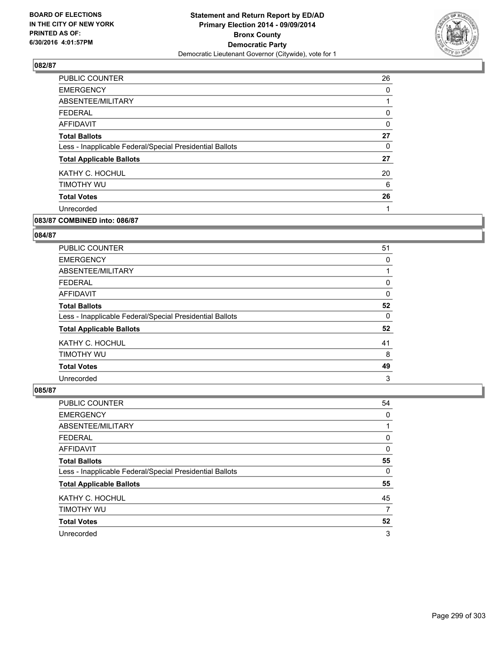

| PUBLIC COUNTER                                           | 26 |
|----------------------------------------------------------|----|
| <b>EMERGENCY</b>                                         | 0  |
| ABSENTEE/MILITARY                                        |    |
| <b>FEDERAL</b>                                           | 0  |
| AFFIDAVIT                                                | 0  |
| <b>Total Ballots</b>                                     | 27 |
| Less - Inapplicable Federal/Special Presidential Ballots | 0  |
| <b>Total Applicable Ballots</b>                          | 27 |
| KATHY C. HOCHUL                                          | 20 |
| TIMOTHY WU                                               | 6  |
| <b>Total Votes</b>                                       | 26 |
| Unrecorded                                               |    |
|                                                          |    |

# **083/87 COMBINED into: 086/87**

#### **084/87**

| <b>PUBLIC COUNTER</b>                                    | 51 |
|----------------------------------------------------------|----|
| <b>EMERGENCY</b>                                         | 0  |
| ABSENTEE/MILITARY                                        |    |
| <b>FEDERAL</b>                                           | 0  |
| AFFIDAVIT                                                | 0  |
| <b>Total Ballots</b>                                     | 52 |
| Less - Inapplicable Federal/Special Presidential Ballots | 0  |
| <b>Total Applicable Ballots</b>                          | 52 |
| KATHY C. HOCHUL                                          | 41 |
| TIMOTHY WU                                               | 8  |
| <b>Total Votes</b>                                       | 49 |
| Unrecorded                                               | 3  |

| PUBLIC COUNTER                                           | 54 |
|----------------------------------------------------------|----|
| <b>EMERGENCY</b>                                         | 0  |
| ABSENTEE/MILITARY                                        |    |
| <b>FEDERAL</b>                                           | 0  |
| <b>AFFIDAVIT</b>                                         | 0  |
| <b>Total Ballots</b>                                     | 55 |
| Less - Inapplicable Federal/Special Presidential Ballots | 0  |
| <b>Total Applicable Ballots</b>                          | 55 |
| KATHY C. HOCHUL                                          | 45 |
| TIMOTHY WU                                               | 7  |
| <b>Total Votes</b>                                       | 52 |
| Unrecorded                                               | 3  |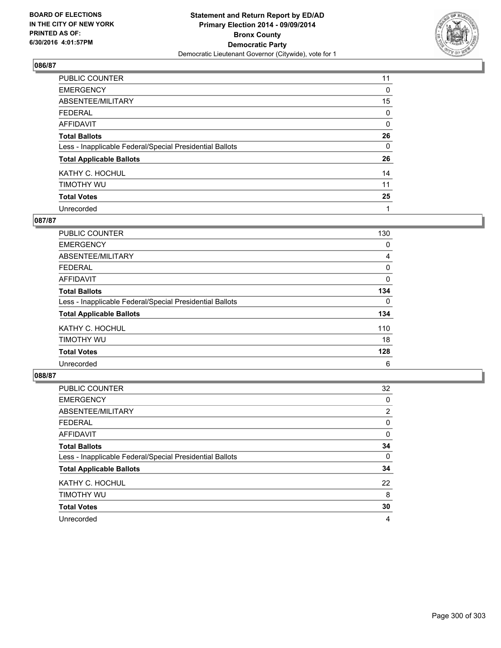

| PUBLIC COUNTER                                           | 11 |
|----------------------------------------------------------|----|
| <b>EMERGENCY</b>                                         | 0  |
| ABSENTEE/MILITARY                                        | 15 |
| <b>FEDERAL</b>                                           | 0  |
| <b>AFFIDAVIT</b>                                         | 0  |
| <b>Total Ballots</b>                                     | 26 |
| Less - Inapplicable Federal/Special Presidential Ballots | 0  |
| <b>Total Applicable Ballots</b>                          | 26 |
| KATHY C. HOCHUL                                          | 14 |
| TIMOTHY WU                                               | 11 |
| <b>Total Votes</b>                                       | 25 |
| Unrecorded                                               | 1  |

#### **087/87**

| PUBLIC COUNTER                                           | 130 |
|----------------------------------------------------------|-----|
| <b>EMERGENCY</b>                                         | 0   |
| ABSENTEE/MILITARY                                        | 4   |
| <b>FEDERAL</b>                                           | 0   |
| <b>AFFIDAVIT</b>                                         | 0   |
| <b>Total Ballots</b>                                     | 134 |
| Less - Inapplicable Federal/Special Presidential Ballots | 0   |
| <b>Total Applicable Ballots</b>                          | 134 |
| KATHY C. HOCHUL                                          | 110 |
| TIMOTHY WU                                               | 18  |
| <b>Total Votes</b>                                       | 128 |
| Unrecorded                                               | 6   |
|                                                          |     |

| PUBLIC COUNTER                                           | 32             |
|----------------------------------------------------------|----------------|
| <b>EMERGENCY</b>                                         | 0              |
| ABSENTEE/MILITARY                                        | $\overline{2}$ |
| <b>FEDERAL</b>                                           | 0              |
| AFFIDAVIT                                                | 0              |
| <b>Total Ballots</b>                                     | 34             |
| Less - Inapplicable Federal/Special Presidential Ballots | 0              |
| <b>Total Applicable Ballots</b>                          | 34             |
| KATHY C. HOCHUL                                          | 22             |
| TIMOTHY WU                                               | 8              |
| <b>Total Votes</b>                                       | 30             |
| Unrecorded                                               | 4              |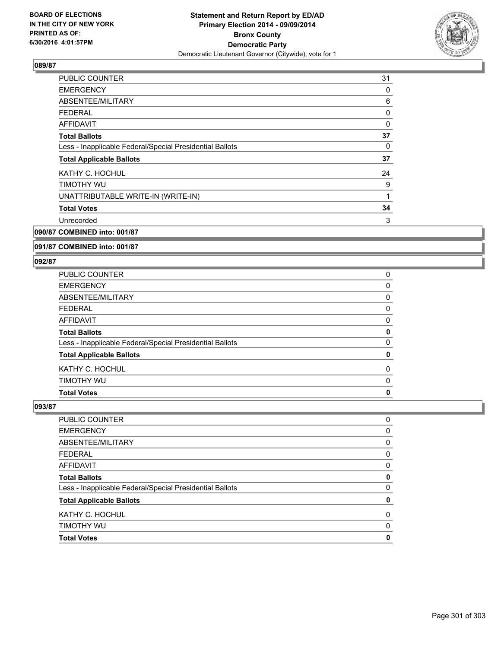

| <b>PUBLIC COUNTER</b>                                    | 31 |
|----------------------------------------------------------|----|
| <b>EMERGENCY</b>                                         | 0  |
| ABSENTEE/MILITARY                                        | 6  |
| <b>FEDERAL</b>                                           | 0  |
| <b>AFFIDAVIT</b>                                         | 0  |
| <b>Total Ballots</b>                                     | 37 |
| Less - Inapplicable Federal/Special Presidential Ballots | 0  |
| <b>Total Applicable Ballots</b>                          | 37 |
| KATHY C. HOCHUL                                          | 24 |
| TIMOTHY WU                                               | 9  |
| UNATTRIBUTABLE WRITE-IN (WRITE-IN)                       | 1  |
| <b>Total Votes</b>                                       | 34 |
| Unrecorded                                               | 3  |
| 090/87 COMBINED into: 001/87                             |    |

## **091/87 COMBINED into: 001/87**

#### **092/87**

| <b>Total Votes</b>                                       | 0 |
|----------------------------------------------------------|---|
| TIMOTHY WU                                               | 0 |
| KATHY C. HOCHUL                                          | 0 |
| <b>Total Applicable Ballots</b>                          | 0 |
| Less - Inapplicable Federal/Special Presidential Ballots | 0 |
| <b>Total Ballots</b>                                     | 0 |
| <b>AFFIDAVIT</b>                                         | 0 |
| <b>FEDERAL</b>                                           | 0 |
| <b>ABSENTEE/MILITARY</b>                                 | 0 |
| <b>EMERGENCY</b>                                         | 0 |
| PUBLIC COUNTER                                           | 0 |

| <b>Total Votes</b>                                       | 0 |
|----------------------------------------------------------|---|
| TIMOTHY WU                                               | 0 |
| KATHY C. HOCHUL                                          | 0 |
| <b>Total Applicable Ballots</b>                          | 0 |
| Less - Inapplicable Federal/Special Presidential Ballots | 0 |
| <b>Total Ballots</b>                                     | 0 |
| <b>AFFIDAVIT</b>                                         | 0 |
| <b>FEDERAL</b>                                           | 0 |
| <b>ABSENTEE/MILITARY</b>                                 | 0 |
| <b>EMERGENCY</b>                                         | 0 |
| PUBLIC COUNTER                                           | 0 |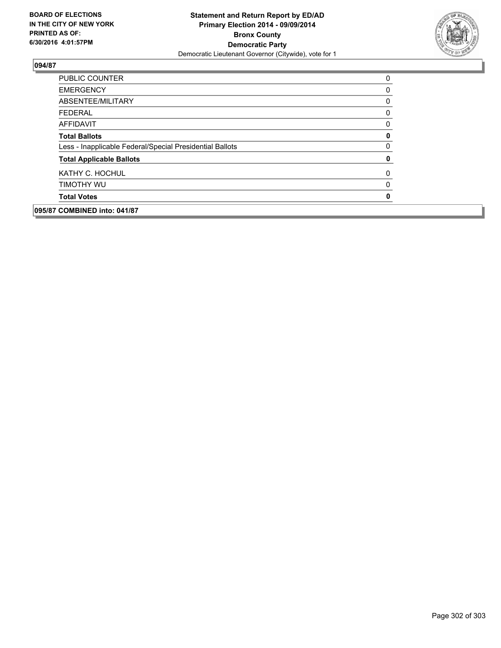

| 095/87 COMBINED into: 041/87    |                                                          |              |
|---------------------------------|----------------------------------------------------------|--------------|
| <b>Total Votes</b>              |                                                          | $\mathbf{0}$ |
| TIMOTHY WU                      |                                                          | 0            |
| KATHY C. HOCHUL                 |                                                          | 0            |
| <b>Total Applicable Ballots</b> |                                                          | 0            |
|                                 | Less - Inapplicable Federal/Special Presidential Ballots | 0            |
| <b>Total Ballots</b>            |                                                          | 0            |
| AFFIDAVIT                       |                                                          | 0            |
| <b>FEDERAL</b>                  |                                                          | 0            |
| ABSENTEE/MILITARY               |                                                          | 0            |
| <b>EMERGENCY</b>                |                                                          | 0            |
| <b>PUBLIC COUNTER</b>           |                                                          | 0            |